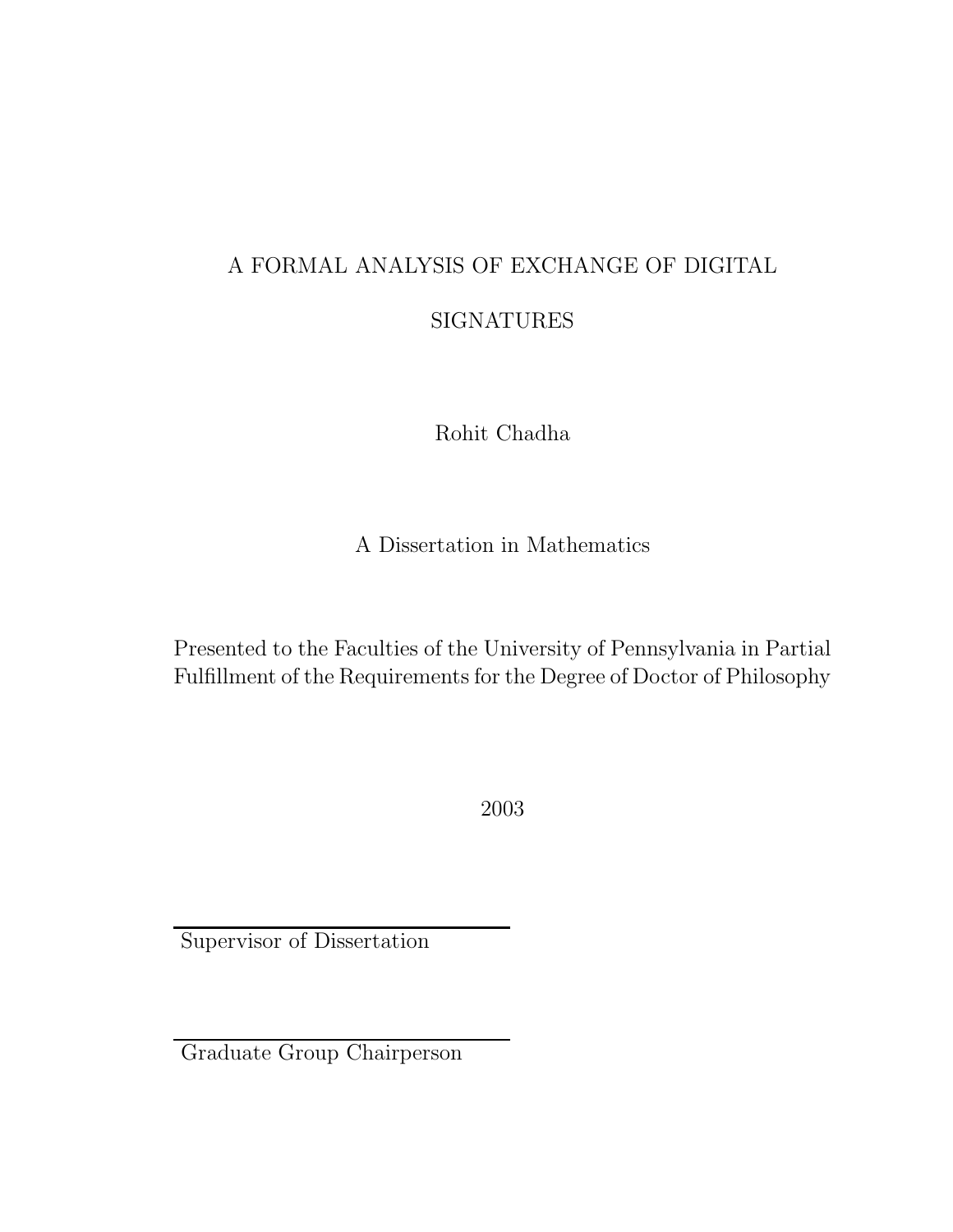### A FORMAL ANALYSIS OF EXCHANGE OF DIGITAL

### SIGNATURES

Rohit Chadha

A Dissertation in Mathematics

Presented to the Faculties of the University of Pennsylvania in Partial Fulfillment of the Requirements for the Degree of Doctor of Philosophy

2003

Supervisor of Dissertation

Graduate Group Chairperson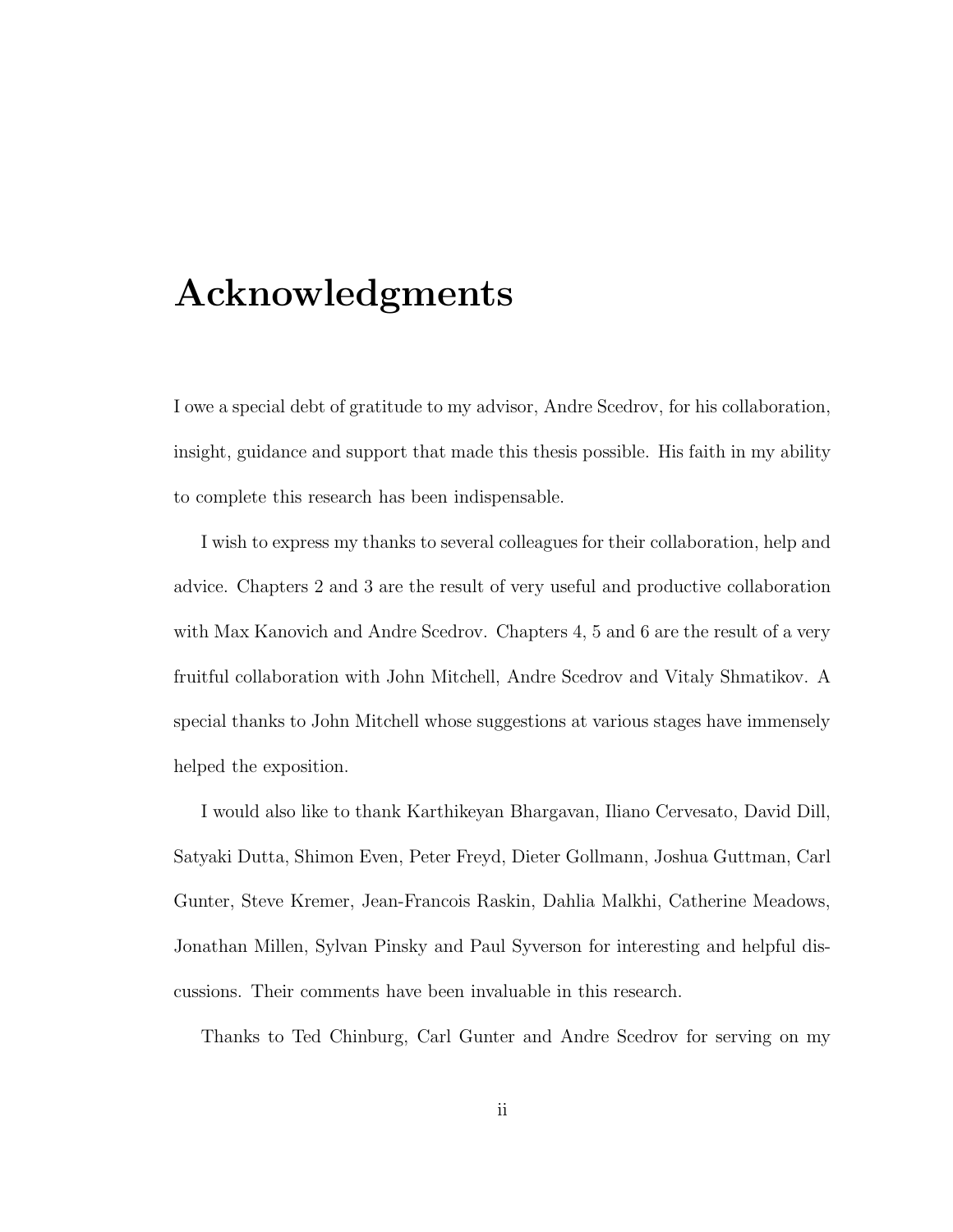## Acknowledgments

I owe a special debt of gratitude to my advisor, Andre Scedrov, for his collaboration, insight, guidance and support that made this thesis possible. His faith in my ability to complete this research has been indispensable.

I wish to express my thanks to several colleagues for their collaboration, help and advice. Chapters 2 and 3 are the result of very useful and productive collaboration with Max Kanovich and Andre Scedrov. Chapters 4, 5 and 6 are the result of a very fruitful collaboration with John Mitchell, Andre Scedrov and Vitaly Shmatikov. A special thanks to John Mitchell whose suggestions at various stages have immensely helped the exposition.

I would also like to thank Karthikeyan Bhargavan, Iliano Cervesato, David Dill, Satyaki Dutta, Shimon Even, Peter Freyd, Dieter Gollmann, Joshua Guttman, Carl Gunter, Steve Kremer, Jean-Francois Raskin, Dahlia Malkhi, Catherine Meadows, Jonathan Millen, Sylvan Pinsky and Paul Syverson for interesting and helpful discussions. Their comments have been invaluable in this research.

Thanks to Ted Chinburg, Carl Gunter and Andre Scedrov for serving on my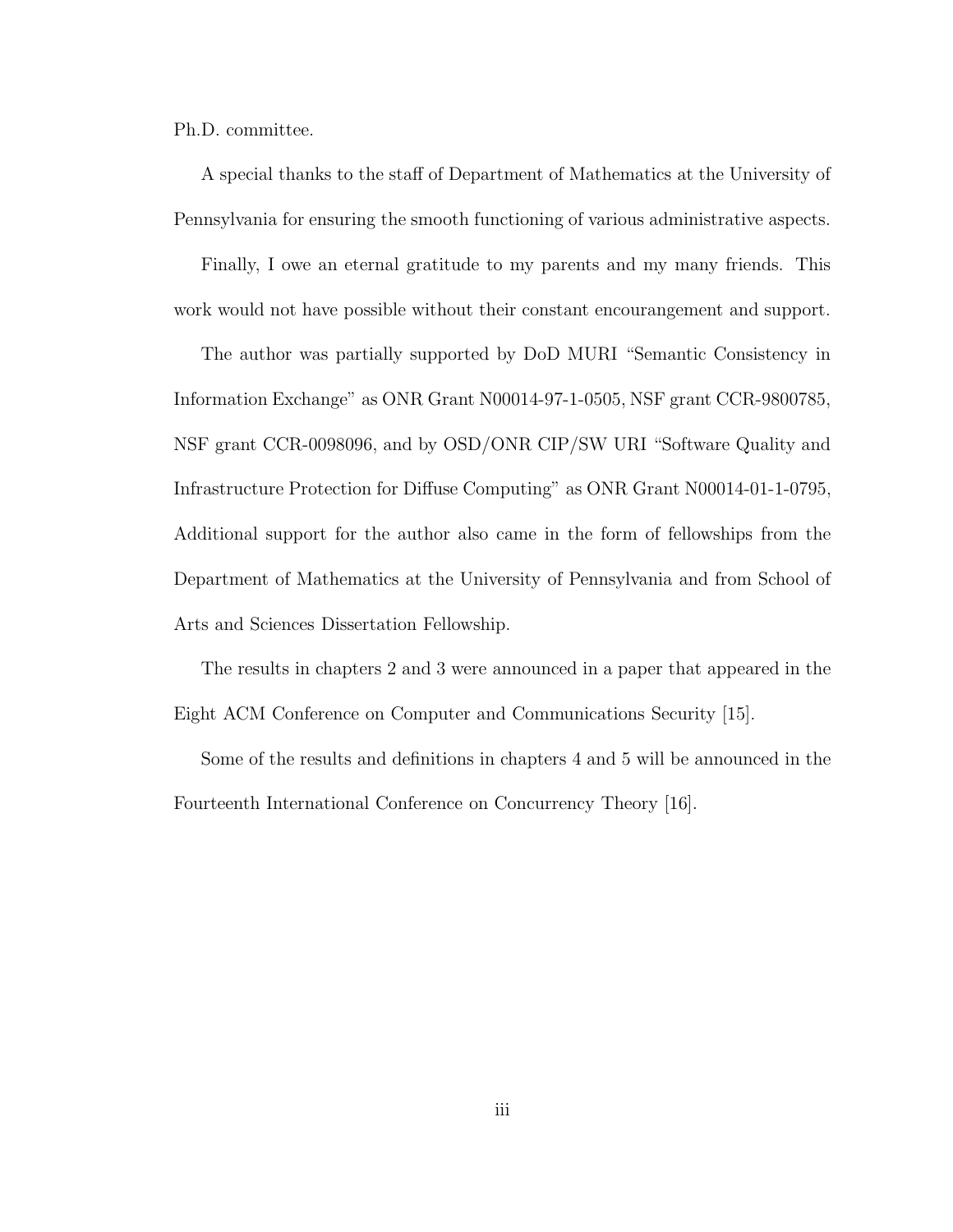Ph.D. committee.

A special thanks to the staff of Department of Mathematics at the University of Pennsylvania for ensuring the smooth functioning of various administrative aspects.

Finally, I owe an eternal gratitude to my parents and my many friends. This work would not have possible without their constant encourangement and support.

The author was partially supported by DoD MURI "Semantic Consistency in Information Exchange" as ONR Grant N00014-97-1-0505, NSF grant CCR-9800785, NSF grant CCR-0098096, and by OSD/ONR CIP/SW URI "Software Quality and Infrastructure Protection for Diffuse Computing" as ONR Grant N00014-01-1-0795, Additional support for the author also came in the form of fellowships from the Department of Mathematics at the University of Pennsylvania and from School of Arts and Sciences Dissertation Fellowship.

The results in chapters 2 and 3 were announced in a paper that appeared in the Eight ACM Conference on Computer and Communications Security [15].

Some of the results and definitions in chapters 4 and 5 will be announced in the Fourteenth International Conference on Concurrency Theory [16].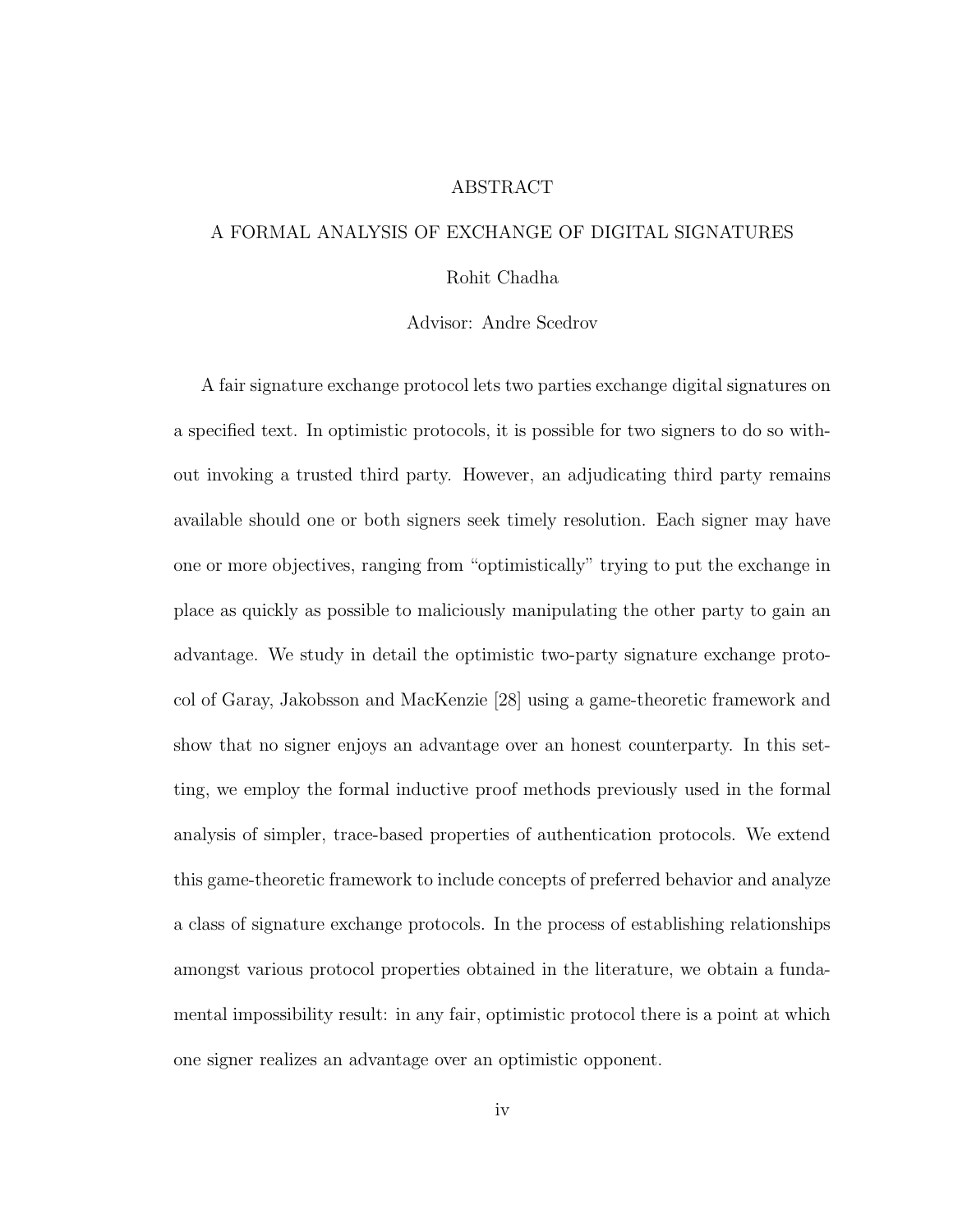#### ABSTRACT

### A FORMAL ANALYSIS OF EXCHANGE OF DIGITAL SIGNATURES Rohit Chadha

### Advisor: Andre Scedrov

A fair signature exchange protocol lets two parties exchange digital signatures on a specified text. In optimistic protocols, it is possible for two signers to do so without invoking a trusted third party. However, an adjudicating third party remains available should one or both signers seek timely resolution. Each signer may have one or more objectives, ranging from "optimistically" trying to put the exchange in place as quickly as possible to maliciously manipulating the other party to gain an advantage. We study in detail the optimistic two-party signature exchange protocol of Garay, Jakobsson and MacKenzie [28] using a game-theoretic framework and show that no signer enjoys an advantage over an honest counterparty. In this setting, we employ the formal inductive proof methods previously used in the formal analysis of simpler, trace-based properties of authentication protocols. We extend this game-theoretic framework to include concepts of preferred behavior and analyze a class of signature exchange protocols. In the process of establishing relationships amongst various protocol properties obtained in the literature, we obtain a fundamental impossibility result: in any fair, optimistic protocol there is a point at which one signer realizes an advantage over an optimistic opponent.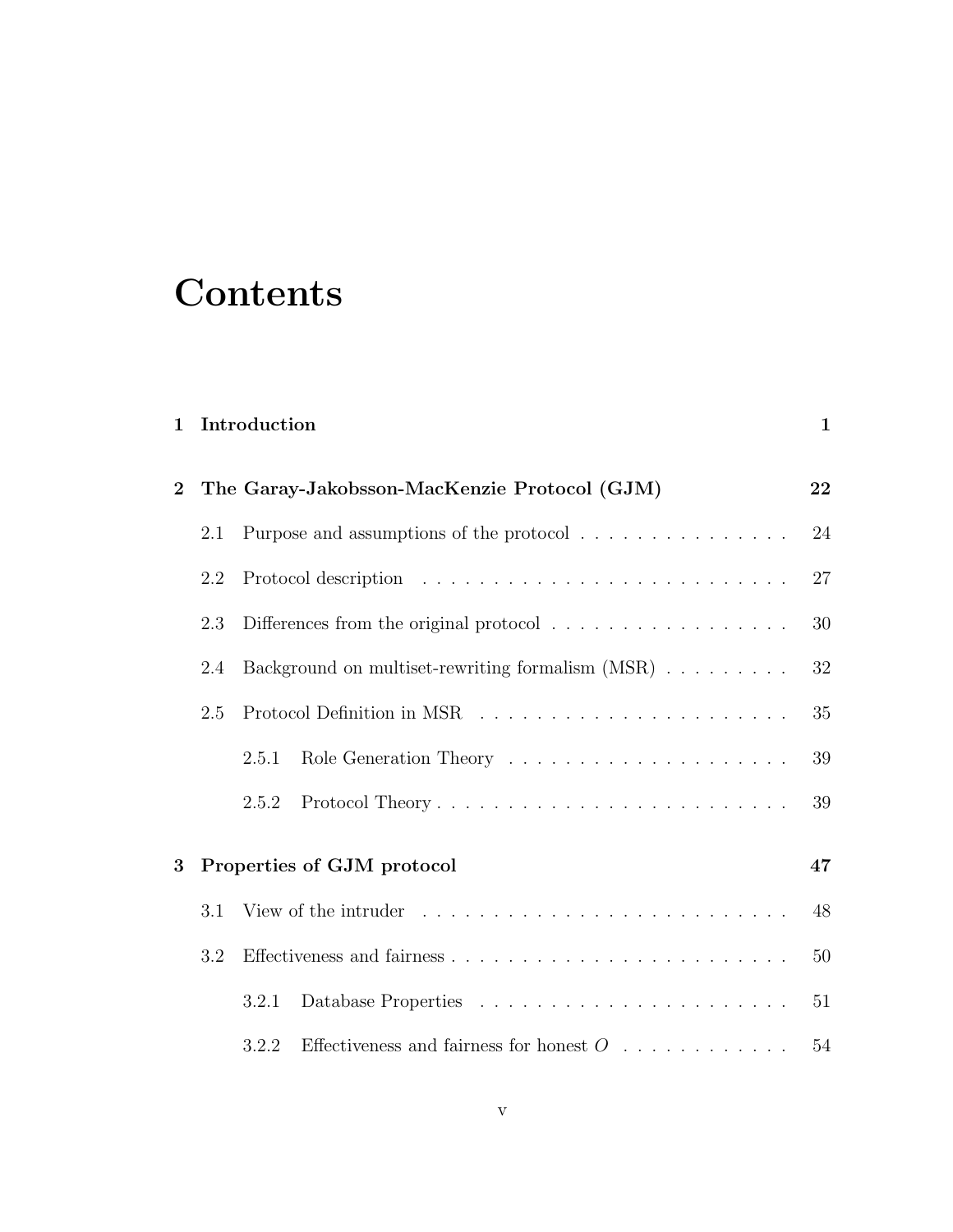## **Contents**

| 1 Introduction |
|----------------|
|                |

| $\overline{2}$ |     | The Garay-Jakobsson-MacKenzie Protocol (GJM)                                               | 22     |
|----------------|-----|--------------------------------------------------------------------------------------------|--------|
|                | 2.1 | Purpose and assumptions of the protocol $\hfill\ldots\ldots\ldots\ldots\ldots\ldots\ldots$ | 24     |
|                | 2.2 |                                                                                            | 27     |
|                | 2.3 | Differences from the original protocol $\dots \dots \dots \dots \dots$                     | $30\,$ |
|                | 2.4 | Background on multiset-rewriting formalism (MSR)                                           | $32\,$ |
|                | 2.5 |                                                                                            | 35     |
|                |     | 2.5.1                                                                                      | $39\,$ |
|                |     | 2.5.2                                                                                      | 39     |
| $\overline{3}$ |     | Properties of GJM protocol                                                                 | 47     |
|                | 3.1 |                                                                                            | 48     |
|                | 3.2 |                                                                                            | $50\,$ |
|                |     | 3.2.1                                                                                      | 51     |
|                |     | Effectiveness and fairness for honest $O_1, \ldots, \ldots, \ldots, \ldots$<br>3.2.2       | 54     |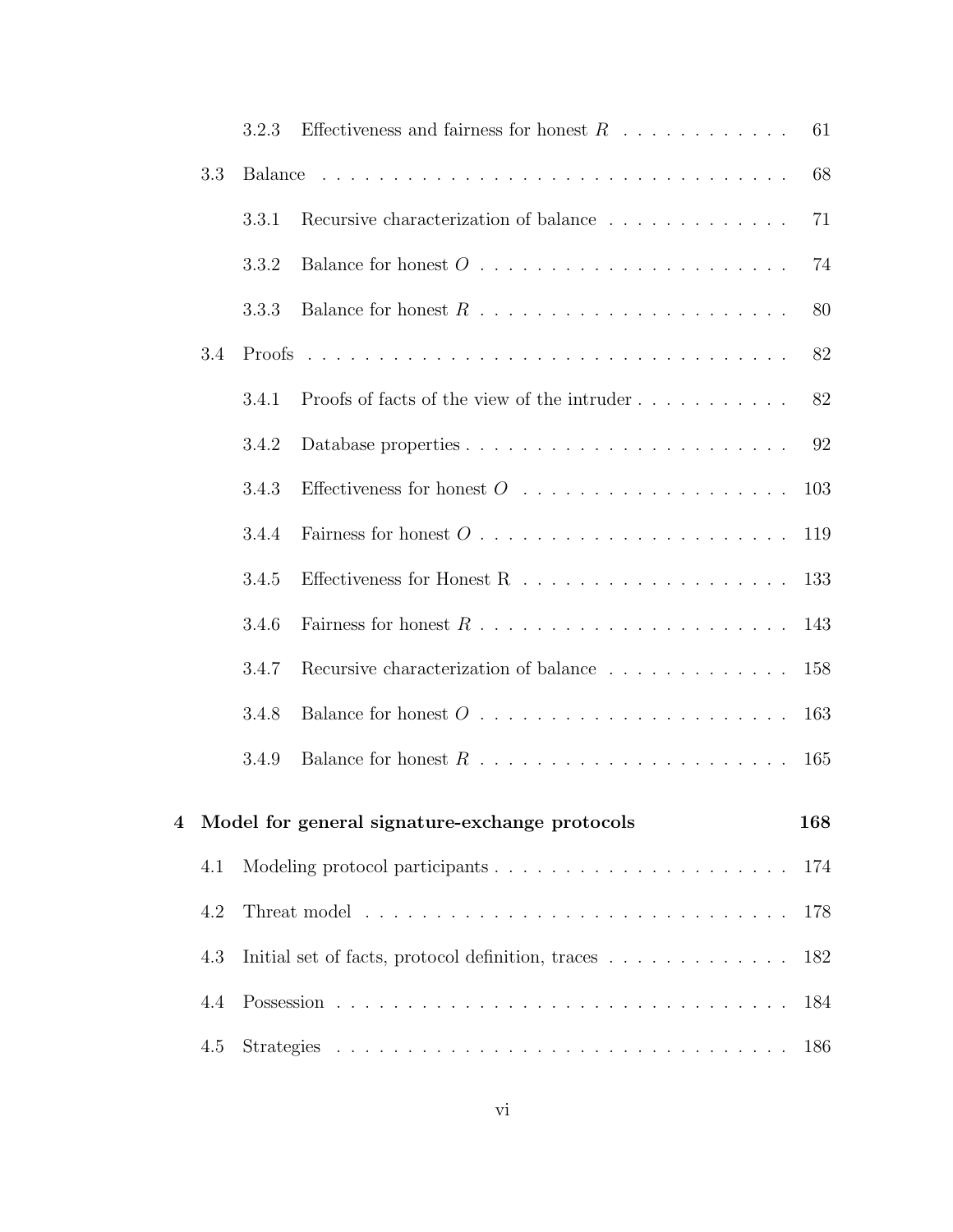|                         |     | 3.2.3   | Effectiveness and fairness for honest $R \ldots \ldots \ldots$                                                                  | 61  |
|-------------------------|-----|---------|---------------------------------------------------------------------------------------------------------------------------------|-----|
|                         | 3.3 | Balance |                                                                                                                                 | 68  |
|                         |     | 3.3.1   | Recursive characterization of balance                                                                                           | 71  |
|                         |     | 3.3.2   |                                                                                                                                 | 74  |
|                         |     | 3.3.3   |                                                                                                                                 | 80  |
|                         | 3.4 |         |                                                                                                                                 | 82  |
|                         |     | 3.4.1   | Proofs of facts of the view of the intruder                                                                                     | 82  |
|                         |     | 3.4.2   |                                                                                                                                 | 92  |
|                         |     | 3.4.3   | Effectiveness for honest $O_1, \ldots, \ldots, \ldots, \ldots, \ldots$                                                          | 103 |
|                         |     | 3.4.4   |                                                                                                                                 | 119 |
|                         |     | 3.4.5   | Effectiveness for Honest R $\dots$                                                                                              | 133 |
|                         |     | 3.4.6   |                                                                                                                                 | 143 |
|                         |     | 3.4.7   | Recursive characterization of balance                                                                                           | 158 |
|                         |     | 3.4.8   |                                                                                                                                 | 163 |
|                         |     | 3.4.9   |                                                                                                                                 | 165 |
| $\overline{\mathbf{4}}$ |     |         |                                                                                                                                 | 168 |
|                         | 4.1 |         |                                                                                                                                 | 174 |
|                         | 4.2 |         | Model for general signature-exchange protocols<br>178<br>Initial set of facts, protocol definition, traces<br>182<br>184<br>186 |     |
|                         | 4.3 |         |                                                                                                                                 |     |
|                         | 4.4 |         |                                                                                                                                 |     |
|                         | 4.5 |         |                                                                                                                                 |     |
|                         |     |         |                                                                                                                                 |     |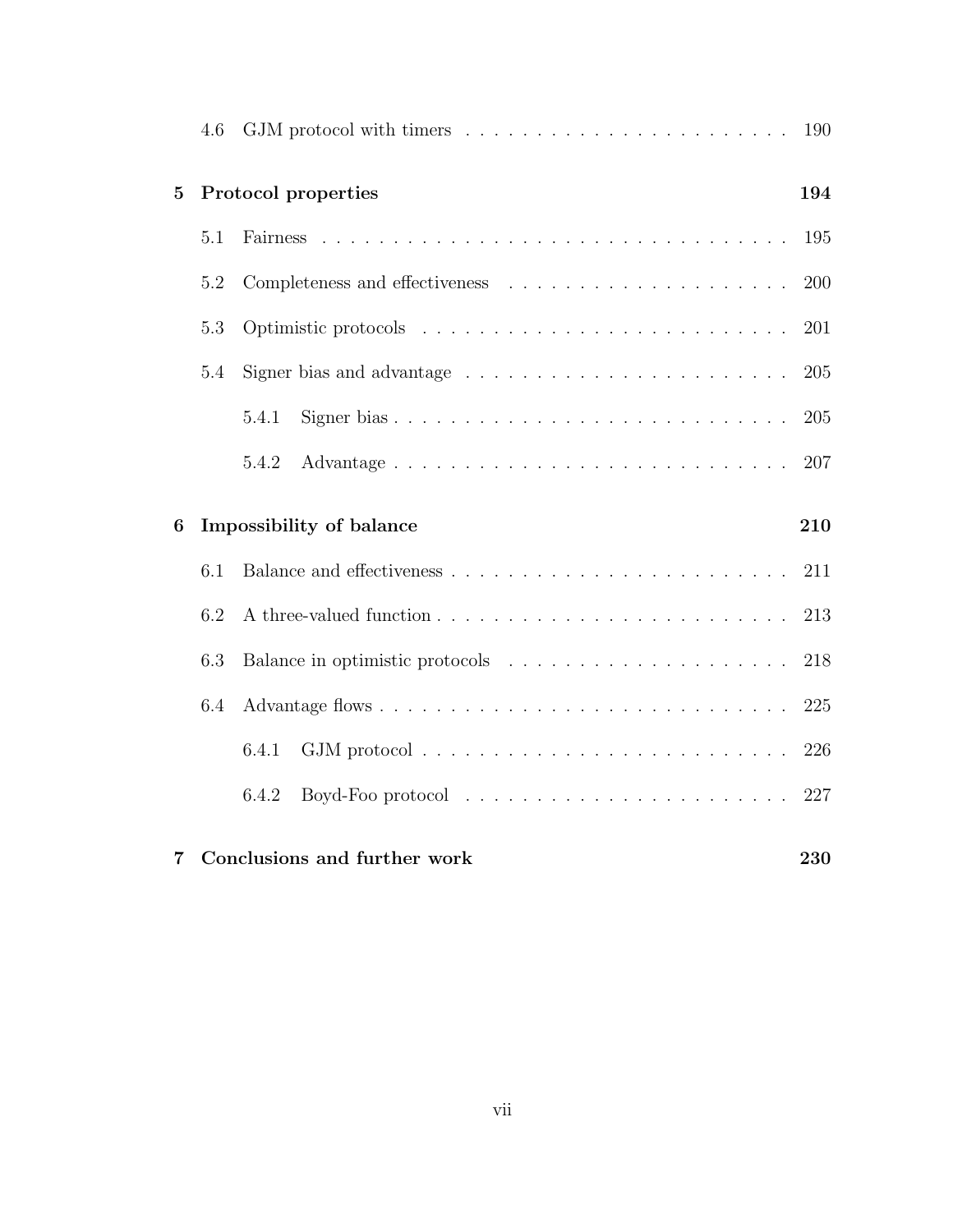|                | 4.6 |                                                                             | 190 |
|----------------|-----|-----------------------------------------------------------------------------|-----|
| $\overline{5}$ |     | Protocol properties                                                         | 194 |
|                | 5.1 |                                                                             | 195 |
|                | 5.2 |                                                                             | 200 |
|                | 5.3 |                                                                             | 201 |
|                | 5.4 | Signer bias and advantage $\dots \dots \dots \dots \dots \dots \dots \dots$ | 205 |
|                |     | 5.4.1                                                                       | 205 |
|                |     | 5.4.2                                                                       | 207 |
|                |     |                                                                             |     |
| 6              |     | Impossibility of balance                                                    | 210 |
|                | 6.1 |                                                                             | 211 |
|                | 6.2 |                                                                             | 213 |
|                | 6.3 |                                                                             | 218 |
|                | 6.4 |                                                                             | 225 |
|                |     | 6.4.1                                                                       | 226 |
|                |     | 6.4.2                                                                       | 227 |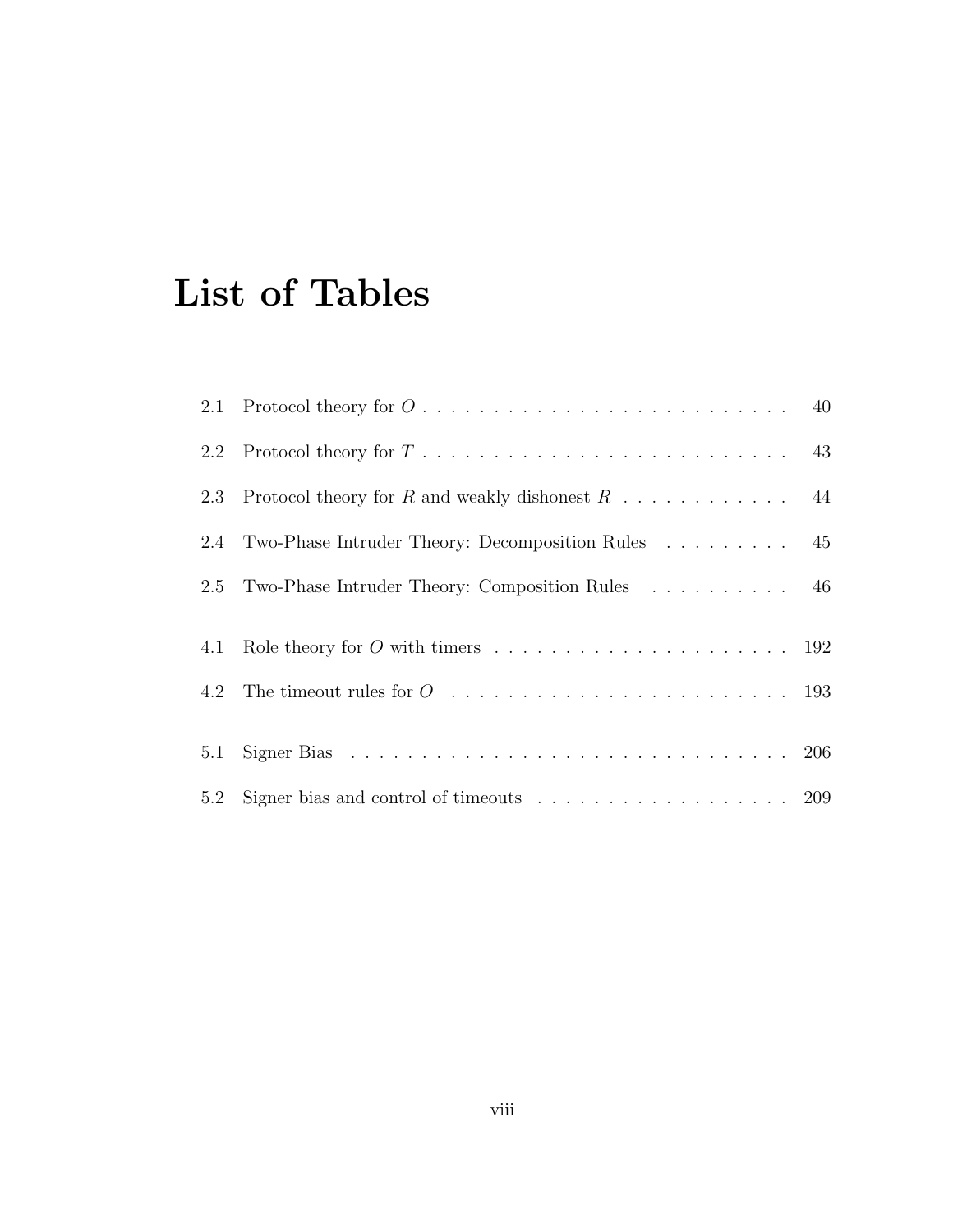## List of Tables

|     | 2.1 Protocol theory for $O \ldots \ldots \ldots \ldots \ldots \ldots \ldots \ldots \ldots \ldots$ 40 |  |
|-----|------------------------------------------------------------------------------------------------------|--|
|     | 2.2 Protocol theory for $T \ldots \ldots \ldots \ldots \ldots \ldots \ldots \ldots \ldots \ldots$ 43 |  |
| 2.3 |                                                                                                      |  |
|     | 2.4 Two-Phase Intruder Theory: Decomposition Rules 45                                                |  |
|     | 2.5 Two-Phase Intruder Theory: Composition Rules 46                                                  |  |
|     |                                                                                                      |  |
|     |                                                                                                      |  |
|     | 4.2 The timeout rules for $O_1, \ldots, \ldots, \ldots, \ldots, \ldots, \ldots, \ldots, \ldots, 193$ |  |
|     |                                                                                                      |  |
|     |                                                                                                      |  |
|     | 5.2 Signer bias and control of timeouts 209                                                          |  |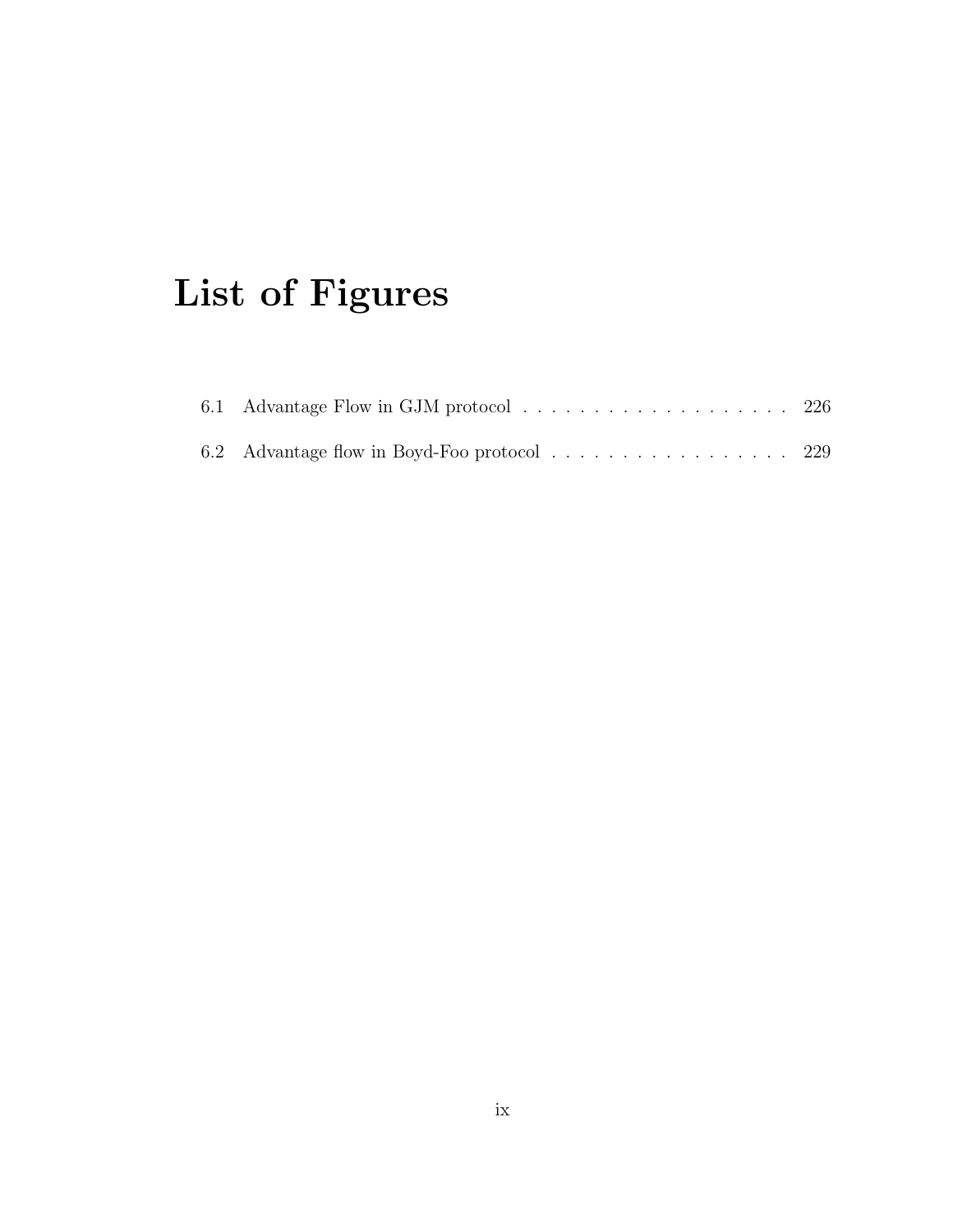## List of Figures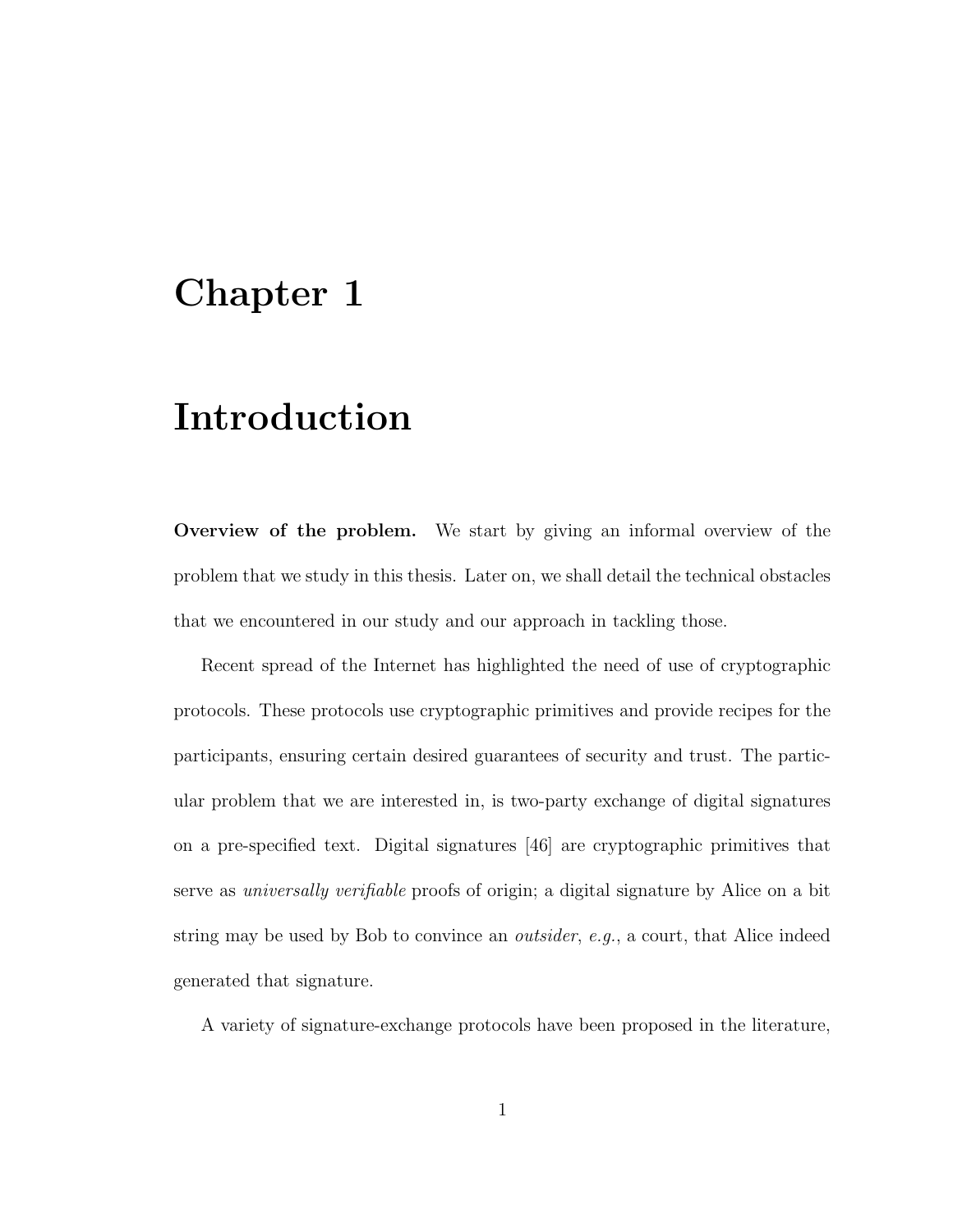## Chapter 1

## Introduction

Overview of the problem. We start by giving an informal overview of the problem that we study in this thesis. Later on, we shall detail the technical obstacles that we encountered in our study and our approach in tackling those.

Recent spread of the Internet has highlighted the need of use of cryptographic protocols. These protocols use cryptographic primitives and provide recipes for the participants, ensuring certain desired guarantees of security and trust. The particular problem that we are interested in, is two-party exchange of digital signatures on a pre-specified text. Digital signatures [46] are cryptographic primitives that serve as universally verifiable proofs of origin; a digital signature by Alice on a bit string may be used by Bob to convince an outsider, e.g., a court, that Alice indeed generated that signature.

A variety of signature-exchange protocols have been proposed in the literature,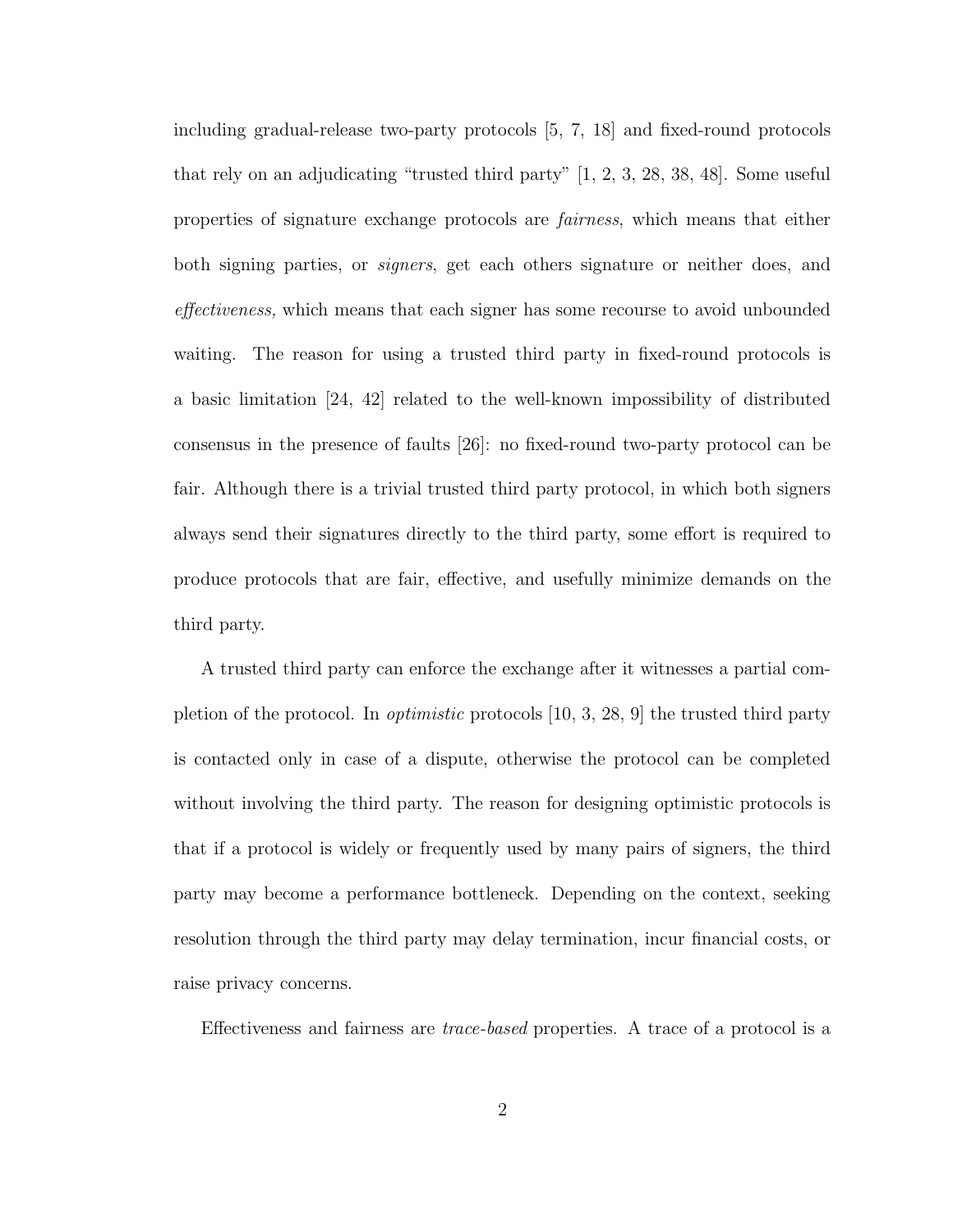including gradual-release two-party protocols [5, 7, 18] and fixed-round protocols that rely on an adjudicating "trusted third party" [1, 2, 3, 28, 38, 48]. Some useful properties of signature exchange protocols are fairness, which means that either both signing parties, or signers, get each others signature or neither does, and effectiveness, which means that each signer has some recourse to avoid unbounded waiting. The reason for using a trusted third party in fixed-round protocols is a basic limitation [24, 42] related to the well-known impossibility of distributed consensus in the presence of faults [26]: no fixed-round two-party protocol can be fair. Although there is a trivial trusted third party protocol, in which both signers always send their signatures directly to the third party, some effort is required to produce protocols that are fair, effective, and usefully minimize demands on the third party.

A trusted third party can enforce the exchange after it witnesses a partial completion of the protocol. In *optimistic* protocols  $[10, 3, 28, 9]$  the trusted third party is contacted only in case of a dispute, otherwise the protocol can be completed without involving the third party. The reason for designing optimistic protocols is that if a protocol is widely or frequently used by many pairs of signers, the third party may become a performance bottleneck. Depending on the context, seeking resolution through the third party may delay termination, incur financial costs, or raise privacy concerns.

Effectiveness and fairness are trace-based properties. A trace of a protocol is a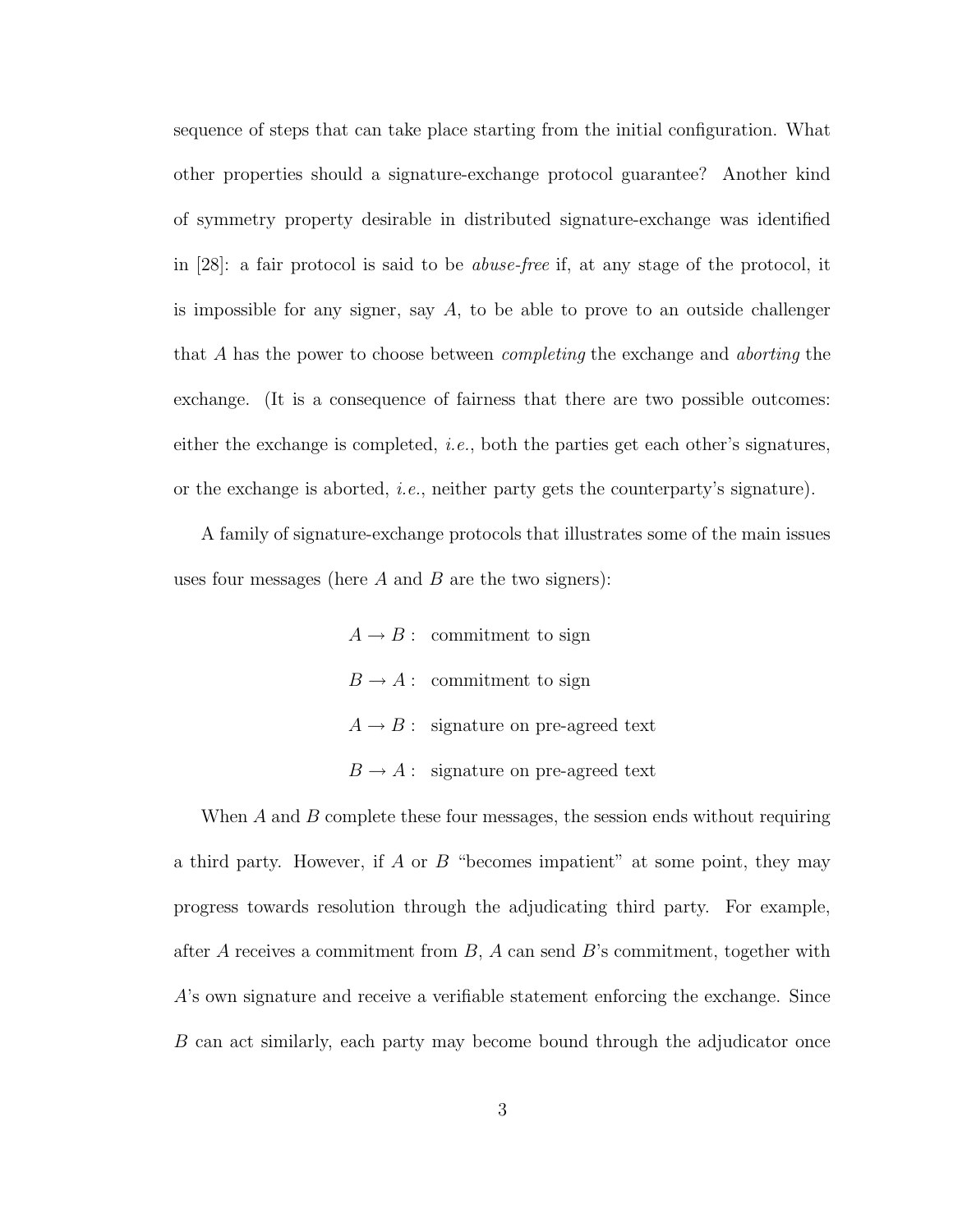sequence of steps that can take place starting from the initial configuration. What other properties should a signature-exchange protocol guarantee? Another kind of symmetry property desirable in distributed signature-exchange was identified in [28]: a fair protocol is said to be abuse-free if, at any stage of the protocol, it is impossible for any signer, say  $A$ , to be able to prove to an outside challenger that A has the power to choose between *completing* the exchange and *aborting* the exchange. (It is a consequence of fairness that there are two possible outcomes: either the exchange is completed, *i.e.*, both the parties get each other's signatures, or the exchange is aborted, *i.e.*, neither party gets the counterparty's signature).

A family of signature-exchange protocols that illustrates some of the main issues uses four messages (here  $A$  and  $B$  are the two signers):

> $A \rightarrow B$ : commitment to sign  $B \to A$ : commitment to sign  $A \rightarrow B$ : signature on pre-agreed text  $B \to A$ : signature on pre-agreed text

When  $A$  and  $B$  complete these four messages, the session ends without requiring a third party. However, if  $A$  or  $B$  "becomes impatient" at some point, they may progress towards resolution through the adjudicating third party. For example, after A receives a commitment from  $B$ , A can send B's commitment, together with A's own signature and receive a verifiable statement enforcing the exchange. Since B can act similarly, each party may become bound through the adjudicator once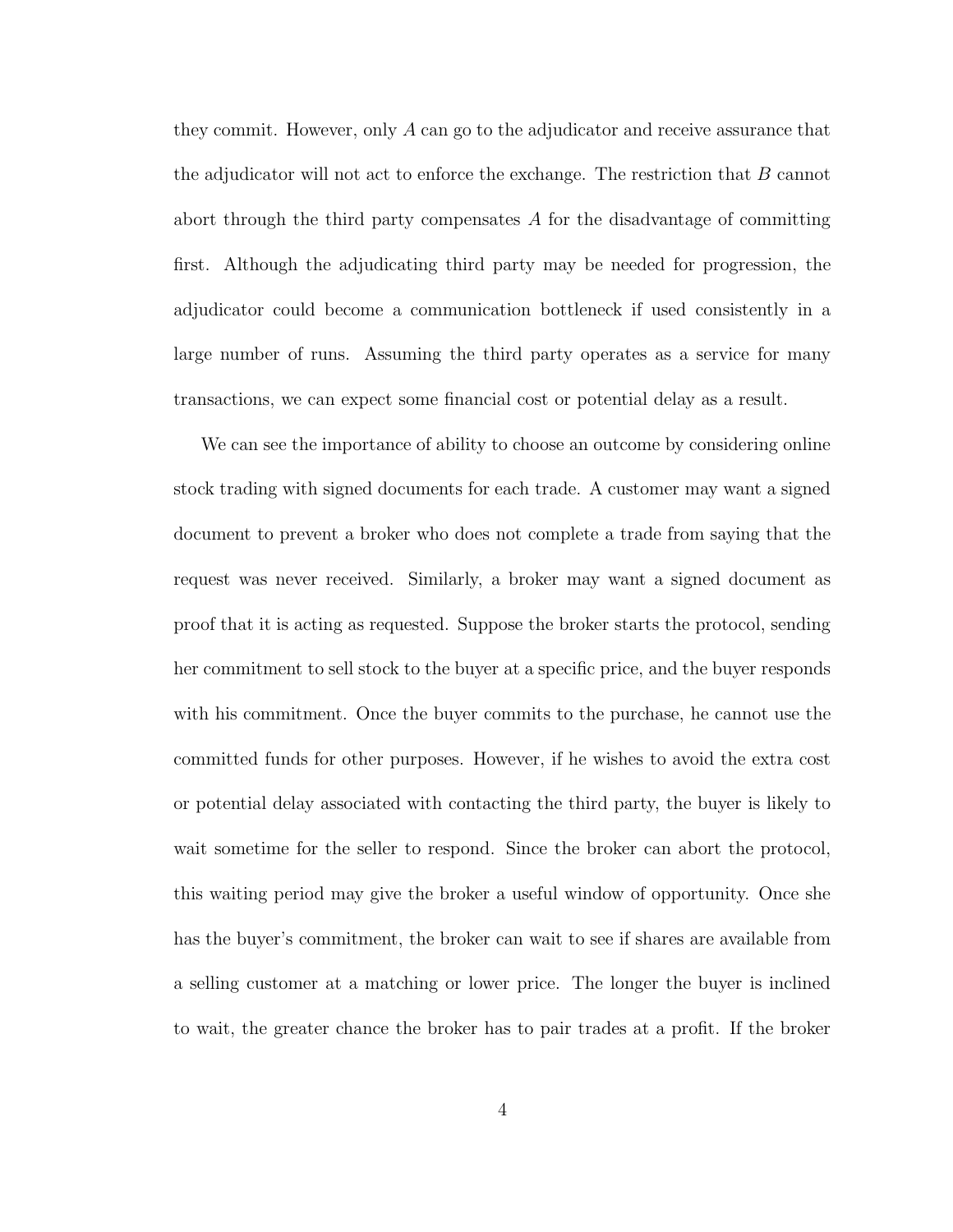they commit. However, only A can go to the adjudicator and receive assurance that the adjudicator will not act to enforce the exchange. The restriction that  $B$  cannot abort through the third party compensates  $A$  for the disadvantage of committing first. Although the adjudicating third party may be needed for progression, the adjudicator could become a communication bottleneck if used consistently in a large number of runs. Assuming the third party operates as a service for many transactions, we can expect some financial cost or potential delay as a result.

We can see the importance of ability to choose an outcome by considering online stock trading with signed documents for each trade. A customer may want a signed document to prevent a broker who does not complete a trade from saying that the request was never received. Similarly, a broker may want a signed document as proof that it is acting as requested. Suppose the broker starts the protocol, sending her commitment to sell stock to the buyer at a specific price, and the buyer responds with his commitment. Once the buyer commits to the purchase, he cannot use the committed funds for other purposes. However, if he wishes to avoid the extra cost or potential delay associated with contacting the third party, the buyer is likely to wait sometime for the seller to respond. Since the broker can abort the protocol, this waiting period may give the broker a useful window of opportunity. Once she has the buyer's commitment, the broker can wait to see if shares are available from a selling customer at a matching or lower price. The longer the buyer is inclined to wait, the greater chance the broker has to pair trades at a profit. If the broker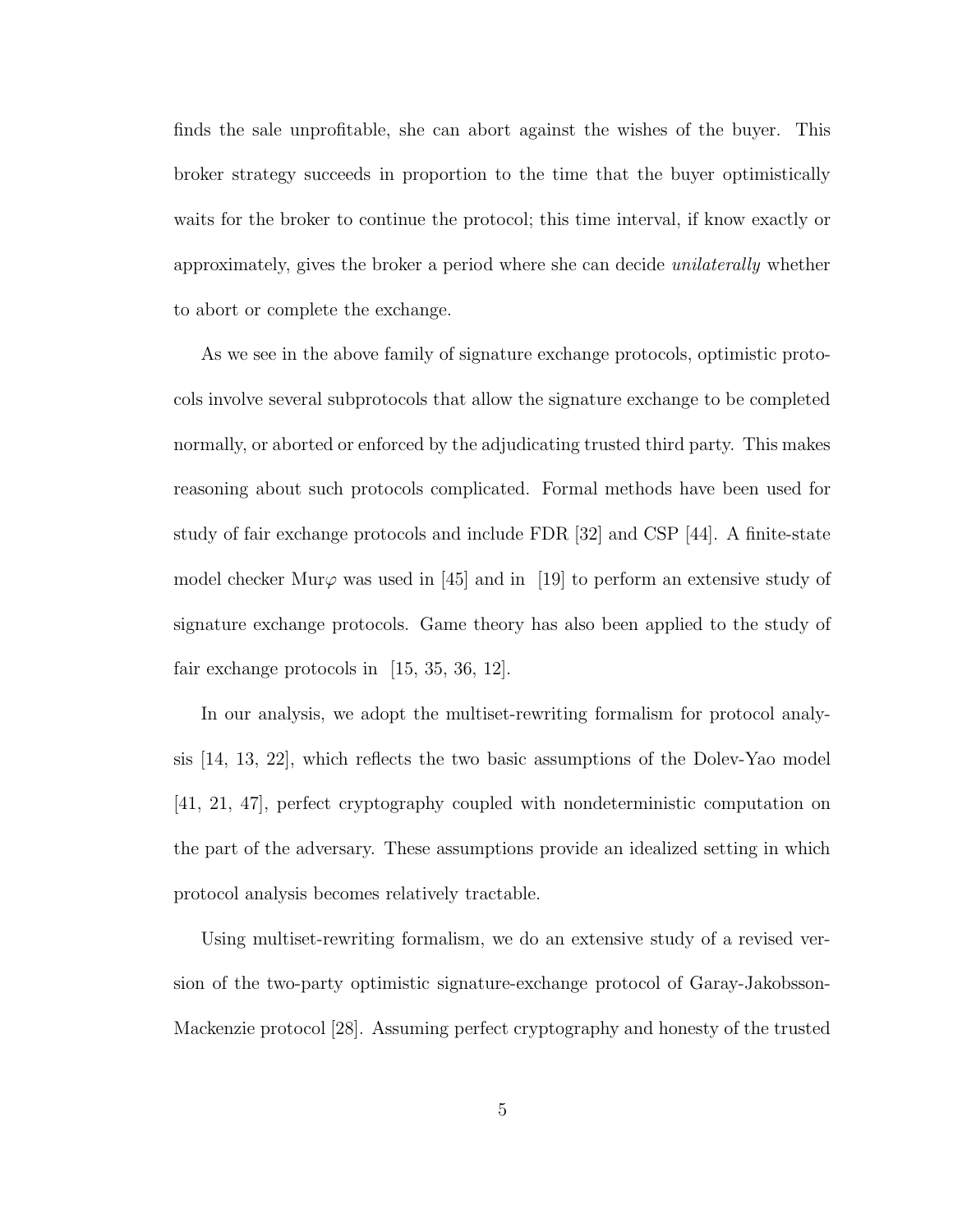finds the sale unprofitable, she can abort against the wishes of the buyer. This broker strategy succeeds in proportion to the time that the buyer optimistically waits for the broker to continue the protocol; this time interval, if know exactly or approximately, gives the broker a period where she can decide unilaterally whether to abort or complete the exchange.

As we see in the above family of signature exchange protocols, optimistic protocols involve several subprotocols that allow the signature exchange to be completed normally, or aborted or enforced by the adjudicating trusted third party. This makes reasoning about such protocols complicated. Formal methods have been used for study of fair exchange protocols and include FDR [32] and CSP [44]. A finite-state model checker Mur $\varphi$  was used in [45] and in [19] to perform an extensive study of signature exchange protocols. Game theory has also been applied to the study of fair exchange protocols in [15, 35, 36, 12].

In our analysis, we adopt the multiset-rewriting formalism for protocol analysis [14, 13, 22], which reflects the two basic assumptions of the Dolev-Yao model [41, 21, 47], perfect cryptography coupled with nondeterministic computation on the part of the adversary. These assumptions provide an idealized setting in which protocol analysis becomes relatively tractable.

Using multiset-rewriting formalism, we do an extensive study of a revised version of the two-party optimistic signature-exchange protocol of Garay-Jakobsson-Mackenzie protocol [28]. Assuming perfect cryptography and honesty of the trusted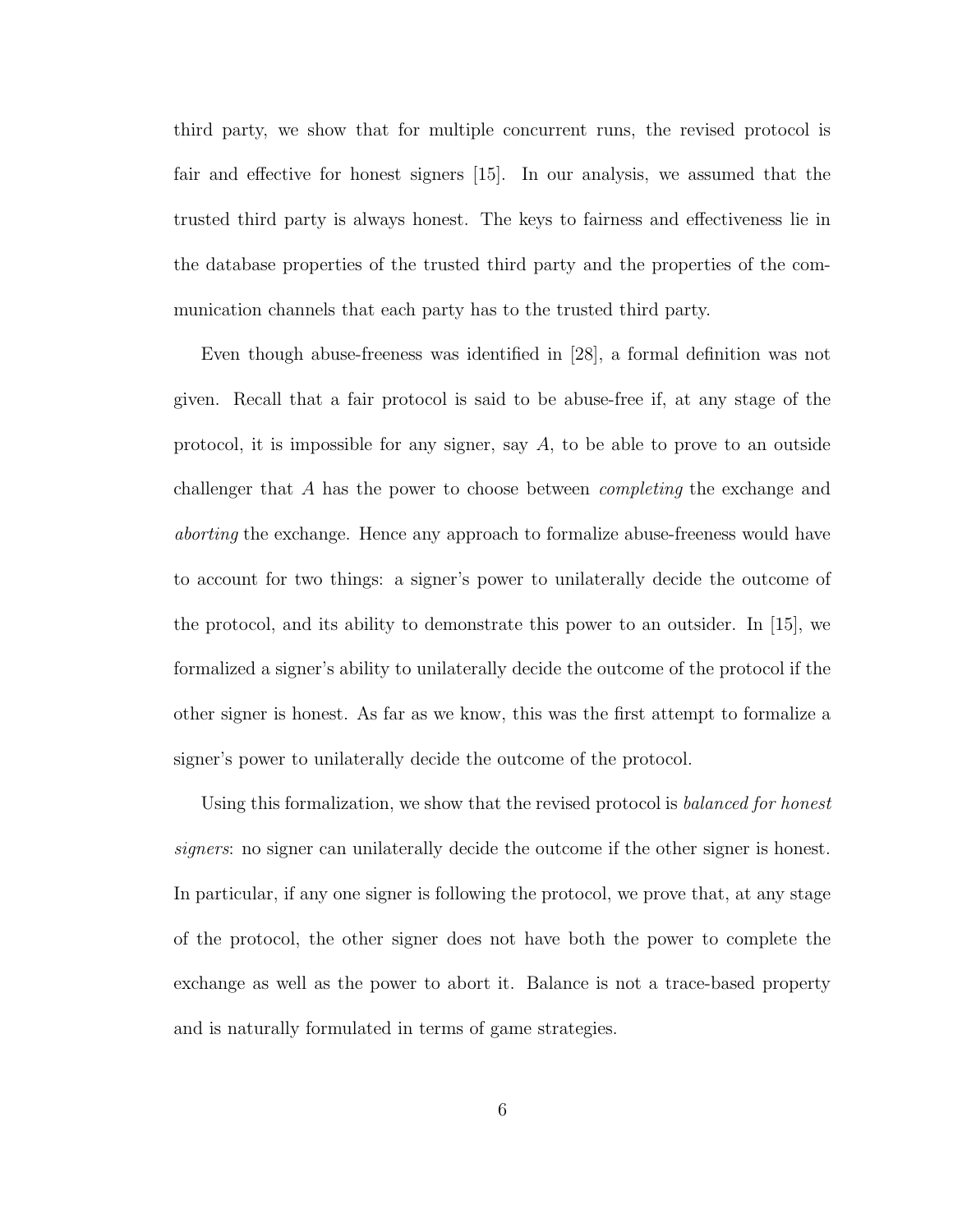third party, we show that for multiple concurrent runs, the revised protocol is fair and effective for honest signers [15]. In our analysis, we assumed that the trusted third party is always honest. The keys to fairness and effectiveness lie in the database properties of the trusted third party and the properties of the communication channels that each party has to the trusted third party.

Even though abuse-freeness was identified in [28], a formal definition was not given. Recall that a fair protocol is said to be abuse-free if, at any stage of the protocol, it is impossible for any signer, say  $A$ , to be able to prove to an outside challenger that A has the power to choose between completing the exchange and aborting the exchange. Hence any approach to formalize abuse-freeness would have to account for two things: a signer's power to unilaterally decide the outcome of the protocol, and its ability to demonstrate this power to an outsider. In [15], we formalized a signer's ability to unilaterally decide the outcome of the protocol if the other signer is honest. As far as we know, this was the first attempt to formalize a signer's power to unilaterally decide the outcome of the protocol.

Using this formalization, we show that the revised protocol is *balanced for honest* signers: no signer can unilaterally decide the outcome if the other signer is honest. In particular, if any one signer is following the protocol, we prove that, at any stage of the protocol, the other signer does not have both the power to complete the exchange as well as the power to abort it. Balance is not a trace-based property and is naturally formulated in terms of game strategies.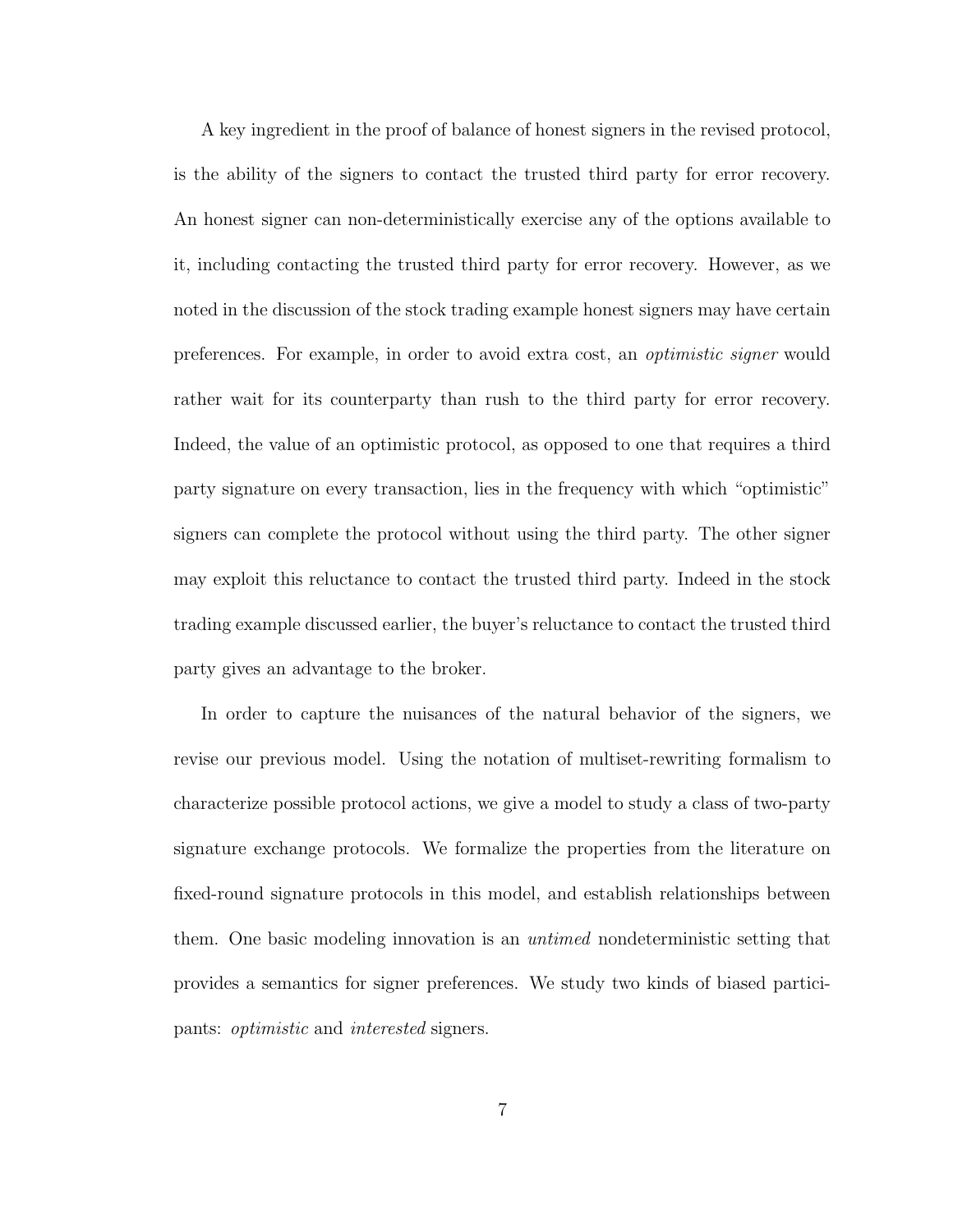A key ingredient in the proof of balance of honest signers in the revised protocol, is the ability of the signers to contact the trusted third party for error recovery. An honest signer can non-deterministically exercise any of the options available to it, including contacting the trusted third party for error recovery. However, as we noted in the discussion of the stock trading example honest signers may have certain preferences. For example, in order to avoid extra cost, an optimistic signer would rather wait for its counterparty than rush to the third party for error recovery. Indeed, the value of an optimistic protocol, as opposed to one that requires a third party signature on every transaction, lies in the frequency with which "optimistic" signers can complete the protocol without using the third party. The other signer may exploit this reluctance to contact the trusted third party. Indeed in the stock trading example discussed earlier, the buyer's reluctance to contact the trusted third party gives an advantage to the broker.

In order to capture the nuisances of the natural behavior of the signers, we revise our previous model. Using the notation of multiset-rewriting formalism to characterize possible protocol actions, we give a model to study a class of two-party signature exchange protocols. We formalize the properties from the literature on fixed-round signature protocols in this model, and establish relationships between them. One basic modeling innovation is an *untimed* nondeterministic setting that provides a semantics for signer preferences. We study two kinds of biased participants: optimistic and interested signers.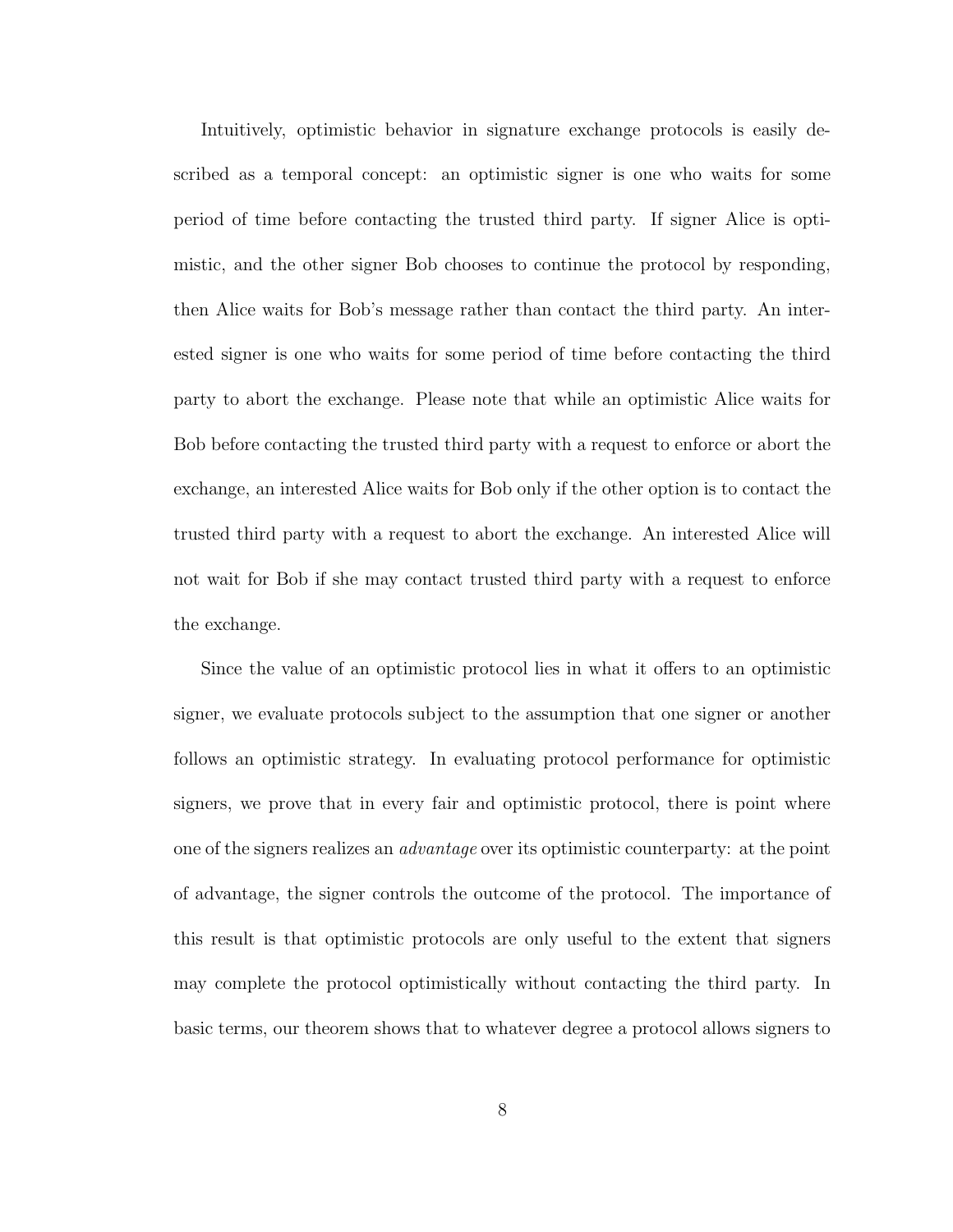Intuitively, optimistic behavior in signature exchange protocols is easily described as a temporal concept: an optimistic signer is one who waits for some period of time before contacting the trusted third party. If signer Alice is optimistic, and the other signer Bob chooses to continue the protocol by responding, then Alice waits for Bob's message rather than contact the third party. An interested signer is one who waits for some period of time before contacting the third party to abort the exchange. Please note that while an optimistic Alice waits for Bob before contacting the trusted third party with a request to enforce or abort the exchange, an interested Alice waits for Bob only if the other option is to contact the trusted third party with a request to abort the exchange. An interested Alice will not wait for Bob if she may contact trusted third party with a request to enforce the exchange.

Since the value of an optimistic protocol lies in what it offers to an optimistic signer, we evaluate protocols subject to the assumption that one signer or another follows an optimistic strategy. In evaluating protocol performance for optimistic signers, we prove that in every fair and optimistic protocol, there is point where one of the signers realizes an *advantage* over its optimistic counterparty: at the point of advantage, the signer controls the outcome of the protocol. The importance of this result is that optimistic protocols are only useful to the extent that signers may complete the protocol optimistically without contacting the third party. In basic terms, our theorem shows that to whatever degree a protocol allows signers to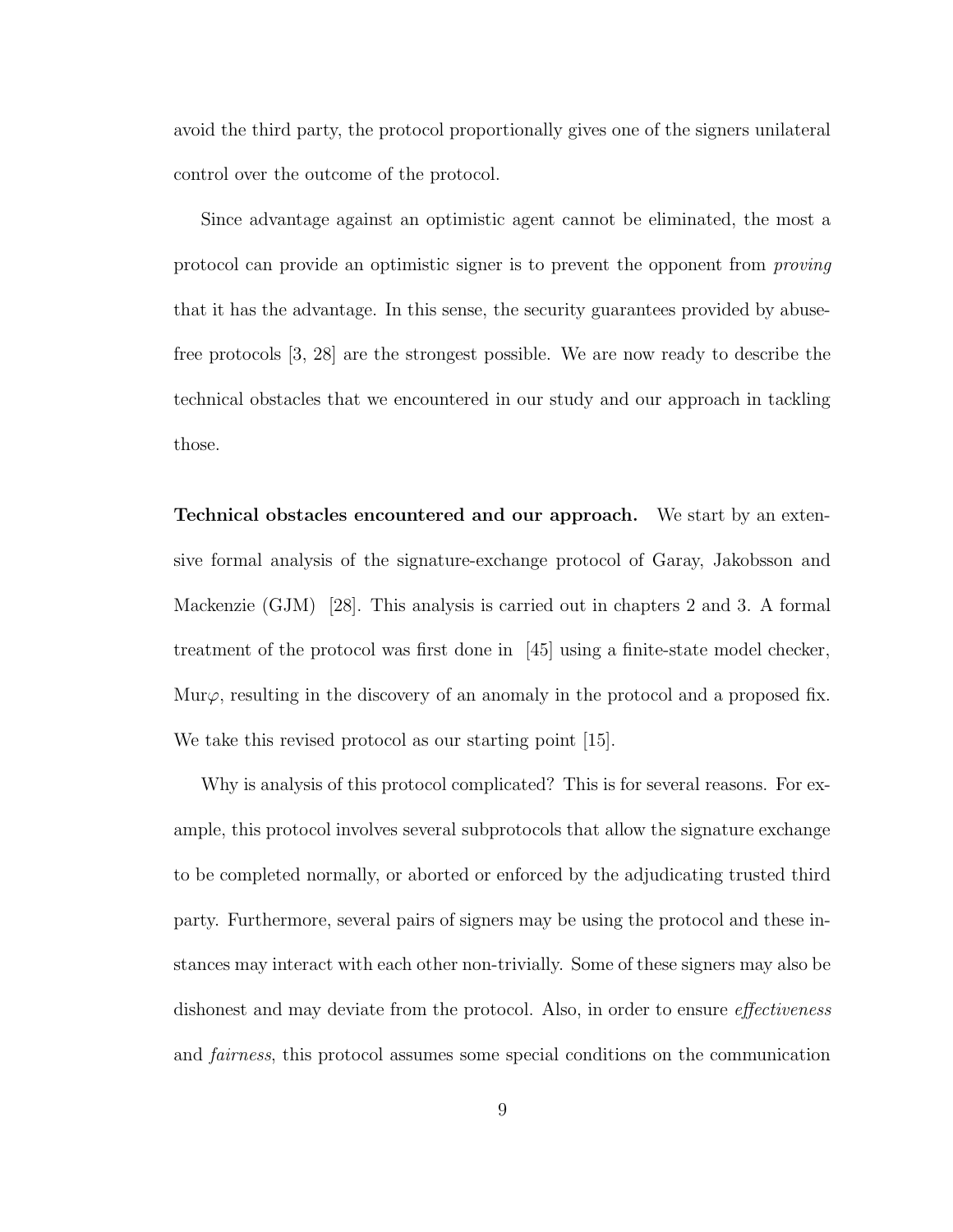avoid the third party, the protocol proportionally gives one of the signers unilateral control over the outcome of the protocol.

Since advantage against an optimistic agent cannot be eliminated, the most a protocol can provide an optimistic signer is to prevent the opponent from proving that it has the advantage. In this sense, the security guarantees provided by abusefree protocols [3, 28] are the strongest possible. We are now ready to describe the technical obstacles that we encountered in our study and our approach in tackling those.

Technical obstacles encountered and our approach. We start by an extensive formal analysis of the signature-exchange protocol of Garay, Jakobsson and Mackenzie (GJM) [28]. This analysis is carried out in chapters 2 and 3. A formal treatment of the protocol was first done in [45] using a finite-state model checker, Mur $\varphi$ , resulting in the discovery of an anomaly in the protocol and a proposed fix. We take this revised protocol as our starting point [15].

Why is analysis of this protocol complicated? This is for several reasons. For example, this protocol involves several subprotocols that allow the signature exchange to be completed normally, or aborted or enforced by the adjudicating trusted third party. Furthermore, several pairs of signers may be using the protocol and these instances may interact with each other non-trivially. Some of these signers may also be dishonest and may deviate from the protocol. Also, in order to ensure *effectiveness* and fairness, this protocol assumes some special conditions on the communication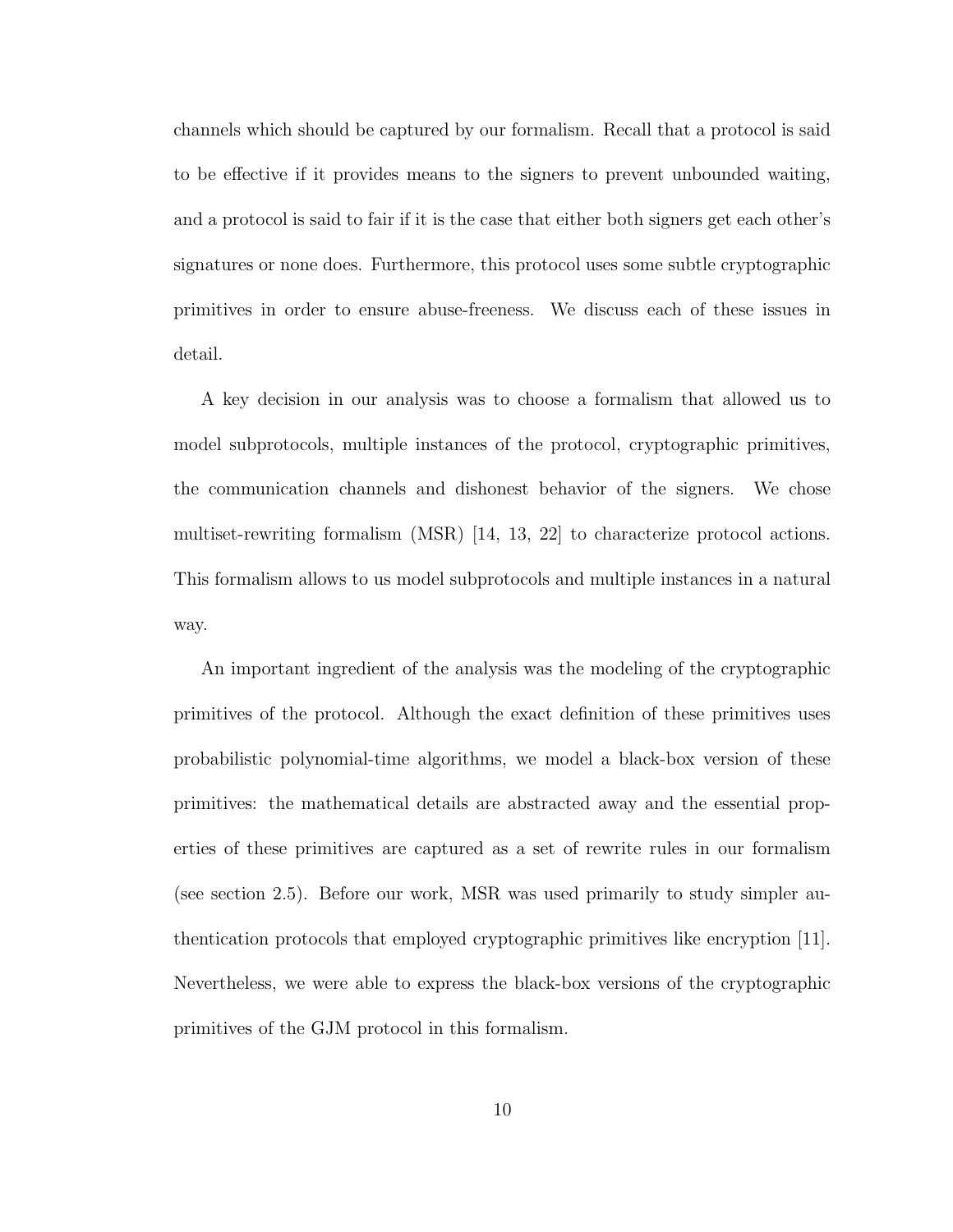channels which should be captured by our formalism. Recall that a protocol is said to be effective if it provides means to the signers to prevent unbounded waiting, and a protocol is said to fair if it is the case that either both signers get each other's signatures or none does. Furthermore, this protocol uses some subtle cryptographic primitives in order to ensure abuse-freeness. We discuss each of these issues in detail.

A key decision in our analysis was to choose a formalism that allowed us to model subprotocols, multiple instances of the protocol, cryptographic primitives, the communication channels and dishonest behavior of the signers. We chose multiset-rewriting formalism (MSR) [14, 13, 22] to characterize protocol actions. This formalism allows to us model subprotocols and multiple instances in a natural way.

An important ingredient of the analysis was the modeling of the cryptographic primitives of the protocol. Although the exact definition of these primitives uses probabilistic polynomial-time algorithms, we model a black-box version of these primitives: the mathematical details are abstracted away and the essential properties of these primitives are captured as a set of rewrite rules in our formalism (see section 2.5). Before our work, MSR was used primarily to study simpler authentication protocols that employed cryptographic primitives like encryption [11]. Nevertheless, we were able to express the black-box versions of the cryptographic primitives of the GJM protocol in this formalism.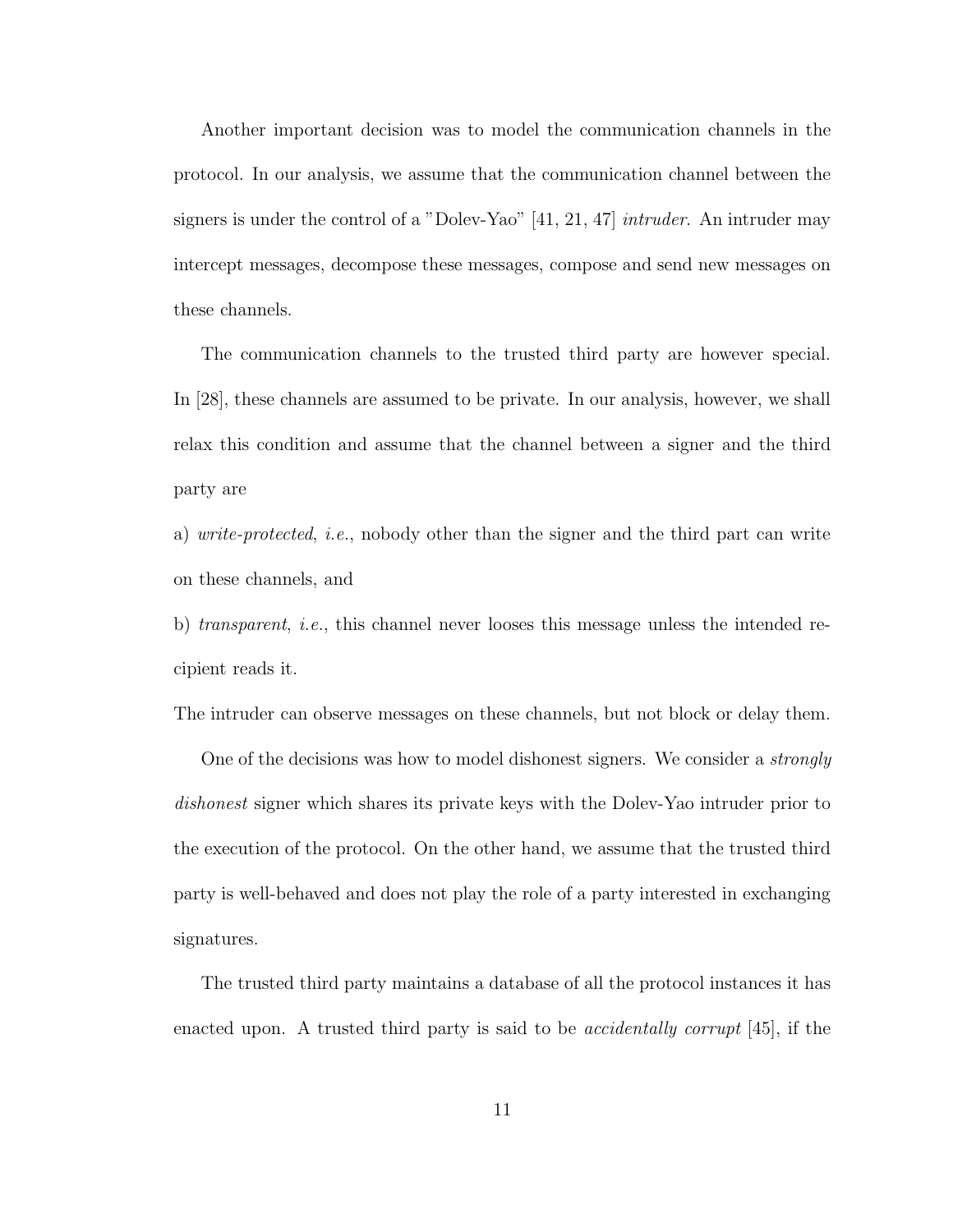Another important decision was to model the communication channels in the protocol. In our analysis, we assume that the communication channel between the signers is under the control of a "Dolev-Yao" [41, 21, 47] intruder. An intruder may intercept messages, decompose these messages, compose and send new messages on these channels.

The communication channels to the trusted third party are however special. In [28], these channels are assumed to be private. In our analysis, however, we shall relax this condition and assume that the channel between a signer and the third party are

a) write-protected, i.e., nobody other than the signer and the third part can write on these channels, and

b) transparent, i.e., this channel never looses this message unless the intended recipient reads it.

The intruder can observe messages on these channels, but not block or delay them.

One of the decisions was how to model dishonest signers. We consider a strongly dishonest signer which shares its private keys with the Dolev-Yao intruder prior to the execution of the protocol. On the other hand, we assume that the trusted third party is well-behaved and does not play the role of a party interested in exchanging signatures.

The trusted third party maintains a database of all the protocol instances it has enacted upon. A trusted third party is said to be *accidentally corrupt* [45], if the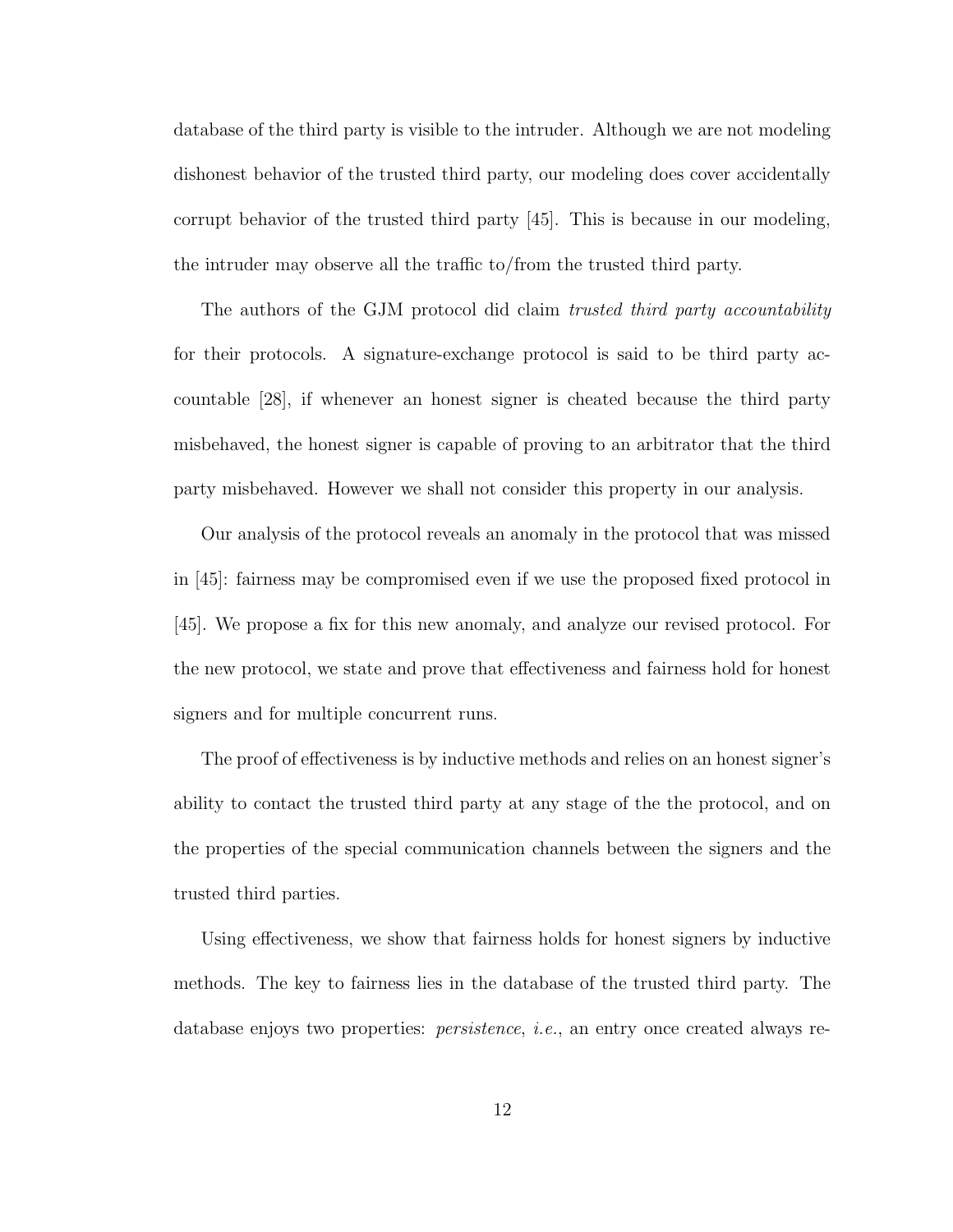database of the third party is visible to the intruder. Although we are not modeling dishonest behavior of the trusted third party, our modeling does cover accidentally corrupt behavior of the trusted third party [45]. This is because in our modeling, the intruder may observe all the traffic to/from the trusted third party.

The authors of the GJM protocol did claim trusted third party accountability for their protocols. A signature-exchange protocol is said to be third party accountable [28], if whenever an honest signer is cheated because the third party misbehaved, the honest signer is capable of proving to an arbitrator that the third party misbehaved. However we shall not consider this property in our analysis.

Our analysis of the protocol reveals an anomaly in the protocol that was missed in [45]: fairness may be compromised even if we use the proposed fixed protocol in [45]. We propose a fix for this new anomaly, and analyze our revised protocol. For the new protocol, we state and prove that effectiveness and fairness hold for honest signers and for multiple concurrent runs.

The proof of effectiveness is by inductive methods and relies on an honest signer's ability to contact the trusted third party at any stage of the the protocol, and on the properties of the special communication channels between the signers and the trusted third parties.

Using effectiveness, we show that fairness holds for honest signers by inductive methods. The key to fairness lies in the database of the trusted third party. The database enjoys two properties: *persistence*, *i.e.*, an entry once created always re-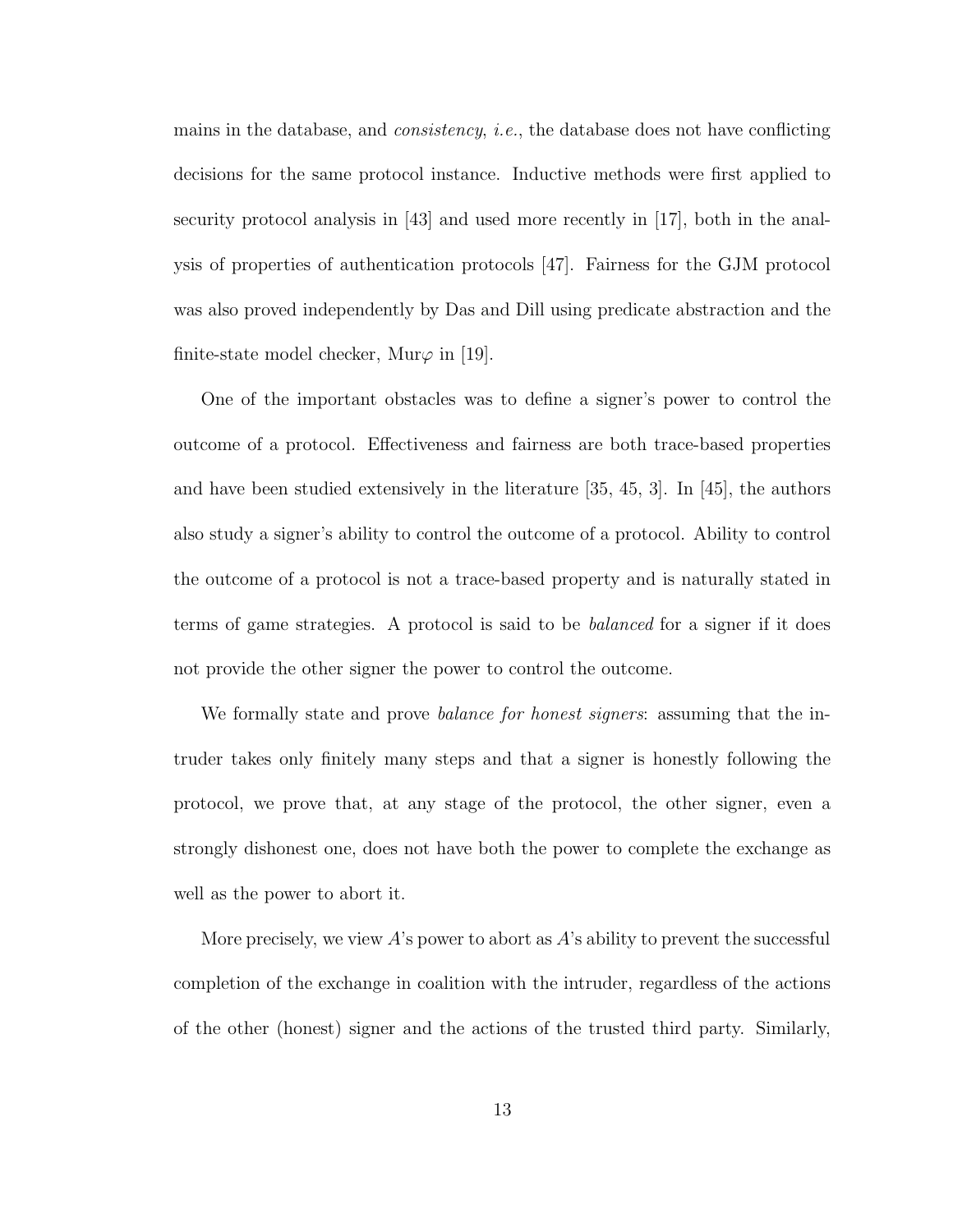mains in the database, and *consistency*, *i.e.*, the database does not have conflicting decisions for the same protocol instance. Inductive methods were first applied to security protocol analysis in [43] and used more recently in [17], both in the analysis of properties of authentication protocols [47]. Fairness for the GJM protocol was also proved independently by Das and Dill using predicate abstraction and the finite-state model checker, Mur $\varphi$  in [19].

One of the important obstacles was to define a signer's power to control the outcome of a protocol. Effectiveness and fairness are both trace-based properties and have been studied extensively in the literature [35, 45, 3]. In [45], the authors also study a signer's ability to control the outcome of a protocol. Ability to control the outcome of a protocol is not a trace-based property and is naturally stated in terms of game strategies. A protocol is said to be balanced for a signer if it does not provide the other signer the power to control the outcome.

We formally state and prove *balance for honest signers*: assuming that the intruder takes only finitely many steps and that a signer is honestly following the protocol, we prove that, at any stage of the protocol, the other signer, even a strongly dishonest one, does not have both the power to complete the exchange as well as the power to abort it.

More precisely, we view  $A$ 's power to abort as  $A$ 's ability to prevent the successful completion of the exchange in coalition with the intruder, regardless of the actions of the other (honest) signer and the actions of the trusted third party. Similarly,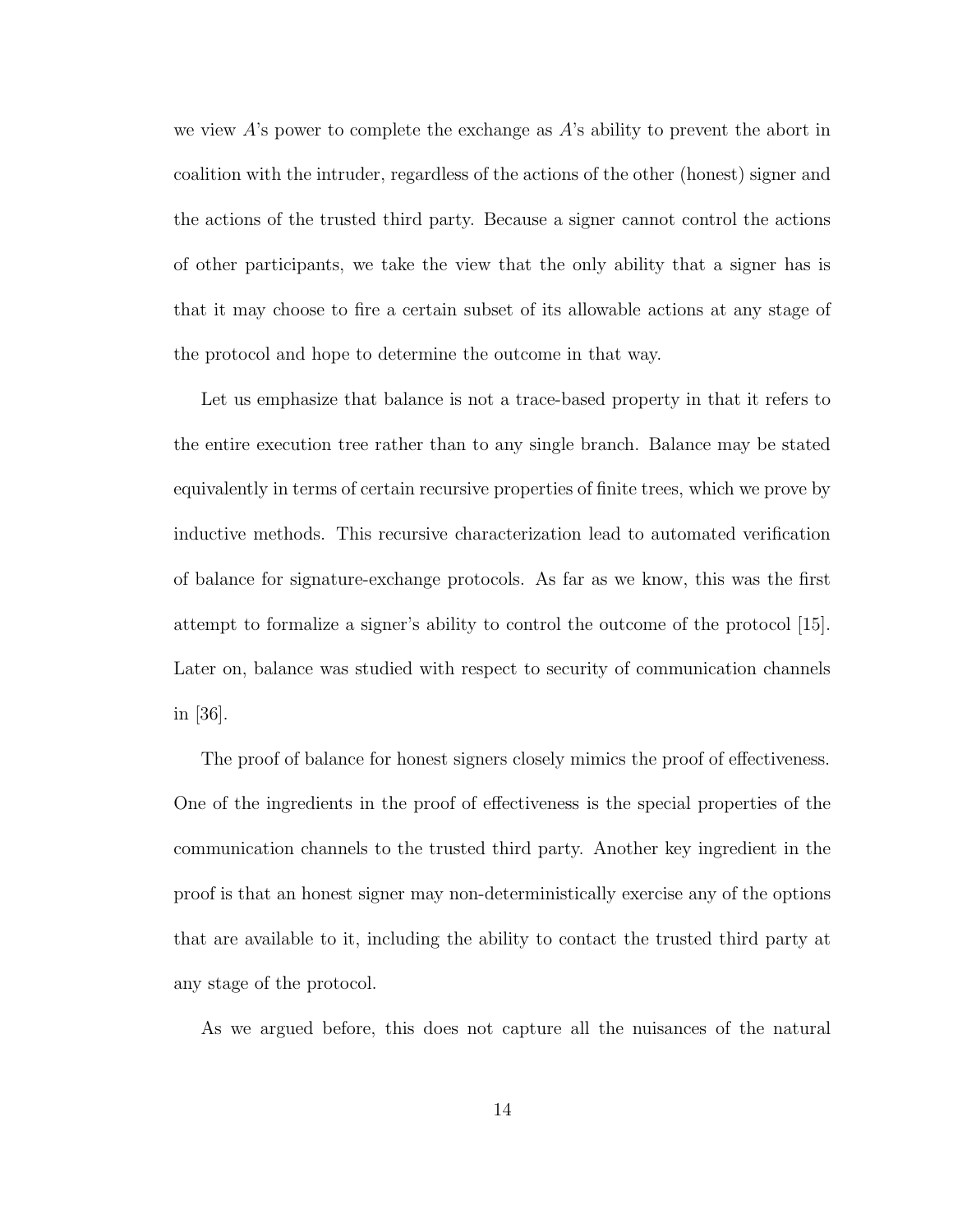we view A's power to complete the exchange as A's ability to prevent the abort in coalition with the intruder, regardless of the actions of the other (honest) signer and the actions of the trusted third party. Because a signer cannot control the actions of other participants, we take the view that the only ability that a signer has is that it may choose to fire a certain subset of its allowable actions at any stage of the protocol and hope to determine the outcome in that way.

Let us emphasize that balance is not a trace-based property in that it refers to the entire execution tree rather than to any single branch. Balance may be stated equivalently in terms of certain recursive properties of finite trees, which we prove by inductive methods. This recursive characterization lead to automated verification of balance for signature-exchange protocols. As far as we know, this was the first attempt to formalize a signer's ability to control the outcome of the protocol [15]. Later on, balance was studied with respect to security of communication channels in [36].

The proof of balance for honest signers closely mimics the proof of effectiveness. One of the ingredients in the proof of effectiveness is the special properties of the communication channels to the trusted third party. Another key ingredient in the proof is that an honest signer may non-deterministically exercise any of the options that are available to it, including the ability to contact the trusted third party at any stage of the protocol.

As we argued before, this does not capture all the nuisances of the natural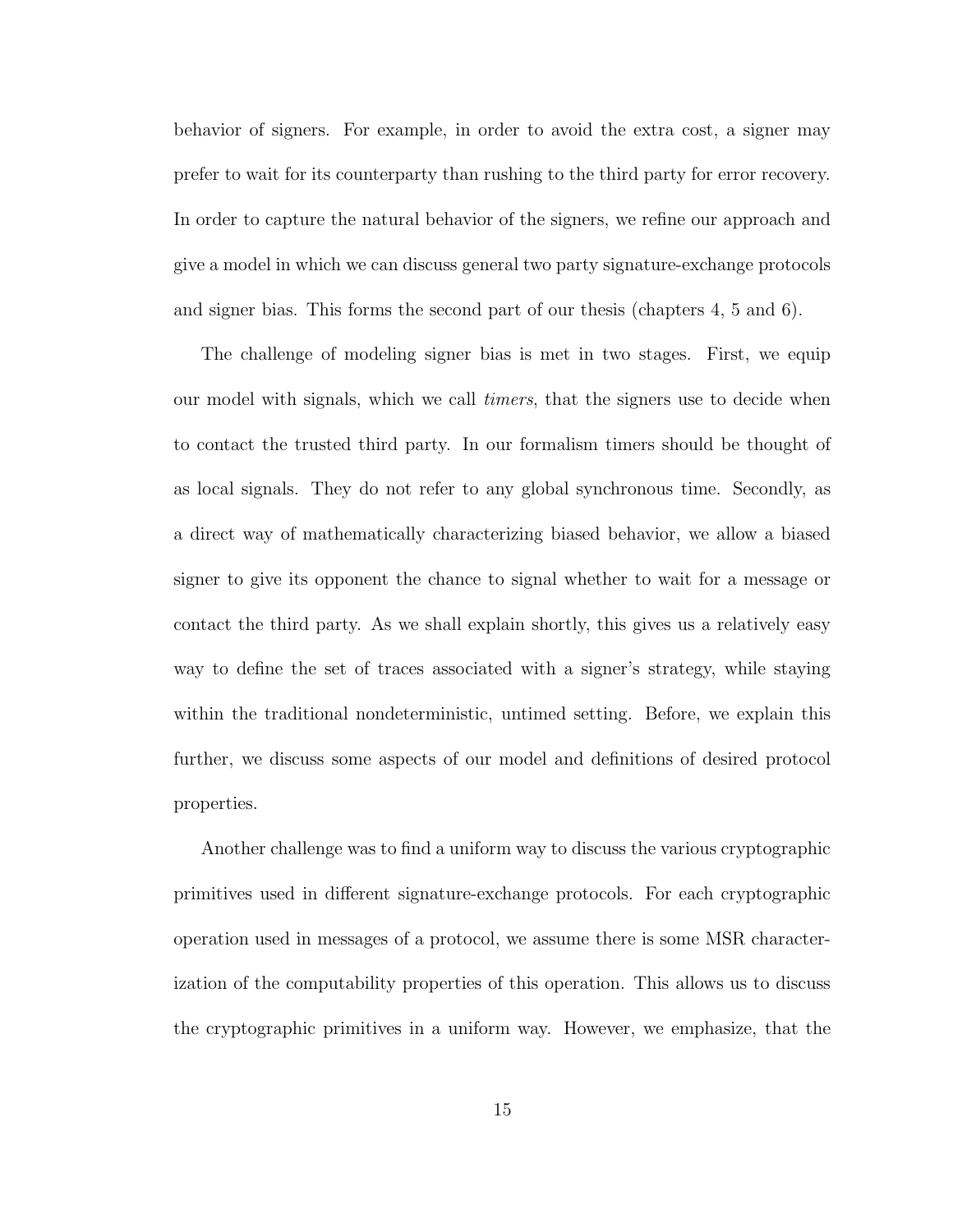behavior of signers. For example, in order to avoid the extra cost, a signer may prefer to wait for its counterparty than rushing to the third party for error recovery. In order to capture the natural behavior of the signers, we refine our approach and give a model in which we can discuss general two party signature-exchange protocols and signer bias. This forms the second part of our thesis (chapters 4, 5 and 6).

The challenge of modeling signer bias is met in two stages. First, we equip our model with signals, which we call *timers*, that the signers use to decide when to contact the trusted third party. In our formalism timers should be thought of as local signals. They do not refer to any global synchronous time. Secondly, as a direct way of mathematically characterizing biased behavior, we allow a biased signer to give its opponent the chance to signal whether to wait for a message or contact the third party. As we shall explain shortly, this gives us a relatively easy way to define the set of traces associated with a signer's strategy, while staying within the traditional nondeterministic, untimed setting. Before, we explain this further, we discuss some aspects of our model and definitions of desired protocol properties.

Another challenge was to find a uniform way to discuss the various cryptographic primitives used in different signature-exchange protocols. For each cryptographic operation used in messages of a protocol, we assume there is some MSR characterization of the computability properties of this operation. This allows us to discuss the cryptographic primitives in a uniform way. However, we emphasize, that the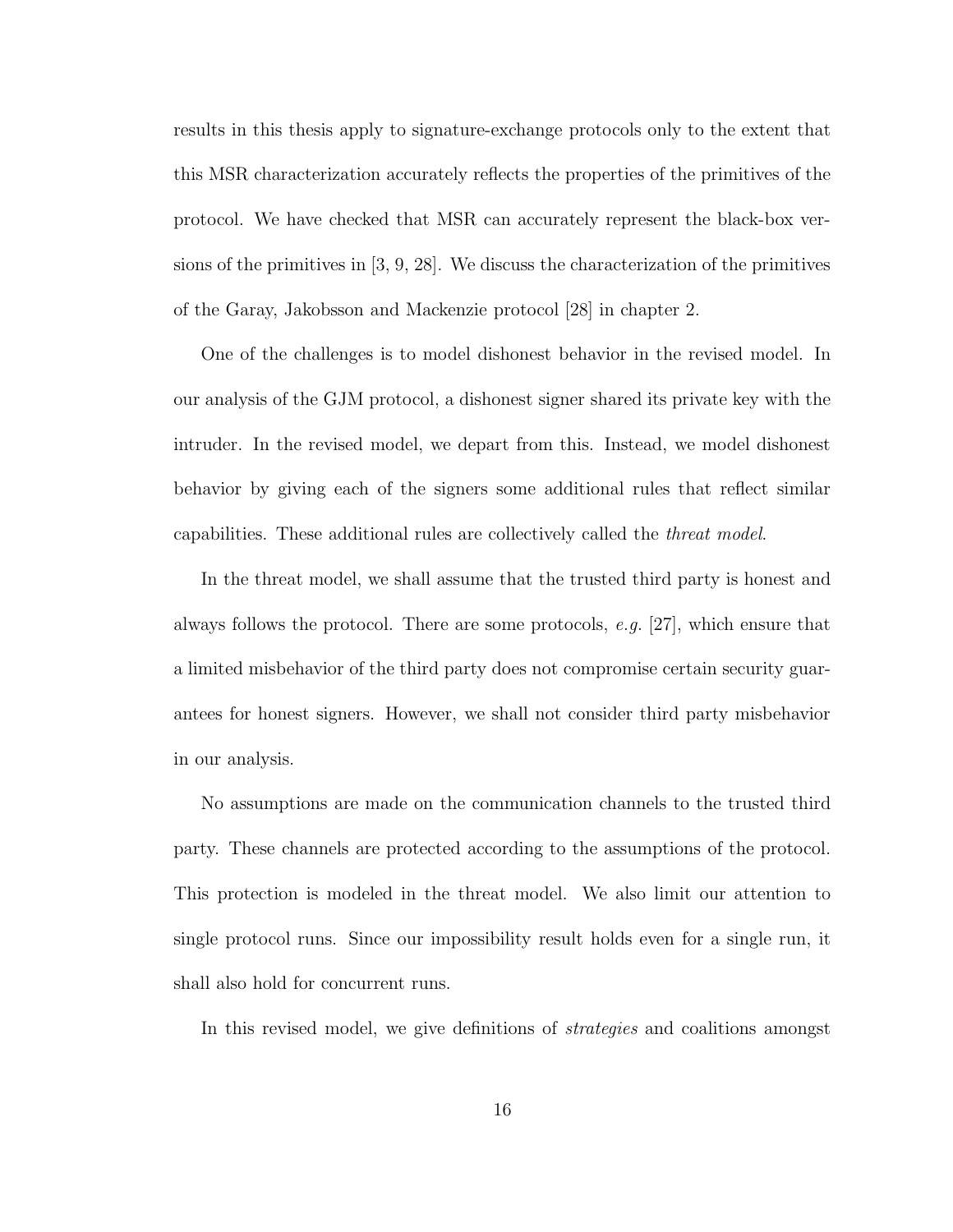results in this thesis apply to signature-exchange protocols only to the extent that this MSR characterization accurately reflects the properties of the primitives of the protocol. We have checked that MSR can accurately represent the black-box versions of the primitives in [3, 9, 28]. We discuss the characterization of the primitives of the Garay, Jakobsson and Mackenzie protocol [28] in chapter 2.

One of the challenges is to model dishonest behavior in the revised model. In our analysis of the GJM protocol, a dishonest signer shared its private key with the intruder. In the revised model, we depart from this. Instead, we model dishonest behavior by giving each of the signers some additional rules that reflect similar capabilities. These additional rules are collectively called the threat model.

In the threat model, we shall assume that the trusted third party is honest and always follows the protocol. There are some protocols,  $e.g.$  [27], which ensure that a limited misbehavior of the third party does not compromise certain security guarantees for honest signers. However, we shall not consider third party misbehavior in our analysis.

No assumptions are made on the communication channels to the trusted third party. These channels are protected according to the assumptions of the protocol. This protection is modeled in the threat model. We also limit our attention to single protocol runs. Since our impossibility result holds even for a single run, it shall also hold for concurrent runs.

In this revised model, we give definitions of strategies and coalitions amongst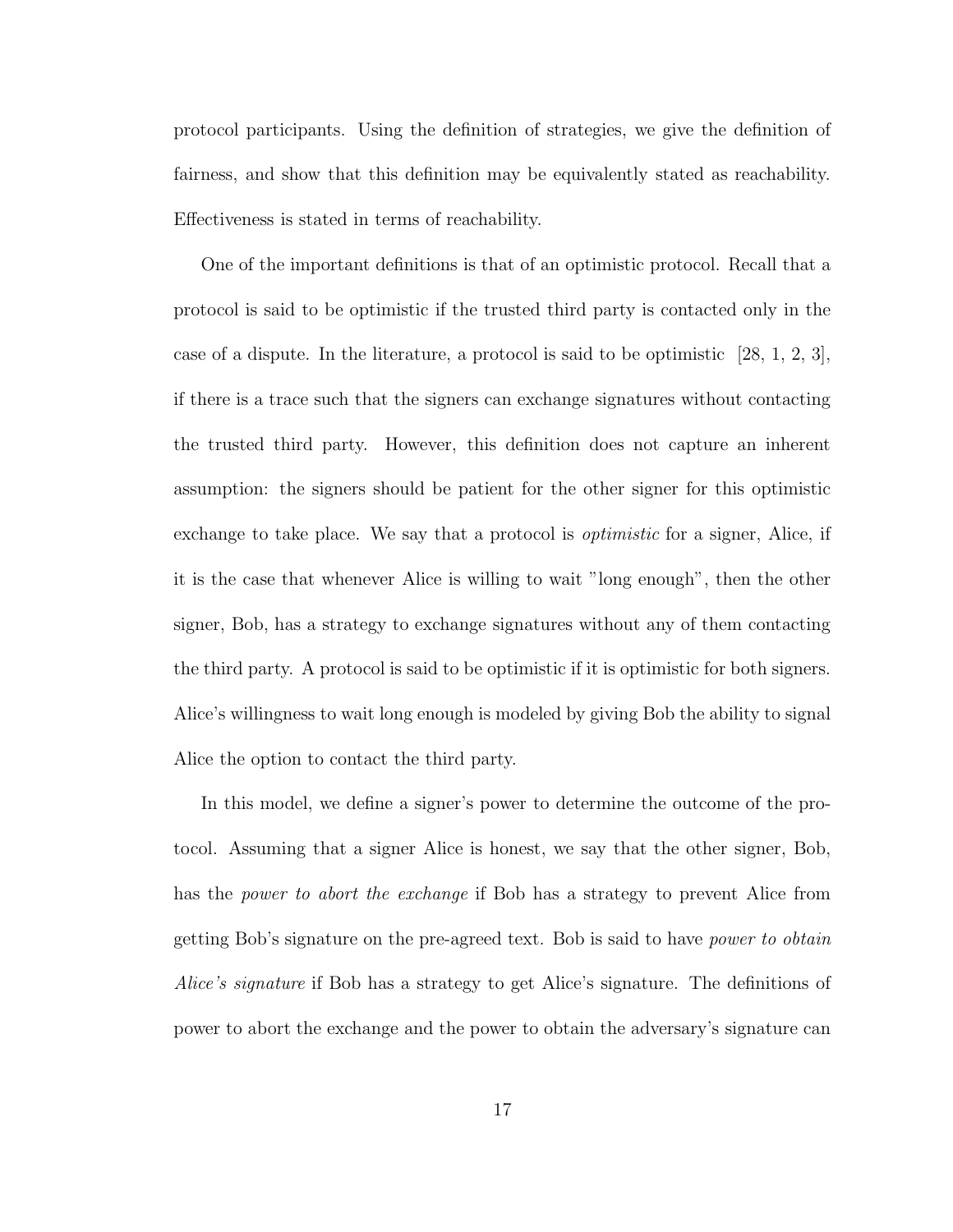protocol participants. Using the definition of strategies, we give the definition of fairness, and show that this definition may be equivalently stated as reachability. Effectiveness is stated in terms of reachability.

One of the important definitions is that of an optimistic protocol. Recall that a protocol is said to be optimistic if the trusted third party is contacted only in the case of a dispute. In the literature, a protocol is said to be optimistic  $[28, 1, 2, 3]$ , if there is a trace such that the signers can exchange signatures without contacting the trusted third party. However, this definition does not capture an inherent assumption: the signers should be patient for the other signer for this optimistic exchange to take place. We say that a protocol is *optimistic* for a signer, Alice, if it is the case that whenever Alice is willing to wait "long enough", then the other signer, Bob, has a strategy to exchange signatures without any of them contacting the third party. A protocol is said to be optimistic if it is optimistic for both signers. Alice's willingness to wait long enough is modeled by giving Bob the ability to signal Alice the option to contact the third party.

In this model, we define a signer's power to determine the outcome of the protocol. Assuming that a signer Alice is honest, we say that the other signer, Bob, has the *power to abort the exchange* if Bob has a strategy to prevent Alice from getting Bob's signature on the pre-agreed text. Bob is said to have power to obtain Alice's signature if Bob has a strategy to get Alice's signature. The definitions of power to abort the exchange and the power to obtain the adversary's signature can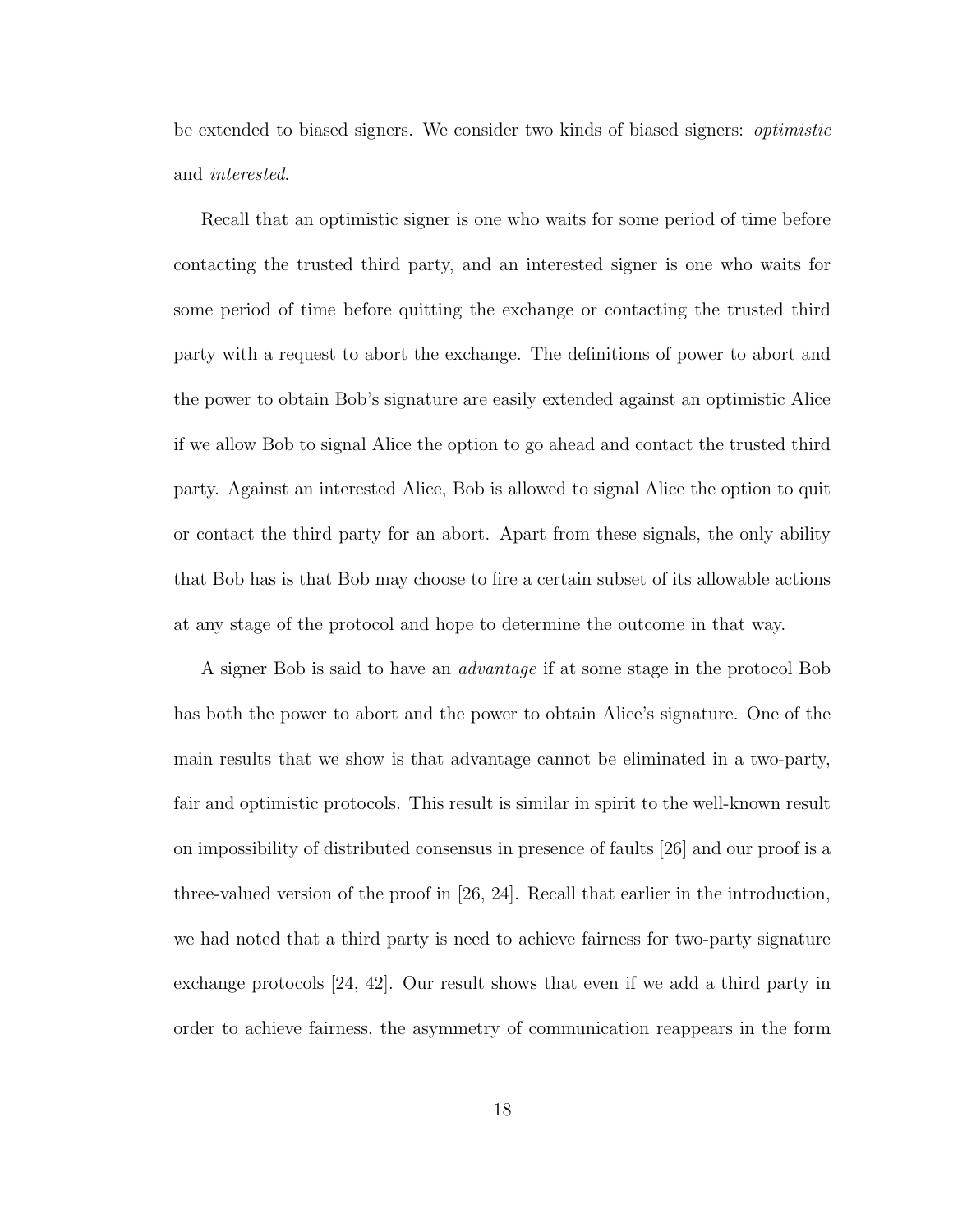be extended to biased signers. We consider two kinds of biased signers: optimistic and interested.

Recall that an optimistic signer is one who waits for some period of time before contacting the trusted third party, and an interested signer is one who waits for some period of time before quitting the exchange or contacting the trusted third party with a request to abort the exchange. The definitions of power to abort and the power to obtain Bob's signature are easily extended against an optimistic Alice if we allow Bob to signal Alice the option to go ahead and contact the trusted third party. Against an interested Alice, Bob is allowed to signal Alice the option to quit or contact the third party for an abort. Apart from these signals, the only ability that Bob has is that Bob may choose to fire a certain subset of its allowable actions at any stage of the protocol and hope to determine the outcome in that way.

A signer Bob is said to have an advantage if at some stage in the protocol Bob has both the power to abort and the power to obtain Alice's signature. One of the main results that we show is that advantage cannot be eliminated in a two-party, fair and optimistic protocols. This result is similar in spirit to the well-known result on impossibility of distributed consensus in presence of faults [26] and our proof is a three-valued version of the proof in [26, 24]. Recall that earlier in the introduction, we had noted that a third party is need to achieve fairness for two-party signature exchange protocols [24, 42]. Our result shows that even if we add a third party in order to achieve fairness, the asymmetry of communication reappears in the form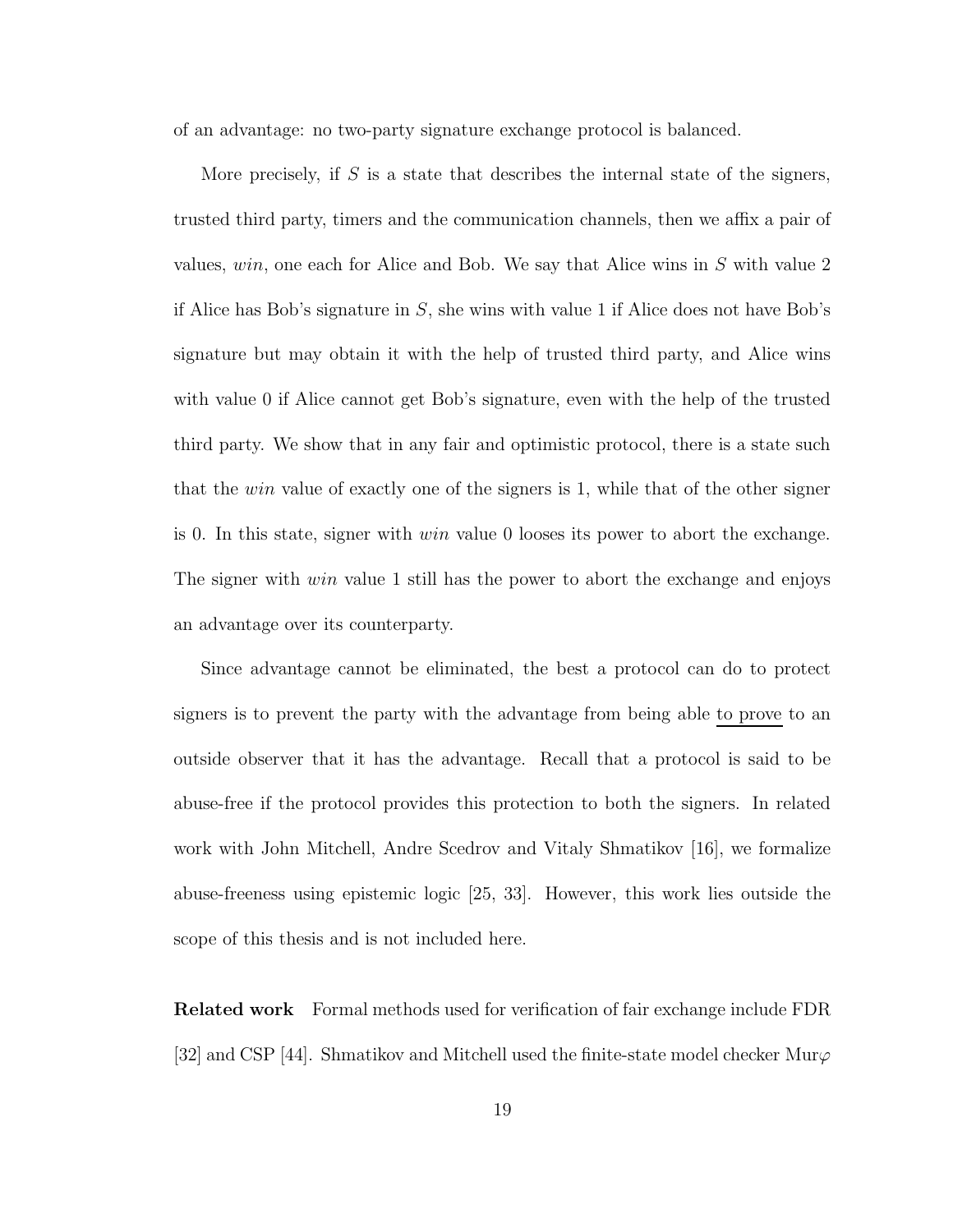of an advantage: no two-party signature exchange protocol is balanced.

More precisely, if  $S$  is a state that describes the internal state of the signers, trusted third party, timers and the communication channels, then we affix a pair of values, win, one each for Alice and Bob. We say that Alice wins in S with value 2 if Alice has Bob's signature in  $S$ , she wins with value 1 if Alice does not have Bob's signature but may obtain it with the help of trusted third party, and Alice wins with value 0 if Alice cannot get Bob's signature, even with the help of the trusted third party. We show that in any fair and optimistic protocol, there is a state such that the *win* value of exactly one of the signers is 1, while that of the other signer is 0. In this state, signer with  $win$  value 0 looses its power to abort the exchange. The signer with *win* value 1 still has the power to abort the exchange and enjoys an advantage over its counterparty.

Since advantage cannot be eliminated, the best a protocol can do to protect signers is to prevent the party with the advantage from being able to prove to an outside observer that it has the advantage. Recall that a protocol is said to be abuse-free if the protocol provides this protection to both the signers. In related work with John Mitchell, Andre Scedrov and Vitaly Shmatikov [16], we formalize abuse-freeness using epistemic logic [25, 33]. However, this work lies outside the scope of this thesis and is not included here.

Related work Formal methods used for verification of fair exchange include FDR [32] and CSP [44]. Shmatikov and Mitchell used the finite-state model checker Mur $\varphi$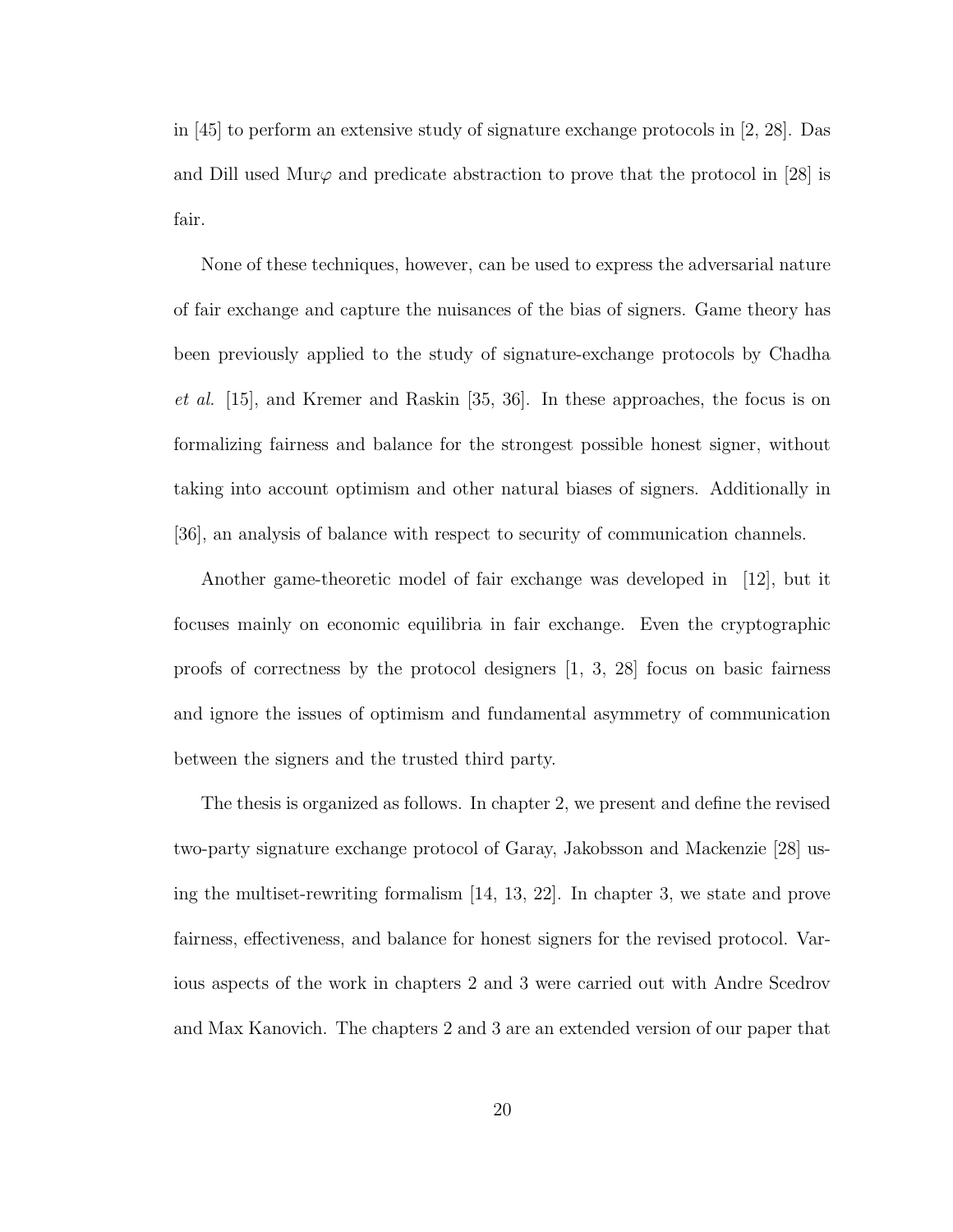in [45] to perform an extensive study of signature exchange protocols in [2, 28]. Das and Dill used Mur $\varphi$  and predicate abstraction to prove that the protocol in [28] is fair.

None of these techniques, however, can be used to express the adversarial nature of fair exchange and capture the nuisances of the bias of signers. Game theory has been previously applied to the study of signature-exchange protocols by Chadha et al. [15], and Kremer and Raskin [35, 36]. In these approaches, the focus is on formalizing fairness and balance for the strongest possible honest signer, without taking into account optimism and other natural biases of signers. Additionally in [36], an analysis of balance with respect to security of communication channels.

Another game-theoretic model of fair exchange was developed in [12], but it focuses mainly on economic equilibria in fair exchange. Even the cryptographic proofs of correctness by the protocol designers [1, 3, 28] focus on basic fairness and ignore the issues of optimism and fundamental asymmetry of communication between the signers and the trusted third party.

The thesis is organized as follows. In chapter 2, we present and define the revised two-party signature exchange protocol of Garay, Jakobsson and Mackenzie [28] using the multiset-rewriting formalism [14, 13, 22]. In chapter 3, we state and prove fairness, effectiveness, and balance for honest signers for the revised protocol. Various aspects of the work in chapters 2 and 3 were carried out with Andre Scedrov and Max Kanovich. The chapters 2 and 3 are an extended version of our paper that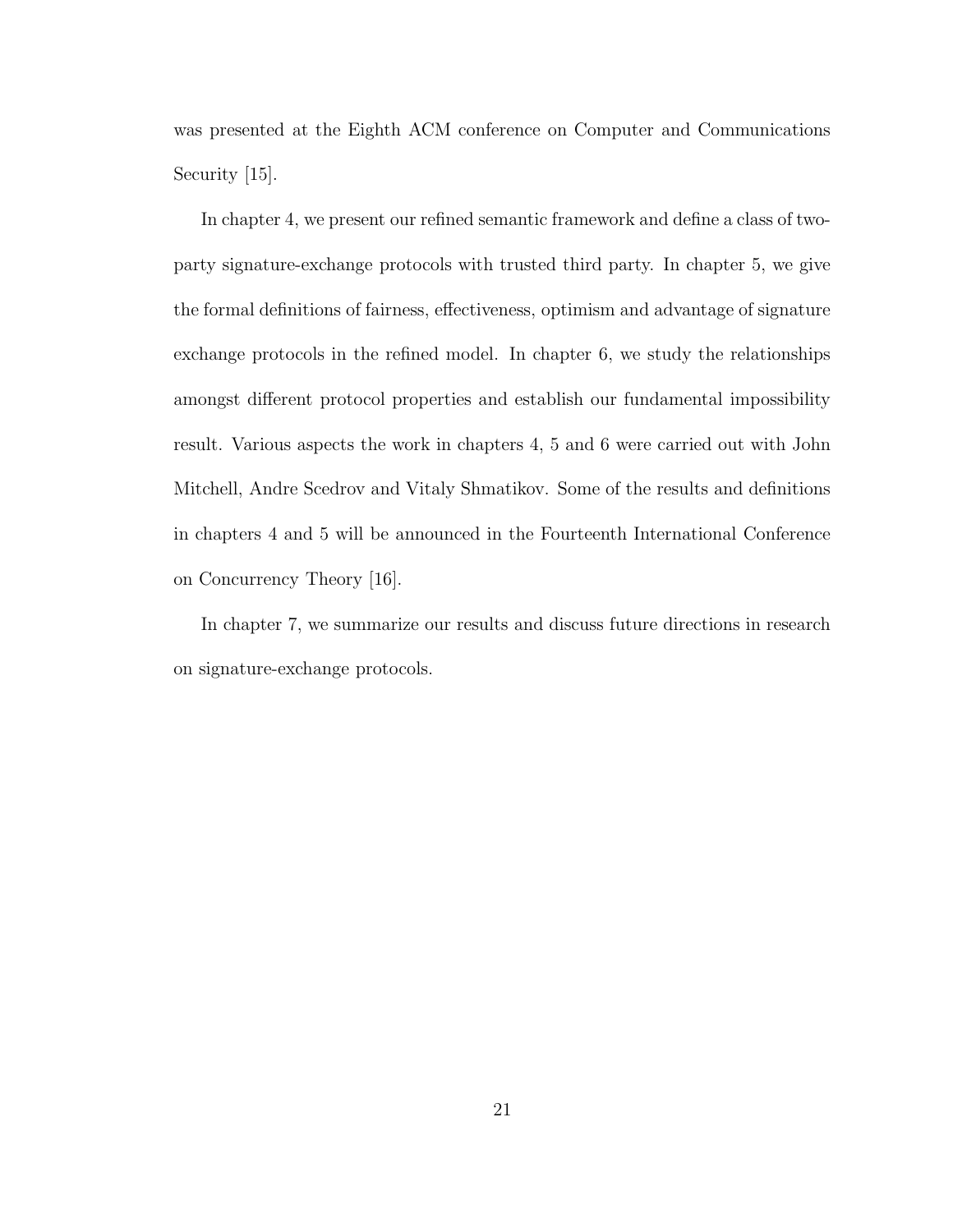was presented at the Eighth ACM conference on Computer and Communications Security [15].

In chapter 4, we present our refined semantic framework and define a class of twoparty signature-exchange protocols with trusted third party. In chapter 5, we give the formal definitions of fairness, effectiveness, optimism and advantage of signature exchange protocols in the refined model. In chapter 6, we study the relationships amongst different protocol properties and establish our fundamental impossibility result. Various aspects the work in chapters 4, 5 and 6 were carried out with John Mitchell, Andre Scedrov and Vitaly Shmatikov. Some of the results and definitions in chapters 4 and 5 will be announced in the Fourteenth International Conference on Concurrency Theory [16].

In chapter 7, we summarize our results and discuss future directions in research on signature-exchange protocols.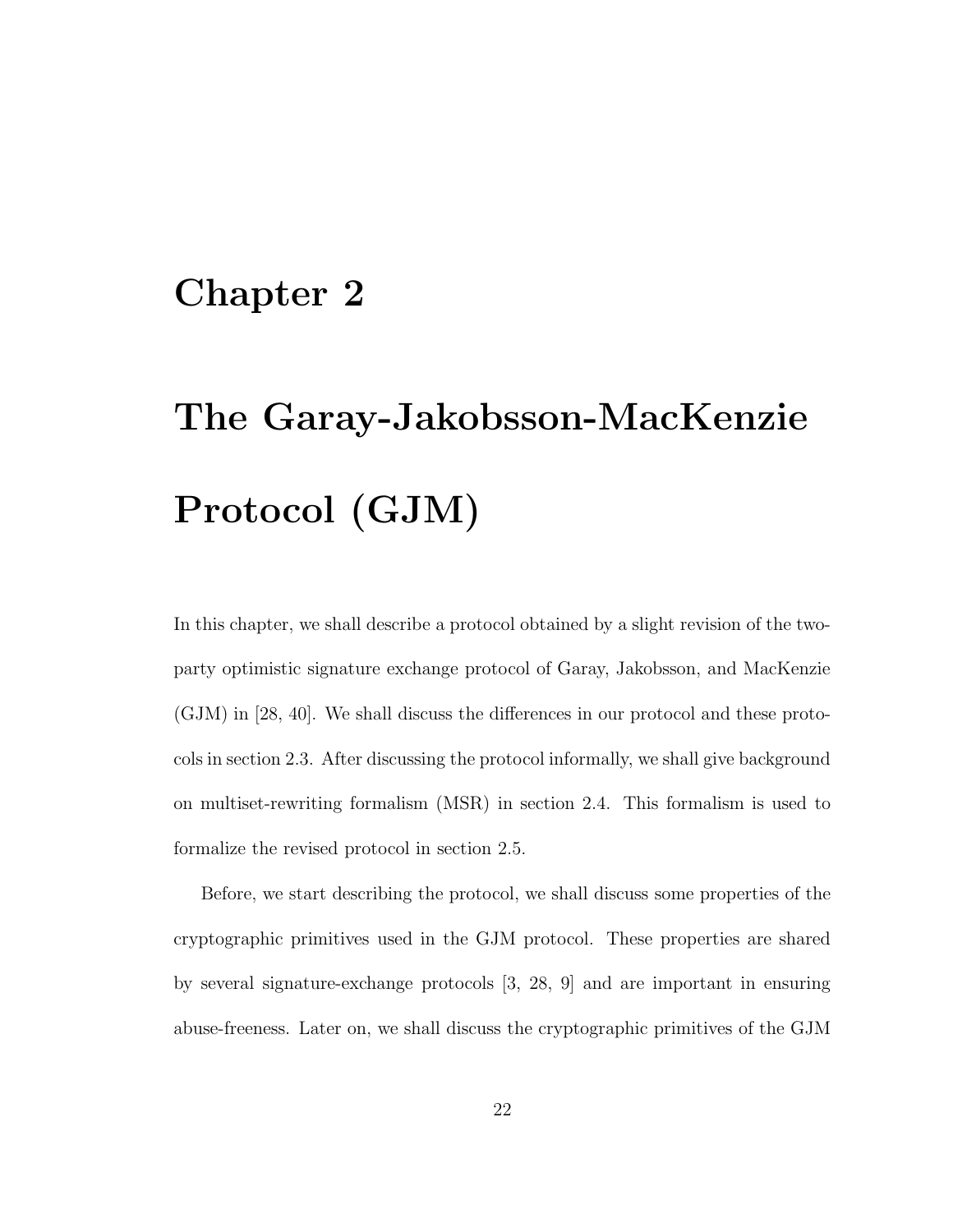## Chapter 2

# The Garay-Jakobsson-MacKenzie Protocol (GJM)

In this chapter, we shall describe a protocol obtained by a slight revision of the twoparty optimistic signature exchange protocol of Garay, Jakobsson, and MacKenzie (GJM) in [28, 40]. We shall discuss the differences in our protocol and these protocols in section 2.3. After discussing the protocol informally, we shall give background on multiset-rewriting formalism (MSR) in section 2.4. This formalism is used to formalize the revised protocol in section 2.5.

Before, we start describing the protocol, we shall discuss some properties of the cryptographic primitives used in the GJM protocol. These properties are shared by several signature-exchange protocols [3, 28, 9] and are important in ensuring abuse-freeness. Later on, we shall discuss the cryptographic primitives of the GJM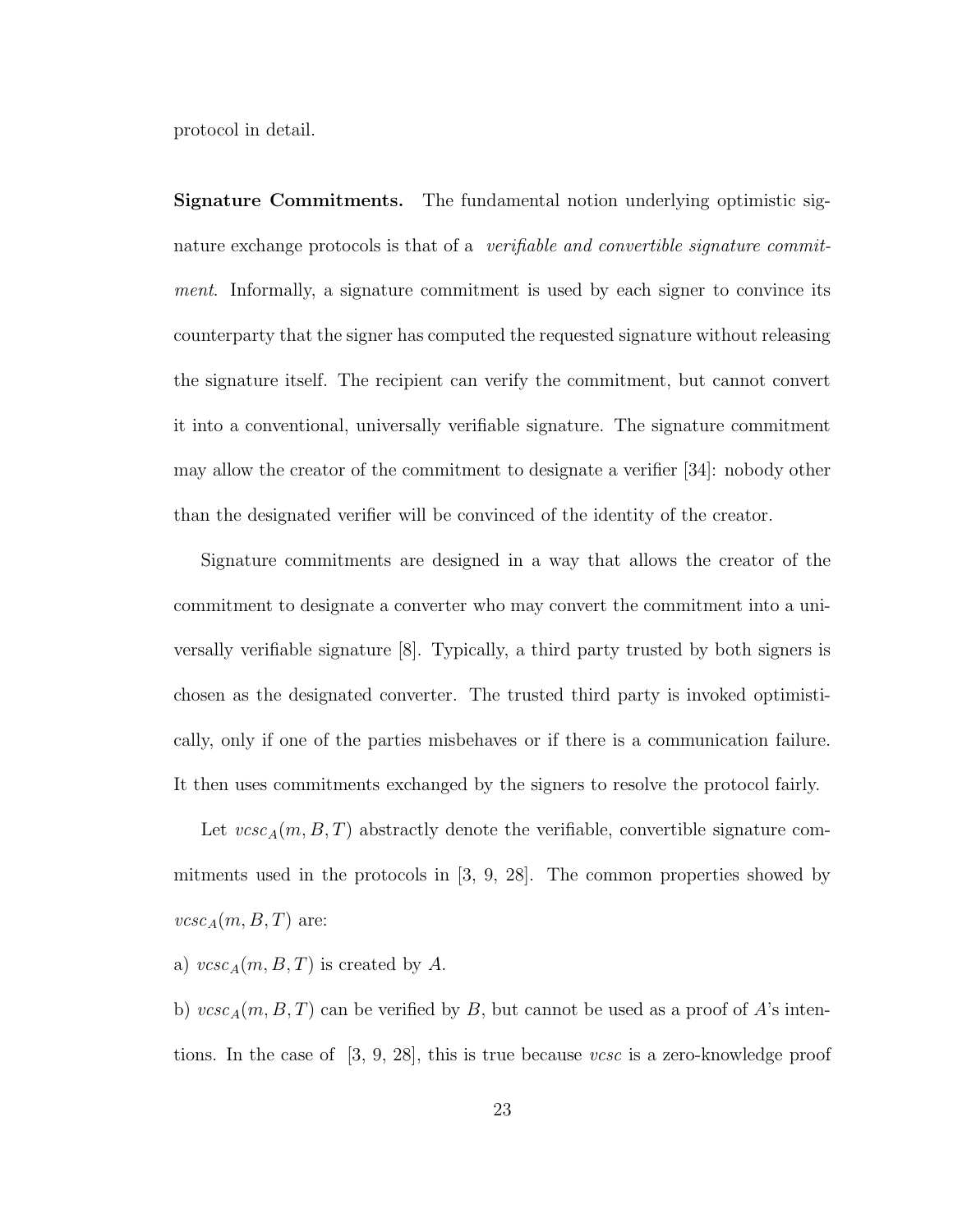protocol in detail.

Signature Commitments. The fundamental notion underlying optimistic signature exchange protocols is that of a *verifiable and convertible signature commit*ment. Informally, a signature commitment is used by each signer to convince its counterparty that the signer has computed the requested signature without releasing the signature itself. The recipient can verify the commitment, but cannot convert it into a conventional, universally verifiable signature. The signature commitment may allow the creator of the commitment to designate a verifier [34]: nobody other than the designated verifier will be convinced of the identity of the creator.

Signature commitments are designed in a way that allows the creator of the commitment to designate a converter who may convert the commitment into a universally verifiable signature [8]. Typically, a third party trusted by both signers is chosen as the designated converter. The trusted third party is invoked optimistically, only if one of the parties misbehaves or if there is a communication failure. It then uses commitments exchanged by the signers to resolve the protocol fairly.

Let  $vcsc_A(m, B, T)$  abstractly denote the verifiable, convertible signature commitments used in the protocols in [3, 9, 28]. The common properties showed by  $\textit{vcsc}_A(m, B, T)$  are:

a)  $vcsc_A(m, B, T)$  is created by A.

b)  $vcsc_A(m, B, T)$  can be verified by B, but cannot be used as a proof of A's intentions. In the case of  $[3, 9, 28]$ , this is true because vcsc is a zero-knowledge proof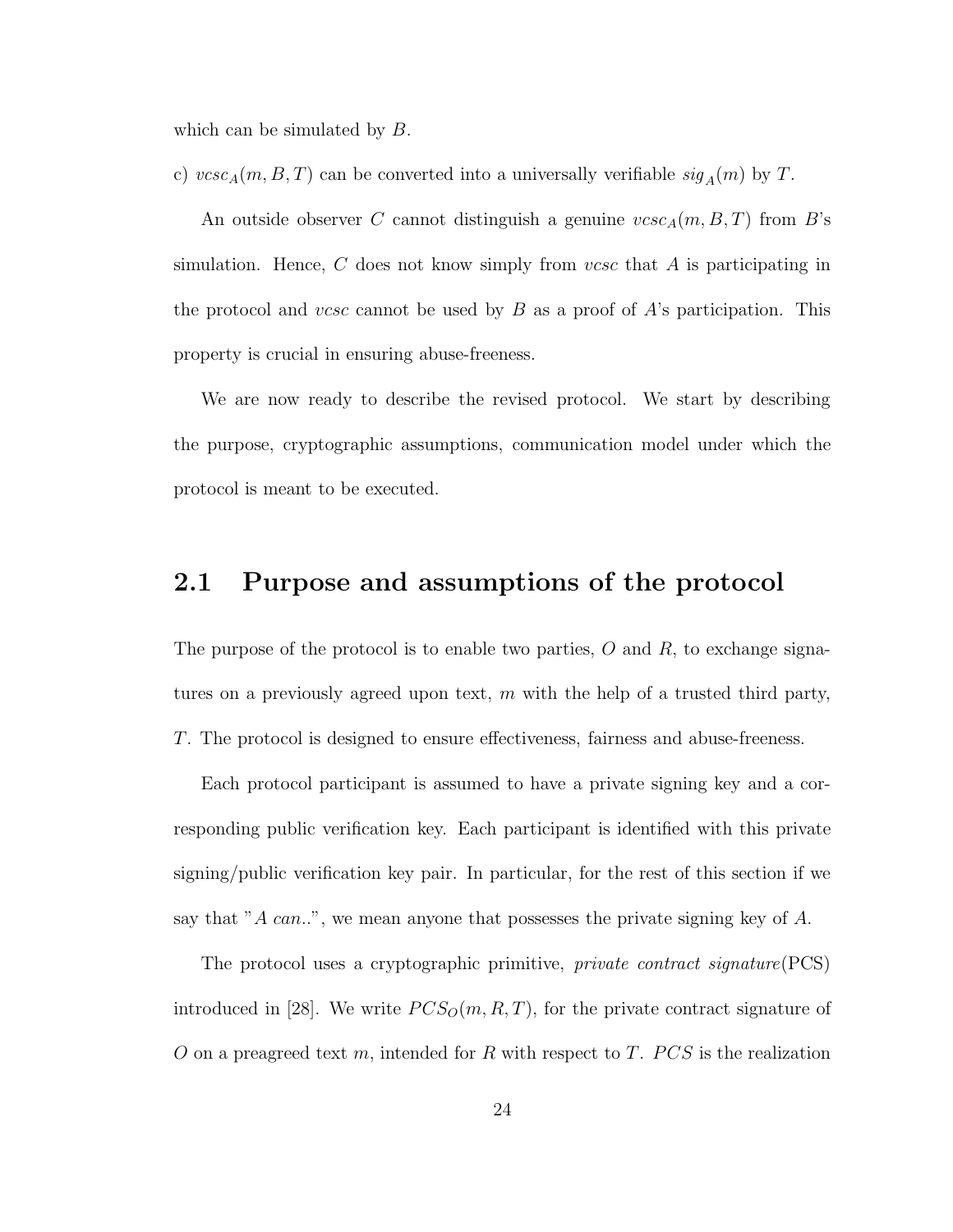which can be simulated by  $B$ .

c)  $vcsc_A(m, B, T)$  can be converted into a universally verifiable  $sig_A(m)$  by T.

An outside observer C cannot distinguish a genuine  $vcsc_A(m, B, T)$  from B's simulation. Hence,  $C$  does not know simply from vcsc that  $A$  is participating in the protocol and vcsc cannot be used by  $B$  as a proof of  $A$ 's participation. This property is crucial in ensuring abuse-freeness.

We are now ready to describe the revised protocol. We start by describing the purpose, cryptographic assumptions, communication model under which the protocol is meant to be executed.

### 2.1 Purpose and assumptions of the protocol

The purpose of the protocol is to enable two parties,  $O$  and  $R$ , to exchange signatures on a previously agreed upon text,  $m$  with the help of a trusted third party, T. The protocol is designed to ensure effectiveness, fairness and abuse-freeness.

Each protocol participant is assumed to have a private signing key and a corresponding public verification key. Each participant is identified with this private signing/public verification key pair. In particular, for the rest of this section if we say that "A can..", we mean anyone that possesses the private signing key of  $A$ .

The protocol uses a cryptographic primitive, *private contract signature* (PCS) introduced in [28]. We write  $PCS_O(m, R, T)$ , for the private contract signature of O on a preagreed text m, intended for R with respect to T.  $PCS$  is the realization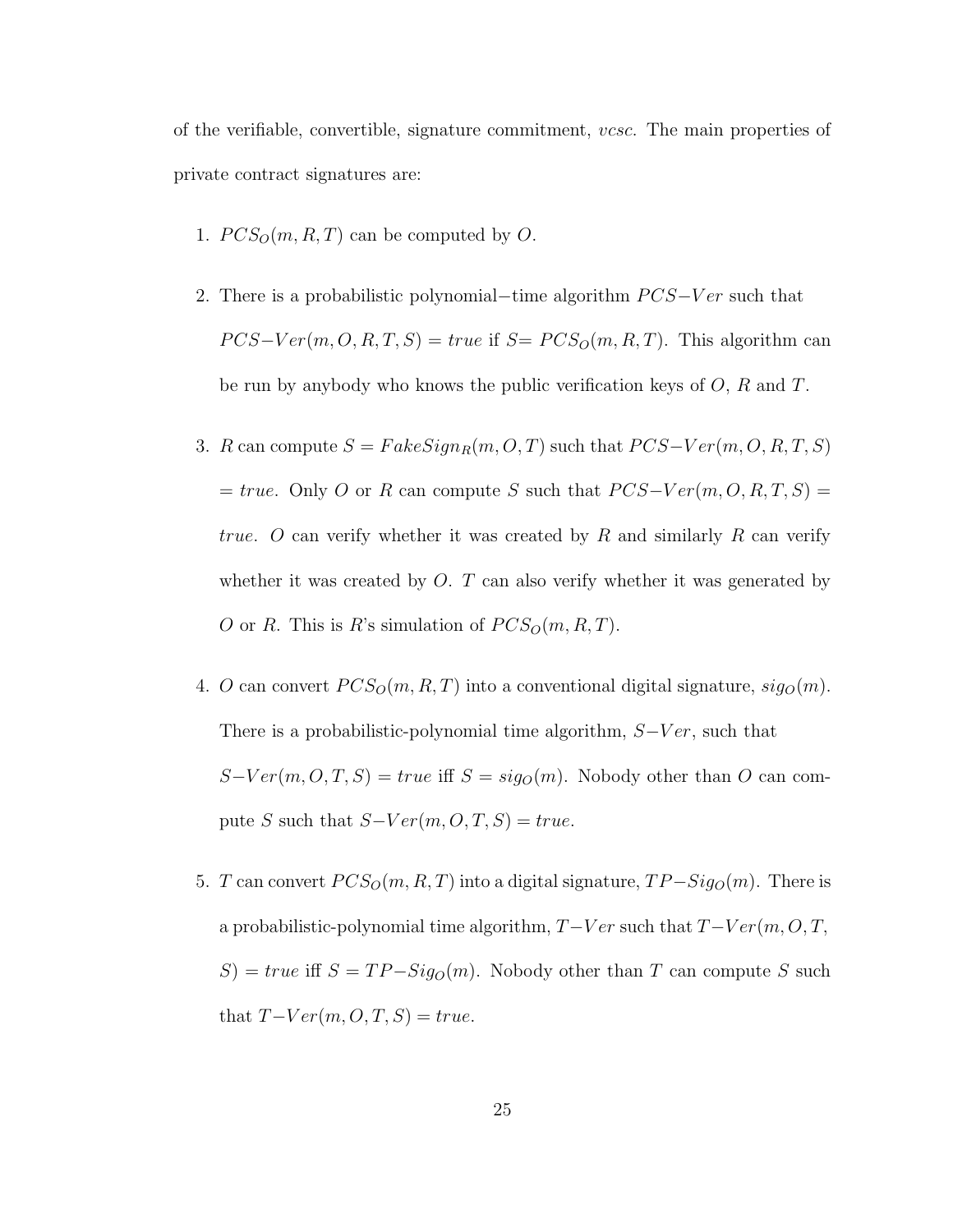of the verifiable, convertible, signature commitment, vcsc. The main properties of private contract signatures are:

- 1.  $PCS_O(m, R, T)$  can be computed by O.
- 2. There is a probabilistic polynomial–time algorithm  $PCS-Ver$  such that  $PCS-Ver(m, O, R, T, S) = true \text{ if } S = PCS_O(m, R, T).$  This algorithm can be run by anybody who knows the public verification keys of  $O, R$  and  $T$ .
- 3. R can compute  $S = FakeSign_R(m, O, T)$  such that  $PCS-Ver(m, O, R, T, S)$  $= true.$  Only O or R can compute S such that  $PCS-Ver(m, O, R, T, S) =$ true. O can verify whether it was created by R and similarly R can verify whether it was created by  $O$ .  $T$  can also verify whether it was generated by O or R. This is R's simulation of  $PCS_O(m, R, T)$ .
- 4. O can convert  $PCS<sub>O</sub>(m, R, T)$  into a conventional digital signature,  $sig<sub>O</sub>(m)$ . There is a probabilistic-polynomial time algorithm,  $S-Ver$ , such that  $S-Ver(m, O, T, S) = true$  iff  $S = sig<sub>O</sub>(m)$ . Nobody other than O can compute S such that  $S-Ver(m, O, T, S) = true$ .
- 5. T can convert  $PCS<sub>O</sub>(m, R, T)$  into a digital signature,  $TP-Sig<sub>O</sub>(m)$ . There is a probabilistic-polynomial time algorithm,  $T-Ver$  such that  $T-Ver(m, O, T, G)$  $S$ ) = true iff  $S = TP-Sig<sub>O</sub>(m)$ . Nobody other than T can compute S such that  $T-Ver(m, O, T, S) = true$ .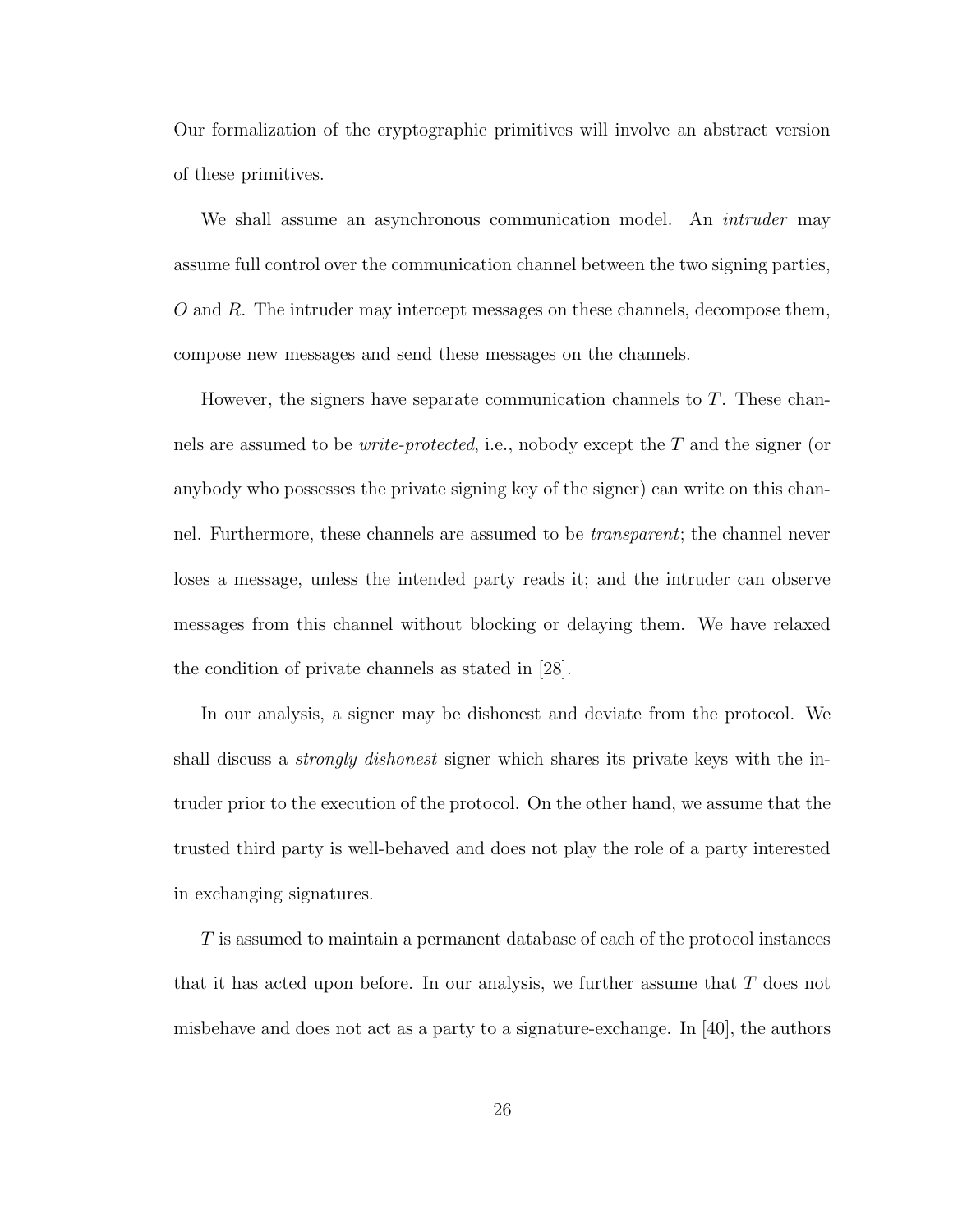Our formalization of the cryptographic primitives will involve an abstract version of these primitives.

We shall assume an asynchronous communication model. An *intruder* may assume full control over the communication channel between the two signing parties,  $O$  and  $R$ . The intruder may intercept messages on these channels, decompose them, compose new messages and send these messages on the channels.

However, the signers have separate communication channels to T. These channels are assumed to be *write-protected*, i.e., nobody except the  $T$  and the signer (or anybody who possesses the private signing key of the signer) can write on this channel. Furthermore, these channels are assumed to be transparent; the channel never loses a message, unless the intended party reads it; and the intruder can observe messages from this channel without blocking or delaying them. We have relaxed the condition of private channels as stated in [28].

In our analysis, a signer may be dishonest and deviate from the protocol. We shall discuss a *strongly dishonest* signer which shares its private keys with the intruder prior to the execution of the protocol. On the other hand, we assume that the trusted third party is well-behaved and does not play the role of a party interested in exchanging signatures.

T is assumed to maintain a permanent database of each of the protocol instances that it has acted upon before. In our analysis, we further assume that  $T$  does not misbehave and does not act as a party to a signature-exchange. In [40], the authors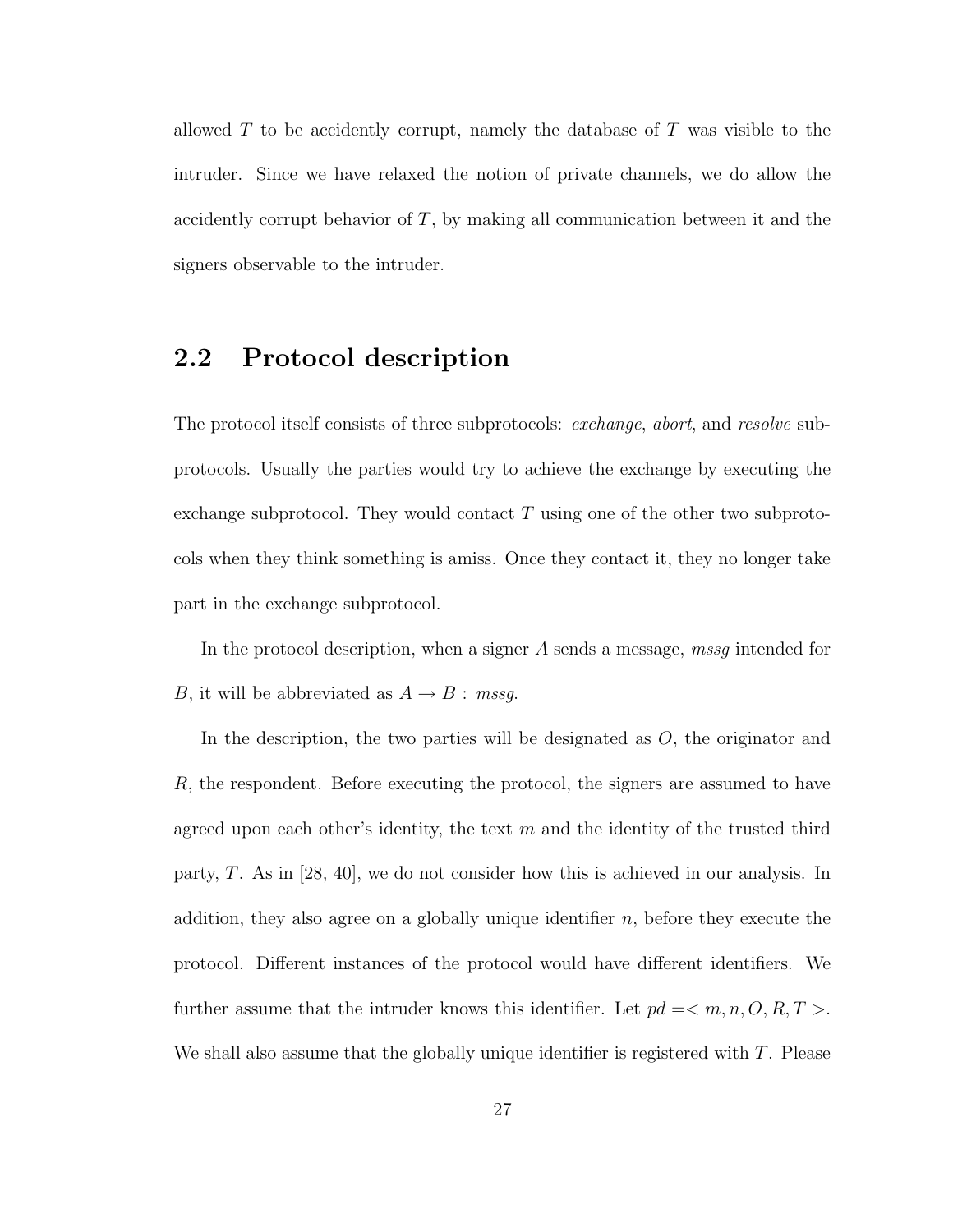allowed  $T$  to be accidently corrupt, namely the database of  $T$  was visible to the intruder. Since we have relaxed the notion of private channels, we do allow the accidently corrupt behavior of  $T$ , by making all communication between it and the signers observable to the intruder.

### 2.2 Protocol description

The protocol itself consists of three subprotocols: *exchange*, *abort*, and *resolve* subprotocols. Usually the parties would try to achieve the exchange by executing the exchange subprotocol. They would contact  $T$  using one of the other two subprotocols when they think something is amiss. Once they contact it, they no longer take part in the exchange subprotocol.

In the protocol description, when a signer A sends a message, mass intended for B, it will be abbreviated as  $A \rightarrow B$ : mssg.

In the description, the two parties will be designated as O, the originator and R, the respondent. Before executing the protocol, the signers are assumed to have agreed upon each other's identity, the text  $m$  and the identity of the trusted third party, T. As in [28, 40], we do not consider how this is achieved in our analysis. In addition, they also agree on a globally unique identifier  $n$ , before they execute the protocol. Different instances of the protocol would have different identifiers. We further assume that the intruder knows this identifier. Let  $pd = \langle m, n, O, R, T \rangle$ . We shall also assume that the globally unique identifier is registered with  $T$ . Please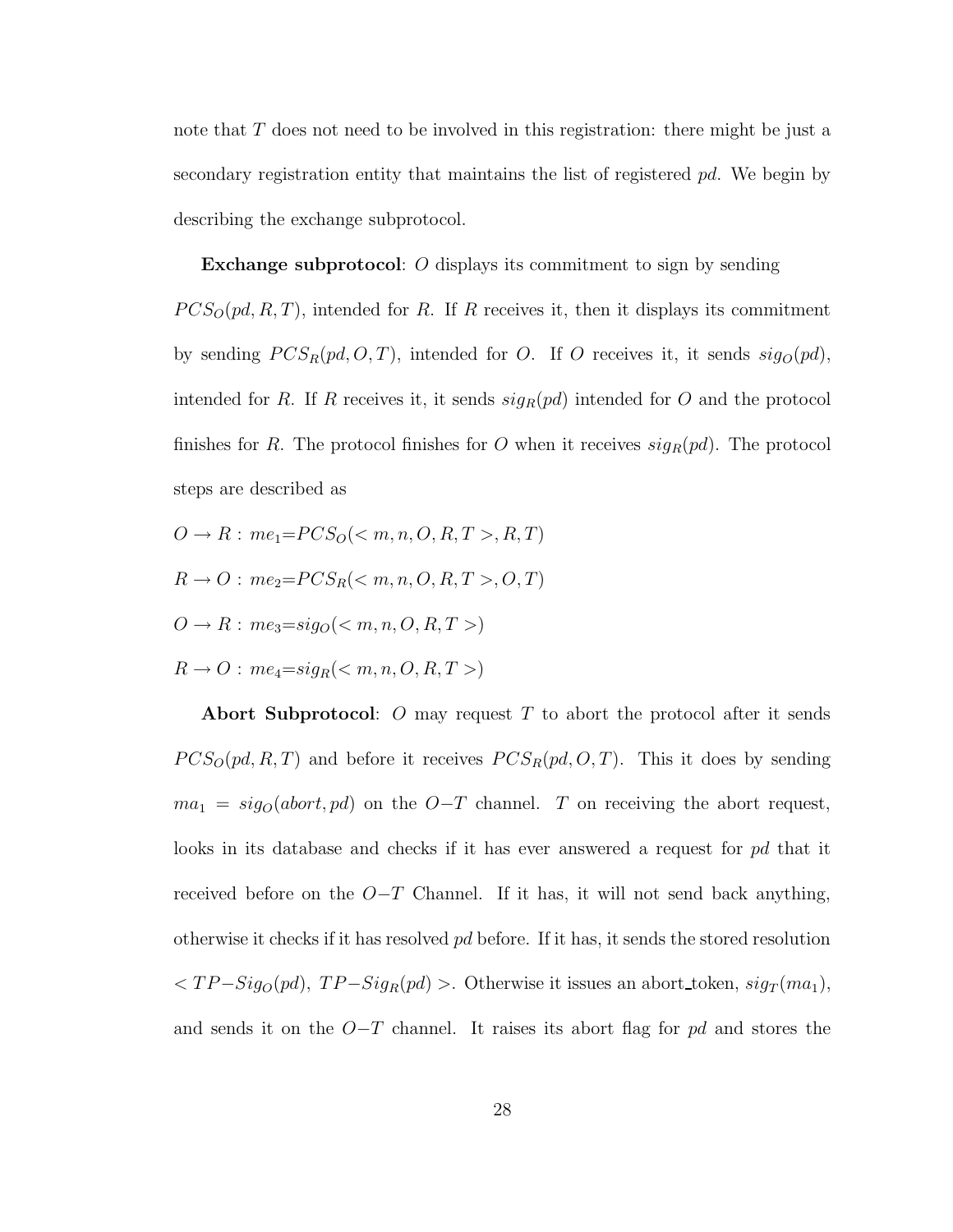note that T does not need to be involved in this registration: there might be just a secondary registration entity that maintains the list of registered pd. We begin by describing the exchange subprotocol.

Exchange subprotocol: O displays its commitment to sign by sending  $PCS_{\text{O}}(pd, R, T)$ , intended for R. If R receives it, then it displays its commitment by sending  $PCS_R(pd, O, T)$ , intended for O. If O receives it, it sends  $sig_O(pd)$ ,

finishes for R. The protocol finishes for O when it receives  $sig_R(pd)$ . The protocol steps are described as

intended for R. If R receives it, it sends  $sig_R(pd)$  intended for O and the protocol

- $O \to R$ :  $me_1 = PCS_O(< m, n, O, R, T >, R, T)$
- $R \to O: me_2 = PCS_R(< m, n, O, R, T>, O, T)$
- $O \rightarrow R$ :  $me_3=sig_O( $m, n, O, R, T>)$$
- $R \rightarrow O$ :  $me_4=sig_R( $m, n, O, R, T>)$$

Abort Subprotocol: O may request  $T$  to abort the protocol after it sends  $PCS_O(pd, R, T)$  and before it receives  $PCS_R(pd, O, T)$ . This it does by sending  $ma_1 = sig_0(abort, pd)$  on the  $O-T$  channel. T on receiving the abort request, looks in its database and checks if it has ever answered a request for pd that it received before on the  $O-T$  Channel. If it has, it will not send back anything, otherwise it checks if it has resolved pd before. If it has, it sends the stored resolution  $,  $TP-Sig_{R}(pd)$  >. Otherwise it issues an abort_token,  $sig_{T}(ma_{1})$ ,$ and sends it on the  $O-T$  channel. It raises its abort flag for pd and stores the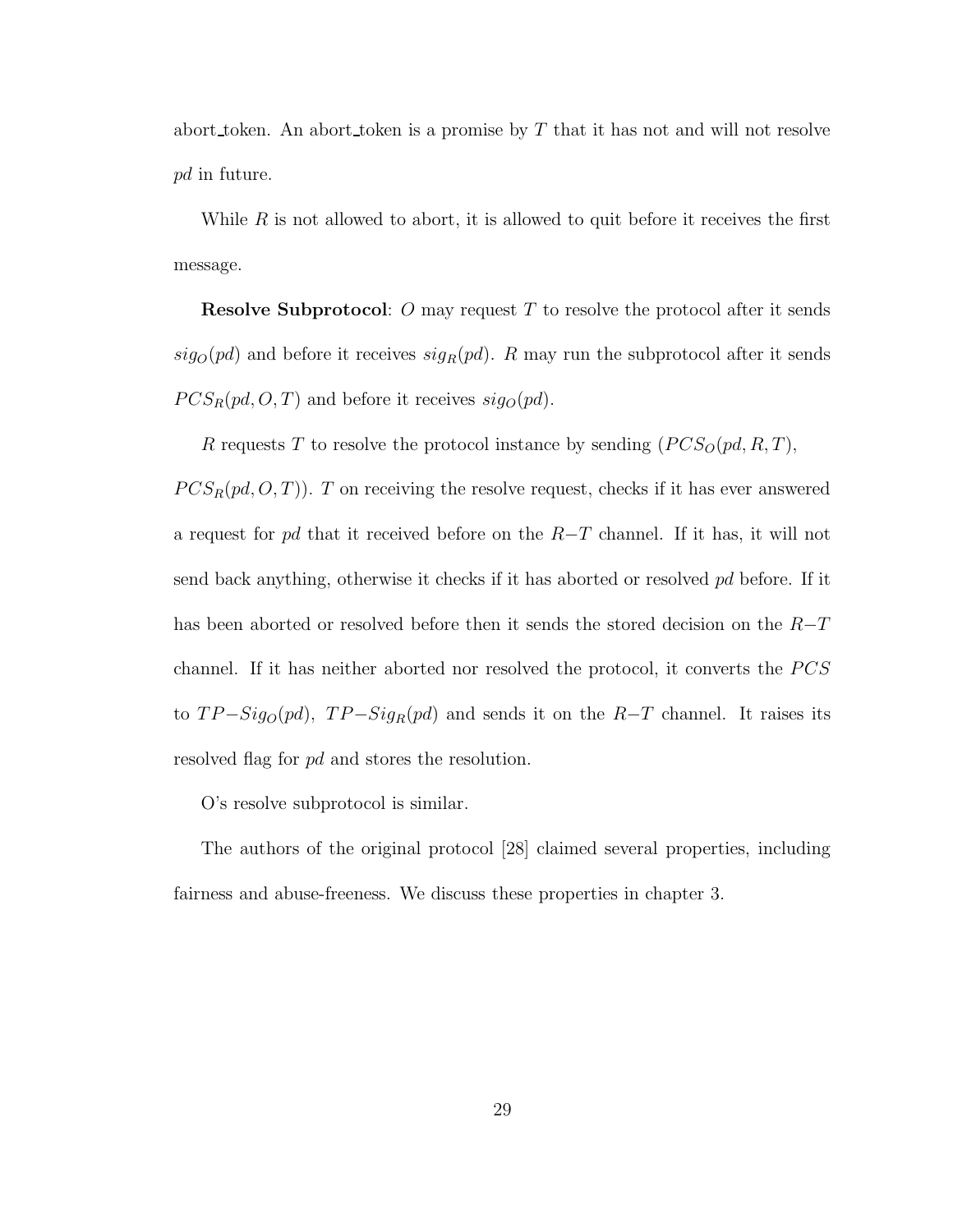abort token. An abort token is a promise by  $T$  that it has not and will not resolve pd in future.

While  $R$  is not allowed to abort, it is allowed to quit before it receives the first message.

**Resolve Subprotocol:** O may request T to resolve the protocol after it sends  $sig_O(pd)$  and before it receives  $sig_R(pd)$ . R may run the subprotocol after it sends  $PCS_R(pd, O, T)$  and before it receives  $sig_O(pd)$ .

R requests T to resolve the protocol instance by sending  $(PCS<sub>O</sub>(pd, R, T)$ ,

 $PCS_R(pd, O, T)$ . T on receiving the resolve request, checks if it has ever answered a request for pd that it received before on the  $R-T$  channel. If it has, it will not send back anything, otherwise it checks if it has aborted or resolved pd before. If it has been aborted or resolved before then it sends the stored decision on the  $R-T$ channel. If it has neither aborted nor resolved the protocol, it converts the  $PCS$ to  $TP-Sig_{O}(pd)$ ,  $TP-Sig_{R}(pd)$  and sends it on the  $R-T$  channel. It raises its resolved flag for pd and stores the resolution.

O's resolve subprotocol is similar.

The authors of the original protocol [28] claimed several properties, including fairness and abuse-freeness. We discuss these properties in chapter 3.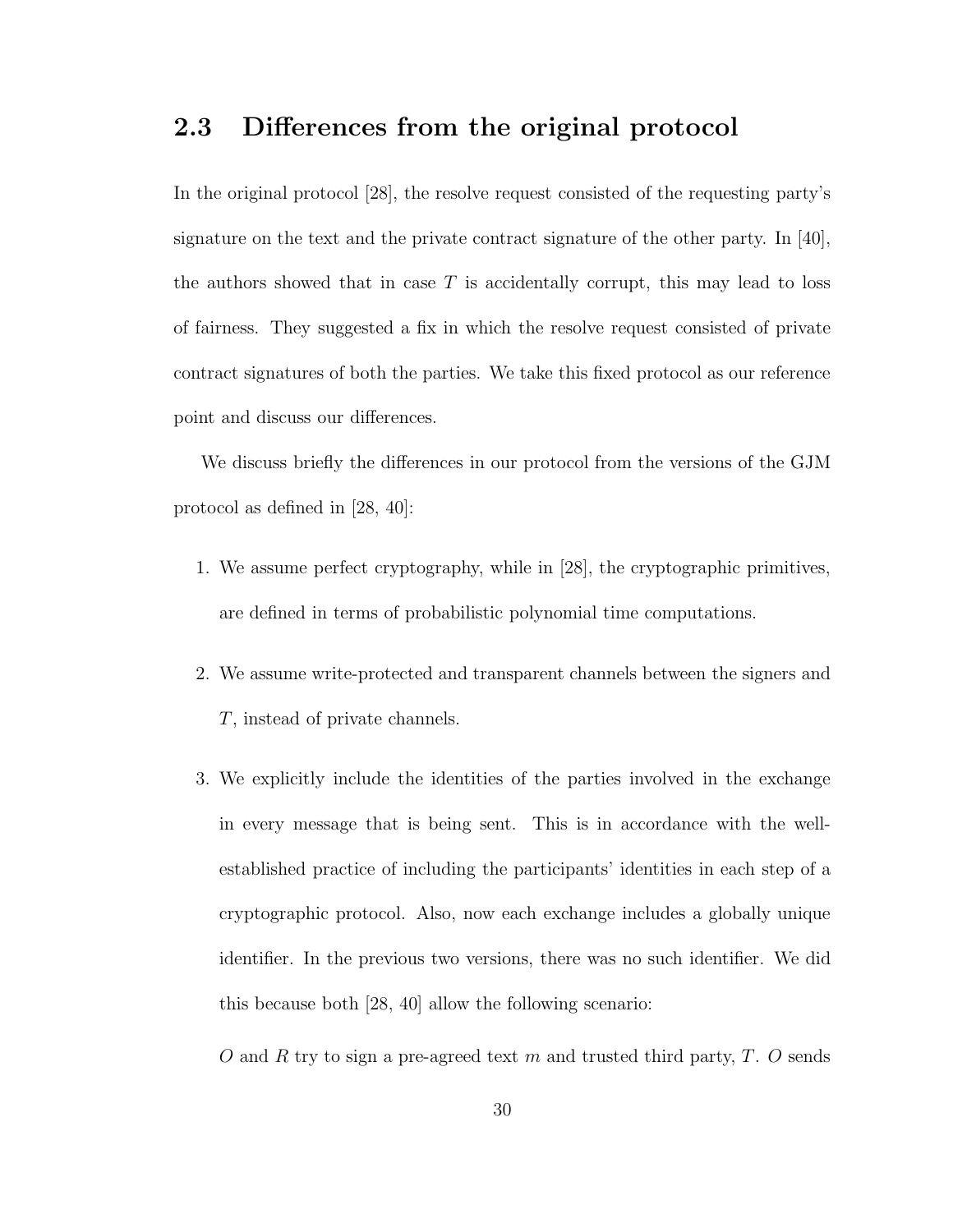# 2.3 Differences from the original protocol

In the original protocol [28], the resolve request consisted of the requesting party's signature on the text and the private contract signature of the other party. In [40], the authors showed that in case  $T$  is accidentally corrupt, this may lead to loss of fairness. They suggested a fix in which the resolve request consisted of private contract signatures of both the parties. We take this fixed protocol as our reference point and discuss our differences.

We discuss briefly the differences in our protocol from the versions of the GJM protocol as defined in [28, 40]:

- 1. We assume perfect cryptography, while in [28], the cryptographic primitives, are defined in terms of probabilistic polynomial time computations.
- 2. We assume write-protected and transparent channels between the signers and T, instead of private channels.
- 3. We explicitly include the identities of the parties involved in the exchange in every message that is being sent. This is in accordance with the wellestablished practice of including the participants' identities in each step of a cryptographic protocol. Also, now each exchange includes a globally unique identifier. In the previous two versions, there was no such identifier. We did this because both [28, 40] allow the following scenario:
	- O and R try to sign a pre-agreed text m and trusted third party,  $T$ . O sends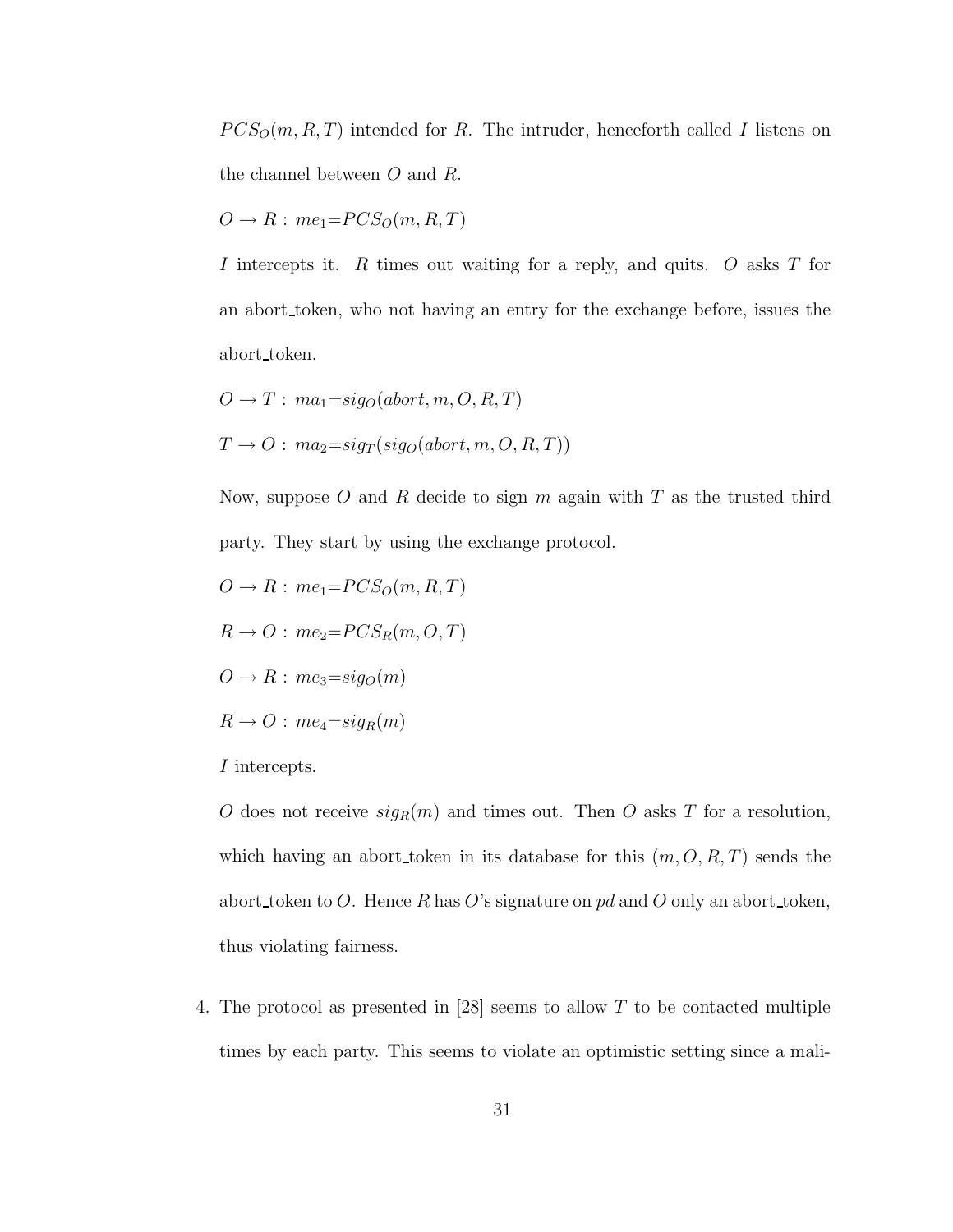$PCS_O(m, R, T)$  intended for R. The intruder, henceforth called I listens on the channel between O and R.

$$
O \to R : me_1 = PCS_O(m, R, T)
$$

I intercepts it.  $R$  times out waiting for a reply, and quits.  $O$  asks  $T$  for an abort token, who not having an entry for the exchange before, issues the abort token.

$$
O \to T : ma_1 = sig_O(abort, m, O, R, T)
$$
  

$$
T \to O : ma_2 = sig_T(sig_O(abort, m, O, R, T))
$$

Now, suppose O and R decide to sign  $m$  again with  $T$  as the trusted third party. They start by using the exchange protocol.

- $O \rightarrow R$ :  $me_1 = PCS_O(m, R, T)$
- $R \rightarrow O$ :  $me_2 = PCS_R(m, O, T)$
- $O \rightarrow R$ :  $me<sub>3</sub>=sig<sub>O</sub>(m)$
- $R \rightarrow O$ :  $me_4 = sig_R(m)$
- I intercepts.

O does not receive  $sign(m)$  and times out. Then O asks T for a resolution, which having an abort token in its database for this  $(m, O, R, T)$  sends the abort token to O. Hence R has O's signature on pd and O only an abort token, thus violating fairness.

4. The protocol as presented in [28] seems to allow T to be contacted multiple times by each party. This seems to violate an optimistic setting since a mali-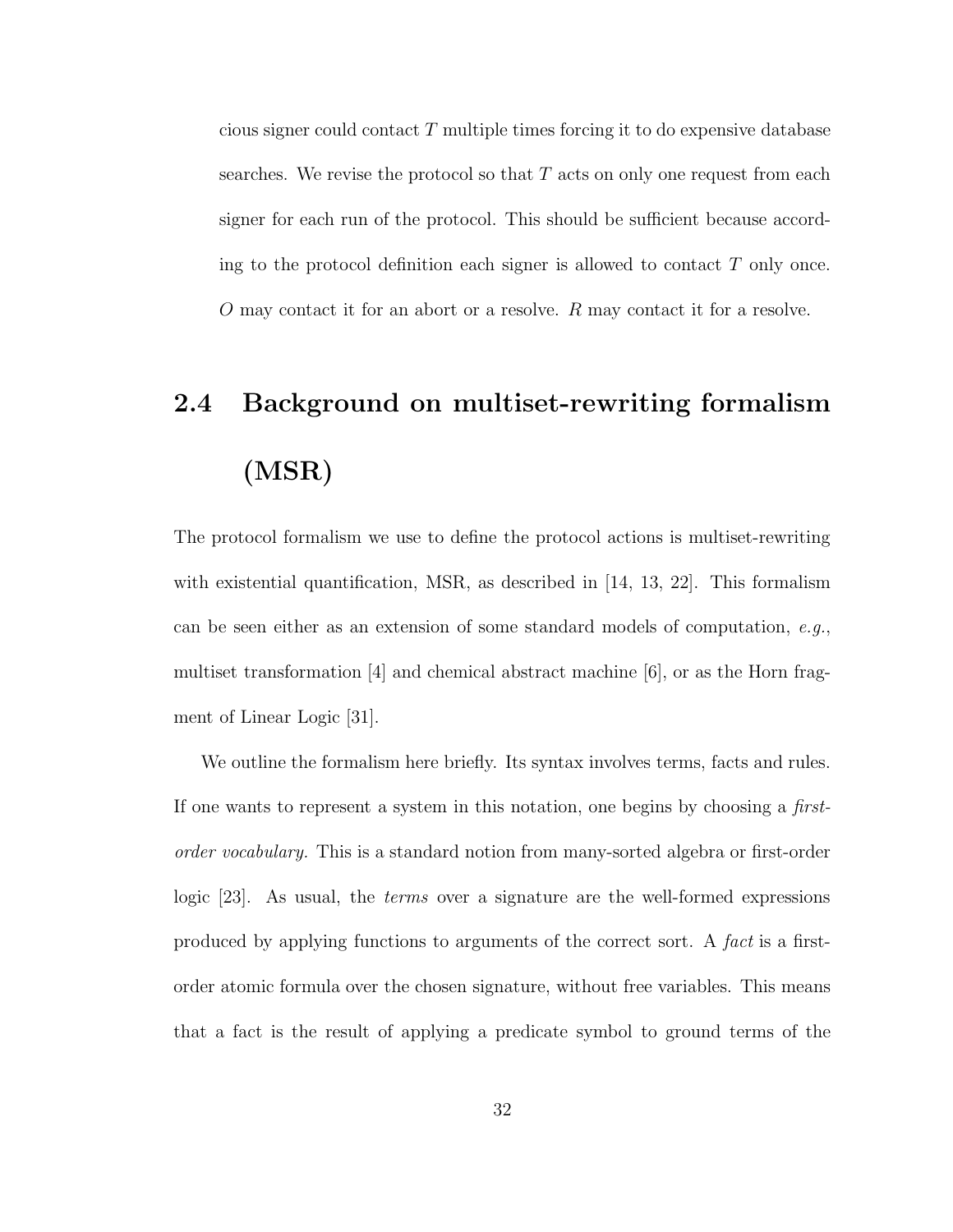cious signer could contact  $T$  multiple times forcing it to do expensive database searches. We revise the protocol so that  $T$  acts on only one request from each signer for each run of the protocol. This should be sufficient because according to the protocol definition each signer is allowed to contact  $T$  only once. O may contact it for an abort or a resolve. R may contact it for a resolve.

# 2.4 Background on multiset-rewriting formalism (MSR)

The protocol formalism we use to define the protocol actions is multiset-rewriting with existential quantification, MSR, as described in [14, 13, 22]. This formalism can be seen either as an extension of some standard models of computation,  $e.g.,$ multiset transformation [4] and chemical abstract machine [6], or as the Horn fragment of Linear Logic [31].

We outline the formalism here briefly. Its syntax involves terms, facts and rules. If one wants to represent a system in this notation, one begins by choosing a firstorder vocabulary. This is a standard notion from many-sorted algebra or first-order logic [23]. As usual, the terms over a signature are the well-formed expressions produced by applying functions to arguments of the correct sort. A fact is a firstorder atomic formula over the chosen signature, without free variables. This means that a fact is the result of applying a predicate symbol to ground terms of the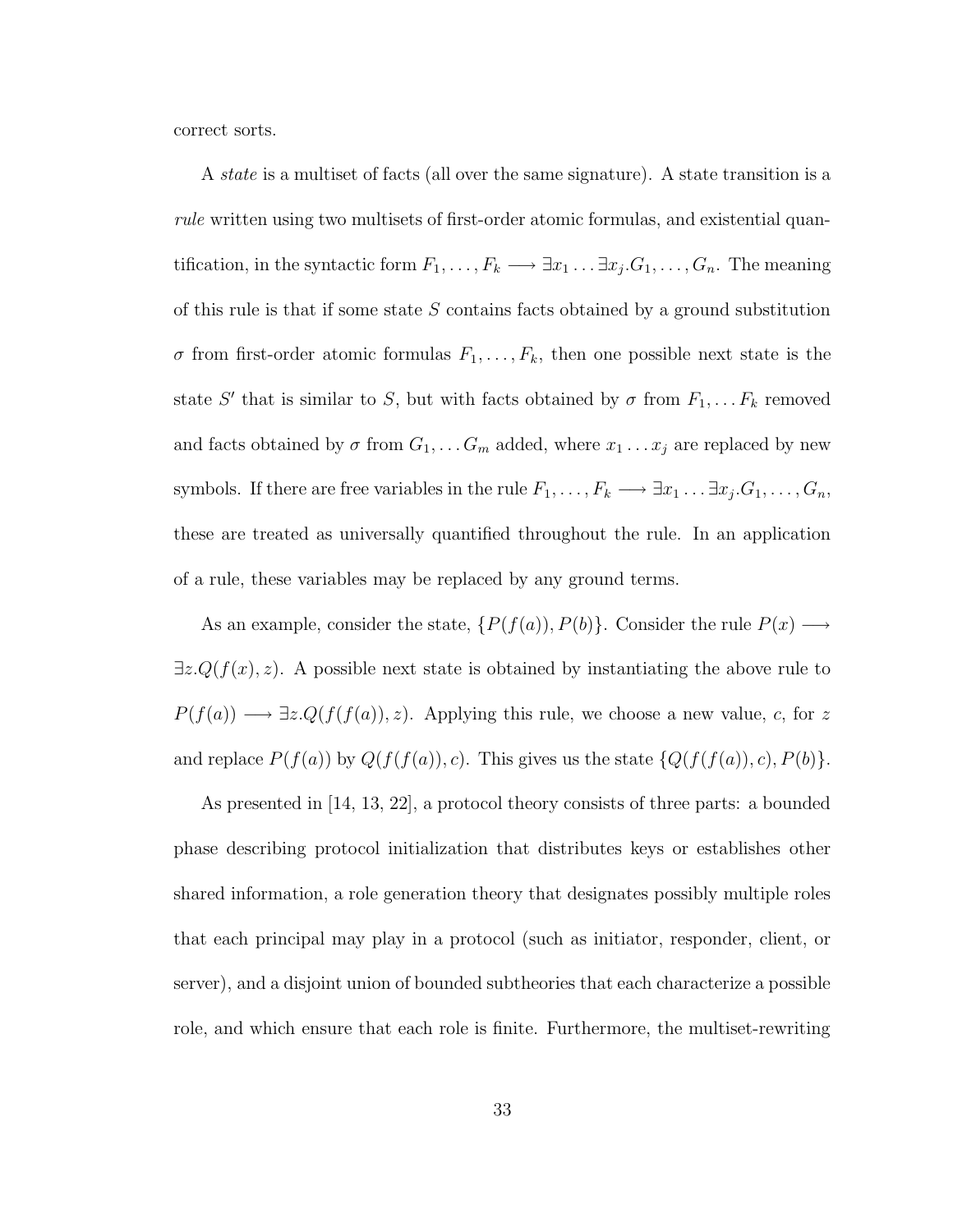correct sorts.

A state is a multiset of facts (all over the same signature). A state transition is a rule written using two multisets of first-order atomic formulas, and existential quantification, in the syntactic form  $F_1, \ldots, F_k \longrightarrow \exists x_1 \ldots \exists x_j. G_1, \ldots, G_n$ . The meaning of this rule is that if some state  $S$  contains facts obtained by a ground substitution  $\sigma$  from first-order atomic formulas  $F_1, \ldots, F_k$ , then one possible next state is the state S' that is similar to S, but with facts obtained by  $\sigma$  from  $F_1, \ldots F_k$  removed and facts obtained by  $\sigma$  from  $G_1, \ldots G_m$  added, where  $x_1 \ldots x_j$  are replaced by new symbols. If there are free variables in the rule  $F_1, \ldots, F_k \longrightarrow \exists x_1 \ldots \exists x_j. G_1, \ldots, G_n$ , these are treated as universally quantified throughout the rule. In an application of a rule, these variables may be replaced by any ground terms.

As an example, consider the state,  $\{P(f(a)), P(b)\}$ . Consider the rule  $P(x) \longrightarrow$  $\exists z \, Q(f(x), z)$ . A possible next state is obtained by instantiating the above rule to  $P(f(a)) \longrightarrow \exists z \cdot Q(f(f(a)), z)$ . Applying this rule, we choose a new value, c, for z and replace  $P(f(a))$  by  $Q(f(f(a)), c)$ . This gives us the state  $\{Q(f(f(a)), c), P(b)\}.$ 

As presented in [14, 13, 22], a protocol theory consists of three parts: a bounded phase describing protocol initialization that distributes keys or establishes other shared information, a role generation theory that designates possibly multiple roles that each principal may play in a protocol (such as initiator, responder, client, or server), and a disjoint union of bounded subtheories that each characterize a possible role, and which ensure that each role is finite. Furthermore, the multiset-rewriting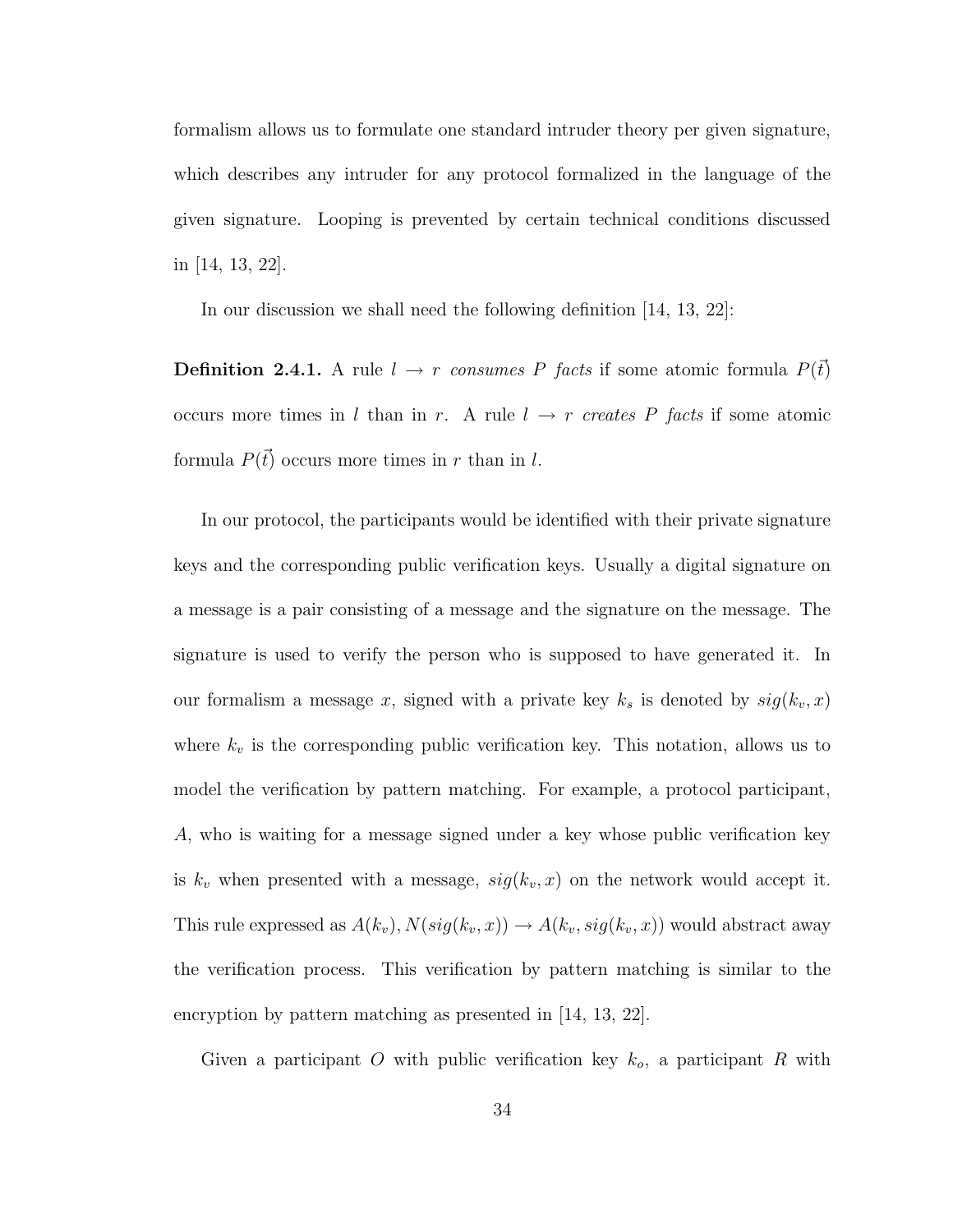formalism allows us to formulate one standard intruder theory per given signature, which describes any intruder for any protocol formalized in the language of the given signature. Looping is prevented by certain technical conditions discussed in [14, 13, 22].

In our discussion we shall need the following definition [14, 13, 22]:

**Definition 2.4.1.** A rule  $l \rightarrow r$  consumes P facts if some atomic formula  $P(\vec{t})$ occurs more times in l than in r. A rule  $l \rightarrow r$  creates P facts if some atomic formula  $P(\vec{t})$  occurs more times in r than in l.

In our protocol, the participants would be identified with their private signature keys and the corresponding public verification keys. Usually a digital signature on a message is a pair consisting of a message and the signature on the message. The signature is used to verify the person who is supposed to have generated it. In our formalism a message x, signed with a private key  $k_s$  is denoted by  $sig(k_v, x)$ where  $k_v$  is the corresponding public verification key. This notation, allows us to model the verification by pattern matching. For example, a protocol participant, A, who is waiting for a message signed under a key whose public verification key is  $k_v$  when presented with a message,  $sig(k_v, x)$  on the network would accept it. This rule expressed as  $A(k_v), N(sig(k_v, x)) \rightarrow A(k_v, sig(k_v, x))$  would abstract away the verification process. This verification by pattern matching is similar to the encryption by pattern matching as presented in [14, 13, 22].

Given a participant O with public verification key  $k_o$ , a participant R with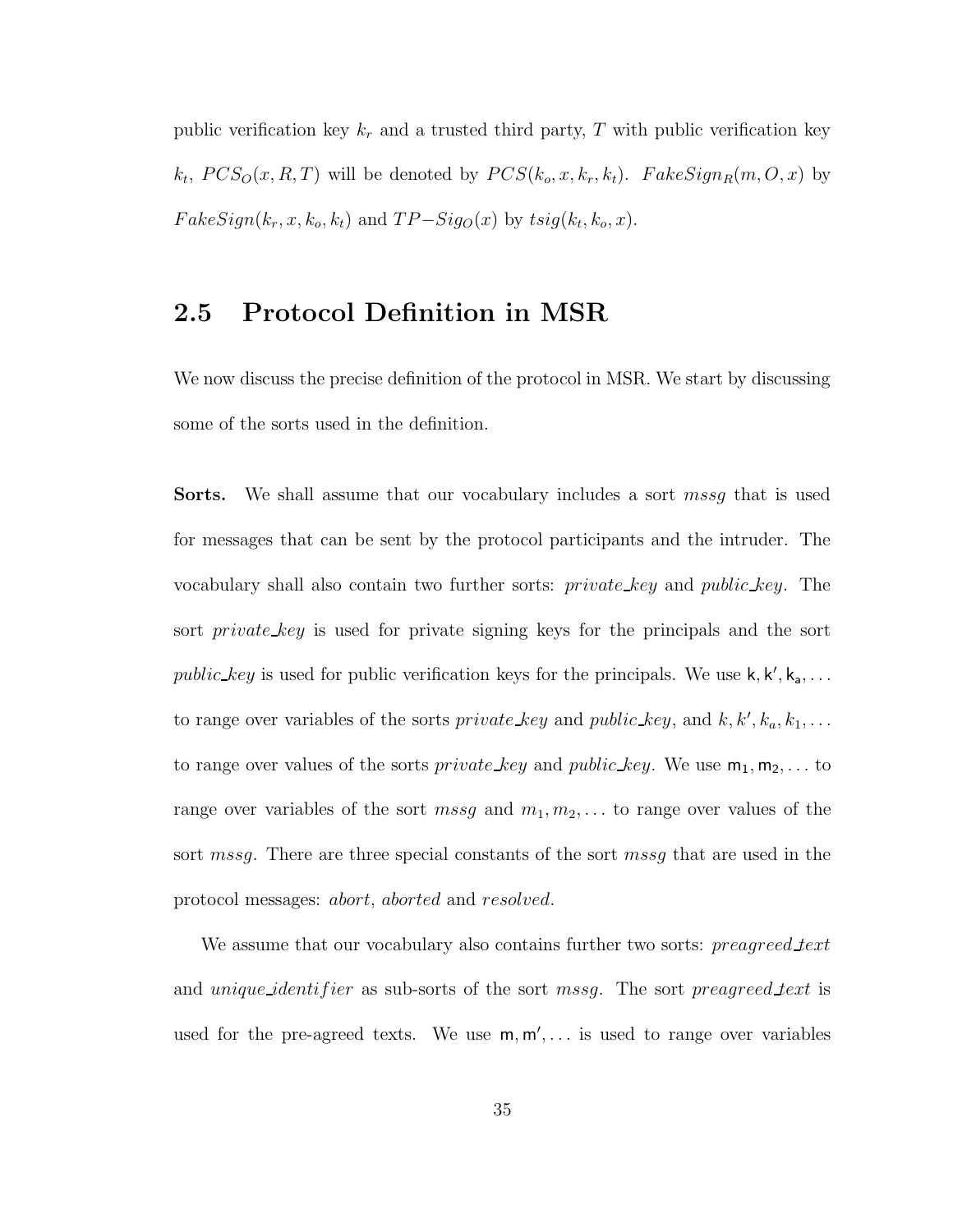public verification key  $k_r$  and a trusted third party, T with public verification key  $k_t$ ,  $PCS_O(x, R, T)$  will be denoted by  $PCS(k_o, x, k_r, k_t)$ .  $FakeSign_R(m, O, x)$  by  $FakeSign(k_r, x, k_o, k_t)$  and  $TP-Sig<sub>O</sub>(x)$  by  $tsig(k_t, k_o, x)$ .

# 2.5 Protocol Definition in MSR

We now discuss the precise definition of the protocol in MSR. We start by discussing some of the sorts used in the definition.

Sorts. We shall assume that our vocabulary includes a sort mssg that is used for messages that can be sent by the protocol participants and the intruder. The vocabulary shall also contain two further sorts: private key and public key. The sort *private key* is used for private signing keys for the principals and the sort public key is used for public verification keys for the principals. We use  $k, k', k_a, \ldots$ to range over variables of the sorts *private\_key* and *public\_key*, and  $k, k', k_a, k_1, \ldots$ to range over values of the sorts *private key* and *public key*. We use  $m_1, m_2, \ldots$  to range over variables of the sort mssg and  $m_1, m_2, \ldots$  to range over values of the sort mssg. There are three special constants of the sort mssg that are used in the protocol messages: abort, aborted and resolved.

We assume that our vocabulary also contains further two sorts: *preagreed text* and *unique identifier* as sub-sorts of the sort *mssg*. The sort *preagreed text* is used for the pre-agreed texts. We use  $m, m', \ldots$  is used to range over variables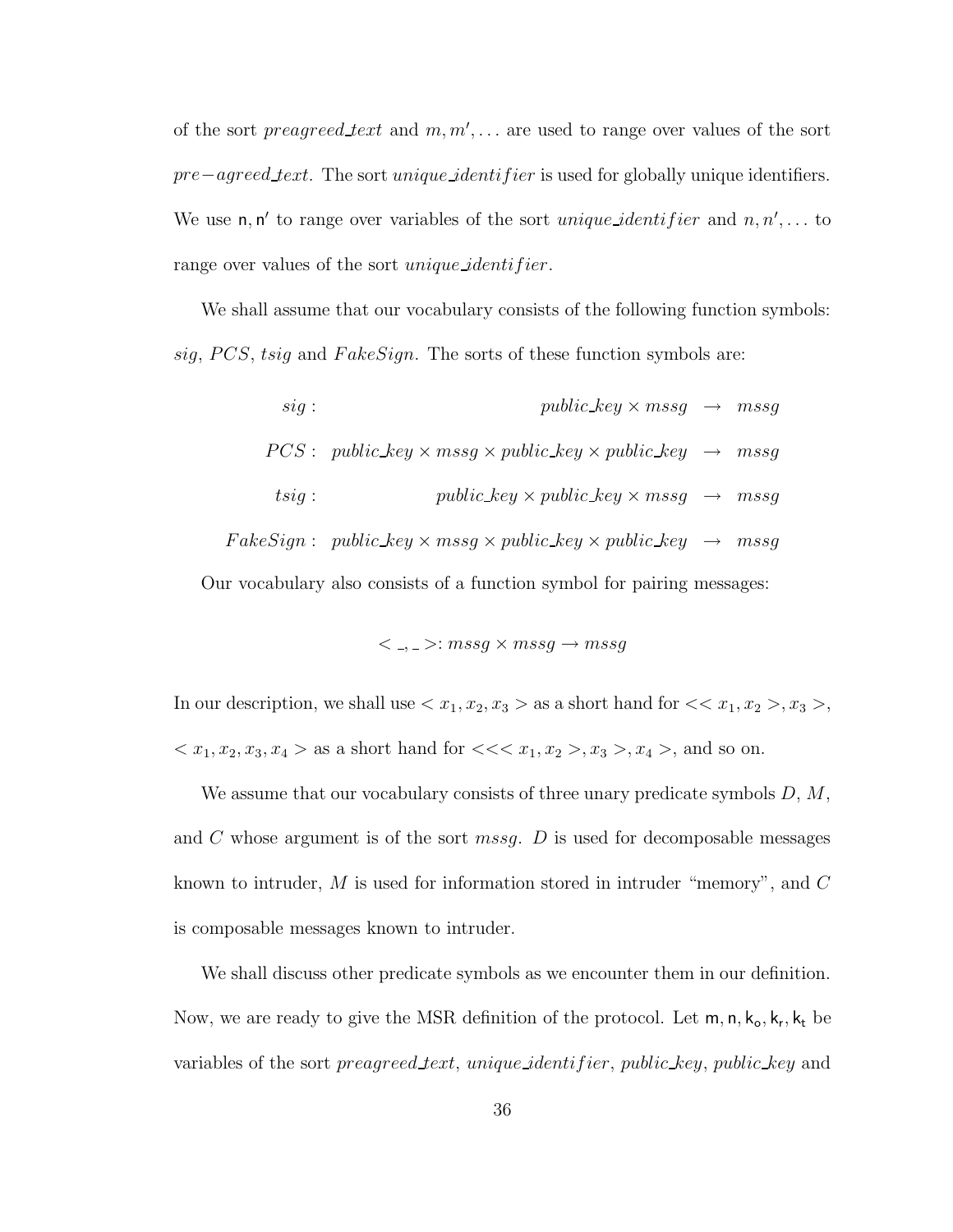of the sort *preagreed lext* and  $m, m', \ldots$  are used to range over values of the sort pre−agreed text. The sort *unique identifier* is used for globally unique identifiers. We use  $n, n'$  to range over variables of the sort *unique identifier* and  $n, n', \ldots$  to range over values of the sort *unique identifier*.

We shall assume that our vocabulary consists of the following function symbols: sig, PCS, tsig and FakeSign. The sorts of these function symbols are:

sig : public key × mssg → mssg  $PCS: public\_key \times mssg \times public\_key \times public\_key \rightarrow mssg$ tsig : public key × public key × mssg → mssg  $FakeSign: \ public\_key \times mssg \times public\_key \times public\_key \rightarrow mssg$ Our vocabulary also consists of a function symbol for pairing messages:

$$
\lt \_, \_ \ge: mssg \times mssg \to mssg
$$

In our description, we shall use  $\langle x_1, x_2, x_3 \rangle$  as a short hand for  $\langle x_1, x_2 \rangle, x_3 \rangle$ ,  $x_1, x_2, x_3, x_4 >$  as a short hand for  $\lt < x_1, x_2 >, x_3 >, x_4 >$ , and so on.

We assume that our vocabulary consists of three unary predicate symbols  $D, M$ , and C whose argument is of the sort *mssg.* D is used for decomposable messages known to intruder,  $M$  is used for information stored in intruder "memory", and  $C$ is composable messages known to intruder.

We shall discuss other predicate symbols as we encounter them in our definition. Now, we are ready to give the MSR definition of the protocol. Let  $m, n, k_0, k_r, k_t$  be variables of the sort *preagreed text*, unique identifier, public key, public key and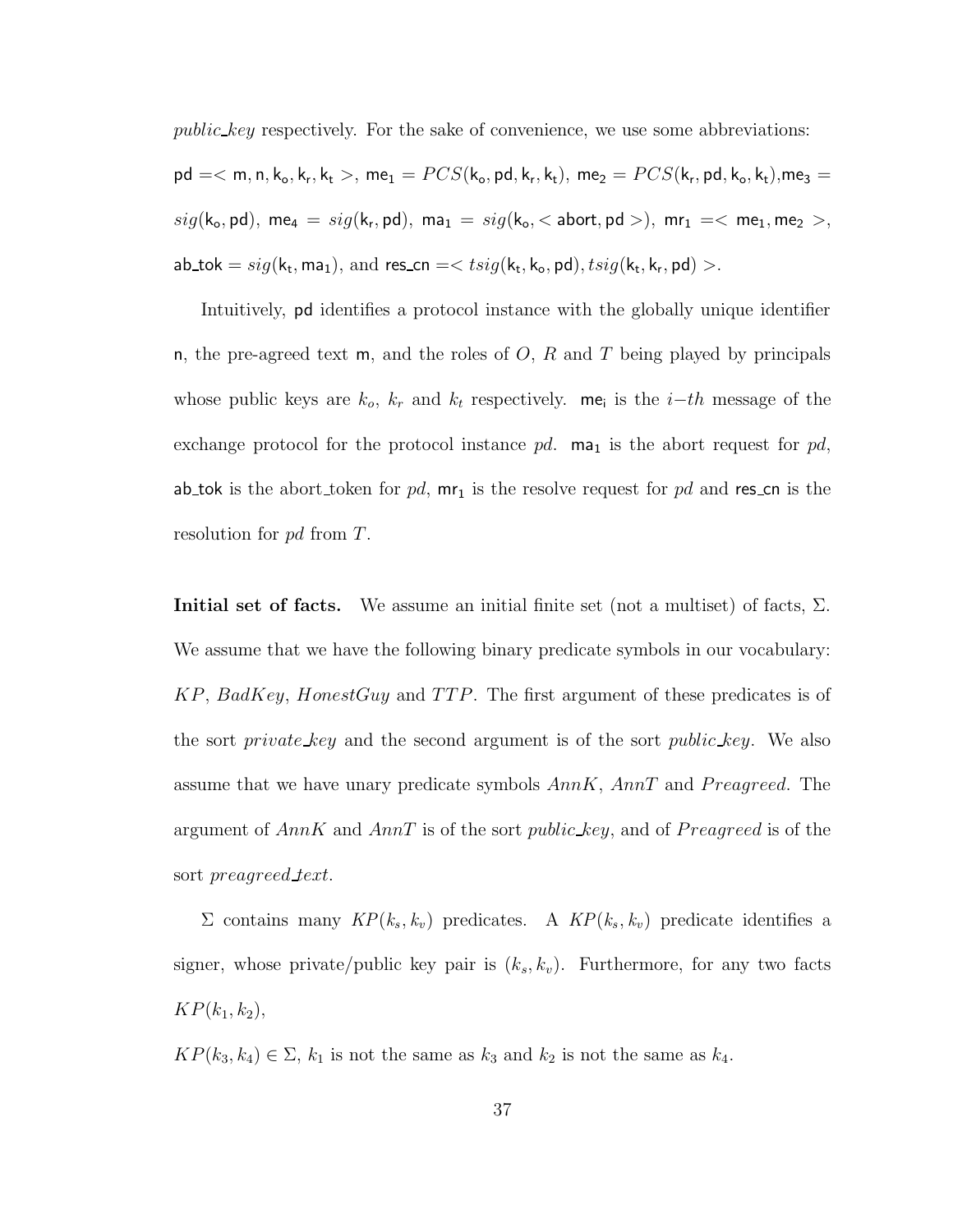public key respectively. For the sake of convenience, we use some abbreviations:  ${\sf pd}=<\sf m,n,k_o,k_r,k_t>,$  me $_1=PCS({\sf k}_{{\sf o}}, {\sf pd}, {\sf k}_{{\sf r}}, {\sf k}_{{\sf t}}),$   ${\sf me}_2=PCS({\sf k}_{{\sf r}}, {\sf pd}, {\sf k}_{{\sf o}}, {\sf k}_{{\sf t}}),$ me $_3=$  $sig(\mathsf{k}_{\mathsf{o}},\mathsf{pd}),\;\mathsf{me}_4\,=\,sig(\mathsf{k}_{\mathsf{r}},\mathsf{pd}),\;\mathsf{ma}_1\,=\,sig(\mathsf{k}_{\mathsf{o}},<\mathsf{abort},\mathsf{pd}>) ,\;\mathsf{mr}_1\,=\,<\,\mathsf{me}_1,\mathsf{me}_2\,>,$  $\mathsf{a}\mathsf{b}\_mathsf{to}\mathsf{k} = sig(\mathsf{k}_\mathsf{t},\mathsf{m}\mathsf{a}_1),\,\text{and } \mathsf{res}\_mathsf{co} = < t sig(\mathsf{k}_\mathsf{t},\mathsf{k}_\mathsf{o},\mathsf{p}\mathsf{d}), t sig(\mathsf{k}_\mathsf{t},\mathsf{k}_\mathsf{r},\mathsf{p}\mathsf{d})>.$ 

Intuitively, pd identifies a protocol instance with the globally unique identifier n, the pre-agreed text m, and the roles of  $O, R$  and T being played by principals whose public keys are  $k_o$ ,  $k_r$  and  $k_t$  respectively. me<sub>i</sub> is the *i*-th message of the exchange protocol for the protocol instance pd.  $ma_1$  is the abort request for pd, ab tok is the abort token for  $pd$ ,  $mr_1$  is the resolve request for  $pd$  and res cn is the resolution for pd from T.

Initial set of facts. We assume an initial finite set (not a multiset) of facts,  $\Sigma$ . We assume that we have the following binary predicate symbols in our vocabulary:  $KP, BadKey, HonestGuy$  and TTP. The first argument of these predicates is of the sort *private key* and the second argument is of the sort *public key*. We also assume that we have unary predicate symbols  $AnnK, AnnT$  and  $Preagreed$ . The argument of  $AnnK$  and  $AnnT$  is of the sort *public\_key*, and of *Preagreed* is of the sort preagreed text.

 $\Sigma$  contains many  $\text{KP}(k_s, k_v)$  predicates. A  $\text{KP}(k_s, k_v)$  predicate identifies a signer, whose private/public key pair is  $(k_s, k_v)$ . Furthermore, for any two facts  $KP(k_1, k_2),$ 

 $KP(k_3, k_4) \in \Sigma$ ,  $k_1$  is not the same as  $k_3$  and  $k_2$  is not the same as  $k_4$ .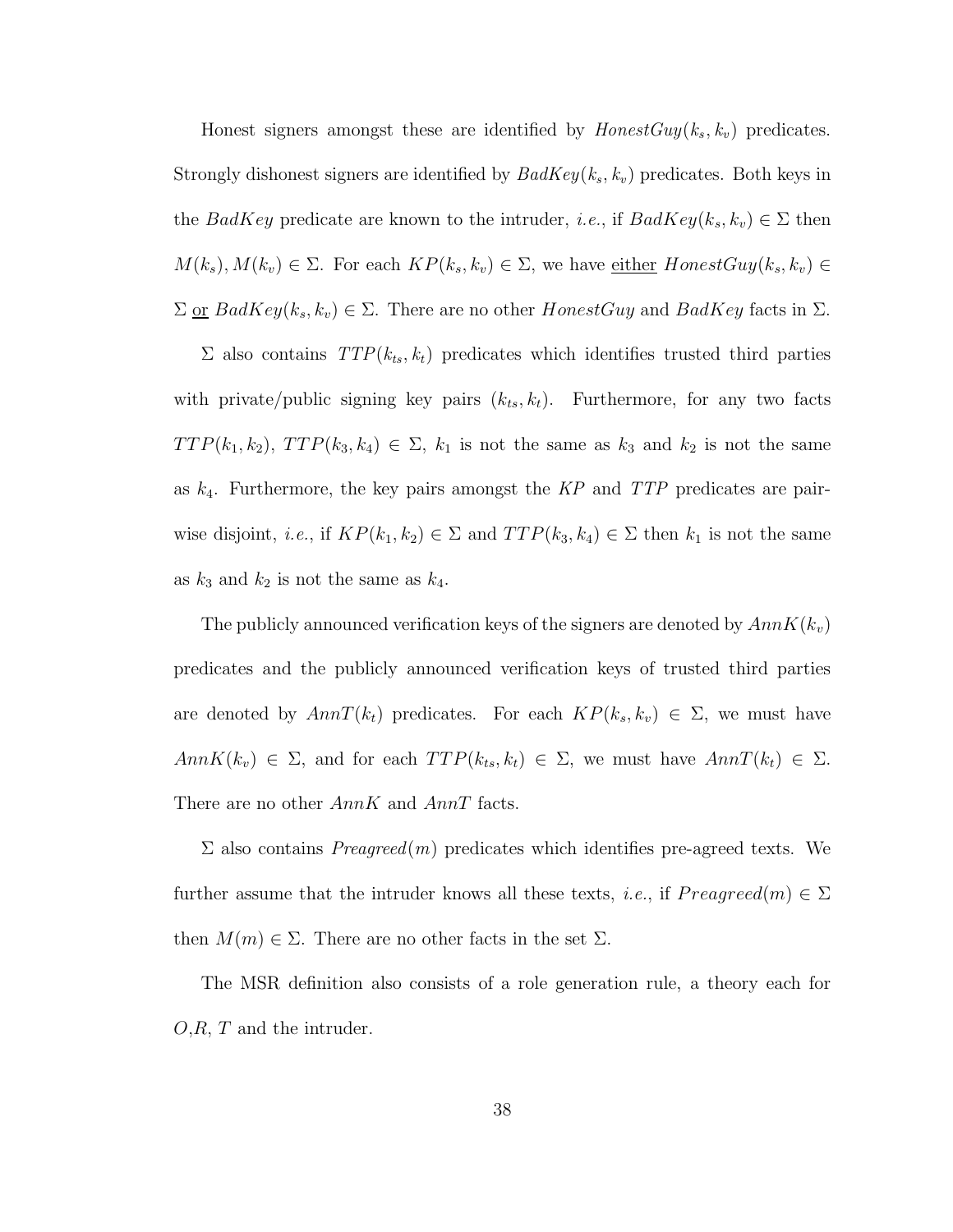Honest signers amongst these are identified by  $HonestGuy(k_s, k_v)$  predicates. Strongly dishonest signers are identified by  $BadKey(k_s, k_v)$  predicates. Both keys in the BadKey predicate are known to the intruder, *i.e.*, if  $BadKey(k_s, k_v) \in \Sigma$  then  $M(k_s), M(k_v) \in \Sigma$ . For each  $KP(k_s, k_v) \in \Sigma$ , we have <u>either</u>  $HonestGuy(k_s, k_v) \in$  $\Sigma$  or  $BadKey(k_s, k_v) \in \Sigma$ . There are no other  $HomestGuy$  and  $BadKey$  facts in  $\Sigma$ .

 $\Sigma$  also contains  $TTP(k_{ts}, k_t)$  predicates which identifies trusted third parties with private/public signing key pairs  $(k_{ts}, k_t)$ . Furthermore, for any two facts  $TTP(k_1, k_2), TTP(k_3, k_4) \in \Sigma$ ,  $k_1$  is not the same as  $k_3$  and  $k_2$  is not the same as  $k_4$ . Furthermore, the key pairs amongst the  $KP$  and  $TTP$  predicates are pairwise disjoint, *i.e.*, if  $KP(k_1, k_2) \in \Sigma$  and  $TTP(k_3, k_4) \in \Sigma$  then  $k_1$  is not the same as  $k_3$  and  $k_2$  is not the same as  $k_4$ .

The publicly announced verification keys of the signers are denoted by  $AnnK(k_v)$ predicates and the publicly announced verification keys of trusted third parties are denoted by  $AnnT(k_t)$  predicates. For each  $KP(k_s, k_v) \in \Sigma$ , we must have  $AnnK(k_v) \in \Sigma$ , and for each  $TTP(k_{ts}, k_t) \in \Sigma$ , we must have  $AnnT(k_t) \in \Sigma$ . There are no other AnnK and AnnT facts.

 $\Sigma$  also contains  $Pre agreed(m)$  predicates which identifies pre-agreed texts. We further assume that the intruder knows all these texts, *i.e.*, if  $Pre agreed(m) \in \Sigma$ then  $M(m) \in \Sigma$ . There are no other facts in the set  $\Sigma$ .

The MSR definition also consists of a role generation rule, a theory each for  $O, R, T$  and the intruder.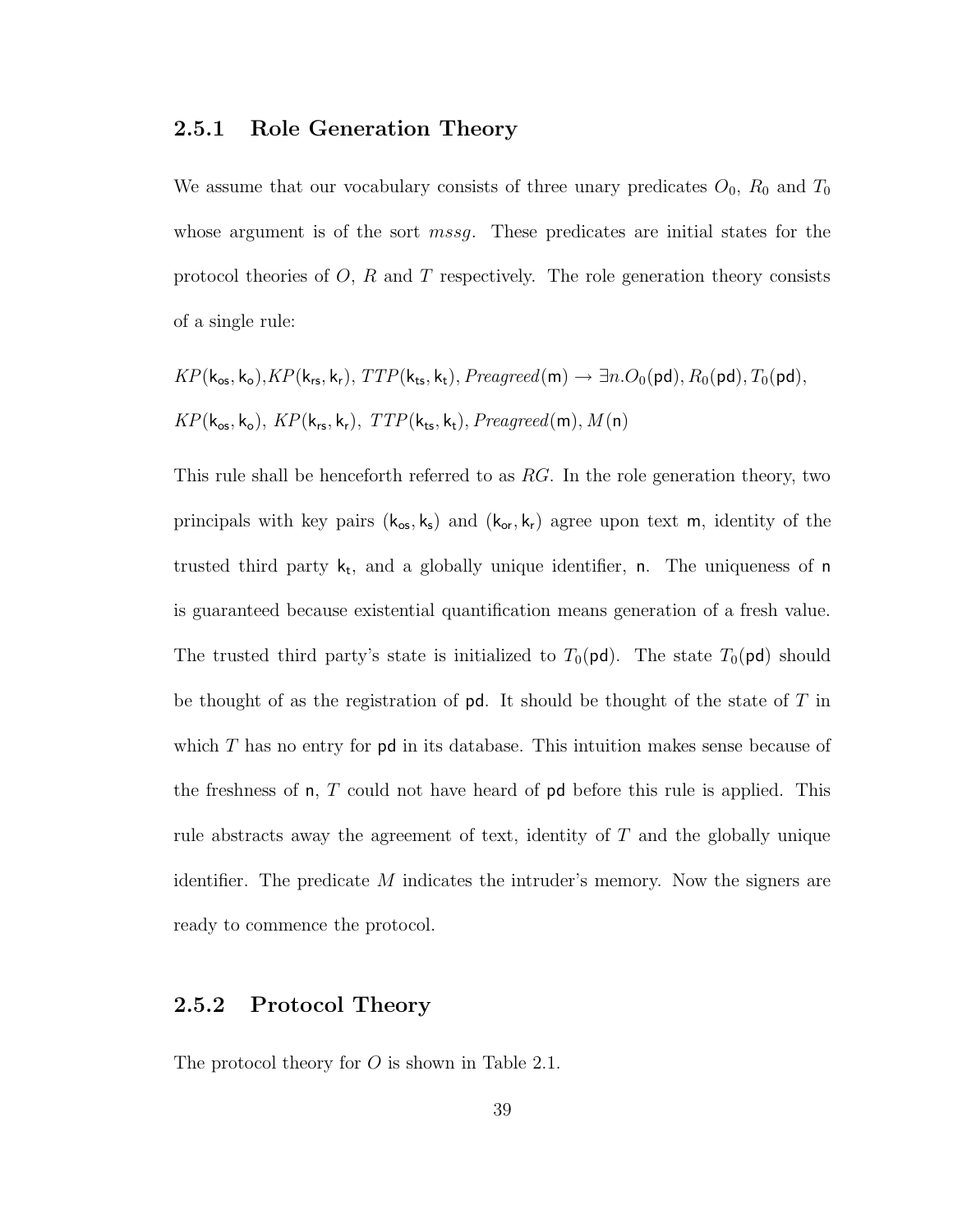#### 2.5.1 Role Generation Theory

We assume that our vocabulary consists of three unary predicates  $O_0$ ,  $R_0$  and  $T_0$ whose argument is of the sort *mssg*. These predicates are initial states for the protocol theories of  $O, R$  and  $T$  respectively. The role generation theory consists of a single rule:

$$
KP(\mathbf{k}_{\text{os}}, \mathbf{k}_{\text{o}}), KP(\mathbf{k}_{\text{rs}}, \mathbf{k}_{\text{r}}), TTP(\mathbf{k}_{\text{ts}}, \mathbf{k}_{\text{t}}), Preagreed(m) \rightarrow \exists n. O_{0}(\text{pd}), R_{0}(\text{pd}), T_{0}(\text{pd}),
$$
  

$$
KP(\mathbf{k}_{\text{os}}, \mathbf{k}_{\text{o}}), KP(\mathbf{k}_{\text{rs}}, \mathbf{k}_{\text{r}}), TTP(\mathbf{k}_{\text{ts}}, \mathbf{k}_{\text{t}}), Preagreed(m), M(n)
$$

This rule shall be henceforth referred to as RG. In the role generation theory, two principals with key pairs  $(k_{\text{os}}, k_{\text{s}})$  and  $(k_{\text{or}}, k_{\text{r}})$  agree upon text m, identity of the trusted third party  $k_t$ , and a globally unique identifier, n. The uniqueness of n is guaranteed because existential quantification means generation of a fresh value. The trusted third party's state is initialized to  $T_0(\text{pd})$ . The state  $T_0(\text{pd})$  should be thought of as the registration of  $pd$ . It should be thought of the state of  $T$  in which  $T$  has no entry for pd in its database. This intuition makes sense because of the freshness of  $n, T$  could not have heard of  $pd$  before this rule is applied. This rule abstracts away the agreement of text, identity of  $T$  and the globally unique identifier. The predicate  $M$  indicates the intruder's memory. Now the signers are ready to commence the protocol.

#### 2.5.2 Protocol Theory

The protocol theory for  $O$  is shown in Table 2.1.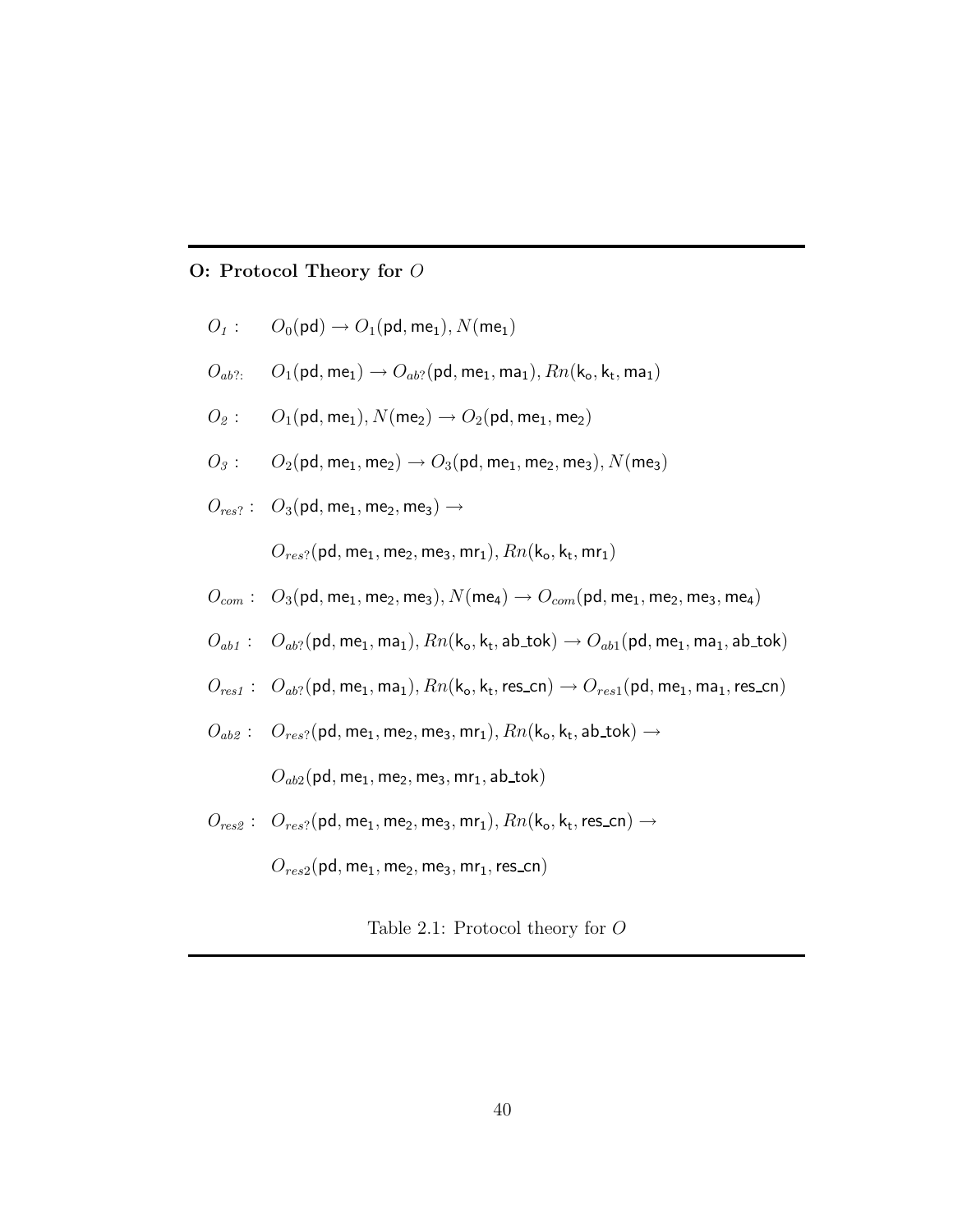#### O: Protocol Theory for O

$$
O_1: \qquad O_0(\text{pd}) \to O_1(\text{pd}, \text{me}_1), N(\text{me}_1)
$$

- $O_{ab?}: \quad O_1(\text{pd}, \text{me}_1) \rightarrow O_{ab?}(\text{pd}, \text{me}_1, \text{ma}_1), Rn(k_o, k_t, \text{ma}_1)$
- $O_2: \quad O_1(\text{pd}, \text{me}_1), N(\text{me}_2) \rightarrow O_2(\text{pd}, \text{me}_1, \text{me}_2)$
- $O_3: \hspace{0.2in} O_2(\text{{\sf pd}},\text{{\sf me}}_1,\text{{\sf me}}_2) \rightarrow O_3(\text{{\sf pd}},\text{{\sf me}}_1,\text{{\sf me}}_2,\text{{\sf me}}_3), N(\text{{\sf me}}_3)$
- $O_{res}$ ? :  $O_3$ (pd, me<sub>1</sub>, me<sub>2</sub>, me<sub>3</sub>)  $\rightarrow$

 $O_{res?}(\mathsf{pd}, \mathsf{me}_1, \mathsf{me}_2, \mathsf{me}_3, \mathsf{mr}_1), \mathit{Rn}(\mathsf{k}_\mathsf{o}, \mathsf{k}_\mathsf{t}, \mathsf{mr}_1)$ 

- $O_{com}: O_3(\text{pd}, \text{me}_1, \text{me}_2, \text{me}_3), N(\text{me}_4) \rightarrow O_{com}(\text{pd}, \text{me}_1, \text{me}_2, \text{me}_3, \text{me}_4)$
- $O_{ab1}: O_{ab?}(\text{pd}, \text{me}_1, \text{ma}_1), Rn(k_o, k_t, \text{ab\_tok}) \rightarrow O_{ab1}(\text{pd}, \text{me}_1, \text{ma}_1, \text{ab\_tok})$
- $O_{res1}: O_{ab}$ ? (pd, me<sub>1</sub>, ma<sub>1</sub>),  $Rn(k_o, k_t, res\_cn) \rightarrow O_{res1}(pd, me_1, ma_1, res\_cn)$
- $\begin{array}{ll} O_{ab2}: & O_{res?}({\sf pd}, {\sf me}_1, {\sf me}_2, {\sf me}_3, {\sf mr}_1), Rn({\sf k}_{{\sf o}}, {\sf k}_{{\sf t}}, {\sf ab\_tok}) \rightarrow \end{array}$

 $O_{ab2}$ (pd, me<sub>1</sub>, me<sub>2</sub>, me<sub>3</sub>, mr<sub>1</sub>, ab\_tok)

 $\mathcal{O}_{res2}: \ \mathcal{O}_{res}$ ? (pd, me<sub>1</sub>, me<sub>2</sub>, me<sub>3</sub>, mr<sub>1</sub>),  $Rn(\mathsf{k}_o,\mathsf{k}_t, \mathsf{res\_cn}) \rightarrow$ 

 $O_{res2}$ (pd, me<sub>1</sub>, me<sub>2</sub>, me<sub>3</sub>, mr<sub>1</sub>, res\_cn)

Table 2.1: Protocol theory for O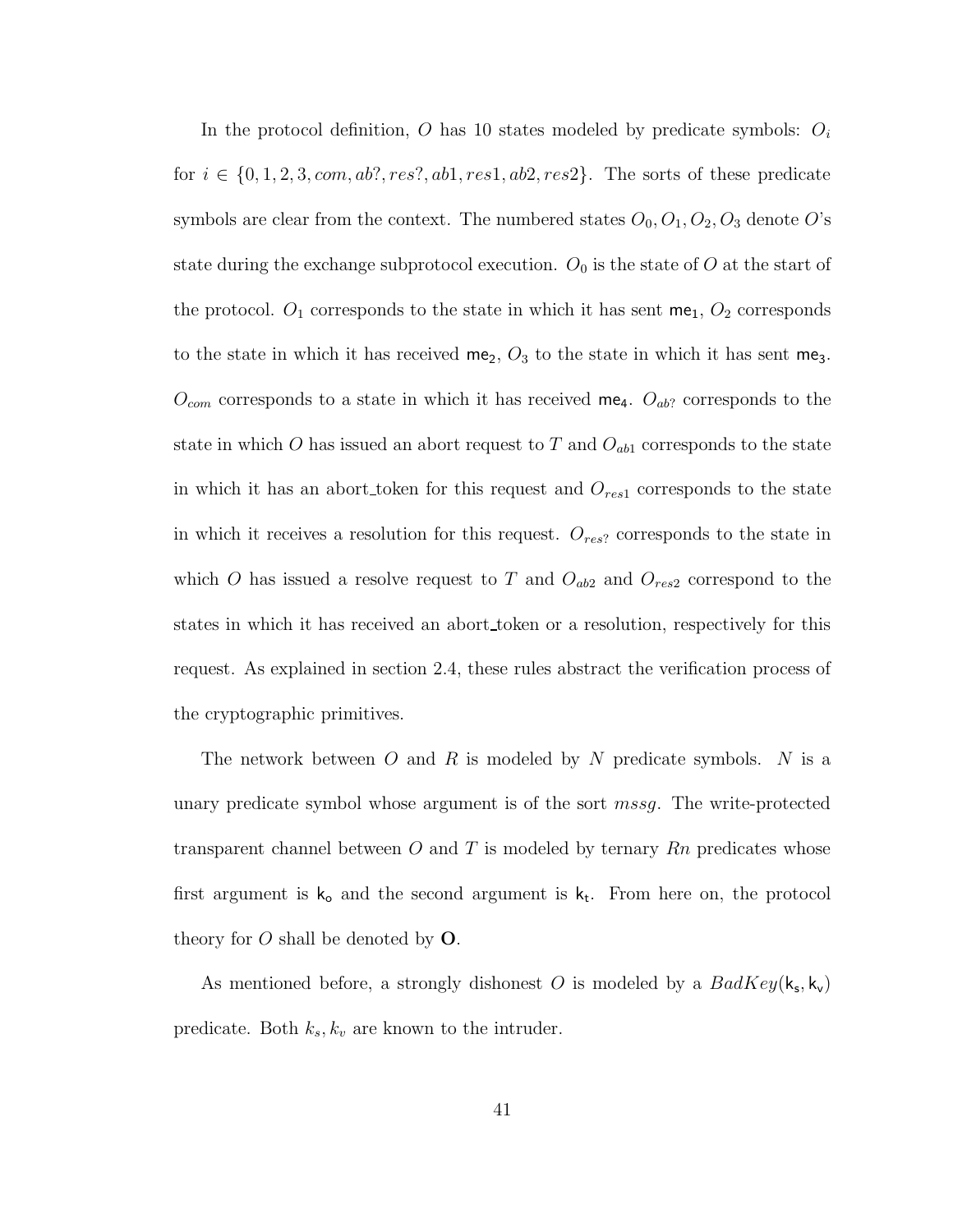In the protocol definition, O has 10 states modeled by predicate symbols:  $O_i$ for  $i \in \{0, 1, 2, 3, com, ab?, res?, ab1, res1, ab2, res2\}$ . The sorts of these predicate symbols are clear from the context. The numbered states  $O_0$ ,  $O_1$ ,  $O_2$ ,  $O_3$  denote  $O$ 's state during the exchange subprotocol execution.  $O_0$  is the state of O at the start of the protocol.  $O_1$  corresponds to the state in which it has sent  $me_1$ ,  $O_2$  corresponds to the state in which it has received  $me_2$ ,  $O_3$  to the state in which it has sent me<sub>3</sub>.  $O_{com}$  corresponds to a state in which it has received me<sub>4</sub>.  $O_{ab}$ ? corresponds to the state in which O has issued an abort request to T and  $O_{ab1}$  corresponds to the state in which it has an abort token for this request and  $O_{res1}$  corresponds to the state in which it receives a resolution for this request.  $O_{res}$  corresponds to the state in which O has issued a resolve request to T and  $O_{ab2}$  and  $O_{res2}$  correspond to the states in which it has received an abort token or a resolution, respectively for this request. As explained in section 2.4, these rules abstract the verification process of the cryptographic primitives.

The network between  $O$  and  $R$  is modeled by  $N$  predicate symbols.  $N$  is a unary predicate symbol whose argument is of the sort mssg. The write-protected transparent channel between O and T is modeled by ternary  $Rn$  predicates whose first argument is  $k_0$  and the second argument is  $k_t$ . From here on, the protocol theory for  $O$  shall be denoted by  $O$ .

As mentioned before, a strongly dishonest O is modeled by a  $BadKey(k_s, k_v)$ predicate. Both  $k_s, k_v$  are known to the intruder.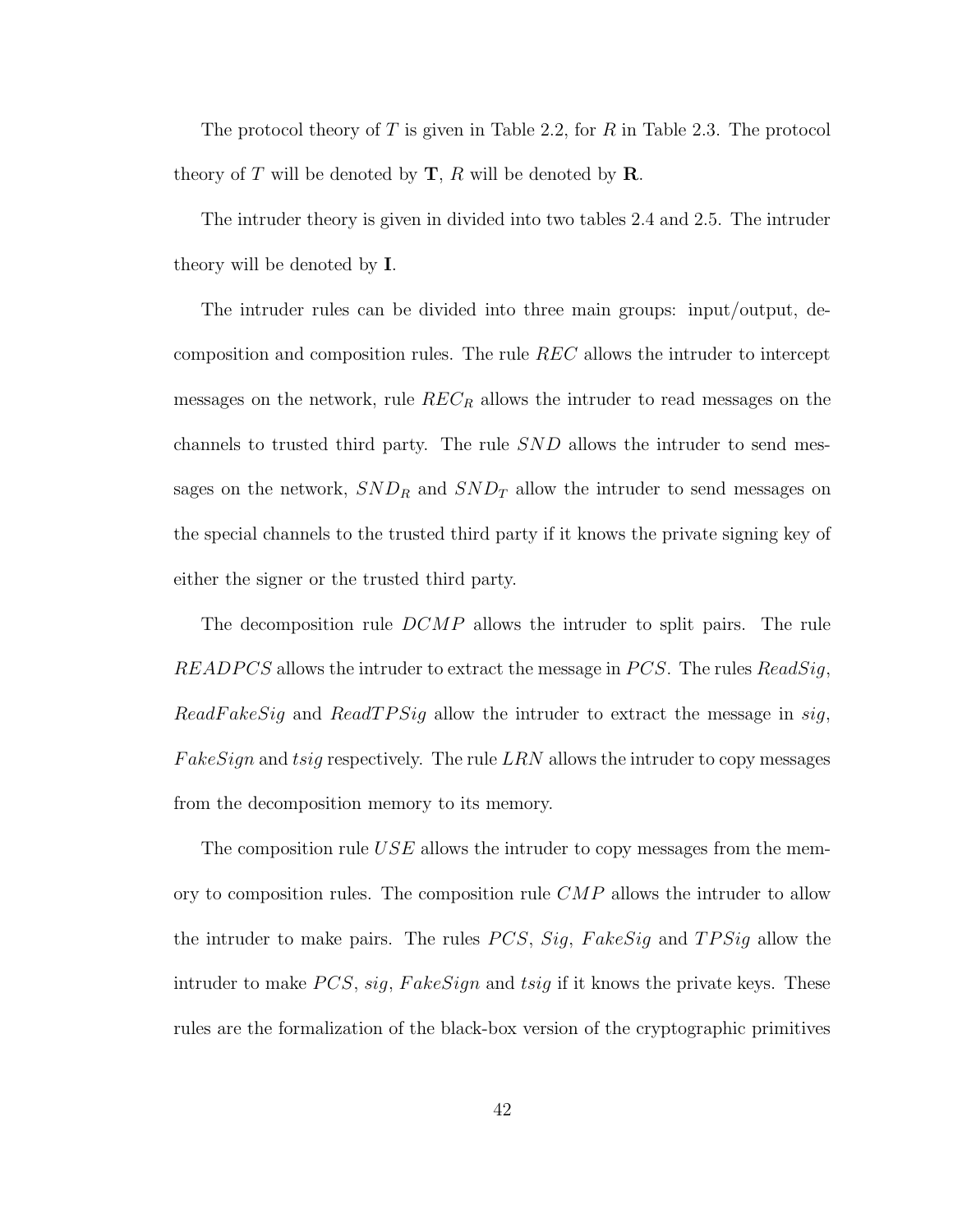The protocol theory of T is given in Table 2.2, for R in Table 2.3. The protocol theory of T will be denoted by  $\mathbf{T}$ , R will be denoted by  $\mathbf{R}$ .

The intruder theory is given in divided into two tables 2.4 and 2.5. The intruder theory will be denoted by I.

The intruder rules can be divided into three main groups: input/output, decomposition and composition rules. The rule REC allows the intruder to intercept messages on the network, rule  $REC_R$  allows the intruder to read messages on the channels to trusted third party. The rule SND allows the intruder to send messages on the network,  $SND_R$  and  $SND_T$  allow the intruder to send messages on the special channels to the trusted third party if it knows the private signing key of either the signer or the trusted third party.

The decomposition rule DCMP allows the intruder to split pairs. The rule READPCS allows the intruder to extract the message in PCS. The rules  $ReadSig$ , ReadFakeSig and ReadTPSig allow the intruder to extract the message in sig,  $FakeSign$  and tsig respectively. The rule  $LRN$  allows the intruder to copy messages from the decomposition memory to its memory.

The composition rule  $USE$  allows the intruder to copy messages from the memory to composition rules. The composition rule  $\mathbb{C}MP$  allows the intruder to allow the intruder to make pairs. The rules *PCS*, Sig, FakeSig and TPSig allow the intruder to make  $PCS$ , sig, Fake  $Sign$  and tsig if it knows the private keys. These rules are the formalization of the black-box version of the cryptographic primitives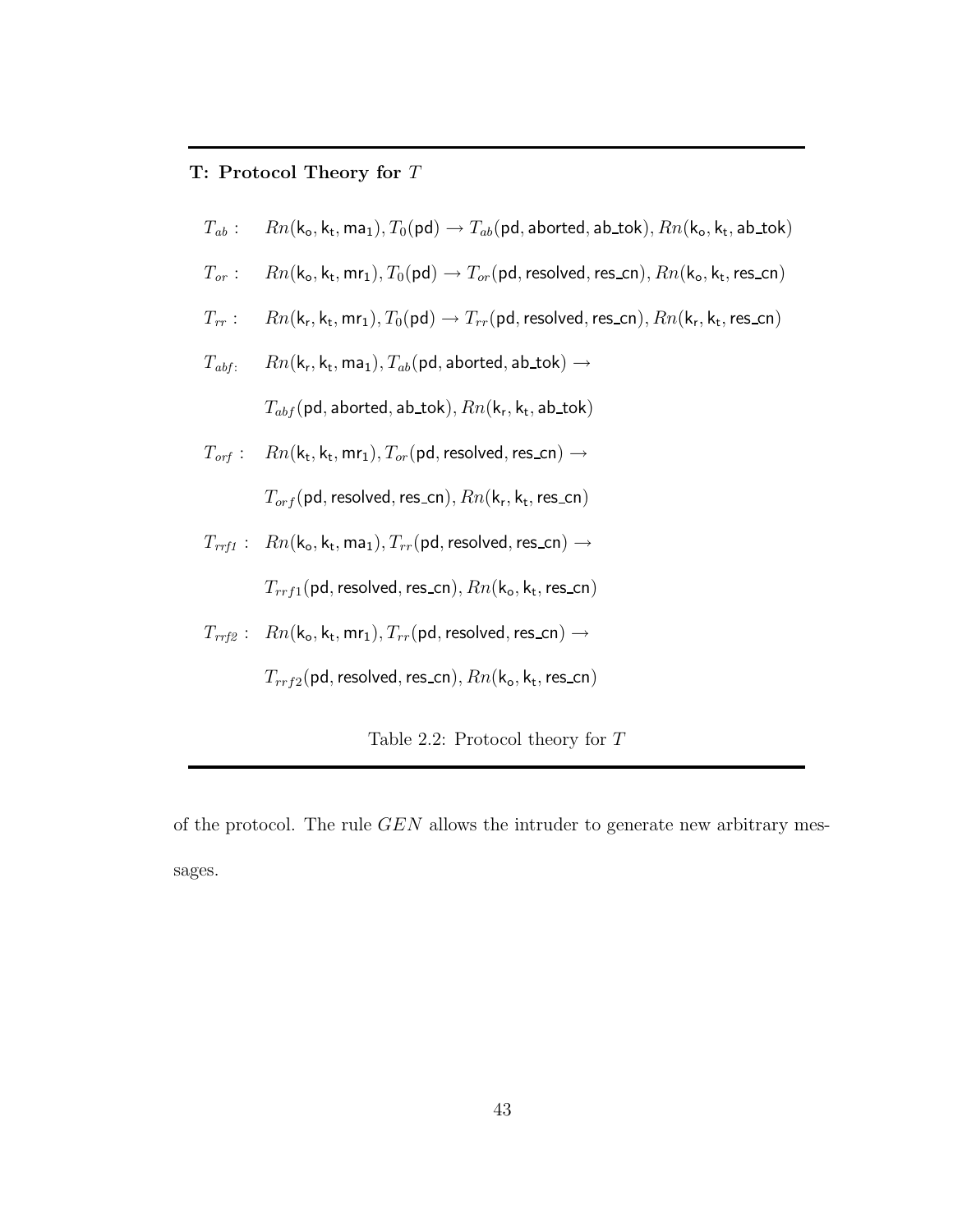#### T: Protocol Theory for T

- $T_{ab}$ :  $Rn(k_o, k_t, ma_1), T_0(pd) \rightarrow T_{ab}(pd,aborted,ab\_tok), Rn(k_o, k_t,ab\_tok)$
- $T_{or}: \quad Rn(k_o, k_t, mr_1), T_0({\sf pd}) \rightarrow T_{or}({\sf pd},$  resolved, res\_cn),  $Rn(k_o, k_t,$  res\_cn)
- $T_{rr}: \quad Rn(k_r, k_t, mr_1), T_0({\sf pd}) \rightarrow T_{rr}({\sf pd},$  resolved, res\_cn),  $Rn(k_r, k_t,$  res\_cn)
- $T_{\textit{abf}}$ :  $\quad Rn(\mathsf{k}_\mathsf{r},\mathsf{k}_\mathsf{t},\mathsf{ma}_1), T_{\textit{ab}}(\mathsf{pd},\mathsf{aborted},\mathsf{ab\_tok}) \rightarrow$

 $T_{abf}(\mathsf{pd},\mathsf{aborted},\mathsf{ab\_tok}), Rn(\mathsf{k_r},\mathsf{k_t},\mathsf{ab\_tok})$ 

 $T_{\textit{orf}}$ :  $\mathsf{d},\mathsf{k}_\mathsf{t},\mathsf{mr}_1), T_{or}(\mathsf{pd},\mathsf{resolved},\mathsf{res\_cn}) \rightarrow$ 

 $T_{orf}(\mathsf{pd}, \mathsf{resolved}, \mathsf{res\_cn}), Rn(\mathsf{k_r}, \mathsf{k_t}, \mathsf{res\_cn})$ 

 $T_{rrf1}$  :  $Rn(k_o, k_t, ma_1), T_{rr}(pd, resolved, res\_cn) \rightarrow$ 

 $T_{rrf1}(\mathsf{pd},\mathsf{resolved},\mathsf{res\_cn}), Rn(\mathsf{k_o},\mathsf{k_t},\mathsf{res\_cn})$ 

 $T_{rrf2}: Rn(k_o, k_t, mr_1), T_{rr}(pd, resolved, res\_cn) \rightarrow$ 

 $T_{rrf2}(\mathsf{pd},\mathsf{resolved},\mathsf{res\_cn}), Rn(\mathsf{k_o},\mathsf{k_t},\mathsf{res\_cn})$ 

Table 2.2: Protocol theory for T

of the protocol. The rule GEN allows the intruder to generate new arbitrary messages.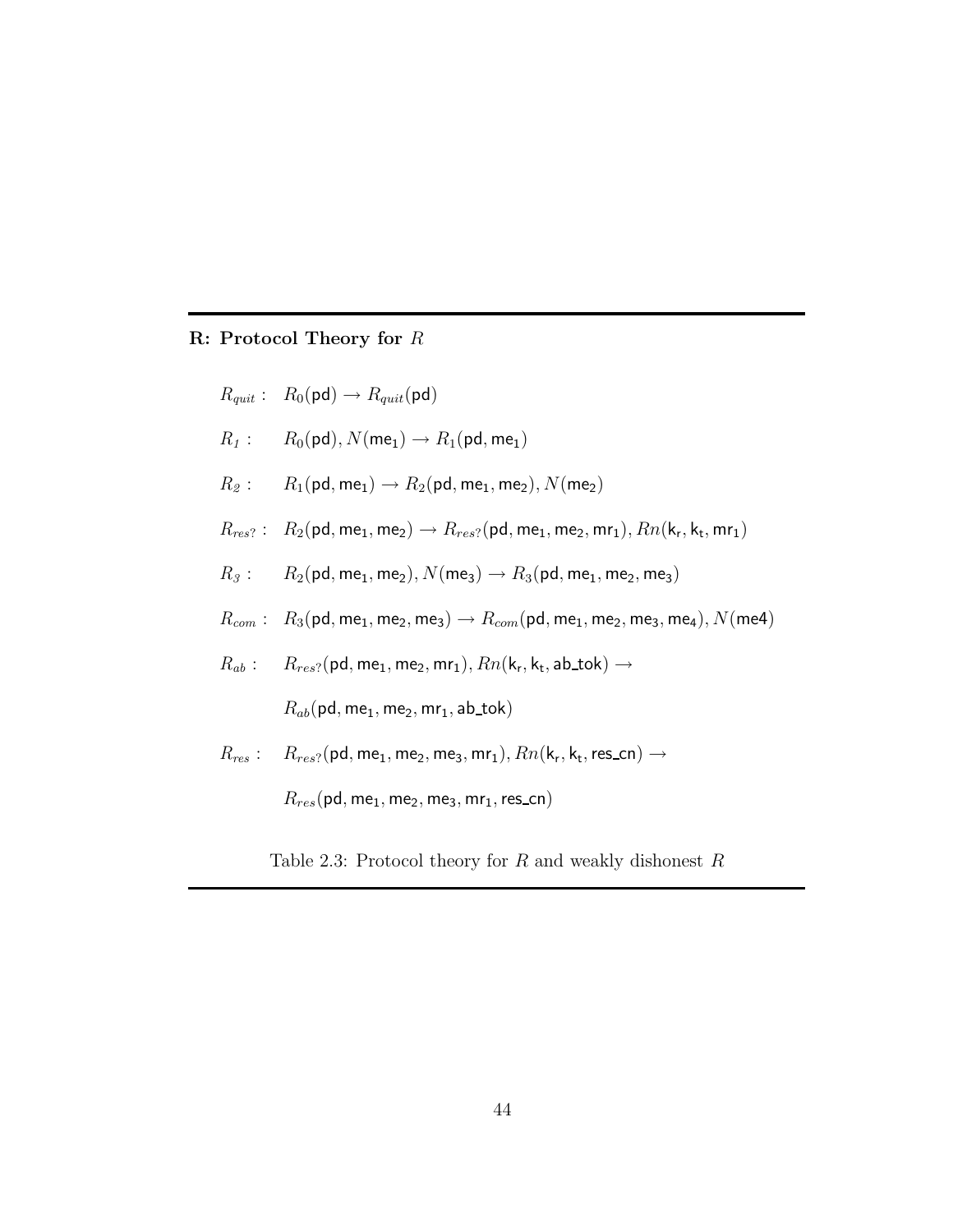### R: Protocol Theory for R

$$
R_{quit}: R_0(\text{pd}) \to R_{quit}(\text{pd})
$$
  

$$
R_1: R_0(\text{pd}), N(\text{me}_1) \to R_1(\text{pd}, \text{me}_1)
$$

- $R_2: R_1(\text{pd}, \text{me}_1) \rightarrow R_2(\text{pd}, \text{me}_1, \text{me}_2), N(\text{me}_2)$
- $R_{res?}: \;\; R_2(\mathsf{pd},\mathsf{me}_1,\mathsf{me}_2) \rightarrow R_{res?}(\mathsf{pd},\mathsf{me}_1,\mathsf{me}_2,\mathsf{mr}_1), Rn(\mathsf{k}_\mathsf{r},\mathsf{k}_\mathsf{t},\mathsf{mr}_1)$
- $R_3: \quad R_2(\text{pd}, \text{me}_1, \text{me}_2), N(\text{me}_3) \rightarrow R_3(\text{pd}, \text{me}_1, \text{me}_2, \text{me}_3)$
- $R_{com}: R_3(\text{pd}, \text{me}_1, \text{me}_2, \text{me}_3) \rightarrow R_{com}(\text{pd}, \text{me}_1, \text{me}_2, \text{me}_3, \text{me}_4), N(\text{me}4)$
- $R_{ab}: \quad R_{res?}({\sf pd}, {\sf me}_1, {\sf me}_2, {\sf mr}_1), Rn({\sf k}_{{\sf r}}, {\sf k}_{{\sf t}}, {\sf ab\_tok}) \rightarrow$

 $R_{ab}$ (pd, me<sub>1</sub>, me<sub>2</sub>, mr<sub>1</sub>, ab<sub>-tok</sub>)

 $R_{res}: \quad R_{res?}({\sf pd}, {\sf me}_1, {\sf me}_2, {\sf me}_3, {\sf mr}_1), Rn({\sf k}_{{\sf r}}, {\sf k}_{{\sf t}}, {\sf res\_cn}) \rightarrow$ 

 $R_{res}$ (pd, me<sub>1</sub>, me<sub>2</sub>, me<sub>3</sub>, mr<sub>1</sub>, res\_cn)

Table 2.3: Protocol theory for  $R$  and weakly dishonest  $R$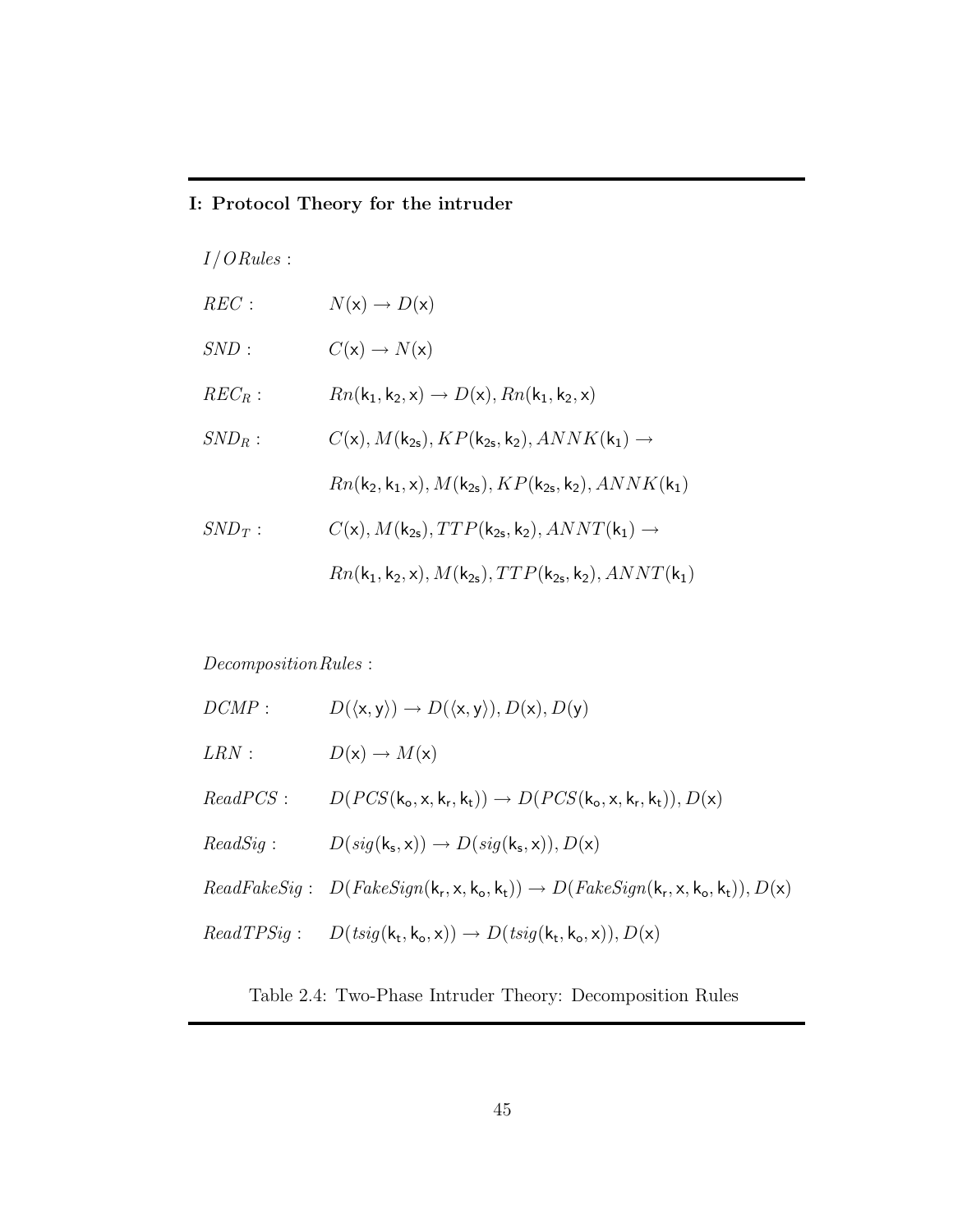# I: Protocol Theory for the intruder

 $I/ORules$ :

| REC:      | $N(x) \rightarrow D(x)$                                                                                 |
|-----------|---------------------------------------------------------------------------------------------------------|
| SND:      | $C(\mathsf{x}) \to N(\mathsf{x})$                                                                       |
| $REC_R$ : | $Rn(k_1, k_2, x) \rightarrow D(x), Rn(k_1, k_2, x)$                                                     |
| $SND_R:$  | $C(\mathsf{x}), M(\mathsf{k}_{2s}), KP(\mathsf{k}_{2s}, \mathsf{k}_2), ANNK(\mathsf{k}_1) \rightarrow$  |
|           | $Rn(k_2, k_1, x), M(k_{2s}), KP(k_{2s}, k_2), ANNK(k_1)$                                                |
| $SND_T$ : | $C(\mathsf{x}), M(\mathsf{k}_{2s}), TTP(\mathsf{k}_{2s}, \mathsf{k}_2), ANNT(\mathsf{k}_1) \rightarrow$ |
|           | $Rn(k_1, k_2, x), M(k_{2s}), TTP(k_{2s}, k_2), ANNT(k_1)$                                               |

 $\label{eq:reconstruction} Decomposition\,Rules:$ 

| DCMP:    | $D(\langle x, y \rangle) \rightarrow D(\langle x, y \rangle), D(x), D(y)$                    |
|----------|----------------------------------------------------------------------------------------------|
| LRN:     | $D(x) \to M(x)$                                                                              |
| ReadPCS: | $D(PCS(k_0, x, k_r, k_t)) \rightarrow D(PCS(k_0, x, k_r, k_t)), D(x)$                        |
| ReadSig: | $D(sig(k_s, x)) \rightarrow D(sig(k_s, x)), D(x)$                                            |
|          | $ReadFakeSig: D(FakeSign(k_r, x, k_o, k_t)) \rightarrow D(FakeSign(k_r, x, k_o, k_t)), D(x)$ |
|          | $ReadTPSig:$ $D(tsig(k_t, k_o, x)) \rightarrow D(tsig(k_t, k_o, x)), D(x)$                   |

Table 2.4: Two-Phase Intruder Theory: Decomposition Rules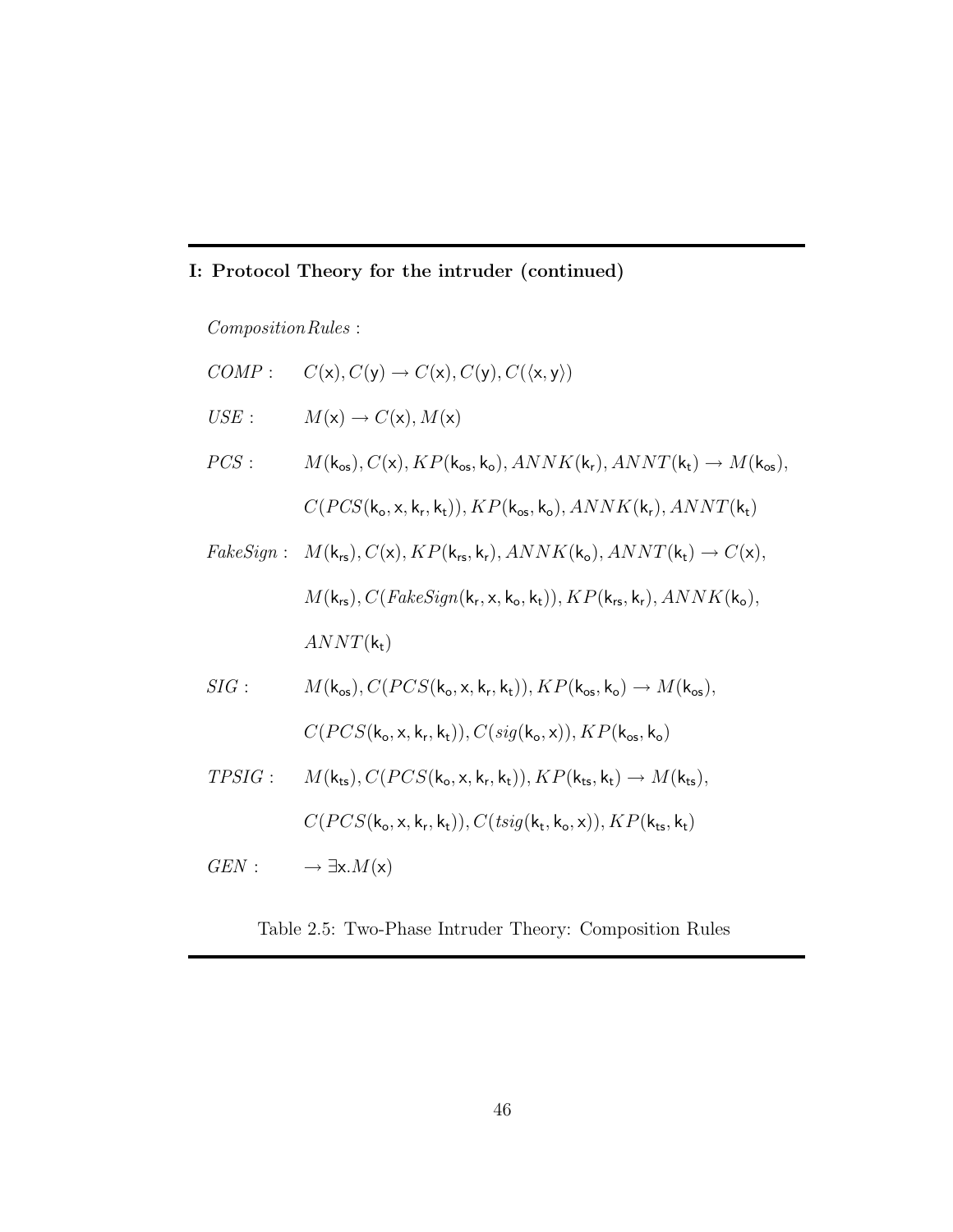# I: Protocol Theory for the intruder (continued)

 $Composition\,Rules$  :

\n
$$
COMP: C(\mathbf{x}), C(\mathbf{y}) \rightarrow C(\mathbf{x}), C(\mathbf{y}), C(\langle \mathbf{x}, \mathbf{y} \rangle)
$$
\n

\n\n
$$
USE: M(\mathbf{x}) \rightarrow C(\mathbf{x}), M(\mathbf{x})
$$
\n

\n\n
$$
PCS: M(\mathbf{k}_{os}), C(\mathbf{x}), KP(\mathbf{k}_{os}, \mathbf{k}_{o}), ANNK(\mathbf{k}_{r}), ANNT(\mathbf{k}_{t}) \rightarrow M(\mathbf{k}_{os}), C(PCS(\mathbf{k}_{o}, \mathbf{x}, \mathbf{k}_{r}, \mathbf{k}_{t})), KP(\mathbf{k}_{os}, \mathbf{k}_{o}), ANNK(\mathbf{k}_{r}), ANNT(\mathbf{k}_{t})
$$
\n

\n\n
$$
FalseSign: M(\mathbf{k}_{rs}), C(\mathbf{x}), KP(\mathbf{k}_{rs}, \mathbf{k}_{r}), ANNK(\mathbf{k}_{o}), ANNT(\mathbf{k}_{t}) \rightarrow C(\mathbf{x}), M(\mathbf{k}_{rs}), C(FakeSign(\mathbf{k}_{r}, \mathbf{x}, \mathbf{k}_{o}, \mathbf{k}_{t})), KP(\mathbf{k}_{rs}, \mathbf{k}_{r}), ANNK(\mathbf{k}_{o}), ANNT(\mathbf{k}_{t})
$$
\n

\n\n
$$
SIG: M(\mathbf{k}_{cs}), C(PCS(\mathbf{k}_{o}, \mathbf{x}, \mathbf{k}_{r}, \mathbf{k}_{t})), KP(\mathbf{k}_{os}, \mathbf{k}_{o}) \rightarrow M(\mathbf{k}_{os}), C(PCS(\mathbf{k}_{o}, \mathbf{x}, \mathbf{k}_{r}, \mathbf{k}_{t})), KP(\mathbf{k}_{os}, \mathbf{k}_{o})
$$
\n

\n\n
$$
TPSIG: M(\mathbf{k}_{ts}), C(PCS(\mathbf{k}_{o}, \mathbf{x}, \mathbf{k}_{r}, \mathbf{k}_{t})), KP(\mathbf{k}_{ts}, \mathbf{k}_{t}) \rightarrow M(\mathbf{k}_{ts}), C(PCS(\mathbf{k}_{o}, \mathbf{x}, \mathbf{k}_{r}, \mathbf{k}_{t})), KP(\mathbf{k}_{ts}, \mathbf{k}_{t}) \rightarrow M(\mathbf{k}_{ts}), C(PCS(\mathbf{k}_{o}, \mathbf{x}, \mathbf{k}_{r}, \mathbf{k}_{t})), C(tsig(\mathbf{k}_{t}, \mathbf{k}_{o}, \mathbf{x})), KP(\mathbf{k}_{ts}, \mathbf{k}_{t})
$$
\n

\n\n
$$
GEN: \rightarrow \exists \mathbf{x}. M(\mathbf{x})
$$
\n

Table 2.5: Two-Phase Intruder Theory: Composition Rules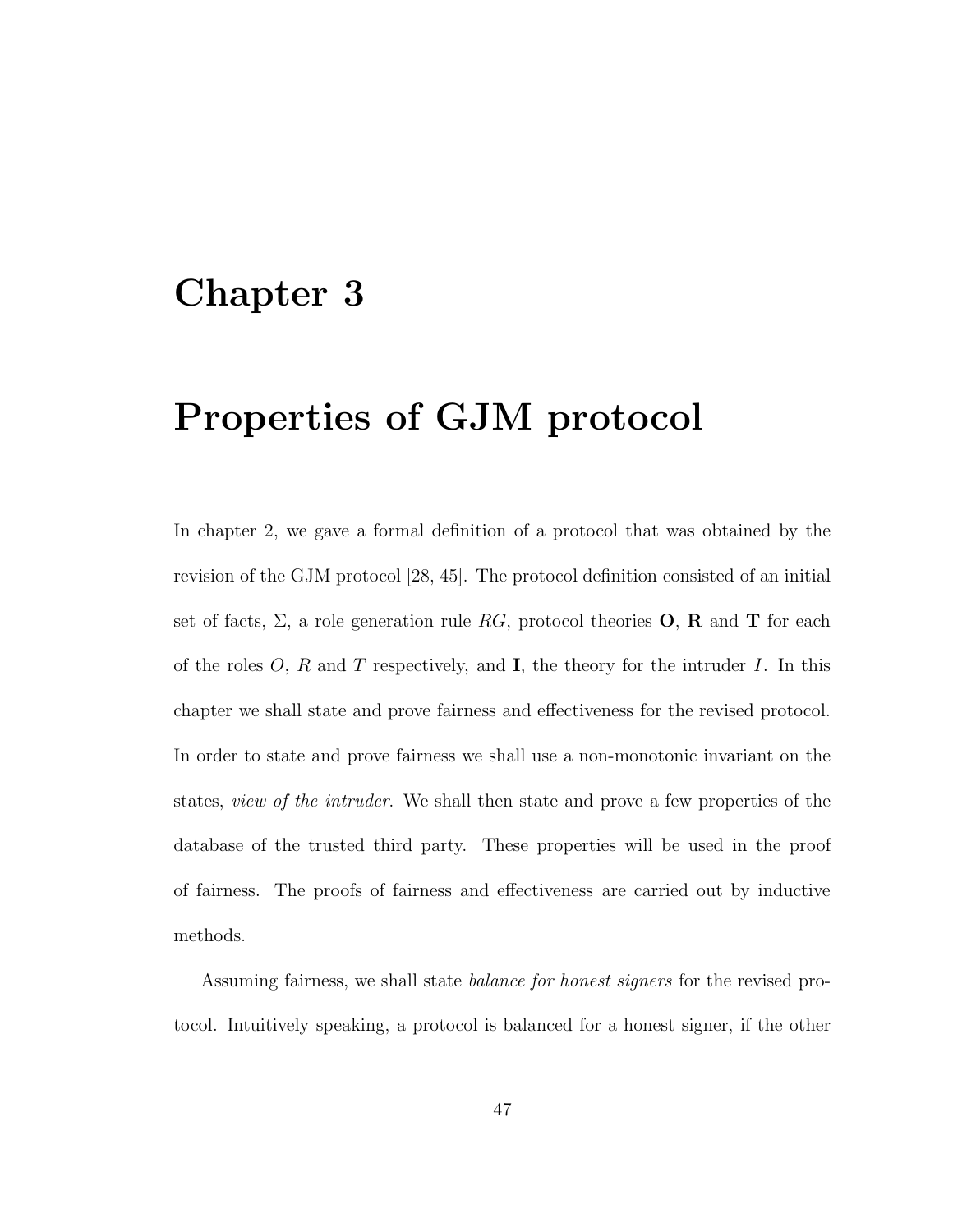# Chapter 3

# Properties of GJM protocol

In chapter 2, we gave a formal definition of a protocol that was obtained by the revision of the GJM protocol [28, 45]. The protocol definition consisted of an initial set of facts,  $\Sigma$ , a role generation rule RG, protocol theories **O**, **R** and **T** for each of the roles  $O, R$  and  $T$  respectively, and  $I$ , the theory for the intruder  $I$ . In this chapter we shall state and prove fairness and effectiveness for the revised protocol. In order to state and prove fairness we shall use a non-monotonic invariant on the states, view of the intruder. We shall then state and prove a few properties of the database of the trusted third party. These properties will be used in the proof of fairness. The proofs of fairness and effectiveness are carried out by inductive methods.

Assuming fairness, we shall state balance for honest signers for the revised protocol. Intuitively speaking, a protocol is balanced for a honest signer, if the other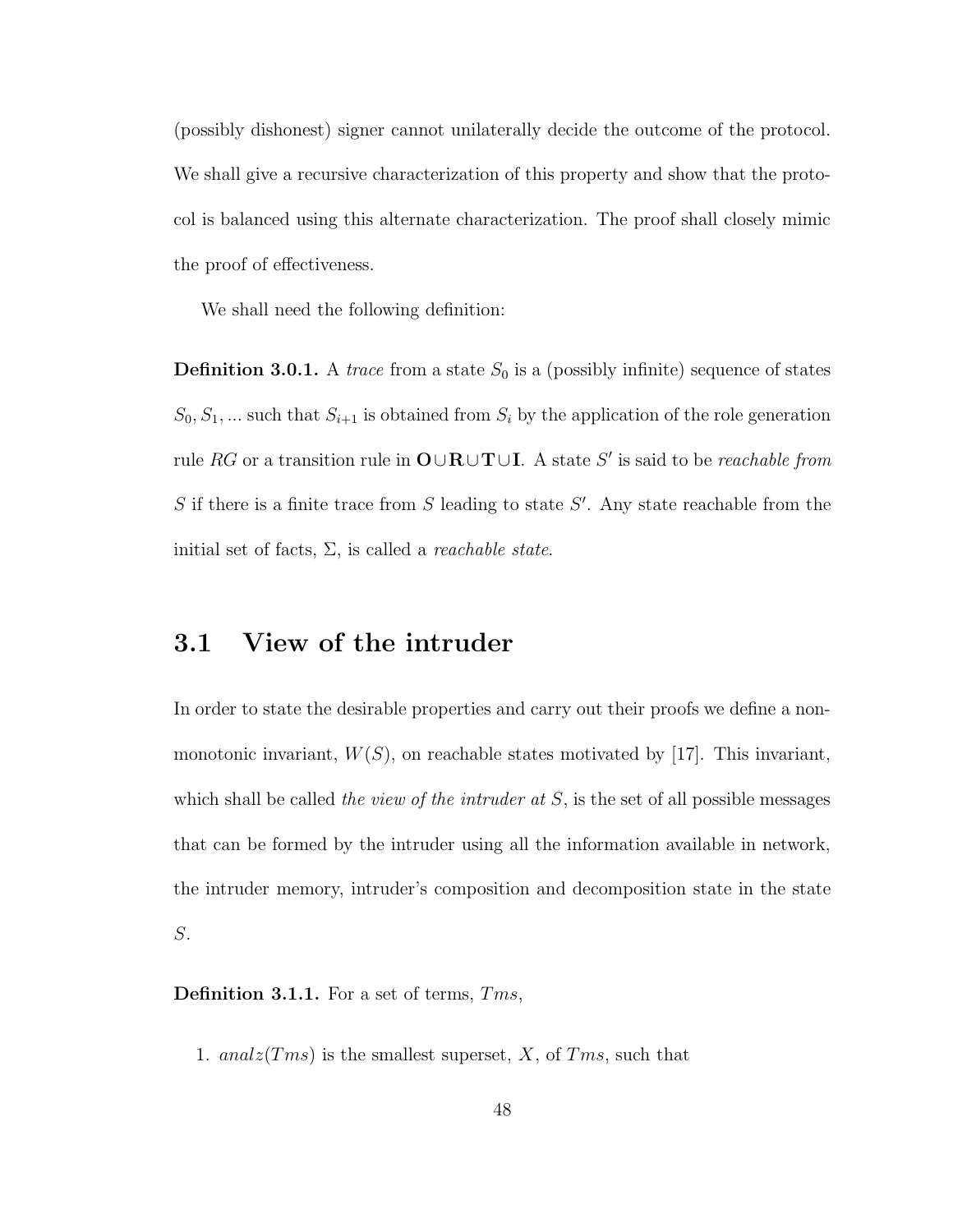(possibly dishonest) signer cannot unilaterally decide the outcome of the protocol. We shall give a recursive characterization of this property and show that the protocol is balanced using this alternate characterization. The proof shall closely mimic the proof of effectiveness.

We shall need the following definition:

**Definition 3.0.1.** A *trace* from a state  $S_0$  is a (possibly infinite) sequence of states  $S_0, S_1, \dots$  such that  $S_{i+1}$  is obtained from  $S_i$  by the application of the role generation rule RG or a transition rule in  $\mathbf{O} \cup \mathbf{R} \cup \mathbf{T} \cup \mathbf{I}$ . A state S' is said to be *reachable from*  $S$  if there is a finite trace from  $S$  leading to state  $S'$ . Any state reachable from the initial set of facts,  $\Sigma$ , is called a *reachable state*.

# 3.1 View of the intruder

In order to state the desirable properties and carry out their proofs we define a nonmonotonic invariant,  $W(S)$ , on reachable states motivated by [17]. This invariant, which shall be called the view of the intruder at  $S$ , is the set of all possible messages that can be formed by the intruder using all the information available in network, the intruder memory, intruder's composition and decomposition state in the state S.

Definition 3.1.1. For a set of terms, Tms,

1. analz $(Tms)$  is the smallest superset, X, of Tms, such that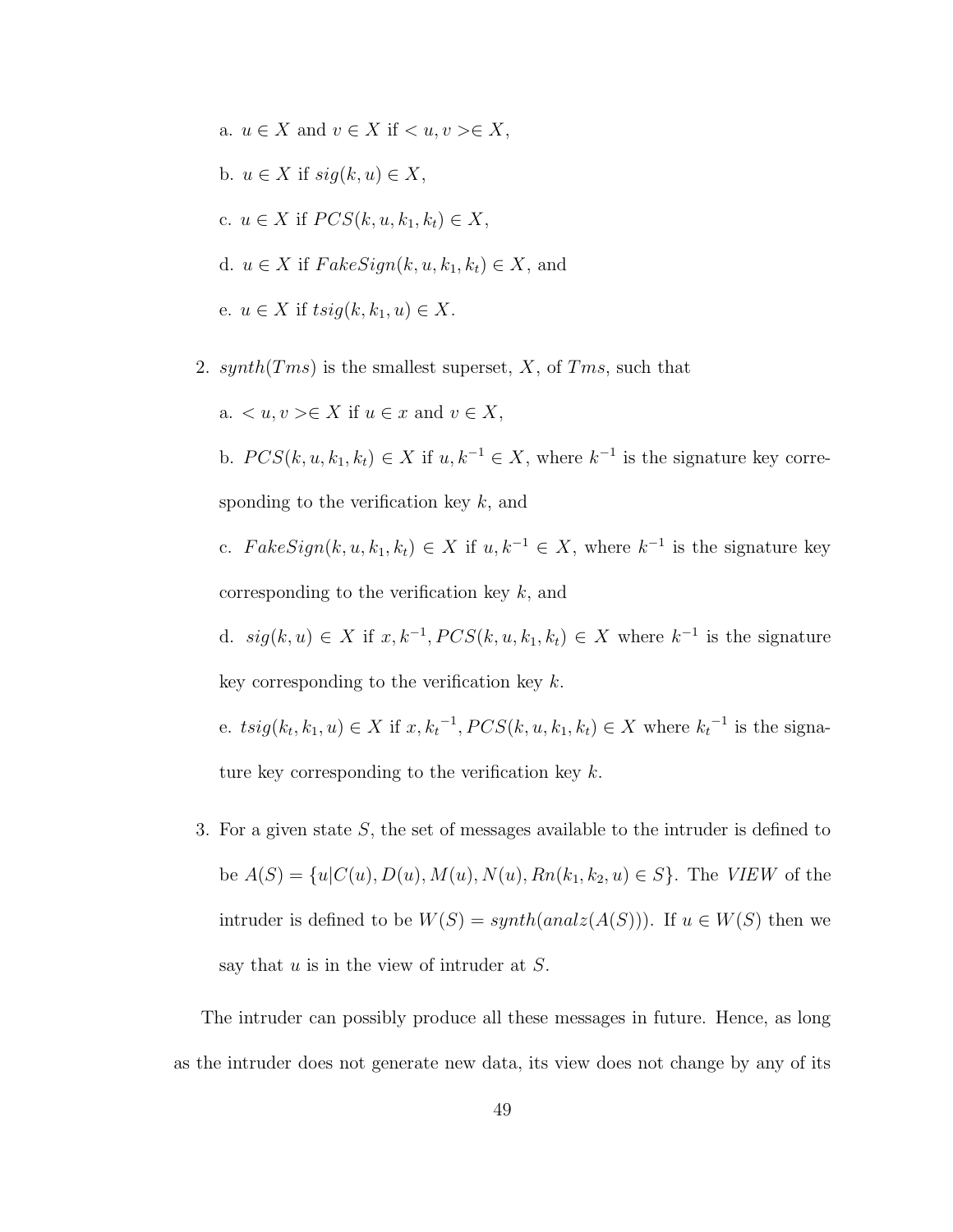- a.  $u \in X$  and  $v \in X$  if  $\langle u, v \rangle \in X$ , b.  $u \in X$  if  $sig(k, u) \in X$ , c.  $u \in X$  if  $PCS(k, u, k_1, k_t) \in X$ , d.  $u \in X$  if  $FakeSign(k, u, k_1, k_t) \in X$ , and e.  $u \in X$  if  $tsig(k, k_1, u) \in X$ .
- 2. synth( $Tms$ ) is the smallest superset, X, of  $Tms$ , such that

a.  $\langle u, v \rangle \in X$  if  $u \in x$  and  $v \in X$ , b.  $PCS(k, u, k_1, k_t) \in X$  if  $u, k^{-1} \in X$ , where  $k^{-1}$  is the signature key corresponding to the verification key  $k$ , and c.  $FalseSign(k, u, k_1, k_t) \in X$  if  $u, k^{-1} \in X$ , where  $k^{-1}$  is the signature key corresponding to the verification key  $k$ , and d.  $sig(k, u) \in X$  if  $x, k^{-1}, PCS(k, u, k_1, k_t) \in X$  where  $k^{-1}$  is the signature key corresponding to the verification key  $k$ . e.  $t sig(k_t, k_1, u) \in X$  if  $x, k_t^{-1}, PCS(k, u, k_1, k_t) \in X$  where  $k_t^{-1}$  is the signa-

- ture key corresponding to the verification key  $k$ .
- 3. For a given state S, the set of messages available to the intruder is defined to be  $A(S) = \{u|C(u), D(u), M(u), N(u), Rn(k_1, k_2, u) \in S\}$ . The *VIEW* of the intruder is defined to be  $W(S) = synth(analz(A(S)))$ . If  $u \in W(S)$  then we say that  $u$  is in the view of intruder at  $S$ .

The intruder can possibly produce all these messages in future. Hence, as long as the intruder does not generate new data, its view does not change by any of its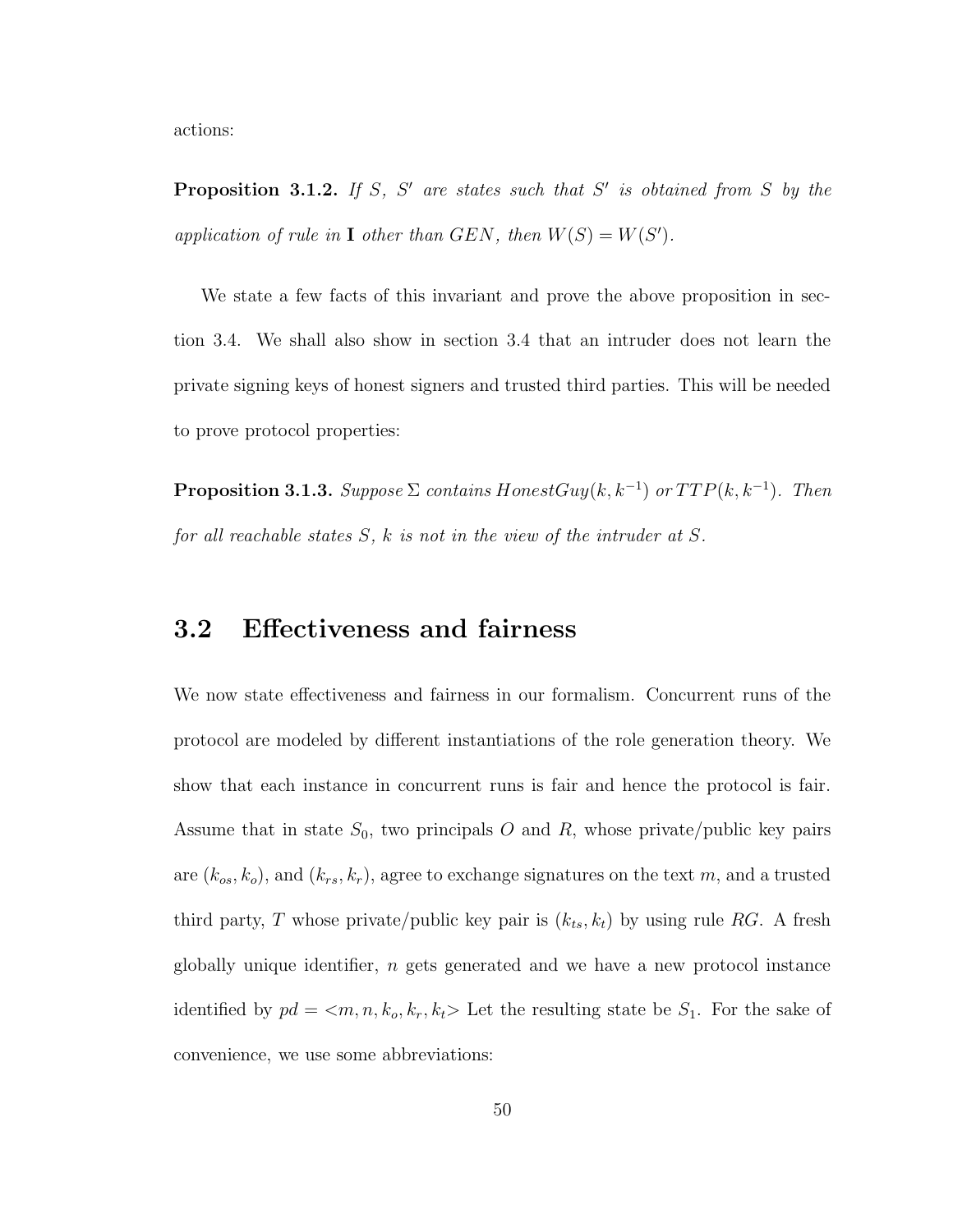actions:

**Proposition 3.1.2.** If S, S' are states such that S' is obtained from S by the application of rule in **I** other than GEN, then  $W(S) = W(S')$ .

We state a few facts of this invariant and prove the above proposition in section 3.4. We shall also show in section 3.4 that an intruder does not learn the private signing keys of honest signers and trusted third parties. This will be needed to prove protocol properties:

**Proposition 3.1.3.** Suppose  $\Sigma$  contains HonestGuy(k, k<sup>-1</sup>) or  $TTP(k, k^{-1})$ . Then for all reachable states  $S$ ,  $k$  is not in the view of the intruder at  $S$ .

# 3.2 Effectiveness and fairness

We now state effectiveness and fairness in our formalism. Concurrent runs of the protocol are modeled by different instantiations of the role generation theory. We show that each instance in concurrent runs is fair and hence the protocol is fair. Assume that in state  $S_0$ , two principals O and R, whose private/public key pairs are  $(k_{os}, k_o)$ , and  $(k_{rs}, k_r)$ , agree to exchange signatures on the text m, and a trusted third party, T whose private/public key pair is  $(k_{ts}, k_t)$  by using rule RG. A fresh globally unique identifier, n gets generated and we have a new protocol instance identified by  $pd = \langle m, n, k_o, k_r, k_t \rangle$  Let the resulting state be  $S_1$ . For the sake of convenience, we use some abbreviations: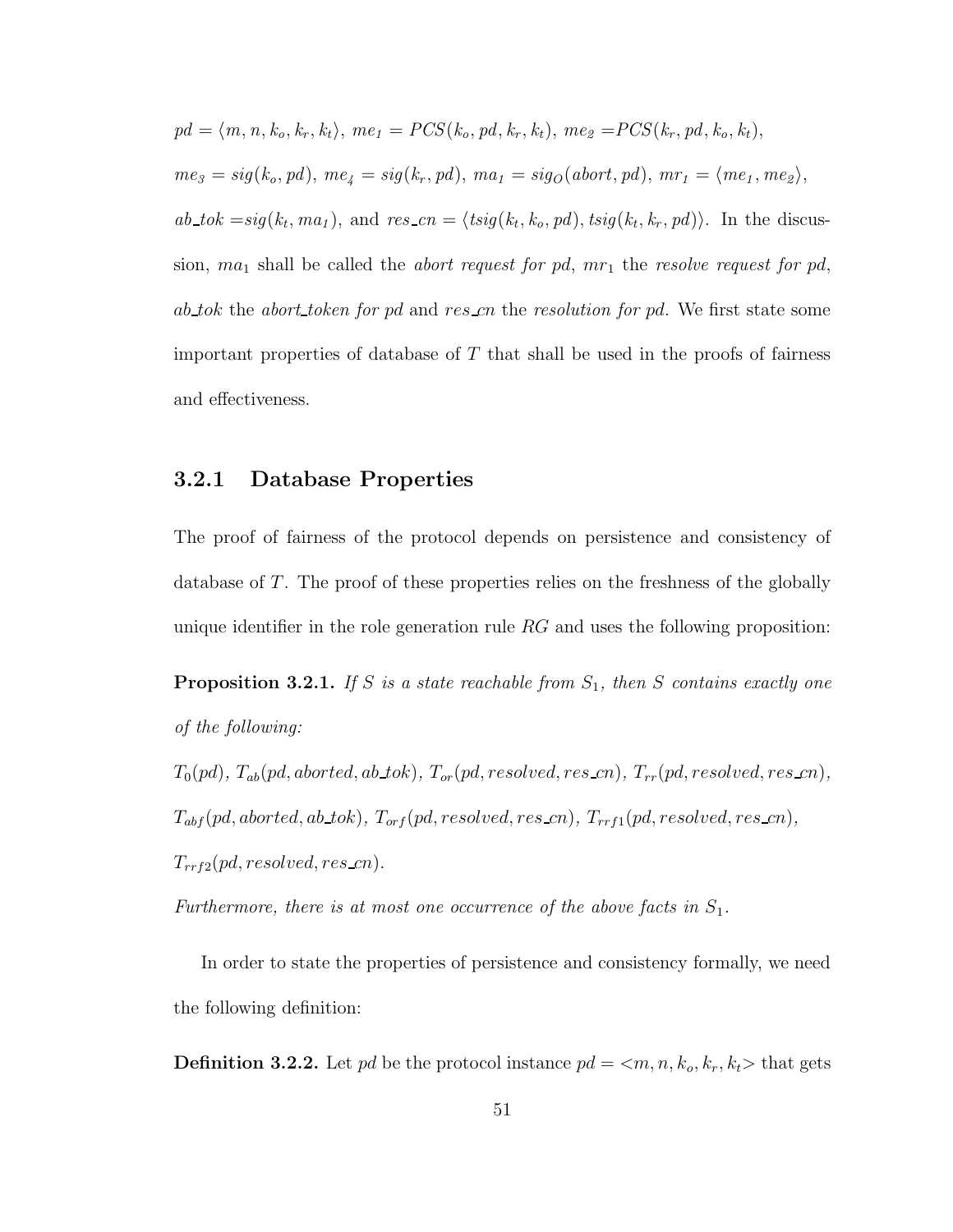$$
pd = \langle m, n, k_o, k_r, k_t \rangle, me_1 = PCS(k_o, pd, k_r, k_t), me_2 = PCS(k_r, pd, k_o, k_t),
$$
  
\n
$$
me_3 = sig(k_o, pd), me_4 = sig(k_r, pd), ma_1 = sig_O(abort, pd), mr_1 = \langle me_1, me_2 \rangle,
$$
  
\n
$$
ab\_tok = sig(k_t, ma_1), \text{ and } res\_cn = \langle tsig(k_t, k_o, pd), tsig(k_t, k_r, pd) \rangle.
$$
 In the discussion,  $ma_1$  shall be called the *abort request for pd*,  $mr_1$  the *resolve request for pd*,  
\n
$$
ab\_tok
$$
 the *abort\\_token for pd* and  $res\_cn$  the *resolution for pd*. We first state some  
\nimportant properties of database of  $T$  that shall be used in the proofs of fairness  
\nand effectiveness.

#### 3.2.1 Database Properties

The proof of fairness of the protocol depends on persistence and consistency of database of T. The proof of these properties relies on the freshness of the globally unique identifier in the role generation rule  $RG$  and uses the following proposition:

**Proposition 3.2.1.** If S is a state reachable from  $S_1$ , then S contains exactly one of the following:

 $T_0(pd)$ ,  $T_{ab}(pd,aborted,ab\_tok)$ ,  $T_{or}(pd, resolved, res\_cn)$ ,  $T_{rr}(pd, resolved, res\_cn)$ ,  $T_{abf}(pd,aborted,ab\_tok), T_{orf}(pd, resolved, res\_cn), T_{rrf1}(pd, resolved, res\_cn),$  $T_{rrf2}(pd, resolved, reszcn).$ 

Furthermore, there is at most one occurrence of the above facts in  $S_1$ .

In order to state the properties of persistence and consistency formally, we need the following definition:

**Definition 3.2.2.** Let pd be the protocol instance  $pd = \langle m, n, k_o, k_r, k_t \rangle$  that gets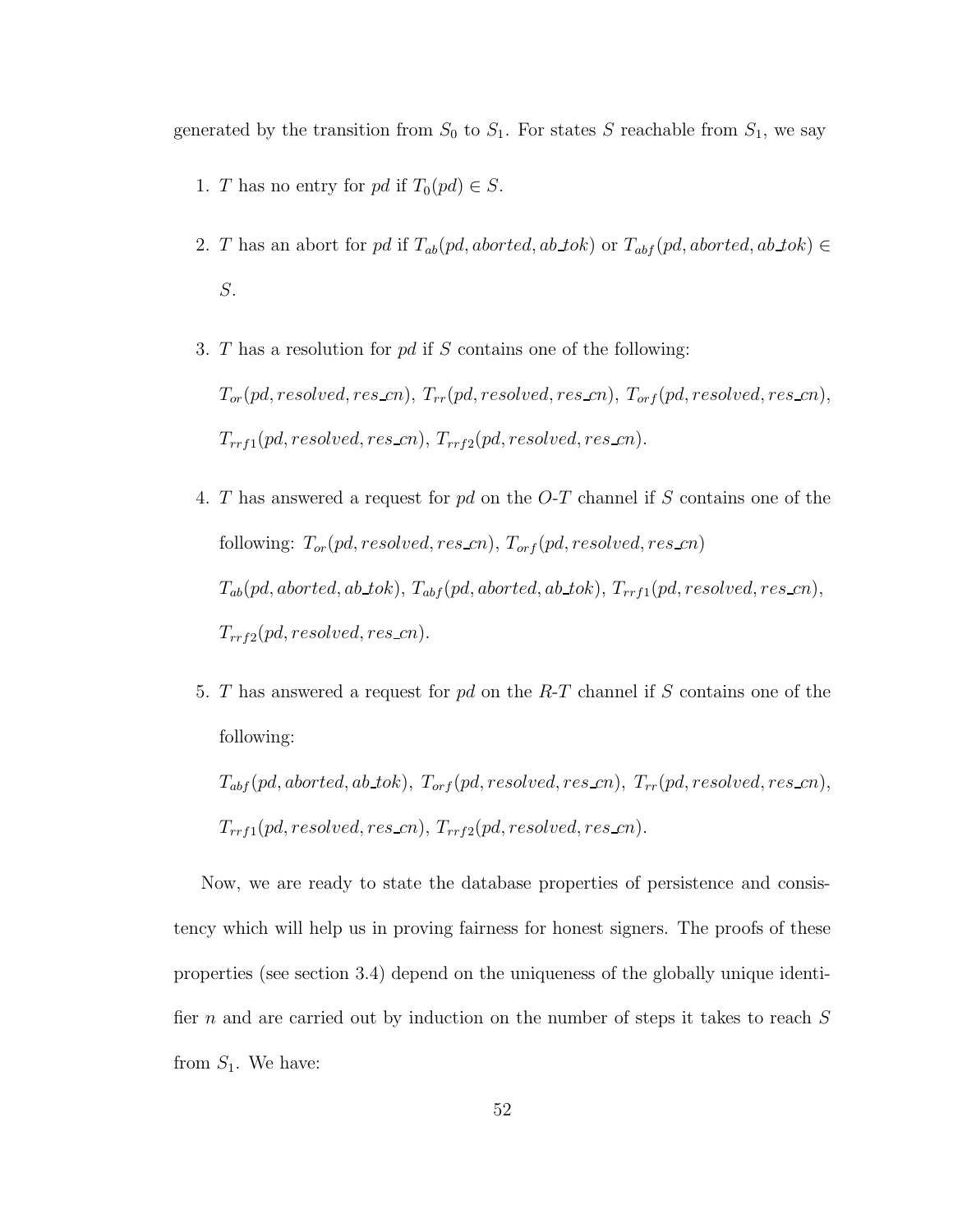generated by the transition from  $S_0$  to  $S_1$ . For states S reachable from  $S_1$ , we say

- 1. T has no entry for pd if  $T_0(pd) \in S$ .
- 2. T has an abort for pd if  $T_{ab}(pd,aborted,ab\_tok)$  or  $T_{abf}(pd,aborted,ab\_tok)$ S.
- 3. T has a resolution for pd if S contains one of the following:  $T_{or}(pd, resolved, res.cn), T_{rr}(pd, resolved, res.cn), T_{orf}(pd, resolved, res.cn),$  $T_{rrf1}(pd, resolved, reszcn), T_{rrf2}(pd, resolved, reszcn).$
- 4. T has answered a request for pd on the O-T channel if S contains one of the following:  $T_{or}(pd, resolved, res\_cn), T_{orf}(pd, resolved, res\_cn)$  $T_{ab}(pd,aborted,ab\_tok),\ T_{abf}(pd,aborted,ab\_tok),\ T_{rrf1}(pd, resolved,res\_cn),$  $T_{rrf2}(pd, resolved, res\_cn).$
- 5. T has answered a request for pd on the R-T channel if S contains one of the following:

 $T_{abf}(pd,aborted,ab\_tok), T_{orf}(pd, resolved, res\_cn), T_{rr}(pd, resolved, res\_cn),$  $T_{rrf1}(pd, resolved, res\_cn), T_{rrf2}(pd, resolved, res\_cn).$ 

Now, we are ready to state the database properties of persistence and consistency which will help us in proving fairness for honest signers. The proofs of these properties (see section 3.4) depend on the uniqueness of the globally unique identifier n and are carried out by induction on the number of steps it takes to reach  $S$ from  $S_1$ . We have: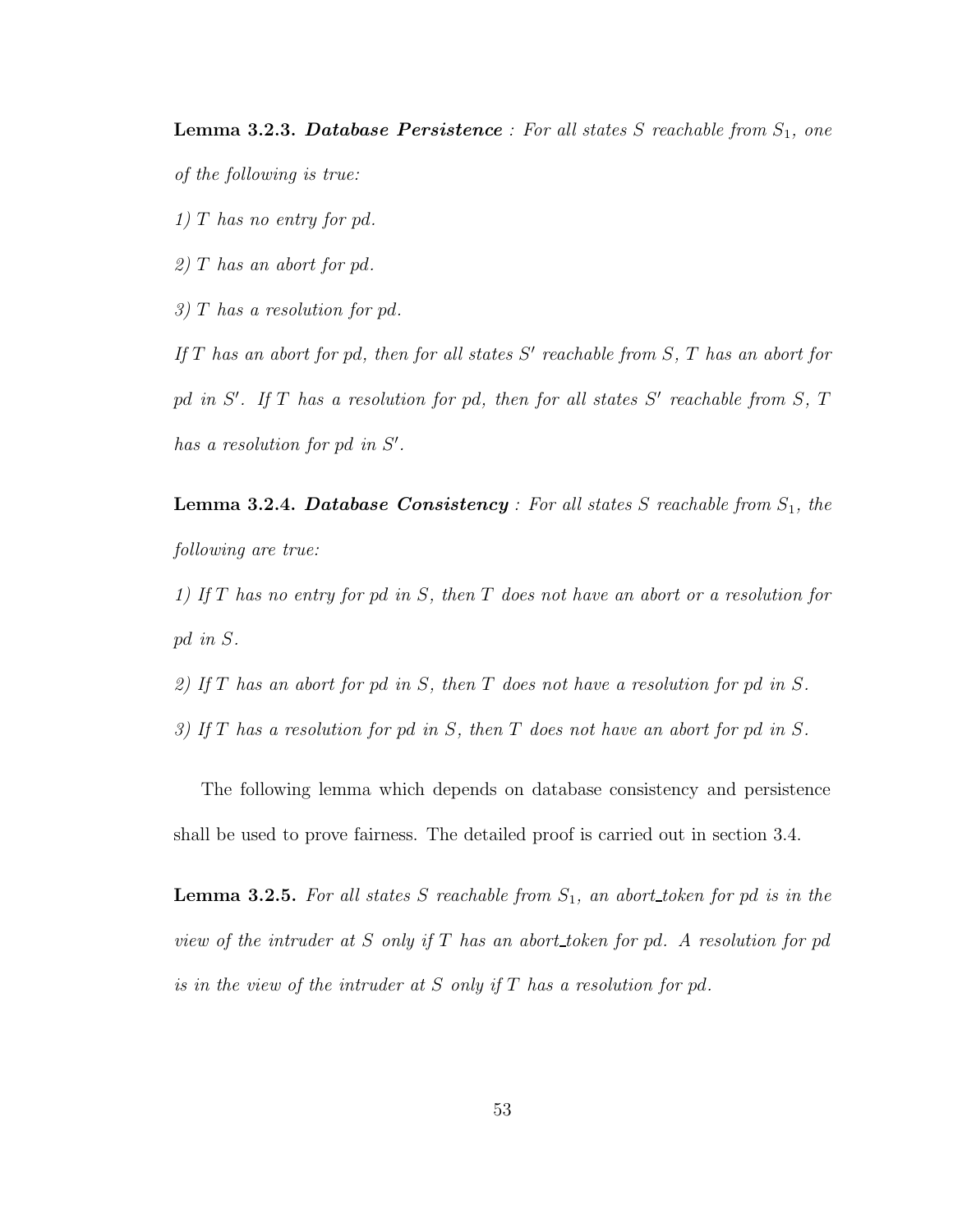**Lemma 3.2.3. Database Persistence**: For all states  $S$  reachable from  $S_1$ , one of the following is true:

1) T has no entry for  $pd$ .

2) T has an abort for pd.

3) T has a resolution for pd.

If  $T$  has an abort for pd, then for all states  $S'$  reachable from  $S$ ,  $T$  has an abort for pd in  $S'$ . If T has a resolution for pd, then for all states  $S'$  reachable from  $S$ , T has a resolution for pd in  $S'$ .

**Lemma 3.2.4. Database Consistency**: For all states  $S$  reachable from  $S_1$ , the following are true:

1) If T has no entry for pd in S, then T does not have an abort or a resolution for pd in S.

2) If T has an abort for pd in S, then T does not have a resolution for pd in S.

3) If T has a resolution for pd in S, then T does not have an abort for pd in S.

The following lemma which depends on database consistency and persistence shall be used to prove fairness. The detailed proof is carried out in section 3.4.

**Lemma 3.2.5.** For all states S reachable from  $S_1$ , an abort token for pd is in the view of the intruder at  $S$  only if  $T$  has an abort token for pd. A resolution for pd is in the view of the intruder at S only if T has a resolution for pd.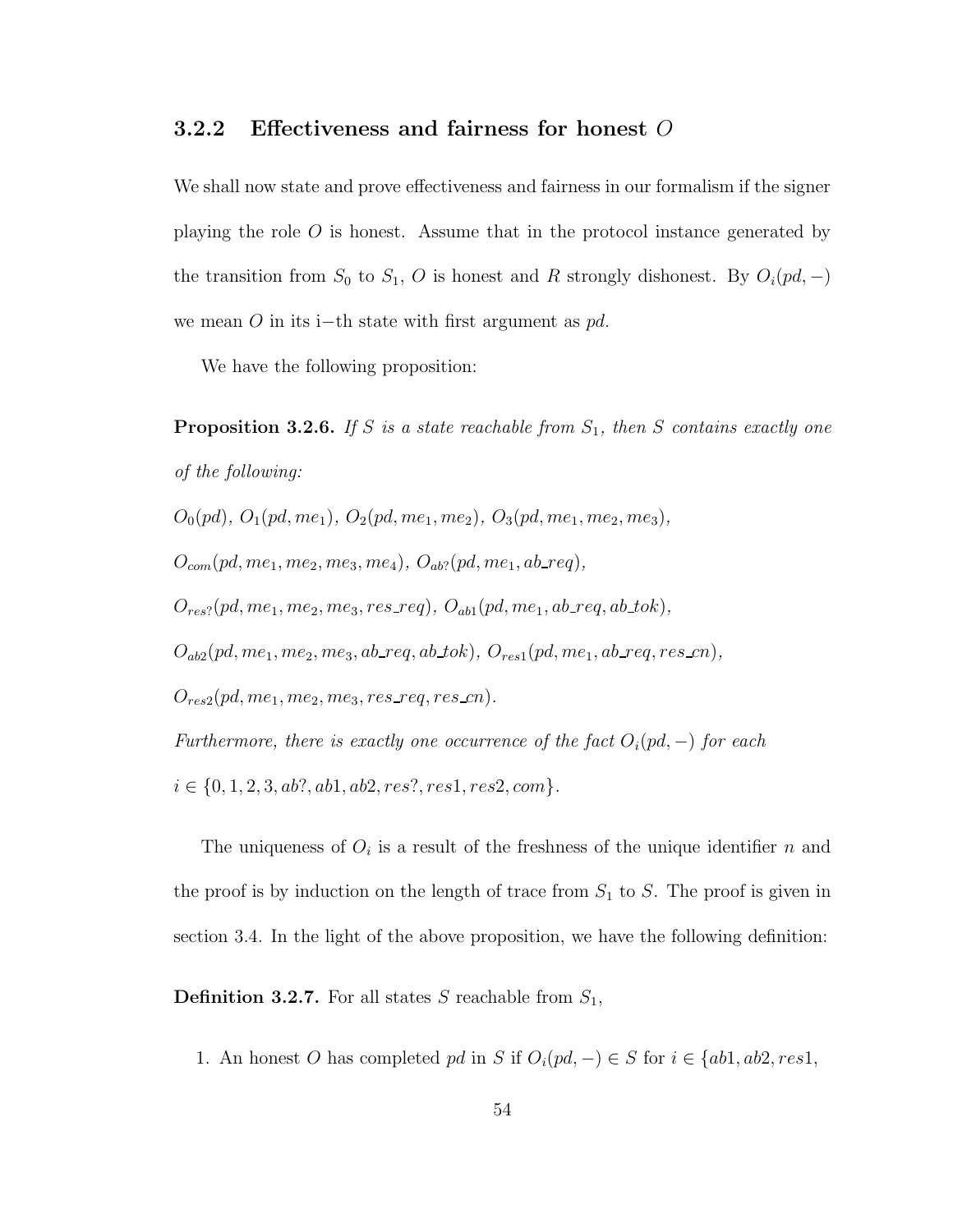#### 3.2.2 Effectiveness and fairness for honest O

We shall now state and prove effectiveness and fairness in our formalism if the signer playing the role O is honest. Assume that in the protocol instance generated by the transition from  $S_0$  to  $S_1$ , O is honest and R strongly dishonest. By  $O_i(pd, -)$ we mean O in its i−th state with first argument as  $pd$ .

We have the following proposition:

**Proposition 3.2.6.** If S is a state reachable from  $S_1$ , then S contains exactly one of the following:

 $O_0(pd)$ ,  $O_1(pd, me_1)$ ,  $O_2(pd, me_1, me_2)$ ,  $O_3(pd, me_1, me_2, me_3)$ ,

 $O_{com}(pd, me_1, me_2, me_3, me_4), O_{ab}$ ? (pd, me<sub>1</sub>, ab\_req),

 $O_{res}(pd, me_1, me_2, me_3, res\_req), O_{ab1}(pd, me_1, ab\_req, ab\_tok),$ 

 $O_{ab2}(pd, me_1, me_2, me_3, ab\_req, ab\_tok), O_{res1}(pd, me_1, ab\_req, res\_cn),$ 

 $O_{res2}(pd, me_1, me_2, me_3, res\_req, res\_cn).$ 

Furthermore, there is exactly one occurrence of the fact  $O_i(pd, -)$  for each

 $i \in \{0, 1, 2, 3, ab?, ab1, ab2, res?, res1, res2, com\}.$ 

The uniqueness of  $O_i$  is a result of the freshness of the unique identifier n and the proof is by induction on the length of trace from  $S_1$  to  $S$ . The proof is given in section 3.4. In the light of the above proposition, we have the following definition:

**Definition 3.2.7.** For all states S reachable from  $S_1$ ,

1. An honest O has completed pd in S if  $O_i(pd, -) \in S$  for  $i \in \{ab1, ab2, res1,$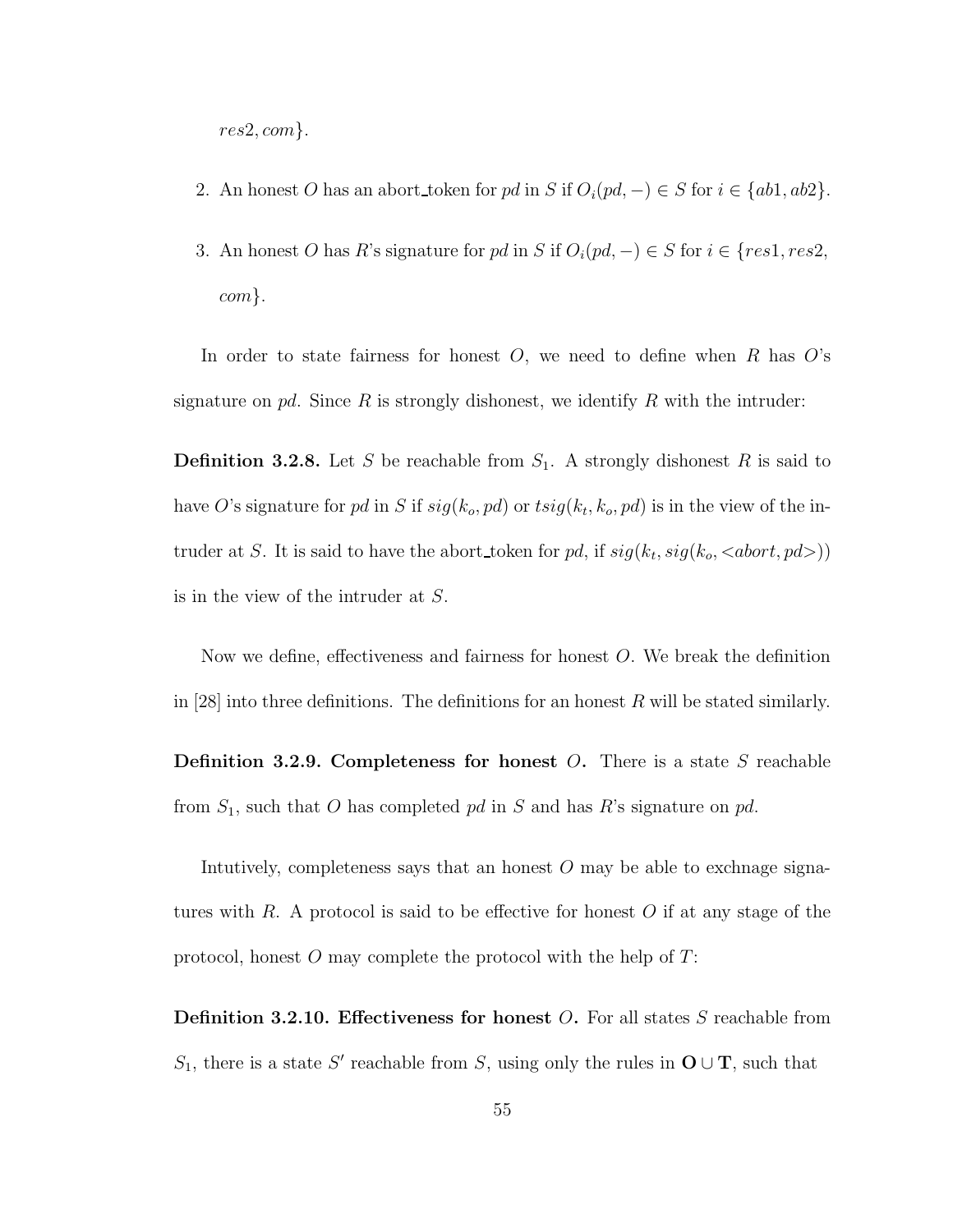res2, com}.

- 2. An honest O has an abort\_token for pd in S if  $O_i(pd, -) \in S$  for  $i \in \{ab1, ab2\}$ .
- 3. An honest O has R's signature for pd in S if  $O_i(pd, -) \in S$  for  $i \in \{res1, res2,$ com}.

In order to state fairness for honest  $O$ , we need to define when  $R$  has  $O$ 's signature on pd. Since R is strongly dishonest, we identify R with the intruder:

**Definition 3.2.8.** Let S be reachable from  $S_1$ . A strongly dishonest R is said to have O's signature for pd in S if  $sig(k_o, pd)$  or  $tsig(k_t, k_o, pd)$  is in the view of the intruder at S. It is said to have the abort token for pd, if  $sig(k_t, sig(k_o, *abort*, pd))$ is in the view of the intruder at S.

Now we define, effectiveness and fairness for honest O. We break the definition in [28] into three definitions. The definitions for an honest  $R$  will be stated similarly.

**Definition 3.2.9. Completeness for honest**  $O$ **.** There is a state  $S$  reachable from  $S_1$ , such that O has completed pd in S and has R's signature on pd.

Intutively, completeness says that an honest  $O$  may be able to exchnage signatures with R. A protocol is said to be effective for honest O if at any stage of the protocol, honest  $O$  may complete the protocol with the help of  $T$ :

**Definition 3.2.10. Effectiveness for honest O.** For all states  $S$  reachable from S<sub>1</sub>, there is a state S' reachable from S, using only the rules in  $O \cup T$ , such that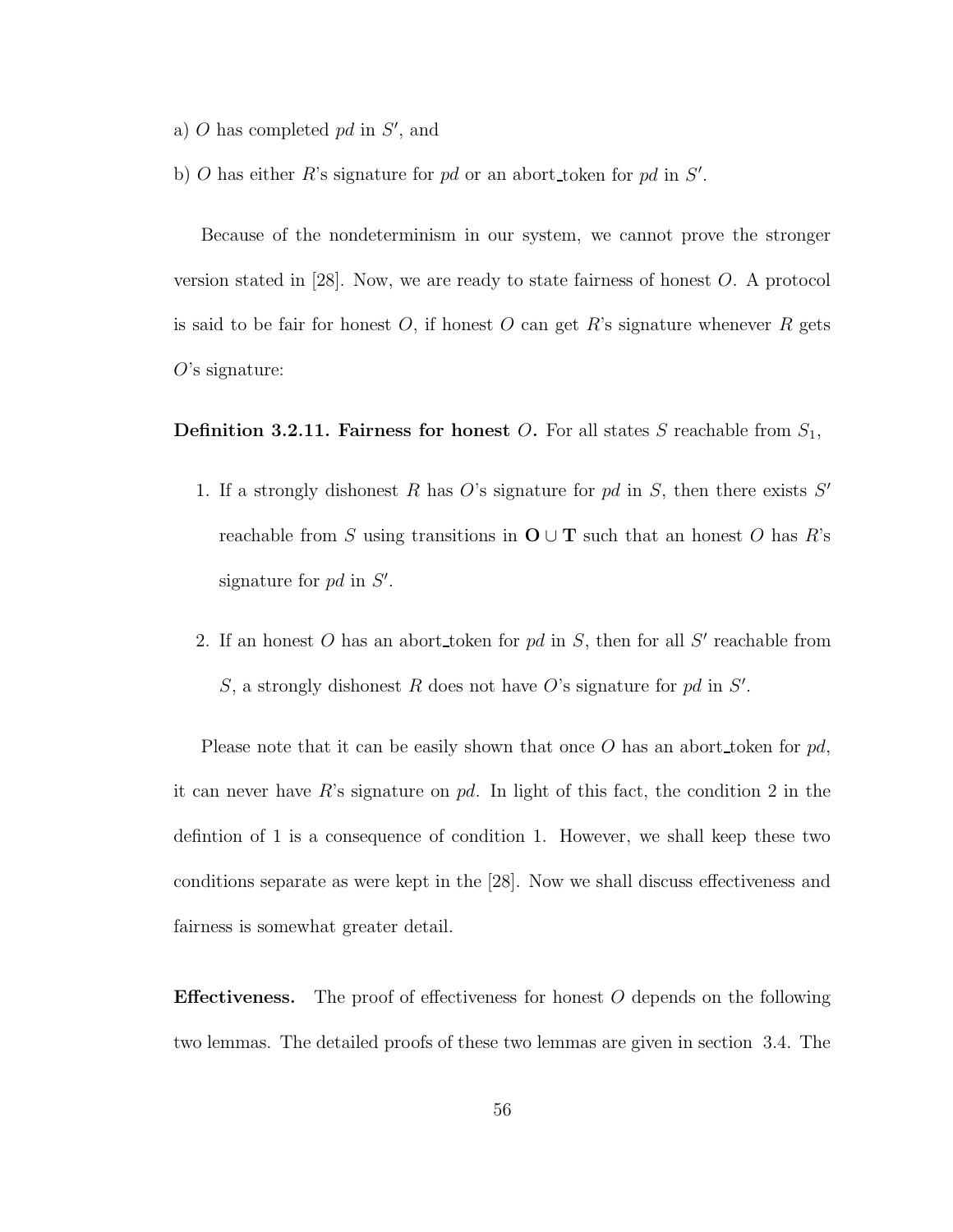- a)  $O$  has completed  $pd$  in  $S'$ , and
- b) O has either R's signature for pd or an abort token for pd in  $S'$ .

Because of the nondeterminism in our system, we cannot prove the stronger version stated in [28]. Now, we are ready to state fairness of honest O. A protocol is said to be fair for honest  $O$ , if honest  $O$  can get  $R$ 's signature whenever  $R$  gets  $O$ 's signature:

**Definition 3.2.11. Fairness for honest O.** For all states S reachable from  $S_1$ ,

- 1. If a strongly dishonest R has  $O$ 's signature for pd in  $S$ , then there exists  $S'$ reachable from S using transitions in  $O \cup T$  such that an honest O has R's signature for  $pd$  in  $S'$ .
- 2. If an honest  $O$  has an abort token for  $pd$  in  $S$ , then for all  $S'$  reachable from S, a strongly dishonest R does not have O's signature for  $pd$  in S'.

Please note that it can be easily shown that once  $O$  has an abort token for  $pd$ , it can never have R's signature on  $pd$ . In light of this fact, the condition 2 in the defintion of 1 is a consequence of condition 1. However, we shall keep these two conditions separate as were kept in the [28]. Now we shall discuss effectiveness and fairness is somewhat greater detail.

**Effectiveness.** The proof of effectiveness for honest  $O$  depends on the following two lemmas. The detailed proofs of these two lemmas are given in section 3.4. The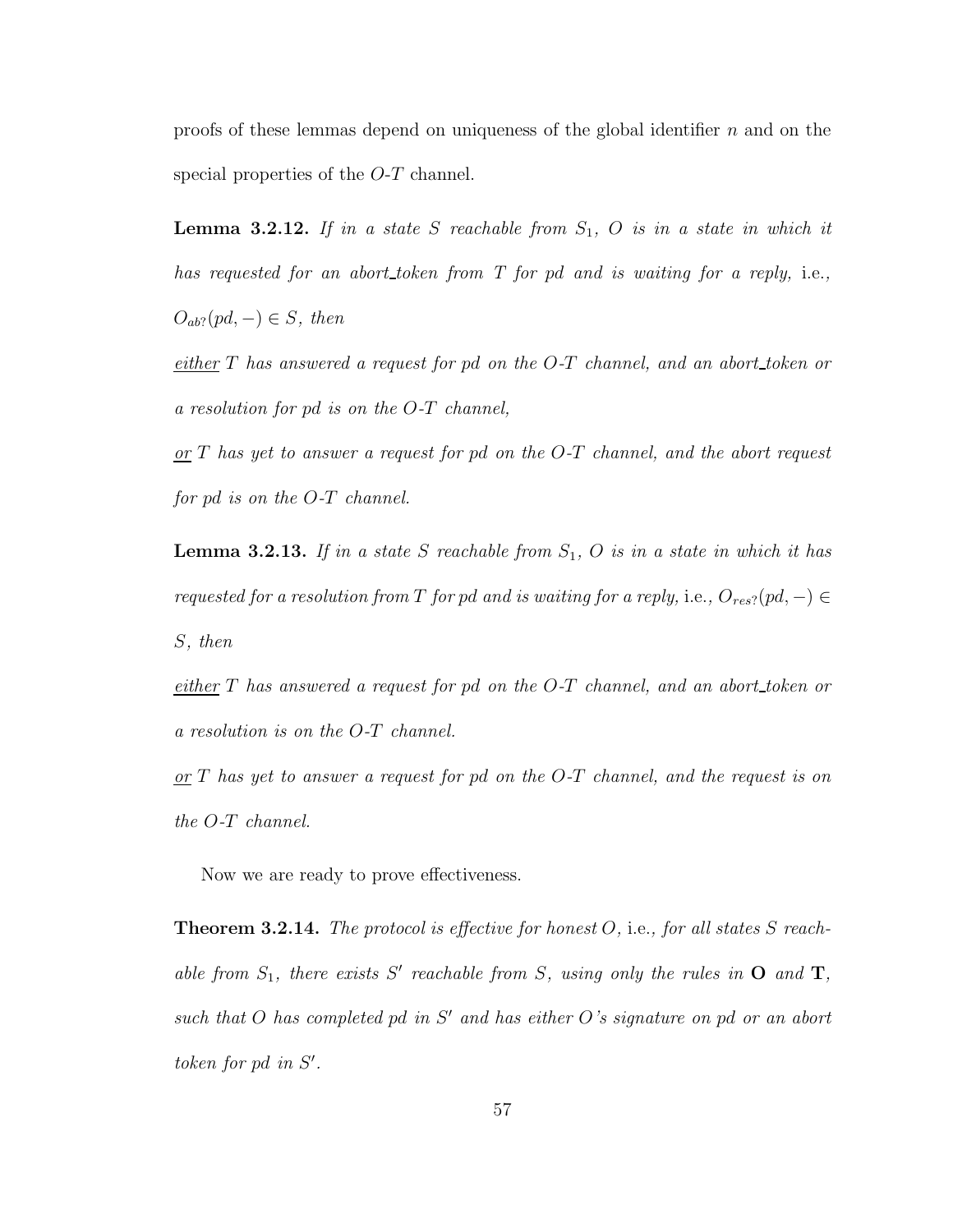proofs of these lemmas depend on uniqueness of the global identifier  $n$  and on the special properties of the O-T channel.

**Lemma 3.2.12.** If in a state S reachable from  $S_1$ , O is in a state in which it has requested for an abort token from T for pd and is waiting for a reply, i.e.,  $O_{ab}$ ?(pd, –)  $\in$  S, then

either  $T$  has answered a request for pd on the  $O-T$  channel, and an abort token or a resolution for pd is on the O-T channel,

 $or T$  has yet to answer a request for pd on the O-T channel, and the abort request for pd is on the O-T channel.

**Lemma 3.2.13.** If in a state S reachable from  $S_1$ , O is in a state in which it has requested for a resolution from T for pd and is waiting for a reply, i.e.,  $O_{res}$ ?(pd, -)  $\in$ S, then

either  $T$  has answered a request for pd on the  $O-T$  channel, and an abort token or a resolution is on the O-T channel.

 $or T$  has yet to answer a request for pd on the O-T channel, and the request is on the O-T channel.

Now we are ready to prove effectiveness.

**Theorem 3.2.14.** The protocol is effective for honest  $O$ , i.e., for all states  $S$  reachable from  $S_1$ , there exists S' reachable from S, using only the rules in  $O$  and  $T$ , such that  $O$  has completed pd in  $S'$  and has either  $O$ 's signature on pd or an abort token for pd in  $S'$ .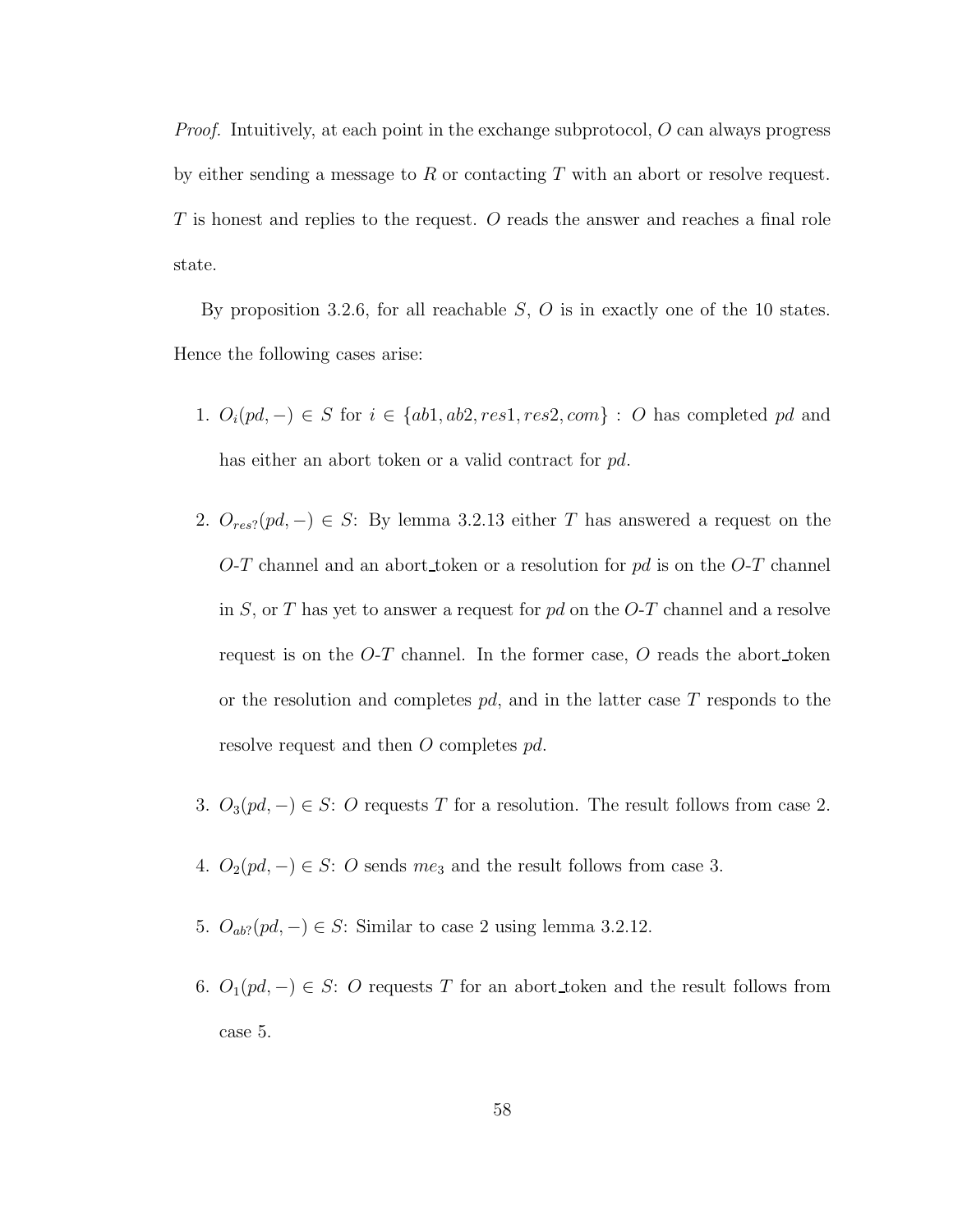*Proof.* Intuitively, at each point in the exchange subprotocol,  $O$  can always progress by either sending a message to  $R$  or contacting  $T$  with an abort or resolve request. T is honest and replies to the request. O reads the answer and reaches a final role state.

By proposition 3.2.6, for all reachable  $S$ ,  $O$  is in exactly one of the 10 states. Hence the following cases arise:

- 1.  $O_i(pd, -) \in S$  for  $i \in \{ab1, ab2, res1, res2, com\} : O$  has completed pd and has either an abort token or a valid contract for pd.
- 2.  $O_{res}(pd, -) \in S$ : By lemma 3.2.13 either T has answered a request on the O-T channel and an abort token or a resolution for  $pd$  is on the O-T channel in S, or T has yet to answer a request for  $pd$  on the O-T channel and a resolve request is on the  $O-T$  channel. In the former case,  $O$  reads the abort token or the resolution and completes  $pd$ , and in the latter case T responds to the resolve request and then O completes pd.
- 3.  $O_3(pd, -) \in S$ : O requests T for a resolution. The result follows from case 2.
- 4.  $O_2(pd, -) \in S$ : O sends  $me_3$  and the result follows from case 3.
- 5.  $O_{ab}$ ?( $pd$ , –)  $\in S$ : Similar to case 2 using lemma 3.2.12.
- 6.  $O_1(pd, -) \in S$ : O requests T for an abort\_token and the result follows from case 5.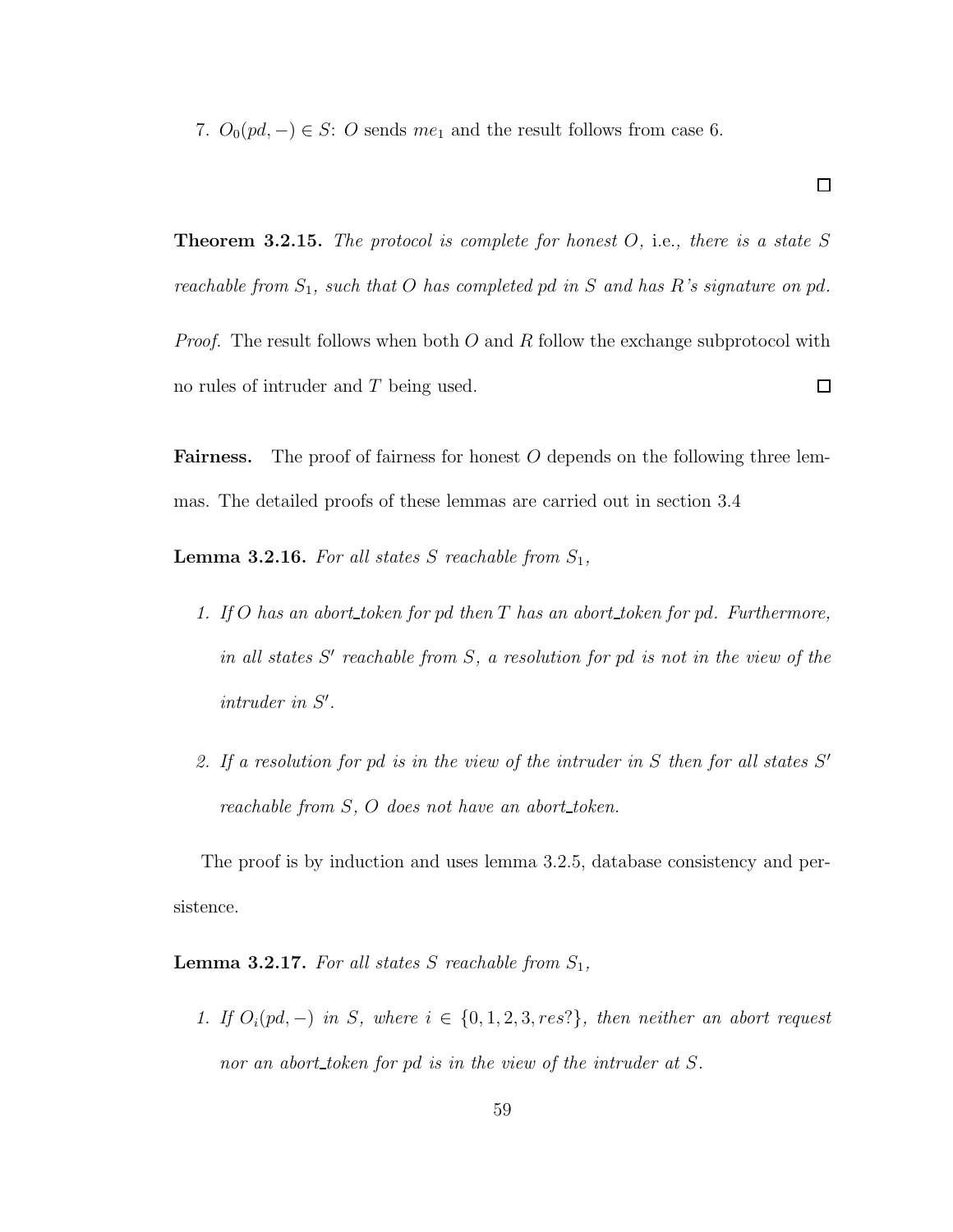7.  $O_0(pd, -) \in S$ : O sends  $me_1$  and the result follows from case 6.

**Theorem 3.2.15.** The protocol is complete for honest  $O$ , i.e., there is a state S reachable from  $S_1$ , such that O has completed pd in S and has R's signature on pd.

*Proof.* The result follows when both  $O$  and  $R$  follow the exchange subprotocol with no rules of intruder and T being used.  $\Box$ 

Fairness. The proof of fairness for honest O depends on the following three lemmas. The detailed proofs of these lemmas are carried out in section 3.4

**Lemma 3.2.16.** For all states S reachable from  $S_1$ ,

- 1. If O has an abort token for pd then  $T$  has an abort token for pd. Furthermore, in all states  $S'$  reachable from  $S$ , a resolution for pd is not in the view of the  $intruder$  in  $S'$ .
- 2. If a resolution for pd is in the view of the intruder in  $S$  then for all states  $S'$ reachable from  $S$ ,  $O$  does not have an abort\_token.

The proof is by induction and uses lemma 3.2.5, database consistency and persistence.

**Lemma 3.2.17.** For all states S reachable from  $S_1$ ,

1. If  $O_i(pd, -)$  in S, where  $i \in \{0, 1, 2, 3, res\}$ , then neither an abort request nor an abort token for pd is in the view of the intruder at S.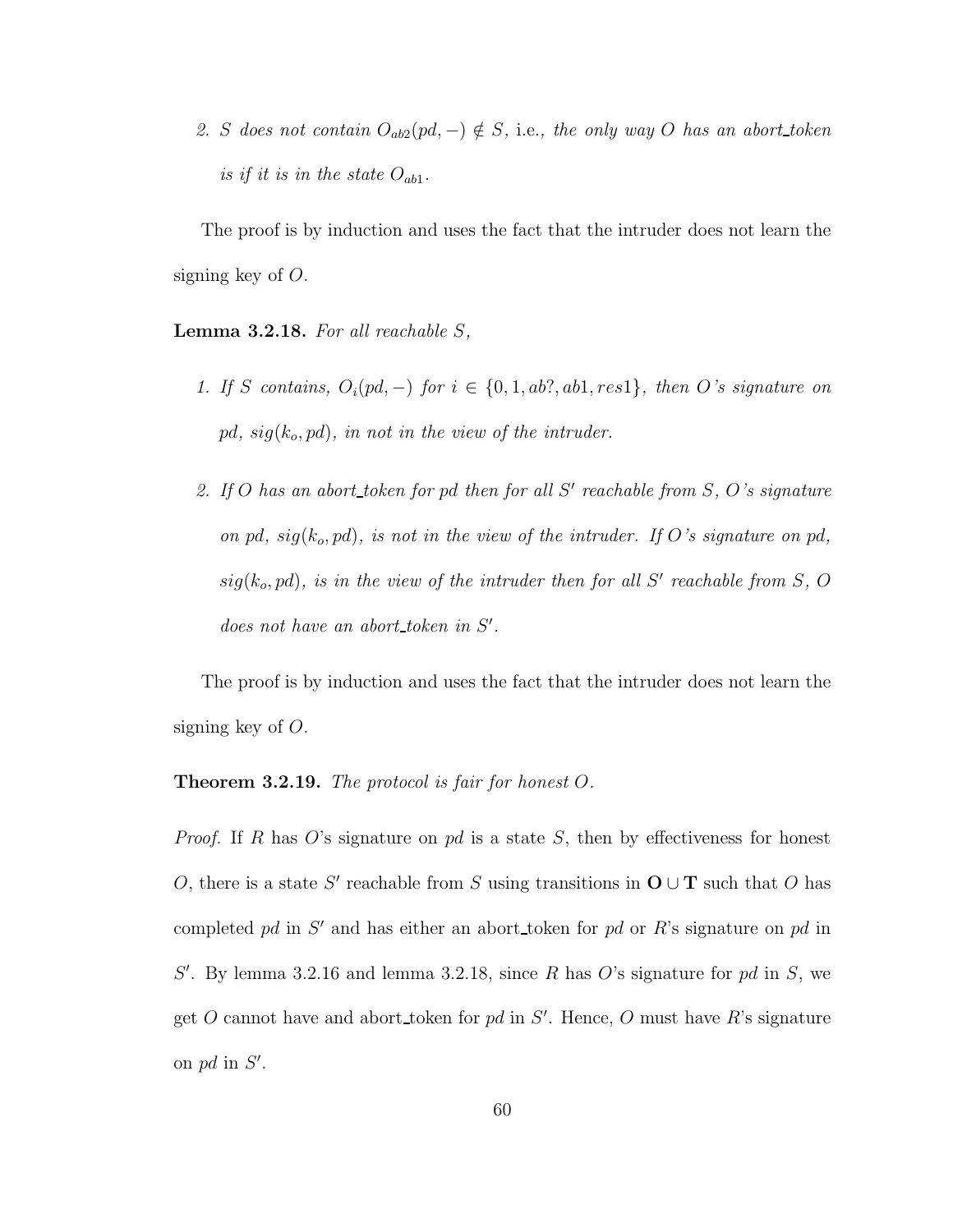2. S does not contain  $O_{ab2}(pd, -) \notin S$ , i.e., the only way O has an abort\_token is if it is in the state  $O_{ab1}$ .

The proof is by induction and uses the fact that the intruder does not learn the signing key of O.

**Lemma 3.2.18.** For all reachable  $S$ ,

- 1. If S contains,  $O_i(pd, -)$  for  $i \in \{0, 1, ab?, ab1, res1\}$ , then O's signature on pd,  $sig(k_o, pd)$ , in not in the view of the intruder.
- 2. If O has an abort token for pd then for all  $S'$  reachable from  $S$ ,  $O$ 's signature on pd,  $sig(k_o, pd)$ , is not in the view of the intruder. If O's signature on pd,  $sig(k_o, pd)$ , is in the view of the intruder then for all S' reachable from S, O  $does not have an abort\_token in S'.$

The proof is by induction and uses the fact that the intruder does not learn the signing key of O.

#### **Theorem 3.2.19.** The protocol is fair for honest  $O$ .

*Proof.* If R has O's signature on  $pd$  is a state S, then by effectiveness for honest O, there is a state S' reachable from S using transitions in  $O \cup T$  such that O has completed pd in  $S'$  and has either an abort token for pd or R's signature on pd in  $S'$ . By lemma 3.2.16 and lemma 3.2.18, since R has O's signature for pd in S, we get O cannot have and abort token for pd in  $S'$ . Hence, O must have R's signature on  $pd$  in  $S'$ .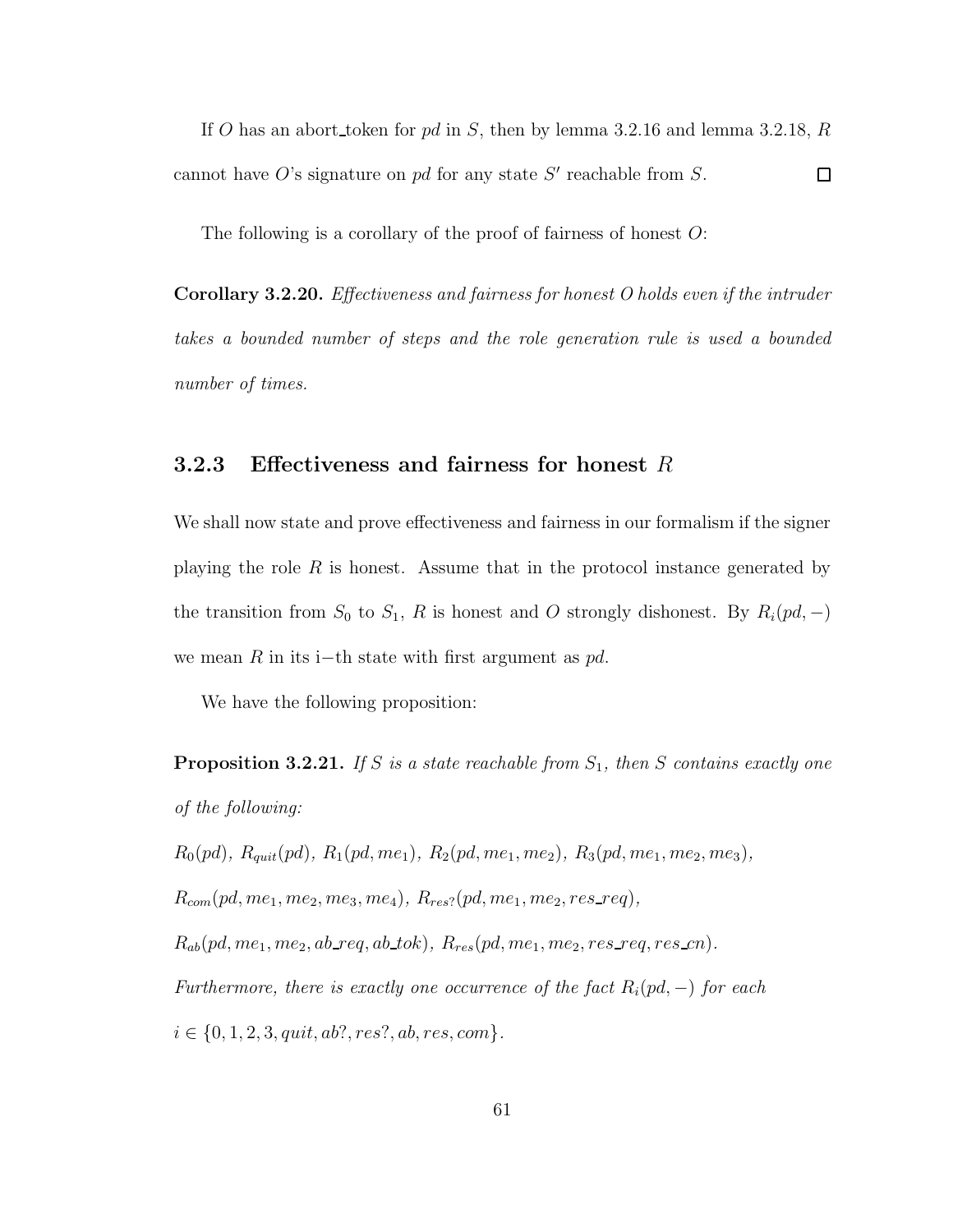If O has an abort token for pd in S, then by lemma 3.2.16 and lemma 3.2.18, R cannot have O's signature on  $pd$  for any state S' reachable from S.  $\Box$ 

The following is a corollary of the proof of fairness of honest  $\overline{O}$ :

Corollary 3.2.20. Effectiveness and fairness for honest O holds even if the intruder takes a bounded number of steps and the role generation rule is used a bounded number of times.

### 3.2.3 Effectiveness and fairness for honest  $R$

We shall now state and prove effectiveness and fairness in our formalism if the signer playing the role  $R$  is honest. Assume that in the protocol instance generated by the transition from  $S_0$  to  $S_1$ , R is honest and O strongly dishonest. By  $R_i(pd, -)$ we mean R in its i−th state with first argument as  $pd$ .

We have the following proposition:

**Proposition 3.2.21.** If S is a state reachable from  $S_1$ , then S contains exactly one of the following:

 $R_0(pd), R_{quit}(pd), R_1(pd, me_1), R_2(pd, me_1, me_2), R_3(pd, me_1, me_2, me_3),$ 

 $R_{com}(pd, me_1, me_2, me_3, me_4), R_{res?}(pd, me_1, me_2, res\_req),$ 

 $R_{ab}(pd,me_1,me_2,ab\_req,ab\_tok),\ R_{res}(pd,me_1,me_2,res\_req,res\_cn).$ 

Furthermore, there is exactly one occurrence of the fact  $R_i(pd, -)$  for each

 $i \in \{0, 1, 2, 3, quit, ab?, res?, ab, res, com\}.$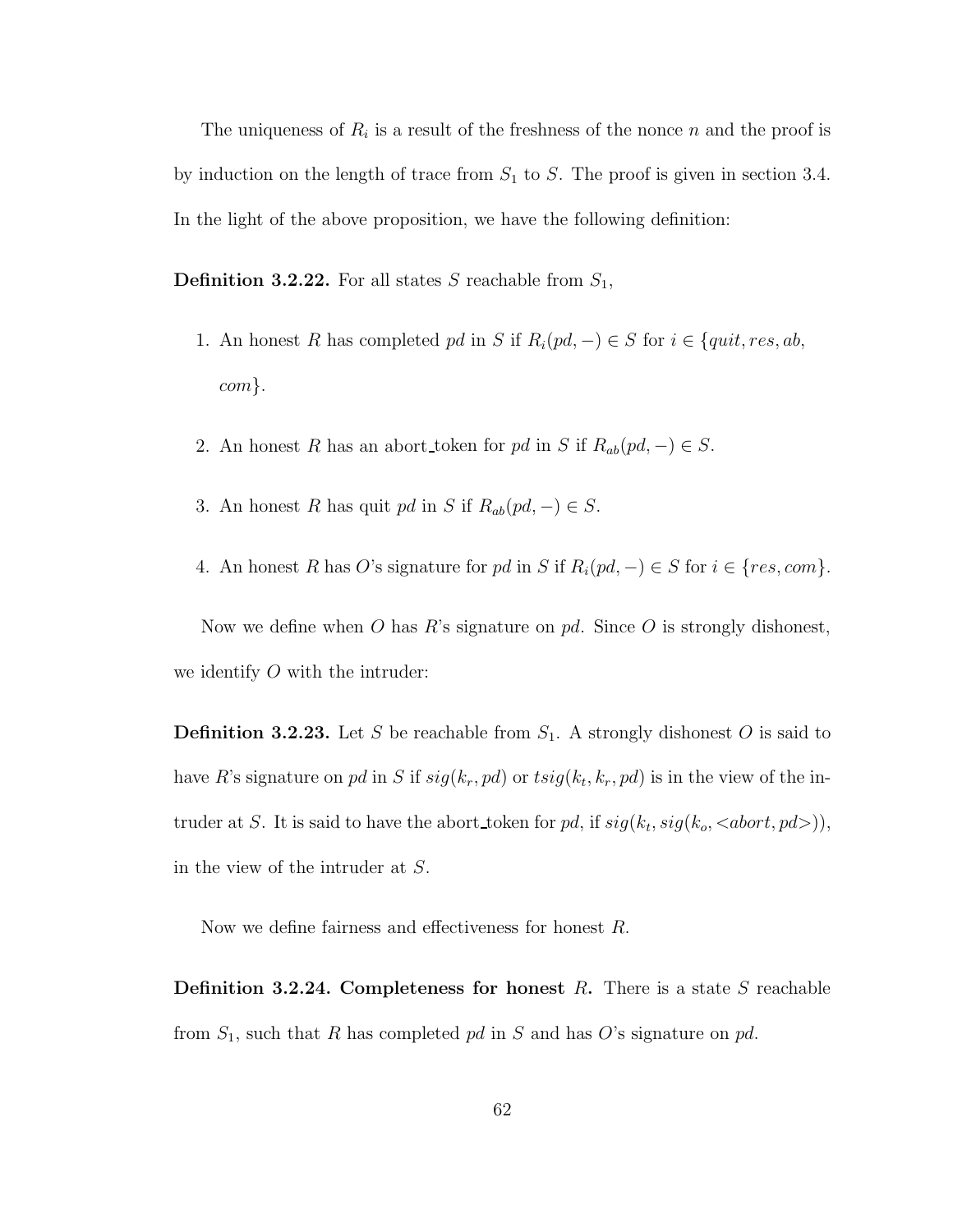The uniqueness of  $R_i$  is a result of the freshness of the nonce n and the proof is by induction on the length of trace from  $S_1$  to  $S$ . The proof is given in section 3.4. In the light of the above proposition, we have the following definition:

**Definition 3.2.22.** For all states S reachable from  $S_1$ ,

- 1. An honest R has completed pd in S if  $R_i(pd, -) \in S$  for  $i \in \{quit, res, ab, \}$ com}.
- 2. An honest R has an abort\_token for pd in S if  $R_{ab}(pd, -) \in S$ .
- 3. An honest R has quit pd in S if  $R_{ab}(pd, -) \in S$ .
- 4. An honest R has O's signature for pd in S if  $R_i(pd, -) \in S$  for  $i \in \{res, com\}$ .

Now we define when O has R's signature on  $pd$ . Since O is strongly dishonest, we identify  $O$  with the intruder:

**Definition 3.2.23.** Let S be reachable from  $S_1$ . A strongly dishonest O is said to have R's signature on pd in S if  $sig(k_r, pd)$  or  $tsig(k_t, k_r, pd)$  is in the view of the intruder at S. It is said to have the abort token for pd, if  $sig(k_t, sig(k_o, )),$ in the view of the intruder at S.

Now we define fairness and effectiveness for honest R.

**Definition 3.2.24. Completeness for honest** R. There is a state S reachable from  $S_1$ , such that R has completed pd in S and has O's signature on pd.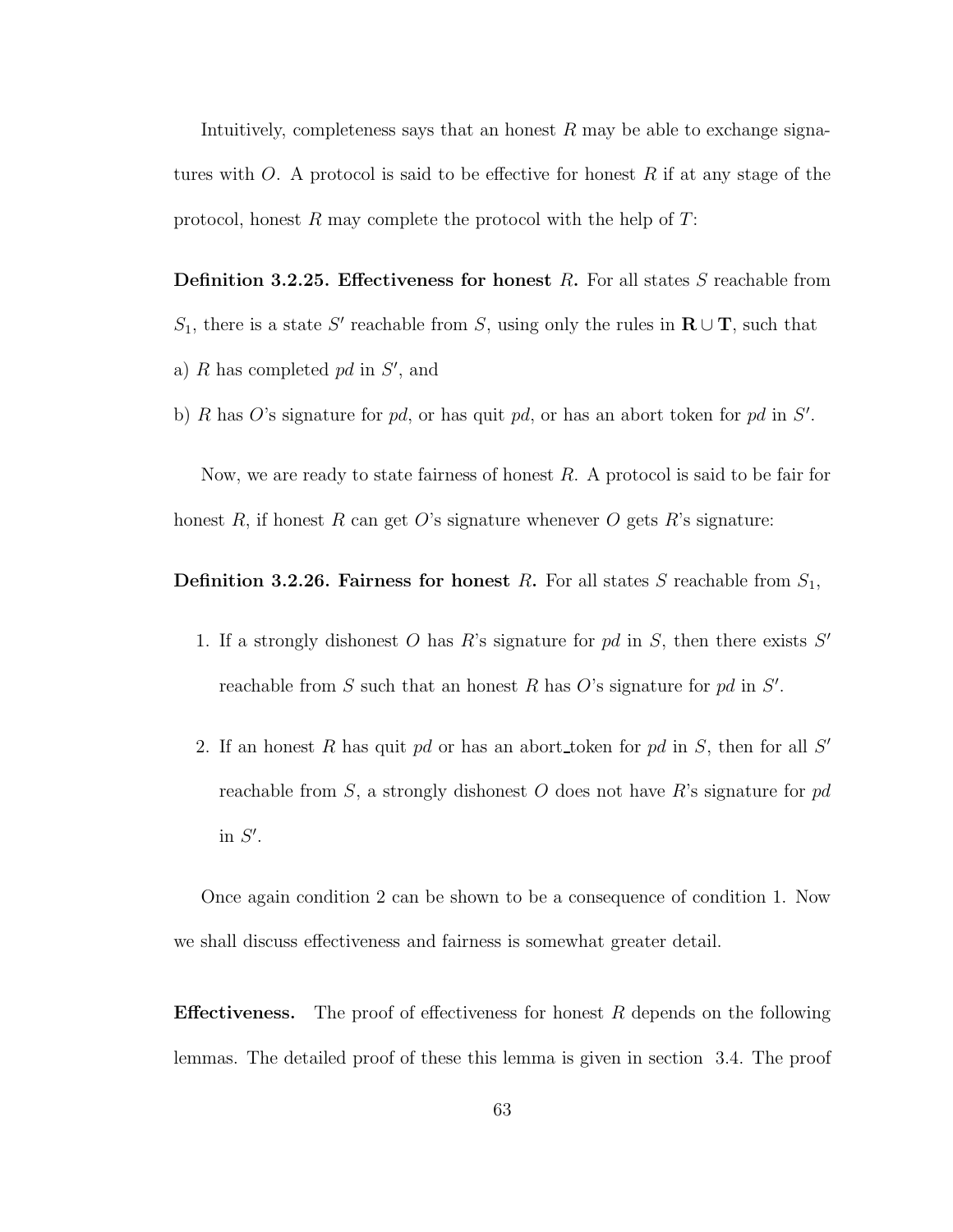Intuitively, completeness says that an honest  $R$  may be able to exchange signatures with O. A protocol is said to be effective for honest R if at any stage of the protocol, honest R may complete the protocol with the help of  $T$ :

**Definition 3.2.25. Effectiveness for honest** R. For all states S reachable from S<sub>1</sub>, there is a state S' reachable from S, using only the rules in  $\mathbf{R} \cup \mathbf{T}$ , such that a)  $R$  has completed  $pd$  in  $S'$ , and

b) R has O's signature for pd, or has quit pd, or has an abort token for pd in  $S'$ .

Now, we are ready to state fairness of honest  $R$ . A protocol is said to be fair for honest R, if honest R can get O's signature whenever O gets R's signature:

**Definition 3.2.26. Fairness for honest R.** For all states S reachable from  $S_1$ ,

- 1. If a strongly dishonest  $O$  has  $R$ 's signature for  $pd$  in  $S$ , then there exists  $S'$ reachable from  $S$  such that an honest  $R$  has  $O$ 's signature for  $pd$  in  $S'$ .
- 2. If an honest R has quit pd or has an abort token for pd in  $S$ , then for all  $S'$ reachable from S, a strongly dishonest O does not have R's signature for  $pd$ in  $S'$ .

Once again condition 2 can be shown to be a consequence of condition 1. Now we shall discuss effectiveness and fairness is somewhat greater detail.

**Effectiveness.** The proof of effectiveness for honest  $R$  depends on the following lemmas. The detailed proof of these this lemma is given in section 3.4. The proof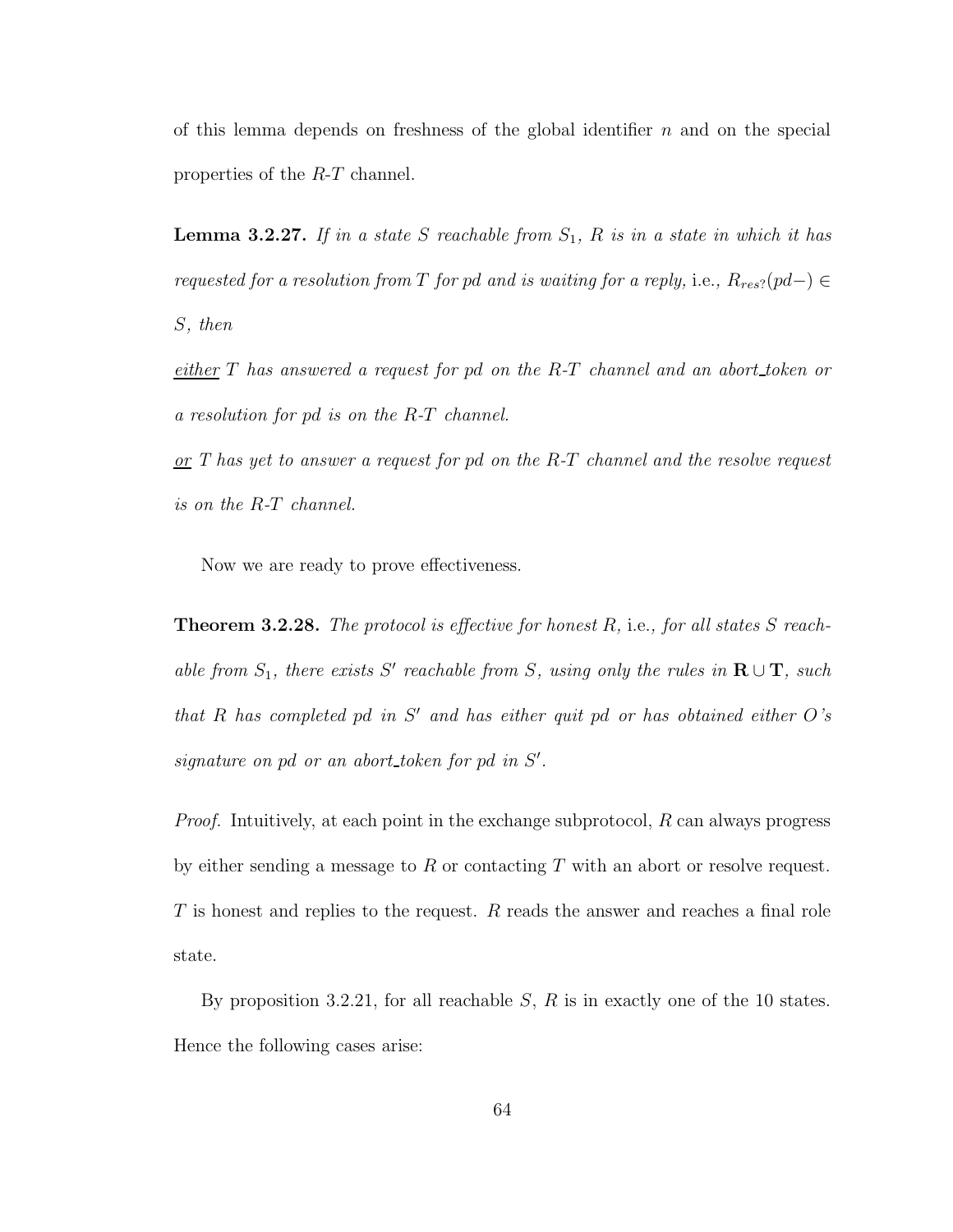of this lemma depends on freshness of the global identifier  $n$  and on the special properties of the R-T channel.

**Lemma 3.2.27.** If in a state S reachable from  $S_1$ , R is in a state in which it has requested for a resolution from T for pd and is waiting for a reply, i.e.,  $R_{res}$ ?(pd–)  $\in$ S, then

either T has answered a request for pd on the R-T channel and an abort token or a resolution for pd is on the R-T channel.

 $or T$  has yet to answer a request for pd on the R-T channel and the resolve request is on the R-T channel.

Now we are ready to prove effectiveness.

**Theorem 3.2.28.** The protocol is effective for honest  $R$ , i.e., for all states  $S$  reachable from  $S_1$ , there exists S' reachable from S, using only the rules in  $\mathbf{R} \cup \mathbf{T}$ , such that R has completed pd in  $S'$  and has either quit pd or has obtained either  $O's$ signature on pd or an abort\_token for pd in  $S'$ .

*Proof.* Intuitively, at each point in the exchange subprotocol,  $R$  can always progress by either sending a message to  $R$  or contacting  $T$  with an abort or resolve request. T is honest and replies to the request. R reads the answer and reaches a final role state.

By proposition 3.2.21, for all reachable  $S$ ,  $R$  is in exactly one of the 10 states. Hence the following cases arise: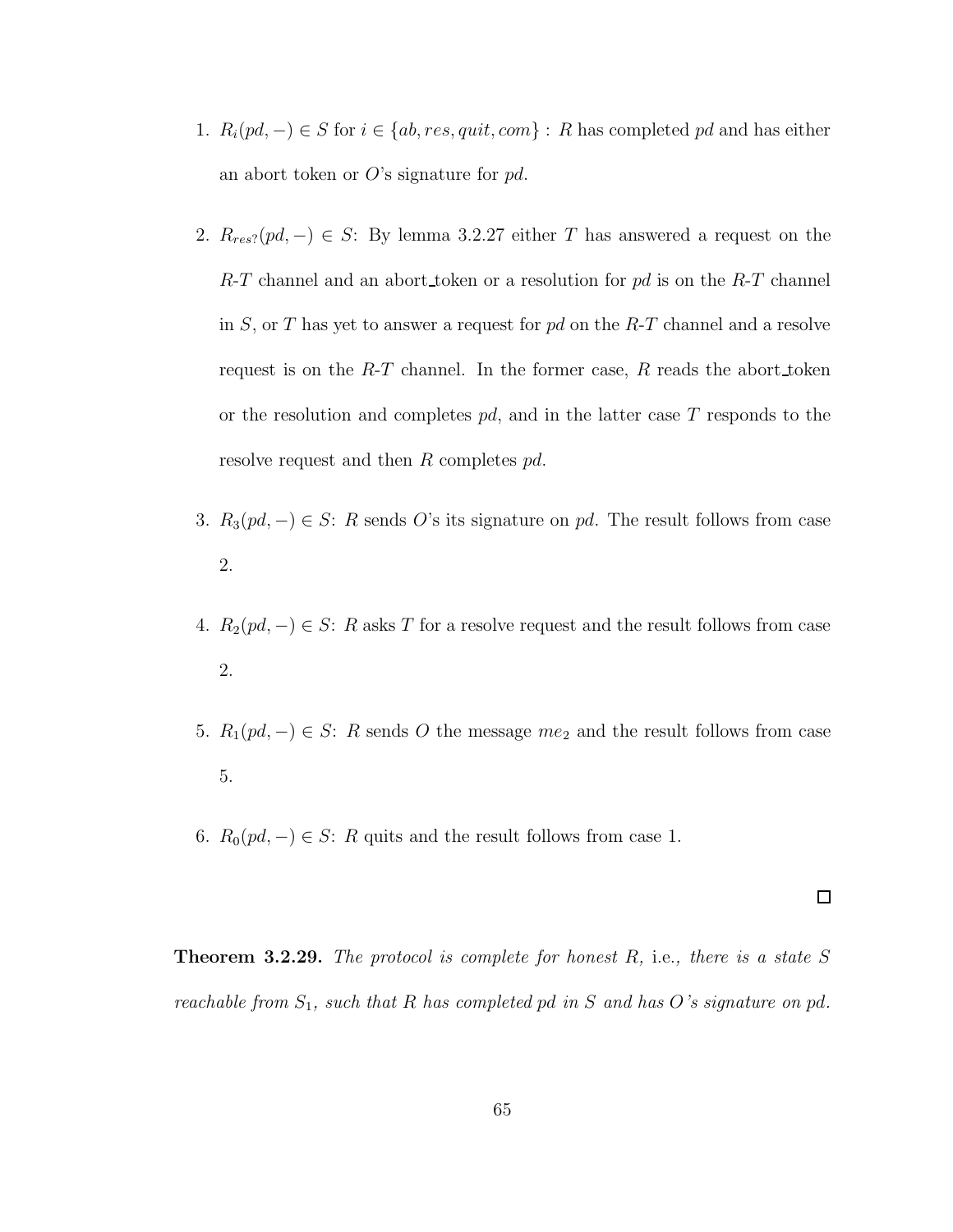- 1.  $R_i(pd, -) \in S$  for  $i \in \{ab, res, quit, com\} : R$  has completed pd and has either an abort token or  $O$ 's signature for pd.
- 2.  $R_{res}(pd, -) \in S$ : By lemma 3.2.27 either T has answered a request on the  $R$ -T channel and an abort token or a resolution for pd is on the  $R$ -T channel in S, or T has yet to answer a request for  $pd$  on the R-T channel and a resolve request is on the  $R$ -T channel. In the former case,  $R$  reads the abort token or the resolution and completes  $pd$ , and in the latter case T responds to the resolve request and then R completes pd.
- 3.  $R_3(pd, -) \in S$ : R sends O's its signature on pd. The result follows from case 2.
- 4.  $R_2(pd, -) \in S$ : R asks T for a resolve request and the result follows from case 2.
- 5.  $R_1(pd, -) \in S$ : R sends O the message  $me_2$  and the result follows from case 5.
- 6.  $R_0(pd, -) \in S$ : R quits and the result follows from case 1.

**Theorem 3.2.29.** The protocol is complete for honest  $R$ , i.e., there is a state  $S$ reachable from  $S_1$ , such that R has completed pd in S and has O's signature on pd.

 $\Box$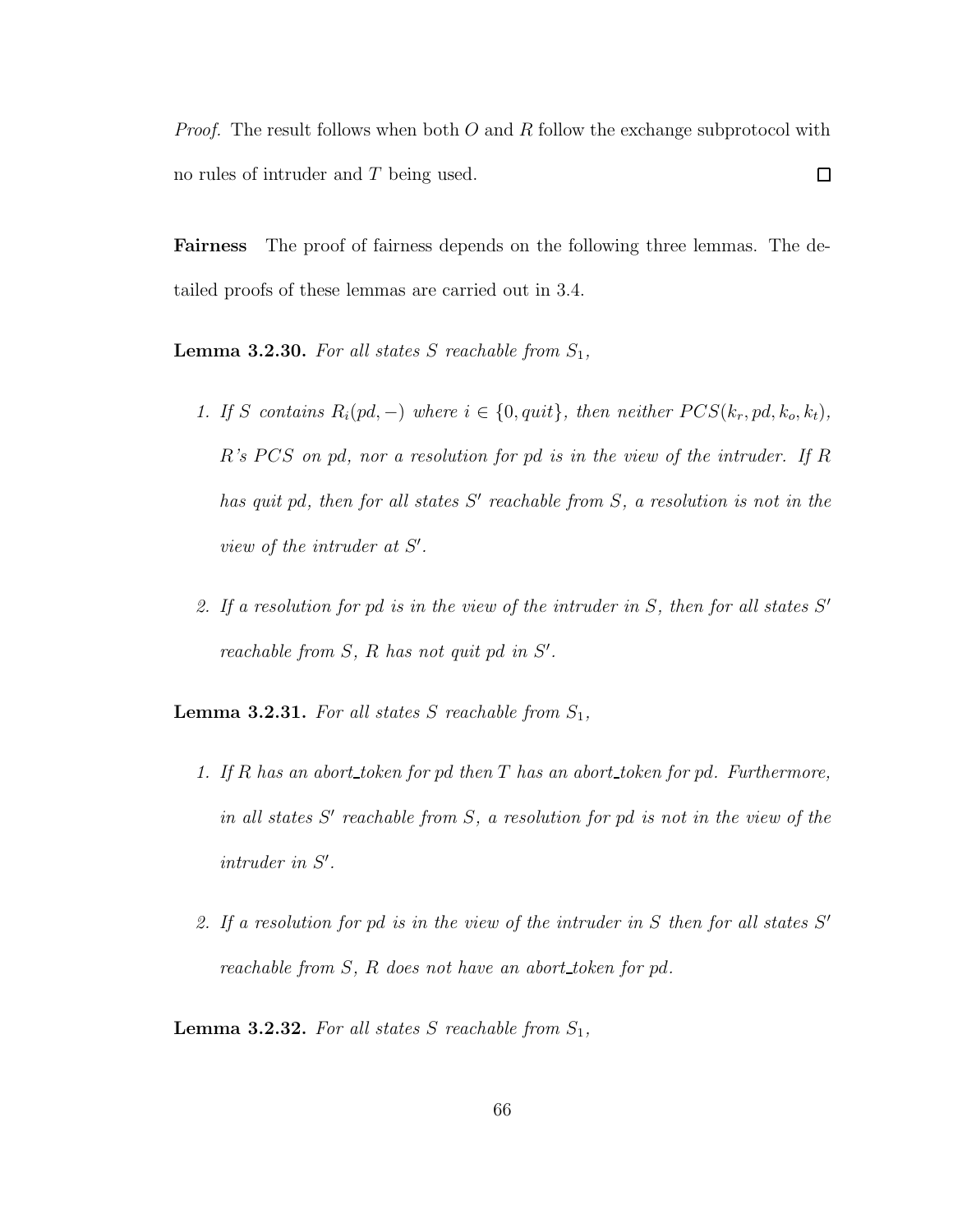*Proof.* The result follows when both  $O$  and  $R$  follow the exchange subprotocol with  $\Box$ no rules of intruder and T being used.

Fairness The proof of fairness depends on the following three lemmas. The detailed proofs of these lemmas are carried out in 3.4.

**Lemma 3.2.30.** For all states S reachable from  $S_1$ ,

- 1. If S contains  $R_i(pd, -)$  where  $i \in \{0, quit\}$ , then neither  $PCS(k_r, pd, k_o, k_t)$ ,  $R's PCS$  on pd, nor a resolution for pd is in the view of the intruder. If R has quit pd, then for all states  $S'$  reachable from  $S$ , a resolution is not in the view of the intruder at  $S'$ .
- 2. If a resolution for pd is in the view of the intruder in  $S$ , then for all states  $S'$ reachable from  $S$ ,  $R$  has not quit pd in  $S'$ .

**Lemma 3.2.31.** For all states S reachable from  $S_1$ ,

- 1. If R has an abort token for pd then  $T$  has an abort token for pd. Furthermore, in all states  $S'$  reachable from  $S$ , a resolution for pd is not in the view of the  $intruder$  in  $S'$ .
- 2. If a resolution for pd is in the view of the intruder in  $S$  then for all states  $S'$ reachable from S, R does not have an abort token for pd.

**Lemma 3.2.32.** For all states S reachable from  $S_1$ ,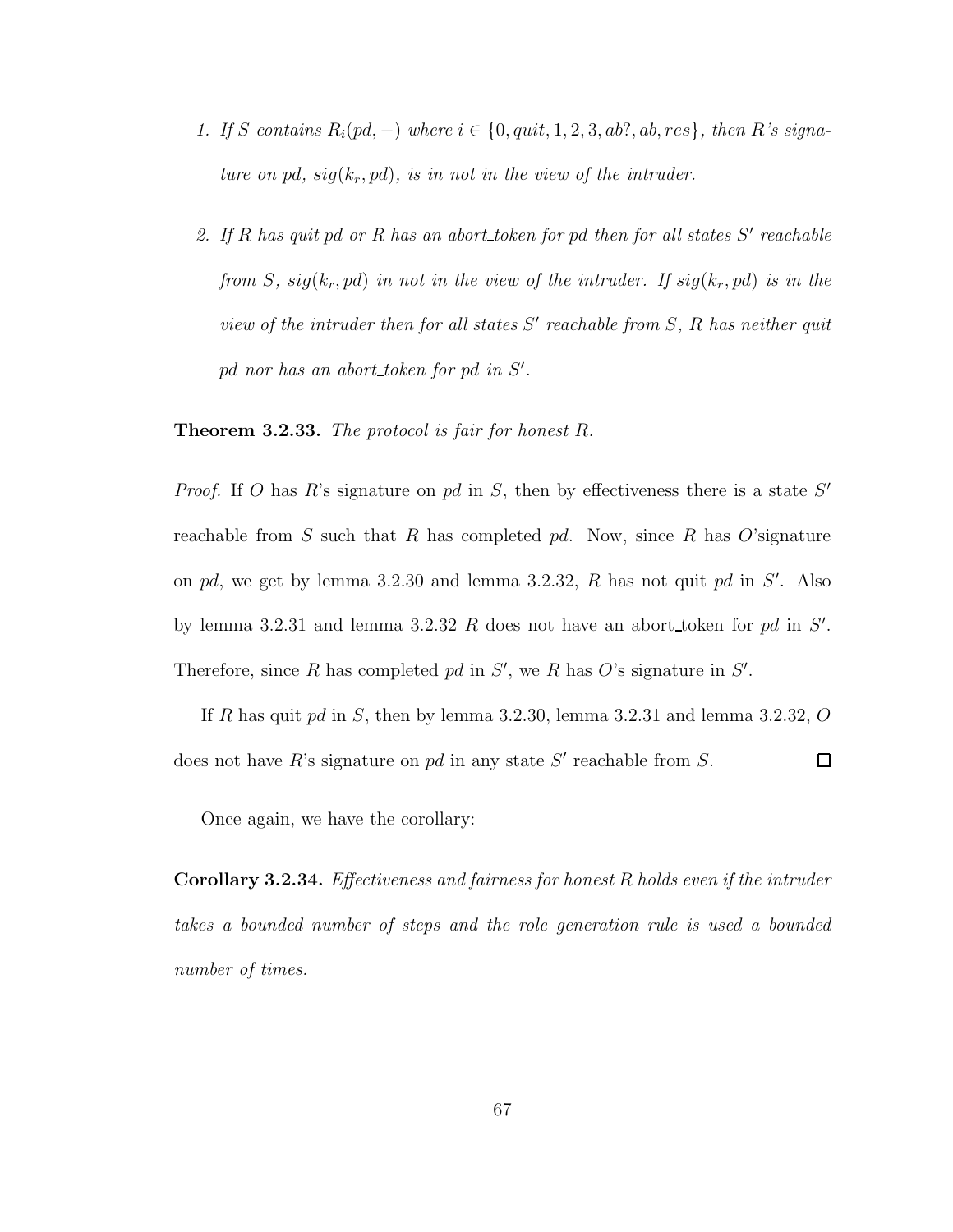- 1. If S contains  $R_i(pd, -)$  where  $i \in \{0, quit, 1, 2, 3, ab?, ab, res\}$ , then R's signature on pd,  $sig(k_r, pd)$ , is in not in the view of the intruder.
- 2. If  $R$  has quit pd or  $R$  has an abort token for pd then for all states  $S'$  reachable from S,  $sig(k_r, pd)$  in not in the view of the intruder. If  $sig(k_r, pd)$  is in the view of the intruder then for all states  $S'$  reachable from  $S$ ,  $R$  has neither quit pd nor has an abort\_token for pd in S'.

**Theorem 3.2.33.** The protocol is fair for honest  $R$ .

*Proof.* If O has R's signature on pd in S, then by effectiveness there is a state  $S'$ reachable from S such that R has completed pd. Now, since R has O'signature on pd, we get by lemma 3.2.30 and lemma 3.2.32,  $R$  has not quit pd in  $S'$ . Also by lemma 3.2.31 and lemma 3.2.32 R does not have an abort token for pd in  $S'$ . Therefore, since R has completed pd in  $S'$ , we R has O's signature in  $S'$ .

If R has quit pd in S, then by lemma 3.2.30, lemma 3.2.31 and lemma 3.2.32,  $O$ does not have  $R$ 's signature on pd in any state  $S'$  reachable from  $S$ .  $\Box$ 

Once again, we have the corollary:

Corollary 3.2.34. Effectiveness and fairness for honest R holds even if the intruder takes a bounded number of steps and the role generation rule is used a bounded number of times.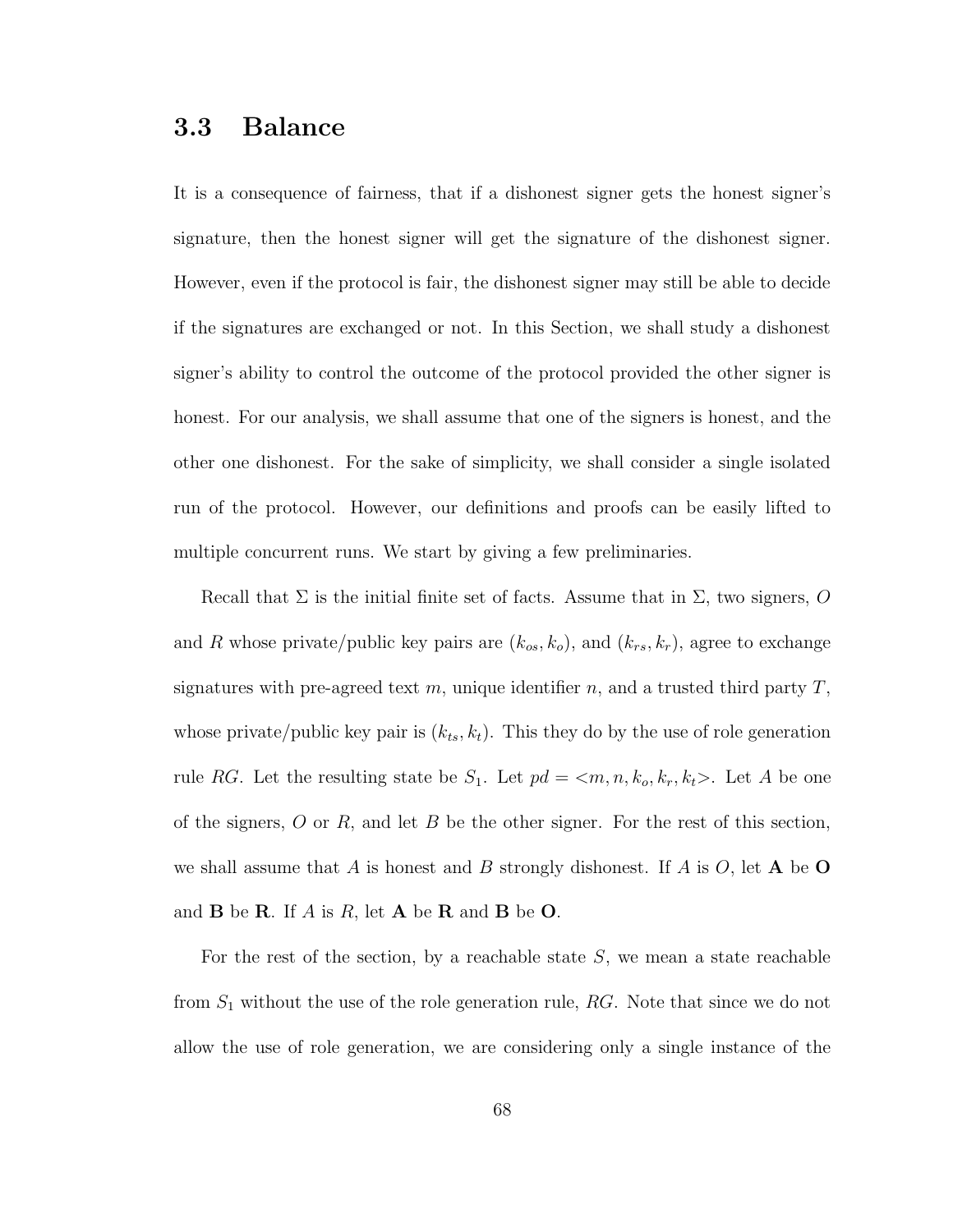# 3.3 Balance

It is a consequence of fairness, that if a dishonest signer gets the honest signer's signature, then the honest signer will get the signature of the dishonest signer. However, even if the protocol is fair, the dishonest signer may still be able to decide if the signatures are exchanged or not. In this Section, we shall study a dishonest signer's ability to control the outcome of the protocol provided the other signer is honest. For our analysis, we shall assume that one of the signers is honest, and the other one dishonest. For the sake of simplicity, we shall consider a single isolated run of the protocol. However, our definitions and proofs can be easily lifted to multiple concurrent runs. We start by giving a few preliminaries.

Recall that  $\Sigma$  is the initial finite set of facts. Assume that in  $\Sigma$ , two signers, O and R whose private/public key pairs are  $(k_{os}, k_o)$ , and  $(k_{rs}, k_r)$ , agree to exchange signatures with pre-agreed text m, unique identifier n, and a trusted third party  $T$ , whose private/public key pair is  $(k_{ts}, k_t)$ . This they do by the use of role generation rule RG. Let the resulting state be  $S_1$ . Let  $pd = \langle m, n, k_o, k_r, k_t \rangle$ . Let A be one of the signers,  $O$  or  $R$ , and let  $B$  be the other signer. For the rest of this section, we shall assume that A is honest and B strongly dishonest. If A is  $O$ , let A be O and  $\bf{B}$  be  $\bf{R}$ . If A is R, let  $\bf{A}$  be  $\bf{R}$  and  $\bf{B}$  be  $\bf{O}$ .

For the rest of the section, by a reachable state  $S$ , we mean a state reachable from  $S_1$  without the use of the role generation rule,  $RG$ . Note that since we do not allow the use of role generation, we are considering only a single instance of the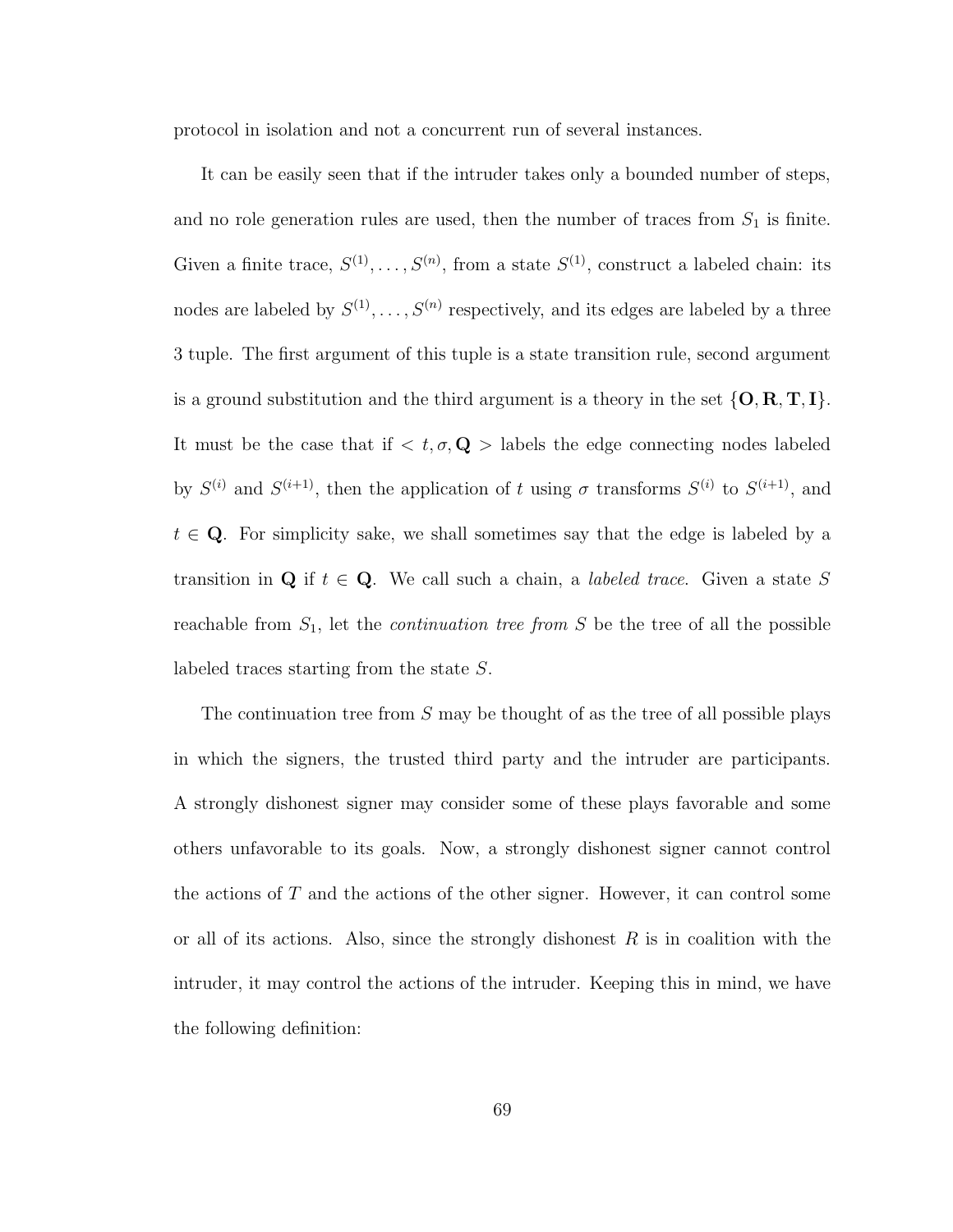protocol in isolation and not a concurrent run of several instances.

It can be easily seen that if the intruder takes only a bounded number of steps, and no role generation rules are used, then the number of traces from  $S_1$  is finite. Given a finite trace,  $S^{(1)}, \ldots, S^{(n)}$ , from a state  $S^{(1)}$ , construct a labeled chain: its nodes are labeled by  $S^{(1)}, \ldots, S^{(n)}$  respectively, and its edges are labeled by a three 3 tuple. The first argument of this tuple is a state transition rule, second argument is a ground substitution and the third argument is a theory in the set  $\{O, R, T, I\}$ . It must be the case that if  $\langle t, \sigma, \mathbf{Q} \rangle$  labels the edge connecting nodes labeled by  $S^{(i)}$  and  $S^{(i+1)}$ , then the application of t using  $\sigma$  transforms  $S^{(i)}$  to  $S^{(i+1)}$ , and  $t \in \mathbf{Q}$ . For simplicity sake, we shall sometimes say that the edge is labeled by a transition in Q if  $t \in \mathbb{Q}$ . We call such a chain, a *labeled trace*. Given a state S reachable from  $S_1$ , let the *continuation tree from* S be the tree of all the possible labeled traces starting from the state S.

The continuation tree from S may be thought of as the tree of all possible plays in which the signers, the trusted third party and the intruder are participants. A strongly dishonest signer may consider some of these plays favorable and some others unfavorable to its goals. Now, a strongly dishonest signer cannot control the actions of T and the actions of the other signer. However, it can control some or all of its actions. Also, since the strongly dishonest  $R$  is in coalition with the intruder, it may control the actions of the intruder. Keeping this in mind, we have the following definition: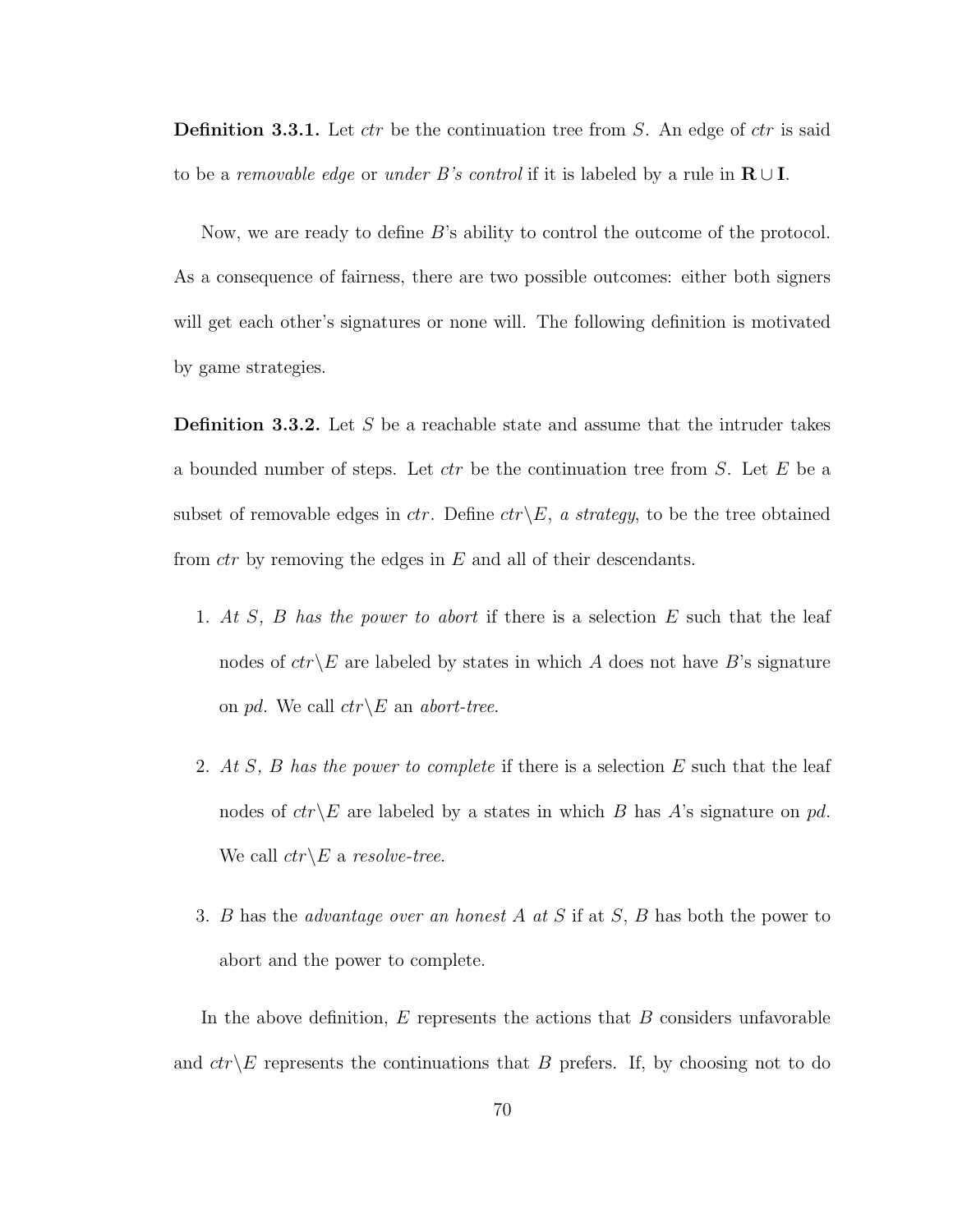**Definition 3.3.1.** Let  $ctr$  be the continuation tree from  $S$ . An edge of  $ctr$  is said to be a removable edge or under B's control if it is labeled by a rule in  $\mathbf{R} \cup \mathbf{I}$ .

Now, we are ready to define B's ability to control the outcome of the protocol. As a consequence of fairness, there are two possible outcomes: either both signers will get each other's signatures or none will. The following definition is motivated by game strategies.

**Definition 3.3.2.** Let S be a reachable state and assume that the intruder takes a bounded number of steps. Let  $ctr$  be the continuation tree from  $S$ . Let  $E$  be a subset of removable edges in ctr. Define  $ctr\angle E$ , a strategy, to be the tree obtained from  $ctr$  by removing the edges in  $E$  and all of their descendants.

- 1. At S, B has the power to abort if there is a selection E such that the leaf nodes of  $ctr\&E$  are labeled by states in which A does not have B's signature on pd. We call  $ctr\angle E$  an abort-tree.
- 2. At S, B has the power to complete if there is a selection E such that the leaf nodes of  $ctr\&E$  are labeled by a states in which B has A's signature on pd. We call  $ctr\&$  a resolve-tree.
- 3. B has the *advantage over an honest A at S* if at S, B has both the power to abort and the power to complete.

In the above definition,  $E$  represents the actions that  $B$  considers unfavorable and  $ctr\&E$  represents the continuations that B prefers. If, by choosing not to do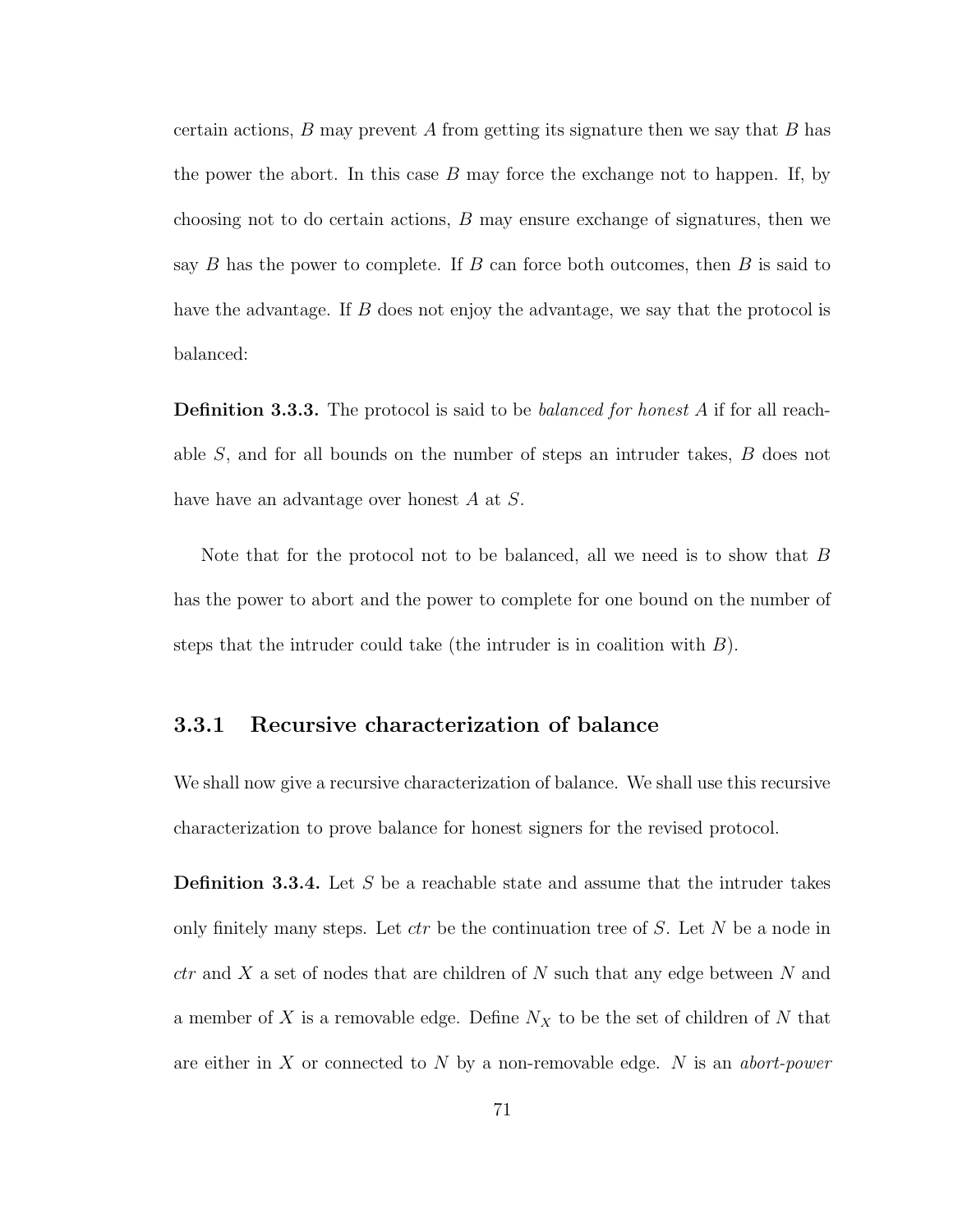certain actions,  $B$  may prevent  $A$  from getting its signature then we say that  $B$  has the power the abort. In this case  $B$  may force the exchange not to happen. If, by choosing not to do certain actions, B may ensure exchange of signatures, then we say  $B$  has the power to complete. If  $B$  can force both outcomes, then  $B$  is said to have the advantage. If B does not enjoy the advantage, we say that the protocol is balanced:

**Definition 3.3.3.** The protocol is said to be *balanced for honest A* if for all reachable S, and for all bounds on the number of steps an intruder takes, B does not have have an advantage over honest A at S.

Note that for the protocol not to be balanced, all we need is to show that  $B$ has the power to abort and the power to complete for one bound on the number of steps that the intruder could take (the intruder is in coalition with  $B$ ).

## 3.3.1 Recursive characterization of balance

We shall now give a recursive characterization of balance. We shall use this recursive characterization to prove balance for honest signers for the revised protocol.

**Definition 3.3.4.** Let S be a reachable state and assume that the intruder takes only finitely many steps. Let  $ctr$  be the continuation tree of S. Let N be a node in  $ctr$  and X a set of nodes that are children of N such that any edge between N and a member of X is a removable edge. Define  $N_X$  to be the set of children of N that are either in X or connected to N by a non-removable edge. N is an abort-power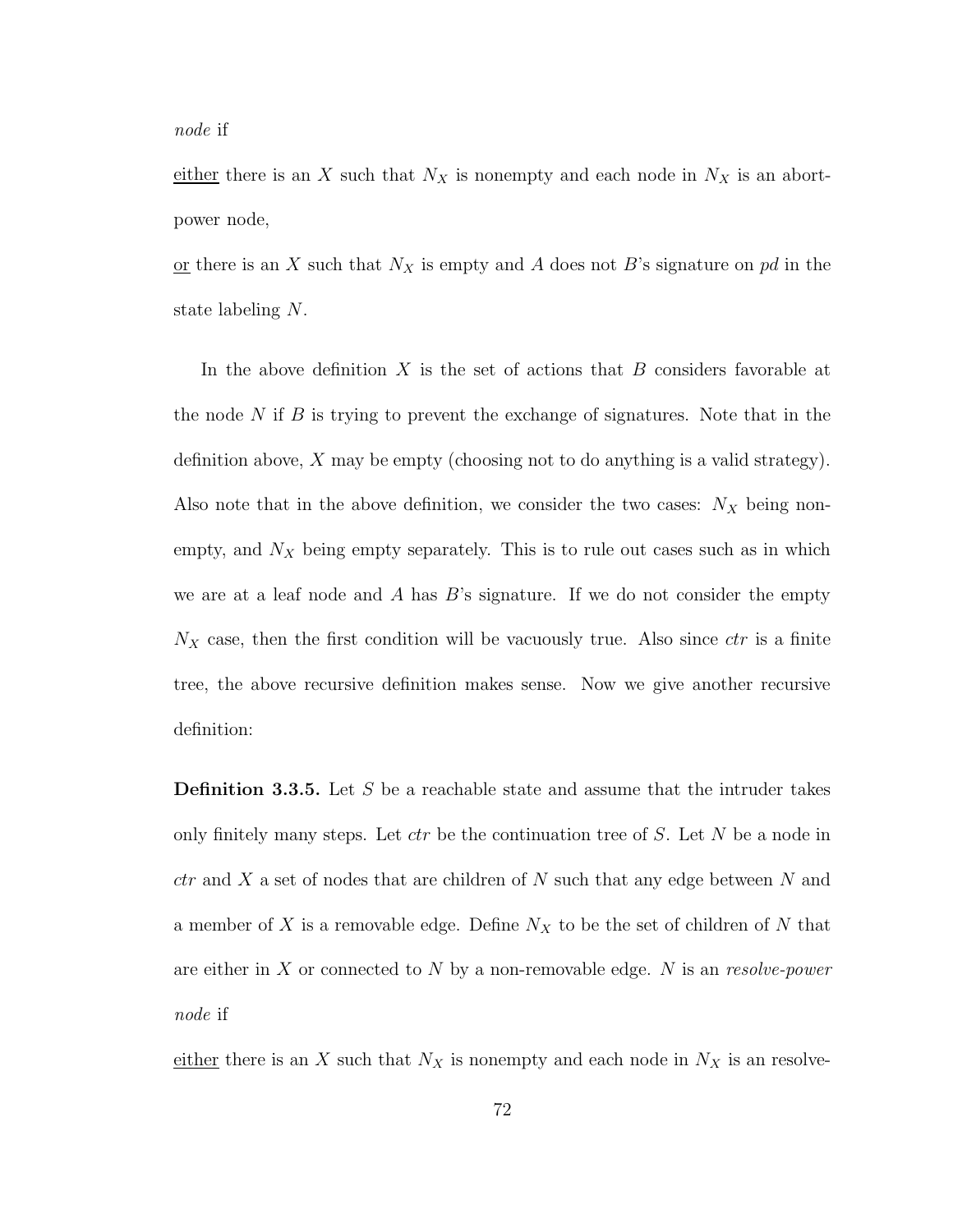either there is an X such that  $N_X$  is nonempty and each node in  $N_X$  is an abortpower node,

or there is an X such that  $N_X$  is empty and A does not B's signature on pd in the state labeling N.

In the above definition  $X$  is the set of actions that  $B$  considers favorable at the node N if B is trying to prevent the exchange of signatures. Note that in the definition above, X may be empty (choosing not to do anything is a valid strategy). Also note that in the above definition, we consider the two cases:  $N_X$  being nonempty, and  $N_X$  being empty separately. This is to rule out cases such as in which we are at a leaf node and A has  $B$ 's signature. If we do not consider the empty  $N_X$  case, then the first condition will be vacuously true. Also since  $ctr$  is a finite tree, the above recursive definition makes sense. Now we give another recursive definition:

**Definition 3.3.5.** Let S be a reachable state and assume that the intruder takes only finitely many steps. Let  $ctr$  be the continuation tree of S. Let N be a node in  $ctr$  and X a set of nodes that are children of N such that any edge between N and a member of X is a removable edge. Define  $N_X$  to be the set of children of N that are either in X or connected to N by a non-removable edge. N is an resolve-power node if

either there is an X such that  $N_X$  is nonempty and each node in  $N_X$  is an resolve-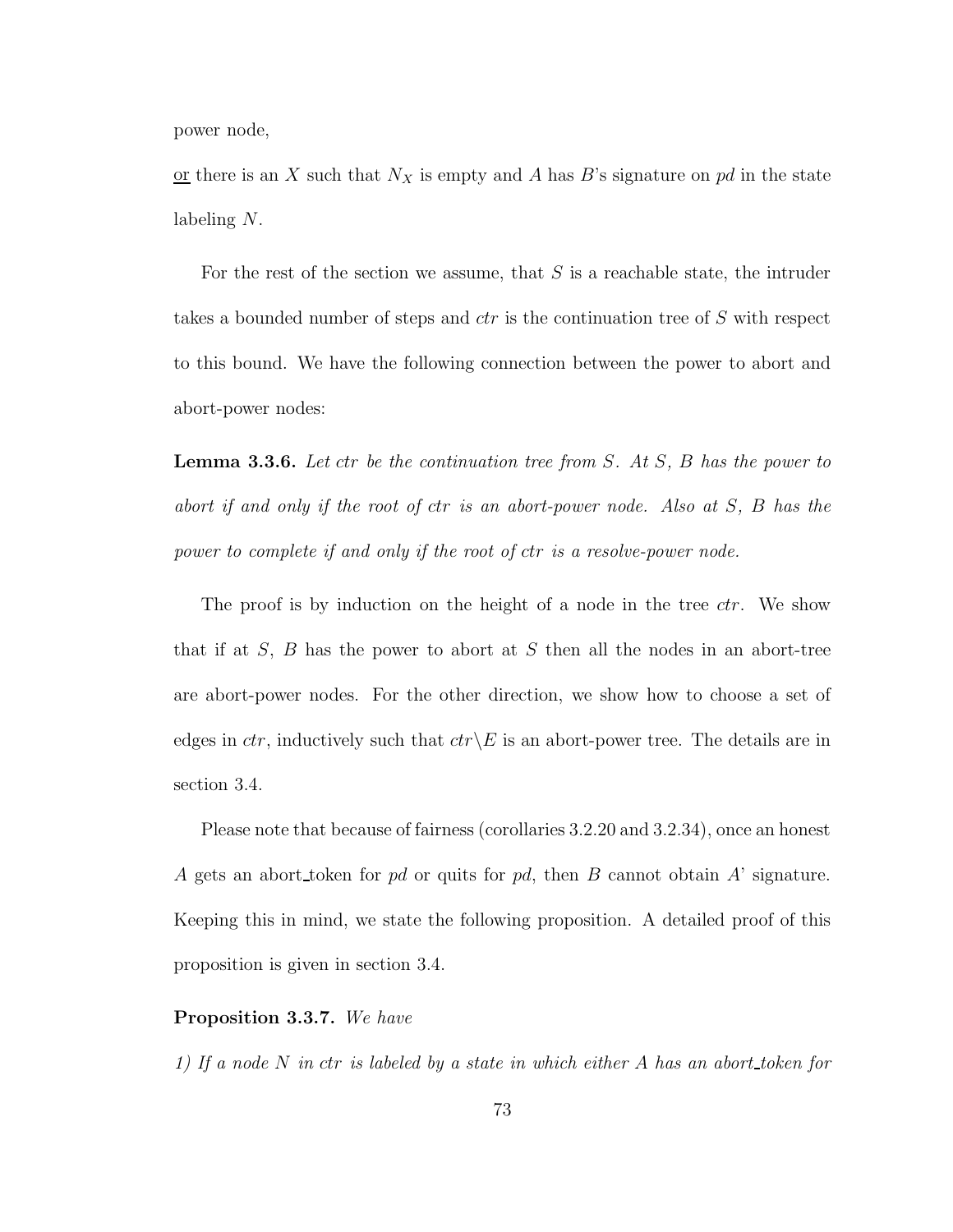power node,

or there is an X such that  $N_X$  is empty and A has B's signature on pd in the state labeling N.

For the rest of the section we assume, that  $S$  is a reachable state, the intruder takes a bounded number of steps and ctr is the continuation tree of S with respect to this bound. We have the following connection between the power to abort and abort-power nodes:

**Lemma 3.3.6.** Let ctr be the continuation tree from  $S$ . At  $S$ ,  $B$  has the power to abort if and only if the root of ctr is an abort-power node. Also at S, B has the power to complete if and only if the root of ctr is a resolve-power node.

The proof is by induction on the height of a node in the tree *ctr*. We show that if at  $S$ ,  $B$  has the power to abort at  $S$  then all the nodes in an abort-tree are abort-power nodes. For the other direction, we show how to choose a set of edges in *ctr*, inductively such that  $ctr\angle E$  is an abort-power tree. The details are in section 3.4.

Please note that because of fairness (corollaries 3.2.20 and 3.2.34), once an honest A gets an abort token for pd or quits for pd, then B cannot obtain  $A'$  signature. Keeping this in mind, we state the following proposition. A detailed proof of this proposition is given in section 3.4.

#### Proposition 3.3.7. We have

1) If a node N in ctr is labeled by a state in which either A has an abort token for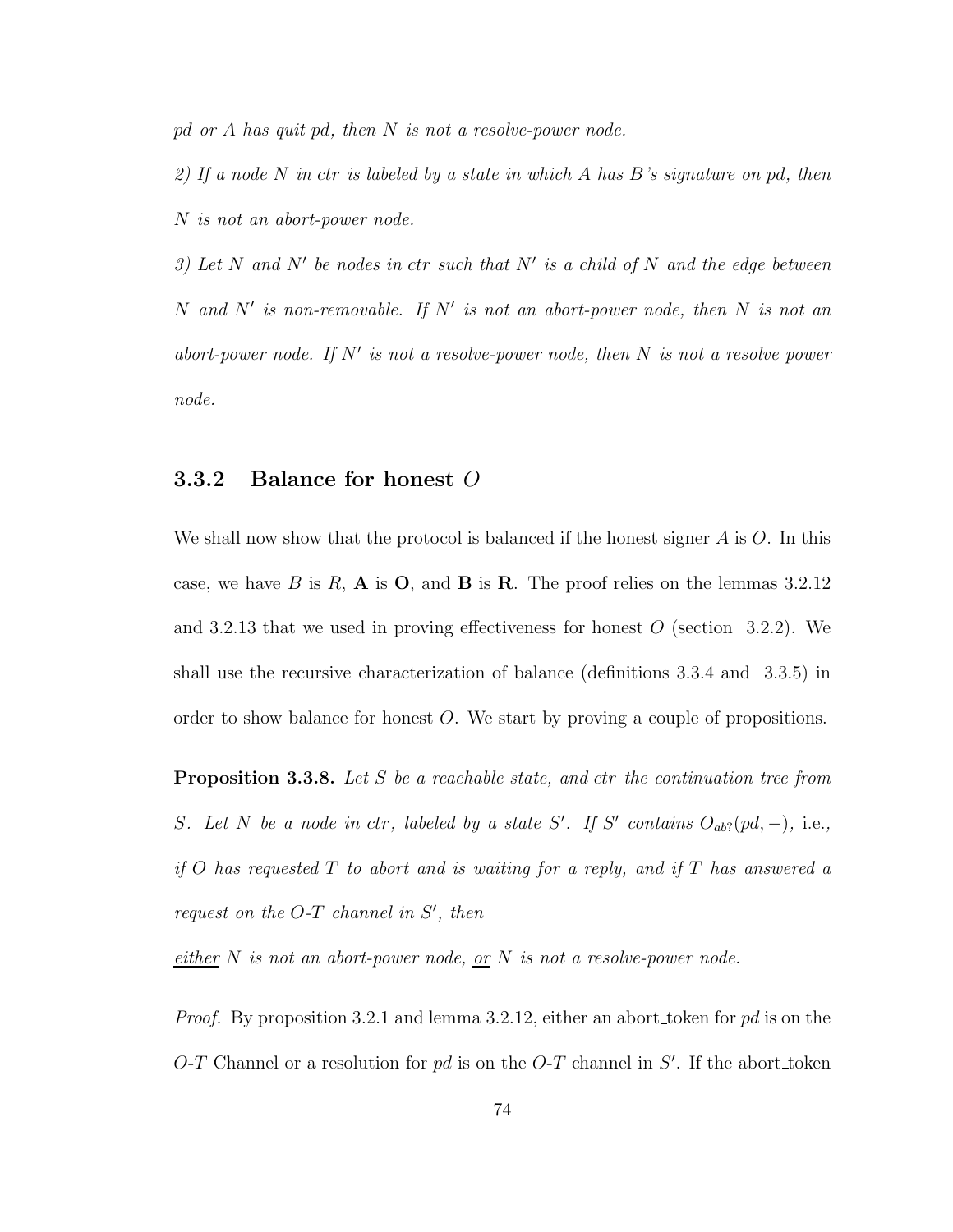pd or A has quit pd, then  $N$  is not a resolve-power node.

2) If a node N in ctr is labeled by a state in which A has B's signature on pd, then N is not an abort-power node.

3) Let N and N' be nodes in ctr such that N' is a child of N and the edge between N and N' is non-removable. If N' is not an abort-power node, then N is not an abort-power node. If  $N'$  is not a resolve-power node, then  $N$  is not a resolve power node.

### 3.3.2 Balance for honest O

We shall now show that the protocol is balanced if the honest signer  $A$  is  $O$ . In this case, we have B is R, A is O, and B is R. The proof relies on the lemmas  $3.2.12$ and 3.2.13 that we used in proving effectiveness for honest  $O$  (section 3.2.2). We shall use the recursive characterization of balance (definitions 3.3.4 and 3.3.5) in order to show balance for honest O. We start by proving a couple of propositions.

Proposition 3.3.8. Let S be a reachable state, and ctr the continuation tree from S. Let N be a node in ctr, labeled by a state S'. If S' contains  $O_{ab}$ ?  $[pd, -)$ , i.e., if O has requested  $T$  to abort and is waiting for a reply, and if  $T$  has answered a request on the  $O-T$  channel in  $S'$ , then

either  $N$  is not an abort-power node, or  $N$  is not a resolve-power node.

*Proof.* By proposition 3.2.1 and lemma 3.2.12, either an abort token for  $pd$  is on the  $O-T$  Channel or a resolution for pd is on the  $O-T$  channel in  $S'$ . If the abort token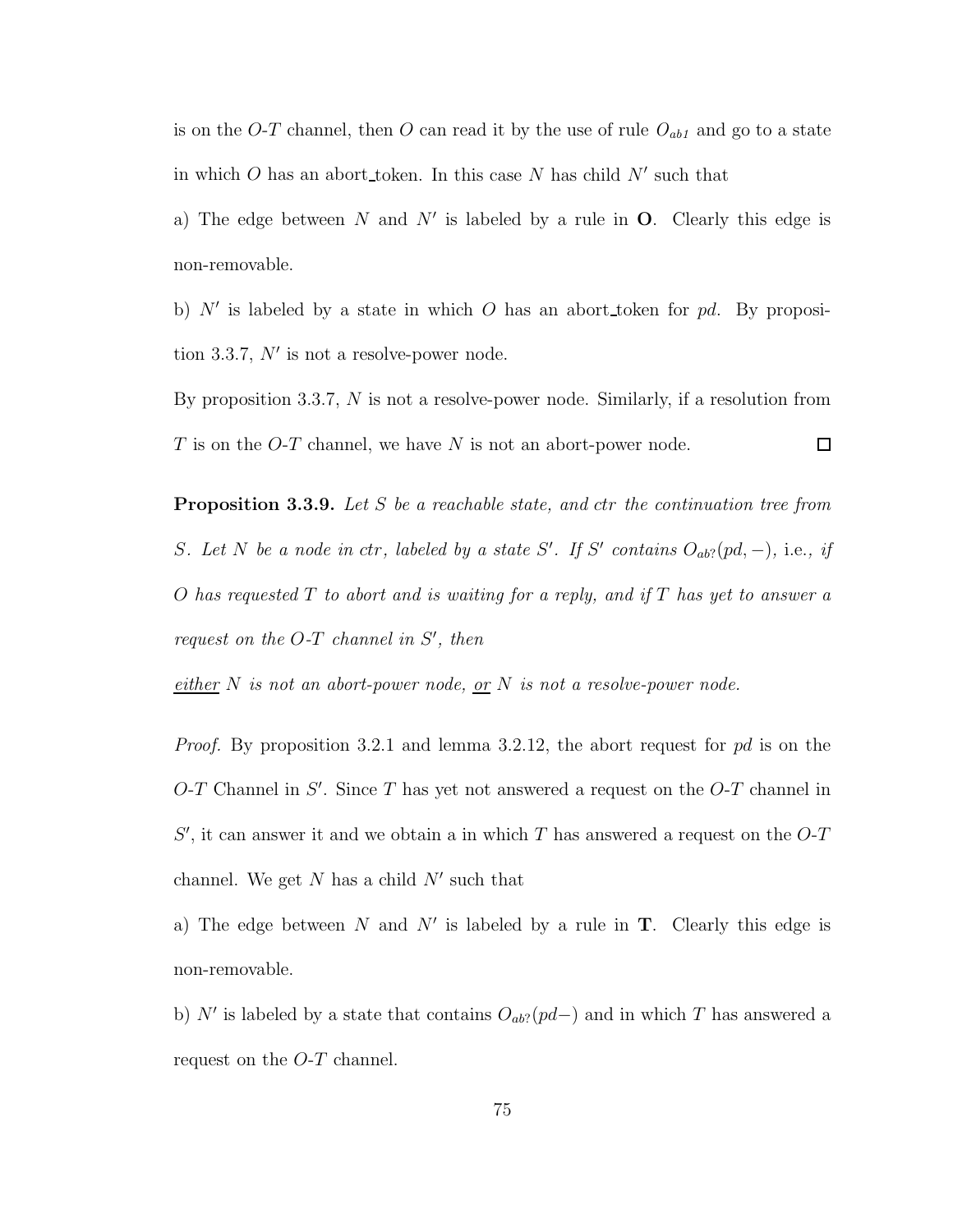is on the  $O-T$  channel, then  $O$  can read it by the use of rule  $O_{ab1}$  and go to a state in which O has an abort token. In this case N has child  $N'$  such that

a) The edge between N and N' is labeled by a rule in  $O$ . Clearly this edge is non-removable.

b)  $N'$  is labeled by a state in which O has an abort token for pd. By proposition 3.3.7,  $N'$  is not a resolve-power node.

By proposition 3.3.7,  $N$  is not a resolve-power node. Similarly, if a resolution from  $T$  is on the O-T channel, we have  $N$  is not an abort-power node.  $\Box$ 

**Proposition 3.3.9.** Let S be a reachable state, and ctr the continuation tree from S. Let N be a node in ctr, labeled by a state S'. If S' contains  $O_{ab}$ ?  $[pd, -)$ , i.e., if O has requested  $T$  to abort and is waiting for a reply, and if  $T$  has yet to answer a request on the  $O-T$  channel in  $S'$ , then

either N is not an abort-power node, or N is not a resolve-power node.

Proof. By proposition 3.2.1 and lemma 3.2.12, the abort request for pd is on the  $O$ -T Channel in S'. Since T has yet not answered a request on the  $O$ -T channel in  $S'$ , it can answer it and we obtain a in which T has answered a request on the  $O$ -T channel. We get  $N$  has a child  $N'$  such that

a) The edge between N and N' is labeled by a rule in  $T$ . Clearly this edge is non-removable.

b) N' is labeled by a state that contains  $O_{ab}$ ?(pd–) and in which T has answered a request on the O-T channel.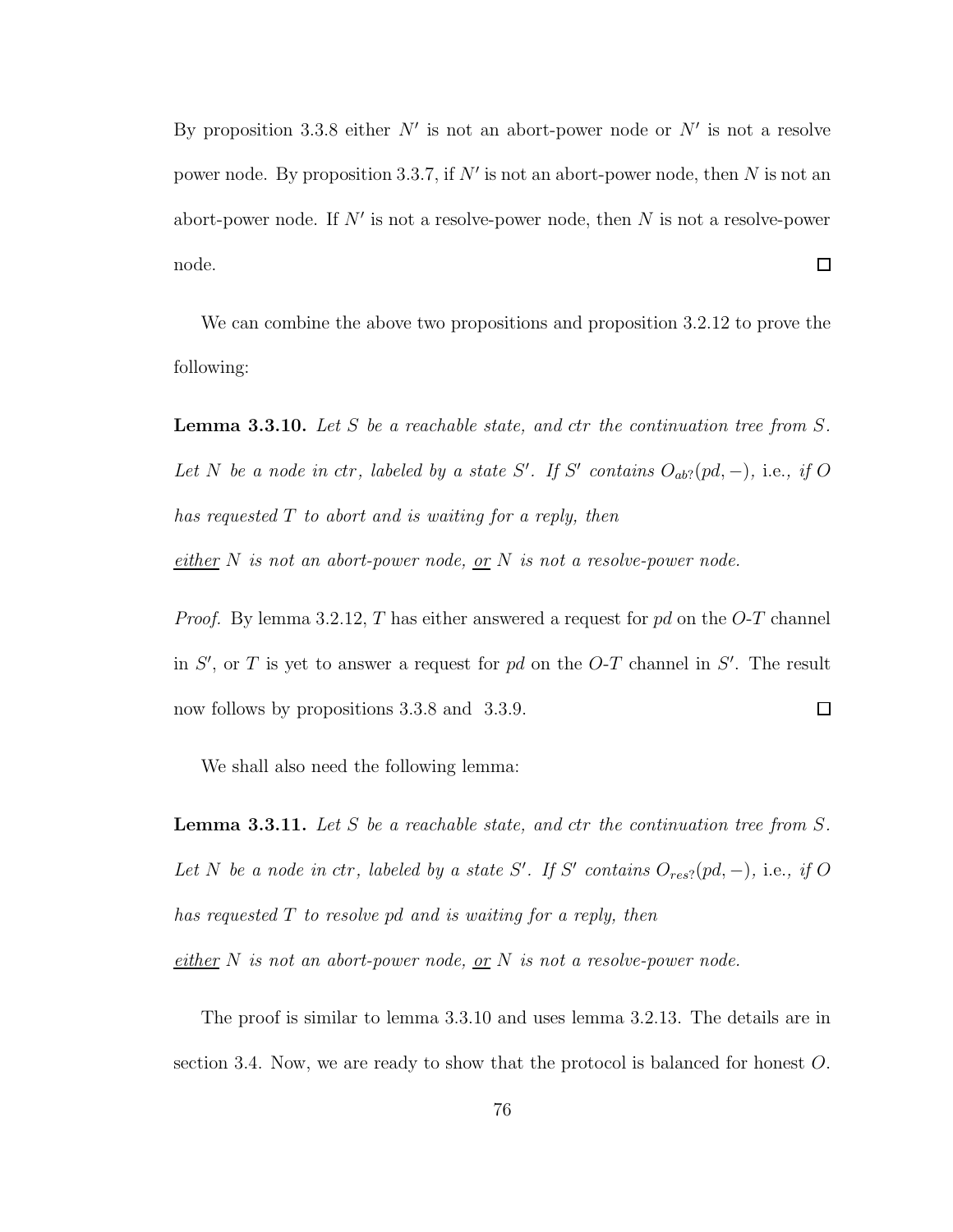By proposition 3.3.8 either  $N'$  is not an abort-power node or  $N'$  is not a resolve power node. By proposition 3.3.7, if  $N'$  is not an abort-power node, then N is not an abort-power node. If  $N'$  is not a resolve-power node, then N is not a resolve-power  $\Box$ node.

We can combine the above two propositions and proposition 3.2.12 to prove the following:

**Lemma 3.3.10.** Let S be a reachable state, and ctr the continuation tree from S. Let N be a node in ctr, labeled by a state S'. If S' contains  $O_{ab}$ ?  $(pd, -)$ , i.e., if O has requested T to abort and is waiting for a reply, then

either N is not an abort-power node, or N is not a resolve-power node.

*Proof.* By lemma 3.2.12, T has either answered a request for  $pd$  on the O-T channel in  $S'$ , or T is yet to answer a request for pd on the O-T channel in  $S'$ . The result  $\Box$ now follows by propositions 3.3.8 and 3.3.9.

We shall also need the following lemma:

**Lemma 3.3.11.** Let S be a reachable state, and ctr the continuation tree from S. Let N be a node in ctr, labeled by a state S'. If S' contains  $O_{res}$ ? (pd, -), i.e., if O has requested T to resolve pd and is waiting for a reply, then

 $\frac{either}{.}$  N is not an abort-power node, <u>or</u> N is not a resolve-power node.

The proof is similar to lemma 3.3.10 and uses lemma 3.2.13. The details are in section 3.4. Now, we are ready to show that the protocol is balanced for honest O.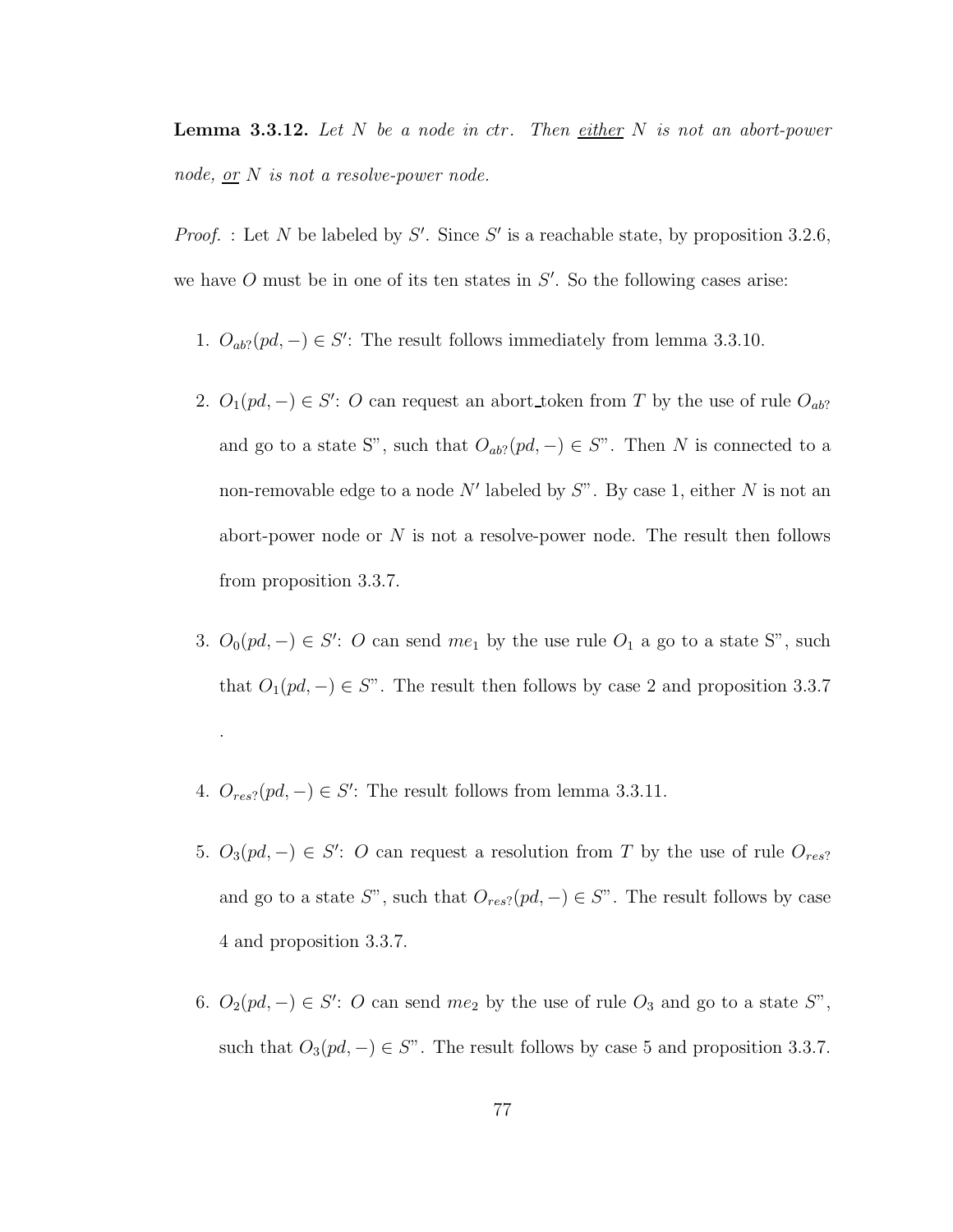**Lemma 3.3.12.** Let  $N$  be a node in ctr. Then either  $N$  is not an abort-power node, <u>or</u>  $N$  is not a resolve-power node.

*Proof.* : Let N be labeled by S'. Since S' is a reachable state, by proposition 3.2.6, we have  $O$  must be in one of its ten states in  $S'$ . So the following cases arise:

- 1.  $O_{ab}$ ?(pd, -)  $\in S'$ : The result follows immediately from lemma 3.3.10.
- 2.  $O_1(pd, -) \in S'$ : O can request an abort\_token from T by the use of rule  $O_{ab}$ ? and go to a state S", such that  $O_{ab}$ ? $(pd, -) \in S$ ". Then N is connected to a non-removable edge to a node N' labeled by  $S$ ". By case 1, either N is not an abort-power node or  $N$  is not a resolve-power node. The result then follows from proposition 3.3.7.
- 3.  $O_0(pd, -) \in S'$ : O can send  $me_1$  by the use rule  $O_1$  a go to a state S", such that  $O_1(pd, -) \in S$ ". The result then follows by case 2 and proposition 3.3.7
- 4.  $O_{res}$ ?( $pd$ , -)  $\in S'$ : The result follows from lemma 3.3.11.

.

- 5.  $O_3(pd, -) \in S'$ : O can request a resolution from T by the use of rule  $O_{res}$ ? and go to a state  $S^"$ , such that  $O_{res}$ ?( $pd, -$ ) ∈  $S^"$ . The result follows by case 4 and proposition 3.3.7.
- 6.  $O_2(pd, -) \in S'$ : O can send  $me_2$  by the use of rule  $O_3$  and go to a state  $S''$ , such that  $O_3(pd, -) \in S$ ". The result follows by case 5 and proposition 3.3.7.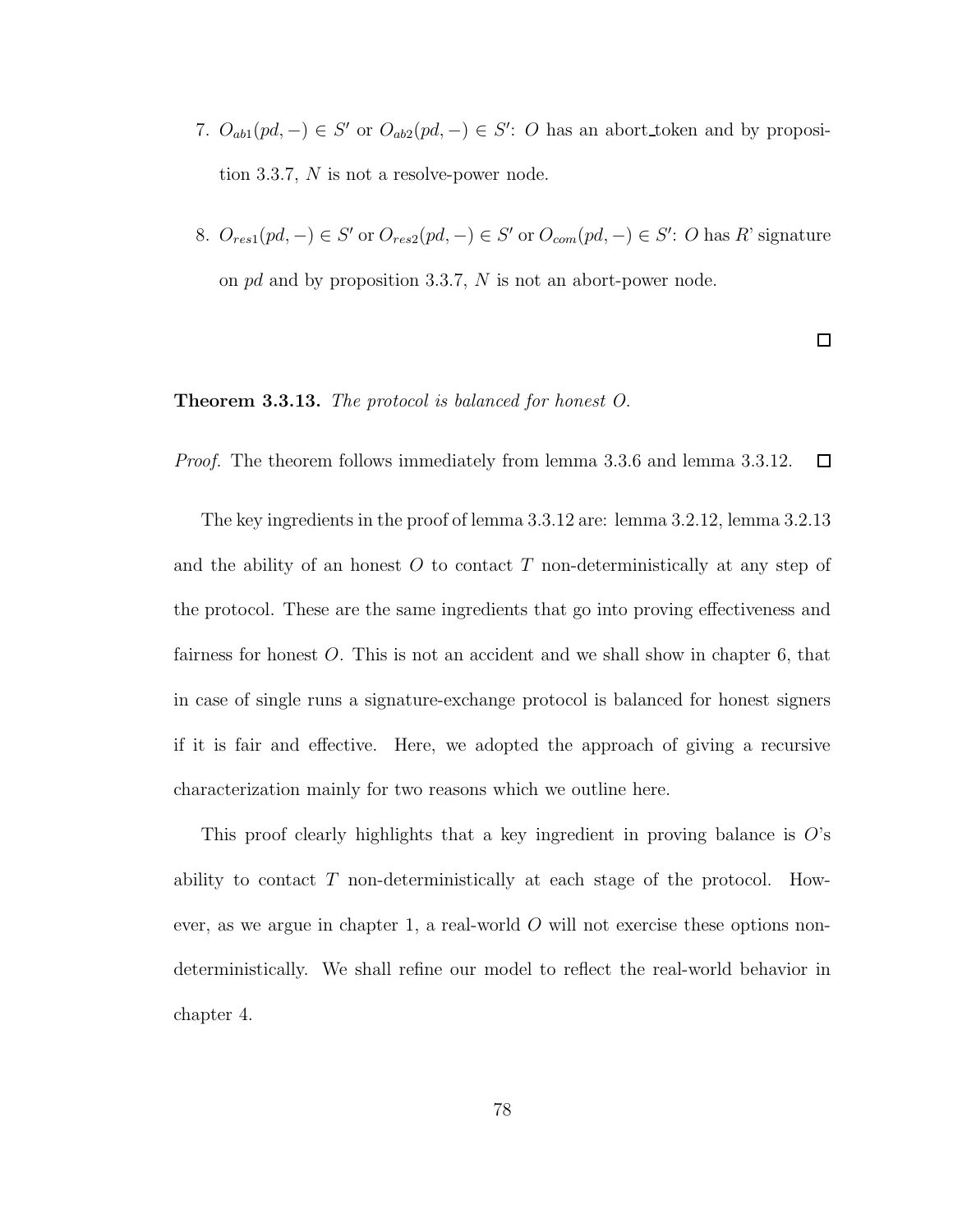- 7.  $O_{ab1}(pd, -) \in S'$  or  $O_{ab2}(pd, -) \in S'$ : O has an abort token and by proposition 3.3.7, N is not a resolve-power node.
- 8.  $O_{res1}(pd, -) \in S'$  or  $O_{res2}(pd, -) \in S'$  or  $O_{com}(pd, -) \in S'$ : O has R' signature on pd and by proposition 3.3.7, N is not an abort-power node.

 $\Box$ 

### **Theorem 3.3.13.** The protocol is balanced for honest O.

Proof. The theorem follows immediately from lemma 3.3.6 and lemma 3.3.12.  $\Box$ 

The key ingredients in the proof of lemma 3.3.12 are: lemma 3.2.12, lemma 3.2.13 and the ability of an honest  $O$  to contact  $T$  non-deterministically at any step of the protocol. These are the same ingredients that go into proving effectiveness and fairness for honest O. This is not an accident and we shall show in chapter 6, that in case of single runs a signature-exchange protocol is balanced for honest signers if it is fair and effective. Here, we adopted the approach of giving a recursive characterization mainly for two reasons which we outline here.

This proof clearly highlights that a key ingredient in proving balance is  $O$ 's ability to contact T non-deterministically at each stage of the protocol. However, as we argue in chapter 1, a real-world  $O$  will not exercise these options nondeterministically. We shall refine our model to reflect the real-world behavior in chapter 4.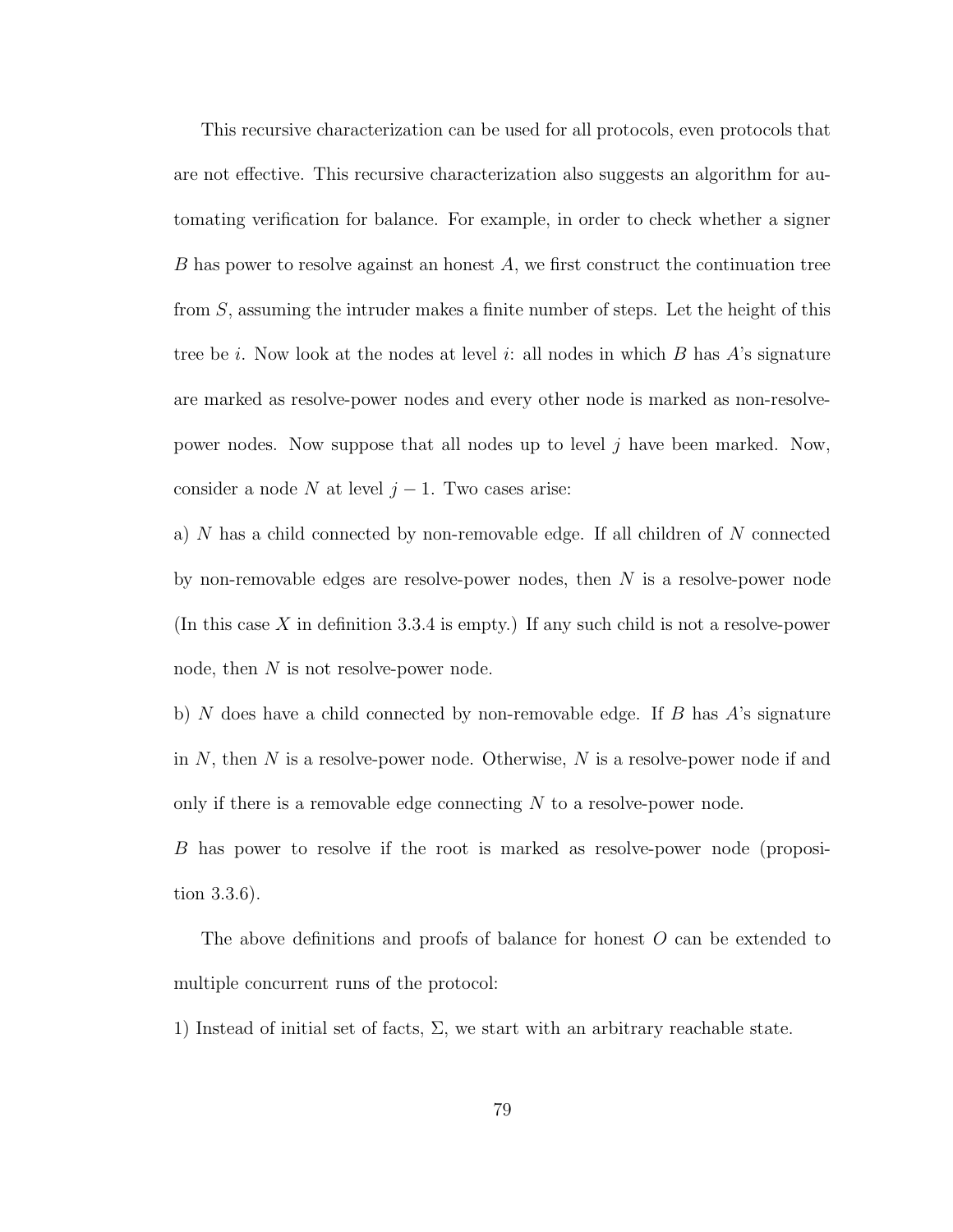This recursive characterization can be used for all protocols, even protocols that are not effective. This recursive characterization also suggests an algorithm for automating verification for balance. For example, in order to check whether a signer B has power to resolve against an honest A, we first construct the continuation tree from S, assuming the intruder makes a finite number of steps. Let the height of this tree be i. Now look at the nodes at level i: all nodes in which  $B$  has  $A$ 's signature are marked as resolve-power nodes and every other node is marked as non-resolvepower nodes. Now suppose that all nodes up to level j have been marked. Now, consider a node N at level  $j-1$ . Two cases arise:

a) N has a child connected by non-removable edge. If all children of N connected by non-removable edges are resolve-power nodes, then  $N$  is a resolve-power node (In this case X in definition 3.3.4 is empty.) If any such child is not a resolve-power node, then N is not resolve-power node.

b) N does have a child connected by non-removable edge. If B has  $A$ 's signature in  $N$ , then  $N$  is a resolve-power node. Otherwise,  $N$  is a resolve-power node if and only if there is a removable edge connecting  $N$  to a resolve-power node.

B has power to resolve if the root is marked as resolve-power node (proposition 3.3.6).

The above definitions and proofs of balance for honest O can be extended to multiple concurrent runs of the protocol:

1) Instead of initial set of facts,  $\Sigma$ , we start with an arbitrary reachable state.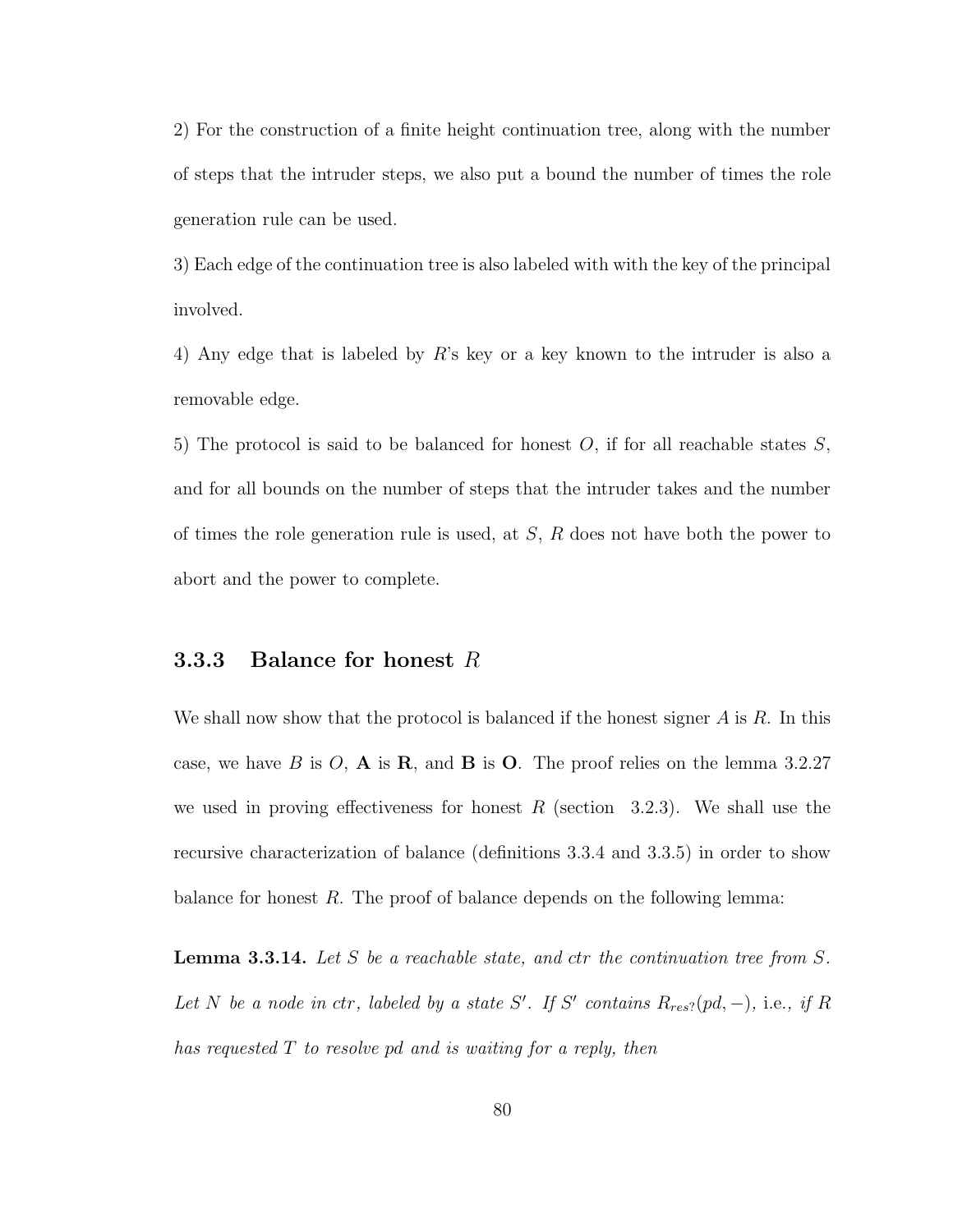2) For the construction of a finite height continuation tree, along with the number of steps that the intruder steps, we also put a bound the number of times the role generation rule can be used.

3) Each edge of the continuation tree is also labeled with with the key of the principal involved.

4) Any edge that is labeled by R's key or a key known to the intruder is also a removable edge.

5) The protocol is said to be balanced for honest  $O$ , if for all reachable states  $S$ , and for all bounds on the number of steps that the intruder takes and the number of times the role generation rule is used, at  $S$ ,  $R$  does not have both the power to abort and the power to complete.

### **3.3.3** Balance for honest  $R$

We shall now show that the protocol is balanced if the honest signer  $A$  is  $R$ . In this case, we have B is O, A is R, and B is O. The proof relies on the lemma 3.2.27 we used in proving effectiveness for honest R (section  $3.2.3$ ). We shall use the recursive characterization of balance (definitions 3.3.4 and 3.3.5) in order to show balance for honest  $R$ . The proof of balance depends on the following lemma:

**Lemma 3.3.14.** Let S be a reachable state, and ctr the continuation tree from  $S$ . Let N be a node in ctr, labeled by a state S'. If S' contains  $R_{res}$ ?(pd, -), i.e., if R has requested T to resolve pd and is waiting for a reply, then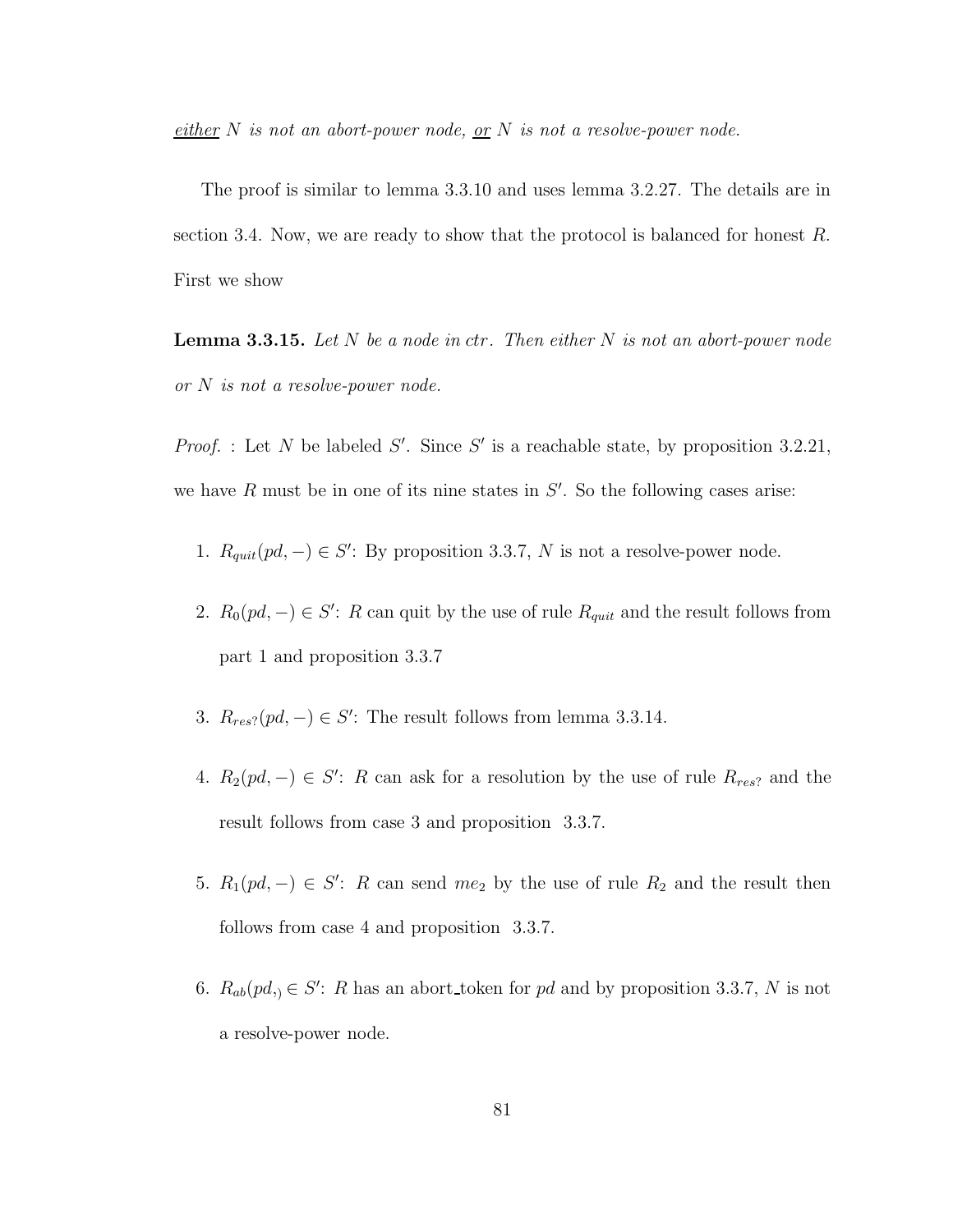$\frac{either}{ } N$  is not an abort-power node, or N is not a resolve-power node.

The proof is similar to lemma 3.3.10 and uses lemma 3.2.27. The details are in section 3.4. Now, we are ready to show that the protocol is balanced for honest R. First we show

**Lemma 3.3.15.** Let  $N$  be a node in ctr. Then either  $N$  is not an abort-power node or N is not a resolve-power node.

*Proof.* : Let N be labeled S'. Since S' is a reachable state, by proposition 3.2.21, we have  $R$  must be in one of its nine states in  $S'$ . So the following cases arise:

- 1.  $R_{quit}(pd, -) \in S'$ : By proposition 3.3.7, N is not a resolve-power node.
- 2.  $R_0(pd, -) \in S'$ : R can quit by the use of rule  $R_{quit}$  and the result follows from part 1 and proposition 3.3.7
- 3.  $R_{res}$ ?(pd, -)  $\in S'$ : The result follows from lemma 3.3.14.
- 4.  $R_2(pd, -) \in S'$ : R can ask for a resolution by the use of rule  $R_{res}$  and the result follows from case 3 and proposition 3.3.7.
- 5.  $R_1(pd, -) \in S'$ : R can send  $me_2$  by the use of rule  $R_2$  and the result then follows from case 4 and proposition 3.3.7.
- 6.  $R_{ab}(pd) \in S'$ : R has an abort\_token for pd and by proposition 3.3.7, N is not a resolve-power node.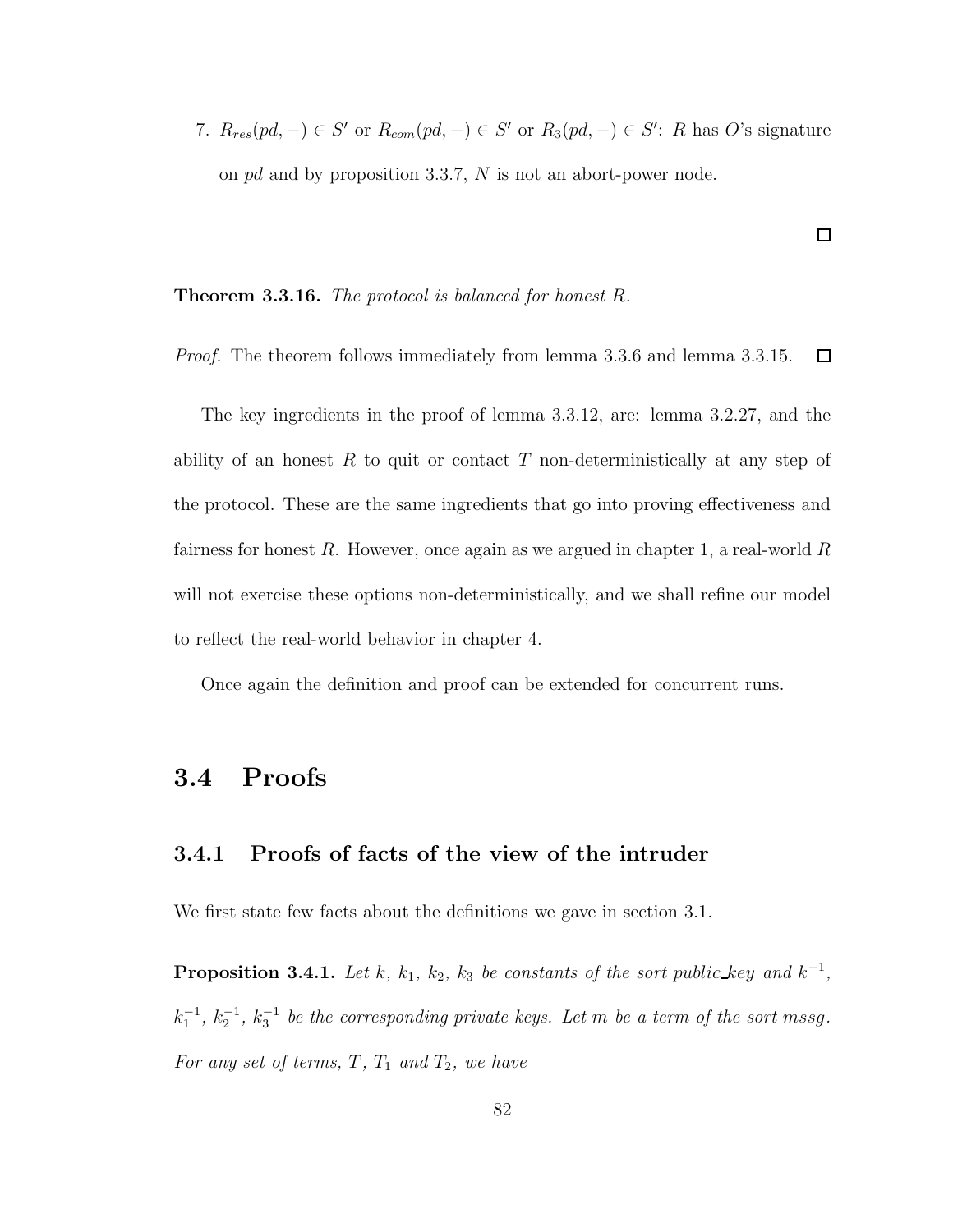7.  $R_{res}(pd, -) \in S'$  or  $R_{com}(pd, -) \in S'$  or  $R_3(pd, -) \in S'$ : R has O's signature on pd and by proposition 3.3.7, N is not an abort-power node.

#### **Theorem 3.3.16.** The protocol is balanced for honest  $R$ .

*Proof.* The theorem follows immediately from lemma 3.3.6 and lemma 3.3.15.  $\Box$ 

The key ingredients in the proof of lemma 3.3.12, are: lemma 3.2.27, and the ability of an honest  $R$  to quit or contact  $T$  non-deterministically at any step of the protocol. These are the same ingredients that go into proving effectiveness and fairness for honest  $R$ . However, once again as we argued in chapter 1, a real-world  $R$ will not exercise these options non-deterministically, and we shall refine our model to reflect the real-world behavior in chapter 4.

Once again the definition and proof can be extended for concurrent runs.

# 3.4 Proofs

## 3.4.1 Proofs of facts of the view of the intruder

We first state few facts about the definitions we gave in section 3.1.

**Proposition 3.4.1.** Let k,  $k_1$ ,  $k_2$ ,  $k_3$  be constants of the sort public\_key and  $k^{-1}$ ,  $k_1^{-1}, k_2^{-1}, k_3^{-1}$  be the corresponding private keys. Let m be a term of the sort mssg. For any set of terms,  $T$ ,  $T_1$  and  $T_2$ , we have

 $\Box$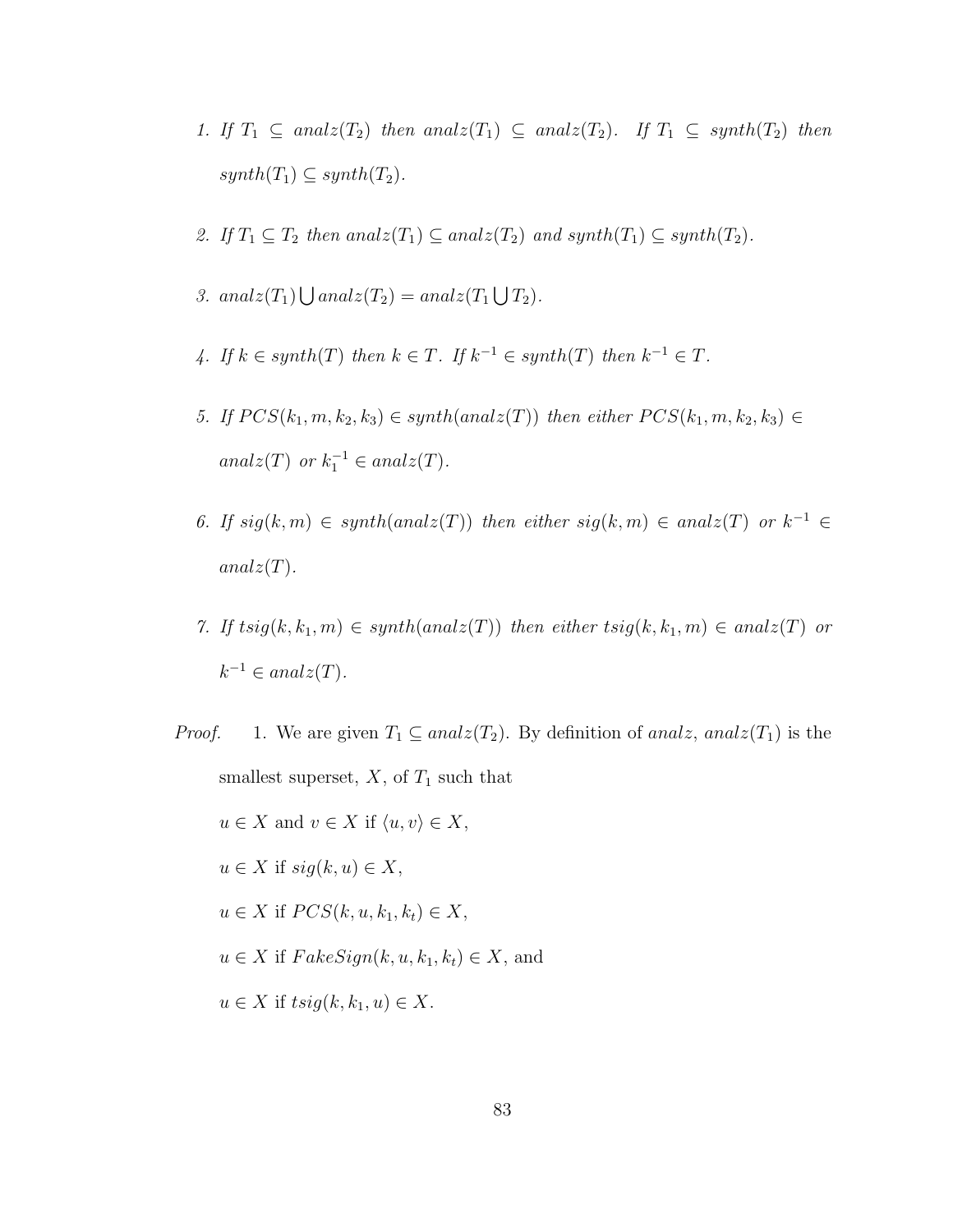- 1. If  $T_1 \subseteq \text{analz}(T_2)$  then  $\text{analz}(T_1) \subseteq \text{analz}(T_2)$ . If  $T_1 \subseteq \text{synth}(T_2)$  then  $synth(T_1) \subseteq synth(T_2)$ .
- 2. If  $T_1 \subseteq T_2$  then anal $z(T_1) \subseteq$  anal $z(T_2)$  and synth $(T_1) \subseteq$  synth $(T_2)$ .
- 3. anal $z(T_1) \bigcup$  anal $z(T_2) =$  anal $z(T_1 \bigcup T_2)$ .
- 4. If  $k \in synth(T)$  then  $k \in T$ . If  $k^{-1} \in synth(T)$  then  $k^{-1} \in T$ .
- 5. If  $PCS(k_1, m, k_2, k_3) \in synth(analz(T))$  then either  $PCS(k_1, m, k_2, k_3) \in$ analz(T) or  $k_1^{-1} \in \text{analz}(T)$ .
- 6. If  $sig(k,m) \in synth(analz(T))$  then either  $sig(k,m) \in analz(T)$  or  $k^{-1} \in$  $analz(T)$ .
- 7. If  $tsig(k, k_1, m) \in synth(analz(T))$  then either  $tsig(k, k_1, m) \in analz(T)$  or  $k^{-1} \in analz(T)$ .

*Proof.* 1. We are given  $T_1 \subseteq$  analz $(T_2)$ . By definition of analz, analz $(T_1)$  is the smallest superset,  $X$ , of  $T_1$  such that  $u \in X$  and  $v \in X$  if  $\langle u, v \rangle \in X$ ,  $u \in X$  if  $sig(k, u) \in X$ ,  $u \in X$  if  $PCS(k, u, k_1, k_t) \in X$ ,  $u \in X$  if  $FakeSign(k, u, k_1, k_t) \in X$ , and  $u \in X$  if  $tsig(k, k_1, u) \in X$ .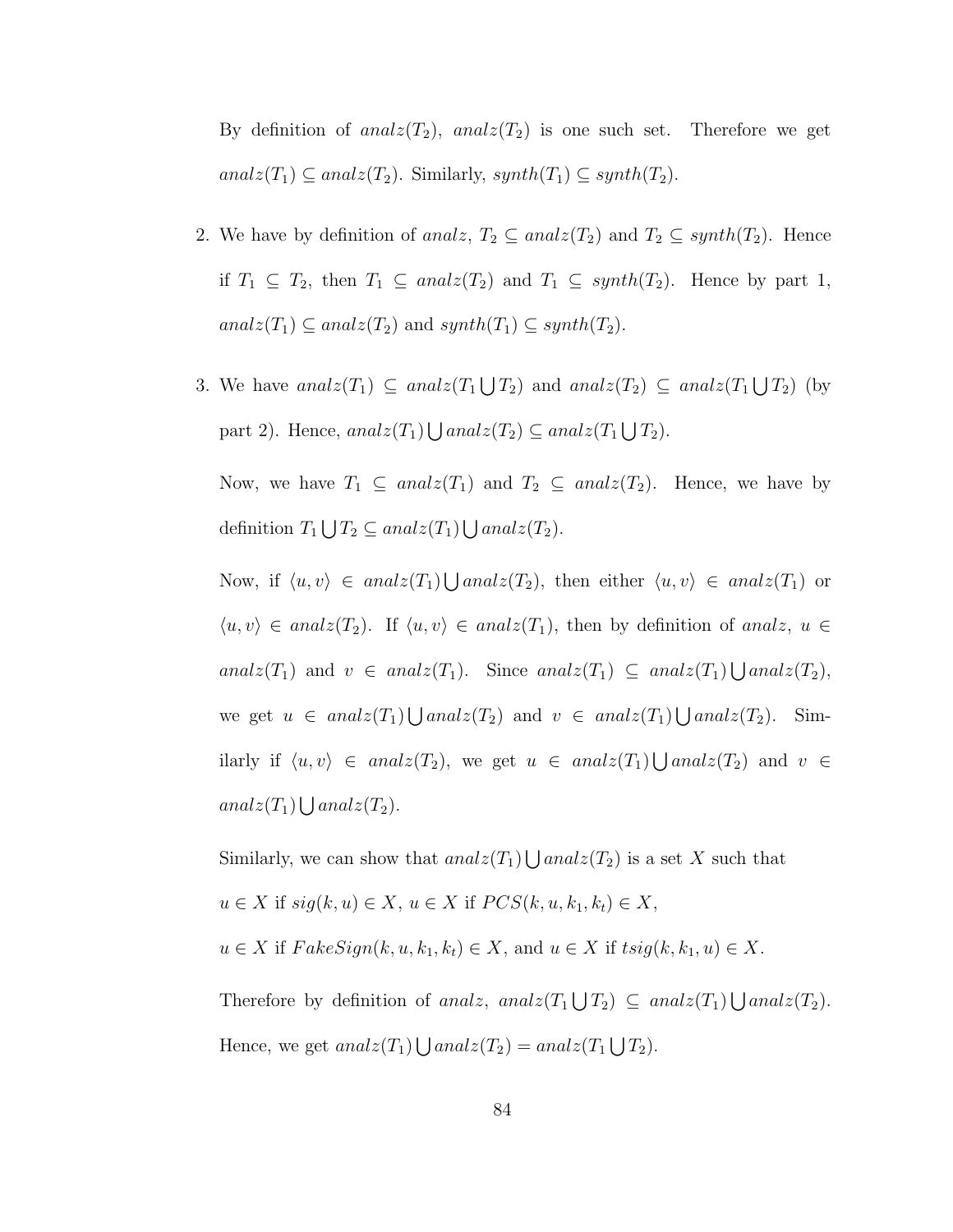By definition of anal $z(T_2)$ , anal $z(T_2)$  is one such set. Therefore we get anal $z(T_1) \subseteq$  anal $z(T_2)$ . Similarly, synth $(T_1) \subseteq$  synth $(T_2)$ .

- 2. We have by definition of analz,  $T_2 \subseteq \text{analz}(T_2)$  and  $T_2 \subseteq \text{synth}(T_2)$ . Hence if  $T_1 \subseteq T_2$ , then  $T_1 \subseteq$  anal $z(T_2)$  and  $T_1 \subseteq$  synth $(T_2)$ . Hence by part 1,  $analz(T_1) \subseteq analz(T_2)$  and  $synth(T_1) \subseteq synth(T_2)$ .
- 3. We have  $analz(T_1) \subseteq analz(T_1 \bigcup T_2)$  and  $analz(T_2) \subseteq analz(T_1 \bigcup T_2)$  (by part 2). Hence,  $analz(T_1) \bigcup analz(T_2) \subseteq analz(T_1 \bigcup T_2)$ .

Now, we have  $T_1 \subseteq \text{anal}_z(T_1)$  and  $T_2 \subseteq \text{anal}_z(T_2)$ . Hence, we have by definition  $T_1 \bigcup T_2 \subseteq analz(T_1) \bigcup analz(T_2)$ .

Now, if  $\langle u, v \rangle \in \text{anal}_z(T_1) \bigcup \text{anal}_z(T_2)$ , then either  $\langle u, v \rangle \in \text{anal}_z(T_1)$  or  $\langle u, v \rangle \in \text{anal } z(T_2)$ . If  $\langle u, v \rangle \in \text{anal } z(T_1)$ , then by definition of analz,  $u \in$ analz $(T_1)$  and  $v \in \text{anal}_z(T_1)$ . Since analz $(T_1) \subseteq \text{anal}_z(T_1) \bigcup \text{anal}_z(T_2)$ , we get  $u \in \text{anal}(T_1) \bigcup \text{anal}(T_2)$  and  $v \in \text{anal}(T_1) \bigcup \text{anal}(T_2)$ . Similarly if  $\langle u, v \rangle \in \text{ analz}(T_2)$ , we get  $u \in \text{ analz}(T_1) \bigcup \text{analz}(T_2)$  and  $v \in$  $analz(T_1) \bigcup analz(T_2).$ 

Similarly, we can show that  $analz(T_1) \bigcup analz(T_2)$  is a set X such that  $u \in X$  if  $sig(k, u) \in X$ ,  $u \in X$  if  $PCS(k, u, k_1, k_t) \in X$ ,  $u \in X$  if  $FakeSign(k, u, k_1, k_t) \in X$ , and  $u \in X$  if  $tsig(k, k_1, u) \in X$ .

Therefore by definition of analz, analz $(T_1 \bigcup T_2) \subseteq$  analz $(T_1) \bigcup$  analz $(T_2)$ . Hence, we get  $analz(T_1) \bigcup analz(T_2) = analz(T_1 \bigcup T_2)$ .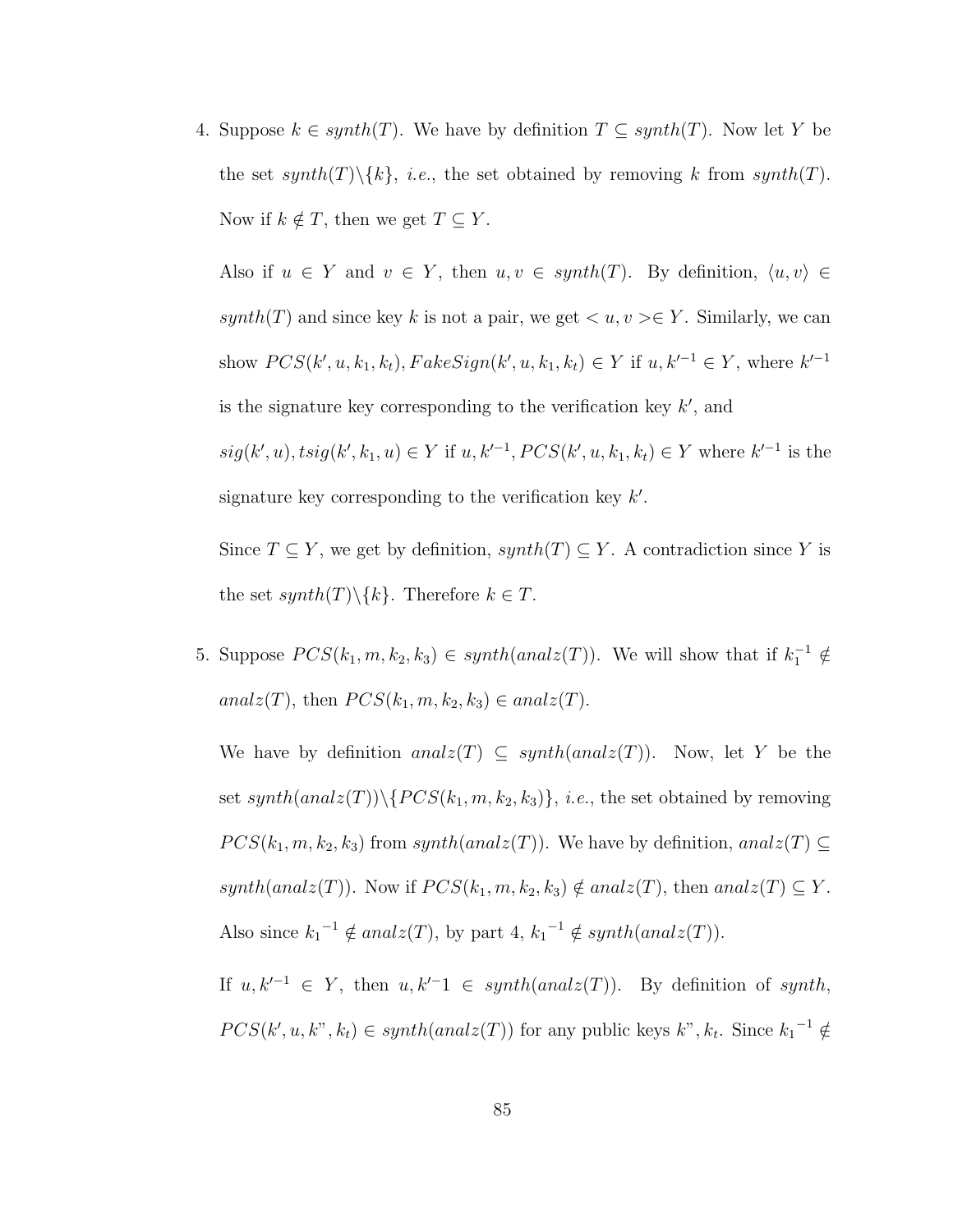4. Suppose  $k \in synth(T)$ . We have by definition  $T \subseteq synth(T)$ . Now let Y be the set synth(T)\{k}, *i.e.*, the set obtained by removing k from synth(T). Now if  $k \notin T$ , then we get  $T \subseteq Y$ .

Also if  $u \in Y$  and  $v \in Y$ , then  $u, v \in synth(T)$ . By definition,  $\langle u, v \rangle \in$ synth(T) and since key k is not a pair, we get  $\langle u, v \rangle \in Y$ . Similarly, we can show  $PCS(k', u, k_1, k_t)$ ,  $FalseSign(k', u, k_1, k_t) \in Y$  if  $u, k'^{-1} \in Y$ , where  $k'^{-1}$ is the signature key corresponding to the verification key  $k'$ , and  $sig(k', u), tsig(k', k_1, u) \in Y$  if  $u, k'^{-1}, PCS(k', u, k_1, k_t) \in Y$  where  $k'^{-1}$  is the signature key corresponding to the verification key  $k'$ .

Since  $T \subseteq Y$ , we get by definition,  $synth(T) \subseteq Y$ . A contradiction since Y is the set  $synth(T) \backslash \{k\}$ . Therefore  $k \in T$ .

5. Suppose  $PCS(k_1, m, k_2, k_3) \in synth(analz(T))$ . We will show that if  $k_1^{-1} \notin$ analz(T), then  $PCS(k_1, m, k_2, k_3) \in analz(T)$ .

We have by definition anal $z(T) \subseteq synth(analz(T))$ . Now, let Y be the set  $synth(analz(T))\setminus \{PCS(k_1, m, k_2, k_3)\}, i.e.,$  the set obtained by removing  $PCS(k_1, m, k_2, k_3)$  from  $synth(analz(T))$ . We have by definition, anal $z(T) \subseteq$ synth(analz(T)). Now if  $PCS(k_1, m, k_2, k_3) \notin analz(T)$ , then anal $z(T) \subseteq Y$ . Also since  $k_1^{-1} \notin analz(T)$ , by part  $4, k_1^{-1} \notin synth(analz(T)).$ 

If  $u, k'^{-1} \in Y$ , then  $u, k'^{-1} \in synth(analz(T))$ . By definition of synth,  $PCS(k', u, k", k_t) \in synth(analz(T))$  for any public keys  $k", k_t$ . Since  $k_1^{-1} \notin$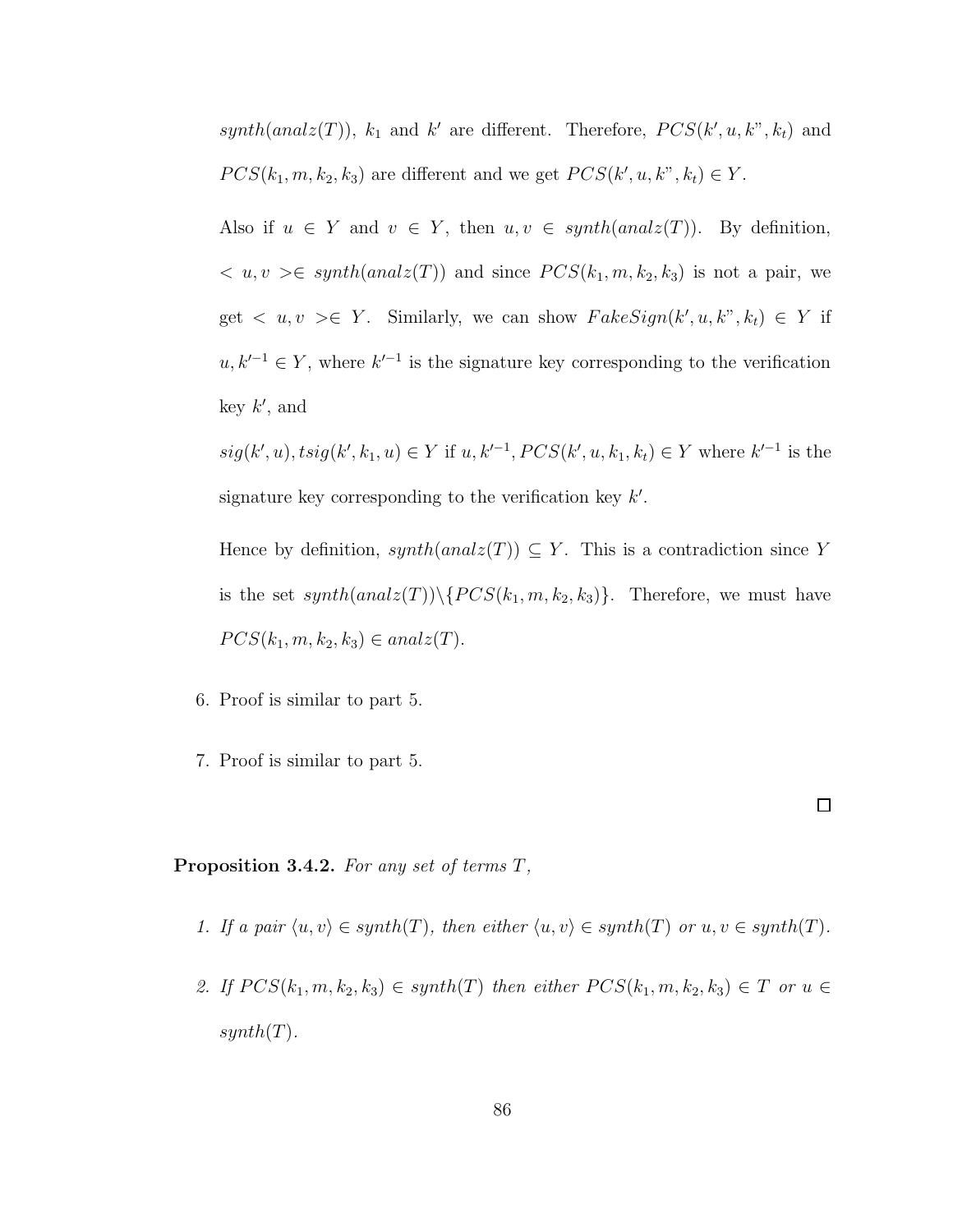synth(analz(T)),  $k_1$  and  $k'$  are different. Therefore,  $PCS(k', u, k'', k_t)$  and  $PCS(k_1, m, k_2, k_3)$  are different and we get  $PCS(k', u, k'', k_t) \in Y$ .

Also if  $u \in Y$  and  $v \in Y$ , then  $u, v \in synth(analz(T))$ . By definition,  $\langle u, v \rangle \in \text{synth}(\text{anal}(T))$  and since  $PCS(k_1, m, k_2, k_3)$  is not a pair, we get  $\langle u, v \rangle \in Y$ . Similarly, we can show  $FakeSign(k', u, k'', k_t) \in Y$  if  $u, k'^{-1} \in Y$ , where  $k'^{-1}$  is the signature key corresponding to the verification key  $k'$ , and

 $sig(k', u), tsig(k', k_1, u) \in Y$  if  $u, k'^{-1}, PCS(k', u, k_1, k_t) \in Y$  where  $k'^{-1}$  is the signature key corresponding to the verification key  $k'$ .

Hence by definition,  $synth(analz(T)) \subseteq Y$ . This is a contradiction since Y is the set  $synth(analz(T))\setminus \{PCS(k_1, m, k_2, k_3)\}.$  Therefore, we must have  $PCS(k_1, m, k_2, k_3) \in analz(T).$ 

- 6. Proof is similar to part 5.
- 7. Proof is similar to part 5.

**Proposition 3.4.2.** For any set of terms  $T$ ,

1. If a pair  $\langle u, v \rangle \in \text{synth}(T)$ , then either  $\langle u, v \rangle \in \text{synth}(T)$  or  $u, v \in \text{synth}(T)$ .

 $\Box$ 

2. If  $PCS(k_1, m, k_2, k_3) \in synth(T)$  then either  $PCS(k_1, m, k_2, k_3) \in T$  or  $u \in$  $synth(T)$ .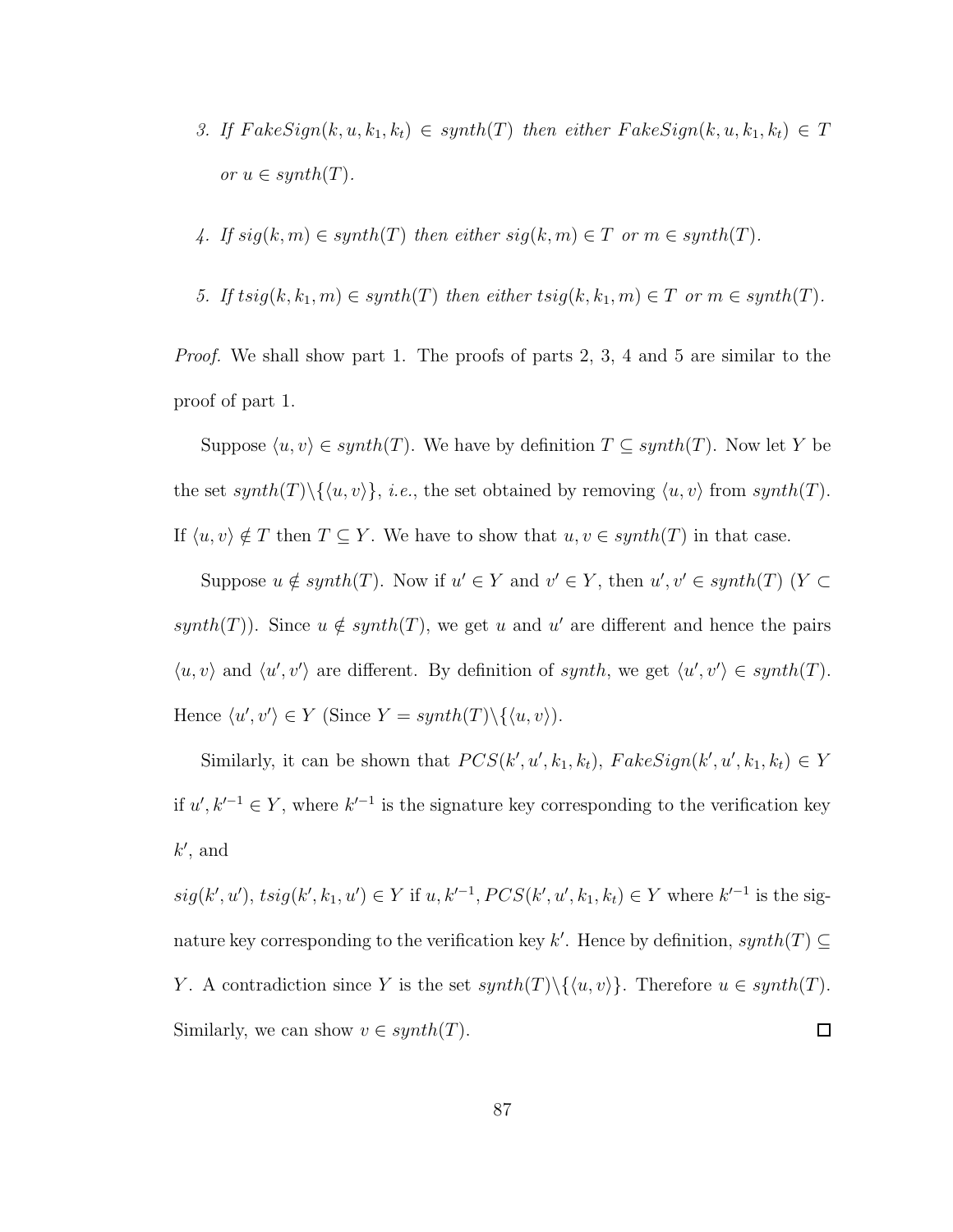- 3. If  $FakeSign(k, u, k_1, k_t) \in synth(T)$  then either  $FakeSign(k, u, k_1, k_t) \in T$ or  $u \in synth(T)$ .
- 4. If  $sig(k, m) \in synth(T)$  then either  $sig(k, m) \in T$  or  $m \in synth(T)$ .
- 5. If  $t\text{sig}(k, k_1, m) \in \text{synth}(T)$  then either  $\text{tsig}(k, k_1, m) \in T$  or  $m \in \text{synth}(T)$ .

Proof. We shall show part 1. The proofs of parts 2, 3, 4 and 5 are similar to the proof of part 1.

Suppose  $\langle u, v \rangle \in synth(T)$ . We have by definition  $T \subseteq synth(T)$ . Now let Y be the set  $synth(T) \setminus \{ \langle u, v \rangle \}, i.e.,$  the set obtained by removing  $\langle u, v \rangle$  from  $synth(T)$ . If  $\langle u, v \rangle \notin T$  then  $T \subseteq Y$ . We have to show that  $u, v \in synth(T)$  in that case.

Suppose  $u \notin \text{synth}(T)$ . Now if  $u' \in Y$  and  $v' \in Y$ , then  $u', v' \in \text{synth}(T)$   $(Y \subset Y)$ synth(T)). Since  $u \notin synth(T)$ , we get u and u' are different and hence the pairs  $\langle u, v \rangle$  and  $\langle u', v' \rangle$  are different. By definition of synth, we get  $\langle u', v' \rangle \in synth(T)$ . Hence  $\langle u', v' \rangle \in Y$  (Since  $Y = synth(T)\setminus \{\langle u, v \rangle\}.$ 

Similarly, it can be shown that  $PCS(k', u', k_1, k_t)$ ,  $FalseSign(k', u', k_1, k_t) \in Y$ if  $u', k'^{-1} ∈ Y$ , where  $k'^{-1}$  is the signature key corresponding to the verification key  $k'$ , and

 $sig(k', u'), tsig(k', k_1, u') \in Y$  if  $u, k'^{-1}, PCS(k', u', k_1, k_t) \in Y$  where  $k'^{-1}$  is the signature key corresponding to the verification key k'. Hence by definition,  $synth(T) \subseteq$ Y. A contradiction since Y is the set  $synth(T) \setminus \{ \langle u, v \rangle \}$ . Therefore  $u \in synth(T)$ .  $\Box$ Similarly, we can show  $v \in synth(T)$ .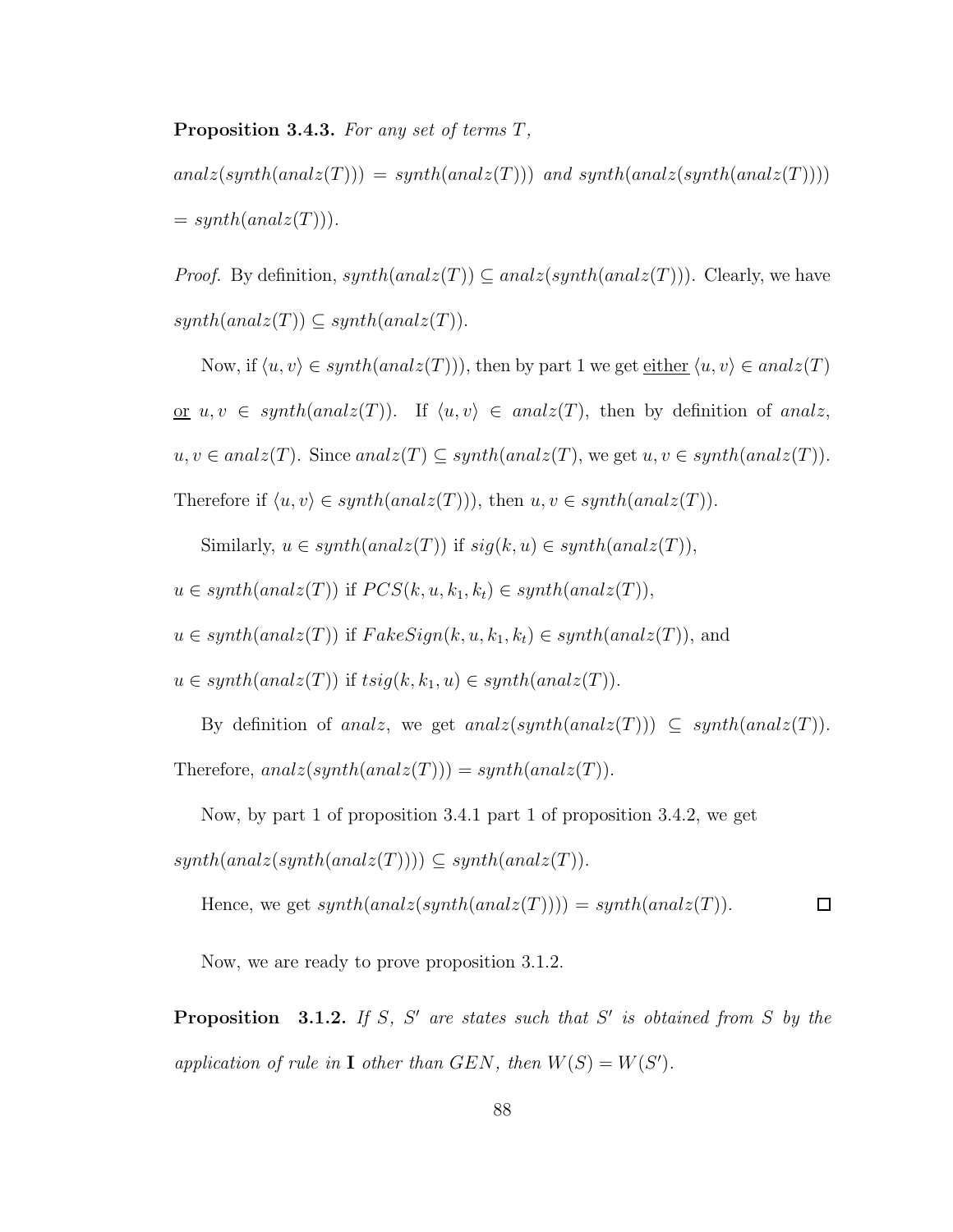### Proposition 3.4.3. For any set of terms T,

 $analz(synth(analz(T))) = synth(analz(T)))$  and synth $(analz(synth(analz(T))))$  $= synth(analz(T))$ .

*Proof.* By definition,  $synth(analz(T)) \subseteq analz(synth(analz(T)))$ . Clearly, we have  $synth(analz(T)) \subseteq synth(analz(T)).$ 

Now, if  $\langle u, v \rangle \in synth(analz(T))$ , then by part 1 we get <u>either</u>  $\langle u, v \rangle \in analz(T)$ or  $u, v \in synth(analz(T))$ . If  $\langle u, v \rangle \in analz(T)$ , then by definition of analz,  $u, v \in \text{analz}(T)$ . Since  $\text{analz}(T) \subseteq \text{synth}(\text{analz}(T))$ , we get  $u, v \in \text{synth}(\text{analz}(T))$ .

Therefore if  $\langle u, v \rangle \in synth(analz(T))$ , then  $u, v \in synth(analz(T))$ .

Similarly,  $u \in synth(analz(T))$  if  $sig(k, u) \in synth(analz(T)),$ 

 $u \in synth(analz(T))$  if  $PCS(k, u, k_1, k_t) \in synth(analz(T)),$ 

 $u \in synth(analz(T))$  if  $FakeSign(k, u, k_1, k_t) \in synth(analz(T))$ , and

 $u \in synth(analz(T))$  if  $tsig(k, k_1, u) \in synth(analz(T)).$ 

By definition of analz, we get analz(synth(analz(T)))  $\subseteq$  synth(analz(T)). Therefore,  $analz(synth(analz(T))) = synth(analz(T))$ .

Now, by part 1 of proposition 3.4.1 part 1 of proposition 3.4.2, we get

 $synth(analz(synth(analz(T)))) \subseteq synth(analz(T)).$ 

Hence, we get  $synth(analz(synth(analz(T)))) = synth(analz(T))$ .  $\Box$ 

Now, we are ready to prove proposition 3.1.2.

**Proposition** 3.1.2. If S, S' are states such that S' is obtained from S by the application of rule in **I** other than GEN, then  $W(S) = W(S')$ .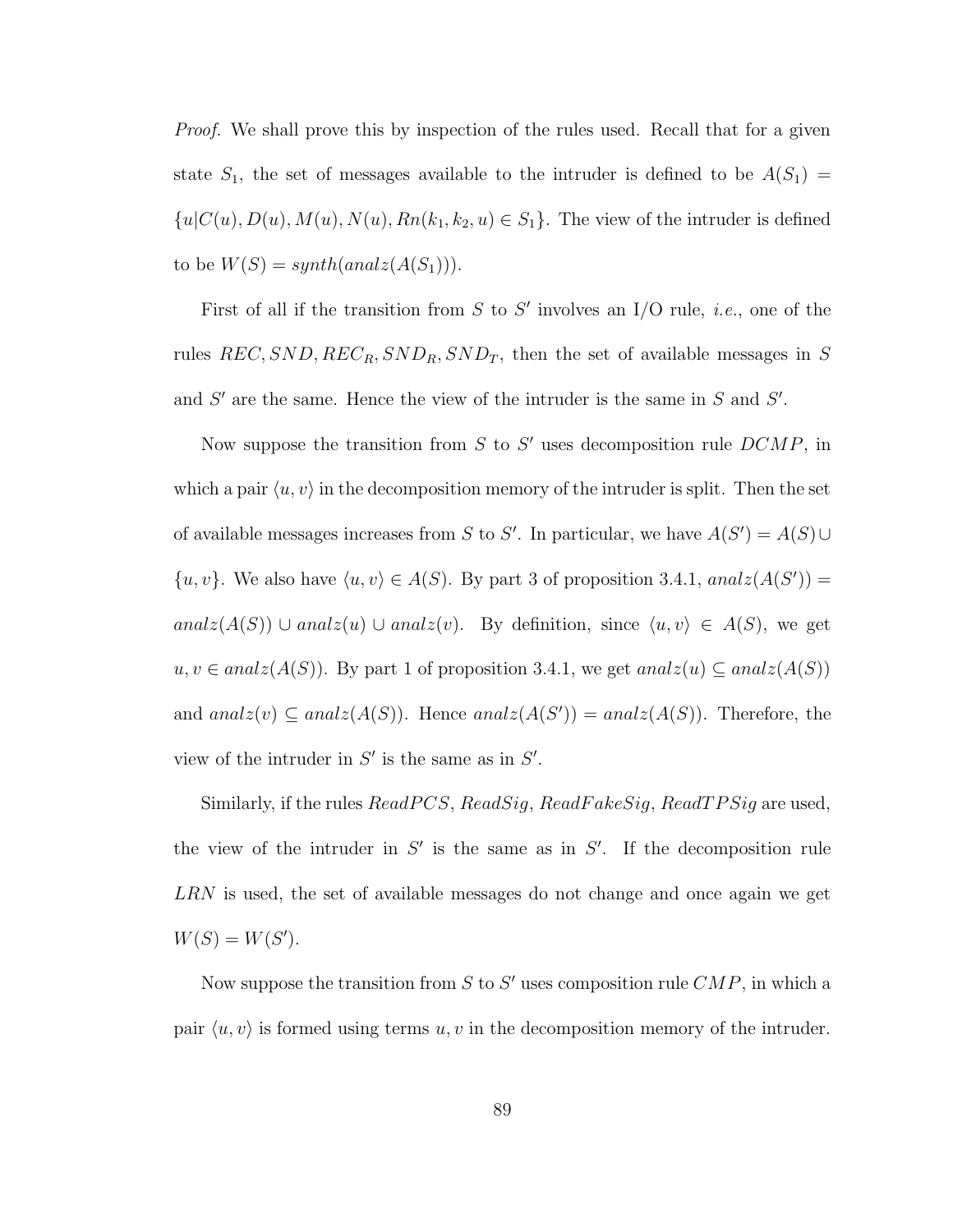Proof. We shall prove this by inspection of the rules used. Recall that for a given state  $S_1$ , the set of messages available to the intruder is defined to be  $A(S_1)$  =  ${u|C(u), D(u), M(u), N(u), R_n(k_1, k_2, u) \in S_1}.$  The view of the intruder is defined to be  $W(S) = synth(analz(A(S_1))).$ 

First of all if the transition from S to S' involves an I/O rule, *i.e.*, one of the rules  $REC, SND, REC_R, SND_R, SND_T$ , then the set of available messages in S and  $S'$  are the same. Hence the view of the intruder is the same in  $S$  and  $S'$ .

Now suppose the transition from  $S$  to  $S'$  uses decomposition rule  $DCMP$ , in which a pair  $\langle u, v \rangle$  in the decomposition memory of the intruder is split. Then the set of available messages increases from S to S'. In particular, we have  $A(S') = A(S) \cup$  $\{u, v\}$ . We also have  $\langle u, v \rangle \in A(S)$ . By part 3 of proposition 3.4.1, analz $(A(S'))$ analz(A(S)) ∪ analz(u) ∪ analz(v). By definition, since  $\langle u, v \rangle \in A(S)$ , we get  $u, v \in analz(A(S))$ . By part 1 of proposition 3.4.1, we get  $analz(u) \subseteq analz(A(S))$ and  $analz(v) \subseteq analz(A(S))$ . Hence  $analz(A(S')) = analz(A(S))$ . Therefore, the view of the intruder in  $S'$  is the same as in  $S'$ .

Similarly, if the rules  $ReadPCS, ReadSig, ReadFalse, ReadTPSig$  are used, the view of the intruder in  $S'$  is the same as in  $S'$ . If the decomposition rule LRN is used, the set of available messages do not change and once again we get  $W(S) = W(S')$ .

Now suppose the transition from S to S' uses composition rule  $\mathbb{C}MP$ , in which a pair  $\langle u, v \rangle$  is formed using terms u, v in the decomposition memory of the intruder.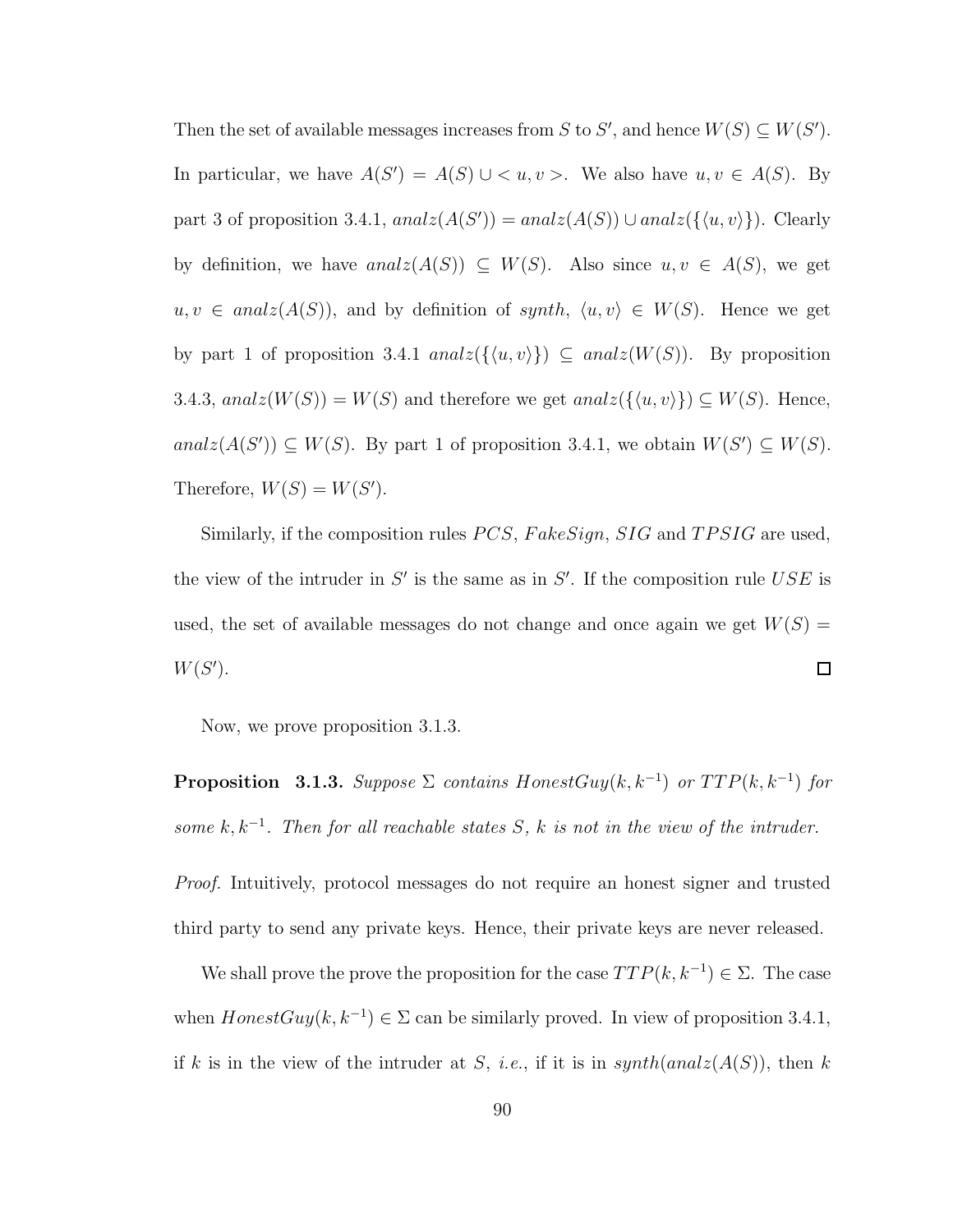Then the set of available messages increases from S to S', and hence  $W(S) \subseteq W(S')$ . In particular, we have  $A(S') = A(S) \cup \langle u, v \rangle$ . We also have  $u, v \in A(S)$ . By part 3 of proposition 3.4.1,  $analz(A(S')) = analz(A(S)) \cup analz(\{\langle u, v \rangle\})$ . Clearly by definition, we have  $analz(A(S)) \subseteq W(S)$ . Also since  $u, v \in A(S)$ , we get  $u, v \in \text{anal}(A(S))$ , and by definition of synth,  $\langle u, v \rangle \in W(S)$ . Hence we get by part 1 of proposition 3.4.1  $analz({\langle u, v \rangle}) \subseteq analz(W(S))$ . By proposition 3.4.3,  $analz(W(S)) = W(S)$  and therefore we get  $analz(\{\langle u, v \rangle\}) \subseteq W(S)$ . Hence, analz $(A(S')) \subseteq W(S)$ . By part 1 of proposition 3.4.1, we obtain  $W(S') \subseteq W(S)$ . Therefore,  $W(S) = W(S')$ .

Similarly, if the composition rules  $PCS$ ,  $FakeSign$ ,  $SIG$  and  $TPSIG$  are used, the view of the intruder in  $S'$  is the same as in  $S'$ . If the composition rule USE is used, the set of available messages do not change and once again we get  $W(S)$  =  $W(S')$ .  $\Box$ 

Now, we prove proposition 3.1.3.

**Proposition** 3.1.3. Suppose  $\Sigma$  contains HonestGuy(k, k<sup>-1</sup>) or  $TTP(k, k^{-1})$  for some  $k, k^{-1}$ . Then for all reachable states S, k is not in the view of the intruder.

Proof. Intuitively, protocol messages do not require an honest signer and trusted third party to send any private keys. Hence, their private keys are never released.

We shall prove the prove the proposition for the case  $TTP(k, k^{-1}) \in \Sigma$ . The case when  $HonestGuy(k, k^{-1}) \in \Sigma$  can be similarly proved. In view of proposition 3.4.1, if k is in the view of the intruder at S, *i.e.*, if it is in  $synth(analz(A(S))$ , then k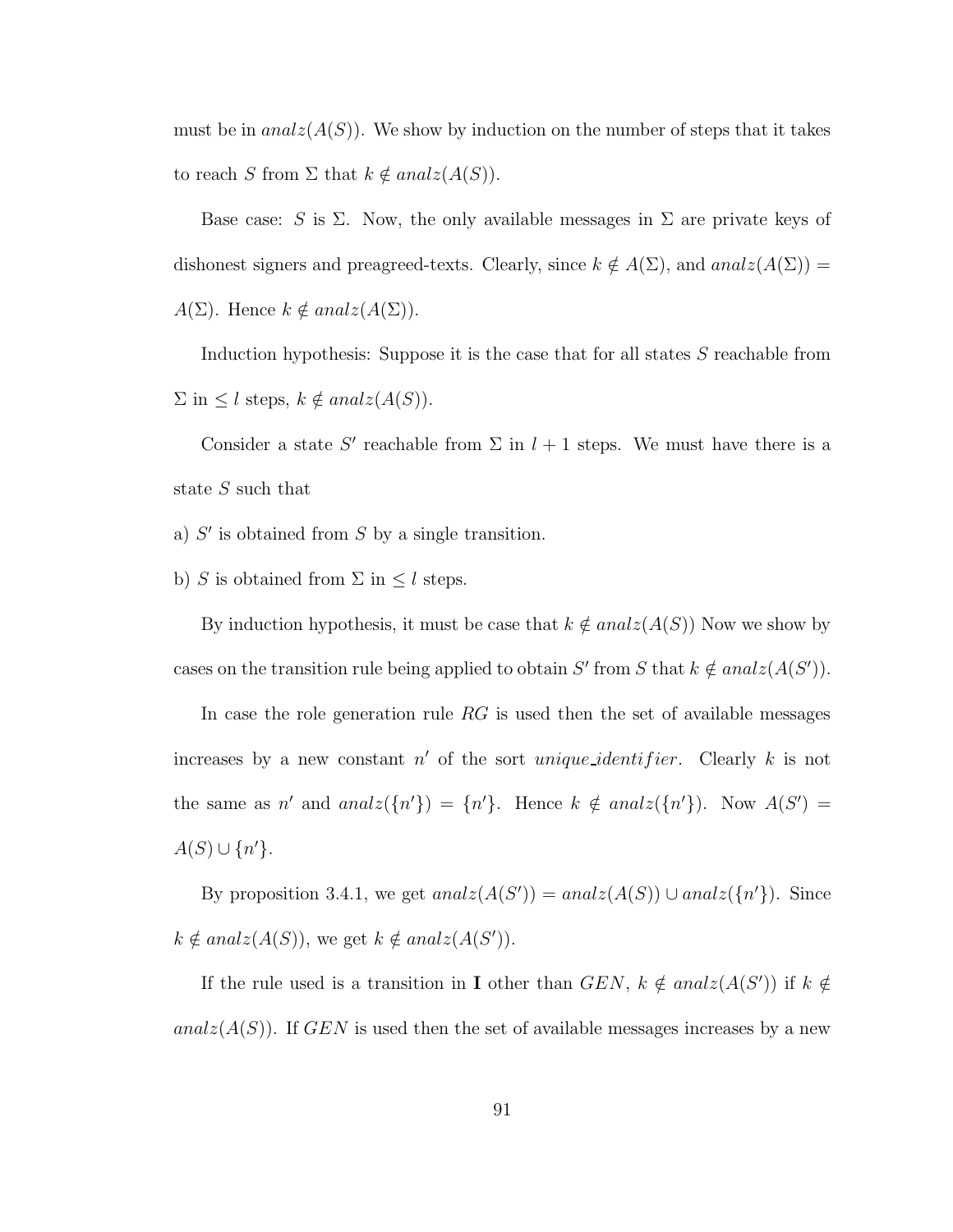must be in  $analz(A(S))$ . We show by induction on the number of steps that it takes to reach S from  $\Sigma$  that  $k \notin analz(A(S)).$ 

Base case: S is  $\Sigma$ . Now, the only available messages in  $\Sigma$  are private keys of dishonest signers and preagreed-texts. Clearly, since  $k \notin A(\Sigma)$ , and anal $z(A(\Sigma)) =$  $A(\Sigma)$ . Hence  $k \notin analz(A(\Sigma))$ .

Induction hypothesis: Suppose it is the case that for all states S reachable from  $\Sigma$  in  $\leq l$  steps,  $k \notin analz(A(S)).$ 

Consider a state S' reachable from  $\Sigma$  in  $l + 1$  steps. We must have there is a state S such that

a)  $S'$  is obtained from  $S$  by a single transition.

b) S is obtained from  $\Sigma$  in  $\leq l$  steps.

By induction hypothesis, it must be case that  $k \notin analz(A(S))$  Now we show by cases on the transition rule being applied to obtain S' from S that  $k \notin analz(A(S'))$ .

In case the role generation rule  $RG$  is used then the set of available messages increases by a new constant  $n'$  of the sort *unique identifier*. Clearly k is not the same as n' and  $analz(\lbrace n' \rbrace) = \lbrace n' \rbrace$ . Hence  $k \notin analz(\lbrace n' \rbrace)$ . Now  $A(S') =$  $A(S) \cup \{n'\}.$ 

By proposition 3.4.1, we get  $analz(A(S')) = analz(A(S)) \cup analz(\lbrace n' \rbrace)$ . Since  $k \notin analz(A(S))$ , we get  $k \notin analz(A(S'))$ .

If the rule used is a transition in **I** other than  $GEN, k \notin analz(A(S'))$  if  $k \notin$ analz $(A(S))$ . If GEN is used then the set of available messages increases by a new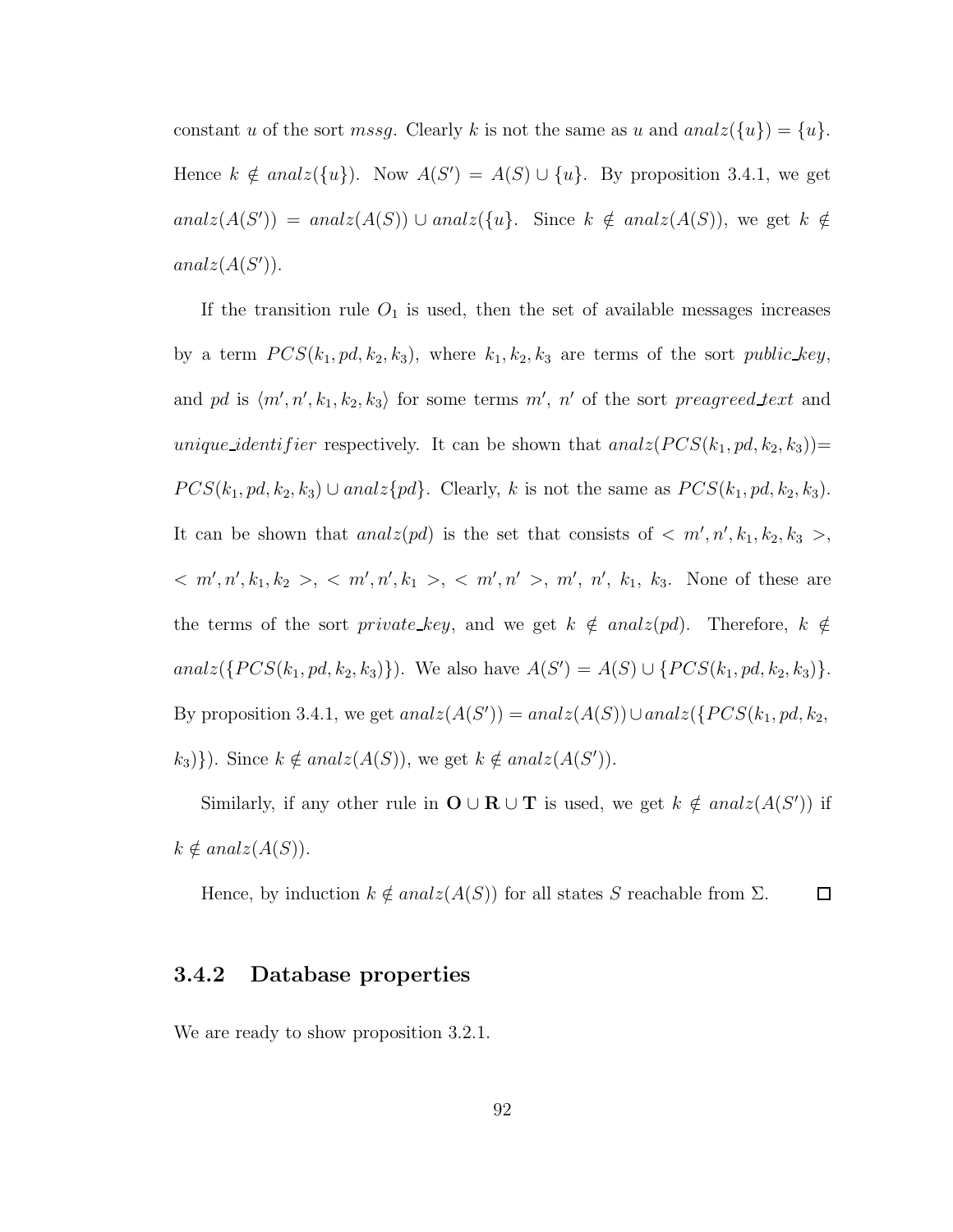constant u of the sort *mssg*. Clearly k is not the same as u and  $analz(\lbrace u \rbrace) = \lbrace u \rbrace$ . Hence  $k \notin \text{anal}( \{u \})$ . Now  $A(S') = A(S) \cup \{u \}$ . By proposition 3.4.1, we get analz $(A(S')) = analz(A(S)) \cup analz({u}$ . Since  $k \notin analz(A(S))$ , we get  $k \notin \mathcal{L}$  $analz(A(S'))$ .

If the transition rule  $O_1$  is used, then the set of available messages increases by a term  $PCS(k_1, pd, k_2, k_3)$ , where  $k_1, k_2, k_3$  are terms of the sort *public\_key*, and pd is  $\langle m', n', k_1, k_2, k_3 \rangle$  for some terms  $m'$ , n' of the sort preagreed text and unique identifier respectively. It can be shown that  $analz(PCS(k_1, pd, k_2, k_3))$  $PCS(k_1, pd, k_2, k_3) \cup analz\{pd\}.$  Clearly, k is not the same as  $PCS(k_1, pd, k_2, k_3)$ . It can be shown that  $analz(pd)$  is the set that consists of  $\langle m', n', k_1, k_2, k_3 \rangle$ ,  $m', n', k_1, k_2 > 0$ ,  $m', n', k_1 > 0$ ,  $m', n' > 0$ ,  $m', n', k_1, k_3$ . None of these are the terms of the sort *private\_key*, and we get  $k \notin \text{analz}(pd)$ . Therefore,  $k \notin \text{ }$ analz({ $PCS(k_1, pd, k_2, k_3)$ }). We also have  $A(S') = A(S) \cup \{PCS(k_1, pd, k_2, k_3)\}.$ By proposition 3.4.1, we get  $analz(A(S')) = analz(A(S)) \cup analz(\lbrace PCS(k_1, pd, k_2,$  $(k_3)$ . Since  $k \notin analz(A(S))$ , we get  $k \notin analz(A(S'))$ .

Similarly, if any other rule in  $\mathbf{O} \cup \mathbf{R} \cup \mathbf{T}$  is used, we get  $k \notin \text{analz}(A(S'))$  if  $k \notin analz(A(S)).$ 

Hence, by induction  $k \notin analz(A(S))$  for all states S reachable from  $\Sigma$ .  $\Box$ 

### 3.4.2 Database properties

We are ready to show proposition 3.2.1.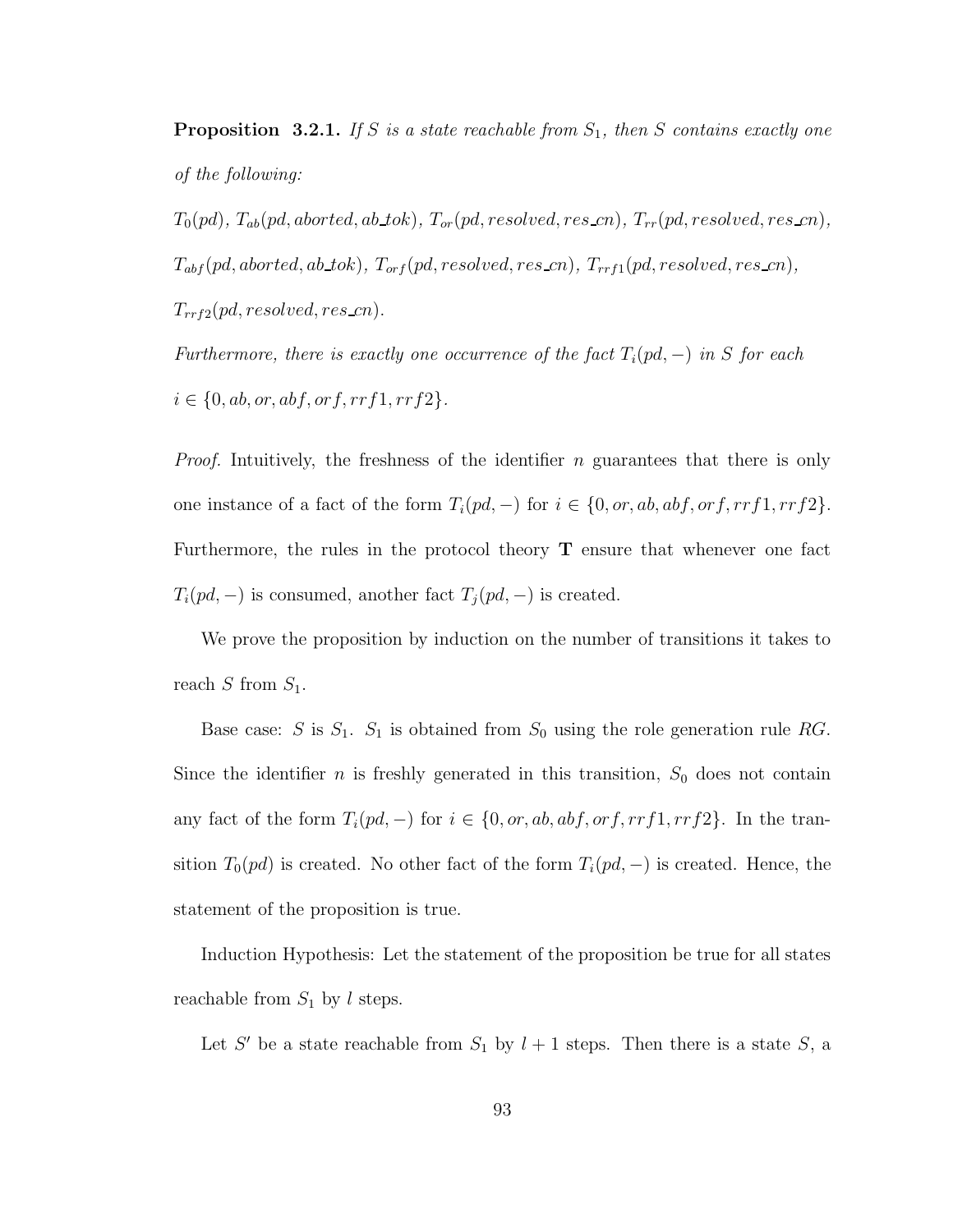**Proposition 3.2.1.** If S is a state reachable from  $S_1$ , then S contains exactly one of the following:

 $T_0(pd)$ ,  $T_{ab}(pd,aborted,ab\_tok)$ ,  $T_{or}(pd, resolved, res\_cn)$ ,  $T_{rr}(pd, resolved, res\_cn)$ ,  $T_{abf}(pd,aborted,ab\_tok), T_{orf}(pd, resolved, res\_cn), T_{rrf1}(pd, resolved, res\_cn),$  $T_{rrf2}(pd, resolved, reszcn).$ 

Furthermore, there is exactly one occurrence of the fact  $T_i(pd, -)$  in S for each  $i \in \{0, ab, or, abf, orf, rrf1, rrf2\}.$ 

*Proof.* Intuitively, the freshness of the identifier  $n$  guarantees that there is only one instance of a fact of the form  $T_i(pd, -)$  for  $i \in \{0, or, ab, abf, orf, rrf1, rrf2\}$ . Furthermore, the rules in the protocol theory  $T$  ensure that whenever one fact  $T_i(pd, -)$  is consumed, another fact  $T_j(pd, -)$  is created.

We prove the proposition by induction on the number of transitions it takes to reach  $S$  from  $S_1$ .

Base case: S is  $S_1$ .  $S_1$  is obtained from  $S_0$  using the role generation rule RG. Since the identifier  $n$  is freshly generated in this transition,  $S_0$  does not contain any fact of the form  $T_i(pd, -)$  for  $i \in \{0, or, ab, abf, orf, rrf1, rrf2\}$ . In the transition  $T_0(pd)$  is created. No other fact of the form  $T_i(pd, -)$  is created. Hence, the statement of the proposition is true.

Induction Hypothesis: Let the statement of the proposition be true for all states reachable from  $S_1$  by l steps.

Let S' be a state reachable from  $S_1$  by  $l + 1$  steps. Then there is a state S, a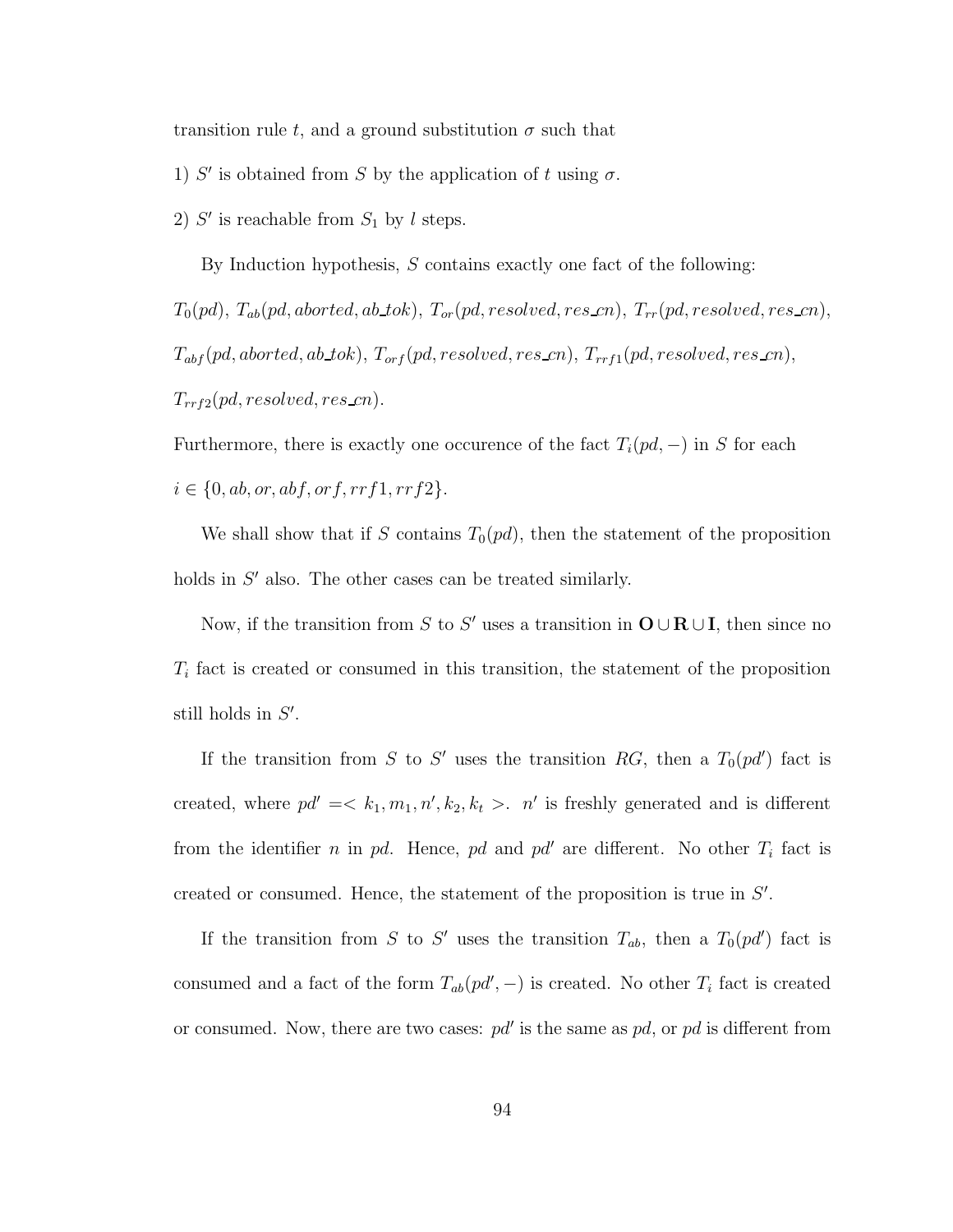transition rule t, and a ground substitution  $\sigma$  such that

- 1) S' is obtained from S by the application of t using  $\sigma$ .
- 2)  $S'$  is reachable from  $S_1$  by l steps.

By Induction hypothesis,  $S$  contains exactly one fact of the following:

 $T_0(pd)$ ,  $T_{ab}(pd,aborted,ab\_tok)$ ,  $T_{or}(pd, resolved, res\_cn)$ ,  $T_{rr}(pd, resolved, res\_cn)$ ,  $T_{abf}(pd,aborted,ab\_tok), T_{orf}(pd, resolved, res\_cn), T_{rrf1}(pd, resolved, res\_cn),$  $T_{rrf2}(pd, resolved, res\_cn).$ 

Furthermore, there is exactly one occurence of the fact  $T_i(pd, -)$  in S for each  $i \in \{0, ab, or, abf, orf, rrf1, rrf2\}.$ 

We shall show that if S contains  $T_0(pd)$ , then the statement of the proposition holds in  $S'$  also. The other cases can be treated similarly.

Now, if the transition from S to S' uses a transition in  $O \cup R \cup I$ , then since no  $T_i$  fact is created or consumed in this transition, the statement of the proposition still holds in  $S'$ .

If the transition from S to S' uses the transition RG, then a  $T_0(pd')$  fact is created, where  $pd' = \langle k_1, m_1, n', k_2, k_t \rangle$ . *n'* is freshly generated and is different from the identifier *n* in pd. Hence, pd and pd' are different. No other  $T_i$  fact is created or consumed. Hence, the statement of the proposition is true in  $S'$ .

If the transition from S to S' uses the transition  $T_{ab}$ , then a  $T_0(pd')$  fact is consumed and a fact of the form  $T_{ab}(pd', -)$  is created. No other  $T_i$  fact is created or consumed. Now, there are two cases:  $pd'$  is the same as  $pd$ , or  $pd$  is different from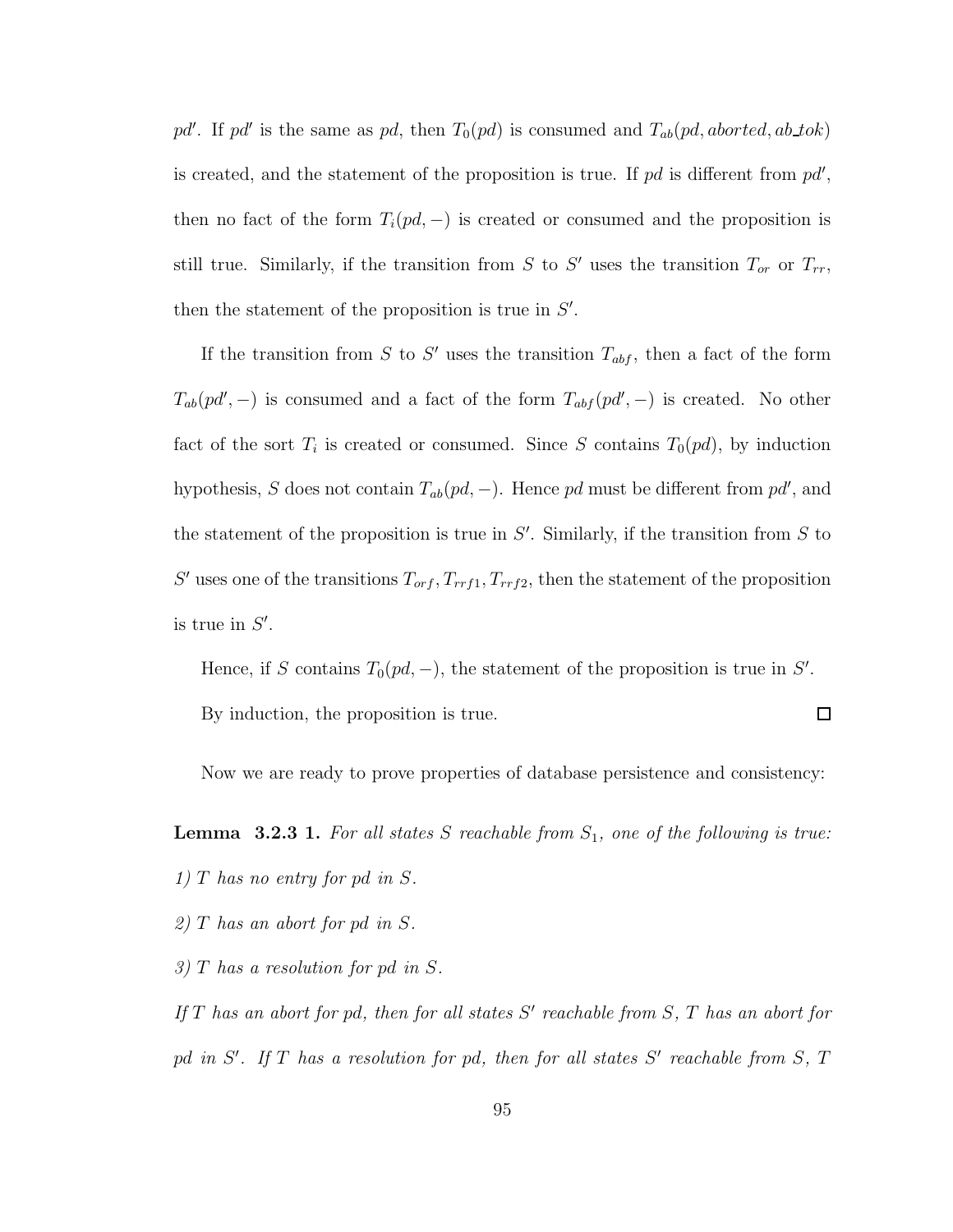pd'. If pd' is the same as pd, then  $T_0(pd)$  is consumed and  $T_{ab}(pd,aborted,ab\_tok)$ is created, and the statement of the proposition is true. If  $pd$  is different from  $pd'$ , then no fact of the form  $T_i(pd, -)$  is created or consumed and the proposition is still true. Similarly, if the transition from S to S' uses the transition  $T_{or}$  or  $T_{rr}$ , then the statement of the proposition is true in  $S'$ .

If the transition from S to S' uses the transition  $T_{abf}$ , then a fact of the form  $T_{ab}(pd', -)$  is consumed and a fact of the form  $T_{abf}(pd', -)$  is created. No other fact of the sort  $T_i$  is created or consumed. Since S contains  $T_0(pd)$ , by induction hypothesis, S does not contain  $T_{ab}(pd, -)$ . Hence pd must be different from pd', and the statement of the proposition is true in  $S'$ . Similarly, if the transition from  $S$  to S' uses one of the transitions  $T_{orf}$ ,  $T_{rrf1}$ ,  $T_{rrf2}$ , then the statement of the proposition is true in  $S'$ .

Hence, if S contains  $T_0(pd, -)$ , the statement of the proposition is true in S'.  $\Box$ By induction, the proposition is true.

Now we are ready to prove properties of database persistence and consistency:

**Lemma 3.2.3 1.** For all states S reachable from  $S_1$ , one of the following is true:

- 1) T has no entry for pd in S.
- 2) T has an abort for pd in S.
- 3) T has a resolution for pd in S.
- If  $T$  has an abort for pd, then for all states  $S'$  reachable from  $S$ ,  $T$  has an abort for pd in  $S'$ . If  $T$  has a resolution for pd, then for all states  $S'$  reachable from  $S$ ,  $T$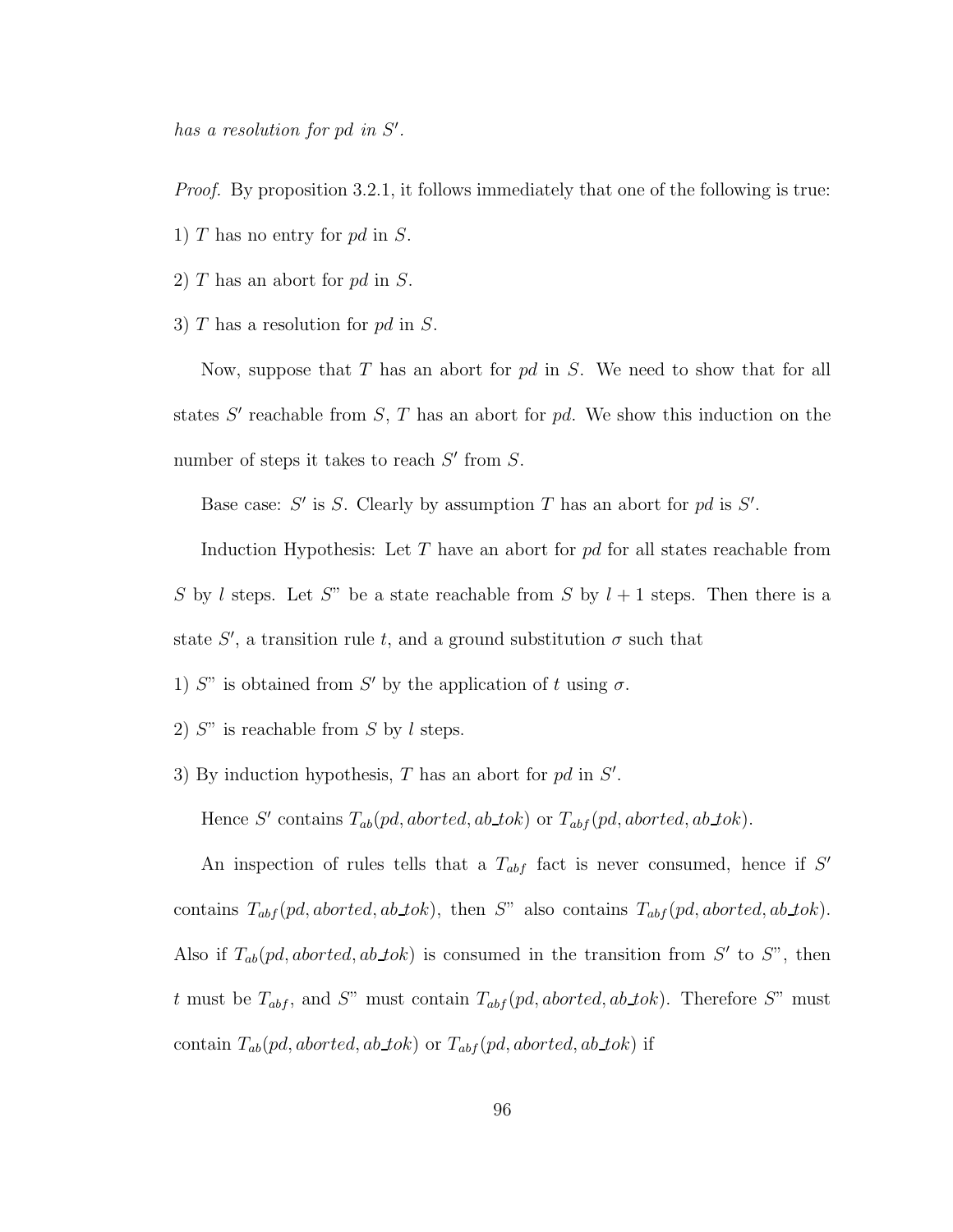has a resolution for pd in  $S'$ .

Proof. By proposition 3.2.1, it follows immediately that one of the following is true:

- 1) T has no entry for  $pd$  in S.
- 2) T has an abort for pd in S.
- 3)  $T$  has a resolution for  $pd$  in  $S$ .

Now, suppose that  $T$  has an abort for  $pd$  in  $S$ . We need to show that for all states  $S'$  reachable from  $S$ ,  $T$  has an abort for  $pd$ . We show this induction on the number of steps it takes to reach  $S'$  from  $S$ .

Base case:  $S'$  is  $S$ . Clearly by assumption  $T$  has an abort for  $pd$  is  $S'$ .

Induction Hypothesis: Let  $T$  have an abort for  $pd$  for all states reachable from S by l steps. Let S" be a state reachable from S by  $l + 1$  steps. Then there is a state S', a transition rule t, and a ground substitution  $\sigma$  such that

1) S" is obtained from S' by the application of t using  $\sigma$ .

- 2)  $S''$  is reachable from S by l steps.
- 3) By induction hypothesis,  $T$  has an abort for  $pd$  in  $S'$ .

Hence S' contains  $T_{ab}(pd,aborted,ab\_tok)$  or  $T_{abf}(pd,aborted,ab\_tok)$ .

An inspection of rules tells that a  $T_{abf}$  fact is never consumed, hence if S' contains  $T_{abf}(pd,aborted,ab\_tok)$ , then S" also contains  $T_{abf}(pd,aborted,ab\_tok)$ . Also if  $T_{ab}(pd,aborted,ab\_tok)$  is consumed in the transition from S' to S", then t must be  $T_{abf}$ , and S" must contain  $T_{abf}$  (pd, aborted, ab tok). Therefore S" must contain  $T_{ab}(pd,aborted,ab\_tok)$  or  $T_{abf}(pd,aborted,ab\_tok)$  if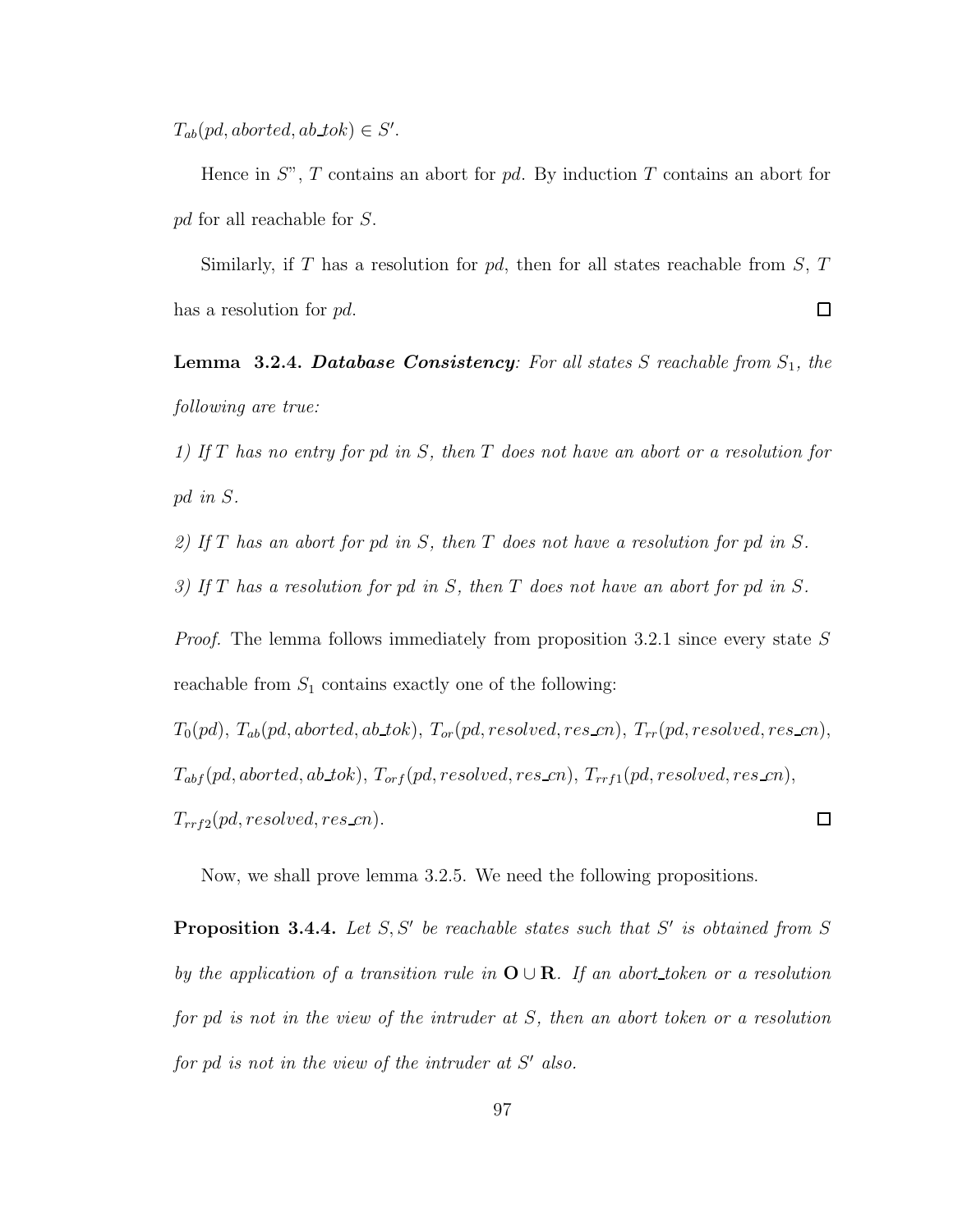$T_{ab}(pd,aborted,ab\_tok) \in S'.$ 

Hence in  $S^{\prime\prime}$ , T contains an abort for pd. By induction T contains an abort for pd for all reachable for S.

Similarly, if T has a resolution for  $pd$ , then for all states reachable from S, T  $\Box$ has a resolution for pd.

**Lemma 3.2.4. Database Consistency**: For all states  $S$  reachable from  $S_1$ , the following are true:

1) If T has no entry for pd in S, then T does not have an abort or a resolution for pd in S.

2) If T has an abort for pd in S, then T does not have a resolution for pd in S.

3) If T has a resolution for pd in S, then T does not have an abort for pd in S.

*Proof.* The lemma follows immediately from proposition 3.2.1 since every state  $S$ reachable from  $S_1$  contains exactly one of the following:

 $T_0(pd)$ ,  $T_{ab}(pd,aborted,ab\_tok)$ ,  $T_{or}(pd, resolved, res\_cn)$ ,  $T_{rr}(pd, resolved, res\_cn)$ ,  $T_{abf}(pd,aborted,ab\_tok), T_{orf}(pd, resolved, res\_cn), T_{rrf1}(pd, resolved, res\_cn),$  $T_{rrf2}(pd, resolved, res\_cn).$  $\Box$ 

Now, we shall prove lemma 3.2.5. We need the following propositions.

**Proposition 3.4.4.** Let  $S, S'$  be reachable states such that  $S'$  is obtained from  $S$ by the application of a transition rule in  $O \cup R$ . If an abort\_token or a resolution for pd is not in the view of the intruder at S, then an abort token or a resolution for pd is not in the view of the intruder at  $S'$  also.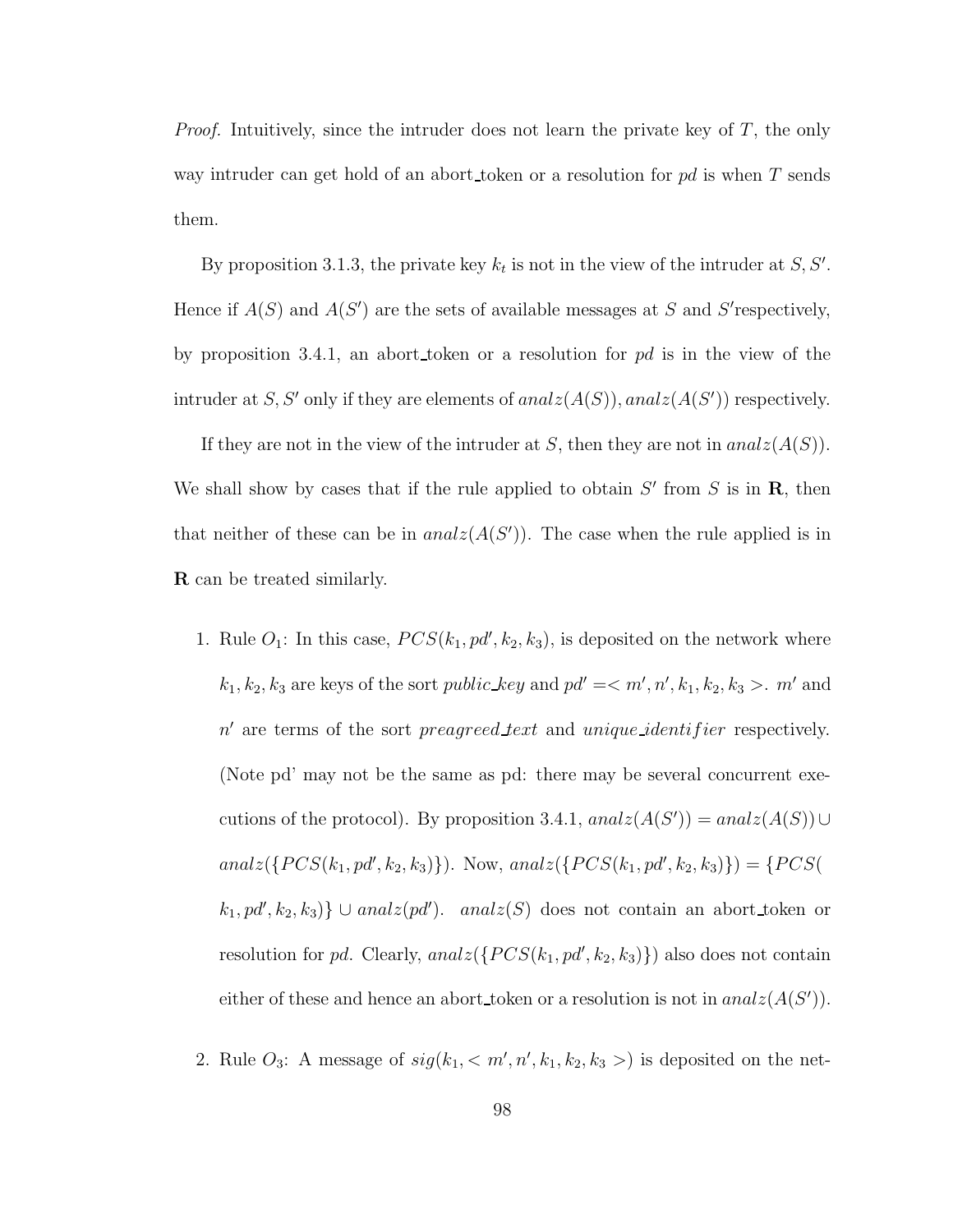*Proof.* Intuitively, since the intruder does not learn the private key of  $T$ , the only way intruder can get hold of an abort token or a resolution for  $pd$  is when T sends them.

By proposition 3.1.3, the private key  $k_t$  is not in the view of the intruder at  $S, S'$ . Hence if  $A(S)$  and  $A(S')$  are the sets of available messages at S and S'respectively, by proposition 3.4.1, an abort token or a resolution for  $pd$  is in the view of the intruder at S, S' only if they are elements of  $analz(A(S))$ ,  $analz(A(S'))$  respectively.

If they are not in the view of the intruder at S, then they are not in  $analz(A(S))$ . We shall show by cases that if the rule applied to obtain  $S'$  from  $S$  is in  $\mathbf{R}$ , then that neither of these can be in  $analz(A(S'))$ . The case when the rule applied is in R can be treated similarly.

- 1. Rule  $O_1$ : In this case,  $PCS(k_1, pd', k_2, k_3)$ , is deposited on the network where  $k_1, k_2, k_3$  are keys of the sort *public\_key* and  $pd' = \langle m', n', k_1, k_2, k_3 \rangle$ .  $m'$  and n' are terms of the sort preagreed text and unique identifier respectively. (Note pd' may not be the same as pd: there may be several concurrent executions of the protocol). By proposition 3.4.1,  $analz(A(S')) = analz(A(S)) \cup$  $anal \mathcal{Z}(\{PCS(k_1, pd', k_2, k_3)\})$ . Now,  $anal \mathcal{Z}(\{PCS(k_1, pd', k_2, k_3)\}) = \{PCS($  $(k_1, pd', k_2, k_3)$   $\cup$  analz(pd'). analz(S) does not contain an abort\_token or resolution for pd. Clearly,  $analz({PCS(k_1, pd', k_2, k_3)})$  also does not contain either of these and hence an abort token or a resolution is not in  $analz(A(S'))$ .
- 2. Rule  $O_3$ : A message of  $sig(k_1, < m', n', k_1, k_2, k_3>)$  is deposited on the net-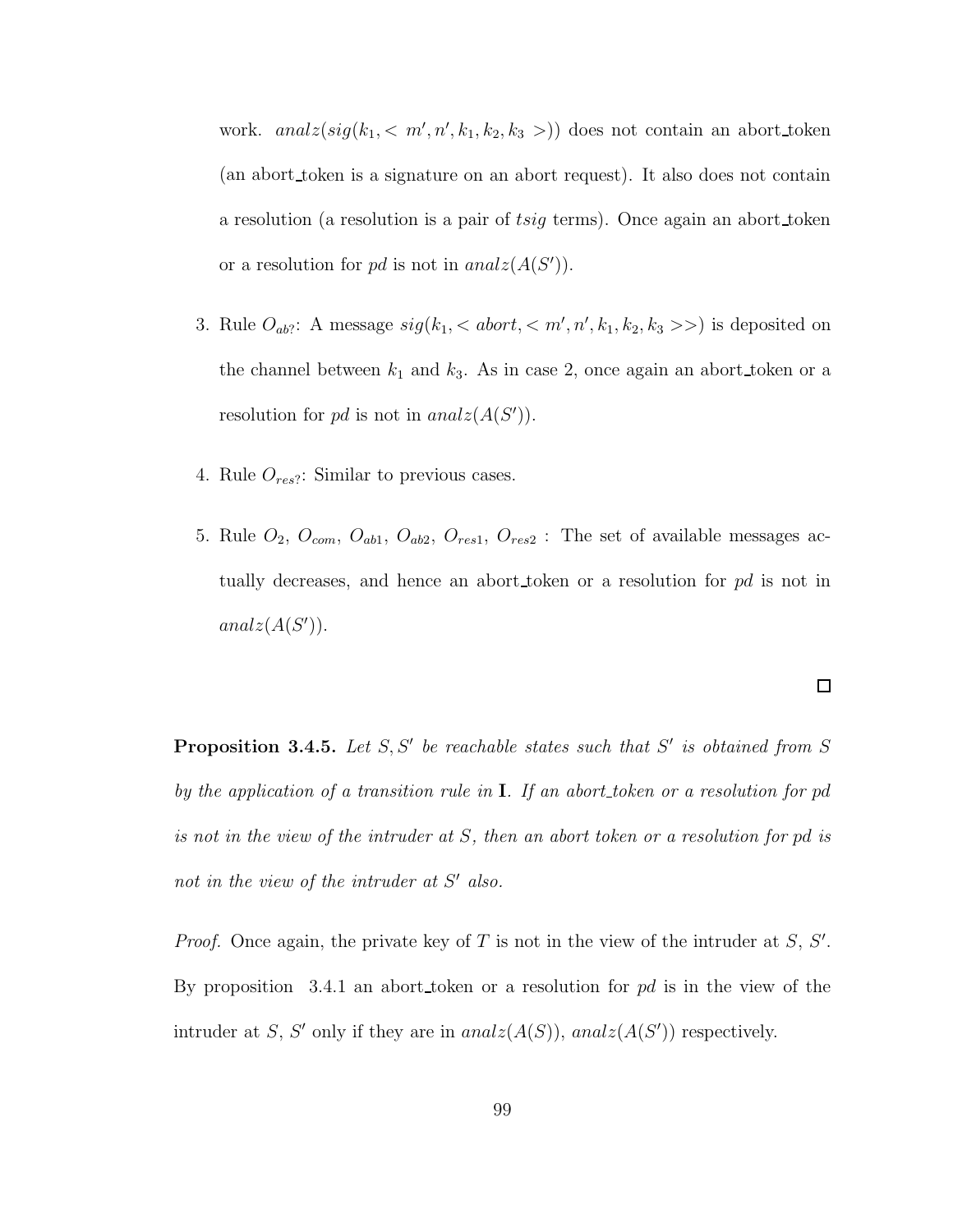work.  $analz(sig(k_1, < m', n', k_1, k_2, k_3))$  does not contain an abort token (an abort token is a signature on an abort request). It also does not contain a resolution (a resolution is a pair of tsig terms). Once again an abort token or a resolution for pd is not in  $analz(A(S'))$ .

- 3. Rule  $O_{ab}$ : A message  $sig(k_1, < abort, < m', n', k_1, k_2, k_3 \gg)$  is deposited on the channel between  $k_1$  and  $k_3$ . As in case 2, once again an abort token or a resolution for pd is not in  $analz(A(S'))$ .
- 4. Rule  $O_{res}$ : Similar to previous cases.
- 5. Rule  $O_2$ ,  $O_{com}$ ,  $O_{ab1}$ ,  $O_{ab2}$ ,  $O_{res1}$ ,  $O_{res2}$ : The set of available messages actually decreases, and hence an abort token or a resolution for pd is not in  $analz(A(S'))$ .

**Proposition 3.4.5.** Let  $S, S'$  be reachable states such that  $S'$  is obtained from  $S$ by the application of a transition rule in  $I$ . If an abort token or a resolution for pd is not in the view of the intruder at S, then an abort token or a resolution for pd is not in the view of the intruder at  $S'$  also.

*Proof.* Once again, the private key of T is not in the view of the intruder at  $S$ ,  $S'$ . By proposition 3.4.1 an abort token or a resolution for  $pd$  is in the view of the intruder at S, S' only if they are in  $analz(A(S))$ ,  $analz(A(S'))$  respectively.

 $\Box$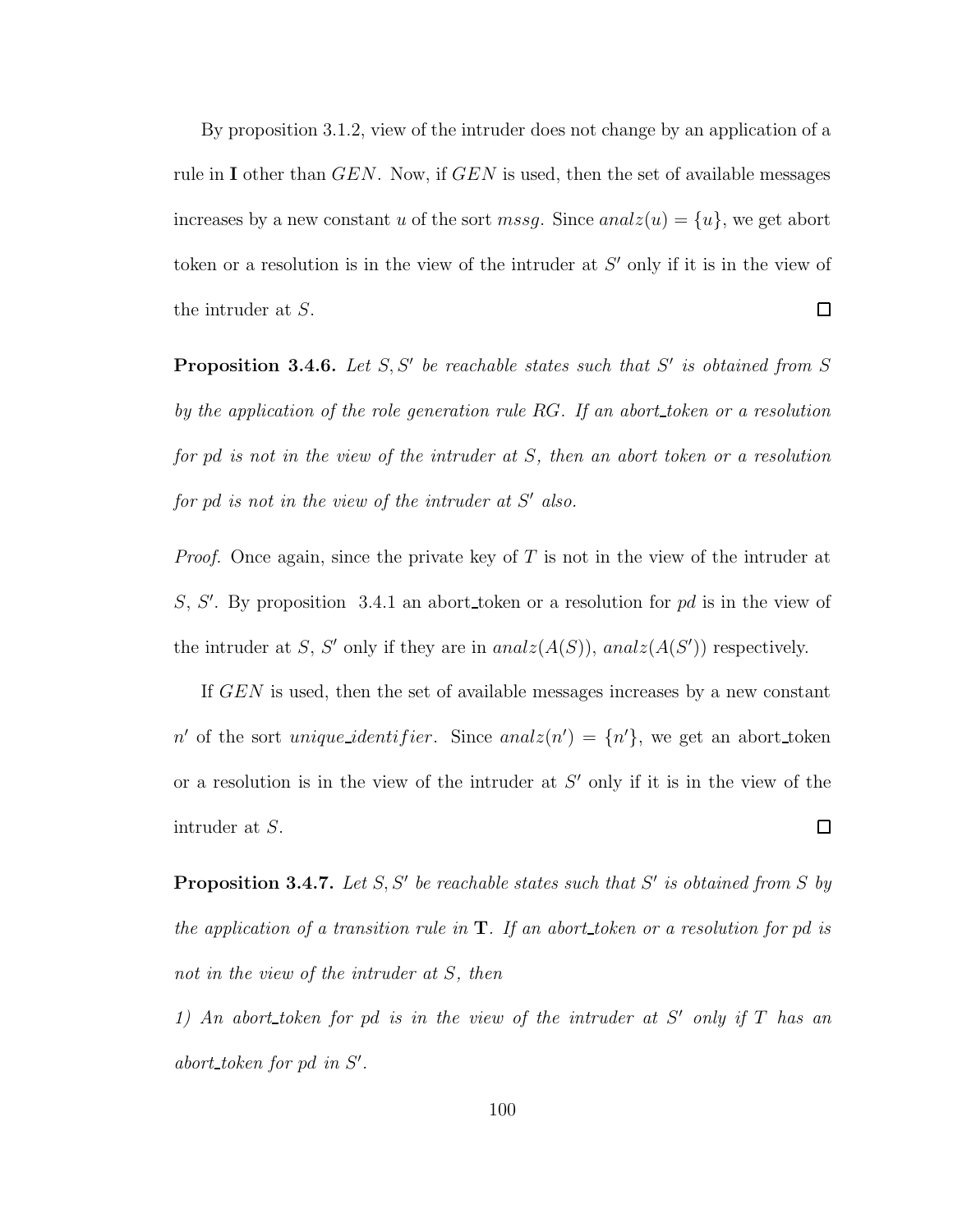By proposition 3.1.2, view of the intruder does not change by an application of a rule in I other than  $GEN$ . Now, if  $GEN$  is used, then the set of available messages increases by a new constant u of the sort mssg. Since  $analz(u) = \{u\}$ , we get abort token or a resolution is in the view of the intruder at  $S'$  only if it is in the view of  $\Box$ the intruder at S.

**Proposition 3.4.6.** Let  $S, S'$  be reachable states such that  $S'$  is obtained from  $S$ by the application of the role generation rule RG. If an abort token or a resolution for pd is not in the view of the intruder at S, then an abort token or a resolution for pd is not in the view of the intruder at  $S'$  also.

*Proof.* Once again, since the private key of T is not in the view of the intruder at S, S'. By proposition 3.4.1 an abort token or a resolution for  $pd$  is in the view of the intruder at S, S' only if they are in  $analz(A(S))$ ,  $analz(A(S'))$  respectively.

If GEN is used, then the set of available messages increases by a new constant n' of the sort unique identifier. Since anal $z(n') = \{n'\}$ , we get an abort token or a resolution is in the view of the intruder at  $S'$  only if it is in the view of the intruder at S.  $\Box$ 

**Proposition 3.4.7.** Let  $S, S'$  be reachable states such that S' is obtained from S by the application of a transition rule in  $T$ . If an abort token or a resolution for pd is not in the view of the intruder at S, then

1) An abort token for pd is in the view of the intruder at  $S'$  only if  $T$  has an  $abort\_token$  for  $pd$  in  $S'$ .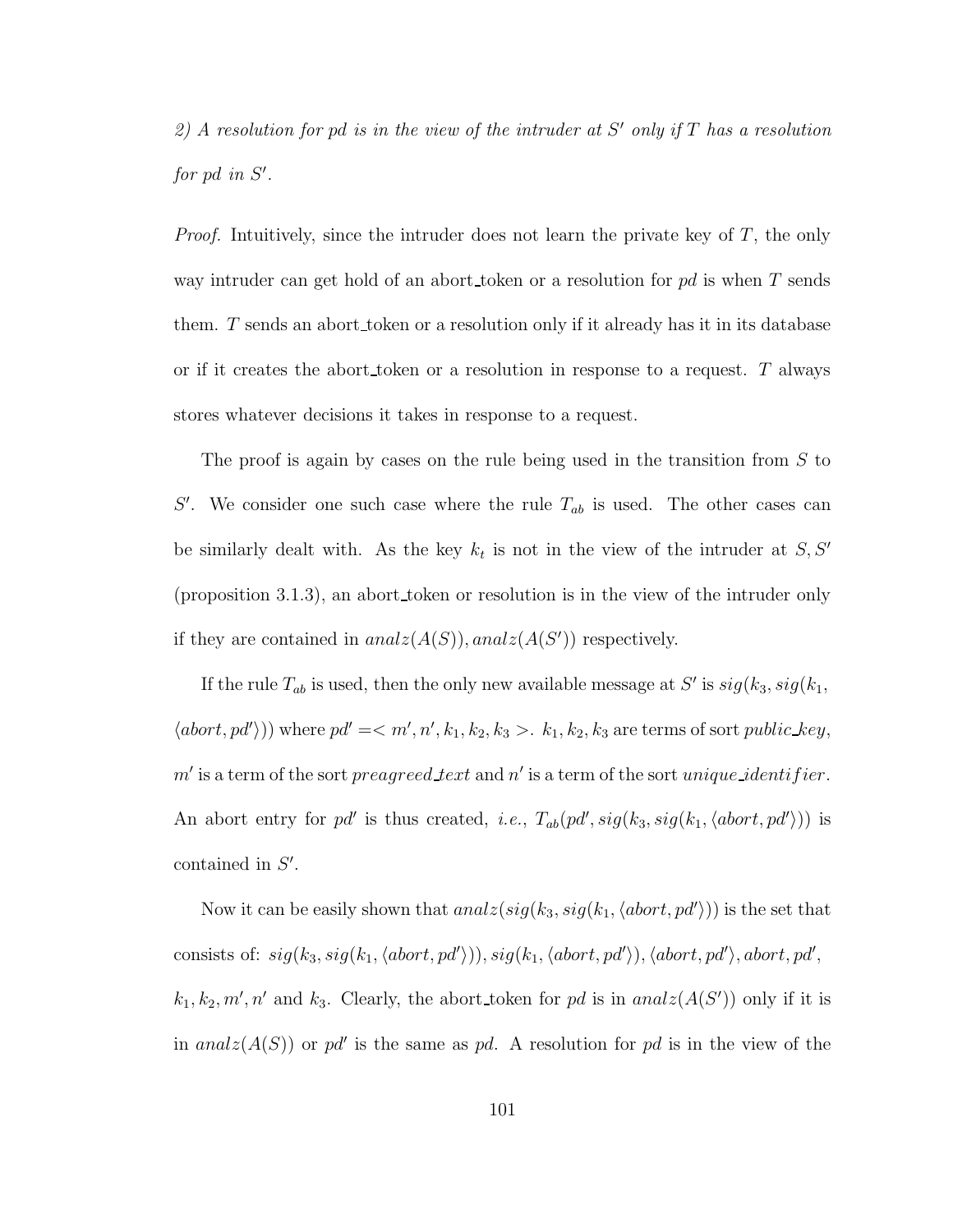2) A resolution for pd is in the view of the intruder at  $S'$  only if  $T$  has a resolution for  $pd$  in  $S'$ .

Proof. Intuitively, since the intruder does not learn the private key of T, the only way intruder can get hold of an abort token or a resolution for  $pd$  is when  $T$  sends them. T sends an abort token or a resolution only if it already has it in its database or if it creates the abort token or a resolution in response to a request. T always stores whatever decisions it takes in response to a request.

The proof is again by cases on the rule being used in the transition from  $S$  to S'. We consider one such case where the rule  $T_{ab}$  is used. The other cases can be similarly dealt with. As the key  $k_t$  is not in the view of the intruder at  $S, S'$ (proposition 3.1.3), an abort token or resolution is in the view of the intruder only if they are contained in  $analz(A(S))$ ,  $analz(A(S'))$  respectively.

If the rule  $T_{ab}$  is used, then the only new available message at S' is  $sig(k_3, sig(k_1,$  $\langle abort, pd' \rangle)$ ) where  $pd' = \langle m', n', k_1, k_2, k_3 \rangle$ .  $k_1, k_2, k_3$  are terms of sort *public\_key*,  $m'$  is a term of the sort preagreed text and n' is a term of the sort unique identifier. An abort entry for pd' is thus created, *i.e.*,  $T_{ab}(pd', sig(k_3, sig(k_1, \langle abort, pd'\rangle))$  is contained in  $S'$ .

Now it can be easily shown that  $analz(sig(k_3, sig(k_1, \langle abort, pd'\rangle))$  is the set that consists of:  $sig(k_3, sig(k_1, \langle abort, pd \rangle)), sig(k_1, \langle abort, pd \rangle), \langle abort, pd \rangle, abort, pd,$  $k_1, k_2, m', n'$  and  $k_3$ . Clearly, the abort token for pd is in anal $z(A(S'))$  only if it is in analz $(A(S))$  or pd' is the same as pd. A resolution for pd is in the view of the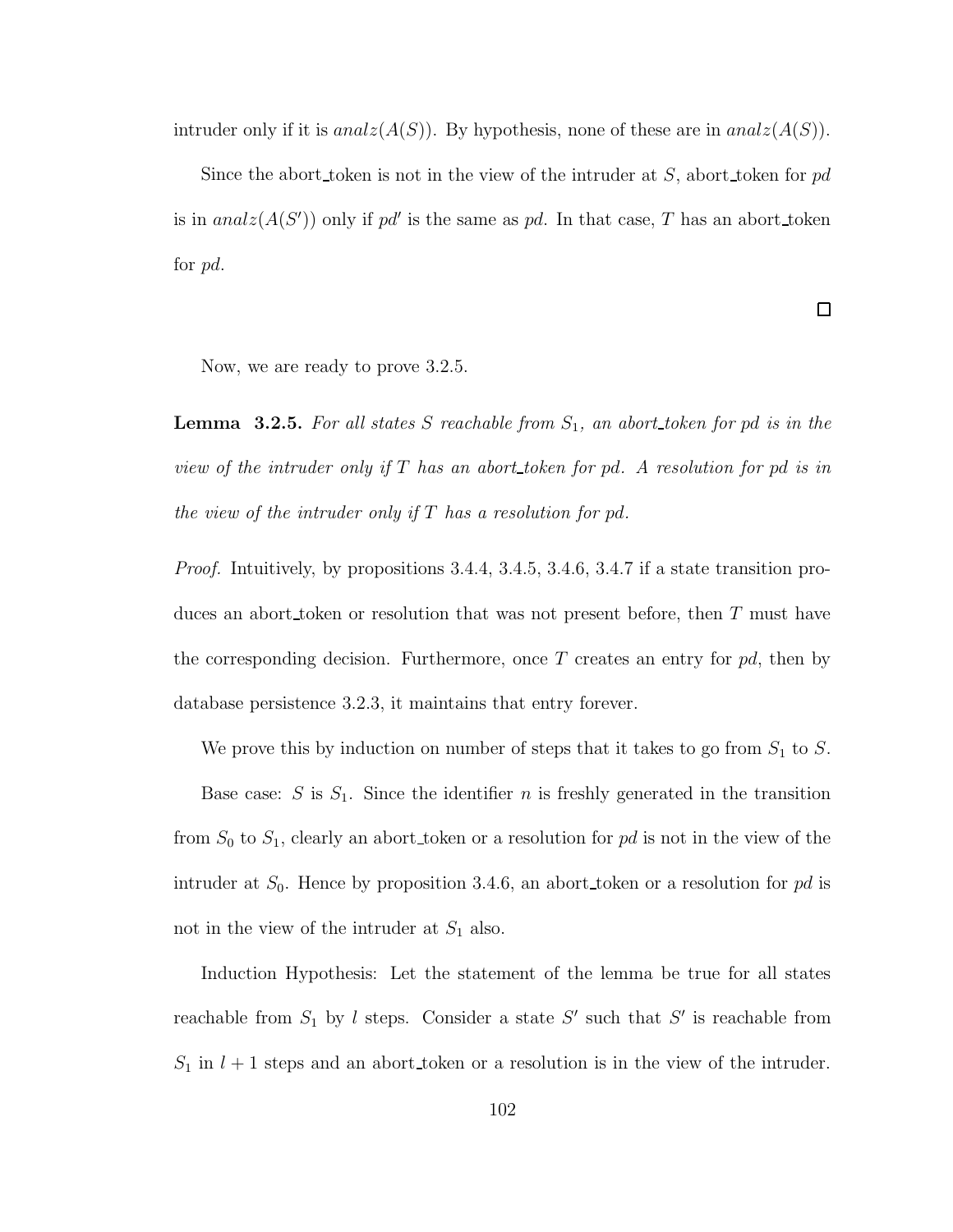intruder only if it is  $analz(A(S))$ . By hypothesis, none of these are in  $analz(A(S))$ .

Since the abort token is not in the view of the intruder at  $S$ , abort token for pd is in analz $(A(S'))$  only if pd' is the same as pd. In that case, T has an abort token for pd.

 $\Box$ 

Now, we are ready to prove 3.2.5.

**Lemma 3.2.5.** For all states S reachable from  $S_1$ , an abort token for pd is in the view of the intruder only if  $T$  has an abort token for pd. A resolution for pd is in the view of the intruder only if  $T$  has a resolution for pd.

*Proof.* Intuitively, by propositions 3.4.4, 3.4.5, 3.4.6, 3.4.7 if a state transition produces an abort token or resolution that was not present before, then T must have the corresponding decision. Furthermore, once T creates an entry for  $pd$ , then by database persistence 3.2.3, it maintains that entry forever.

We prove this by induction on number of steps that it takes to go from  $S_1$  to S.

Base case: S is  $S_1$ . Since the identifier n is freshly generated in the transition from  $S_0$  to  $S_1$ , clearly an abort token or a resolution for pd is not in the view of the intruder at  $S_0$ . Hence by proposition 3.4.6, an abort token or a resolution for pd is not in the view of the intruder at  $S_1$  also.

Induction Hypothesis: Let the statement of the lemma be true for all states reachable from  $S_1$  by l steps. Consider a state S' such that S' is reachable from  $S_1$  in  $l + 1$  steps and an abort token or a resolution is in the view of the intruder.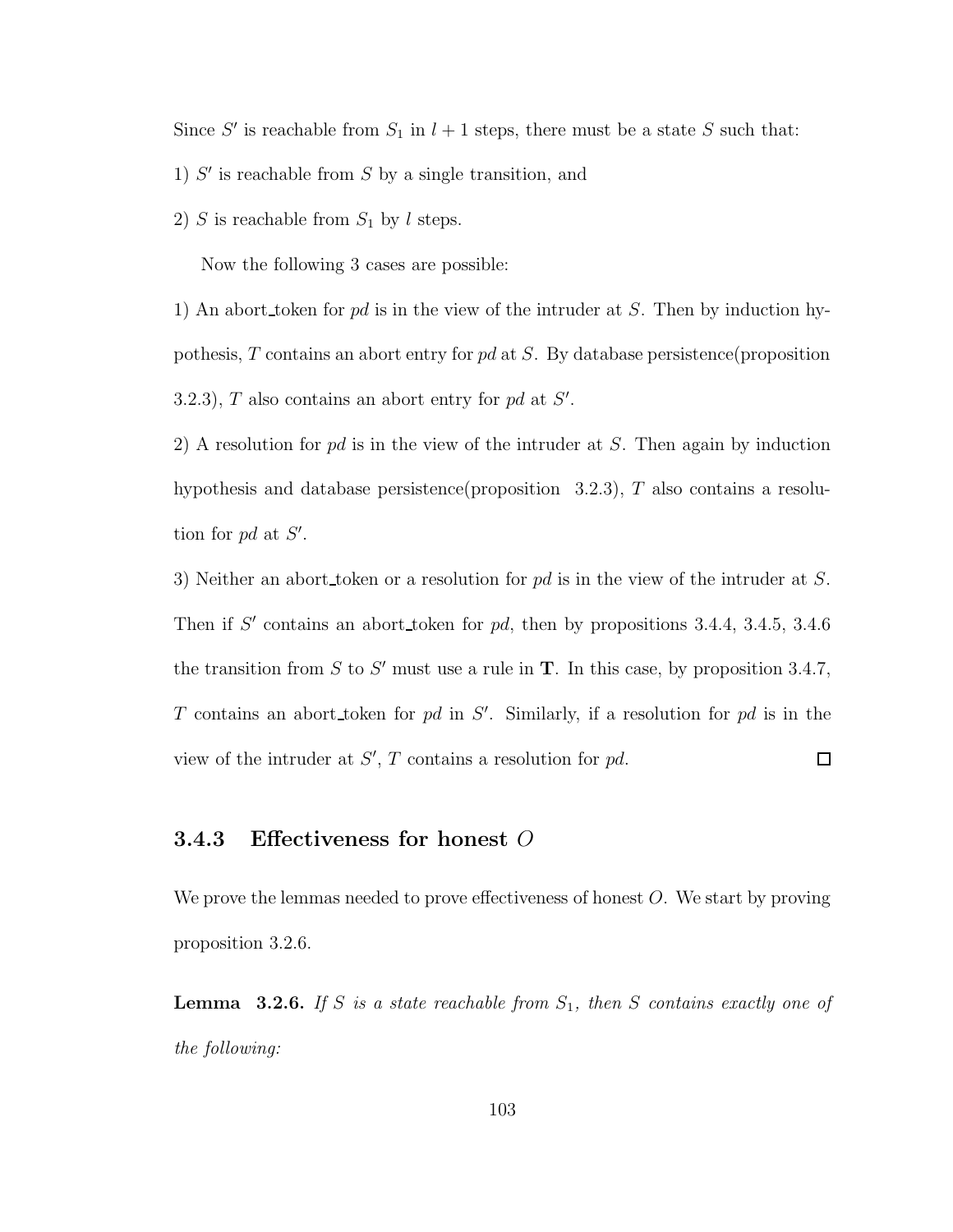Since S' is reachable from  $S_1$  in  $l + 1$  steps, there must be a state S such that:

- 1)  $S'$  is reachable from  $S$  by a single transition, and
- 2) S is reachable from  $S_1$  by l steps.

Now the following 3 cases are possible:

1) An abort token for pd is in the view of the intruder at S. Then by induction hypothesis,  $T$  contains an abort entry for pd at  $S$ . By database persistence (proposition 3.2.3),  $T$  also contains an abort entry for pd at  $S'$ .

2) A resolution for  $pd$  is in the view of the intruder at  $S$ . Then again by induction hypothesis and database persistence(proposition  $3.2.3$ ), T also contains a resolution for  $pd$  at  $S'$ .

3) Neither an abort token or a resolution for  $pd$  is in the view of the intruder at S. Then if  $S'$  contains an abort token for pd, then by propositions 3.4.4, 3.4.5, 3.4.6 the transition from S to S' must use a rule in  $T$ . In this case, by proposition 3.4.7, T contains an abort token for pd in  $S'$ . Similarly, if a resolution for pd is in the view of the intruder at  $S'$ ,  $T$  contains a resolution for  $pd$ .  $\Box$ 

# 3.4.3 Effectiveness for honest O

We prove the lemmas needed to prove effectiveness of honest O. We start by proving proposition 3.2.6.

**Lemma** 3.2.6. If S is a state reachable from  $S_1$ , then S contains exactly one of the following: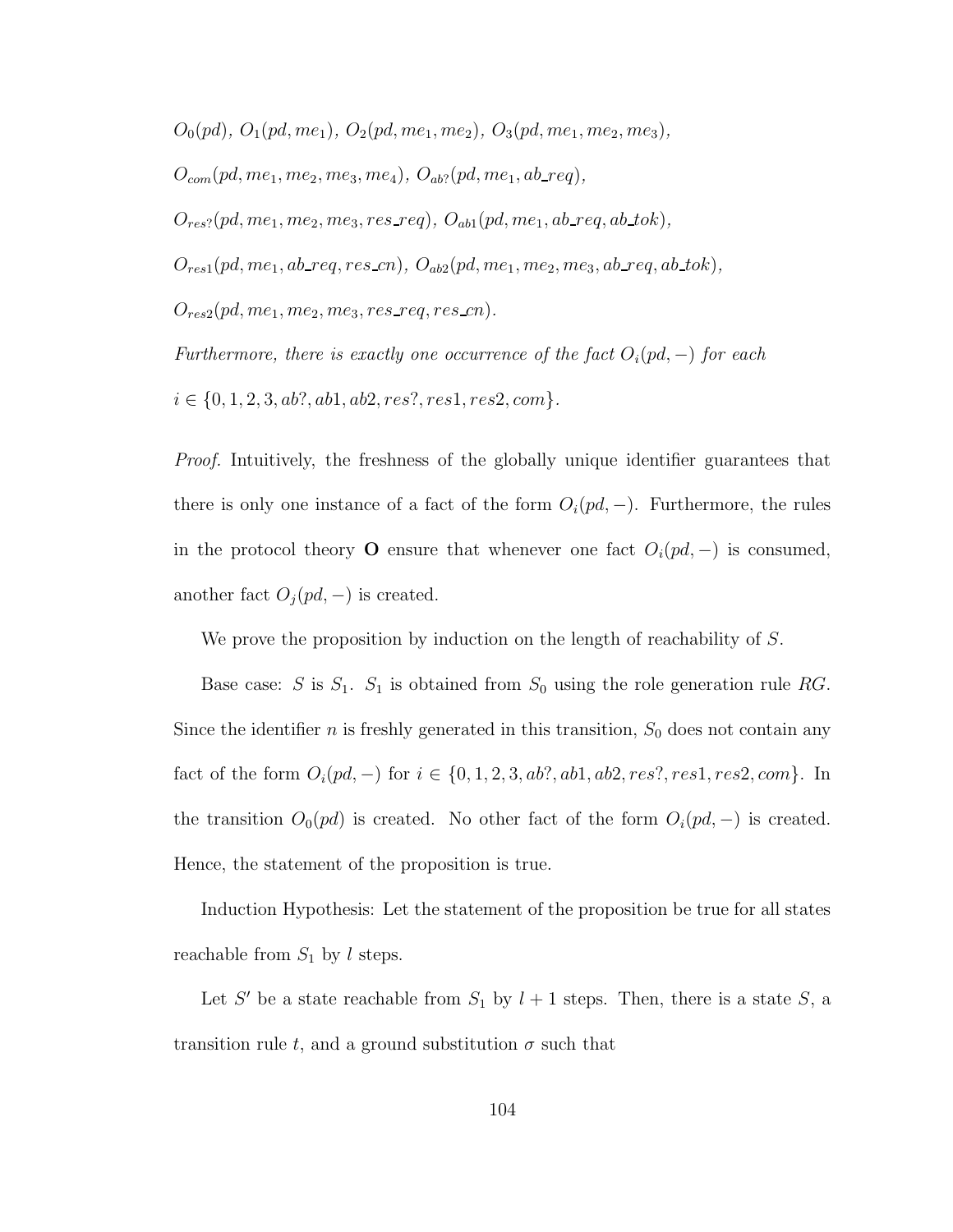$O_0(pd), O_1(pd, me_1), O_2(pd, me_1, me_2), O_3(pd, me_1, me_2, me_3),$ 

 $O_{com}(pd, me_1, me_2, me_3, me_4), O_{ab}$ ? (pd, me<sub>1</sub>, ab req),

 $\label{eq:2} O_{res?}(pd,me_1,me_2,me_3,res\_req),\ O_{ab1}(pd,me_1,ab\_req,ab\_tok),$ 

 $O_{res1}(pd, me_1, ab\_req, res\_cn), O_{ab2}(pd, me_1, me_2, me_3, ab\_req, ab\_tok),$ 

 $O_{res2}(pd, me_1, me_2, me_3, res\_req, res\_cn).$ 

Furthermore, there is exactly one occurrence of the fact  $O_i(pd, -)$  for each  $i \in \{0, 1, 2, 3, ab?, ab1, ab2, res?, res1, res2, com\}.$ 

Proof. Intuitively, the freshness of the globally unique identifier guarantees that there is only one instance of a fact of the form  $O_i(pd, -)$ . Furthermore, the rules in the protocol theory O ensure that whenever one fact  $O_i(pd, -)$  is consumed, another fact  $O_j(pd, -)$  is created.

We prove the proposition by induction on the length of reachability of S.

Base case: S is  $S_1$ .  $S_1$  is obtained from  $S_0$  using the role generation rule RG. Since the identifier  $n$  is freshly generated in this transition,  $S_0$  does not contain any fact of the form  $O_i(pd, -)$  for  $i \in \{0, 1, 2, 3, ab?, ab1, ab2, res?, res1, res2, com\}.$  In the transition  $O_0(pd)$  is created. No other fact of the form  $O_i(pd, -)$  is created. Hence, the statement of the proposition is true.

Induction Hypothesis: Let the statement of the proposition be true for all states reachable from  $S_1$  by l steps.

Let S' be a state reachable from  $S_1$  by  $l+1$  steps. Then, there is a state S, a transition rule t, and a ground substitution  $\sigma$  such that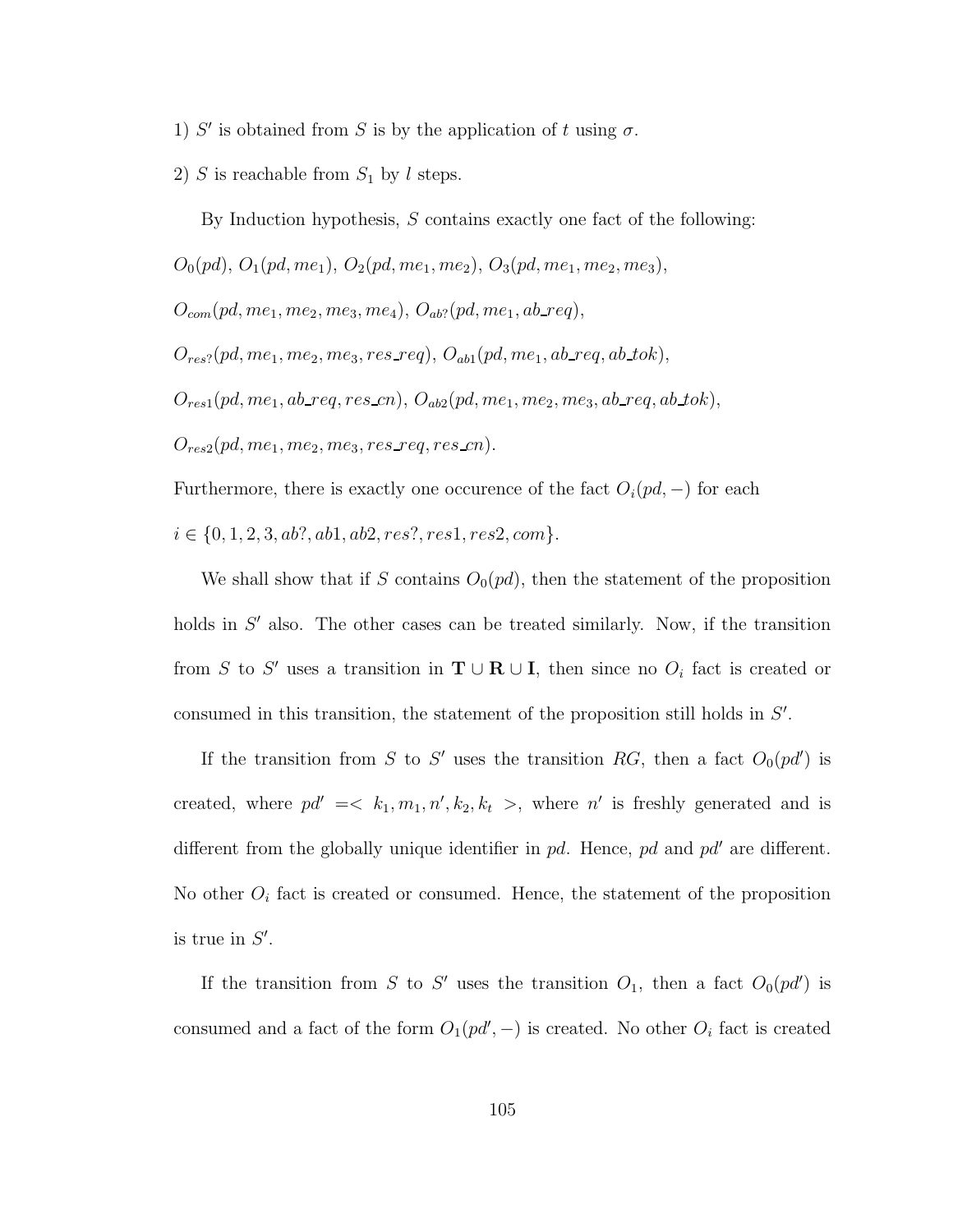- 1) S' is obtained from S is by the application of t using  $\sigma$ .
- 2) S is reachable from  $S_1$  by l steps.

By Induction hypothesis, S contains exactly one fact of the following:  $O_0(pd), O_1(pd, me_1), O_2(pd, me_1, me_2), O_3(pd, me_1, me_2, me_3),$  $O_{com}(pd, me_1, me_2, me_3, me_4), O_{ab}$ ? (pd, me<sub>1</sub>, ab\_req),  $O_{res}$ ?(pd, me<sub>1</sub>, me<sub>2</sub>, me<sub>3</sub>, res\_req),  $O_{ab1}(pd, me_1, ab\_req, ab\_tok),$  $O_{res1}(pd, me_1, ab\_req, res\_cn), O_{ab2}(pd, me_1, me_2, me_3, ab\_req, ab\_tok),$  $O_{res2}(pd, me_1, me_2, me_3, res\_req, res\_cn).$ Furthermore, there is exactly one occurence of the fact  $O_i(pd, -)$  for each

 $i \in \{0, 1, 2, 3, ab?, ab1, ab2, res?, res1, res2, com\}.$ 

We shall show that if S contains  $O_0(p d)$ , then the statement of the proposition holds in  $S'$  also. The other cases can be treated similarly. Now, if the transition from S to S' uses a transition in  $\mathbf{T} \cup \mathbf{R} \cup \mathbf{I}$ , then since no  $O_i$  fact is created or consumed in this transition, the statement of the proposition still holds in  $S'$ .

If the transition from S to S' uses the transition RG, then a fact  $O_0(p d')$  is created, where  $pd' = \langle k_1, m_1, n', k_2, k_t \rangle$ , where n' is freshly generated and is different from the globally unique identifier in  $pd$ . Hence,  $pd$  and  $pd'$  are different. No other  $O_i$  fact is created or consumed. Hence, the statement of the proposition is true in  $S'$ .

If the transition from S to S' uses the transition  $O_1$ , then a fact  $O_0(p d')$  is consumed and a fact of the form  $O_1(p d', -)$  is created. No other  $O_i$  fact is created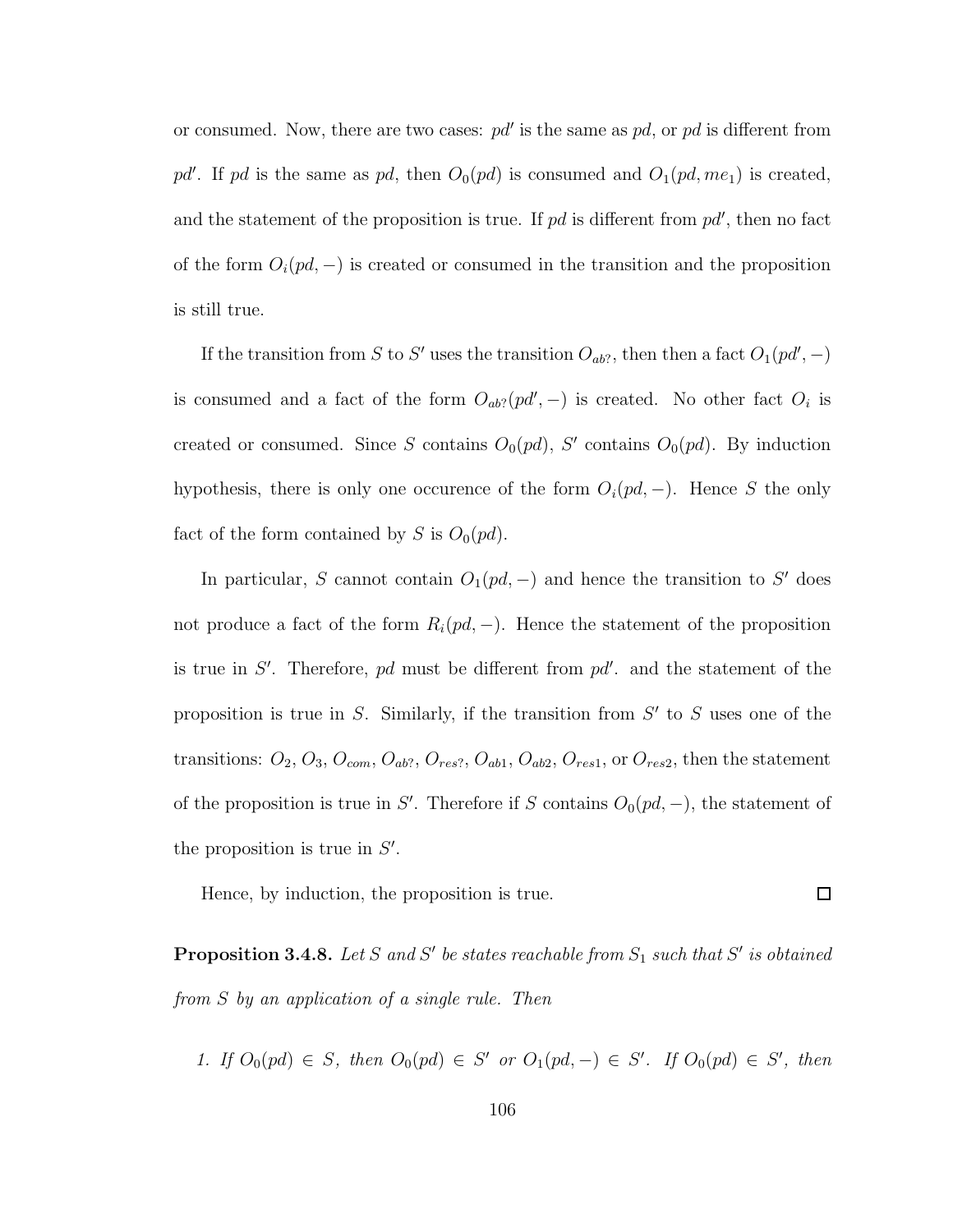or consumed. Now, there are two cases:  $pd'$  is the same as  $pd$ , or  $pd$  is different from pd'. If pd is the same as pd, then  $O_0(pd)$  is consumed and  $O_1(pd, me_1)$  is created, and the statement of the proposition is true. If  $pd$  is different from  $pd'$ , then no fact of the form  $O_i(pd, -)$  is created or consumed in the transition and the proposition is still true.

If the transition from S to S' uses the transition  $O_{ab}$ ?, then then a fact  $O_1(p d', -)$ is consumed and a fact of the form  $O_{ab}$ ?( $pd$ ', -) is created. No other fact  $O_i$  is created or consumed. Since S contains  $O_0(pd)$ , S' contains  $O_0(pd)$ . By induction hypothesis, there is only one occurence of the form  $O_i(pd, -)$ . Hence S the only fact of the form contained by S is  $O_0(pd)$ .

In particular, S cannot contain  $O_1(pd, -)$  and hence the transition to S' does not produce a fact of the form  $R_i(pd, -)$ . Hence the statement of the proposition is true in  $S'$ . Therefore, pd must be different from  $pd'$ . and the statement of the proposition is true in  $S$ . Similarly, if the transition from  $S'$  to  $S$  uses one of the transitions:  $O_2$ ,  $O_3$ ,  $O_{com}$ ,  $O_{ab}$ ,  $O_{res}$ ,  $O_{ab1}$ ,  $O_{ab2}$ ,  $O_{res1}$ , or  $O_{res2}$ , then the statement of the proposition is true in S'. Therefore if S contains  $O_0(pd, -)$ , the statement of the proposition is true in  $S'$ .

Hence, by induction, the proposition is true.

**Proposition 3.4.8.** Let S and S' be states reachable from  $S_1$  such that S' is obtained from S by an application of a single rule. Then

 $\Box$ 

1. If 
$$
O_0(pd) \in S
$$
, then  $O_0(pd) \in S'$  or  $O_1(pd,-) \in S'$ . If  $O_0(pd) \in S'$ , then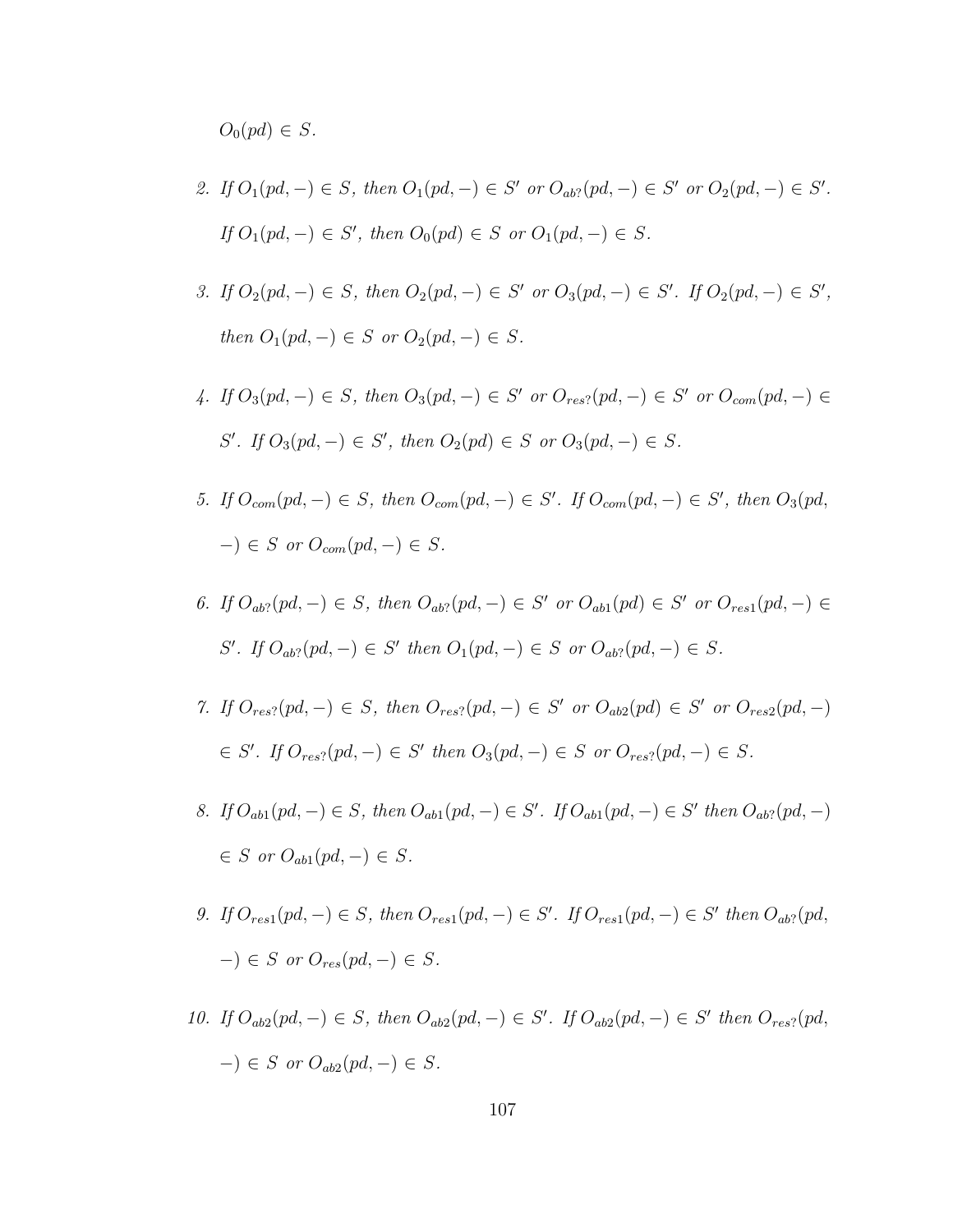$O_0(pd) \in S$ .

- 2. If  $O_1(pd, -) \in S$ , then  $O_1(pd, -) \in S'$  or  $O_{ab}P(pd, -) \in S'$  or  $O_2(pd, -) \in S'$ . *If*  $O_1(pd, -) \in S'$ , then  $O_0(pd) \in S$  or  $O_1(pd, -) \in S$ .
- 3. If  $O_2(pd, -) \in S$ , then  $O_2(pd, -) \in S'$  or  $O_3(pd, -) \in S'$ . If  $O_2(pd, -) \in S'$ , then  $O_1(pd, -) \in S$  or  $O_2(pd, -) \in S$ .
- 4. If  $O_3(pd, -) \in S$ , then  $O_3(pd, -) \in S'$  or  $O_{res}$ ? $(pd, -) \in S'$  or  $O_{com}(pd, -) \in S'$ S'. If  $O_3(pd, -) \in S'$ , then  $O_2(pd) \in S$  or  $O_3(pd, -) \in S$ .
- 5. If  $O_{com}(pd, -) \in S$ , then  $O_{com}(pd, -) \in S'$ . If  $O_{com}(pd, -) \in S'$ , then  $O_3(pd,$  $-$ )  $\in$  S or  $O_{com}(pd, -) \in S$ .
- 6. If  $O_{ab}$ ?(pd, -)  $\in S$ , then  $O_{ab}$ ?(pd, -)  $\in S'$  or  $O_{ab1}(pd) \in S'$  or  $O_{res1}(pd, -) \in$ S'. If  $O_{ab}$ ?(pd, -)  $\in S'$  then  $O_1(pd, -) \in S$  or  $O_{ab}$ ?(pd, -)  $\in S$ .
- 7. If  $O_{res}$ ?(pd, -)  $\in S$ , then  $O_{res}$ ?(pd, -)  $\in S'$  or  $O_{ab2}(pd) \in S'$  or  $O_{res2}(pd, -)$  $\in S'.$  If  $O_{res}$ ? $(pd, -) \in S'$  then  $O_3(pd, -) \in S$  or  $O_{res}$ ? $(pd, -) \in S$ .
- 8. If  $O_{ab1}(pd, -) \in S$ , then  $O_{ab1}(pd, -) \in S'$ . If  $O_{ab1}(pd, -) \in S'$  then  $O_{ab2}(pd, -)$  $\in S$  or  $O_{ab1}(pd, -) \in S$ .
- 9. If  $O_{res1}(pd, -) \in S$ , then  $O_{res1}(pd, -) \in S'$ . If  $O_{res1}(pd, -) \in S'$  then  $O_{ab2}(pd, -)$  $-$ )  $\in$  S or  $O_{res}(pd, -) \in S$ .
- 10. If  $O_{ab2}(pd, -) \in S$ , then  $O_{ab2}(pd, -) \in S'$ . If  $O_{ab2}(pd, -) \in S'$  then  $O_{res2}(pd, -)$  $-$ )  $\in$  S or  $O_{ab2}(pd, -) \in S$ .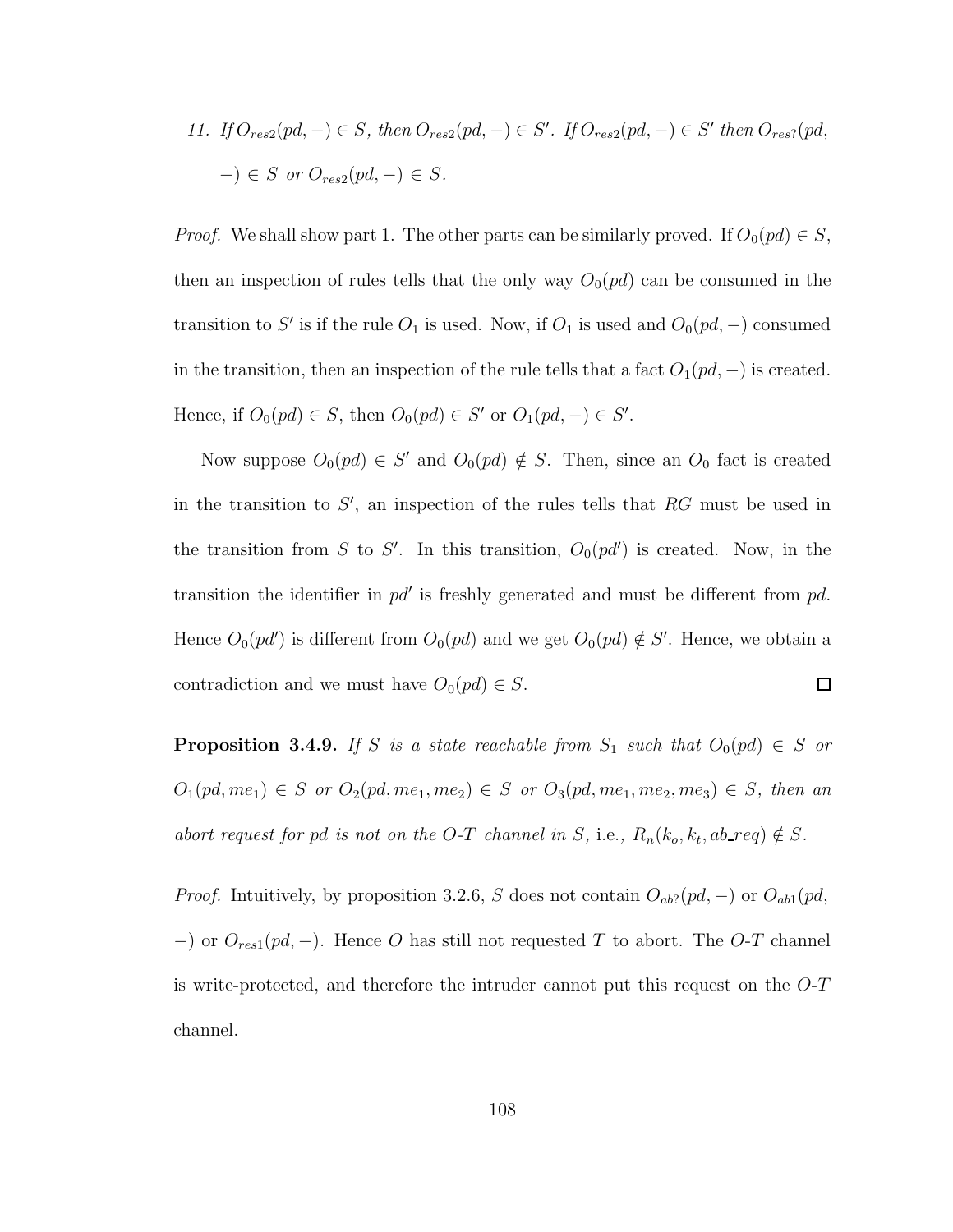11. If  $O_{res2}(pd, -) \in S$ , then  $O_{res2}(pd, -) \in S'$ . If  $O_{res2}(pd, -) \in S'$  then  $O_{res2}(pd, -)$  $-$ )  $\in$  S or  $O_{res2}(pd, -) \in S$ .

*Proof.* We shall show part 1. The other parts can be similarly proved. If  $O_0(pd) \in S$ , then an inspection of rules tells that the only way  $O_0(pd)$  can be consumed in the transition to S' is if the rule  $O_1$  is used. Now, if  $O_1$  is used and  $O_0(pd, -)$  consumed in the transition, then an inspection of the rule tells that a fact  $O_1(pd, -)$  is created. Hence, if  $O_0(pd) \in S$ , then  $O_0(pd) \in S'$  or  $O_1(pd, -) \in S'$ .

Now suppose  $O_0(pd) \in S'$  and  $O_0(pd) \notin S$ . Then, since an  $O_0$  fact is created in the transition to  $S'$ , an inspection of the rules tells that  $RG$  must be used in the transition from S to S'. In this transition,  $O_0(p d')$  is created. Now, in the transition the identifier in  $pd'$  is freshly generated and must be different from  $pd$ . Hence  $O_0(pd')$  is different from  $O_0(pd)$  and we get  $O_0(pd) \notin S'$ . Hence, we obtain a  $\Box$ contradiction and we must have  $O_0(pd) \in S$ .

**Proposition 3.4.9.** If S is a state reachable from  $S_1$  such that  $O_0(pd) \in S$  or  $O_1(pd, me_1) \in S$  or  $O_2(pd, me_1, me_2) \in S$  or  $O_3(pd, me_1, me_2, me_3) \in S$ , then an abort request for pd is not on the O-T channel in S, i.e.,  $R_n(k_o, k_t, ab\_req) \notin S$ .

*Proof.* Intuitively, by proposition 3.2.6, S does not contain  $O_{ab}$ ?(pd, –) or  $O_{ab1}(pd,$ −) or  $O_{res1}(pd, -)$ . Hence O has still not requested T to abort. The O-T channel is write-protected, and therefore the intruder cannot put this request on the  $O-T$ channel.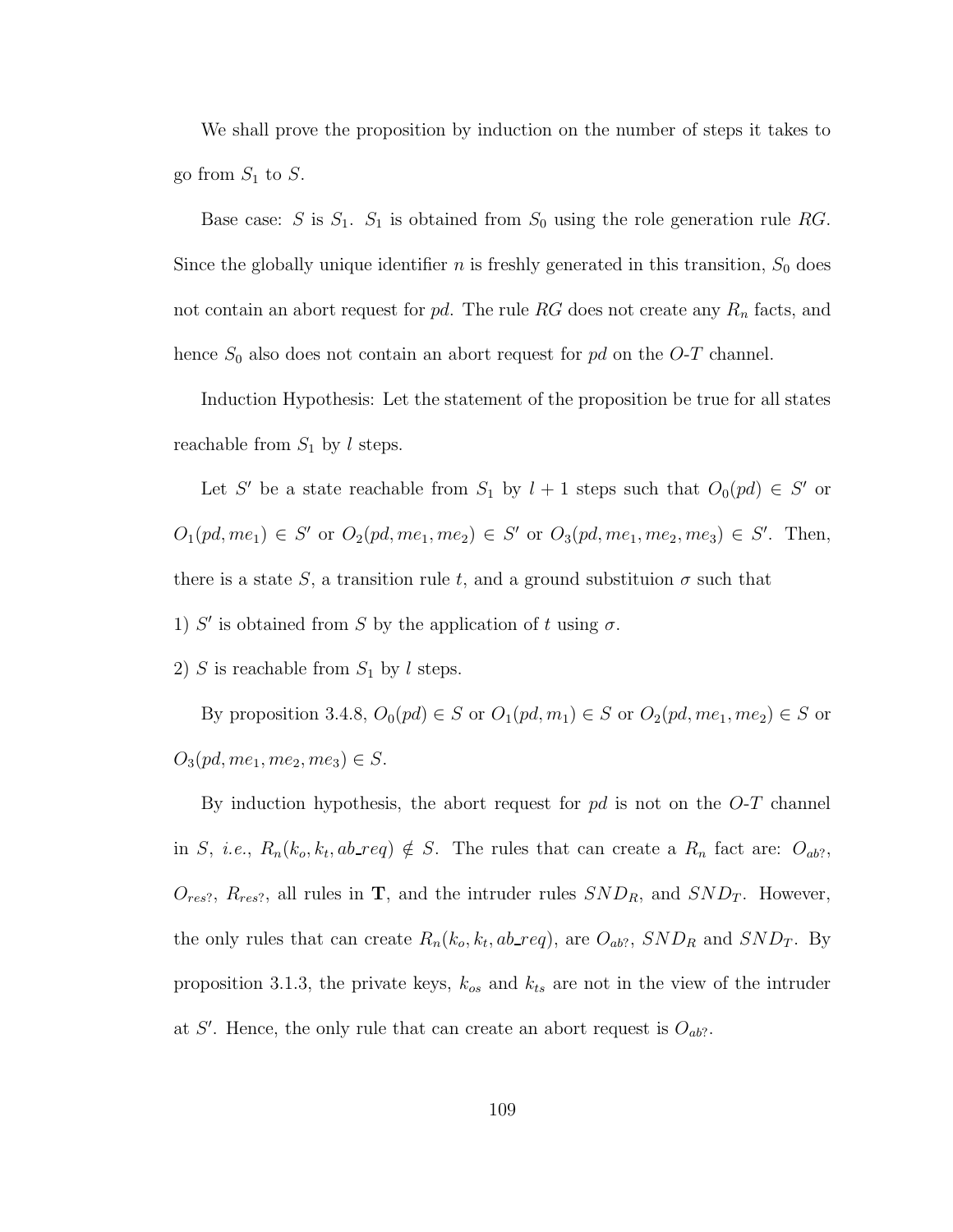We shall prove the proposition by induction on the number of steps it takes to go from  $S_1$  to  $S$ .

Base case: S is  $S_1$ .  $S_1$  is obtained from  $S_0$  using the role generation rule RG. Since the globally unique identifier  $n$  is freshly generated in this transition,  $S_0$  does not contain an abort request for  $pd$ . The rule RG does not create any  $R_n$  facts, and hence  $S_0$  also does not contain an abort request for pd on the O-T channel.

Induction Hypothesis: Let the statement of the proposition be true for all states reachable from  $S_1$  by l steps.

Let S' be a state reachable from  $S_1$  by  $l + 1$  steps such that  $O_0(pd) \in S'$  or  $O_1(pd, me_1) \in S'$  or  $O_2(pd, me_1, me_2) \in S'$  or  $O_3(pd, me_1, me_2, me_3) \in S'$ . Then, there is a state S, a transition rule t, and a ground substituion  $\sigma$  such that

1) S' is obtained from S by the application of t using  $\sigma$ .

2) S is reachable from  $S_1$  by l steps.

By proposition 3.4.8,  $O_0(pd) \in S$  or  $O_1(pd, m_1) \in S$  or  $O_2(pd, me_1, me_2) \in S$  or  $O_3(pd, me_1, me_2, me_3) \in S.$ 

By induction hypothesis, the abort request for  $pd$  is not on the  $O-T$  channel in S, *i.e.*,  $R_n(k_o, k_t, ab\_req) \notin S$ . The rules that can create a  $R_n$  fact are:  $O_{ab?}$ ,  $O_{res?}$ ,  $R_{res?}$ , all rules in **T**, and the intruder rules  $SND_R$ , and  $SND_T$ . However, the only rules that can create  $R_n(k_o, k_t, ab_{req})$ , are  $O_{ab}$ ?,  $SND_R$  and  $SND_T$ . By proposition 3.1.3, the private keys,  $k_{os}$  and  $k_{ts}$  are not in the view of the intruder at S'. Hence, the only rule that can create an abort request is  $O_{ab}$ ?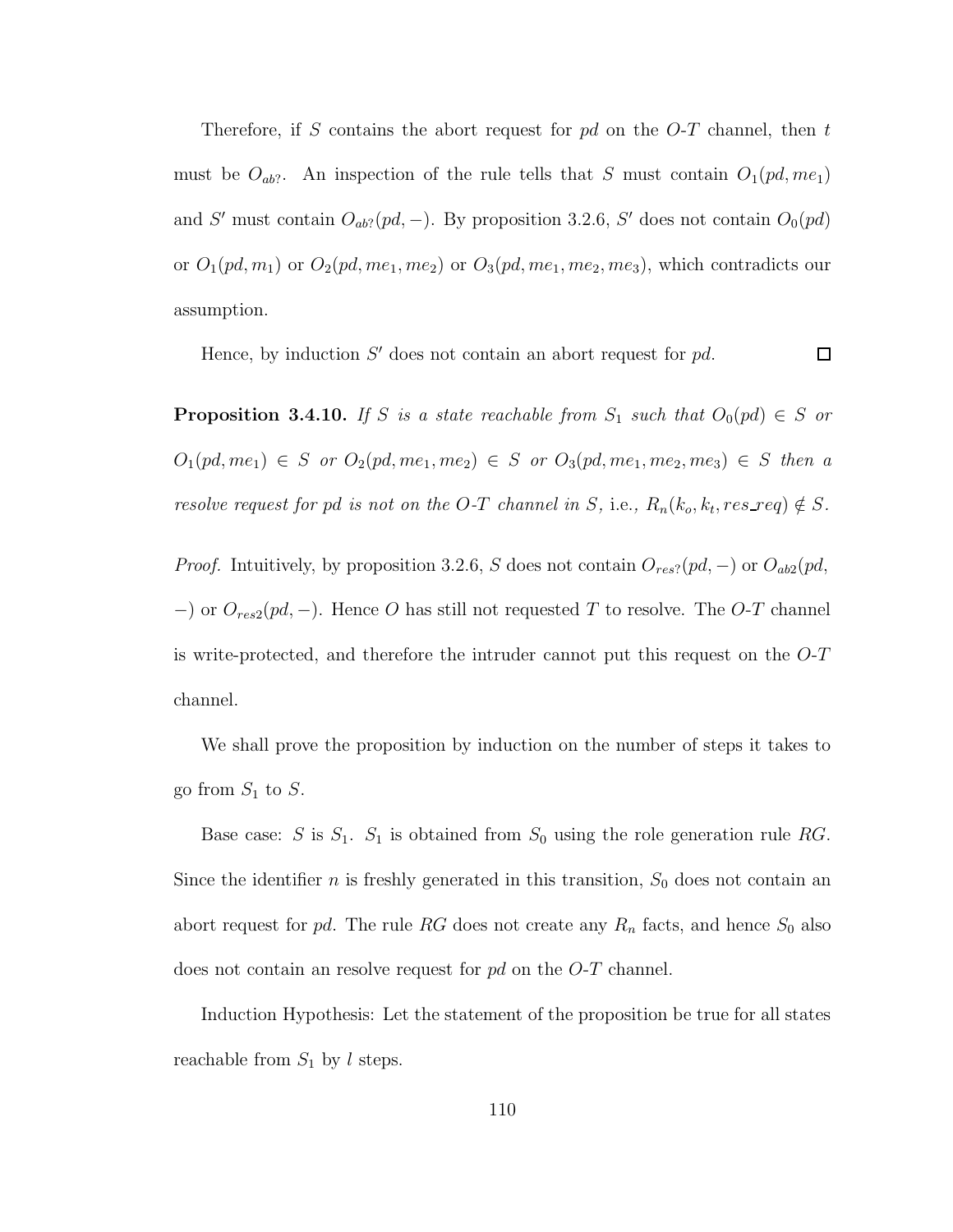Therefore, if S contains the abort request for  $pd$  on the O-T channel, then t must be  $O_{ab}$ ?. An inspection of the rule tells that S must contain  $O_1(pd, me_1)$ and S' must contain  $O_{ab}$ ?(pd, -). By proposition 3.2.6, S' does not contain  $O_0(pd)$ or  $O_1(pd, m_1)$  or  $O_2(pd, me_1, me_2)$  or  $O_3(pd, me_1, me_2, me_3)$ , which contradicts our assumption.

Hence, by induction  $S'$  does not contain an abort request for  $pd$ .  $\Box$ 

**Proposition 3.4.10.** If S is a state reachable from  $S_1$  such that  $O_0(pd) \in S$  or  $O_1(pd, me_1) \in S$  or  $O_2(pd, me_1, me_2) \in S$  or  $O_3(pd, me_1, me_2, me_3) \in S$  then a resolve request for pd is not on the O-T channel in S, i.e.,  $R_n(k_o, k_t, res\_req) \notin S$ .

*Proof.* Intuitively, by proposition 3.2.6, S does not contain  $O_{res}$ ?(pd, –) or  $O_{ab2}(pd,$ −) or  $O_{res2}(pd, -)$ . Hence O has still not requested T to resolve. The O-T channel is write-protected, and therefore the intruder cannot put this request on the  $O-T$ channel.

We shall prove the proposition by induction on the number of steps it takes to go from  $S_1$  to  $S$ .

Base case: S is  $S_1$ .  $S_1$  is obtained from  $S_0$  using the role generation rule RG. Since the identifier *n* is freshly generated in this transition,  $S_0$  does not contain an abort request for pd. The rule RG does not create any  $R_n$  facts, and hence  $S_0$  also does not contain an resolve request for pd on the O-T channel.

Induction Hypothesis: Let the statement of the proposition be true for all states reachable from  $S_1$  by l steps.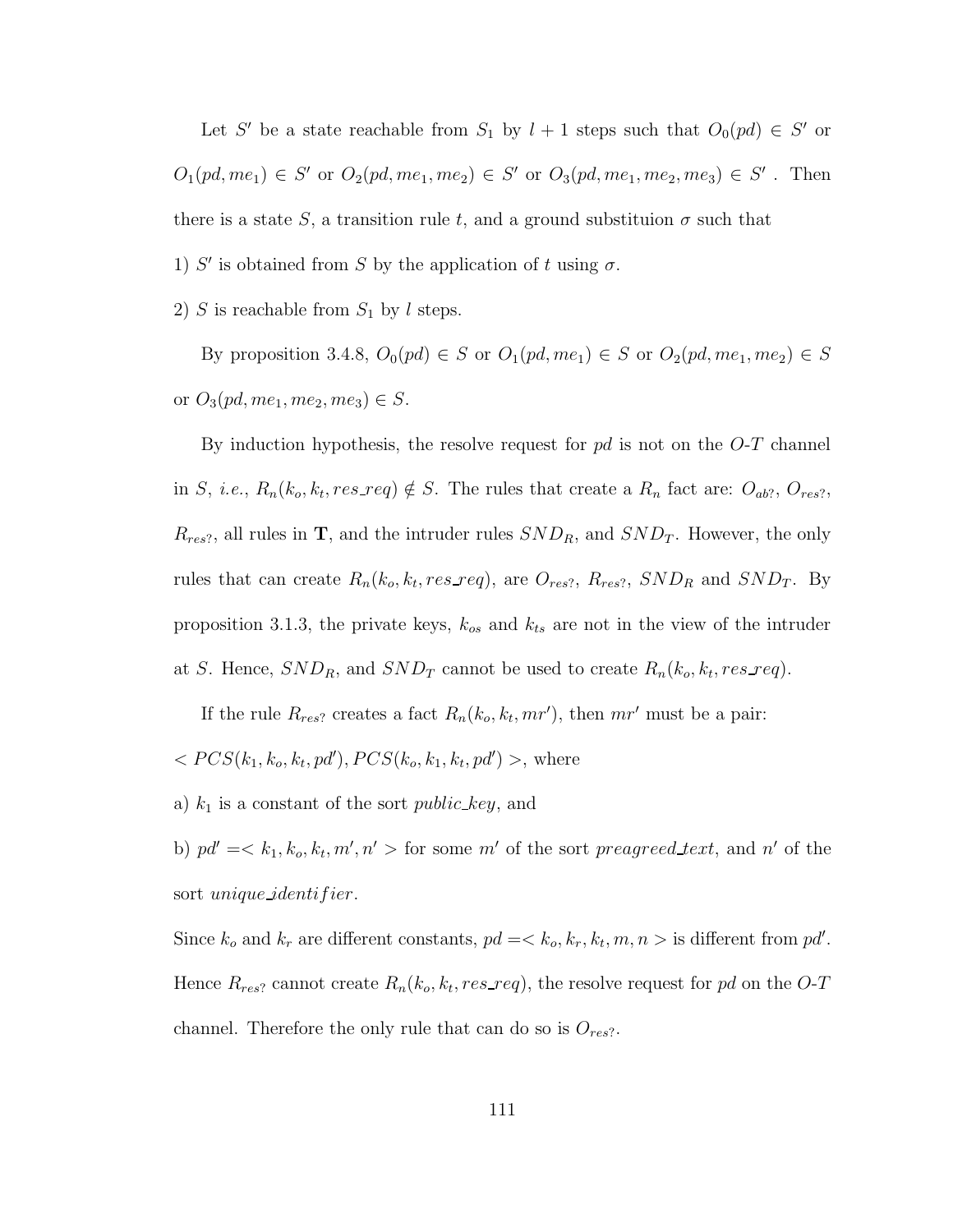Let S' be a state reachable from  $S_1$  by  $l + 1$  steps such that  $O_0(pd) \in S'$  or  $O_1(pd, me_1) \in S'$  or  $O_2(pd, me_1, me_2) \in S'$  or  $O_3(pd, me_1, me_2, me_3) \in S'$ . Then there is a state S, a transition rule t, and a ground substituion  $\sigma$  such that

1) S' is obtained from S by the application of t using  $\sigma$ .

2) S is reachable from  $S_1$  by l steps.

By proposition 3.4.8,  $O_0(pd) \in S$  or  $O_1(pd, me_1) \in S$  or  $O_2(pd, me_1, me_2) \in S$ or  $O_3(pd, me_1, me_2, me_3) \in S$ .

By induction hypothesis, the resolve request for  $pd$  is not on the  $O-T$  channel in S, *i.e.*,  $R_n(k_o, k_t, res\_req) \notin S$ . The rules that create a  $R_n$  fact are:  $O_{ab}$ ?,  $O_{res}$ ?,  $R_{res}$ , all rules in T, and the intruder rules  $SND_R$ , and  $SND_T$ . However, the only rules that can create  $R_n(k_o, k_t, res\_req)$ , are  $O_{res?}, R_{res?}, SND_R$  and  $SND_T$ . By proposition 3.1.3, the private keys,  $k_{os}$  and  $k_{ts}$  are not in the view of the intruder at S. Hence,  $SND_R$ , and  $SND_T$  cannot be used to create  $R_n(k_o, k_t, res\_req)$ .

If the rule  $R_{res}$ ? creates a fact  $R_n(k_o, k_t, mr')$ , then  $mr'$  must be a pair:

 $< PCS(k_1, k_o, k_t, pd')$ ,  $PCS(k_o, k_1, k_t, pd')$ , where

a)  $k_1$  is a constant of the sort *public key*, and

b)  $pd' = \langle k_1, k_o, k_t, m', n' \rangle$  for some m' of the sort preagreed text, and n' of the sort *unique\_identifier*.

Since  $k_o$  and  $k_r$  are different constants,  $pd = \langle k_o, k_r, k_t, m, n \rangle$  is different from  $pd'$ . Hence  $R_{res}$ ? cannot create  $R_n(k_o, k_t, res\_req)$ , the resolve request for pd on the O-T channel. Therefore the only rule that can do so is  $O_{res}$ ?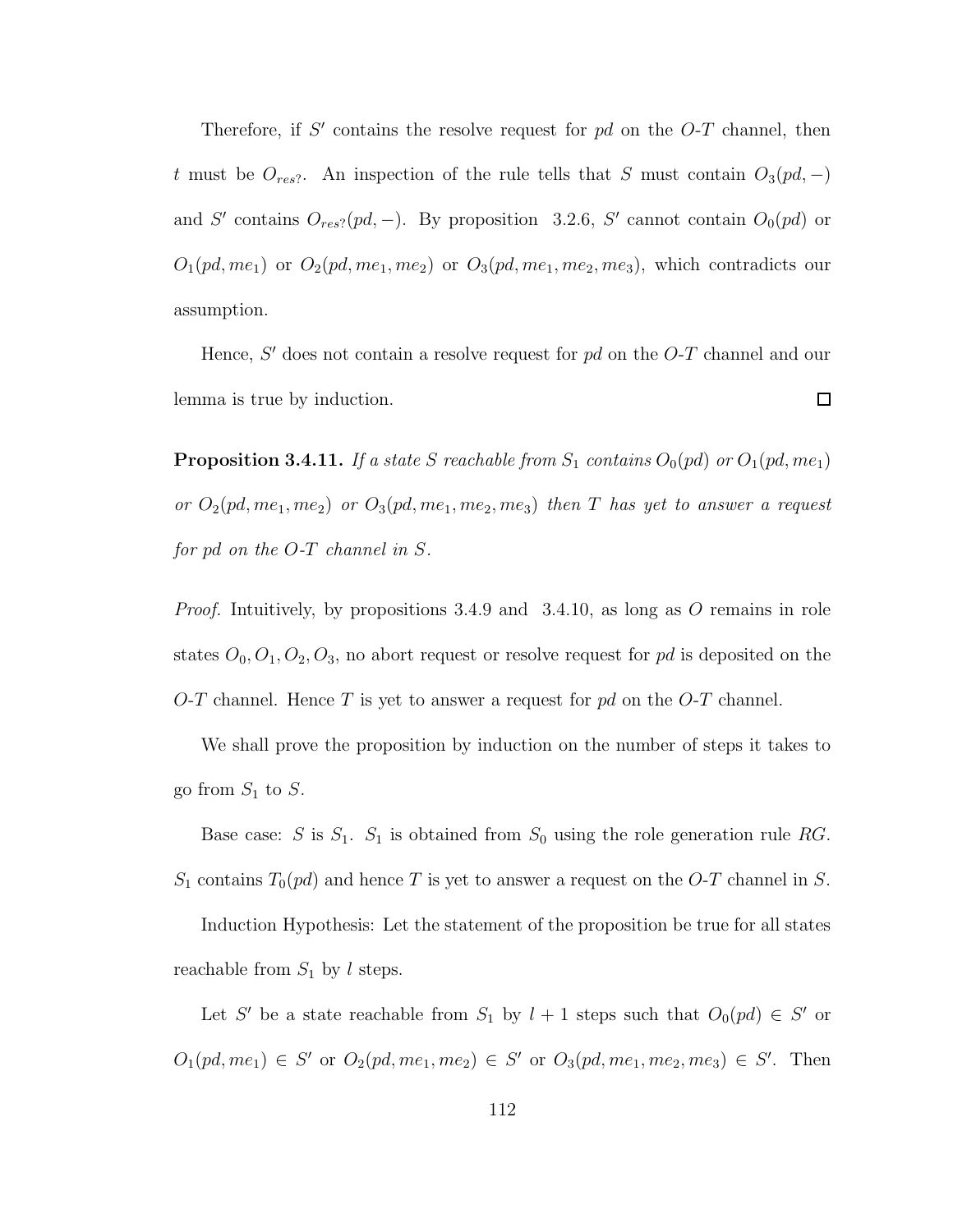Therefore, if  $S'$  contains the resolve request for  $pd$  on the  $O-T$  channel, then t must be  $O_{res}$ ?. An inspection of the rule tells that S must contain  $O_3(pd, -)$ and S' contains  $O_{res}$ ?(pd, -). By proposition 3.2.6, S' cannot contain  $O_0(pd)$  or  $O_1(pd, me_1)$  or  $O_2(pd, me_1, me_2)$  or  $O_3(pd, me_1, me_2, me_3)$ , which contradicts our assumption.

Hence,  $S'$  does not contain a resolve request for  $pd$  on the  $O$ -T channel and our lemma is true by induction.  $\Box$ 

**Proposition 3.4.11.** If a state S reachable from  $S_1$  contains  $O_0(pd)$  or  $O_1(pd, me_1)$ or  $O_2(pd, me_1, me_2)$  or  $O_3(pd, me_1, me_2, me_3)$  then T has yet to answer a request for pd on the O-T channel in S.

*Proof.* Intuitively, by propositions 3.4.9 and 3.4.10, as long as O remains in role states  $O_0$ ,  $O_1$ ,  $O_2$ ,  $O_3$ , no abort request or resolve request for pd is deposited on the O-T channel. Hence T is yet to answer a request for  $pd$  on the O-T channel.

We shall prove the proposition by induction on the number of steps it takes to go from  $S_1$  to  $S$ .

Base case: S is  $S_1$ .  $S_1$  is obtained from  $S_0$  using the role generation rule RG.  $S_1$  contains  $T_0(pd)$  and hence T is yet to answer a request on the O-T channel in S.

Induction Hypothesis: Let the statement of the proposition be true for all states reachable from  $S_1$  by l steps.

Let S' be a state reachable from  $S_1$  by  $l + 1$  steps such that  $O_0(pd) \in S'$  or  $O_1(pd, me_1) \in S'$  or  $O_2(pd, me_1, me_2) \in S'$  or  $O_3(pd, me_1, me_2, me_3) \in S'$ . Then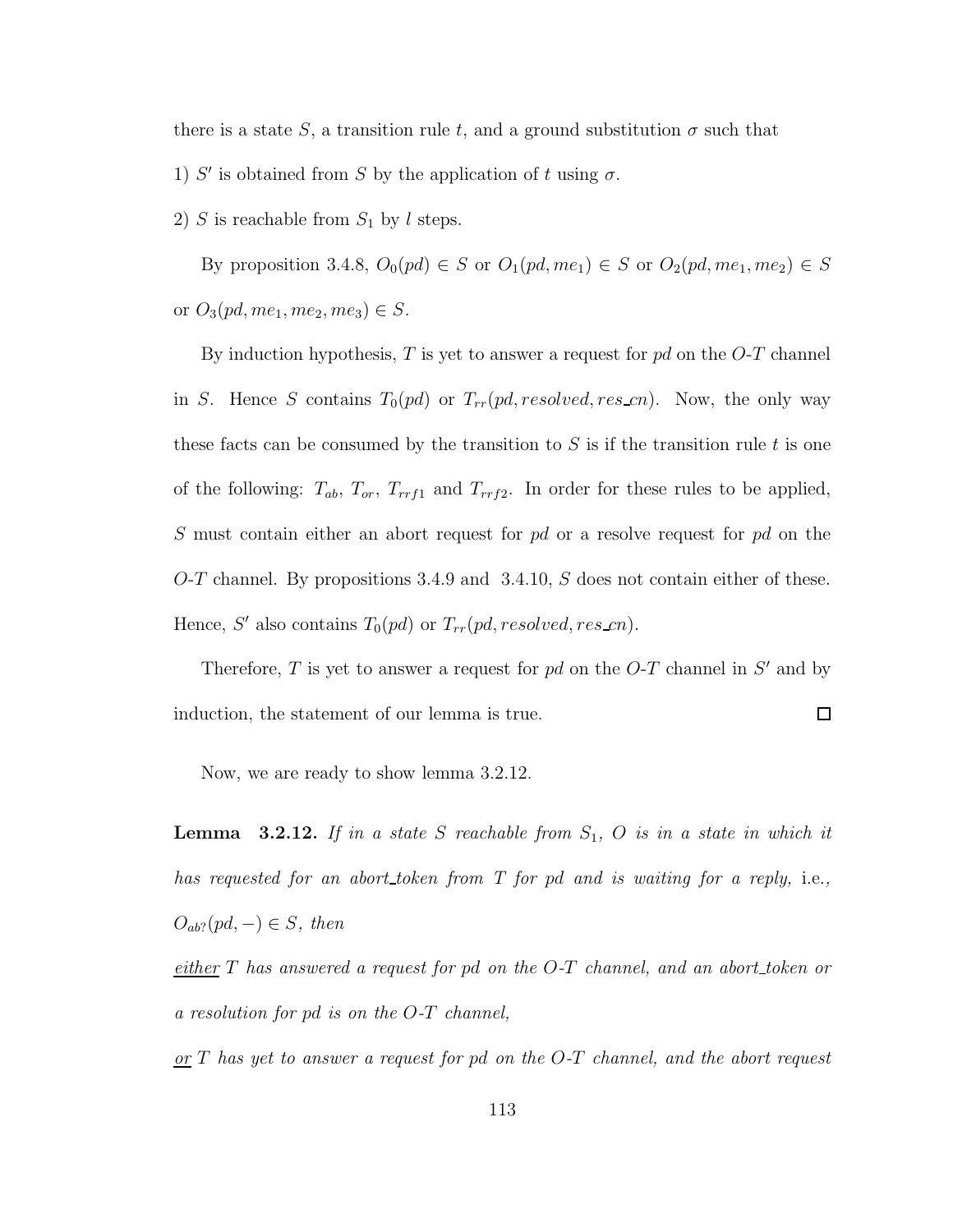there is a state S, a transition rule t, and a ground substitution  $\sigma$  such that

- 1) S' is obtained from S by the application of t using  $\sigma$ .
- 2) S is reachable from  $S_1$  by l steps.

By proposition 3.4.8,  $O_0(pd) \in S$  or  $O_1(pd, me_1) \in S$  or  $O_2(pd, me_1, me_2) \in S$ or  $O_3(pd, me_1, me_2, me_3) \in S$ .

By induction hypothesis,  $T$  is yet to answer a request for  $pd$  on the  $O-T$  channel in S. Hence S contains  $T_0(pd)$  or  $T_{rr}(pd, resolved, res\_cn)$ . Now, the only way these facts can be consumed by the transition to  $S$  is if the transition rule  $t$  is one of the following:  $T_{ab}$ ,  $T_{or}$ ,  $T_{rrf1}$  and  $T_{rrf2}$ . In order for these rules to be applied, S must contain either an abort request for pd or a resolve request for pd on the O-T channel. By propositions 3.4.9 and 3.4.10, S does not contain either of these. Hence, S' also contains  $T_0(pd)$  or  $T_{rr}(pd, resolved, res\_cn)$ .

Therefore,  $T$  is yet to answer a request for  $pd$  on the  $O-T$  channel in  $S'$  and by  $\Box$ induction, the statement of our lemma is true.

Now, we are ready to show lemma 3.2.12.

**Lemma** 3.2.12. If in a state S reachable from  $S_1$ , O is in a state in which it has requested for an abort token from T for pd and is waiting for a reply, i.e.,  $O_{ab}$ ?(pd, -)  $\in$  S, then

either  $T$  has answered a request for pd on the  $O-T$  channel, and an abort token or a resolution for pd is on the O-T channel,

 $or T$  has yet to answer a request for pd on the O-T channel, and the abort request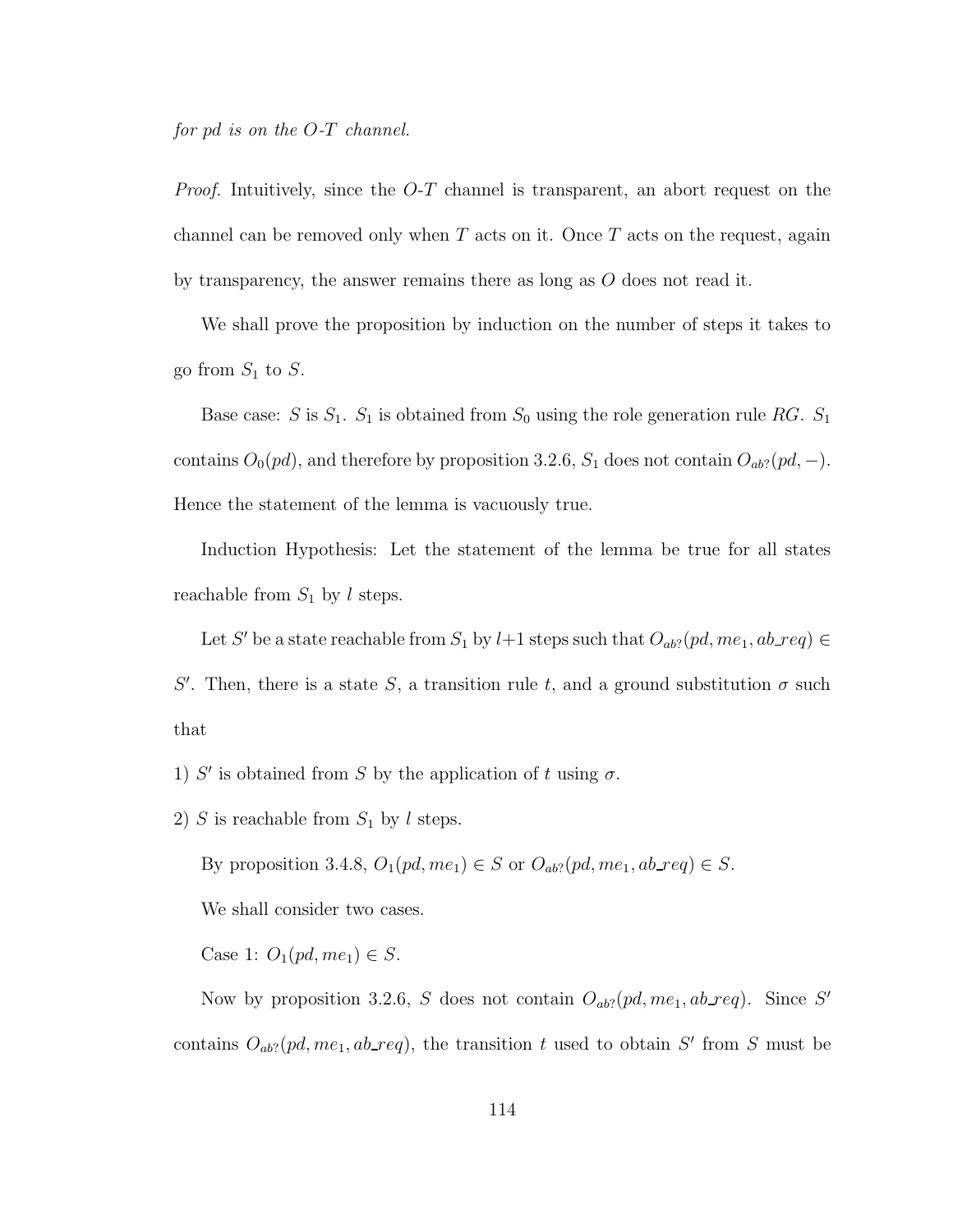for pd is on the O-T channel.

*Proof.* Intuitively, since the  $O-T$  channel is transparent, an abort request on the channel can be removed only when  $T$  acts on it. Once  $T$  acts on the request, again by transparency, the answer remains there as long as  $O$  does not read it.

We shall prove the proposition by induction on the number of steps it takes to go from  $S_1$  to  $S$ .

Base case: S is  $S_1$ .  $S_1$  is obtained from  $S_0$  using the role generation rule RG.  $S_1$ contains  $O_0(pd)$ , and therefore by proposition 3.2.6,  $S_1$  does not contain  $O_{ab}$ ?( $pd$ , −). Hence the statement of the lemma is vacuously true.

Induction Hypothesis: Let the statement of the lemma be true for all states reachable from  $S_1$  by l steps.

Let S' be a state reachable from  $S_1$  by  $l+1$  steps such that  $O_{ab}$ ?  $(pd, me_1, ab\_req) \in$ 

S'. Then, there is a state S, a transition rule t, and a ground substitution  $\sigma$  such that

1) S' is obtained from S by the application of t using  $\sigma$ .

2) S is reachable from  $S_1$  by l steps.

By proposition 3.4.8,  $O_1(pd, me_1) \in S$  or  $O_{ab}$ ? $(pd, me_1, ab\_req) \in S$ .

We shall consider two cases.

Case 1:  $O_1(pd, me_1) \in S$ .

Now by proposition 3.2.6, S does not contain  $O_{ab}$ ? (pd, me<sub>1</sub>, ab req). Since S' contains  $O_{ab}$ ? (pd, me<sub>1</sub>, ab\_req), the transition t used to obtain S' from S must be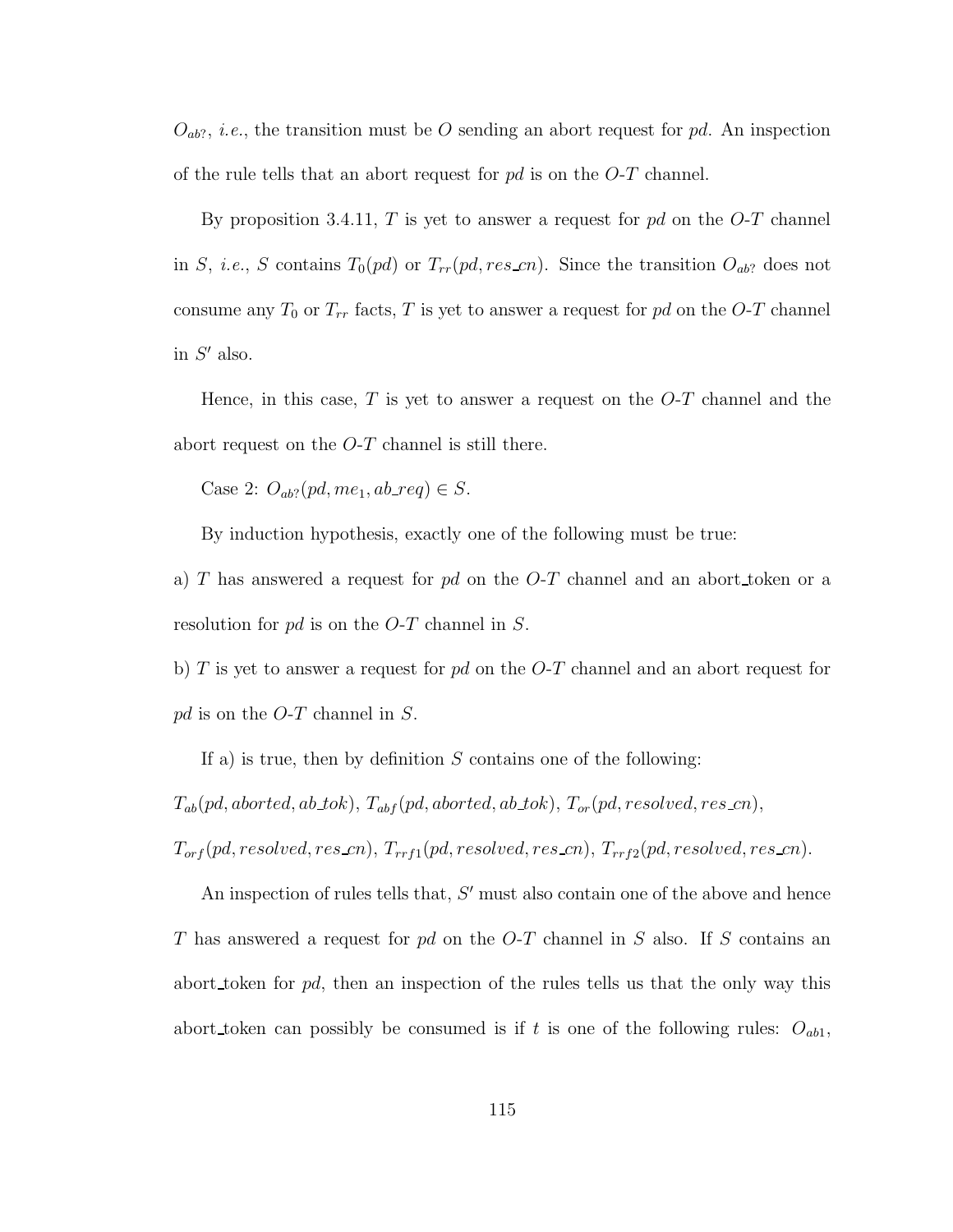$O_{ab}$ ?, *i.e.*, the transition must be O sending an abort request for pd. An inspection of the rule tells that an abort request for  $pd$  is on the  $O-T$  channel.

By proposition 3.4.11,  $T$  is yet to answer a request for  $pd$  on the  $O-T$  channel in S, i.e., S contains  $T_0(pd)$  or  $T_{rr}(pd, res\_cn)$ . Since the transition  $O_{ab}$ ? does not consume any  $T_0$  or  $T_{rr}$  facts,  $T$  is yet to answer a request for  $pd$  on the  $O-T$  channel in  $S'$  also.

Hence, in this case,  $T$  is yet to answer a request on the  $O-T$  channel and the abort request on the  $O-T$  channel is still there.

Case 2:  $O_{ab}$ ? (pd, me<sub>1</sub>, ab\_req)  $\in S$ .

By induction hypothesis, exactly one of the following must be true:

a) T has answered a request for pd on the  $O-T$  channel and an abort token or a resolution for pd is on the O-T channel in S.

b) T is yet to answer a request for  $pd$  on the O-T channel and an abort request for pd is on the  $O-T$  channel in S.

If a) is true, then by definition  $S$  contains one of the following:

 $T_{ab}(pd,aborted,ab\_tok), T_{abf}(pd,aborted,ab\_tok), T_{or}(pd, resolved, res\_cn),$ 

 $T_{orf}(pd, resolved, res.cn), T_{rrf1}(pd, resolved, res.cn), T_{rrf2}(pd, resolved, res.cn).$ 

An inspection of rules tells that,  $S'$  must also contain one of the above and hence T has answered a request for  $pd$  on the  $O-T$  channel in S also. If S contains an abort token for  $pd$ , then an inspection of the rules tells us that the only way this abort token can possibly be consumed is if t is one of the following rules:  $O_{ab1}$ ,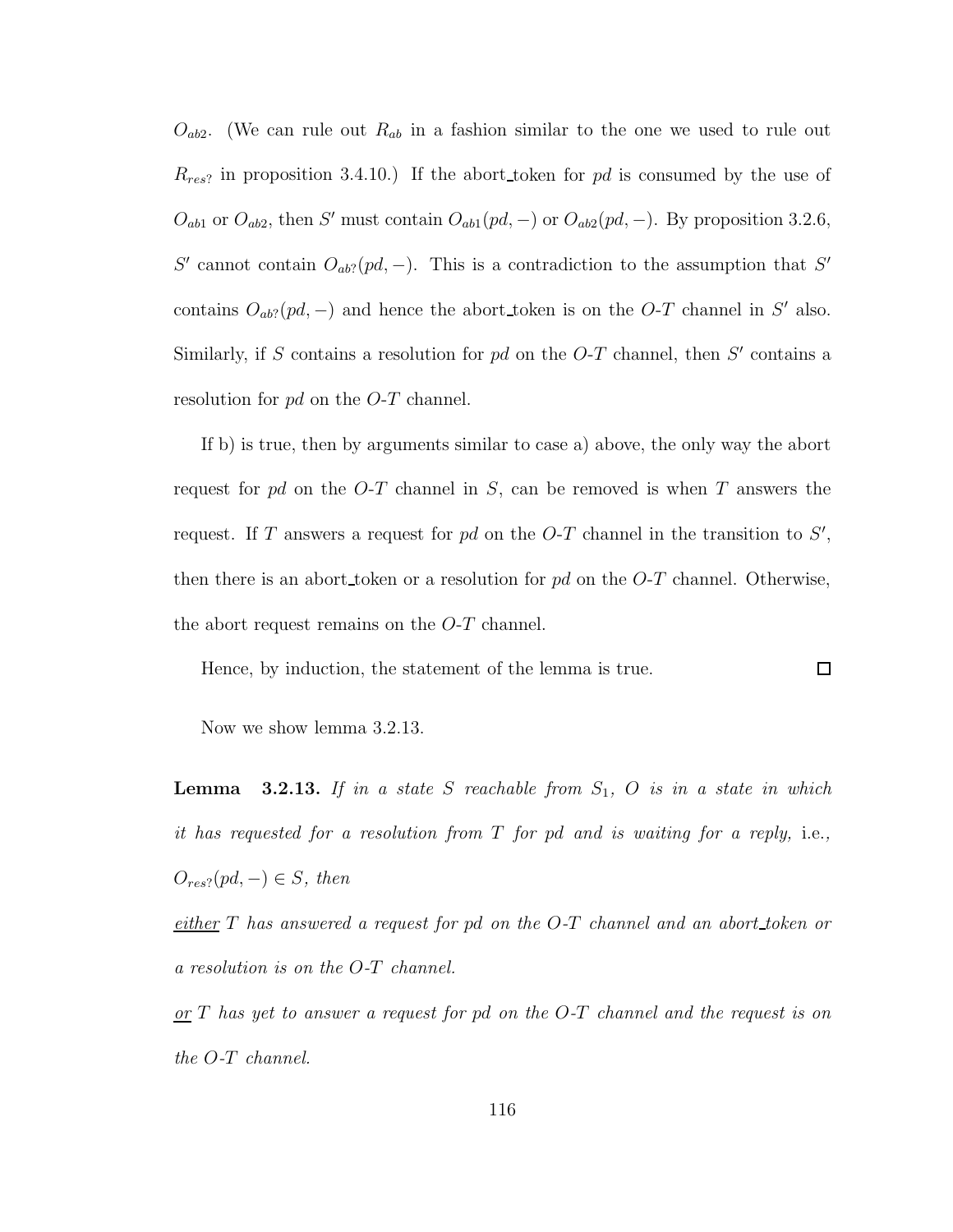$O_{ab2}$ . (We can rule out  $R_{ab}$  in a fashion similar to the one we used to rule out  $R_{res}$ ? in proposition 3.4.10.) If the abort token for pd is consumed by the use of  $O_{ab1}$  or  $O_{ab2}$ , then S' must contain  $O_{ab1}(pd, -)$  or  $O_{ab2}(pd, -)$ . By proposition 3.2.6, S' cannot contain  $O_{ab}$ ?(pd, -). This is a contradiction to the assumption that S' contains  $O_{ab}$ ? (pd, -) and hence the abort token is on the O-T channel in S' also. Similarly, if S contains a resolution for  $pd$  on the O-T channel, then S' contains a resolution for pd on the O-T channel.

If b) is true, then by arguments similar to case a) above, the only way the abort request for pd on the  $O-T$  channel in S, can be removed is when T answers the request. If T answers a request for  $pd$  on the O-T channel in the transition to  $S'$ , then there is an abort token or a resolution for  $pd$  on the  $O-T$  channel. Otherwise, the abort request remains on the O-T channel.

Hence, by induction, the statement of the lemma is true.

 $\Box$ 

Now we show lemma 3.2.13.

**Lemma** 3.2.13. If in a state S reachable from  $S_1$ , O is in a state in which it has requested for a resolution from  $T$  for pd and is waiting for a reply, i.e.,  $O_{res}$ ?(pd, -)  $\in$  S, then

either  $T$  has answered a request for pd on the  $O-T$  channel and an abort\_token or a resolution is on the O-T channel.

 $or T$  has yet to answer a request for pd on the O-T channel and the request is on the O-T channel.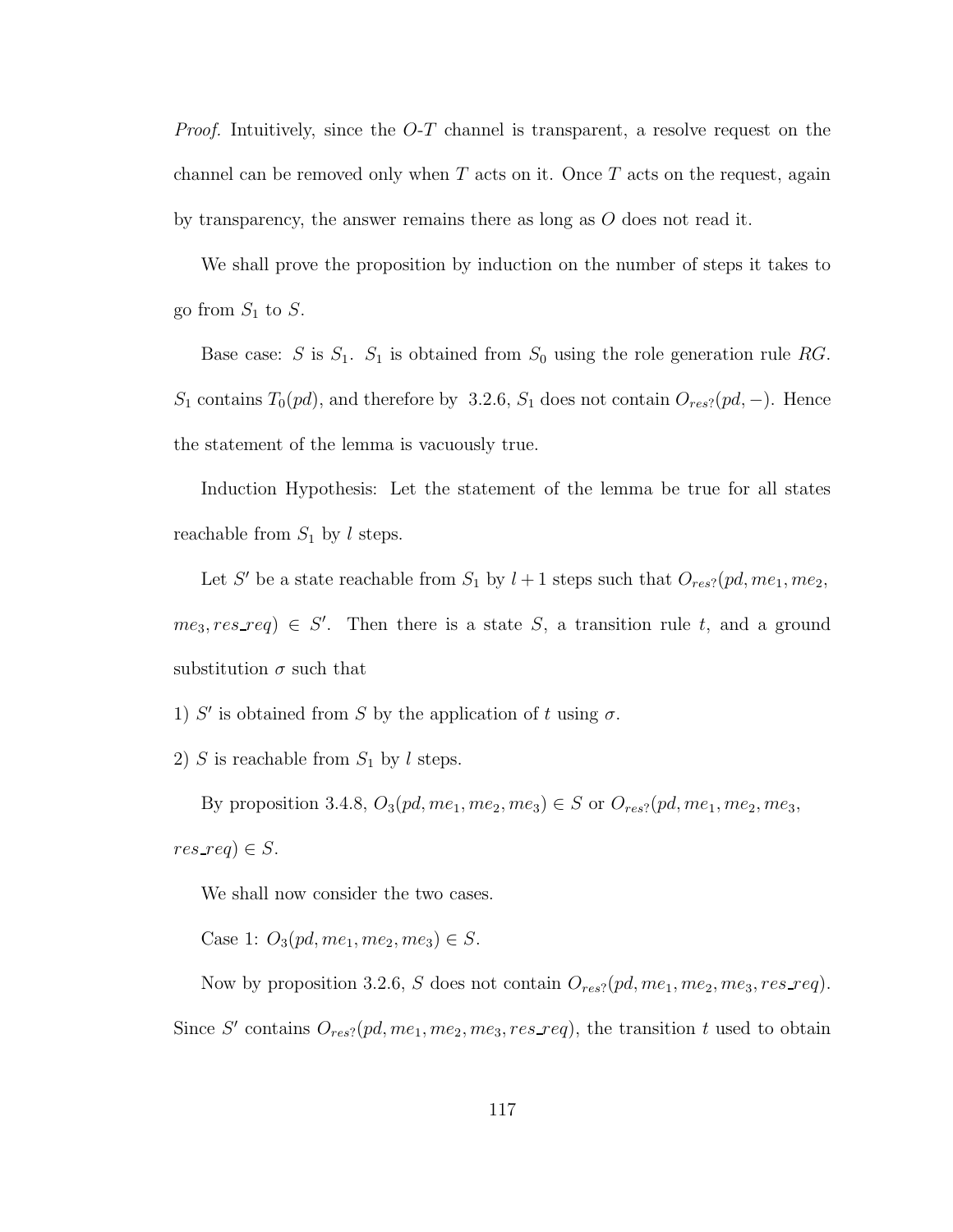*Proof.* Intuitively, since the  $O-T$  channel is transparent, a resolve request on the channel can be removed only when  $T$  acts on it. Once  $T$  acts on the request, again by transparency, the answer remains there as long as  $O$  does not read it.

We shall prove the proposition by induction on the number of steps it takes to go from  $S_1$  to  $S$ .

Base case: S is  $S_1$ .  $S_1$  is obtained from  $S_0$  using the role generation rule RG.  $S_1$  contains  $T_0(pd)$ , and therefore by 3.2.6,  $S_1$  does not contain  $O_{res}$ ? $(pd, -)$ . Hence the statement of the lemma is vacuously true.

Induction Hypothesis: Let the statement of the lemma be true for all states reachable from  $S_1$  by l steps.

Let S' be a state reachable from  $S_1$  by  $l+1$  steps such that  $O_{res}$ ?  $(pd, me_1, me_2$ ,  $me_3, res\_req$ )  $\in S'$ . Then there is a state S, a transition rule t, and a ground substitution  $\sigma$  such that

1) S' is obtained from S by the application of t using  $\sigma$ .

2) S is reachable from  $S_1$  by l steps.

By proposition 3.4.8,  $O_3(pd, me_1, me_2, me_3) \in S$  or  $O_{res}$ ?(pd, me<sub>1</sub>, me<sub>2</sub>, me<sub>3</sub>,  $res\_req$ )  $\in S$ .

We shall now consider the two cases.

Case 1:  $O_3(pd, me_1, me_2, me_3) \in S$ .

Now by proposition 3.2.6, S does not contain  $O_{res}$ ?  $(pd, me_1, me_2, me_3, res\_req)$ . Since S' contains  $O_{res}$ ? (pd, me<sub>1</sub>, me<sub>2</sub>, me<sub>3</sub>, res\_req), the transition t used to obtain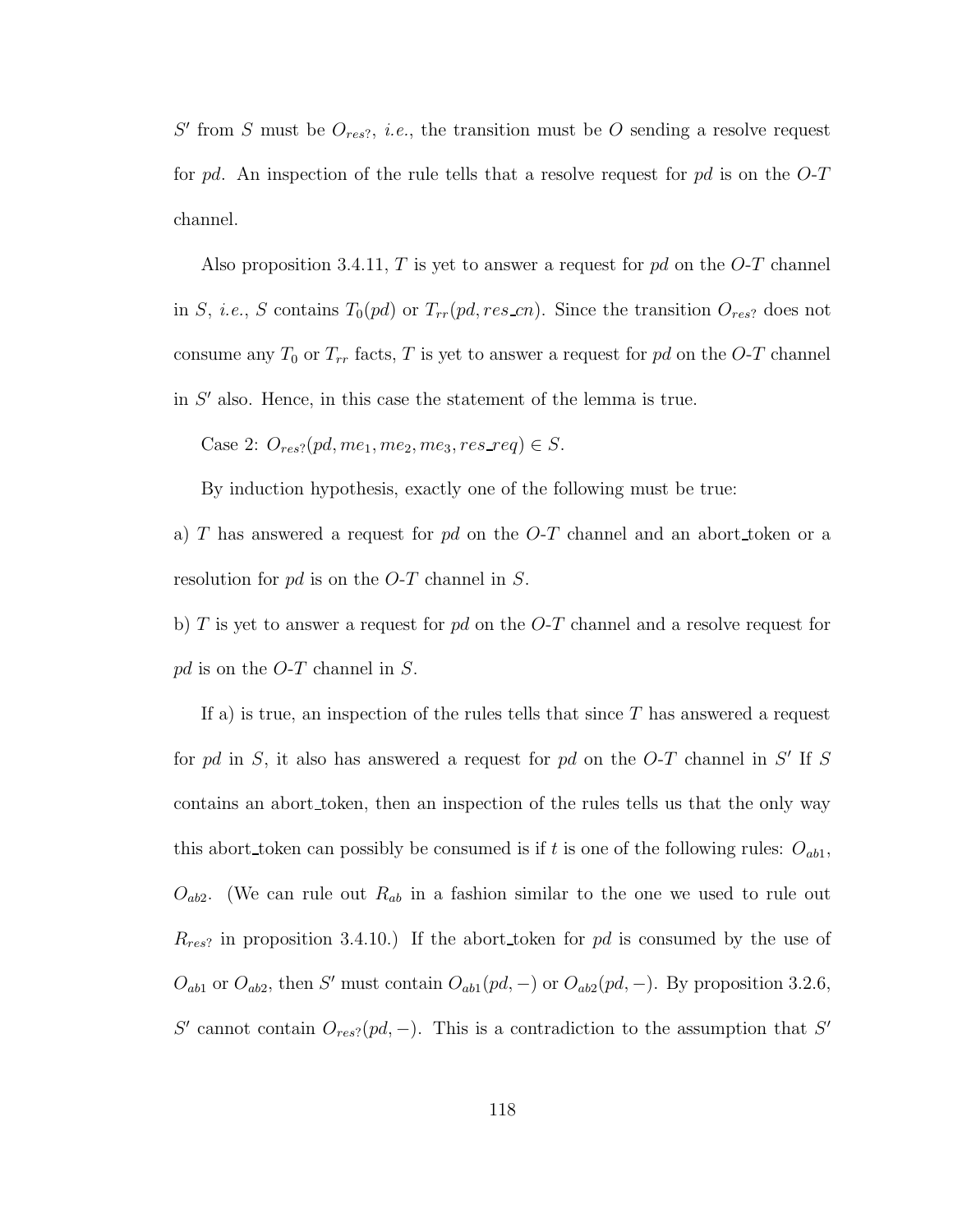$S'$  from S must be  $O_{res}$ , *i.e.*, the transition must be O sending a resolve request for pd. An inspection of the rule tells that a resolve request for pd is on the  $O-T$ channel.

Also proposition 3.4.11, T is yet to answer a request for  $pd$  on the O-T channel in S, i.e., S contains  $T_0(pd)$  or  $T_{rr}(pd, res\_cn)$ . Since the transition  $O_{res}$ ? does not consume any  $T_0$  or  $T_{rr}$  facts, T is yet to answer a request for pd on the O-T channel in  $S'$  also. Hence, in this case the statement of the lemma is true.

Case 2:  $O_{res}$ ?  $(pd, me_1, me_2, me_3, res\_req) \in S$ .

By induction hypothesis, exactly one of the following must be true:

a) T has answered a request for  $pd$  on the O-T channel and an abort token or a resolution for pd is on the O-T channel in S.

b) T is yet to answer a request for  $pd$  on the O-T channel and a resolve request for pd is on the  $O-T$  channel in S.

If a) is true, an inspection of the rules tells that since  $T$  has answered a request for pd in  $S$ , it also has answered a request for pd on the  $O$ -T channel in  $S'$  If  $S$ contains an abort token, then an inspection of the rules tells us that the only way this abort token can possibly be consumed is if t is one of the following rules:  $O_{ab1}$ ,  $O_{ab2}$ . (We can rule out  $R_{ab}$  in a fashion similar to the one we used to rule out  $R_{res}$ ? in proposition 3.4.10.) If the abort token for pd is consumed by the use of  $O_{ab1}$  or  $O_{ab2}$ , then S' must contain  $O_{ab1}(pd, -)$  or  $O_{ab2}(pd, -)$ . By proposition 3.2.6, S' cannot contain  $O_{res}$ ?(pd, -). This is a contradiction to the assumption that S'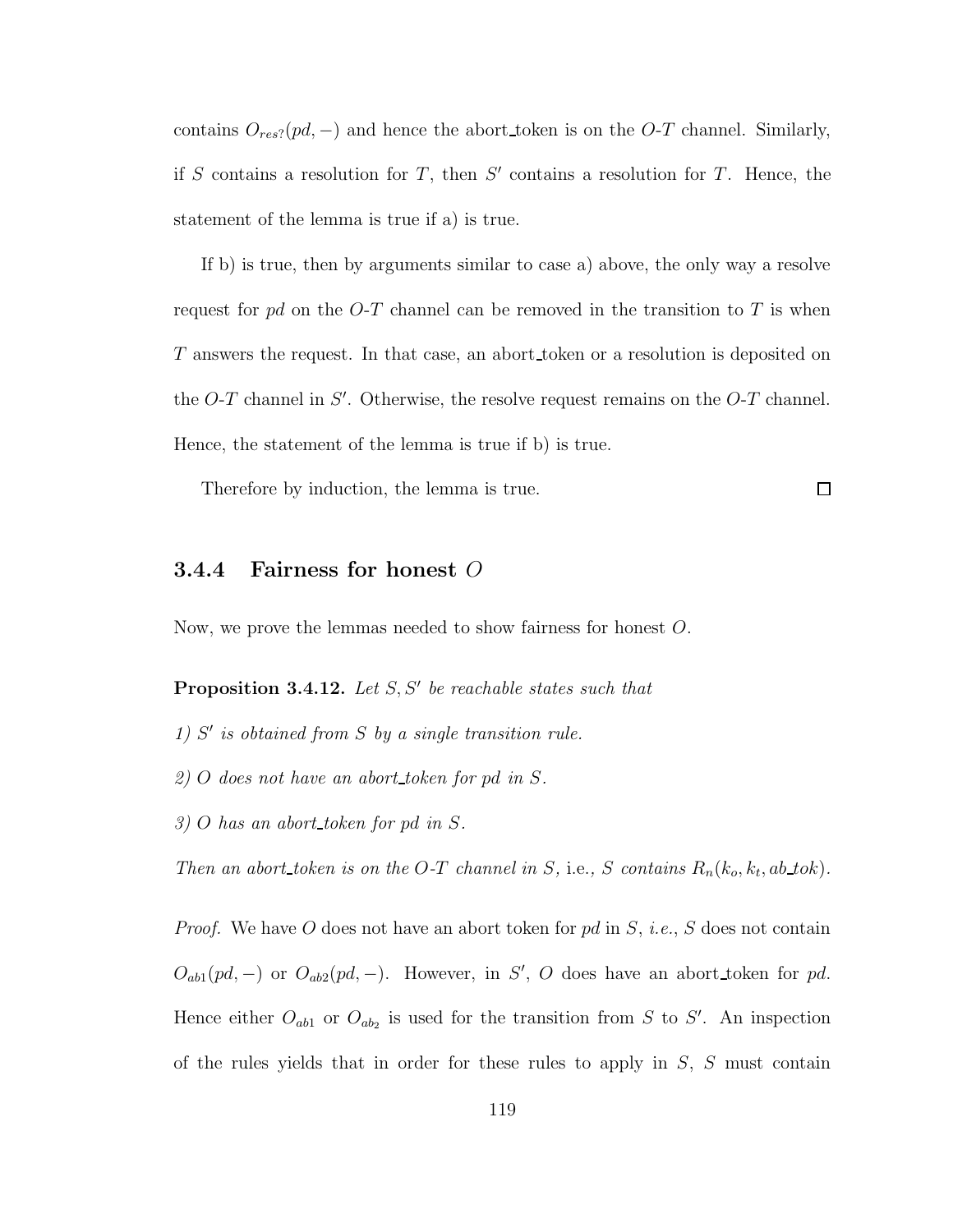contains  $O_{res}$ ?( $pd$ , -) and hence the abort\_token is on the  $O-T$  channel. Similarly, if S contains a resolution for T, then  $S'$  contains a resolution for T. Hence, the statement of the lemma is true if a) is true.

If b) is true, then by arguments similar to case a) above, the only way a resolve request for pd on the O-T channel can be removed in the transition to T is when T answers the request. In that case, an abort token or a resolution is deposited on the  $O-T$  channel in  $S'$ . Otherwise, the resolve request remains on the  $O-T$  channel. Hence, the statement of the lemma is true if b) is true.

Therefore by induction, the lemma is true.

#### $\Box$

### 3.4.4 Fairness for honest O

Now, we prove the lemmas needed to show fairness for honest O.

# **Proposition 3.4.12.** Let  $S, S'$  be reachable states such that

- $1)$  S' is obtained from S by a single transition rule.
- 2) O does not have an abort token for pd in S.
- 3) O has an abort token for pd in S.

Then an abort token is on the O-T channel in S, i.e., S contains  $R_n(k_o, k_t, ab\_tok)$ .

*Proof.* We have O does not have an abort token for pd in  $S$ , *i.e.*,  $S$  does not contain  $O_{ab1}(pd, -)$  or  $O_{ab2}(pd, -)$ . However, in S', O does have an abort token for pd. Hence either  $O_{ab1}$  or  $O_{ab2}$  is used for the transition from S to S'. An inspection of the rules yields that in order for these rules to apply in  $S$ ,  $S$  must contain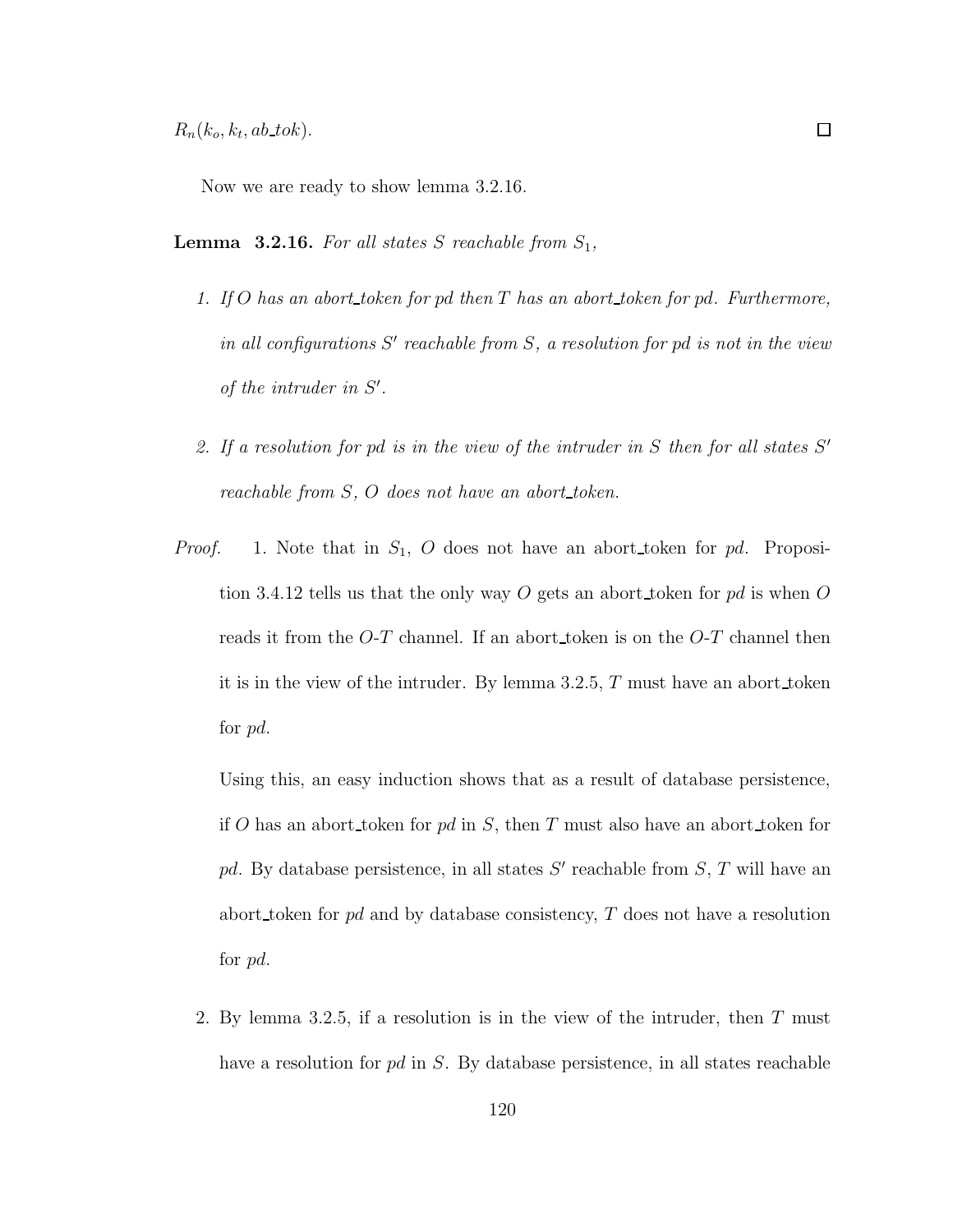Now we are ready to show lemma 3.2.16.

**Lemma 3.2.16.** For all states S reachable from  $S_1$ ,

- 1. If  $O$  has an abort\_token for pd then  $T$  has an abort\_token for pd. Furthermore, in all configurations  $S'$  reachable from  $S$ , a resolution for pd is not in the view of the intruder in  $S'$ .
- 2. If a resolution for pd is in the view of the intruder in  $S$  then for all states  $S'$ reachable from S, O does not have an abort token.
- *Proof.* 1. Note that in  $S_1$ , O does not have an abort\_token for pd. Proposition 3.4.12 tells us that the only way O gets an abort token for pd is when O reads it from the  $O-T$  channel. If an abort token is on the  $O-T$  channel then it is in the view of the intruder. By lemma 3.2.5, T must have an abort token for pd.

Using this, an easy induction shows that as a result of database persistence, if O has an abort token for pd in S, then T must also have an abort token for pd. By database persistence, in all states  $S'$  reachable from  $S$ , T will have an abort token for pd and by database consistency, T does not have a resolution for pd.

2. By lemma 3.2.5, if a resolution is in the view of the intruder, then T must have a resolution for pd in S. By database persistence, in all states reachable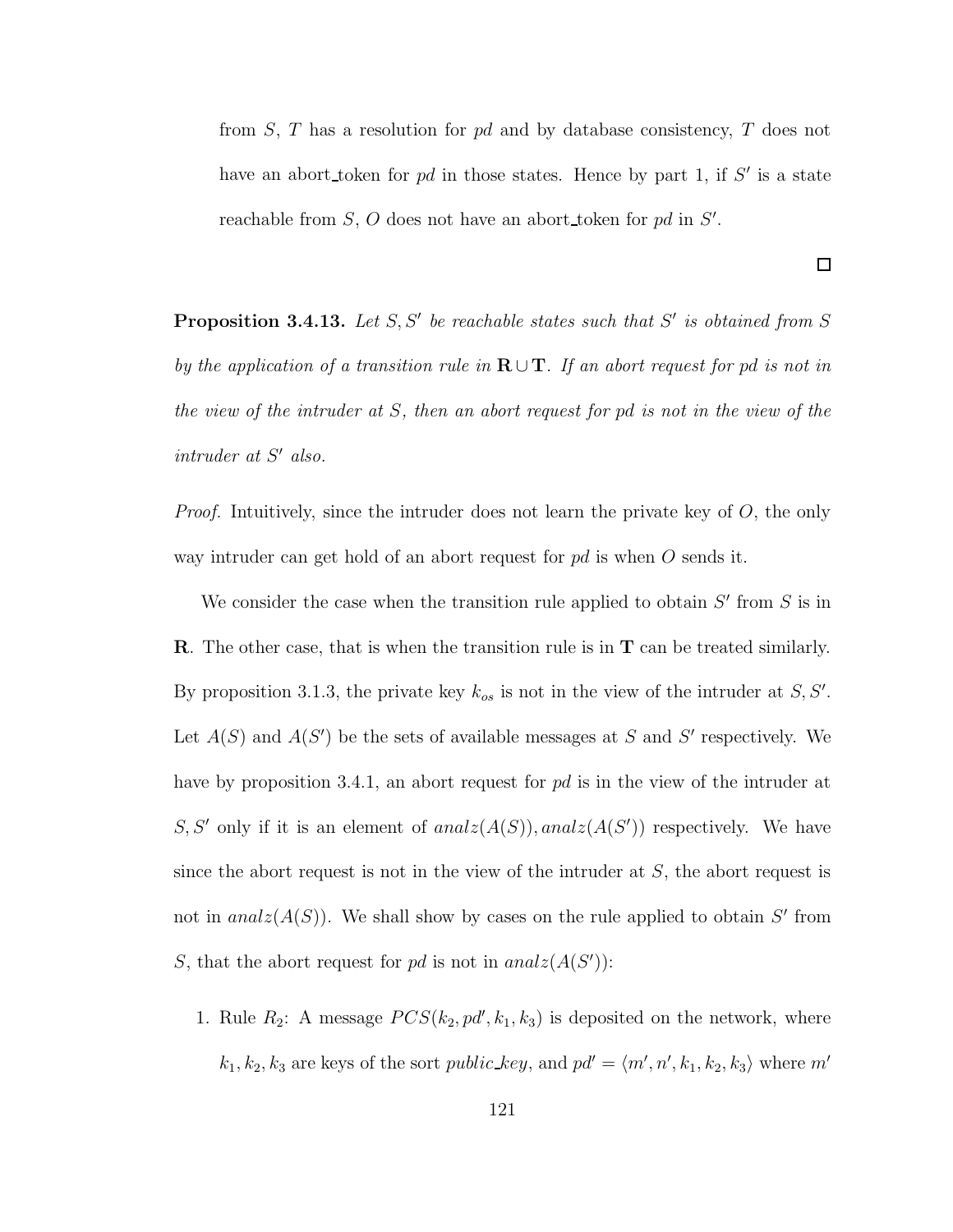from  $S$ ,  $T$  has a resolution for  $pd$  and by database consistency,  $T$  does not have an abort token for  $pd$  in those states. Hence by part 1, if  $S'$  is a state reachable from  $S$ , O does not have an abort token for pd in  $S'$ .

**Proposition 3.4.13.** Let  $S, S'$  be reachable states such that  $S'$  is obtained from  $S$ by the application of a transition rule in  $\mathbf{R} \cup \mathbf{T}$ . If an abort request for pd is not in the view of the intruder at S, then an abort request for pd is not in the view of the  $intract\; at\; S' \; also.$ 

*Proof.* Intuitively, since the intruder does not learn the private key of  $O$ , the only way intruder can get hold of an abort request for  $pd$  is when O sends it.

We consider the case when the transition rule applied to obtain  $S'$  from  $S$  is in R. The other case, that is when the transition rule is in T can be treated similarly. By proposition 3.1.3, the private key  $k_{os}$  is not in the view of the intruder at  $S, S'$ . Let  $A(S)$  and  $A(S')$  be the sets of available messages at S and S' respectively. We have by proposition 3.4.1, an abort request for pd is in the view of the intruder at S, S' only if it is an element of  $analz(A(S))$ ,  $analz(A(S'))$  respectively. We have since the abort request is not in the view of the intruder at  $S$ , the abort request is not in  $analz(A(S))$ . We shall show by cases on the rule applied to obtain S' from S, that the abort request for pd is not in  $analz(A(S'))$ :

1. Rule  $R_2$ : A message  $PCS(k_2, pd', k_1, k_3)$  is deposited on the network, where  $k_1, k_2, k_3$  are keys of the sort *public\_key*, and  $pd' = \langle m', n', k_1, k_2, k_3 \rangle$  where  $m'$ 

 $\Box$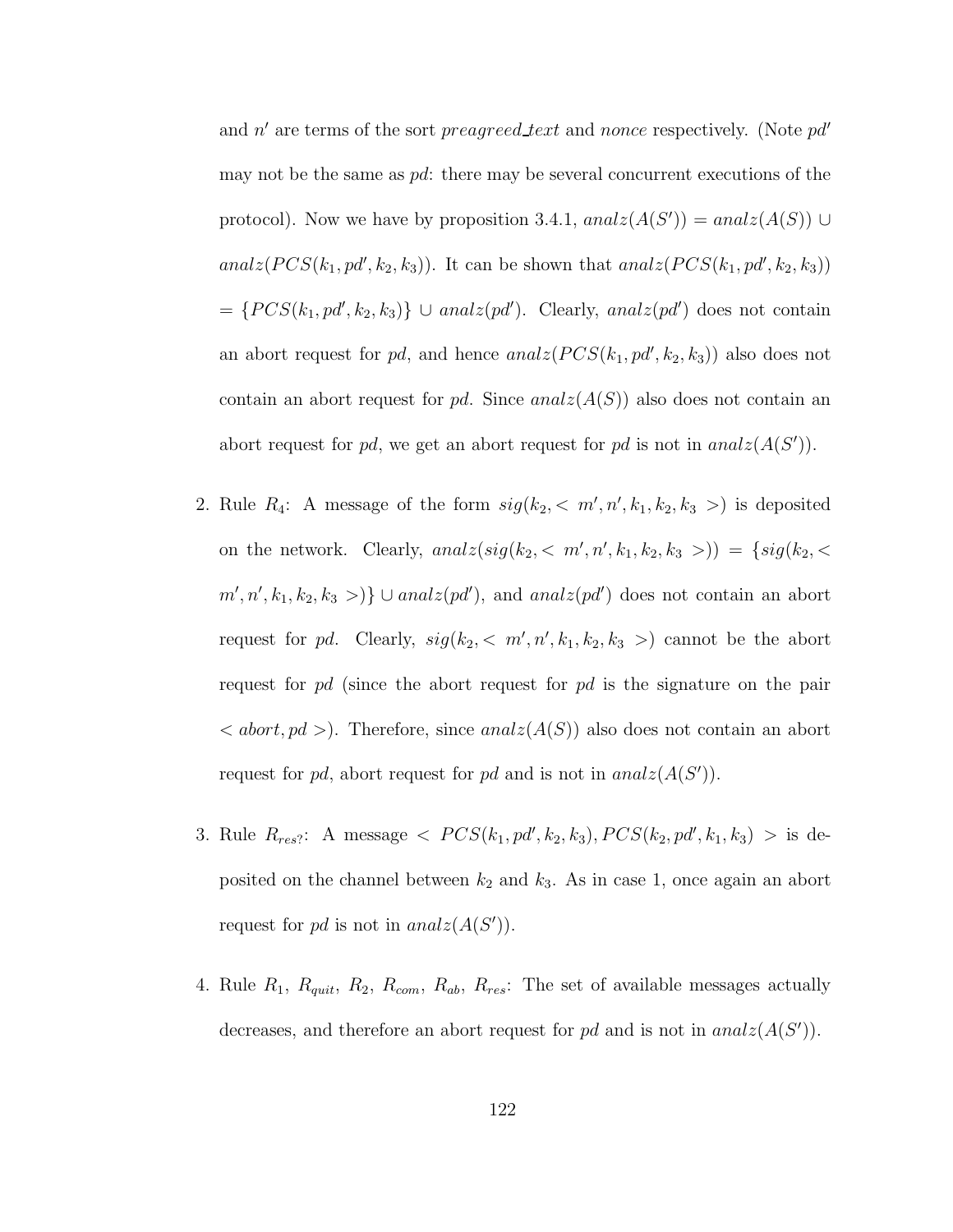and  $n'$  are terms of the sort preagreed text and nonce respectively. (Note  $pd'$ may not be the same as  $pd$ : there may be several concurrent executions of the protocol). Now we have by proposition 3.4.1,  $analz(A(S')) = analz(A(S)) \cup$ analz $(PCS(k_1, pd', k_2, k_3))$ . It can be shown that analz $(PCS(k_1, pd', k_2, k_3))$  $=\{PCS(k_1, pd', k_2, k_3)\}\cup analz(pd')$ . Clearly, anal $z(pd')$  does not contain an abort request for pd, and hence  $analz(PCS(k_1, pd', k_2, k_3))$  also does not contain an abort request for pd. Since  $analz(A(S))$  also does not contain an abort request for pd, we get an abort request for pd is not in  $analz(A(S'))$ .

- 2. Rule  $R_4$ : A message of the form  $sig(k_2, < m', n', k_1, k_2, k_3)$  is deposited on the network. Clearly,  $analz(sig(k_2, < m', n', k_1, k_2, k_3>)$  = { $sig(k_2, <$  $m', n', k_1, k_2, k_3 >$ }  $\cup$  analz(pd'), and analz(pd') does not contain an abort request for pd. Clearly,  $sig(k_2, < m', n', k_1, k_2, k_3)$  cannot be the abort request for  $pd$  (since the abort request for  $pd$  is the signature on the pair  $\langle \text{abort}, \text{pd} \rangle$ . Therefore, since  $analz(A(S))$  also does not contain an abort request for pd, abort request for pd and is not in  $analz(A(S'))$ .
- 3. Rule  $R_{res}$ : A message  $\langle PCS(k_1, pd', k_2, k_3), PCS(k_2, pd', k_1, k_3) \rangle$  is deposited on the channel between  $k_2$  and  $k_3$ . As in case 1, once again an abort request for pd is not in  $analz(A(S'))$ .
- 4. Rule  $R_1, R_{quit}, R_2, R_{com}, R_{ab}, R_{res}$ : The set of available messages actually decreases, and therefore an abort request for pd and is not in  $analz(A(S'))$ .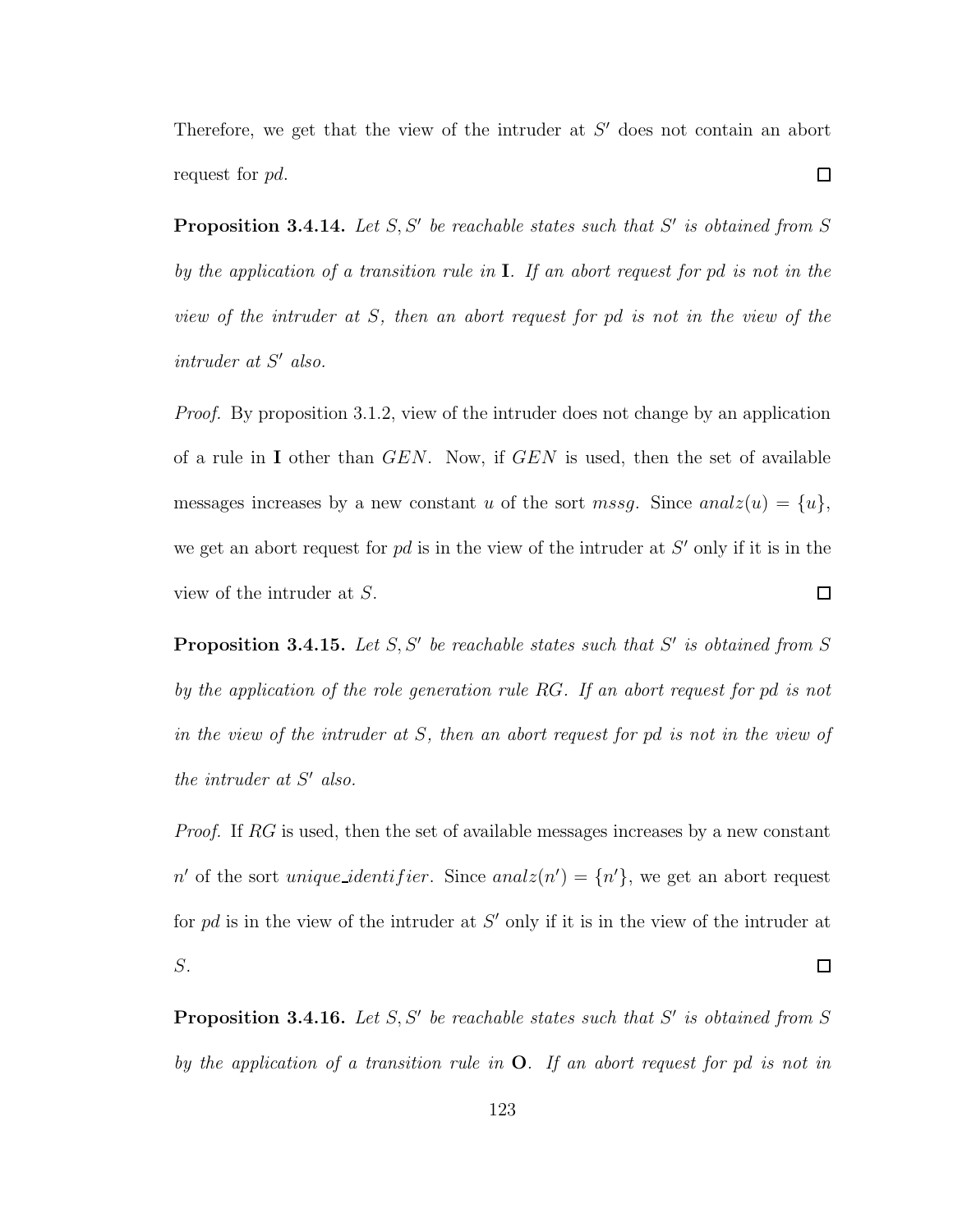Therefore, we get that the view of the intruder at  $S'$  does not contain an abort  $\Box$ request for pd.

**Proposition 3.4.14.** Let  $S, S'$  be reachable states such that  $S'$  is obtained from  $S$ by the application of a transition rule in I. If an abort request for pd is not in the view of the intruder at S, then an abort request for pd is not in the view of the  $intract\; at\; S' \; also.$ 

Proof. By proposition 3.1.2, view of the intruder does not change by an application of a rule in I other than GEN. Now, if GEN is used, then the set of available messages increases by a new constant u of the sort mssg. Since anal $z(u) = \{u\},\$ we get an abort request for  $pd$  is in the view of the intruder at  $S'$  only if it is in the  $\Box$ view of the intruder at S.

**Proposition 3.4.15.** Let  $S, S'$  be reachable states such that  $S'$  is obtained from  $S$ by the application of the role generation rule RG. If an abort request for pd is not in the view of the intruder at S, then an abort request for pd is not in the view of the intruder at  $S'$  also.

Proof. If RG is used, then the set of available messages increases by a new constant n' of the sort *unique\_identifier*. Since  $analz(n') = \{n'\}$ , we get an abort request for  $pd$  is in the view of the intruder at  $S'$  only if it is in the view of the intruder at S.  $\Box$ 

**Proposition 3.4.16.** Let  $S, S'$  be reachable states such that  $S'$  is obtained from  $S$ by the application of a transition rule in  $O$ . If an abort request for pd is not in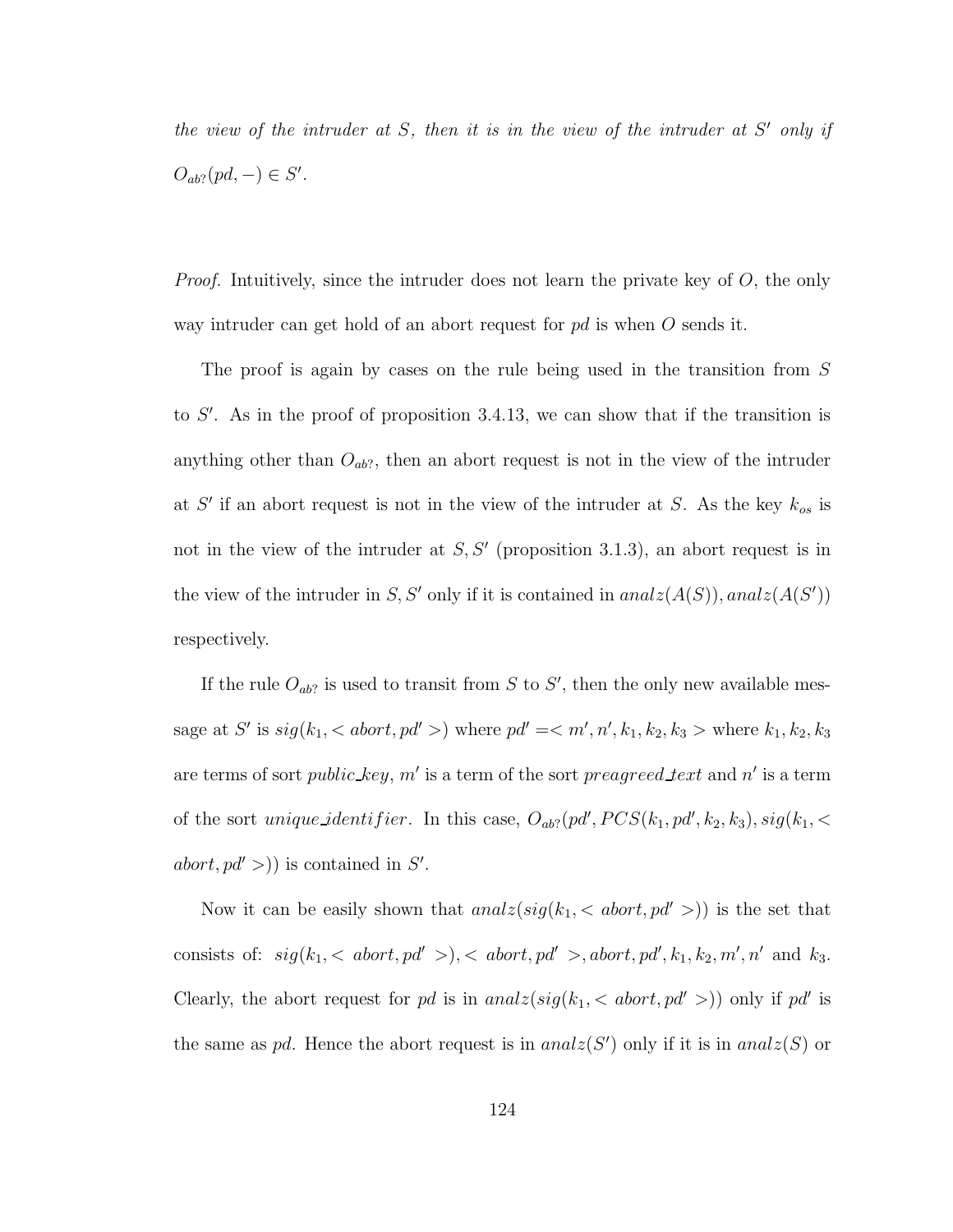the view of the intruder at  $S$ , then it is in the view of the intruder at  $S'$  only if  $O_{ab}$ ?(pd, –)  $\in S'.$ 

*Proof.* Intuitively, since the intruder does not learn the private key of  $O$ , the only way intruder can get hold of an abort request for  $pd$  is when O sends it.

The proof is again by cases on the rule being used in the transition from S to  $S'$ . As in the proof of proposition 3.4.13, we can show that if the transition is anything other than  $O_{ab}$ ?, then an abort request is not in the view of the intruder at  $S'$  if an abort request is not in the view of the intruder at S. As the key  $k_{os}$  is not in the view of the intruder at  $S, S'$  (proposition 3.1.3), an abort request is in the view of the intruder in S, S' only if it is contained in  $analz(A(S))$ ,  $analz(A(S'))$ respectively.

If the rule  $O_{ab}$ ? is used to transit from S to S', then the only new available message at S' is  $sig(k_1, )$  where  $pd' =  $m', n', k_1, k_2, k_3 >$  where  $k_1, k_2, k_3$$ are terms of sort *public\_key*, m' is a term of the sort *preagreed\_text* and n' is a term of the sort *unique\_identifier*. In this case,  $O_{ab}$ ? (pd',  $PCS(k_1, pd', k_2, k_3)$ ,  $sig(k_1, \leq k_1, k_2, k_3)$  $abort, pd' >$ ) is contained in S'.

Now it can be easily shown that  $analz(sig(k_1, < abort, pd' >))$  is the set that consists of:  $sig(k_1, ), , abort, pd', k_1, k_2, m', n'$  and  $k_3$ . Clearly, the abort request for pd is in analz $(sign(k_1, ))$  only if pd' is the same as pd. Hence the abort request is in  $analz(S')$  only if it is in  $analz(S)$  or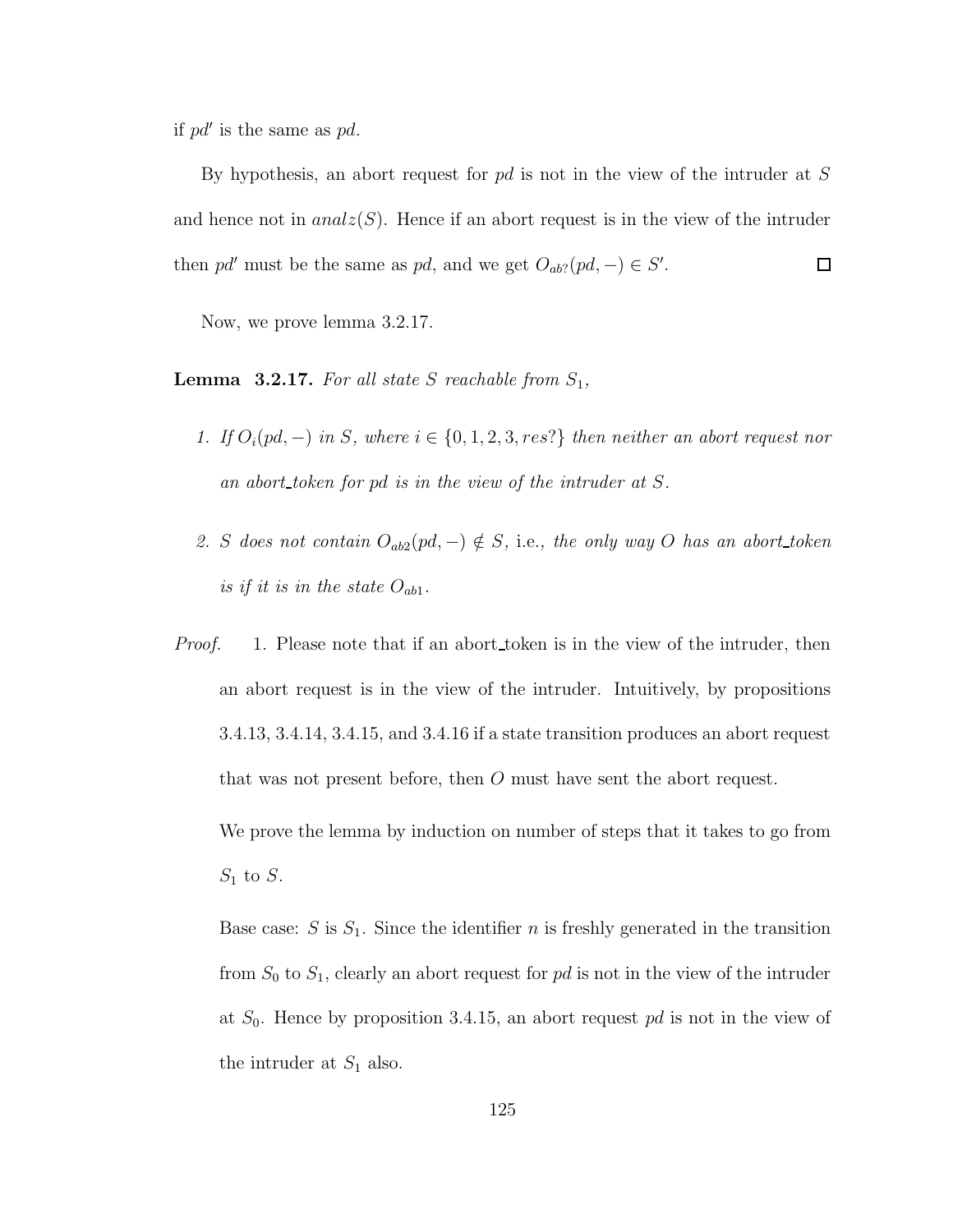if  $pd'$  is the same as  $pd$ .

By hypothesis, an abort request for pd is not in the view of the intruder at S and hence not in  $analz(S)$ . Hence if an abort request is in the view of the intruder then pd' must be the same as pd, and we get  $O_{ab}$ ?(pd, –)  $\in S'$ .  $\Box$ 

Now, we prove lemma 3.2.17.

**Lemma 3.2.17.** For all state S reachable from  $S_1$ ,

- 1. If  $O_i(pd, -)$  in S, where  $i \in \{0, 1, 2, 3, res\}$  then neither an abort request nor an abort token for pd is in the view of the intruder at S.
- 2. S does not contain  $O_{ab2}(pd, -) \notin S$ , i.e., the only way O has an abort\_token is if it is in the state  $O_{ab1}$ .
- Proof. 1. Please note that if an abort token is in the view of the intruder, then an abort request is in the view of the intruder. Intuitively, by propositions 3.4.13, 3.4.14, 3.4.15, and 3.4.16 if a state transition produces an abort request that was not present before, then O must have sent the abort request. We prove the lemma by induction on number of steps that it takes to go from

 $S_1$  to  $S$ .

Base case:  $S$  is  $S_1$ . Since the identifier n is freshly generated in the transition from  $S_0$  to  $S_1$ , clearly an abort request for pd is not in the view of the intruder at  $S_0$ . Hence by proposition 3.4.15, an abort request pd is not in the view of the intruder at  $S_1$  also.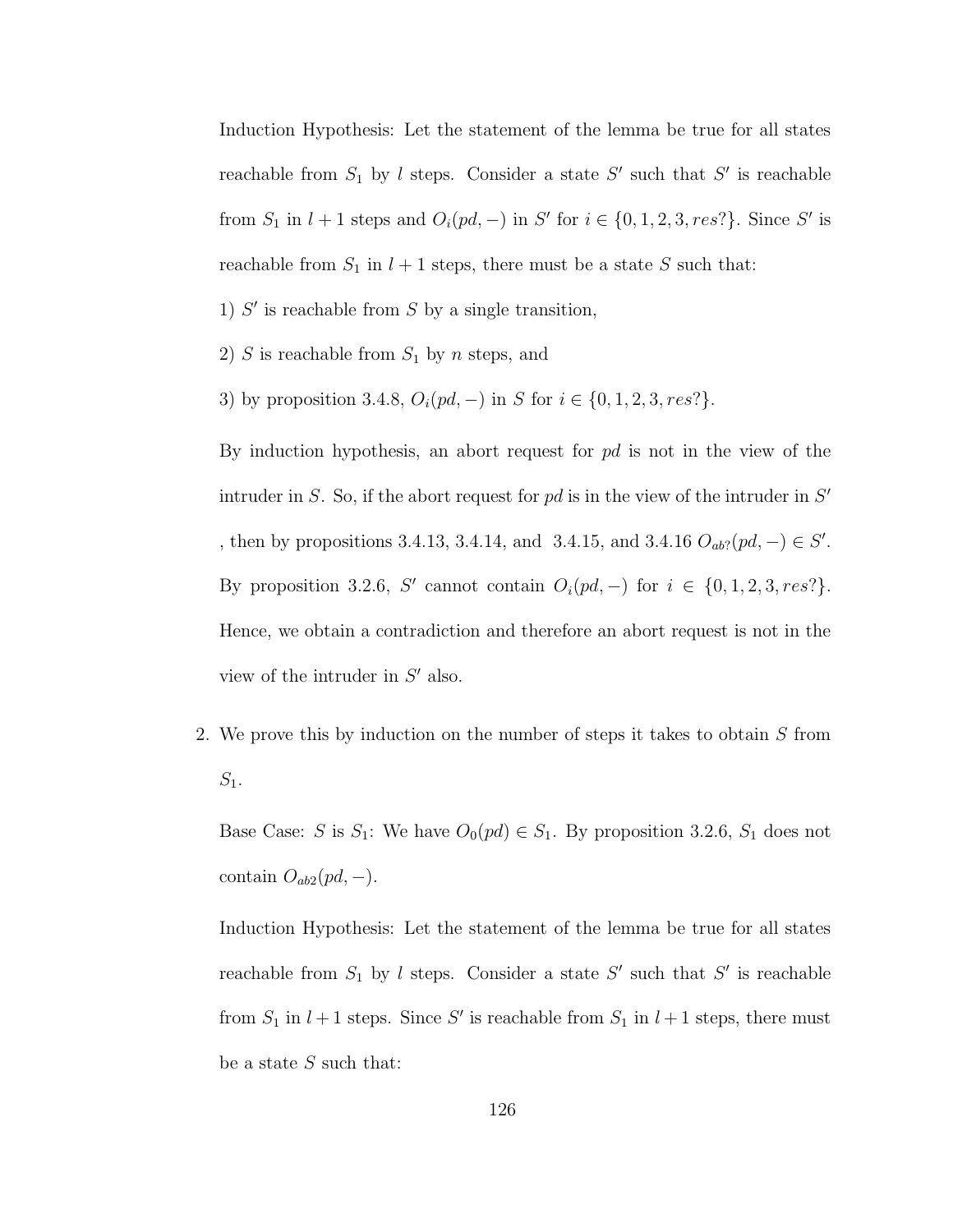Induction Hypothesis: Let the statement of the lemma be true for all states reachable from  $S_1$  by l steps. Consider a state  $S'$  such that  $S'$  is reachable from  $S_1$  in  $l + 1$  steps and  $O_i(pd, -)$  in S' for  $i \in \{0, 1, 2, 3, res\}$ . Since S' is reachable from  $S_1$  in  $l + 1$  steps, there must be a state S such that:

1)  $S'$  is reachable from  $S$  by a single transition,

- 2) S is reachable from  $S_1$  by n steps, and
- 3) by proposition 3.4.8,  $O_i(pd, -)$  in S for  $i \in \{0, 1, 2, 3, res?\}.$

By induction hypothesis, an abort request for  $pd$  is not in the view of the intruder in S. So, if the abort request for  $pd$  is in the view of the intruder in  $S'$ , then by propositions 3.4.13, 3.4.14, and 3.4.15, and 3.4.16  $O_{ab}$ ?( $pd$ , −) ∈ S'. By proposition 3.2.6, S' cannot contain  $O_i(pd, -)$  for  $i \in \{0, 1, 2, 3, res\}$ . Hence, we obtain a contradiction and therefore an abort request is not in the view of the intruder in  $S'$  also.

2. We prove this by induction on the number of steps it takes to obtain S from  $S_1$ .

Base Case: S is  $S_1$ : We have  $O_0(pd) \in S_1$ . By proposition 3.2.6,  $S_1$  does not contain  $O_{ab2}(pd, -)$ .

Induction Hypothesis: Let the statement of the lemma be true for all states reachable from  $S_1$  by l steps. Consider a state  $S'$  such that  $S'$  is reachable from  $S_1$  in  $l + 1$  steps. Since S' is reachable from  $S_1$  in  $l + 1$  steps, there must be a state  $S$  such that: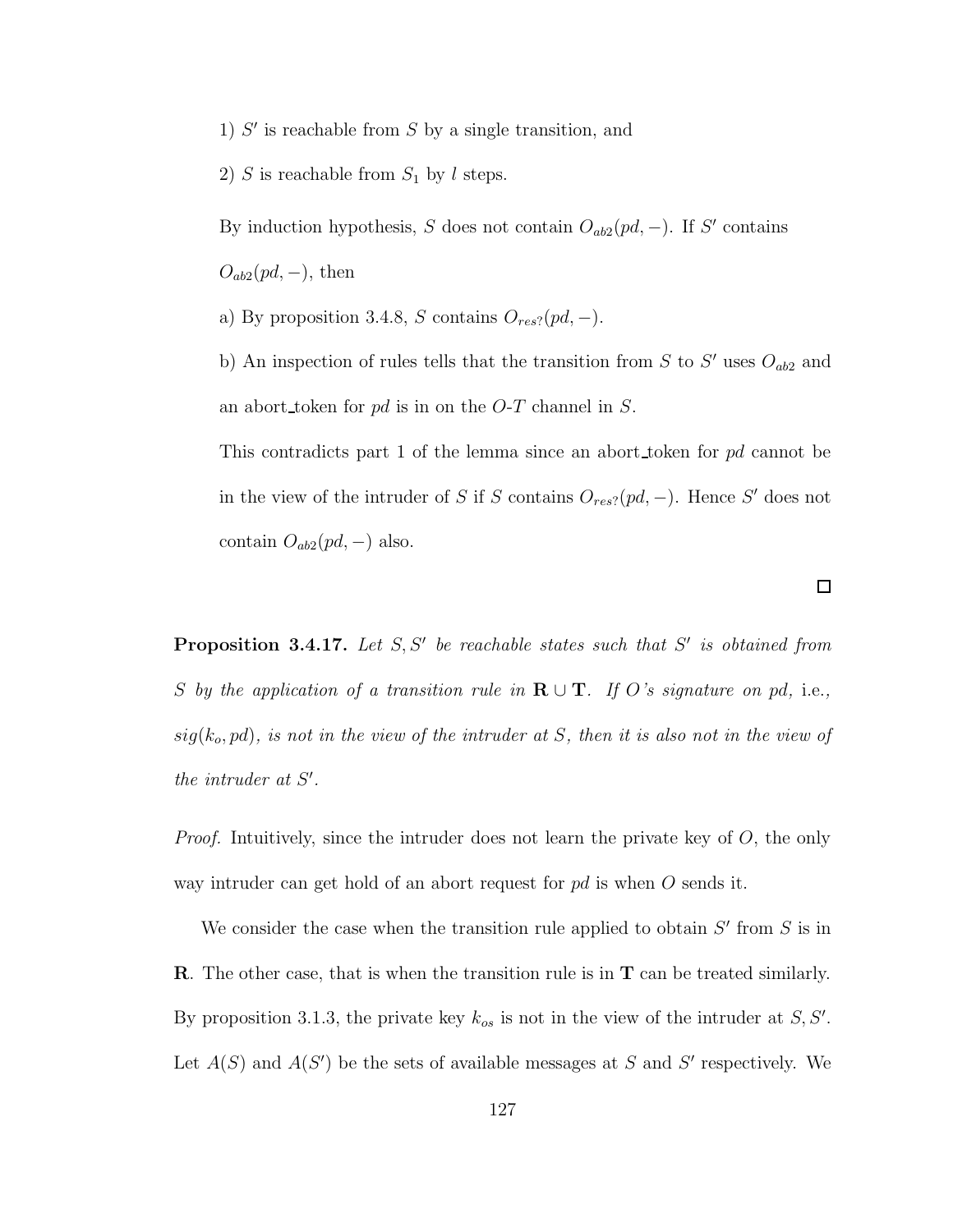- 1)  $S'$  is reachable from  $S$  by a single transition, and
- 2) S is reachable from  $S_1$  by l steps.

By induction hypothesis, S does not contain  $O_{ab2}(pd, -)$ . If S' contains  $O_{ab2}(pd, -)$ , then

- a) By proposition 3.4.8, S contains  $O_{res}$ ?( $pd$ , –).
- b) An inspection of rules tells that the transition from  $S$  to  $S'$  uses  $O_{ab2}$  and an abort token for  $pd$  is in on the O-T channel in S.

This contradicts part 1 of the lemma since an abort token for pd cannot be in the view of the intruder of S if S contains  $O_{res}$ ?( $pd$ , -). Hence S' does not contain  $O_{ab2}(pd, -)$  also.

**Proposition 3.4.17.** Let  $S, S'$  be reachable states such that  $S'$  is obtained from S by the application of a transition rule in  $\mathbf{R} \cup \mathbf{T}$ . If O's signature on pd, i.e.,  $sig(k_o, pd)$ , is not in the view of the intruder at S, then it is also not in the view of the intruder at  $S'$ .

*Proof.* Intuitively, since the intruder does not learn the private key of  $O$ , the only way intruder can get hold of an abort request for  $pd$  is when O sends it.

We consider the case when the transition rule applied to obtain  $S'$  from  $S$  is in R. The other case, that is when the transition rule is in T can be treated similarly. By proposition 3.1.3, the private key  $k_{os}$  is not in the view of the intruder at  $S, S'$ . Let  $A(S)$  and  $A(S')$  be the sets of available messages at S and S' respectively. We

 $\Box$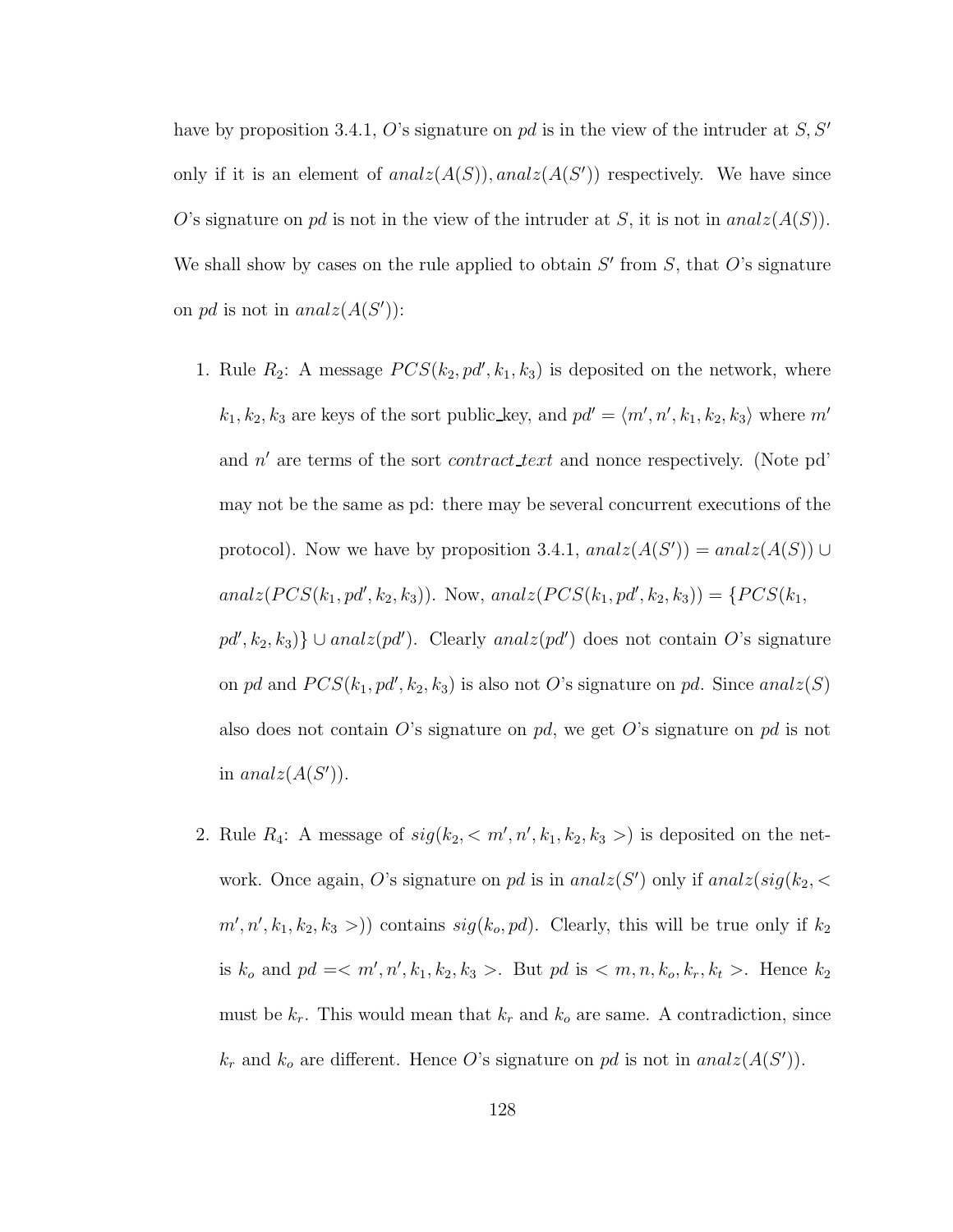have by proposition 3.4.1, O's signature on pd is in the view of the intruder at  $S, S'$ only if it is an element of  $analz(A(S))$ ,  $analz(A(S'))$  respectively. We have since O's signature on pd is not in the view of the intruder at S, it is not in  $analz(A(S))$ . We shall show by cases on the rule applied to obtain  $S'$  from  $S$ , that  $O$ 's signature on pd is not in  $analz(A(S'))$ :

- 1. Rule  $R_2$ : A message  $PCS(k_2, pd', k_1, k_3)$  is deposited on the network, where  $k_1, k_2, k_3$  are keys of the sort public\_key, and  $pd' = \langle m', n', k_1, k_2, k_3 \rangle$  where  $m'$ and  $n'$  are terms of the sort *contract\_text* and nonce respectively. (Note pd' may not be the same as pd: there may be several concurrent executions of the protocol). Now we have by proposition 3.4.1,  $analz(A(S')) = analz(A(S)) \cup$  $analz(PCS(k_1, pd', k_2, k_3))$ . Now,  $analz(PCS(k_1, pd', k_2, k_3)) = \{PCS(k_1, pd', k_2, k_3) \}$  $pd', k_2, k_3$ }  $\cup$  analz $(pd')$ . Clearly analz $(pd')$  does not contain O's signature on pd and  $PCS(k_1, pd', k_2, k_3)$  is also not O's signature on pd. Since anal $z(S)$ also does not contain O's signature on pd, we get O's signature on pd is not in  $analz(A(S'))$ .
- 2. Rule  $R_4$ : A message of  $sig(k_2, < m', n', k_1, k_2, k_3>)$  is deposited on the network. Once again, O's signature on pd is in  $analz(S')$  only if  $analz(sig(k_2, \leq$  $m', n', k_1, k_2, k_3 >$ ) contains  $sig(k_o, pd)$ . Clearly, this will be true only if  $k_2$ is  $k_o$  and  $pd = < m', n', k_1, k_2, k_3 >$ . But  $pd$  is  $< m, n, k_o, k_r, k_t >$ . Hence  $k_2$ must be  $k_r$ . This would mean that  $k_r$  and  $k_o$  are same. A contradiction, since  $k_r$  and  $k_o$  are different. Hence O's signature on pd is not in analz $(A(S'))$ .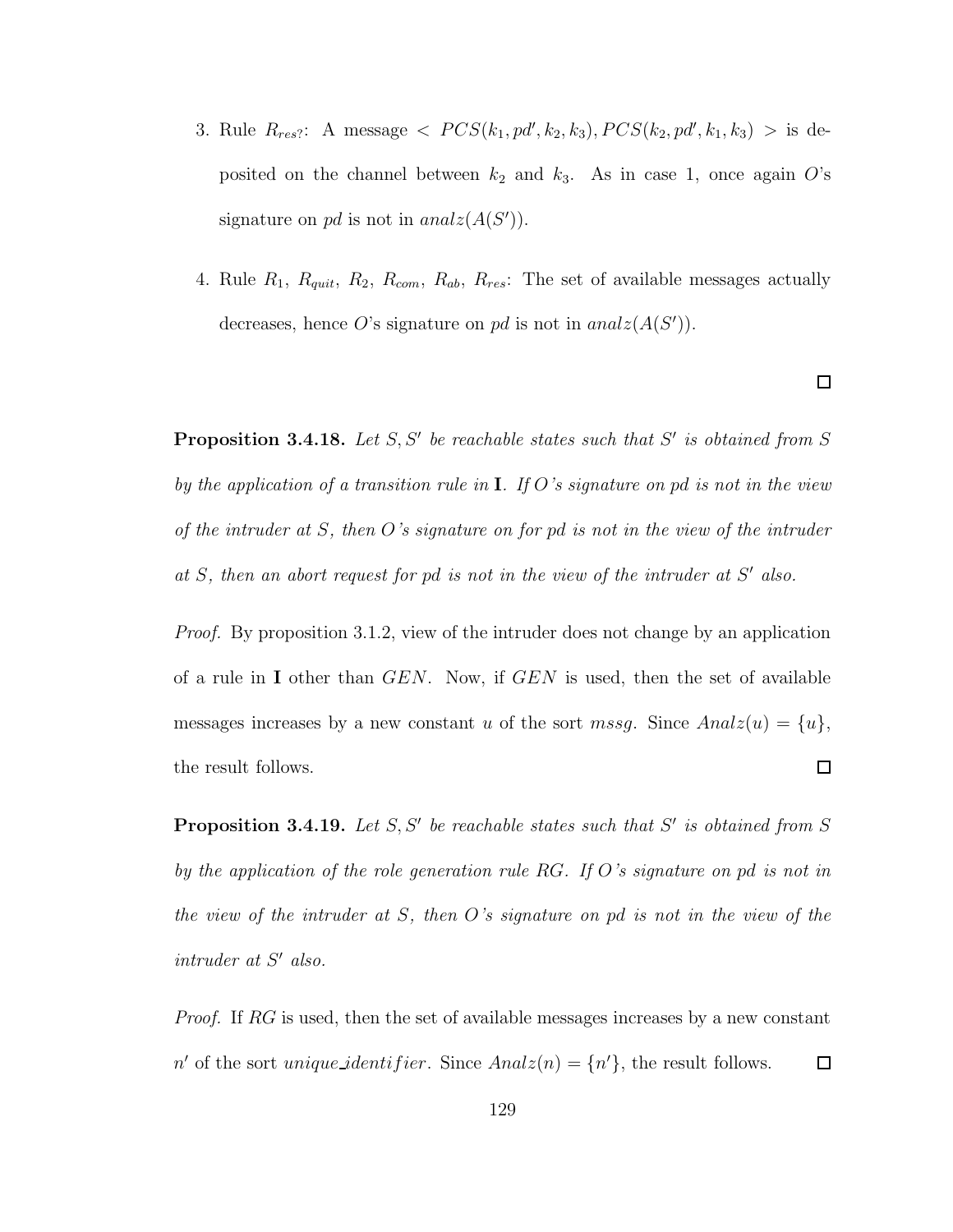- 3. Rule  $R_{res}$ : A message  $\langle PCS(k_1, pd', k_2, k_3), PCS(k_2, pd', k_1, k_3) \rangle$  is deposited on the channel between  $k_2$  and  $k_3$ . As in case 1, once again O's signature on pd is not in  $analz(A(S'))$ .
- 4. Rule  $R_1$ ,  $R_{quit}$ ,  $R_2$ ,  $R_{com}$ ,  $R_{ab}$ ,  $R_{res}$ : The set of available messages actually decreases, hence O's signature on pd is not in  $analz(A(S'))$ .

**Proposition 3.4.18.** Let  $S, S'$  be reachable states such that  $S'$  is obtained from  $S$ by the application of a transition rule in  $I$ . If O's signature on pd is not in the view of the intruder at S, then O's signature on for pd is not in the view of the intruder at  $S$ , then an abort request for pd is not in the view of the intruder at  $S'$  also.

Proof. By proposition 3.1.2, view of the intruder does not change by an application of a rule in I other than  $GEN$ . Now, if  $GEN$  is used, then the set of available messages increases by a new constant u of the sort mssg. Since  $Analz(u) = \{u\},\$ the result follows.  $\Box$ 

**Proposition 3.4.19.** Let  $S, S'$  be reachable states such that  $S'$  is obtained from  $S$ by the application of the role generation rule RG. If O's signature on pd is not in the view of the intruder at S, then O's signature on pd is not in the view of the  $intract\; at\; S' \; also.$ 

Proof. If RG is used, then the set of available messages increases by a new constant n' of the sort unique identifier. Since  $Analz(n) = \{n'\}$ , the result follows.  $\Box$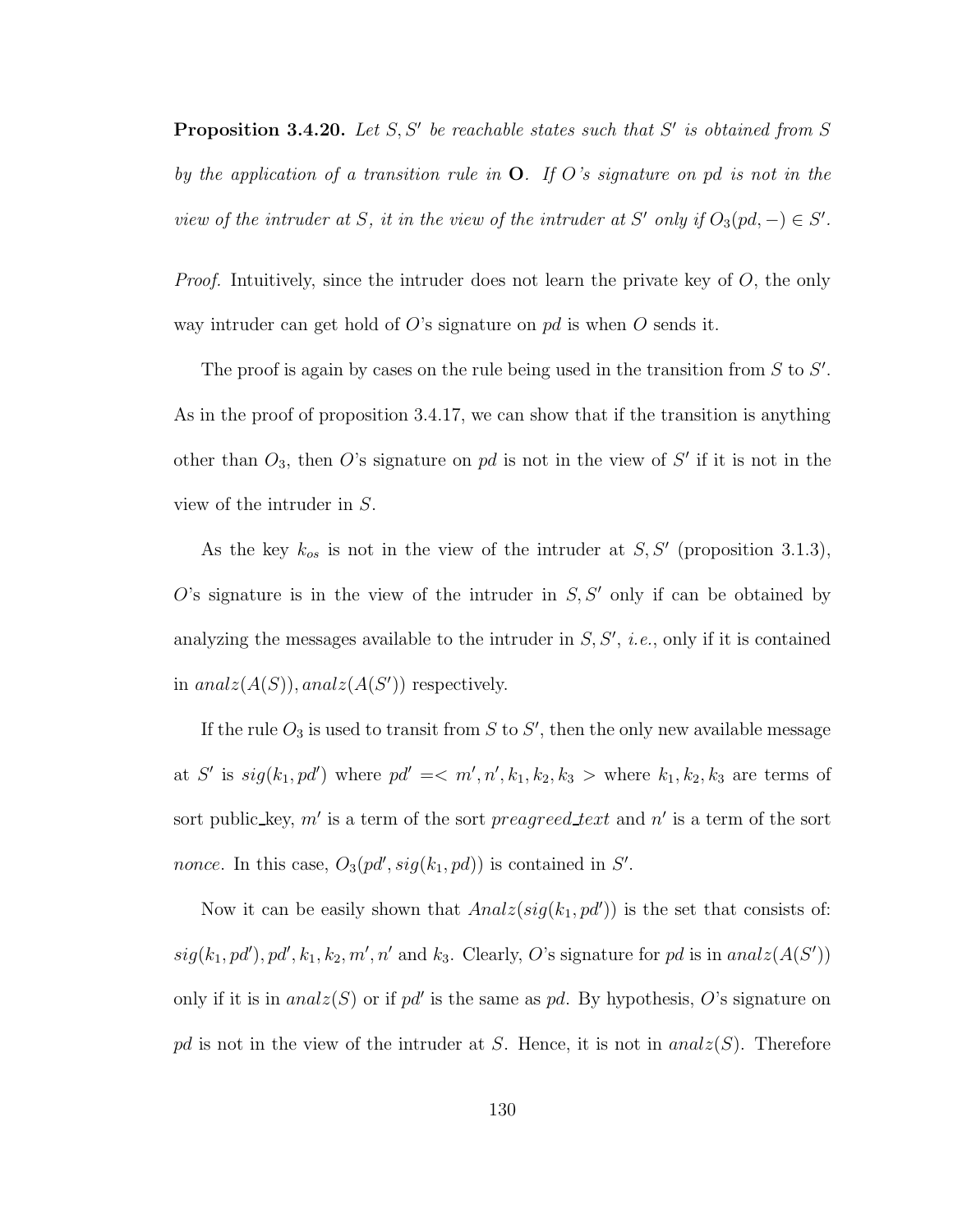**Proposition 3.4.20.** Let  $S, S'$  be reachable states such that  $S'$  is obtained from  $S$ by the application of a transition rule in  $O$ . If O's signature on pd is not in the view of the intruder at S, it in the view of the intruder at S' only if  $O_3(pd, -) \in S'$ .

*Proof.* Intuitively, since the intruder does not learn the private key of  $O$ , the only way intruder can get hold of  $O$ 's signature on pd is when  $O$  sends it.

The proof is again by cases on the rule being used in the transition from  $S$  to  $S'$ . As in the proof of proposition 3.4.17, we can show that if the transition is anything other than  $O_3$ , then O's signature on pd is not in the view of S' if it is not in the view of the intruder in S.

As the key  $k_{os}$  is not in the view of the intruder at  $S, S'$  (proposition 3.1.3),  $O$ 's signature is in the view of the intruder in  $S, S'$  only if can be obtained by analyzing the messages available to the intruder in  $S, S', i.e.,$  only if it is contained in  $analz(A(S))$ ,  $analz(A(S'))$  respectively.

If the rule  $O_3$  is used to transit from S to S', then the only new available message at S' is  $sig(k_1, pd')$  where  $pd' \leq m', n', k_1, k_2, k_3 >$  where  $k_1, k_2, k_3$  are terms of sort public\_key, m' is a term of the sort preagreed text and n' is a term of the sort *nonce*. In this case,  $O_3(pd', sig(k_1, pd))$  is contained in S'.

Now it can be easily shown that  $Analz(sig(k_1, pd'))$  is the set that consists of:  $sig(k_1, pd'), pd', k_1, k_2, m', n'$  and  $k_3$ . Clearly, O's signature for pd is in analz $(A(S'))$ only if it is in  $analz(S)$  or if pd' is the same as pd. By hypothesis, O's signature on pd is not in the view of the intruder at S. Hence, it is not in  $analz(S)$ . Therefore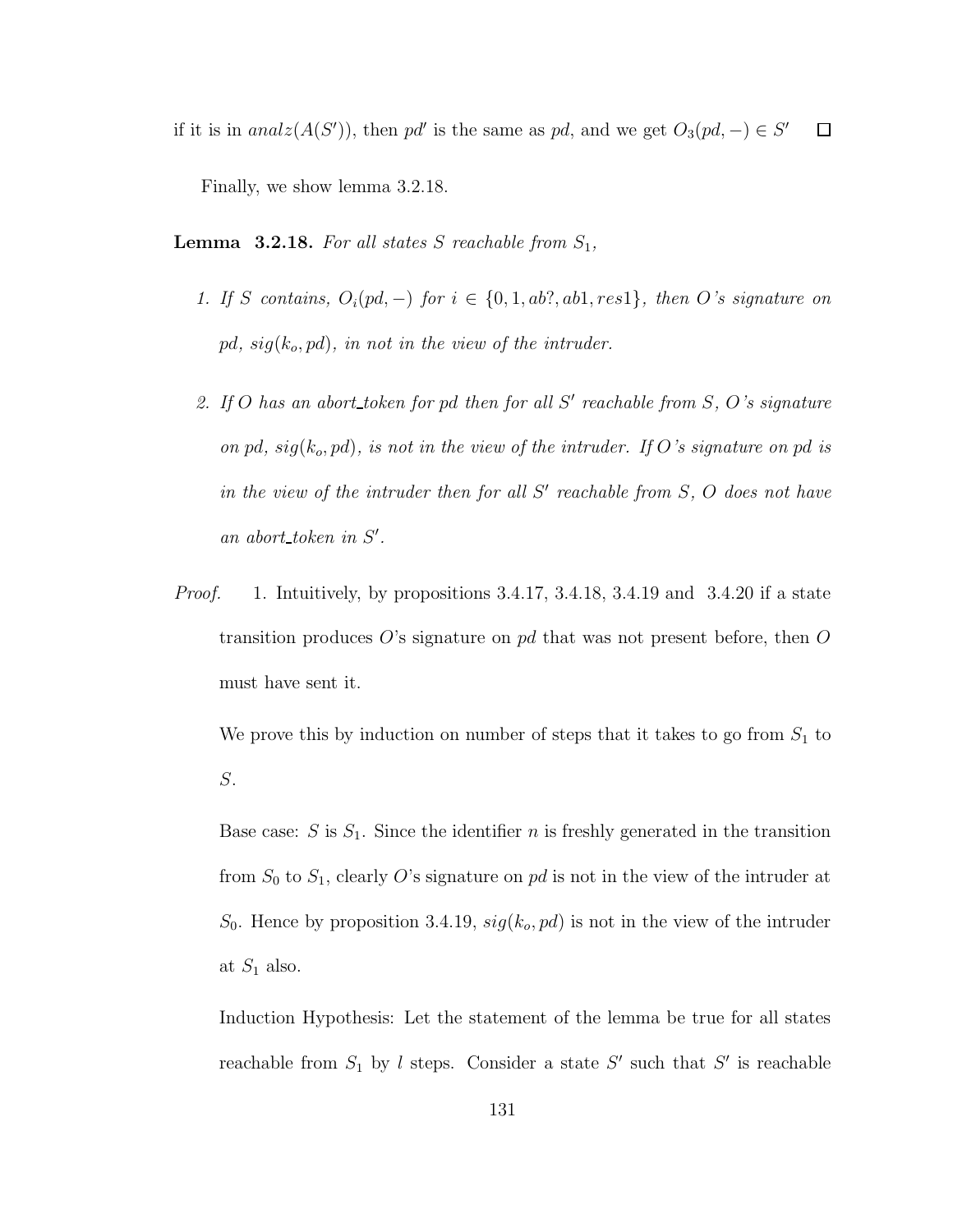if it is in  $analz(A(S'))$ , then pd' is the same as pd, and we get  $O_3(pd, -) \in S'$  $\Box$ 

Finally, we show lemma 3.2.18.

**Lemma 3.2.18.** For all states S reachable from  $S_1$ ,

- 1. If S contains,  $O_i(pd, -)$  for  $i \in \{0, 1, ab?, ab1, res1\}$ , then O's signature on pd,  $sig(k_o, pd)$ , in not in the view of the intruder.
- 2. If O has an abort token for pd then for all  $S'$  reachable from  $S$ ,  $O$ 's signature on pd,  $sig(k_o, pd)$ , is not in the view of the intruder. If O's signature on pd is in the view of the intruder then for all  $S'$  reachable from  $S$ ,  $O$  does not have an abort\_token in  $S'$ .
- *Proof.* 1. Intuitively, by propositions  $3.4.17$ ,  $3.4.18$ ,  $3.4.19$  and  $3.4.20$  if a state transition produces O's signature on pd that was not present before, then O must have sent it.

We prove this by induction on number of steps that it takes to go from  $S_1$  to S.

Base case:  $S$  is  $S_1$ . Since the identifier n is freshly generated in the transition from  $S_0$  to  $S_1$ , clearly O's signature on pd is not in the view of the intruder at  $S_0$ . Hence by proposition 3.4.19,  $sig(k_o, pd)$  is not in the view of the intruder at  $S_1$  also.

Induction Hypothesis: Let the statement of the lemma be true for all states reachable from  $S_1$  by l steps. Consider a state  $S'$  such that  $S'$  is reachable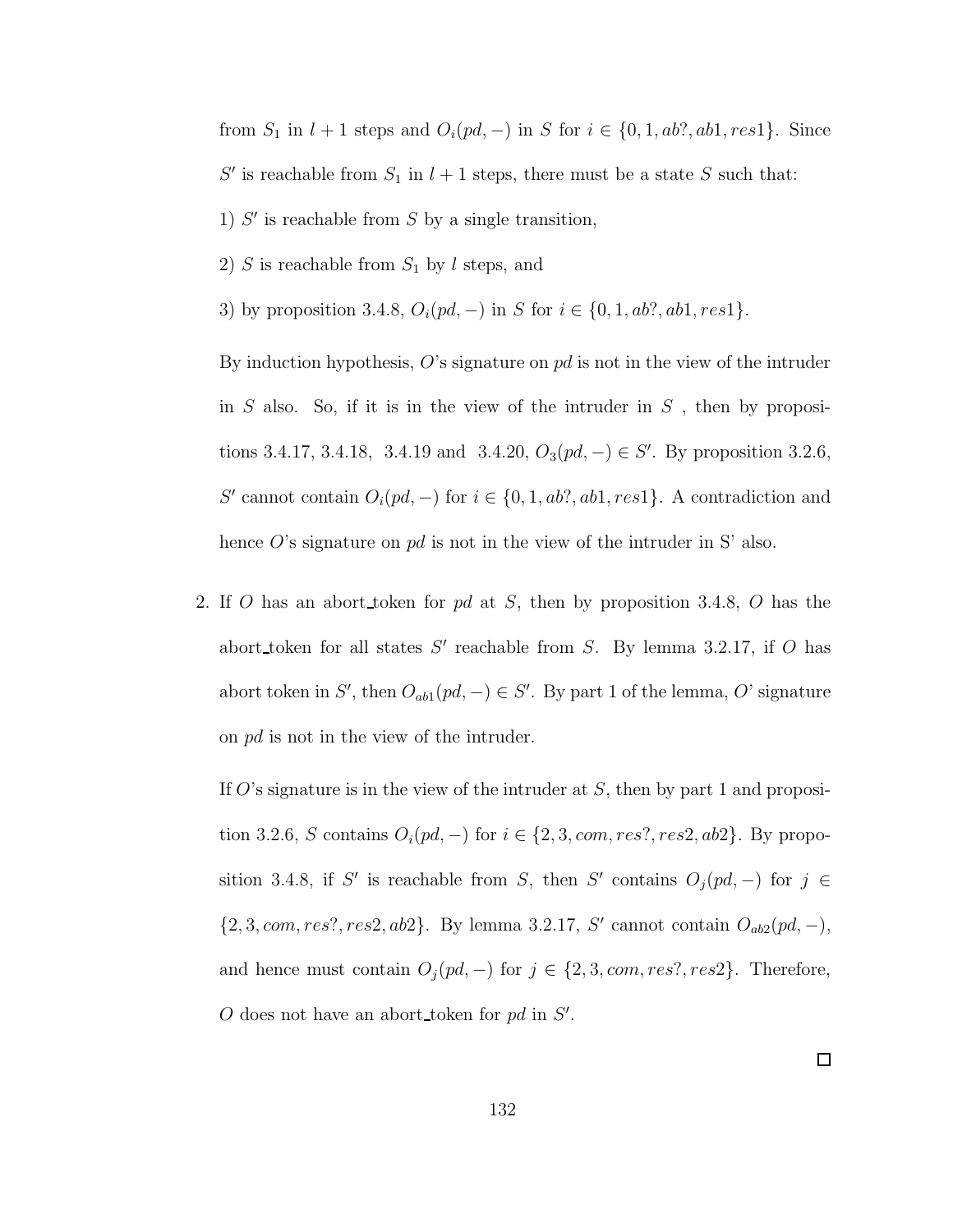from  $S_1$  in  $l + 1$  steps and  $O_i(pd, -)$  in S for  $i \in \{0, 1, ab$ ?, ab1, res1}. Since S' is reachable from  $S_1$  in  $l + 1$  steps, there must be a state S such that: 1)  $S'$  is reachable from  $S$  by a single transition,

2)  $S$  is reachable from  $S_1$  by l steps, and

3) by proposition 3.4.8,  $O_i(pd, -)$  in S for  $i \in \{0, 1, ab?, ab1, res1\}.$ 

By induction hypothesis,  $O$ 's signature on pd is not in the view of the intruder in  $S$  also. So, if it is in the view of the intruder in  $S$ , then by propositions 3.4.17, 3.4.18, 3.4.19 and 3.4.20,  $O_3(pd, -) \in S'$ . By proposition 3.2.6, S' cannot contain  $O_i(pd, -)$  for  $i \in \{0, 1, ab$ ?,  $ab1$ ,  $res1\}$ . A contradiction and hence  $O$ 's signature on  $pd$  is not in the view of the intruder in S' also.

2. If O has an abort token for pd at S, then by proposition 3.4.8, O has the abort token for all states  $S'$  reachable from S. By lemma 3.2.17, if O has abort token in S', then  $O_{ab1}(pd, -) \in S'$ . By part 1 of the lemma, O' signature on pd is not in the view of the intruder.

If  $O$ 's signature is in the view of the intruder at  $S$ , then by part 1 and proposition 3.2.6, S contains  $O_i(pd, -)$  for  $i \in \{2, 3, com, res?, res2, ab2\}$ . By proposition 3.4.8, if S' is reachable from S, then S' contains  $O_j(pd, -)$  for  $j \in$  $\{2, 3, com, res?, res2, ab2\}$ . By lemma 3.2.17, S' cannot contain  $O_{ab2}(pd, -)$ , and hence must contain  $O_j(pd, -)$  for  $j \in \{2, 3, com, res?, res2\}$ . Therefore,  $O$  does not have an abort\_token for  $pd$  in  $S'$ .

 $\Box$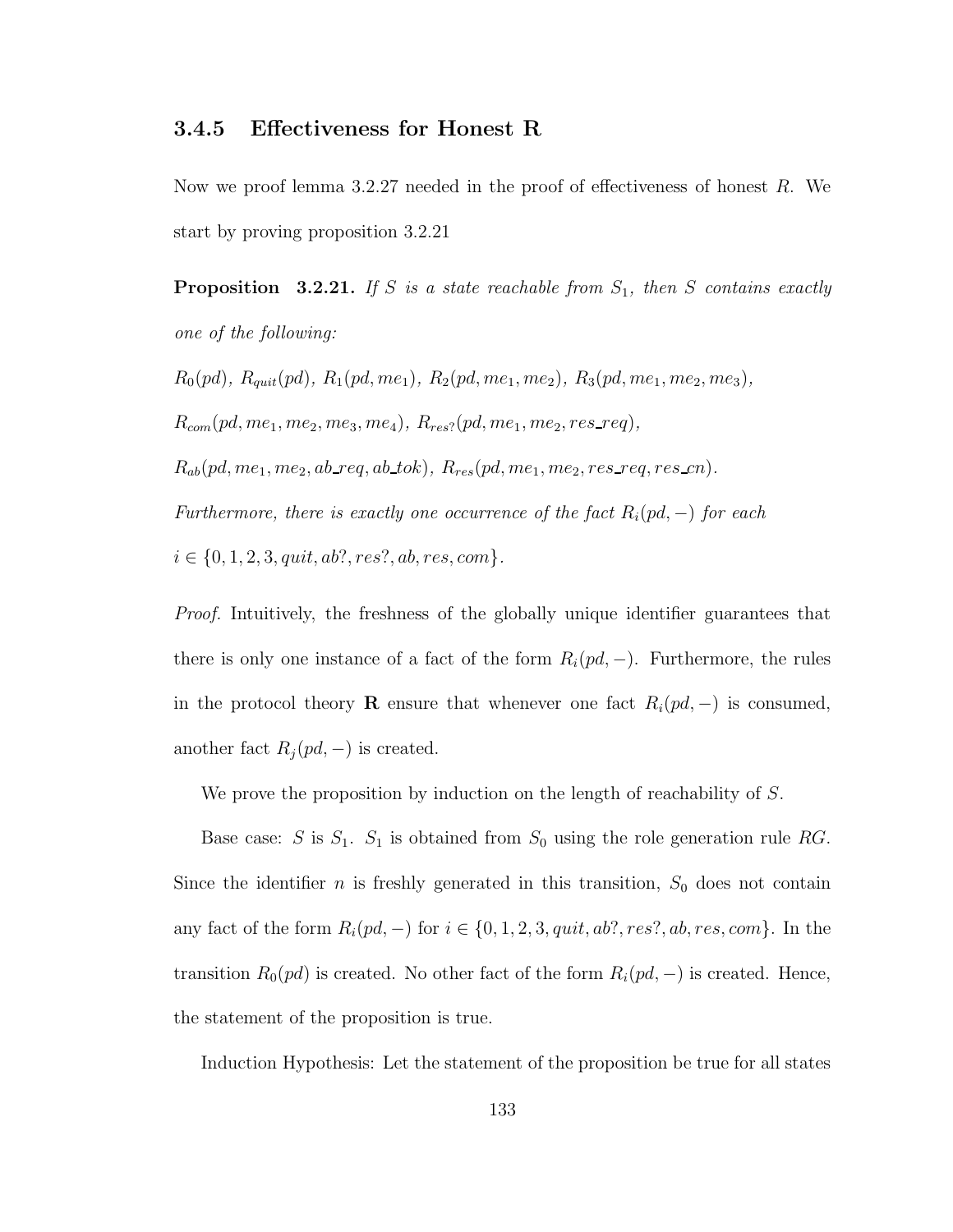# 3.4.5 Effectiveness for Honest R

Now we proof lemma  $3.2.27$  needed in the proof of effectiveness of honest R. We start by proving proposition 3.2.21

**Proposition** 3.2.21. If S is a state reachable from  $S_1$ , then S contains exactly one of the following:

 $R_0(pd), R_{quit}(pd), R_1(pd, me_1), R_2(pd, me_1, me_2), R_3(pd, me_1, me_2, me_3),$  $R_{com}(pd, me_1, me_2, me_3, me_4), R_{res?}(pd, me_1, me_2, res\_req),$  $R_{ab}(pd,me_1,me_2,ab\_req,ab\_tok), R_{res}(pd,me_1,me_2,res\_req,res\_cn).$ Furthermore, there is exactly one occurrence of the fact  $R_i(pd, -)$  for each  $i \in \{0, 1, 2, 3, quit, ab?, res?, ab, res, com\}.$ 

Proof. Intuitively, the freshness of the globally unique identifier guarantees that there is only one instance of a fact of the form  $R_i(pd, -)$ . Furthermore, the rules in the protocol theory **R** ensure that whenever one fact  $R_i(pd, -)$  is consumed, another fact  $R_j (pd, -)$  is created.

We prove the proposition by induction on the length of reachability of S.

Base case: S is  $S_1$ .  $S_1$  is obtained from  $S_0$  using the role generation rule RG. Since the identifier  $n$  is freshly generated in this transition,  $S_0$  does not contain any fact of the form  $R_i(pd, -)$  for  $i \in \{0, 1, 2, 3, quit, ab?, res?, ab, res, com\}.$  In the transition  $R_0(pd)$  is created. No other fact of the form  $R_i(pd, -)$  is created. Hence, the statement of the proposition is true.

Induction Hypothesis: Let the statement of the proposition be true for all states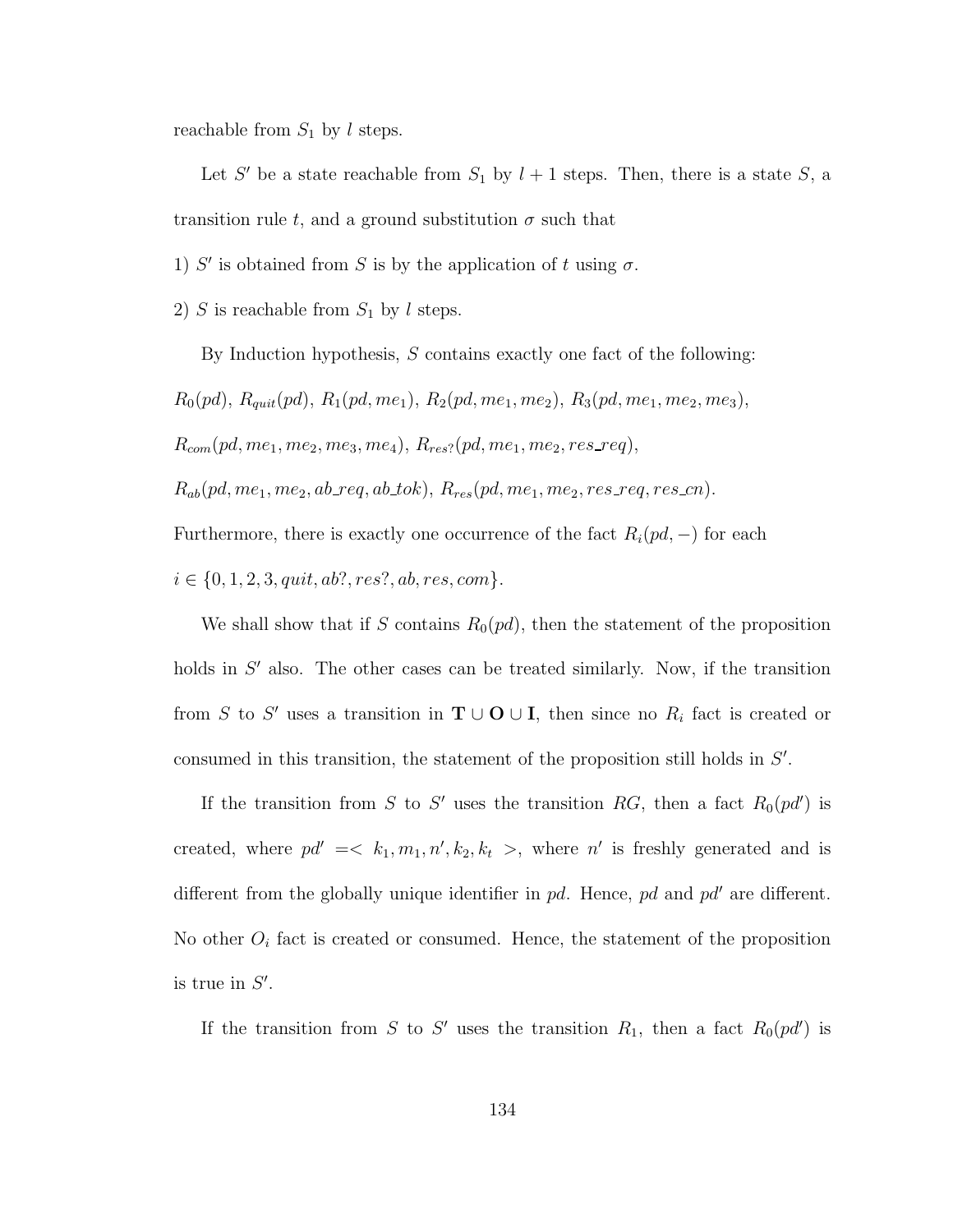reachable from  $S_1$  by l steps.

Let S' be a state reachable from  $S_1$  by  $l+1$  steps. Then, there is a state S, a transition rule t, and a ground substitution  $\sigma$  such that

1) S' is obtained from S is by the application of t using  $\sigma$ .

2) S is reachable from  $S_1$  by l steps.

By Induction hypothesis,  $S$  contains exactly one fact of the following:  $R_0(pd), R_{quit}(pd), R_1(pd, me_1), R_2(pd, me_1, me_2), R_3(pd, me_1, me_2, me_3),$  $R_{com}(pd, me_1, me_2, me_3, me_4), R_{res?}(pd, me_1, me_2, res\_req),$  $R_{ab}(pd,me_1,me_2,ab\_req,ab\_tok),\ R_{res}(pd,me_1,me_2,res\_req,res\_cn).$ Furthermore, there is exactly one occurrence of the fact  $R_i(pd, -)$  for each  $i \in \{0, 1, 2, 3, quit, ab?, res?, ab, res, com\}.$ 

We shall show that if S contains  $R_0(pd)$ , then the statement of the proposition holds in  $S'$  also. The other cases can be treated similarly. Now, if the transition from S to S' uses a transition in  $\mathbf{T} \cup \mathbf{O} \cup \mathbf{I}$ , then since no  $R_i$  fact is created or consumed in this transition, the statement of the proposition still holds in  $S'$ .

If the transition from S to S' uses the transition RG, then a fact  $R_0(pd')$  is created, where  $pd' = \langle k_1, m_1, n', k_2, k_t \rangle$ , where n' is freshly generated and is different from the globally unique identifier in  $pd$ . Hence,  $pd$  and  $pd'$  are different. No other  $O_i$  fact is created or consumed. Hence, the statement of the proposition is true in  $S'$ .

If the transition from S to S' uses the transition  $R_1$ , then a fact  $R_0(pd')$  is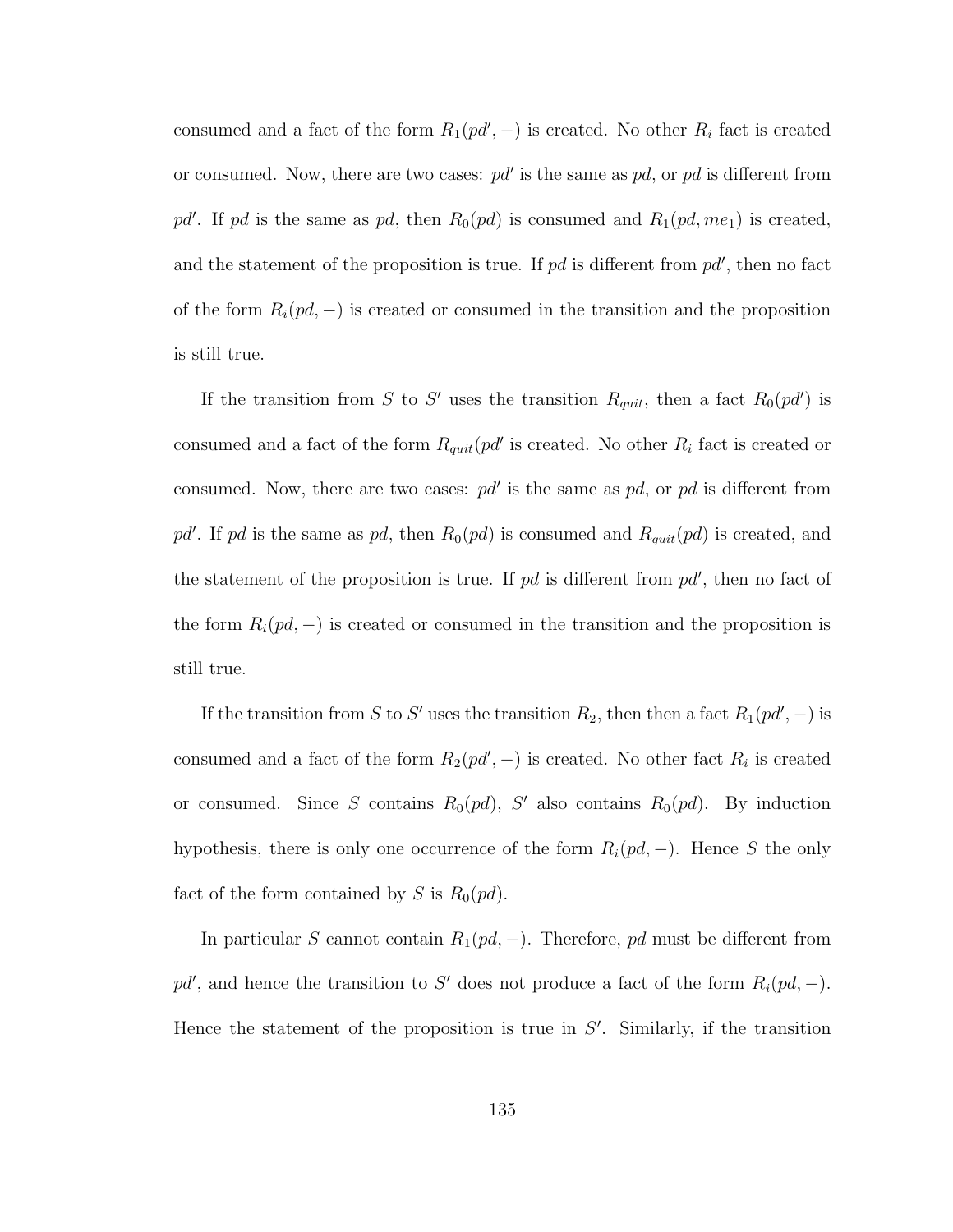consumed and a fact of the form  $R_1(p d', -)$  is created. No other  $R_i$  fact is created or consumed. Now, there are two cases:  $pd'$  is the same as  $pd$ , or  $pd$  is different from pd'. If pd is the same as pd, then  $R_0(pd)$  is consumed and  $R_1(pd, me_1)$  is created, and the statement of the proposition is true. If  $pd$  is different from  $pd'$ , then no fact of the form  $R_i(pd, -)$  is created or consumed in the transition and the proposition is still true.

If the transition from S to S' uses the transition  $R_{quit}$ , then a fact  $R_0(pd')$  is consumed and a fact of the form  $R_{quit}(pd'$  is created. No other  $R_i$  fact is created or consumed. Now, there are two cases:  $pd'$  is the same as  $pd$ , or  $pd$  is different from pd'. If pd is the same as pd, then  $R_0(pd)$  is consumed and  $R_{quit}(pd)$  is created, and the statement of the proposition is true. If  $pd$  is different from  $pd'$ , then no fact of the form  $R_i(pd, -)$  is created or consumed in the transition and the proposition is still true.

If the transition from S to S' uses the transition  $R_2$ , then then a fact  $R_1(pd', -)$  is consumed and a fact of the form  $R_2(p d', -)$  is created. No other fact  $R_i$  is created or consumed. Since S contains  $R_0(pd)$ , S' also contains  $R_0(pd)$ . By induction hypothesis, there is only one occurrence of the form  $R_i(pd, -)$ . Hence S the only fact of the form contained by S is  $R_0(pd)$ .

In particular S cannot contain  $R_1(pd, -)$ . Therefore, pd must be different from pd', and hence the transition to S' does not produce a fact of the form  $R_i(pd, -)$ . Hence the statement of the proposition is true in  $S'$ . Similarly, if the transition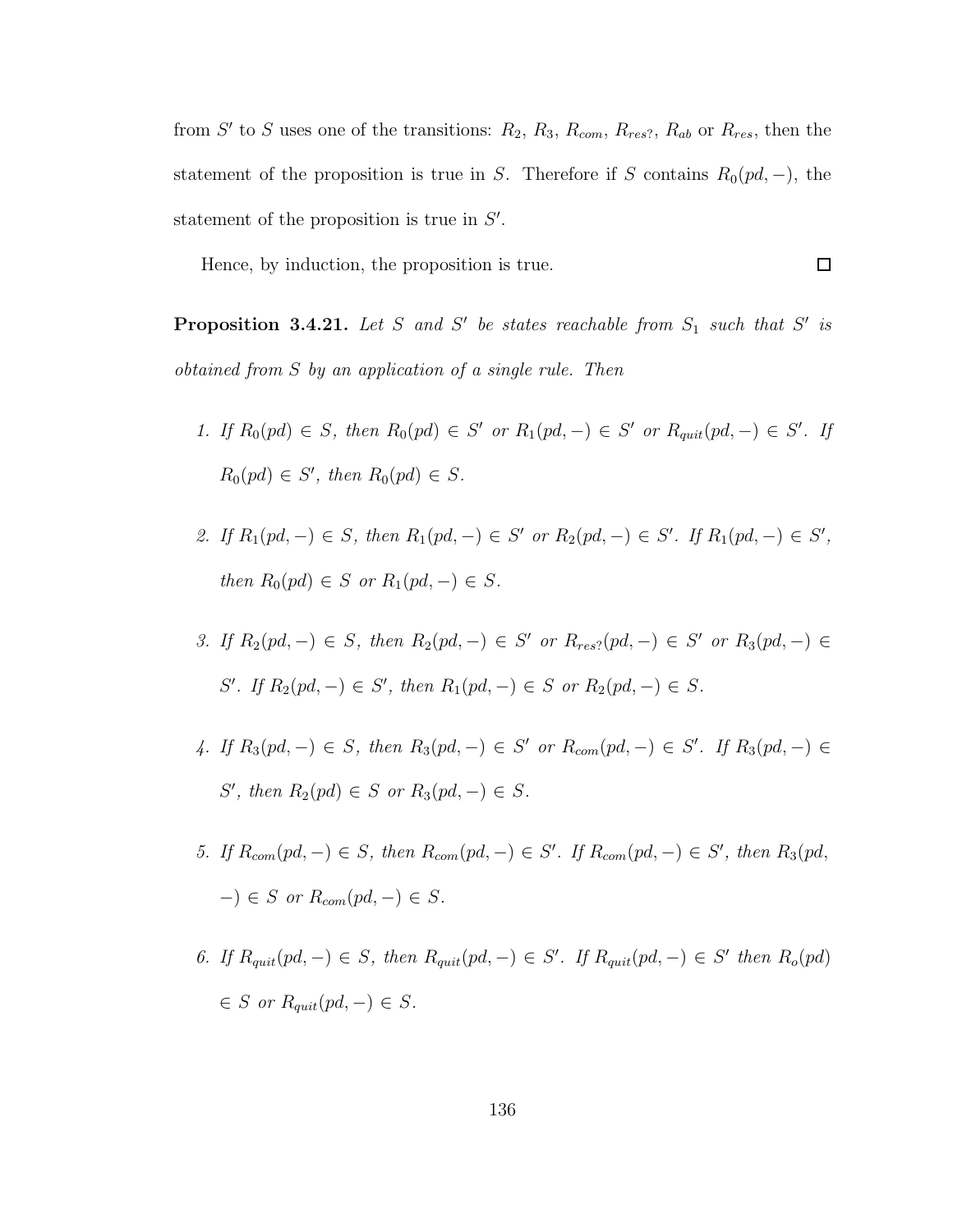from S' to S uses one of the transitions:  $R_2$ ,  $R_3$ ,  $R_{com}$ ,  $R_{res}$ ,  $R_{ab}$  or  $R_{res}$ , then the statement of the proposition is true in S. Therefore if S contains  $R_0(pd, -)$ , the statement of the proposition is true in  $S'$ .

Hence, by induction, the proposition is true.

 $\Box$ 

**Proposition 3.4.21.** Let S and S' be states reachable from  $S_1$  such that S' is obtained from S by an application of a single rule. Then

- 1. If  $R_0(pd) \in S$ , then  $R_0(pd) \in S'$  or  $R_1(pd,-) \in S'$  or  $R_{quit}(pd,-) \in S'$ . If  $R_0(pd) \in S'$ , then  $R_0(pd) \in S$ .
- 2. If  $R_1(pd, -) \in S$ , then  $R_1(pd, -) \in S'$  or  $R_2(pd, -) \in S'$ . If  $R_1(pd, -) \in S'$ , then  $R_0(pd) \in S$  or  $R_1(pd, -) \in S$ .
- 3. If  $R_2(pd, -) \in S$ , then  $R_2(pd, -) \in S'$  or  $R_{res}(pd, -) \in S'$  or  $R_3(pd, -) \in S'$ S'. If  $R_2(pd, -) \in S'$ , then  $R_1(pd, -) \in S$  or  $R_2(pd, -) \in S$ .
- 4. If  $R_3(pd, -) \in S$ , then  $R_3(pd, -) \in S'$  or  $R_{com}(pd, -) \in S'$ . If  $R_3(pd, -) \in S'$ S', then  $R_2(pd) \in S$  or  $R_3(pd, -) \in S$ .
- 5. If  $R_{com}(pd, -) \in S$ , then  $R_{com}(pd, -) \in S'$ . If  $R_{com}(pd, -) \in S'$ , then  $R_3(pd, -)$  $-$ )  $\in$  S or  $R_{com}(pd, -) \in S$ .
- 6. If  $R_{quit}(pd, -) \in S$ , then  $R_{quit}(pd, -) \in S'$ . If  $R_{quit}(pd, -) \in S'$  then  $R_o(pd)$  $\in S$  or  $R_{quit}(pd, -) \in S$ .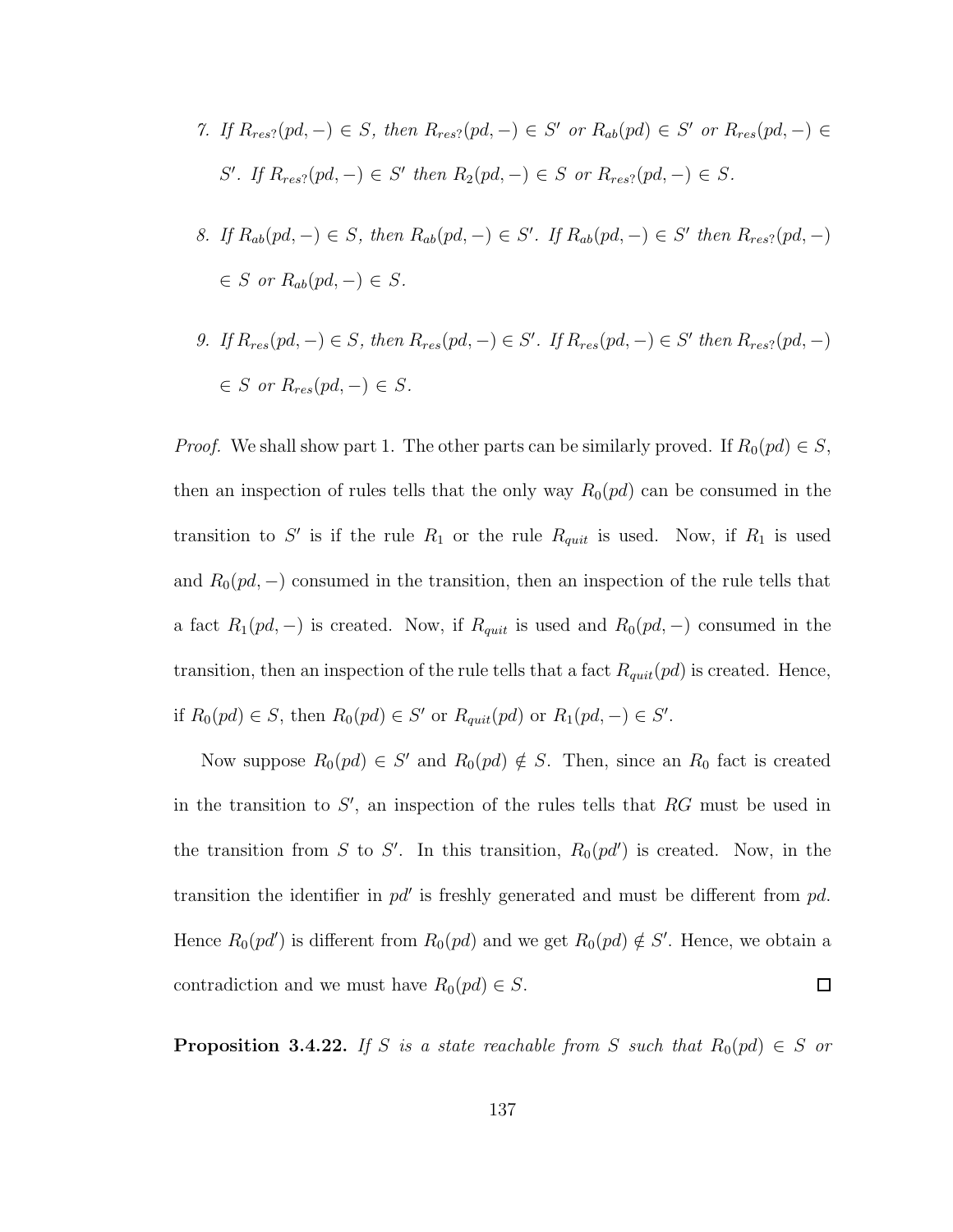- 7. If  $R_{res}(pd, -) \in S$ , then  $R_{res}(pd, -) \in S'$  or  $R_{ab}(pd) \in S'$  or  $R_{res}(pd, -) \in S'$ S'. If  $R_{res}$ ?(pd, -)  $\in S'$  then  $R_2(pd, -) \in S$  or  $R_{res}$ ?(pd, -)  $\in S$ .
- 8. If  $R_{ab}(pd, -) \in S$ , then  $R_{ab}(pd, -) \in S'$ . If  $R_{ab}(pd, -) \in S'$  then  $R_{res}$ ?(pd, -)  $\in S$  or  $R_{ab}(pd, -) \in S$ .
- 9. If  $R_{res}(pd, -) \in S$ , then  $R_{res}(pd, -) \in S'$ . If  $R_{res}(pd, -) \in S'$  then  $R_{res}(pd, -)$  $\in S$  or  $R_{res}(pd, -) \in S$ .

*Proof.* We shall show part 1. The other parts can be similarly proved. If  $R_0(pd) \in S$ , then an inspection of rules tells that the only way  $R_0(pd)$  can be consumed in the transition to S' is if the rule  $R_1$  or the rule  $R_{quit}$  is used. Now, if  $R_1$  is used and  $R_0(pd, -)$  consumed in the transition, then an inspection of the rule tells that a fact  $R_1(pd, -)$  is created. Now, if  $R_{quit}$  is used and  $R_0(pd, -)$  consumed in the transition, then an inspection of the rule tells that a fact  $R_{quit}(pd)$  is created. Hence, if  $R_0(pd) \in S$ , then  $R_0(pd) \in S'$  or  $R_{quit}(pd)$  or  $R_1(pd,-) \in S'$ .

Now suppose  $R_0(pd) \in S'$  and  $R_0(pd) \notin S$ . Then, since an  $R_0$  fact is created in the transition to  $S'$ , an inspection of the rules tells that  $RG$  must be used in the transition from S to S'. In this transition,  $R_0(p d')$  is created. Now, in the transition the identifier in  $pd'$  is freshly generated and must be different from  $pd$ . Hence  $R_0(pd')$  is different from  $R_0(pd)$  and we get  $R_0(pd) \notin S'$ . Hence, we obtain a  $\Box$ contradiction and we must have  $R_0(pd) \in S$ .

**Proposition 3.4.22.** If S is a state reachable from S such that  $R_0(pd) \in S$  or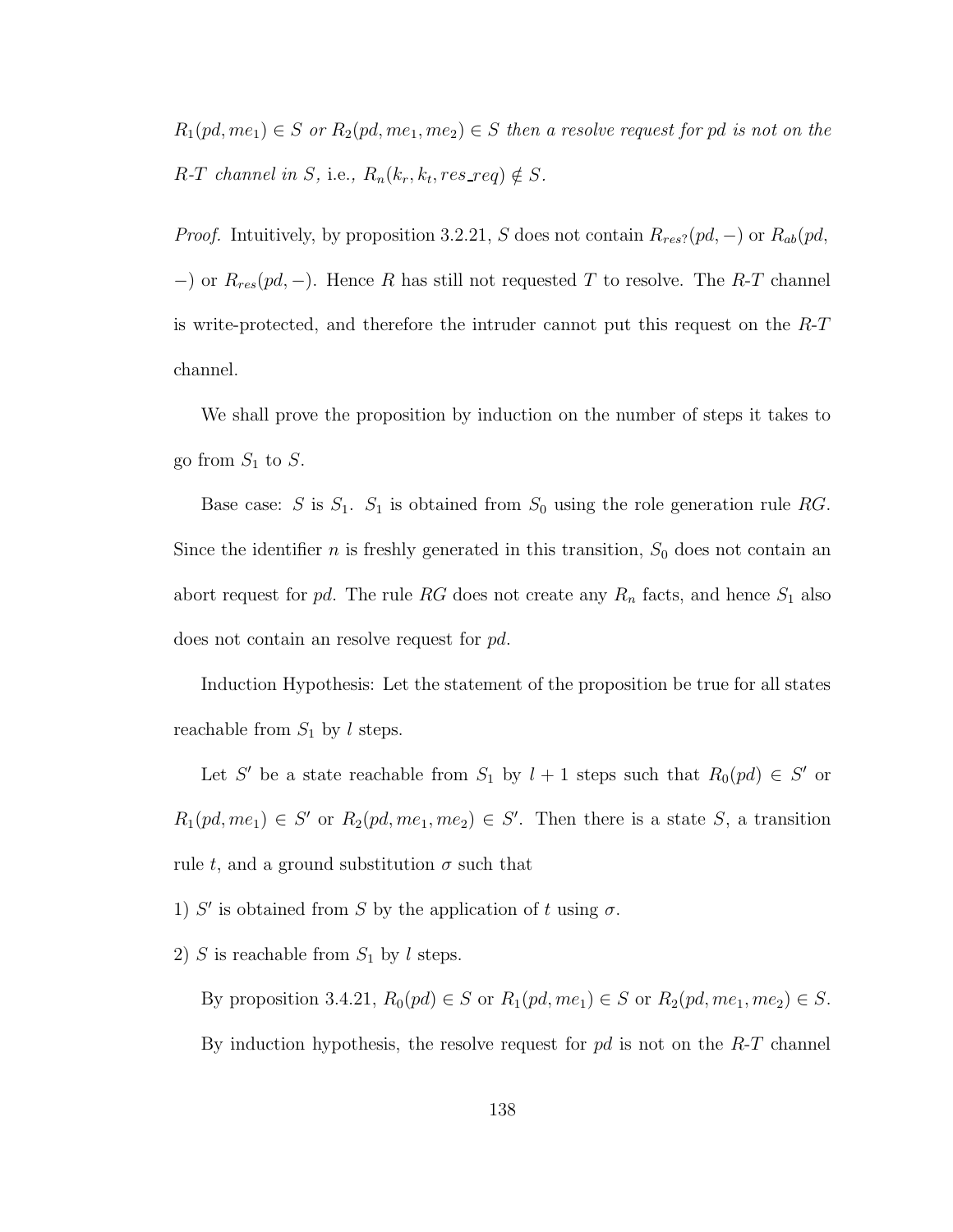$R_1(pd, me_1) \in S$  or  $R_2(pd, me_1, me_2) \in S$  then a resolve request for pd is not on the R-T channel in S, i.e.,  $R_n(k_r, k_t, res\_req) \notin S$ .

*Proof.* Intuitively, by proposition 3.2.21, S does not contain  $R_{res}$ ?(pd, –) or  $R_{ab}(pd,$  $-$ ) or  $R_{res}(pd, -)$ . Hence R has still not requested T to resolve. The R-T channel is write-protected, and therefore the intruder cannot put this request on the  $R$ -T channel.

We shall prove the proposition by induction on the number of steps it takes to go from  $S_1$  to  $S$ .

Base case: S is  $S_1$ .  $S_1$  is obtained from  $S_0$  using the role generation rule RG. Since the identifier *n* is freshly generated in this transition,  $S_0$  does not contain an abort request for pd. The rule RG does not create any  $R_n$  facts, and hence  $S_1$  also does not contain an resolve request for pd.

Induction Hypothesis: Let the statement of the proposition be true for all states reachable from  $S_1$  by l steps.

Let S' be a state reachable from  $S_1$  by  $l + 1$  steps such that  $R_0(pd) \in S'$  or  $R_1(pd, me_1) \in S'$  or  $R_2(pd, me_1, me_2) \in S'$ . Then there is a state S, a transition rule t, and a ground substitution  $\sigma$  such that

1) S' is obtained from S by the application of t using  $\sigma$ .

2) S is reachable from  $S_1$  by l steps.

By proposition 3.4.21,  $R_0(pd) \in S$  or  $R_1(pd, me_1) \in S$  or  $R_2(pd, me_1, me_2) \in S$ . By induction hypothesis, the resolve request for  $pd$  is not on the  $R-T$  channel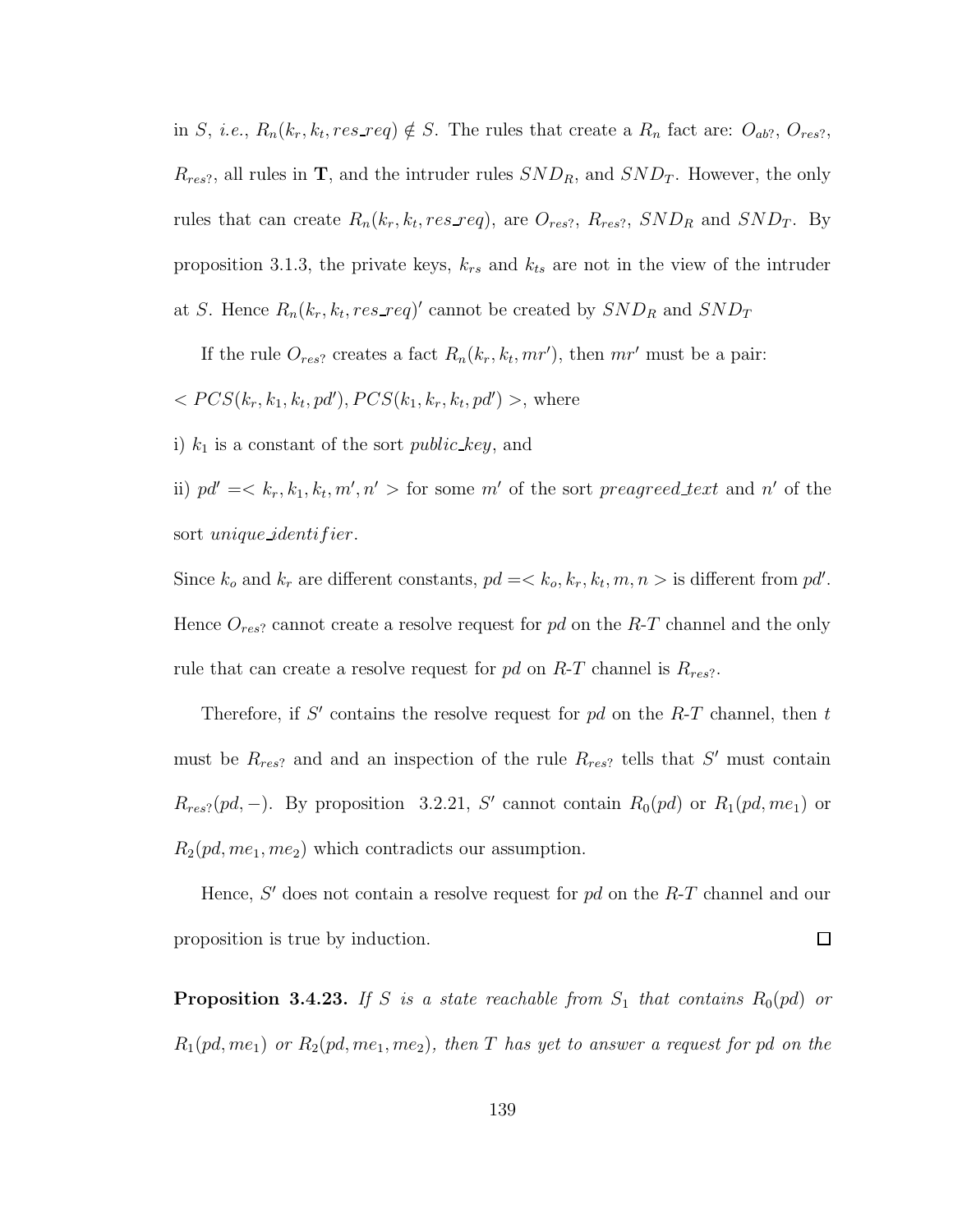in S, *i.e.*,  $R_n(k_r, k_t, res\_req) \notin S$ . The rules that create a  $R_n$  fact are:  $O_{ab}$ ?,  $O_{res}$ ?,  $R_{res}$ , all rules in **T**, and the intruder rules  $SND_R$ , and  $SND_T$ . However, the only rules that can create  $R_n(k_r, k_t, res\_req)$ , are  $O_{res?}, R_{res?}, SND_R$  and  $SND_T$ . By proposition 3.1.3, the private keys,  $k_{rs}$  and  $k_{ts}$  are not in the view of the intruder at S. Hence  $R_n(k_r, k_t, res\_req)'$  cannot be created by  $SND_R$  and  $SND_T$ 

If the rule  $O_{res}$ ? creates a fact  $R_n(k_r, k_t, mr')$ , then  $mr'$  must be a pair:

 $< PCS(k_r, k_1, k_t, pd'), PCS(k_1, k_r, k_t, pd')$ , where

i)  $k_1$  is a constant of the sort *public key*, and

ii)  $pd' = \langle k_r, k_1, k_t, m', n' \rangle$  for some m' of the sort preagreed text and n' of the sort unique identifier.

Since  $k_o$  and  $k_r$  are different constants,  $pd = \langle k_o, k_r, k_t, m, n \rangle$  is different from  $pd'$ . Hence  $O_{res}$  cannot create a resolve request for pd on the R-T channel and the only rule that can create a resolve request for  $pd$  on  $R$ -T channel is  $R_{res}$ ?.

Therefore, if  $S'$  contains the resolve request for  $pd$  on the  $R$ -T channel, then  $t$ must be  $R_{res}$ ? and and an inspection of the rule  $R_{res}$ ? tells that S' must contain  $R_{res}$ ?(pd, -). By proposition 3.2.21, S' cannot contain  $R_0(pd)$  or  $R_1(pd, me_1)$  or  $R_2(pd, me_1, me_2)$  which contradicts our assumption.

Hence,  $S'$  does not contain a resolve request for  $pd$  on the  $R$ -T channel and our proposition is true by induction.  $\Box$ 

**Proposition 3.4.23.** If S is a state reachable from  $S_1$  that contains  $R_0(pd)$  or  $R_1(pd, me_1)$  or  $R_2(pd, me_1, me_2)$ , then T has yet to answer a request for pd on the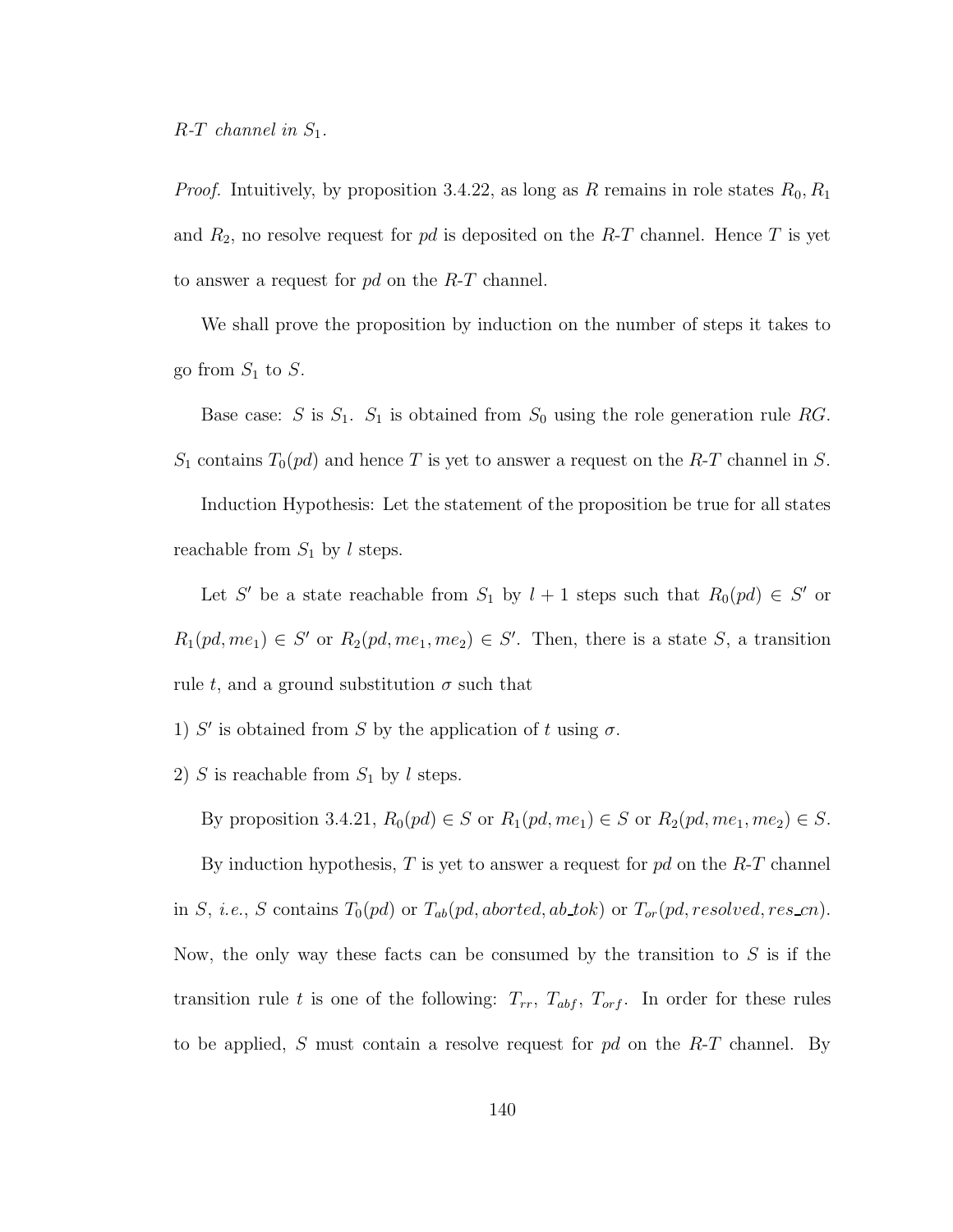*Proof.* Intuitively, by proposition 3.4.22, as long as R remains in role states  $R_0, R_1$ and  $R_2$ , no resolve request for pd is deposited on the R-T channel. Hence T is yet to answer a request for  $pd$  on the  $R-T$  channel.

We shall prove the proposition by induction on the number of steps it takes to go from  $S_1$  to  $S$ .

Base case: S is  $S_1$ .  $S_1$  is obtained from  $S_0$  using the role generation rule RG.  $S_1$  contains  $T_0(pd)$  and hence T is yet to answer a request on the R-T channel in S.

Induction Hypothesis: Let the statement of the proposition be true for all states reachable from  $S_1$  by l steps.

Let S' be a state reachable from  $S_1$  by  $l + 1$  steps such that  $R_0(pd) \in S'$  or  $R_1(pd,me_1) \in S'$  or  $R_2(pd,me_1,me_2) \in S'$ . Then, there is a state S, a transition rule t, and a ground substitution  $\sigma$  such that

- 1) S' is obtained from S by the application of t using  $\sigma$ .
- 2) S is reachable from  $S_1$  by l steps.

By proposition 3.4.21,  $R_0(pd) \in S$  or  $R_1(pd, me_1) \in S$  or  $R_2(pd, me_1, me_2) \in S$ .

By induction hypothesis,  $T$  is yet to answer a request for  $pd$  on the  $R$ - $T$  channel in S, i.e., S contains  $T_0(pd)$  or  $T_{ab}(pd,aborted,ab\_tok)$  or  $T_{or}(pd, resolved, res\_cn)$ . Now, the only way these facts can be consumed by the transition to  $S$  is if the transition rule t is one of the following:  $T_{rr}$ ,  $T_{abf}$ ,  $T_{orf}$ . In order for these rules to be applied, S must contain a resolve request for  $pd$  on the  $R-T$  channel. By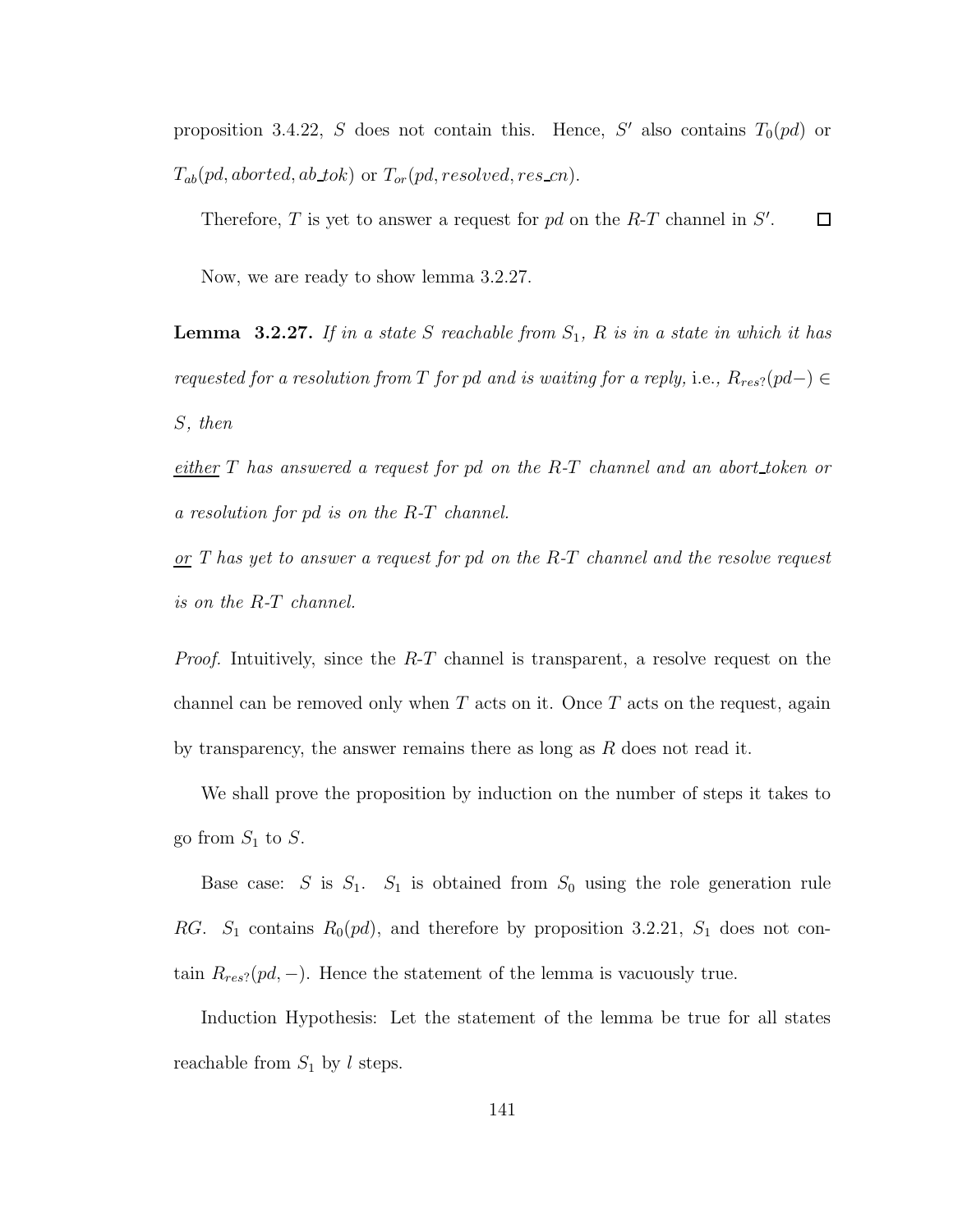proposition 3.4.22, S does not contain this. Hence, S' also contains  $T_0(pd)$  or  $T_{ab}(pd,aborted,ab\_tok)$  or  $T_{or}(pd, resolved, res\_cn)$ .

Therefore,  $T$  is yet to answer a request for  $pd$  on the  $R$ - $T$  channel in  $S'$ .  $\Box$ 

Now, we are ready to show lemma 3.2.27.

**Lemma** 3.2.27. If in a state S reachable from  $S_1$ , R is in a state in which it has requested for a resolution from T for pd and is waiting for a reply, i.e.,  $R_{res}$ ?(pd–)  $\in$ S, then

either T has answered a request for pd on the R-T channel and an abort token or a resolution for pd is on the R-T channel.

 $or T$  has yet to answer a request for pd on the R-T channel and the resolve request is on the R-T channel.

*Proof.* Intuitively, since the  $R-T$  channel is transparent, a resolve request on the channel can be removed only when  $T$  acts on it. Once  $T$  acts on the request, again by transparency, the answer remains there as long as  $R$  does not read it.

We shall prove the proposition by induction on the number of steps it takes to go from  $S_1$  to  $S$ .

Base case: S is  $S_1$ .  $S_1$  is obtained from  $S_0$  using the role generation rule RG.  $S_1$  contains  $R_0(pd)$ , and therefore by proposition 3.2.21,  $S_1$  does not contain  $R_{res}$ ?( $pd$ , –). Hence the statement of the lemma is vacuously true.

Induction Hypothesis: Let the statement of the lemma be true for all states reachable from  $S_1$  by l steps.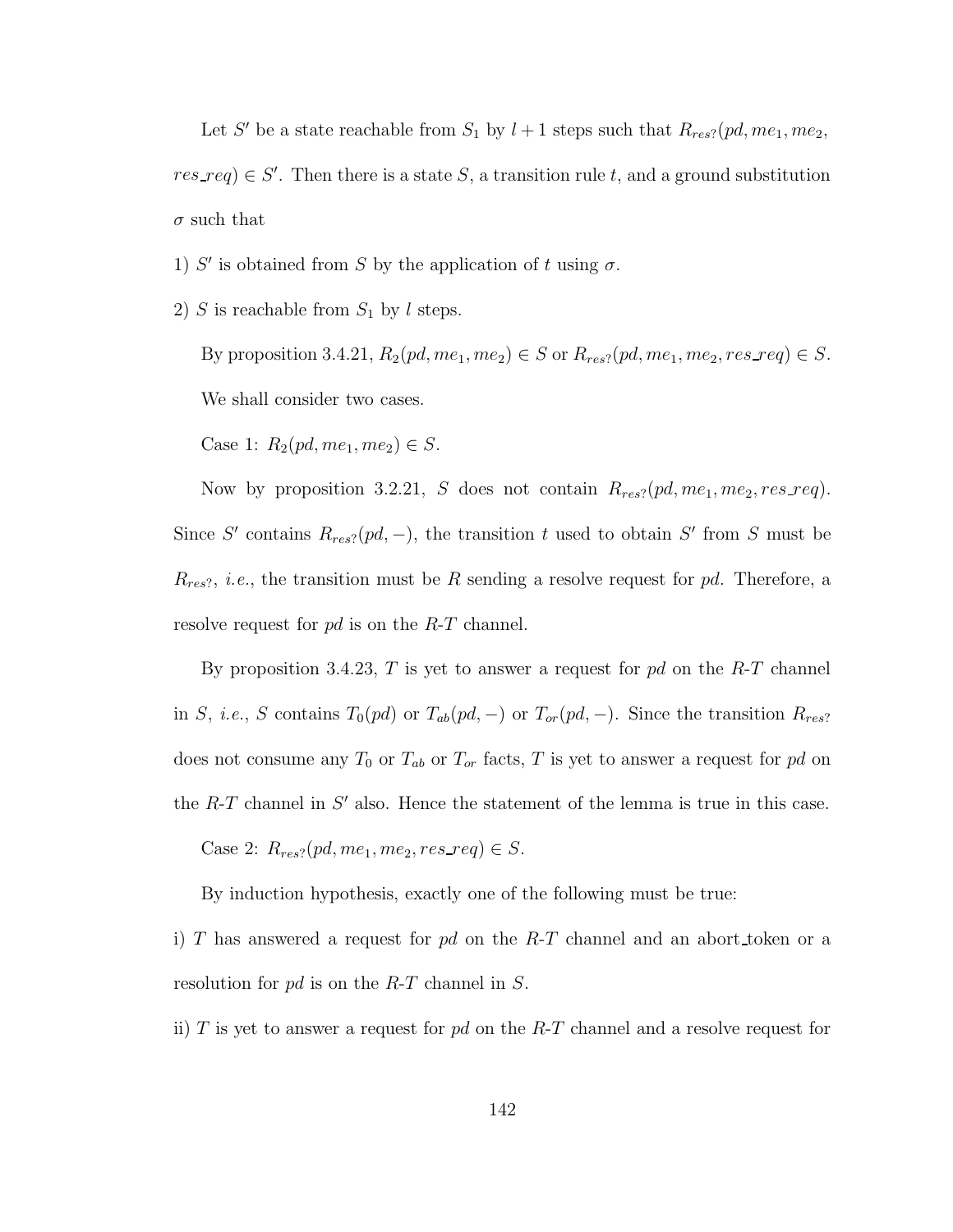Let S' be a state reachable from  $S_1$  by  $l+1$  steps such that  $R_{res}$ ? (pd, me<sub>1</sub>, me<sub>2</sub>,  $res\_req$ )  $\in S'$ . Then there is a state S, a transition rule t, and a ground substitution  $\sigma$  such that

- 1) S' is obtained from S by the application of t using  $\sigma$ .
- 2) S is reachable from  $S_1$  by l steps.

By proposition 3.4.21,  $R_2(pd, me_1, me_2) \in S$  or  $R_{res}$ ?(pd, me<sub>1</sub>, me<sub>2</sub>, res\_req)  $\in S$ . We shall consider two cases.

Case 1:  $R_2(pd, me_1, me_2) \in S$ .

Now by proposition 3.2.21, S does not contain  $R_{res?}(pd, me_1, me_2, res\_req)$ . Since S' contains  $R_{res}$  $(pd, -)$ , the transition t used to obtain S' from S must be  $R_{res}$ , *i.e.*, the transition must be R sending a resolve request for pd. Therefore, a resolve request for pd is on the R-T channel.

By proposition 3.4.23,  $T$  is yet to answer a request for  $pd$  on the  $R$ - $T$  channel in S, i.e., S contains  $T_0(pd)$  or  $T_{ab}(pd, -)$  or  $T_{or}(pd, -)$ . Since the transition  $R_{res}$ ? does not consume any  $T_0$  or  $T_{ab}$  or  $T_{or}$  facts,  $T$  is yet to answer a request for  $pd$  on the  $R$ -T channel in  $S'$  also. Hence the statement of the lemma is true in this case.

Case 2:  $R_{res}$ ?( $pd, me_1, me_2, res\_req$ )  $\in S$ .

By induction hypothesis, exactly one of the following must be true:

i) T has answered a request for  $pd$  on the R-T channel and an abort token or a resolution for pd is on the R-T channel in S.

ii)  $T$  is yet to answer a request for  $pd$  on the  $R-T$  channel and a resolve request for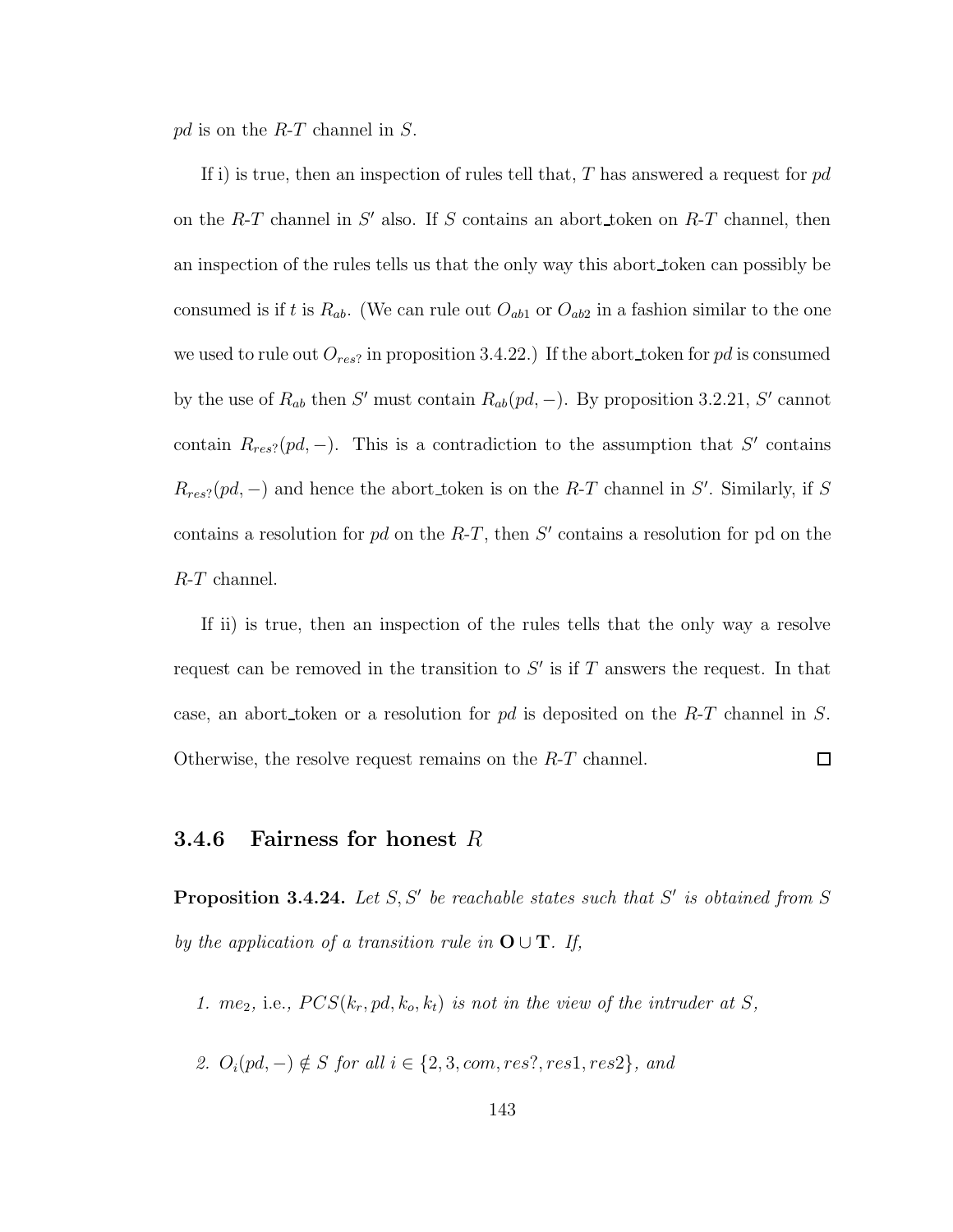$pd$  is on the  $R$ -T channel in S.

If i) is true, then an inspection of rules tell that, T has answered a request for  $pd$ on the  $R$ -T channel in  $S'$  also. If S contains an abort token on  $R$ -T channel, then an inspection of the rules tells us that the only way this abort token can possibly be consumed is if t is  $R_{ab}$ . (We can rule out  $O_{ab1}$  or  $O_{ab2}$  in a fashion similar to the one we used to rule out  $O_{res}$ ? in proposition 3.4.22.) If the abort token for pd is consumed by the use of  $R_{ab}$  then S' must contain  $R_{ab}(pd, -)$ . By proposition 3.2.21, S' cannot contain  $R_{res}$ ?(pd, -). This is a contradiction to the assumption that S' contains  $R_{res}$ ?(pd, -) and hence the abort\_token is on the R-T channel in S'. Similarly, if S contains a resolution for  $pd$  on the  $R-T$ , then  $S'$  contains a resolution for pd on the R-T channel.

If ii) is true, then an inspection of the rules tells that the only way a resolve request can be removed in the transition to  $S'$  is if T answers the request. In that case, an abort token or a resolution for  $pd$  is deposited on the  $R$ -T channel in S.  $\Box$ Otherwise, the resolve request remains on the R-T channel.

#### **3.4.6** Fairness for honest  $R$

**Proposition 3.4.24.** Let  $S, S'$  be reachable states such that  $S'$  is obtained from  $S$ by the application of a transition rule in  $\mathbf{O} \cup \mathbf{T}$ . If,

- 1. me<sub>2</sub>, i.e.,  $PCS(k_r, pd, k_o, k_t)$  is not in the view of the intruder at S,
- 2.  $O_i(pd, -) \notin S$  for all  $i \in \{2, 3, com, res?, res1, res2\}$ , and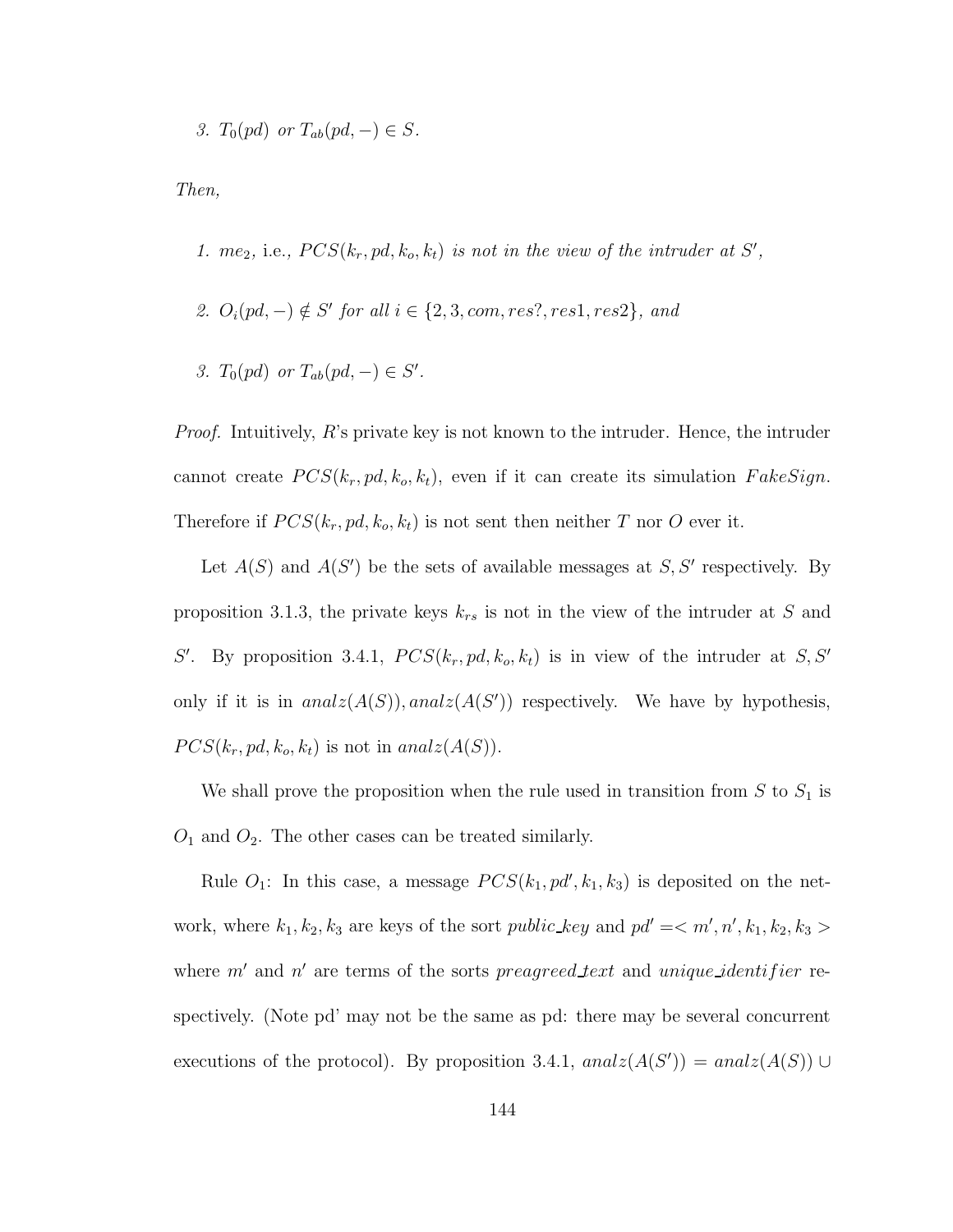3.  $T_0(pd)$  or  $T_{ab}(pd, -) \in S$ .

Then,

- 1. me<sub>2</sub>, i.e.,  $PCS(k_r, pd, k_o, k_t)$  is not in the view of the intruder at S',
- 2.  $O_i(pd, -) \notin S'$  for all  $i \in \{2, 3, com, res?, res1, res2\}$ , and
- 3.  $T_0(pd)$  or  $T_{ab}(pd, -) \in S'.$

*Proof.* Intuitively, R's private key is not known to the intruder. Hence, the intruder cannot create  $PCS(k_r, pd, k_o, k_t)$ , even if it can create its simulation  $FalseSign$ . Therefore if  $PCS(k_r, pd, k_o, k_t)$  is not sent then neither T nor O ever it.

Let  $A(S)$  and  $A(S')$  be the sets of available messages at S, S' respectively. By proposition 3.1.3, the private keys  $k_{rs}$  is not in the view of the intruder at S and S'. By proposition 3.4.1,  $PCS(k_r, pd, k_o, k_t)$  is in view of the intruder at S, S' only if it is in  $analz(A(S))$ ,  $analz(A(S'))$  respectively. We have by hypothesis,  $PCS(k_r, pd, k_o, k_t)$  is not in analz $(A(S))$ .

We shall prove the proposition when the rule used in transition from  $S$  to  $S_1$  is  $O_1$  and  $O_2$ . The other cases can be treated similarly.

Rule  $O_1$ : In this case, a message  $PCS(k_1, pd', k_1, k_3)$  is deposited on the network, where  $k_1, k_2, k_3$  are keys of the sort *public\_key* and  $pd' = \langle m', n', k_1, k_2, k_3 \rangle$ where  $m'$  and  $n'$  are terms of the sorts preagreed text and unique identifier respectively. (Note pd' may not be the same as pd: there may be several concurrent executions of the protocol). By proposition 3.4.1,  $analz(A(S')) = analz(A(S)) \cup$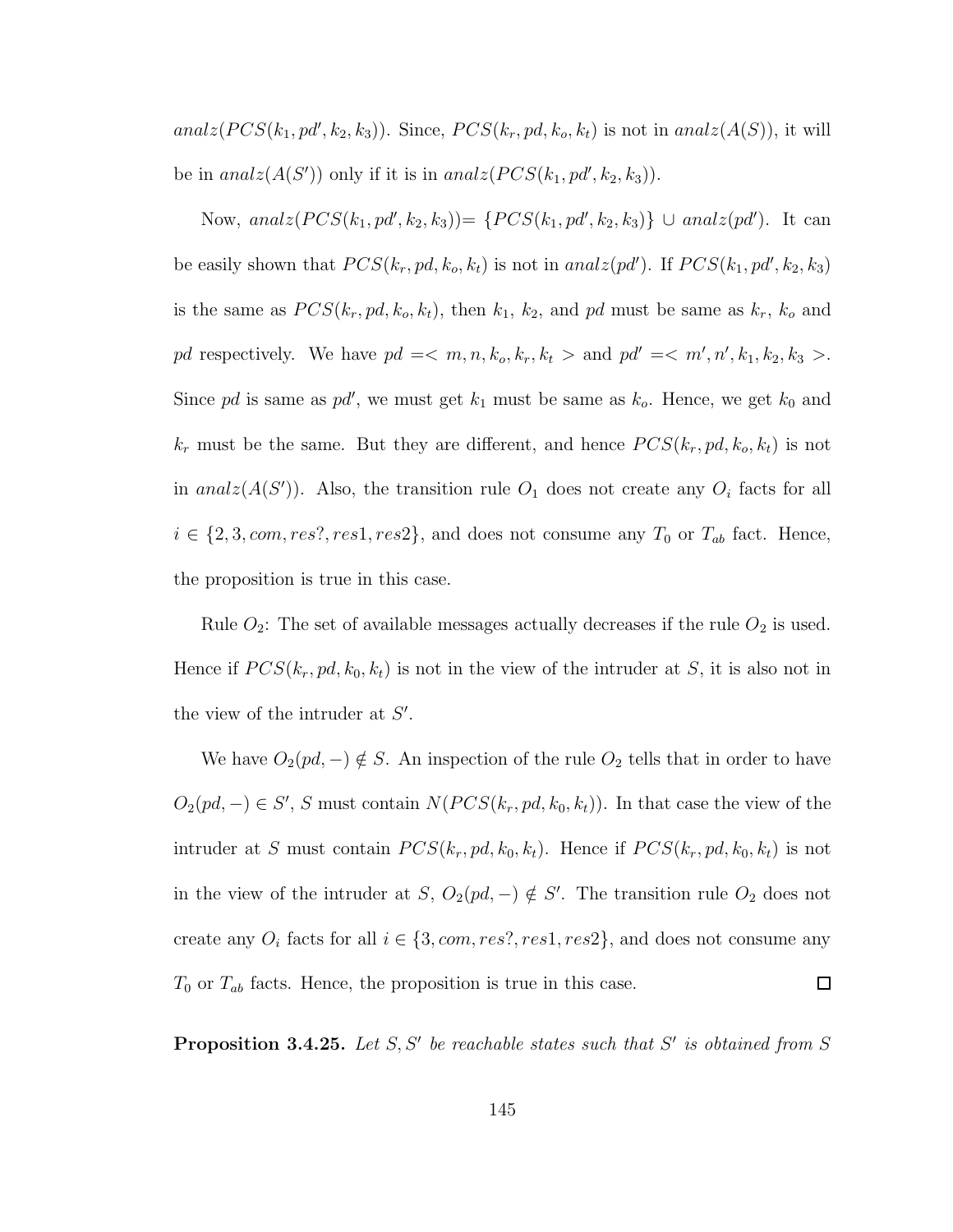analz $(PCS(k_1, pd', k_2, k_3))$ . Since,  $PCS(k_r, pd, k_o, k_t)$  is not in analz $(A(S))$ , it will be in  $analz(A(S'))$  only if it is in  $analz(PCS(k_1, pd', k_2, k_3)).$ 

Now, analz $(PCS(k_1, pd', k_2, k_3)) = \{PCS(k_1, pd', k_2, k_3) \} \cup analz(pd')$ . It can be easily shown that  $PCS(k_r, pd, k_o, k_t)$  is not in  $analz(pd')$ . If  $PCS(k_1, pd', k_2, k_3)$ is the same as  $PCS(k_r, pd, k_o, k_t)$ , then  $k_1, k_2$ , and pd must be same as  $k_r, k_o$  and pd respectively. We have  $pd = \langle m, n, k_o, k_r, k_t \rangle$  and  $pd' = \langle m', n', k_1, k_2, k_3 \rangle$ . Since pd is same as pd', we must get  $k_1$  must be same as  $k_o$ . Hence, we get  $k_0$  and  $k_r$  must be the same. But they are different, and hence  $PCS(k_r, pd, k_o, k_t)$  is not in analz $(A(S'))$ . Also, the transition rule  $O_1$  does not create any  $O_i$  facts for all  $i \in \{2, 3, com, res?, res1, res2\}$ , and does not consume any  $T_0$  or  $T_{ab}$  fact. Hence, the proposition is true in this case.

Rule  $O_2$ : The set of available messages actually decreases if the rule  $O_2$  is used. Hence if  $PCS(k_r, pd, k_0, k_t)$  is not in the view of the intruder at S, it is also not in the view of the intruder at  $S'$ .

We have  $O_2(pd, -) \notin S$ . An inspection of the rule  $O_2$  tells that in order to have  $O_2(pd, -) \in S'$ , S must contain  $N(PCS(k_r, pd, k_0, k_t))$ . In that case the view of the intruder at S must contain  $PCS(k_r, pd, k_0, k_t)$ . Hence if  $PCS(k_r, pd, k_0, k_t)$  is not in the view of the intruder at S,  $O_2(pd, -) \notin S'$ . The transition rule  $O_2$  does not create any  $O_i$  facts for all  $i \in \{3, com, res?, res1, res2\}$ , and does not consume any  $T_0$  or  $T_{ab}$  facts. Hence, the proposition is true in this case.  $\Box$ 

**Proposition 3.4.25.** Let  $S, S'$  be reachable states such that  $S'$  is obtained from  $S$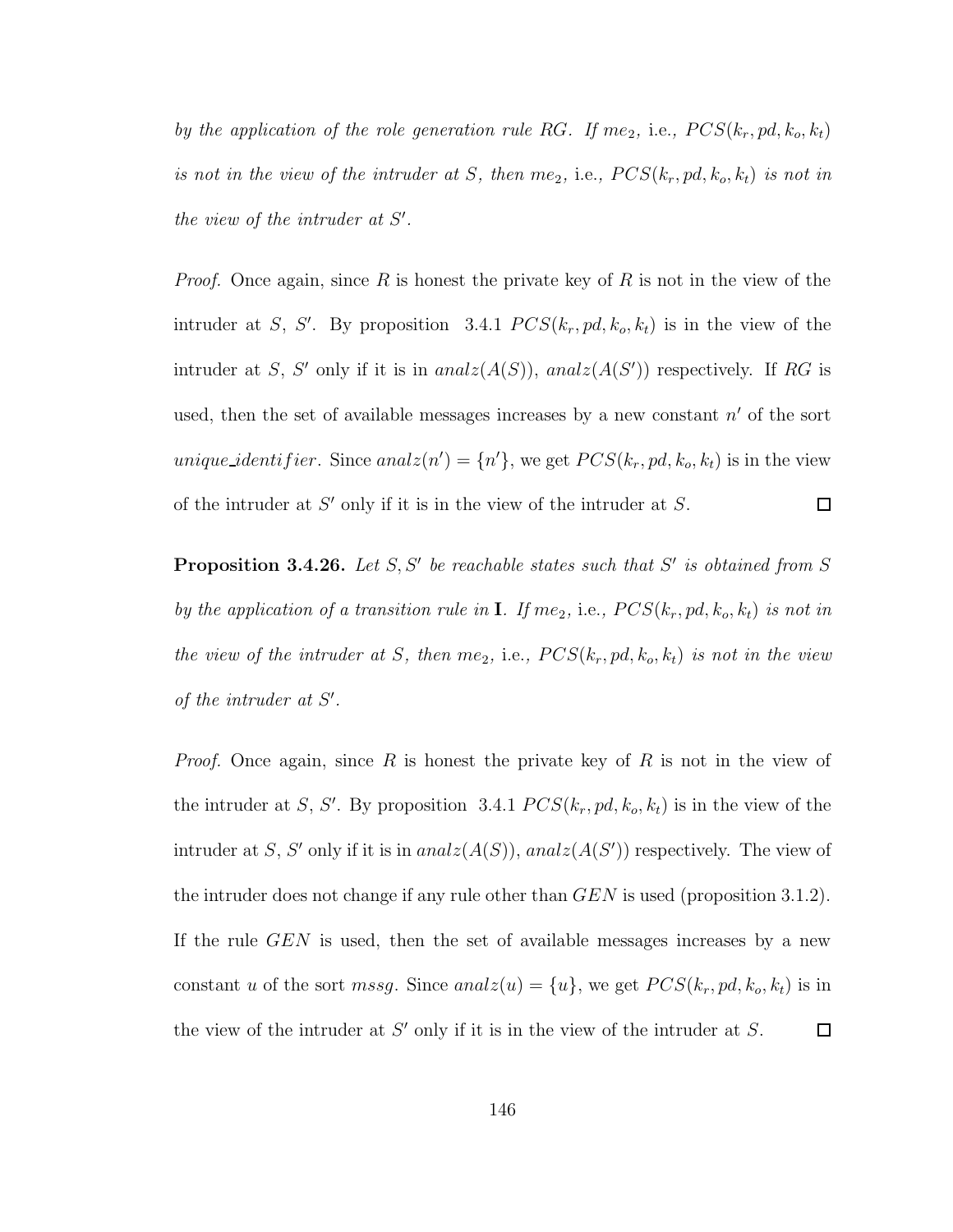by the application of the role generation rule RG. If me<sub>2</sub>, i.e.,  $PCS(k_r, pd, k_o, k_t)$ is not in the view of the intruder at S, then me<sub>2</sub>, i.e.,  $PCS(k_r, pd, k_o, k_t)$  is not in the view of the intruder at  $S'$ .

*Proof.* Once again, since R is honest the private key of R is not in the view of the intruder at S, S'. By proposition 3.4.1  $PCS(k_r, pd, k_o, k_t)$  is in the view of the intruder at S, S' only if it is in  $analz(A(S))$ ,  $analz(A(S'))$  respectively. If RG is used, then the set of available messages increases by a new constant  $n'$  of the sort *unique\_identifier*. Since  $analz(n') = \{n'\}$ , we get  $PCS(k_r, pd, k_o, k_t)$  is in the view of the intruder at  $S'$  only if it is in the view of the intruder at  $S$ .  $\Box$ 

**Proposition 3.4.26.** Let  $S, S'$  be reachable states such that  $S'$  is obtained from  $S$ by the application of a transition rule in **I**. If me<sub>2</sub>, i.e.,  $PCS(k_r, pd, k_o, k_t)$  is not in the view of the intruder at S, then me<sub>2</sub>, i.e.,  $PCS(k_r, pd, k_o, k_t)$  is not in the view of the intruder at  $S'$ .

*Proof.* Once again, since R is honest the private key of R is not in the view of the intruder at S, S'. By proposition 3.4.1  $PCS(k_r, pd, k_o, k_t)$  is in the view of the intruder at S, S' only if it is in  $analz(A(S))$ ,  $analz(A(S'))$  respectively. The view of the intruder does not change if any rule other than  $GEN$  is used (proposition 3.1.2). If the rule GEN is used, then the set of available messages increases by a new constant u of the sort mssg. Since analz $(u) = \{u\}$ , we get  $PCS(k_r, pd, k_o, k_t)$  is in the view of the intruder at  $S'$  only if it is in the view of the intruder at  $S$ .  $\Box$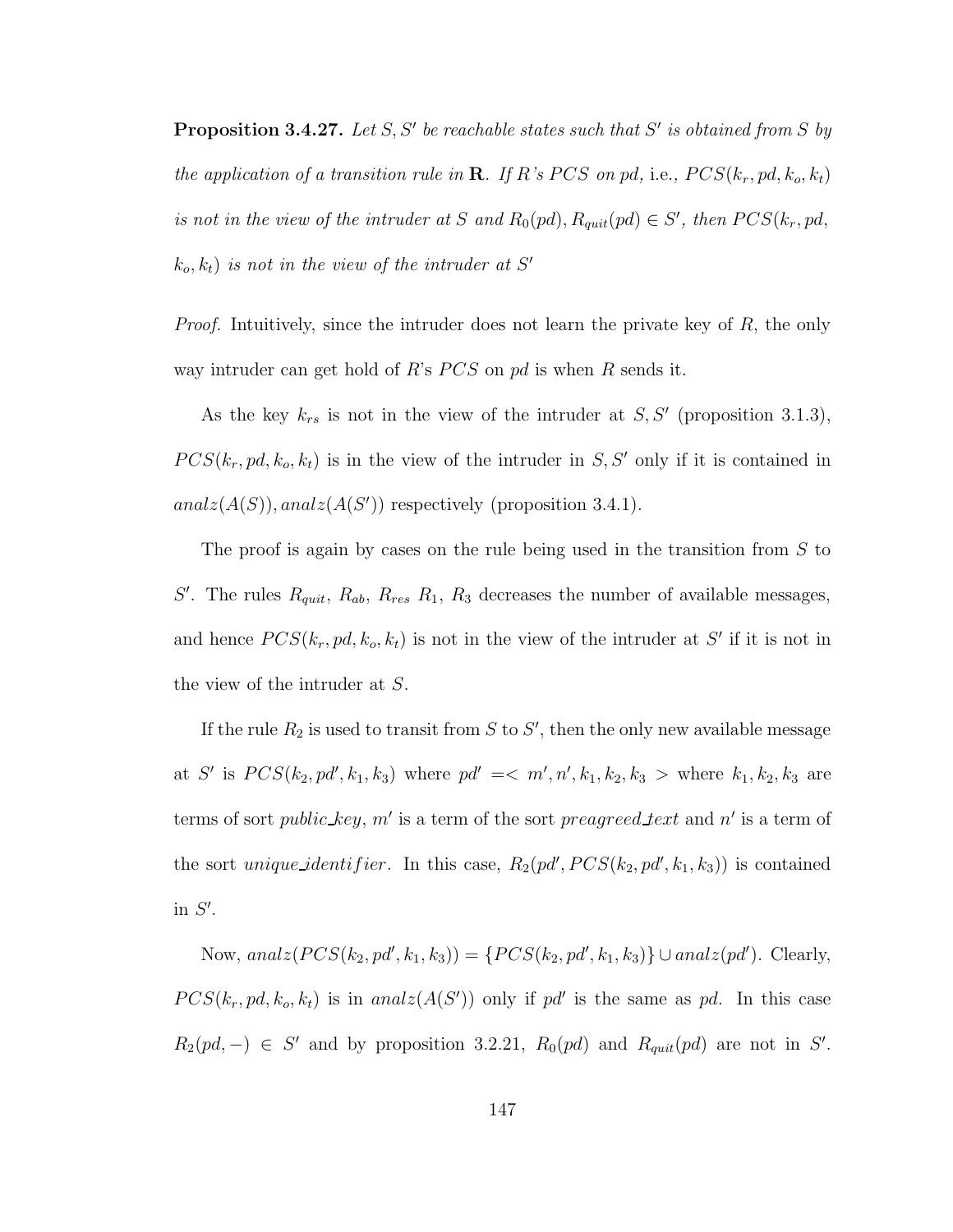**Proposition 3.4.27.** Let S, S' be reachable states such that S' is obtained from S by the application of a transition rule in **R**. If R's PCS on pd, i.e.,  $PCS(k_r, pd, k_o, k_t)$ is not in the view of the intruder at S and  $R_0(pd)$ ,  $R_{quit}(pd) \in S'$ , then  $PCS(k_r, pd,$  $(k_o, k_t)$  is not in the view of the intruder at S'

Proof. Intuitively, since the intruder does not learn the private key of R, the only way intruder can get hold of R's  $PCS$  on pd is when R sends it.

As the key  $k_{rs}$  is not in the view of the intruder at  $S, S'$  (proposition 3.1.3),  $PCS(k_r, pd, k_o, k_t)$  is in the view of the intruder in S, S' only if it is contained in  $analz(A(S)), analz(A(S'))$  respectively (proposition 3.4.1).

The proof is again by cases on the rule being used in the transition from  $S$  to S'. The rules  $R_{quit}$ ,  $R_{ab}$ ,  $R_{res}$   $R_1$ ,  $R_3$  decreases the number of available messages, and hence  $PCS(k_r, pd, k_o, k_t)$  is not in the view of the intruder at S' if it is not in the view of the intruder at S.

If the rule  $R_2$  is used to transit from S to S', then the only new available message at S' is  $PCS(k_2, pd', k_1, k_3)$  where  $pd' = \langle m', n', k_1, k_2, k_3 \rangle$  where  $k_1, k_2, k_3$  are terms of sort *public\_key*,  $m'$  is a term of the sort *preagreed\_text* and  $n'$  is a term of the sort *unique identifier*. In this case,  $R_2(pd', PCS(k_2, pd', k_1, k_3))$  is contained in  $S'$ .

Now,  $analz(PCS(k_2, pd', k_1, k_3)) = \{PCS(k_2, pd', k_1, k_3)\} \cup analz(pd').$  Clearly,  $PCS(k_r, pd, k_o, k_t)$  is in analz $(A(S'))$  only if pd' is the same as pd. In this case  $R_2(pd, -) \in S'$  and by proposition 3.2.21,  $R_0(pd)$  and  $R_{quit}(pd)$  are not in S'.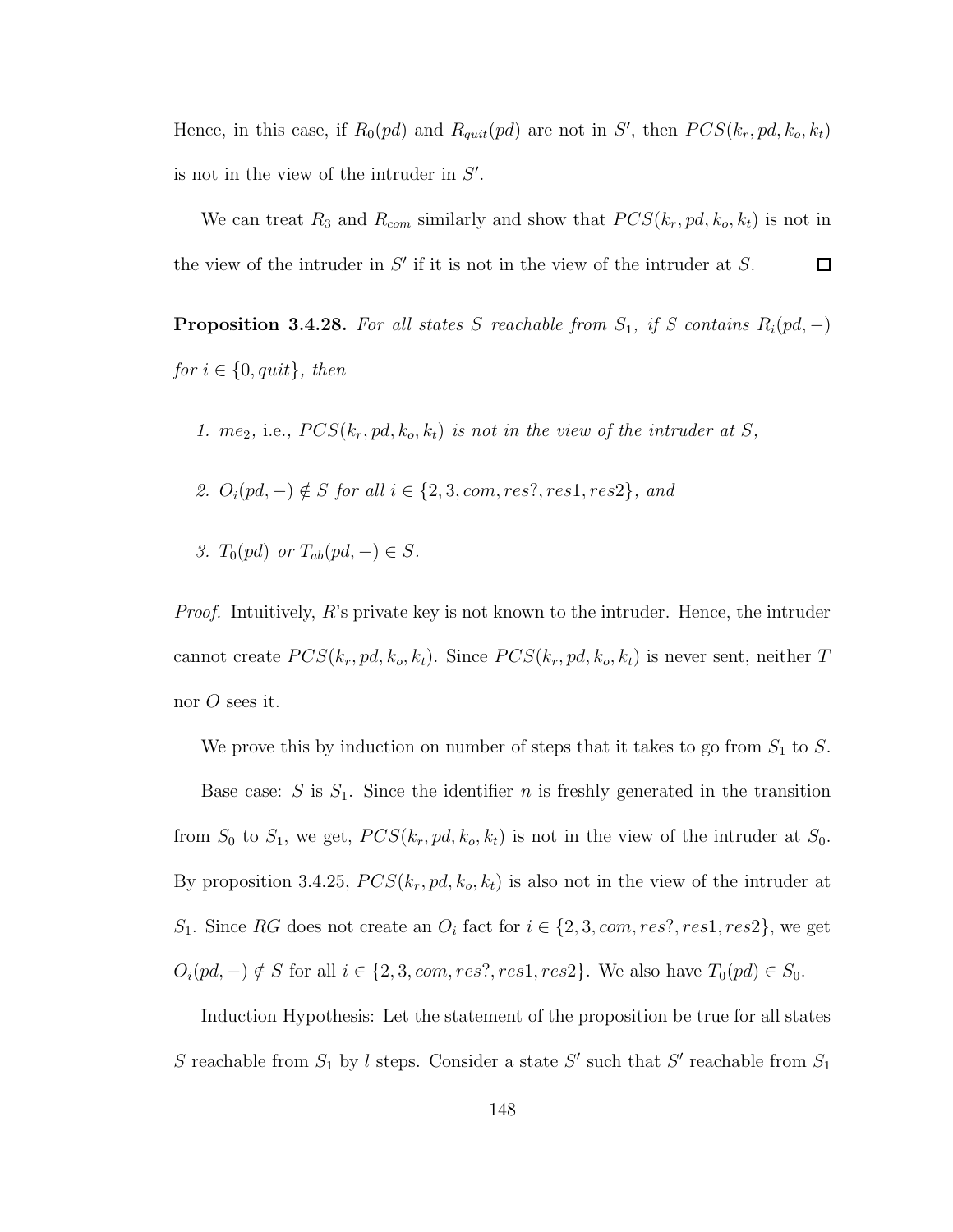Hence, in this case, if  $R_0(pd)$  and  $R_{quit}(pd)$  are not in S', then  $PCS(k_r, pd, k_o, k_t)$ is not in the view of the intruder in  $S'$ .

We can treat  $R_3$  and  $R_{com}$  similarly and show that  $PCS(k_r, pd, k_o, k_t)$  is not in the view of the intruder in  $S'$  if it is not in the view of the intruder at  $S$ .  $\Box$ 

**Proposition 3.4.28.** For all states S reachable from  $S_1$ , if S contains  $R_i(pd, -)$ for  $i \in \{0, quit\}$ , then

- 1. me<sub>2</sub>, i.e.,  $PCS(k_r, pd, k_o, k_t)$  is not in the view of the intruder at S,
- 2.  $O_i(pd, -) \notin S$  for all  $i \in \{2, 3, com, res?, res1, res2\}$ , and
- 3.  $T_0(pd)$  or  $T_{ab}(pd, -) \in S$ .

*Proof.* Intuitively, R's private key is not known to the intruder. Hence, the intruder cannot create  $PCS(k_r, pd, k_o, k_t)$ . Since  $PCS(k_r, pd, k_o, k_t)$  is never sent, neither T nor  $O$  sees it.

We prove this by induction on number of steps that it takes to go from  $S_1$  to S. Base case: S is  $S_1$ . Since the identifier n is freshly generated in the transition from  $S_0$  to  $S_1$ , we get,  $PCS(k_r, pd, k_o, k_t)$  is not in the view of the intruder at  $S_0$ . By proposition 3.4.25,  $PCS(k_r, pd, k_o, k_t)$  is also not in the view of the intruder at S<sub>1</sub>. Since RG does not create an  $O_i$  fact for  $i \in \{2, 3, com, res?, res1, res2\}$ , we get  $O_i(pd, -) \notin S$  for all  $i \in \{2, 3, com, res?, res1, res2\}$ . We also have  $T_0(pd) \in S_0$ .

Induction Hypothesis: Let the statement of the proposition be true for all states S reachable from  $S_1$  by l steps. Consider a state S' such that S' reachable from  $S_1$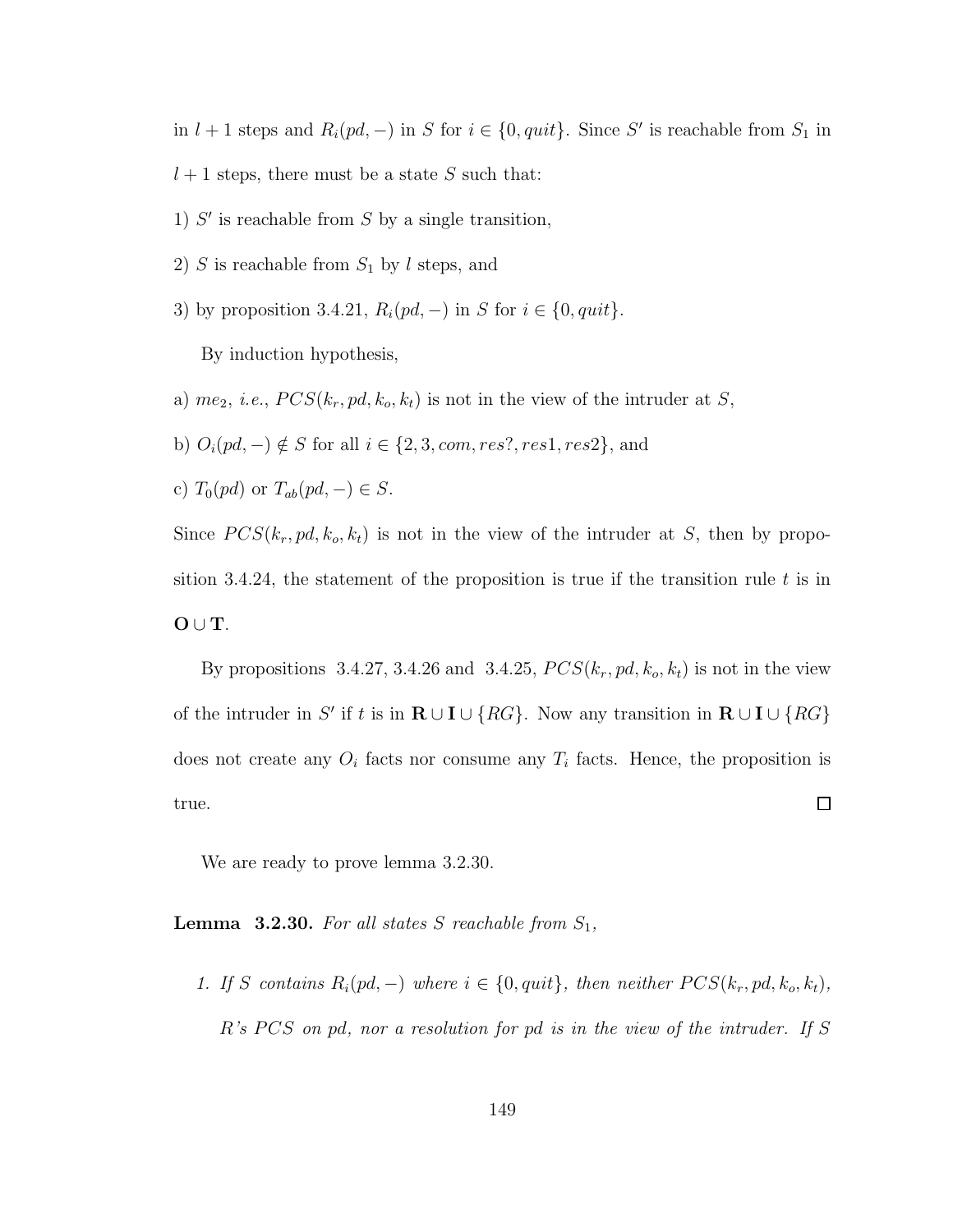in  $l + 1$  steps and  $R_i(pd, -)$  in S for  $i \in \{0, quit\}$ . Since S' is reachable from  $S_1$  in  $l + 1$  steps, there must be a state S such that:

- 1)  $S'$  is reachable from  $S$  by a single transition,
- 2) S is reachable from  $S_1$  by l steps, and
- 3) by proposition 3.4.21,  $R_i(pd, -)$  in S for  $i \in \{0, quit\}.$

By induction hypothesis,

- a)  $me_2$ , *i.e.*,  $PCS(k_r, pd, k_o, k_t)$  is not in the view of the intruder at S,
- b)  $O_i(pd, -) \notin S$  for all  $i \in \{2, 3, com, res?, res1, res2\}$ , and
- c)  $T_0(pd)$  or  $T_{ab}(pd, -) \in S$ .

Since  $PCS(k_r, pd, k_o, k_t)$  is not in the view of the intruder at S, then by proposition 3.4.24, the statement of the proposition is true if the transition rule  $t$  is in  $O \cup T$ .

By propositions 3.4.27, 3.4.26 and 3.4.25,  $PCS(k_r, pd, k_o, k_t)$  is not in the view of the intruder in S' if t is in  $\mathbf{R} \cup \mathbf{I} \cup \{RG\}$ . Now any transition in  $\mathbf{R} \cup \mathbf{I} \cup \{RG\}$ does not create any  $O_i$  facts nor consume any  $T_i$  facts. Hence, the proposition is  $\Box$ true.

We are ready to prove lemma 3.2.30.

**Lemma 3.2.30.** For all states S reachable from  $S_1$ ,

1. If S contains  $R_i(pd, -)$  where  $i \in \{0, quit\}$ , then neither  $PCS(k_r, pd, k_o, k_t)$ ,  $R$ 's PCS on pd, nor a resolution for pd is in the view of the intruder. If S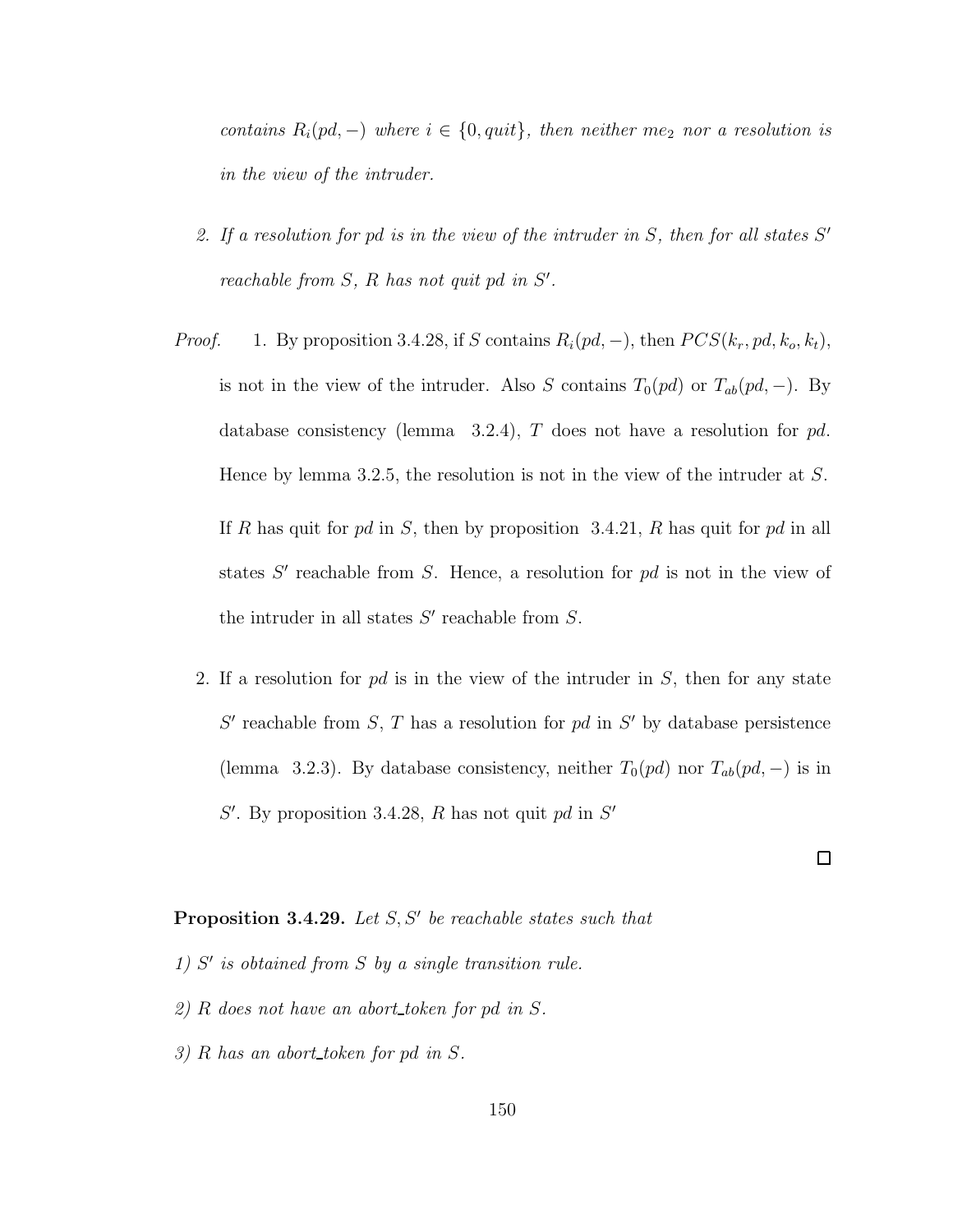contains  $R_i(pd, -)$  where  $i \in \{0, quit\}$ , then neither me<sub>2</sub> nor a resolution is in the view of the intruder.

- 2. If a resolution for pd is in the view of the intruder in  $S$ , then for all states  $S'$ reachable from  $S$ ,  $R$  has not quit pd in  $S'$ .
- *Proof.* 1. By proposition 3.4.28, if S contains  $R_i(pd, -)$ , then  $PCS(k_r, pd, k_o, k_t)$ , is not in the view of the intruder. Also S contains  $T_0(pd)$  or  $T_{ab}(pd, -)$ . By database consistency (lemma 3.2.4), T does not have a resolution for  $pd$ . Hence by lemma 3.2.5, the resolution is not in the view of the intruder at S. If R has quit for pd in S, then by proposition 3.4.21, R has quit for pd in all states  $S'$  reachable from  $S$ . Hence, a resolution for  $pd$  is not in the view of the intruder in all states  $S'$  reachable from  $S$ .
	- 2. If a resolution for  $pd$  is in the view of the intruder in  $S$ , then for any state  $S'$  reachable from  $S$ ,  $T$  has a resolution for  $pd$  in  $S'$  by database persistence (lemma 3.2.3). By database consistency, neither  $T_0(pd)$  nor  $T_{ab}(pd, -)$  is in  $S'$ . By proposition 3.4.28, R has not quit pd in  $S'$

 $\Box$ 

### **Proposition 3.4.29.** Let  $S, S'$  be reachable states such that

- 1)  $S'$  is obtained from  $S$  by a single transition rule.
- 2) R does not have an abort token for pd in S.
- 3) R has an abort token for pd in S.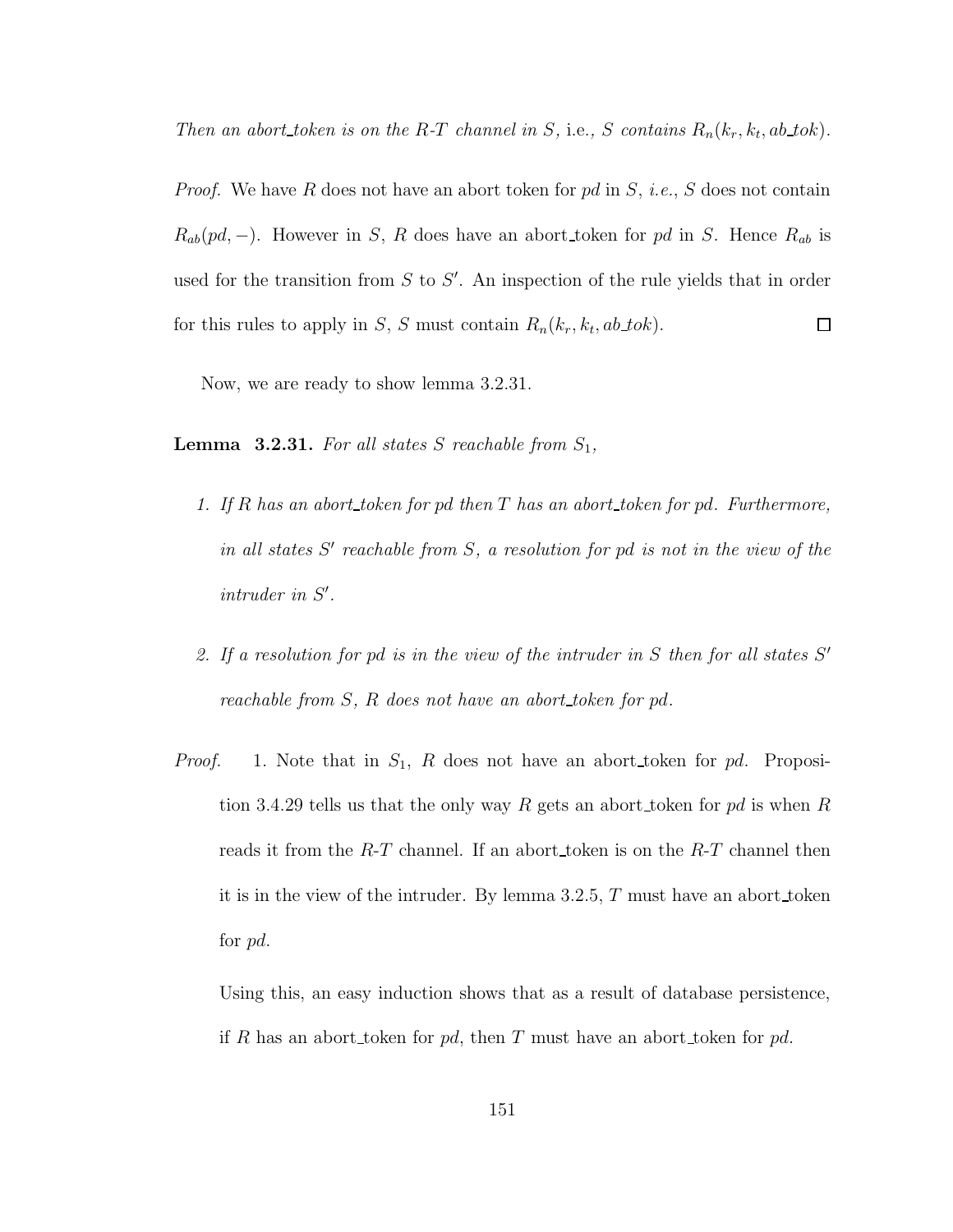Then an abort token is on the R-T channel in S, i.e., S contains  $R_n(k_r, k_t, ab\_tok)$ .

*Proof.* We have R does not have an abort token for pd in  $S$ , *i.e.*, S does not contain  $R_{ab}(pd, -)$ . However in S, R does have an abort token for pd in S. Hence  $R_{ab}$  is used for the transition from  $S$  to  $S'$ . An inspection of the rule yields that in order for this rules to apply in S, S must contain  $R_n(k_r, k_t, ab\_tok)$ .  $\Box$ 

Now, we are ready to show lemma 3.2.31.

**Lemma 3.2.31.** For all states S reachable from  $S_1$ ,

- 1. If R has an abort token for pd then  $T$  has an abort token for pd. Furthermore, in all states  $S'$  reachable from  $S$ , a resolution for pd is not in the view of the  $intruder$  in  $S'$ .
- 2. If a resolution for pd is in the view of the intruder in  $S$  then for all states  $S'$ reachable from S, R does not have an abort token for pd.
- *Proof.* 1. Note that in  $S_1$ , R does not have an abort token for pd. Proposition 3.4.29 tells us that the only way R gets an abort token for pd is when R reads it from the  $R$ -T channel. If an abort token is on the  $R$ -T channel then it is in the view of the intruder. By lemma 3.2.5, T must have an abort token for pd.

Using this, an easy induction shows that as a result of database persistence, if R has an abort token for pd, then T must have an abort token for pd.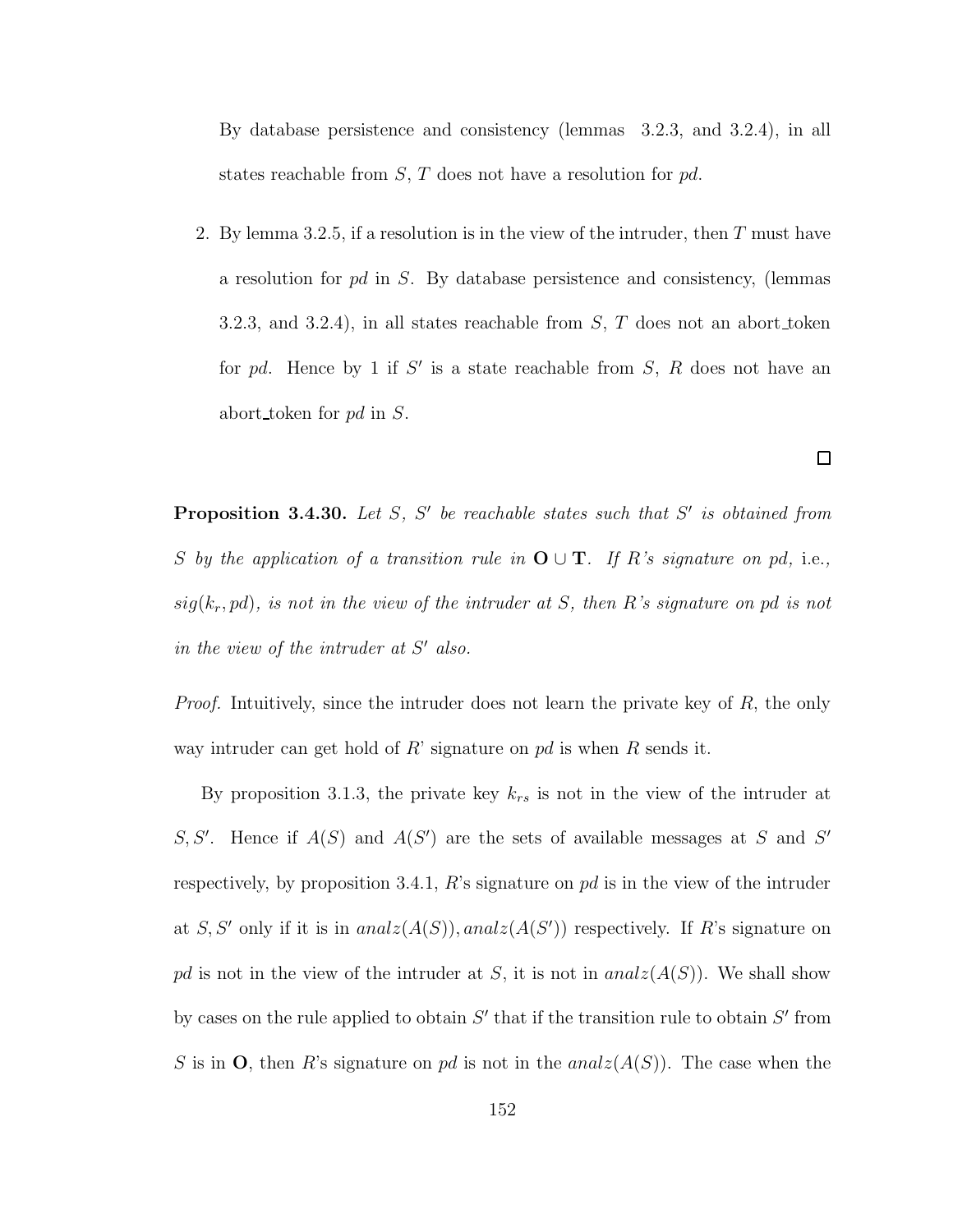By database persistence and consistency (lemmas 3.2.3, and 3.2.4), in all states reachable from  $S$ ,  $T$  does not have a resolution for  $pd$ .

2. By lemma 3.2.5, if a resolution is in the view of the intruder, then  $T$  must have a resolution for pd in S. By database persistence and consistency, (lemmas 3.2.3, and 3.2.4), in all states reachable from  $S$ ,  $T$  does not an abort token for pd. Hence by 1 if  $S'$  is a state reachable from  $S, R$  does not have an abort token for pd in S.

**Proposition 3.4.30.** Let S, S' be reachable states such that S' is obtained from S by the application of a transition rule in  $\mathbf{O} \cup \mathbf{T}$ . If R's signature on pd, i.e.,  $sig(k_r, pd)$ , is not in the view of the intruder at S, then R's signature on pd is not in the view of the intruder at  $S'$  also.

*Proof.* Intuitively, since the intruder does not learn the private key of  $R$ , the only way intruder can get hold of R' signature on  $pd$  is when R sends it.

By proposition 3.1.3, the private key  $k_{rs}$  is not in the view of the intruder at S, S'. Hence if  $A(S)$  and  $A(S')$  are the sets of available messages at S and S' respectively, by proposition 3.4.1,  $R$ 's signature on pd is in the view of the intruder at S, S' only if it is in  $analz(A(S))$ ,  $analz(A(S'))$  respectively. If R's signature on pd is not in the view of the intruder at S, it is not in  $analz(A(S))$ . We shall show by cases on the rule applied to obtain  $S'$  that if the transition rule to obtain  $S'$  from S is in O, then R's signature on pd is not in the analz $(A(S))$ . The case when the

 $\Box$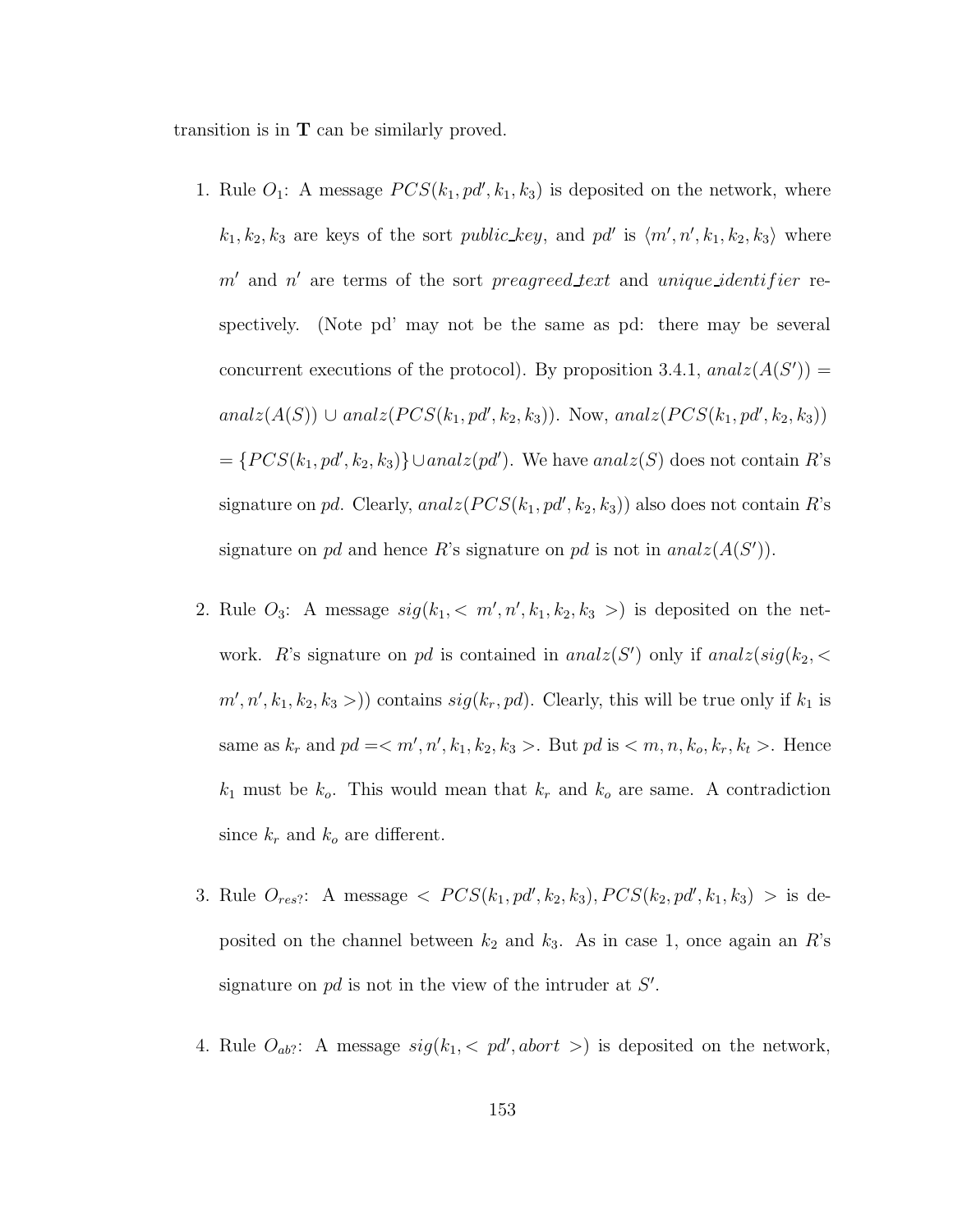transition is in  $T$  can be similarly proved.

- 1. Rule  $O_1$ : A message  $PCS(k_1, pd', k_1, k_3)$  is deposited on the network, where  $k_1, k_2, k_3$  are keys of the sort *public\_key*, and *pd'* is  $\langle m', n', k_1, k_2, k_3 \rangle$  where  $m'$  and  $n'$  are terms of the sort preagreed text and unique identifier respectively. (Note pd' may not be the same as pd: there may be several concurrent executions of the protocol). By proposition 3.4.1,  $analz(A(S')) =$  $analz(A(S))$  ∪  $analz(PCS(k_1, pd', k_2, k_3))$ . Now,  $analz(PCS(k_1, pd', k_2, k_3))$  $=\{PCS(k_1, pd', k_2, k_3)\}\cup analz(pd')$ . We have  $analz(S)$  does not contain R's signature on pd. Clearly,  $analz(PCS(k_1, pd', k_2, k_3))$  also does not contain R's signature on pd and hence R's signature on pd is not in  $analz(A(S'))$ .
- 2. Rule  $O_3$ : A message  $sig(k_1, < m', n', k_1, k_2, k_3 >)$  is deposited on the network. R's signature on pd is contained in anal $z(S')$  only if anal $z(sig(k_2, \leq$  $m', n', k_1, k_2, k_3 >$ ) contains  $sig(k_r, pd)$ . Clearly, this will be true only if  $k_1$  is same as  $k_r$  and  $pd = < m', n', k_1, k_2, k_3 >$ . But  $pd$  is  $< m, n, k_o, k_r, k_t >$ . Hence  $k_1$  must be  $k_o$ . This would mean that  $k_r$  and  $k_o$  are same. A contradiction since  $k_r$  and  $k_o$  are different.
- 3. Rule  $O_{res}$ : A message  $\langle PCS(k_1, pd', k_2, k_3), PCS(k_2, pd', k_1, k_3) \rangle$  is deposited on the channel between  $k_2$  and  $k_3$ . As in case 1, once again an R's signature on  $pd$  is not in the view of the intruder at  $S'$ .
- 4. Rule  $O_{ab}$ : A message  $sig(k_1, < pd', abort>)$  is deposited on the network,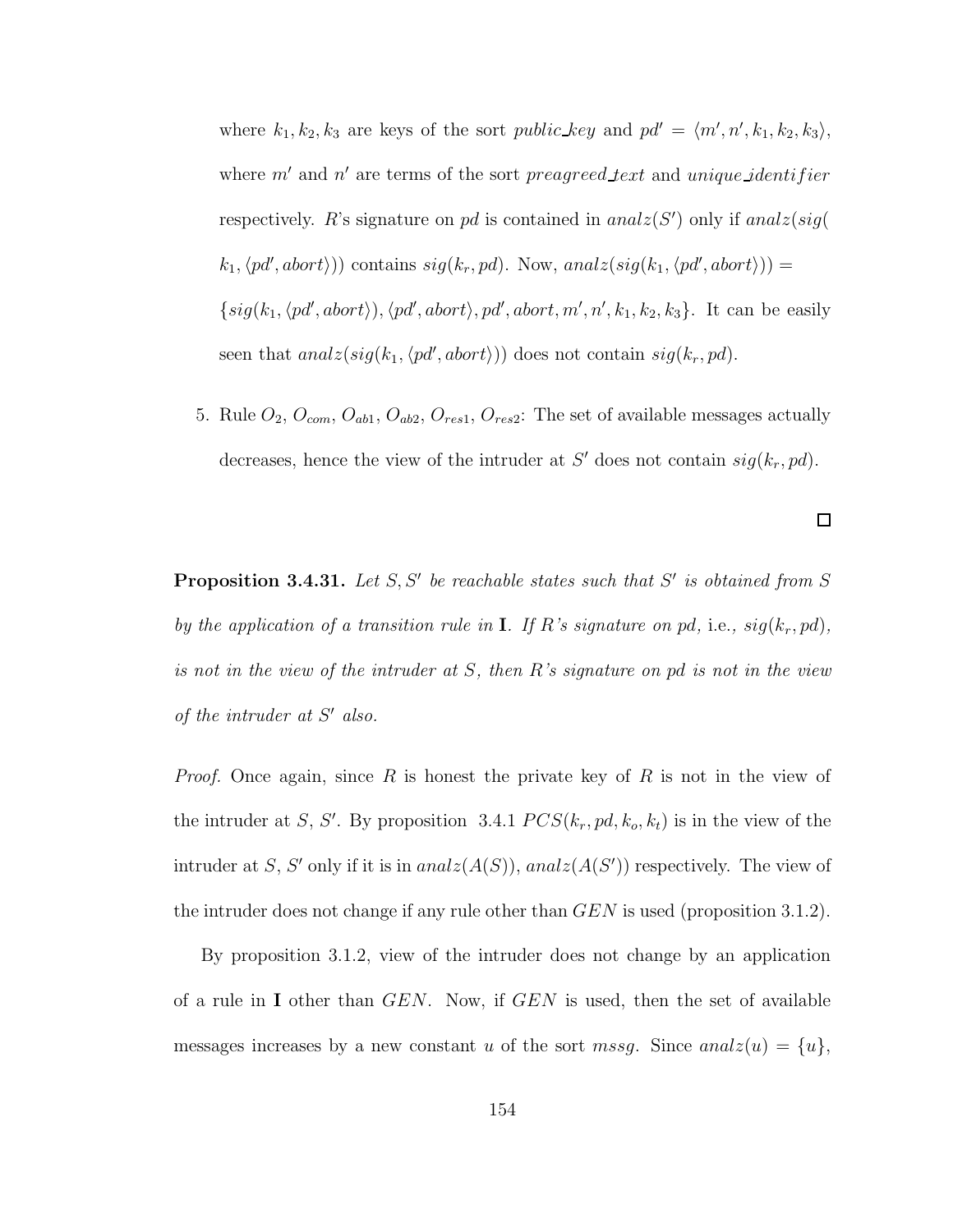where  $k_1, k_2, k_3$  are keys of the sort *public-key* and  $pd' = \langle m', n', k_1, k_2, k_3 \rangle$ , where  $m'$  and  $n'$  are terms of the sort preagreed text and unique identifier respectively. R's signature on pd is contained in  $analz(S')$  only if  $analz(sig)$  $(k_1, \langle pd', abort \rangle))$  contains  $sig(k_r, pd)$ . Now, analz $(sig(k_1, \langle pd', abort \rangle))$  =  $\{sig(k_1, \langle pd', abort \rangle), \langle pd', abort \rangle, pd', abort, m', n', k_1, k_2, k_3\}.$  It can be easily seen that  $analz(sig(k_1, \langle pd', abort \rangle))$  does not contain  $sig(k_r, pd)$ .

5. Rule  $O_2$ ,  $O_{com}$ ,  $O_{ab1}$ ,  $O_{ab2}$ ,  $O_{res1}$ ,  $O_{res2}$ : The set of available messages actually decreases, hence the view of the intruder at S' does not contain  $sig(k_r, pd)$ .

 $\Box$ 

**Proposition 3.4.31.** Let  $S, S'$  be reachable states such that  $S'$  is obtained from  $S$ by the application of a transition rule in **I**. If R's signature on pd, i.e.,  $sig(k_r, pd)$ , is not in the view of the intruder at S, then R's signature on pd is not in the view of the intruder at  $S'$  also.

*Proof.* Once again, since R is honest the private key of R is not in the view of the intruder at S, S'. By proposition 3.4.1  $PCS(k_r, pd, k_o, k_t)$  is in the view of the intruder at S, S' only if it is in  $analz(A(S))$ ,  $analz(A(S'))$  respectively. The view of the intruder does not change if any rule other than  $GEN$  is used (proposition 3.1.2).

By proposition 3.1.2, view of the intruder does not change by an application of a rule in I other than  $GEN$ . Now, if  $GEN$  is used, then the set of available messages increases by a new constant u of the sort mssg. Since anal $z(u) = \{u\},\$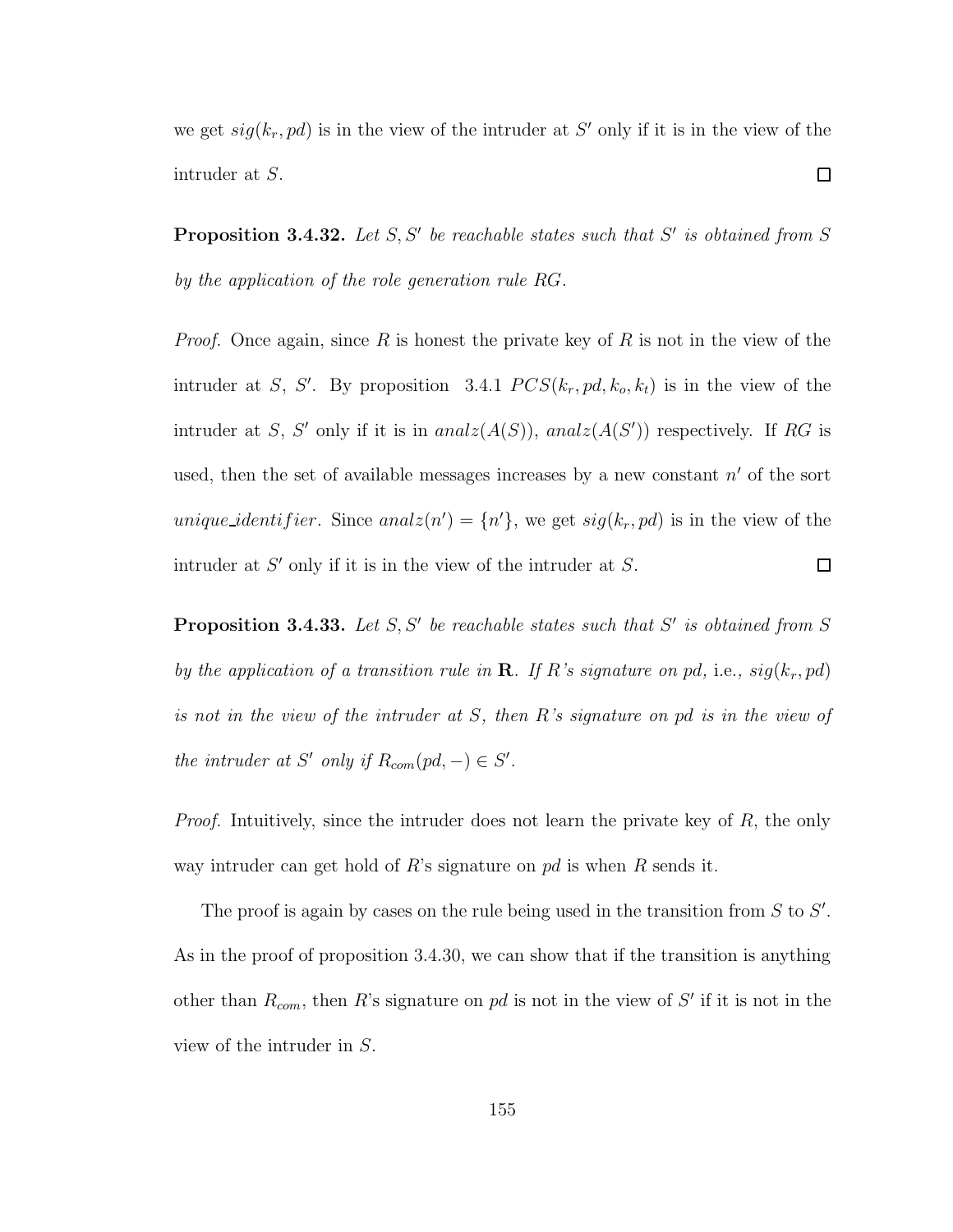we get  $sig(k_r, pd)$  is in the view of the intruder at S' only if it is in the view of the  $\Box$ intruder at S.

**Proposition 3.4.32.** Let  $S, S'$  be reachable states such that  $S'$  is obtained from  $S$ by the application of the role generation rule RG.

*Proof.* Once again, since R is honest the private key of R is not in the view of the intruder at S, S'. By proposition 3.4.1  $PCS(k_r, pd, k_o, k_t)$  is in the view of the intruder at S, S' only if it is in  $analz(A(S))$ ,  $analz(A(S'))$  respectively. If RG is used, then the set of available messages increases by a new constant  $n'$  of the sort *unique\_identifier.* Since  $analz(n') = \{n'\}$ , we get  $sig(k_r, pd)$  is in the view of the intruder at  $S'$  only if it is in the view of the intruder at  $S$ .  $\Box$ 

**Proposition 3.4.33.** Let  $S, S'$  be reachable states such that  $S'$  is obtained from  $S$ by the application of a transition rule in **R**. If R's signature on pd, i.e.,  $sig(k_r, pd)$ is not in the view of the intruder at S, then R's signature on pd is in the view of the intruder at S' only if  $R_{com}(pd, -) \in S'.$ 

*Proof.* Intuitively, since the intruder does not learn the private key of  $R$ , the only way intruder can get hold of R's signature on  $pd$  is when R sends it.

The proof is again by cases on the rule being used in the transition from  $S$  to  $S'$ . As in the proof of proposition 3.4.30, we can show that if the transition is anything other than  $R_{com}$ , then R's signature on pd is not in the view of S' if it is not in the view of the intruder in S.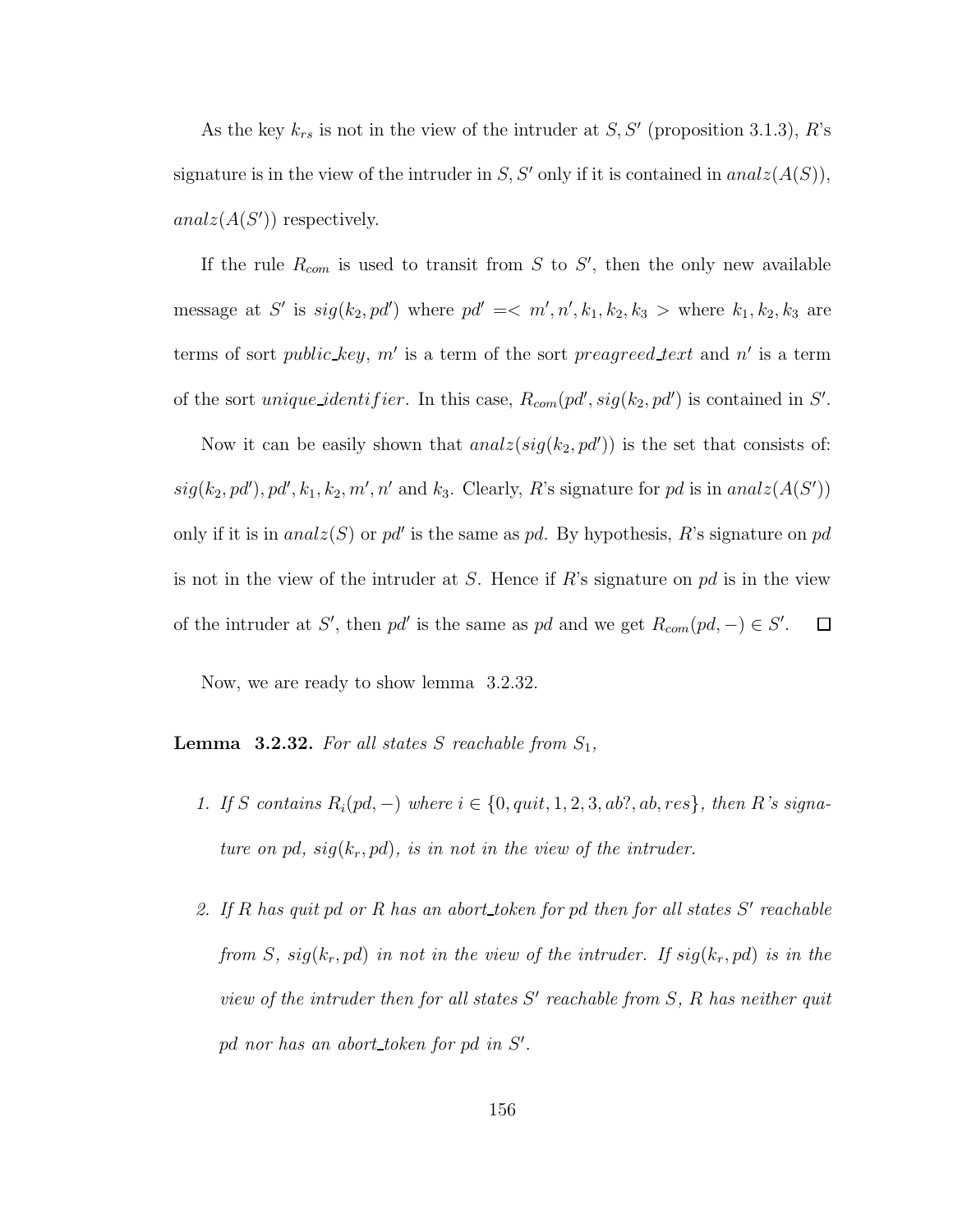As the key  $k_{rs}$  is not in the view of the intruder at  $S, S'$  (proposition 3.1.3), R's signature is in the view of the intruder in S, S' only if it is contained in  $analz(A(S))$ ,  $analz(A(S'))$  respectively.

If the rule  $R_{com}$  is used to transit from S to S', then the only new available message at S' is  $sig(k_2, pd')$  where  $pd' \leq m', n', k_1, k_2, k_3 >$  where  $k_1, k_2, k_3$  are terms of sort *public\_key*,  $m'$  is a term of the sort *preagreed\_text* and n' is a term of the sort *unique identifier*. In this case,  $R_{com}(pd', sig(k_2, pd')$  is contained in S'.

Now it can be easily shown that  $analz(sig(k_2, pd'))$  is the set that consists of:  $sig(k_2, pd'), pd', k_1, k_2, m', n'$  and  $k_3$ . Clearly, R's signature for pd is in anal $z(A(S'))$ only if it is in  $analz(S)$  or pd' is the same as pd. By hypothesis, R's signature on pd is not in the view of the intruder at S. Hence if R's signature on  $pd$  is in the view of the intruder at S', then pd' is the same as pd and we get  $R_{com}(pd, -) \in S'$ .  $\Box$ 

Now, we are ready to show lemma 3.2.32.

**Lemma 3.2.32.** For all states S reachable from  $S_1$ ,

- 1. If S contains  $R_i(pd, -)$  where  $i \in \{0, quit, 1, 2, 3, ab?, ab, res\}$ , then R's signature on pd,  $sig(k_r, pd)$ , is in not in the view of the intruder.
- 2. If  $R$  has quit pd or  $R$  has an abort token for pd then for all states  $S'$  reachable from S,  $sig(k_r, pd)$  in not in the view of the intruder. If  $sig(k_r, pd)$  is in the view of the intruder then for all states  $S'$  reachable from  $S$ ,  $R$  has neither quit  $pd$  nor has an abort\_token for  $pd$  in  $S'$ .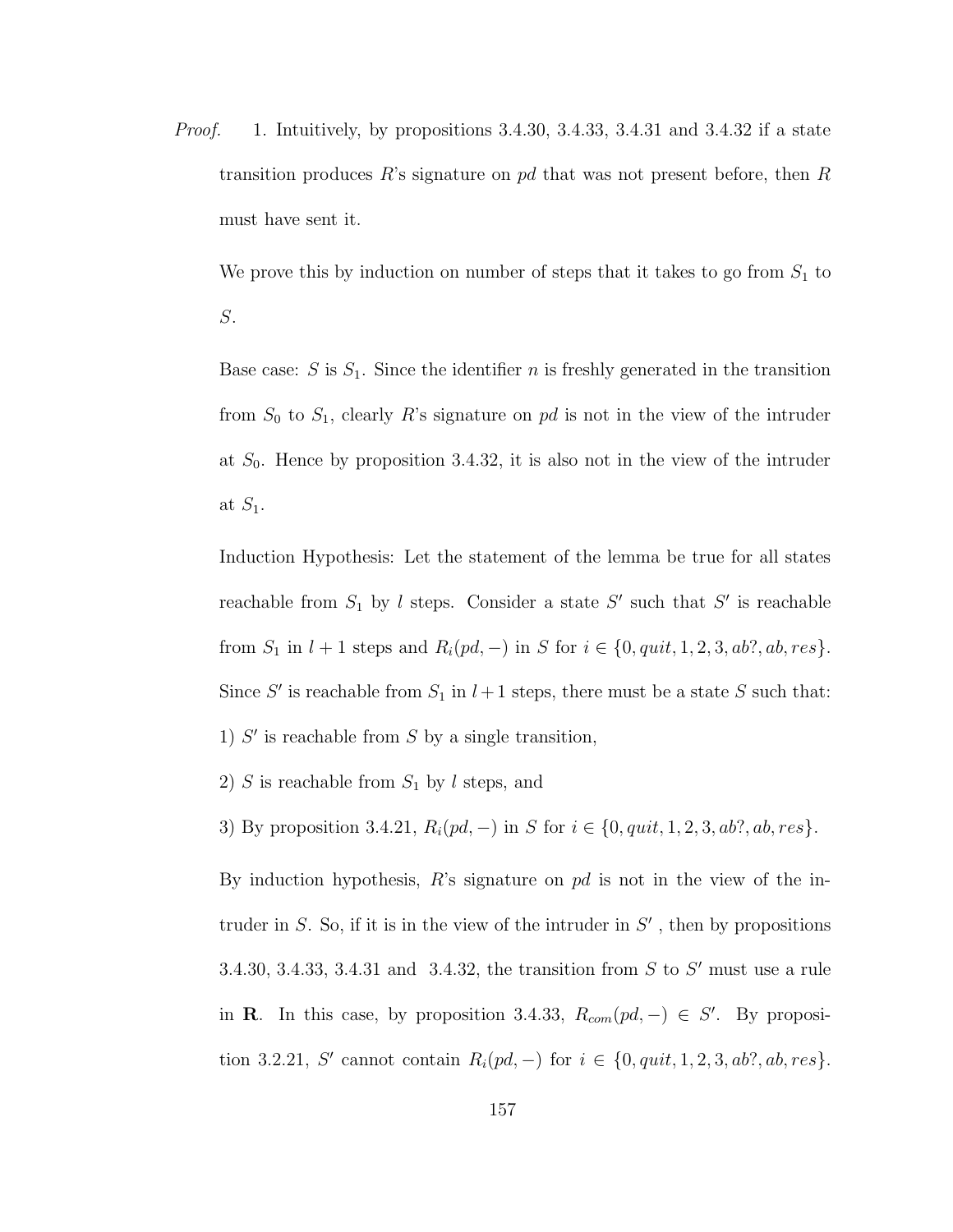*Proof.* 1. Intuitively, by propositions  $3.4.30$ ,  $3.4.33$ ,  $3.4.31$  and  $3.4.32$  if a state transition produces R's signature on pd that was not present before, then R must have sent it.

We prove this by induction on number of steps that it takes to go from  $S_1$  to S.

Base case: S is  $S_1$ . Since the identifier n is freshly generated in the transition from  $S_0$  to  $S_1$ , clearly R's signature on pd is not in the view of the intruder at  $S_0$ . Hence by proposition 3.4.32, it is also not in the view of the intruder at  $S_1$ .

Induction Hypothesis: Let the statement of the lemma be true for all states reachable from  $S_1$  by l steps. Consider a state  $S'$  such that  $S'$  is reachable from  $S_1$  in  $l + 1$  steps and  $R_i(pd, -)$  in S for  $i \in \{0, quit, 1, 2, 3, ab?, ab, res\}.$ Since S' is reachable from  $S_1$  in  $l+1$  steps, there must be a state S such that: 1)  $S'$  is reachable from  $S$  by a single transition,

2) S is reachable from  $S_1$  by l steps, and

3) By proposition 3.4.21,  $R_i(pd, -)$  in S for  $i \in \{0, quit, 1, 2, 3, ab?, ab, res\}.$ 

By induction hypothesis,  $R$ 's signature on  $pd$  is not in the view of the intruder in  $S$ . So, if it is in the view of the intruder in  $S'$ , then by propositions 3.4.30, 3.4.33, 3.4.31 and 3.4.32, the transition from  $S$  to  $S'$  must use a rule in R. In this case, by proposition 3.4.33,  $R_{com}(pd, -) \in S'$ . By proposition 3.2.21, S' cannot contain  $R_i(pd, -)$  for  $i \in \{0, quit, 1, 2, 3, ab?, ab, res\}.$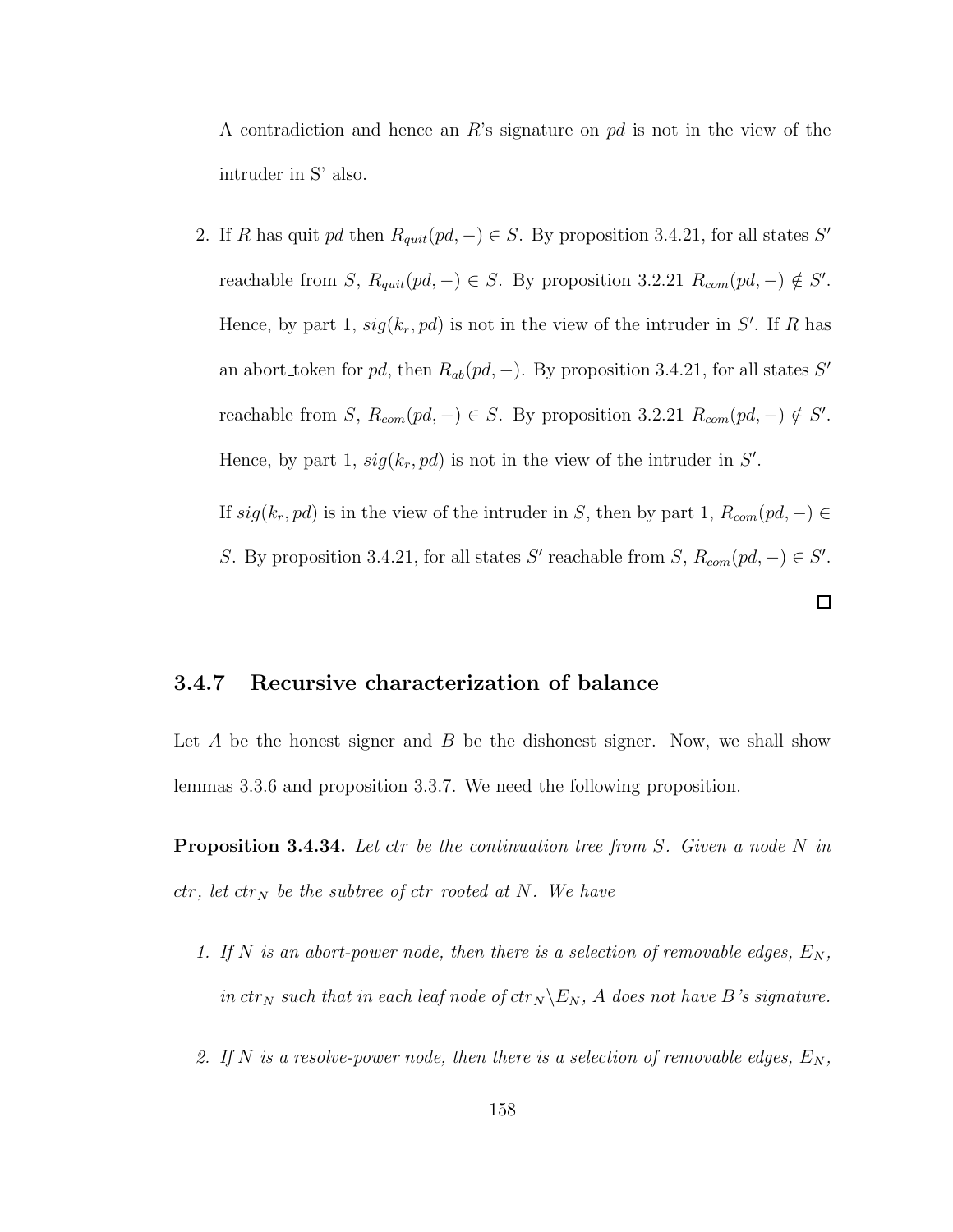A contradiction and hence an R's signature on  $pd$  is not in the view of the intruder in S' also.

2. If R has quit pd then  $R_{quit}(pd, -) \in S$ . By proposition 3.4.21, for all states S' reachable from S,  $R_{quit}(pd, -) \in S$ . By proposition 3.2.21  $R_{com}(pd, -) \notin S'$ . Hence, by part 1,  $sig(k_r, pd)$  is not in the view of the intruder in S'. If R has an abort token for pd, then  $R_{ab}(pd, -)$ . By proposition 3.4.21, for all states S' reachable from S,  $R_{com}(pd, -) \in S$ . By proposition 3.2.21  $R_{com}(pd, -) \notin S'$ . Hence, by part 1,  $sig(k_r, pd)$  is not in the view of the intruder in  $S'$ .

If  $sig(k_r, pd)$  is in the view of the intruder in S, then by part 1,  $R_{com}(pd, -) \in$ S. By proposition 3.4.21, for all states S' reachable from S,  $R_{com}(pd, -) \in S'$ .

 $\Box$ 

#### 3.4.7 Recursive characterization of balance

Let  $A$  be the honest signer and  $B$  be the dishonest signer. Now, we shall show lemmas 3.3.6 and proposition 3.3.7. We need the following proposition.

**Proposition 3.4.34.** Let ctr be the continuation tree from S. Given a node N in  $ctr, let \, str_N$  be the subtree of ctr rooted at N. We have

- 1. If N is an abort-power node, then there is a selection of removable edges,  $E_N$ , in  $ctr_N$  such that in each leaf node of  $ctr_N \backslash E_N$ , A does not have B's signature.
- 2. If N is a resolve-power node, then there is a selection of removable edges,  $E_N$ ,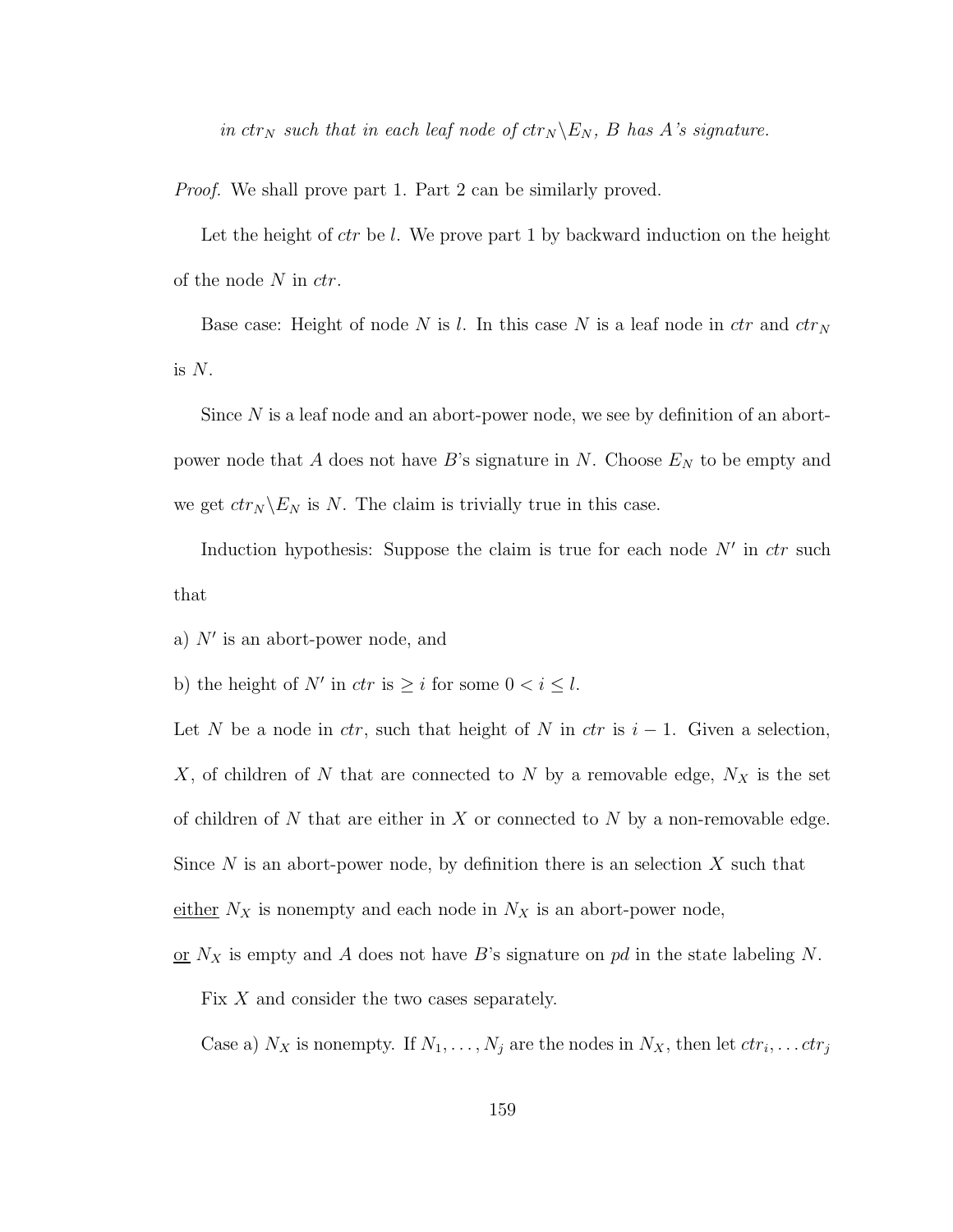in  $ctr_N$  such that in each leaf node of  $ctr_N \backslash E_N$ , B has A's signature.

Proof. We shall prove part 1. Part 2 can be similarly proved.

Let the height of  $ctr$  be l. We prove part 1 by backward induction on the height of the node  $N$  in  $ctr$ .

Base case: Height of node N is l. In this case N is a leaf node in  $ctr$  and  $ctr<sub>N</sub>$ is  $N$ .

Since N is a leaf node and an abort-power node, we see by definition of an abortpower node that A does not have B's signature in N. Choose  $E<sub>N</sub>$  to be empty and we get  $ctr_N \backslash E_N$  is N. The claim is trivially true in this case.

Induction hypothesis: Suppose the claim is true for each node  $N'$  in  $ctr$  such that

- a)  $N'$  is an abort-power node, and
- b) the height of N' in  $ctr$  is  $\geq i$  for some  $0 < i \leq l$ .

Let N be a node in  $ctr$ , such that height of N in  $ctr$  is  $i-1$ . Given a selection, X, of children of N that are connected to N by a removable edge,  $N_X$  is the set of children of N that are either in X or connected to N by a non-removable edge. Since N is an abort-power node, by definition there is an selection  $X$  such that either  $N_X$  is nonempty and each node in  $N_X$  is an abort-power node,

or  $N_X$  is empty and A does not have B's signature on pd in the state labeling N. Fix  $X$  and consider the two cases separately.

Case a)  $N_X$  is nonempty. If  $N_1, \ldots, N_j$  are the nodes in  $N_X$ , then let  $ctr_i, \ldots ctr_j$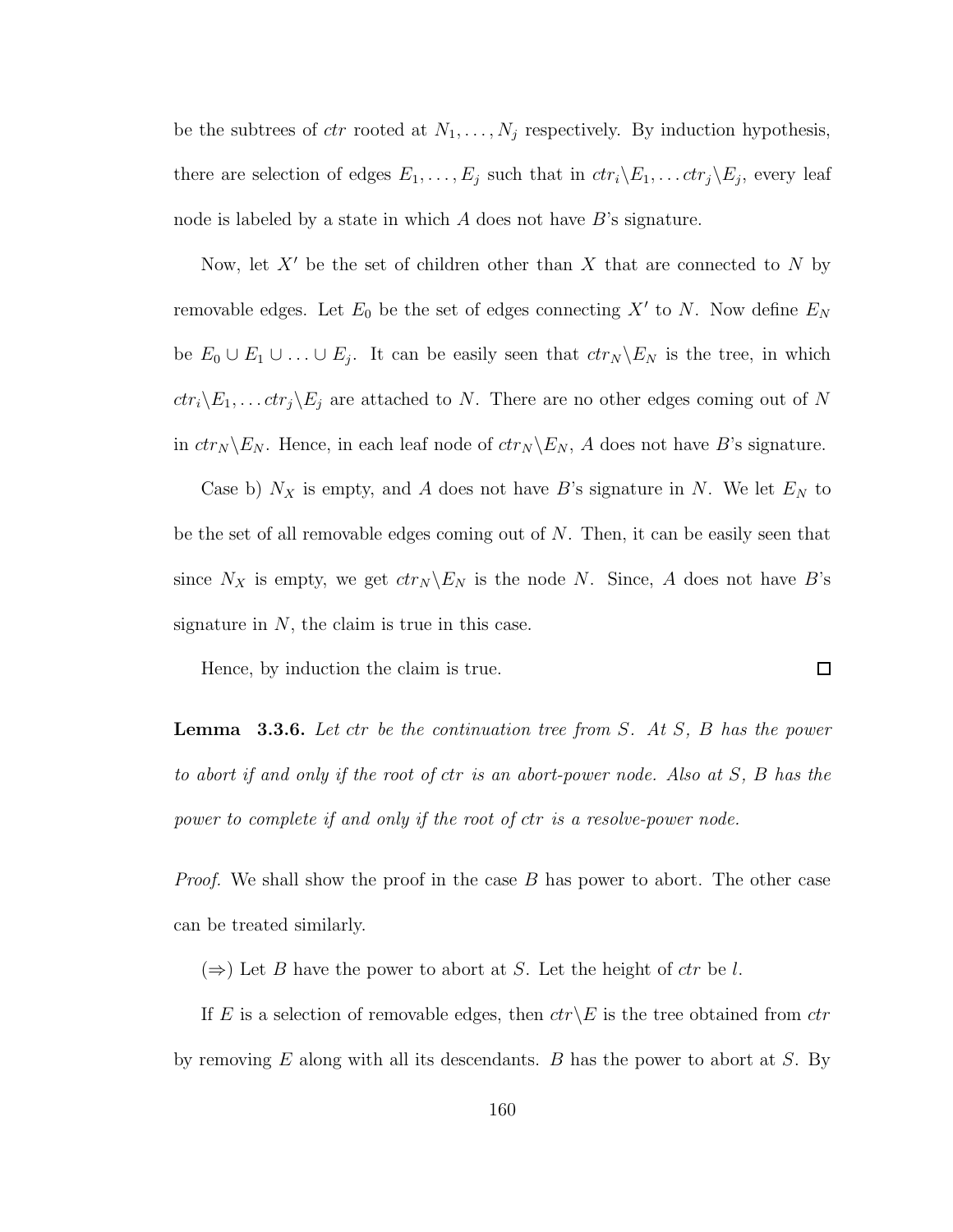be the subtrees of  $ctr$  rooted at  $N_1, \ldots, N_j$  respectively. By induction hypothesis, there are selection of edges  $E_1, \ldots, E_j$  such that in  $ctr_i\backslash E_1, \ldots ctr_j\backslash E_j$ , every leaf node is labeled by a state in which  $A$  does not have  $B$ 's signature.

Now, let  $X'$  be the set of children other than X that are connected to N by removable edges. Let  $E_0$  be the set of edges connecting  $X'$  to N. Now define  $E_N$ be  $E_0 \cup E_1 \cup \ldots \cup E_j$ . It can be easily seen that  $ctr_N \backslash E_N$  is the tree, in which  $ctr_i\backslash E_1, \ldots ctr_j\backslash E_j$  are attached to N. There are no other edges coming out of N in  $ctr_N \backslash E_N$ . Hence, in each leaf node of  $ctr_N \backslash E_N$ , A does not have B's signature.

Case b)  $N_X$  is empty, and A does not have B's signature in N. We let  $E_N$  to be the set of all removable edges coming out of N. Then, it can be easily seen that since  $N_X$  is empty, we get  $ctr_N \backslash E_N$  is the node N. Since, A does not have B's signature in  $N$ , the claim is true in this case.

Hence, by induction the claim is true.

**Lemma** 3.3.6. Let ctr be the continuation tree from  $S$ . At  $S$ ,  $B$  has the power to abort if and only if the root of ctr is an abort-power node. Also at S, B has the power to complete if and only if the root of ctr is a resolve-power node.

 $\Box$ 

*Proof.* We shall show the proof in the case  $B$  has power to abort. The other case can be treated similarly.

 $(\Rightarrow)$  Let B have the power to abort at S. Let the height of ctr be l.

If E is a selection of removable edges, then  $ctr\angle E$  is the tree obtained from  $ctr$ by removing  $E$  along with all its descendants.  $B$  has the power to abort at  $S$ . By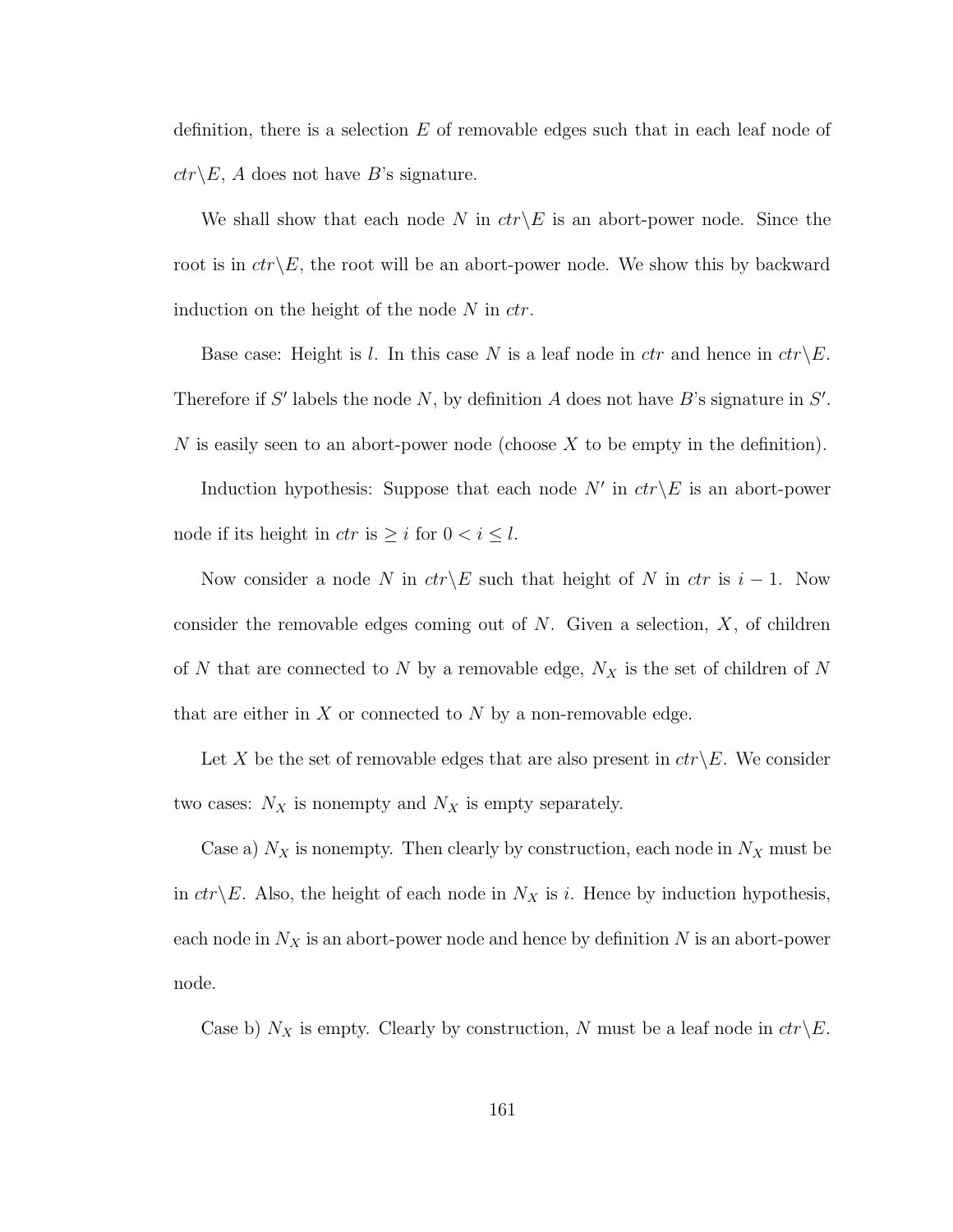definition, there is a selection  $E$  of removable edges such that in each leaf node of  $ctr\&E, A$  does not have B's signature.

We shall show that each node N in  $ctr\&E$  is an abort-power node. Since the root is in  $ctr\angle E$ , the root will be an abort-power node. We show this by backward induction on the height of the node  $N$  in  $ctr$ .

Base case: Height is l. In this case N is a leaf node in ctr and hence in  $ctr\backslash E$ . Therefore if S' labels the node N, by definition A does not have B's signature in  $S'$ . N is easily seen to an abort-power node (choose  $X$  to be empty in the definition).

Induction hypothesis: Suppose that each node  $N'$  in  $ctr\&$  is an abort-power node if its height in  $ctr$  is  $\geq i$  for  $0 < i \leq l$ .

Now consider a node N in  $ctr\&$  such that height of N in ctr is i − 1. Now consider the removable edges coming out of  $N$ . Given a selection,  $X$ , of children of N that are connected to N by a removable edge,  $N_X$  is the set of children of N that are either in X or connected to N by a non-removable edge.

Let X be the set of removable edges that are also present in  $ctr\backslash E$ . We consider two cases:  $N_X$  is nonempty and  $N_X$  is empty separately.

Case a)  $N_X$  is nonempty. Then clearly by construction, each node in  $N_X$  must be in  $ctr\&E$ . Also, the height of each node in  $N_X$  is i. Hence by induction hypothesis, each node in  $N_X$  is an abort-power node and hence by definition N is an abort-power node.

Case b)  $N_X$  is empty. Clearly by construction, N must be a leaf node in  $ctr\$  E.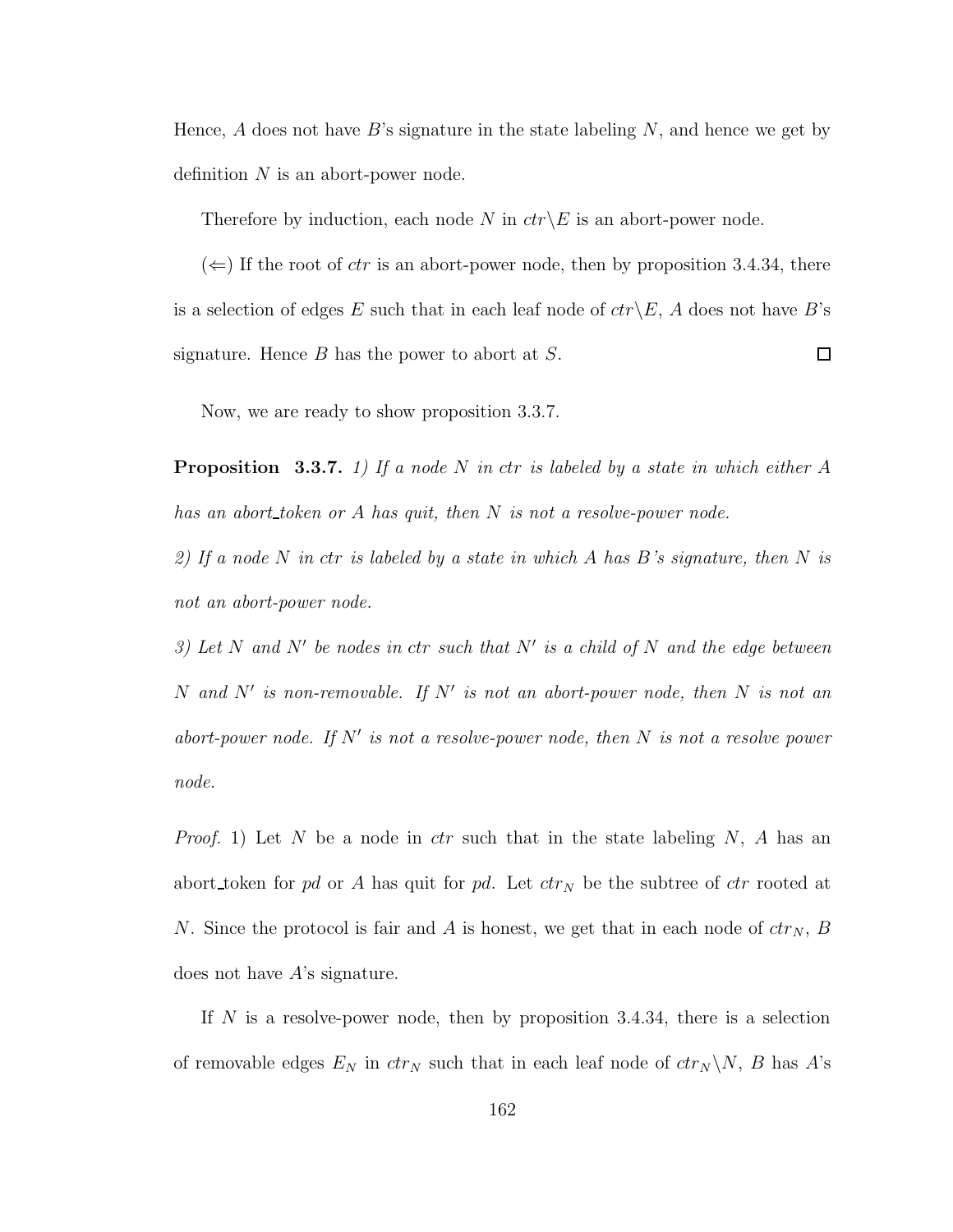Hence,  $A$  does not have  $B$ 's signature in the state labeling  $N$ , and hence we get by definition  $N$  is an abort-power node.

Therefore by induction, each node N in  $ctr\&E$  is an abort-power node.

 $(\Leftarrow)$  If the root of *ctr* is an abort-power node, then by proposition 3.4.34, there is a selection of edges E such that in each leaf node of  $ctr\&E$ , A does not have B's signature. Hence  $B$  has the power to abort at  $S$ .  $\Box$ 

Now, we are ready to show proposition 3.3.7.

**Proposition** 3.3.7. 1) If a node N in ctr is labeled by a state in which either A has an abort token or A has quit, then N is not a resolve-power node.

2) If a node N in ctr is labeled by a state in which A has B's signature, then N is not an abort-power node.

3) Let N and N' be nodes in ctr such that N' is a child of N and the edge between N and N' is non-removable. If N' is not an abort-power node, then N is not an abort-power node. If  $N'$  is not a resolve-power node, then  $N$  is not a resolve power node.

*Proof.* 1) Let N be a node in *ctr* such that in the state labeling N, A has an abort token for pd or A has quit for pd. Let  $ctr<sub>N</sub>$  be the subtree of  $ctr$  rooted at N. Since the protocol is fair and A is honest, we get that in each node of  $ctr_N$ , B does not have A's signature.

If  $N$  is a resolve-power node, then by proposition 3.4.34, there is a selection of removable edges  $E_N$  in  $ctr_N$  such that in each leaf node of  $ctr_N \backslash N$ , B has A's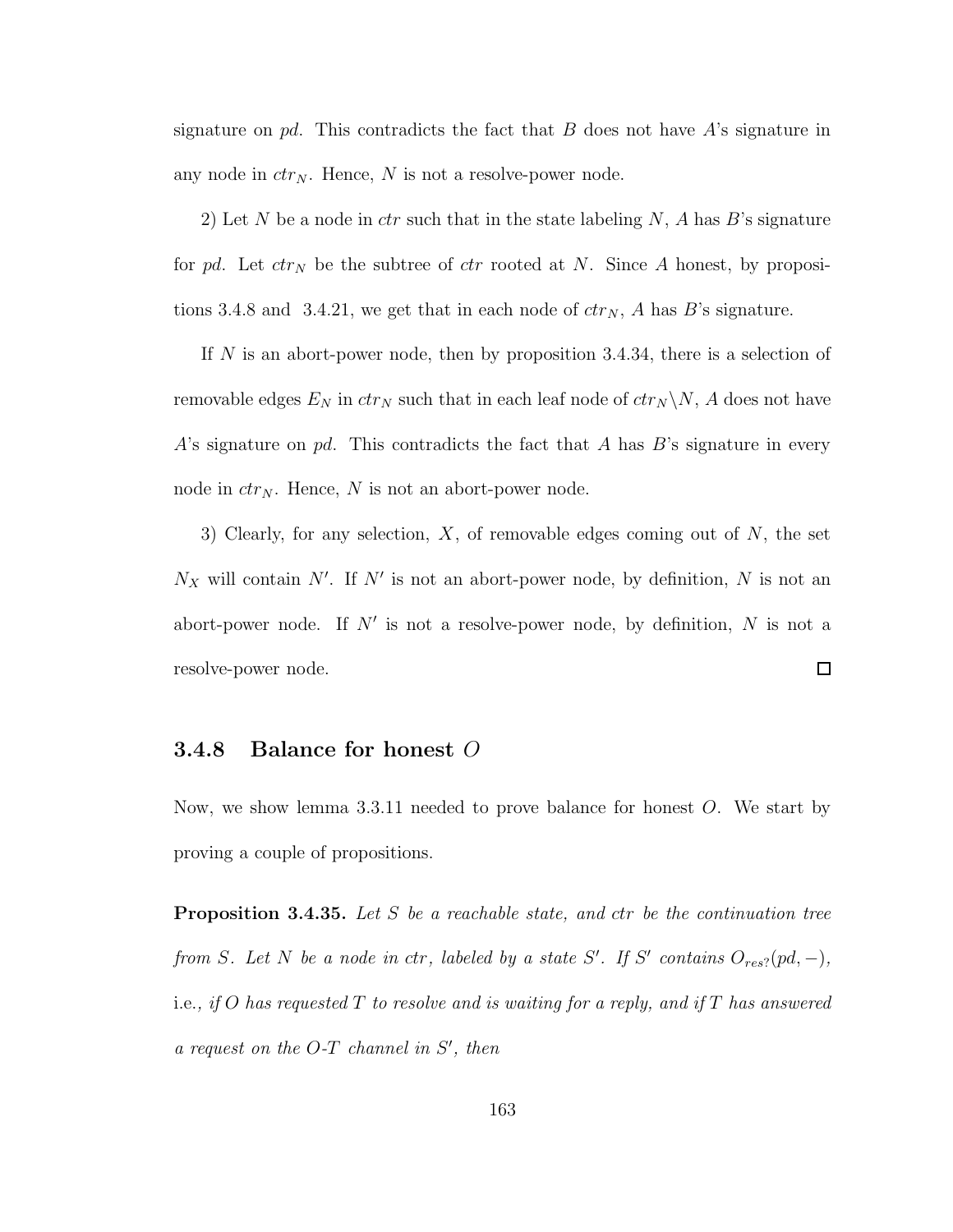signature on pd. This contradicts the fact that B does not have  $A$ 's signature in any node in  $ctr_N$ . Hence, N is not a resolve-power node.

2) Let N be a node in *ctr* such that in the state labeling N, A has B's signature for pd. Let  $ctr_N$  be the subtree of  $ctr$  rooted at N. Since A honest, by propositions 3.4.8 and 3.4.21, we get that in each node of  $ctr_N$ , A has B's signature.

If N is an abort-power node, then by proposition 3.4.34, there is a selection of removable edges  $E_N$  in  $ctr_N$  such that in each leaf node of  $ctr_N \backslash N$ , A does not have A's signature on  $pd$ . This contradicts the fact that A has B's signature in every node in  $ctr_N$ . Hence, N is not an abort-power node.

3) Clearly, for any selection,  $X$ , of removable edges coming out of  $N$ , the set  $N_X$  will contain N'. If N' is not an abort-power node, by definition, N is not an abort-power node. If  $N'$  is not a resolve-power node, by definition, N is not a  $\Box$ resolve-power node.

#### **3.4.8** Balance for honest  $O$

Now, we show lemma 3.3.11 needed to prove balance for honest O. We start by proving a couple of propositions.

**Proposition 3.4.35.** Let S be a reachable state, and ctr be the continuation tree from S. Let N be a node in ctr, labeled by a state S'. If S' contains  $O_{res}$ ?  $(pd, -)$ , i.e., if O has requested T to resolve and is waiting for a reply, and if T has answered  $a$  request on the  $O-T$  channel in  $S'$ , then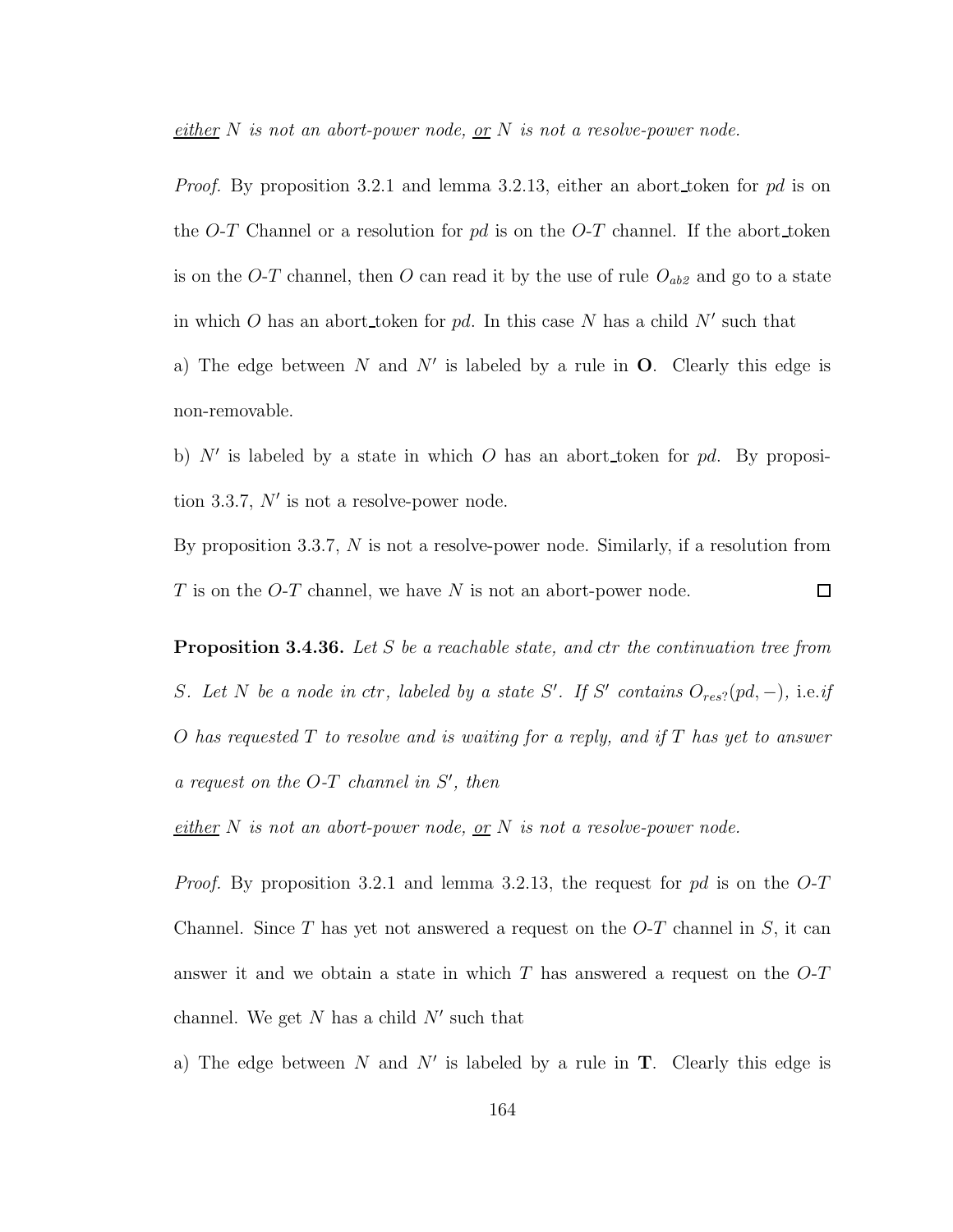either N is not an abort-power node, or N is not a resolve-power node.

*Proof.* By proposition 3.2.1 and lemma 3.2.13, either an abort token for pd is on the O-T Channel or a resolution for  $pd$  is on the O-T channel. If the abort token is on the O-T channel, then O can read it by the use of rule  $O_{ab2}$  and go to a state in which O has an abort token for pd. In this case N has a child  $N'$  such that

a) The edge between N and N' is labeled by a rule in  $O$ . Clearly this edge is non-removable.

b)  $N'$  is labeled by a state in which O has an abort token for pd. By proposition 3.3.7,  $N'$  is not a resolve-power node.

By proposition 3.3.7, N is not a resolve-power node. Similarly, if a resolution from T is on the  $O-T$  channel, we have N is not an abort-power node.  $\Box$ 

**Proposition 3.4.36.** Let S be a reachable state, and ctr the continuation tree from S. Let N be a node in ctr, labeled by a state S'. If S' contains  $O_{res}$ ? (pd, -), i.e.if O has requested  $T$  to resolve and is waiting for a reply, and if  $T$  has yet to answer  $a$  request on the  $O-T$  channel in  $S'$ , then

 $\frac{either}{.}$  N is not an abort-power node, or N is not a resolve-power node.

*Proof.* By proposition 3.2.1 and lemma 3.2.13, the request for pd is on the  $O-T$ Channel. Since T has yet not answered a request on the  $O-T$  channel in S, it can answer it and we obtain a state in which  $T$  has answered a request on the  $O-T$ channel. We get  $N$  has a child  $N'$  such that

a) The edge between N and N' is labeled by a rule in  $T$ . Clearly this edge is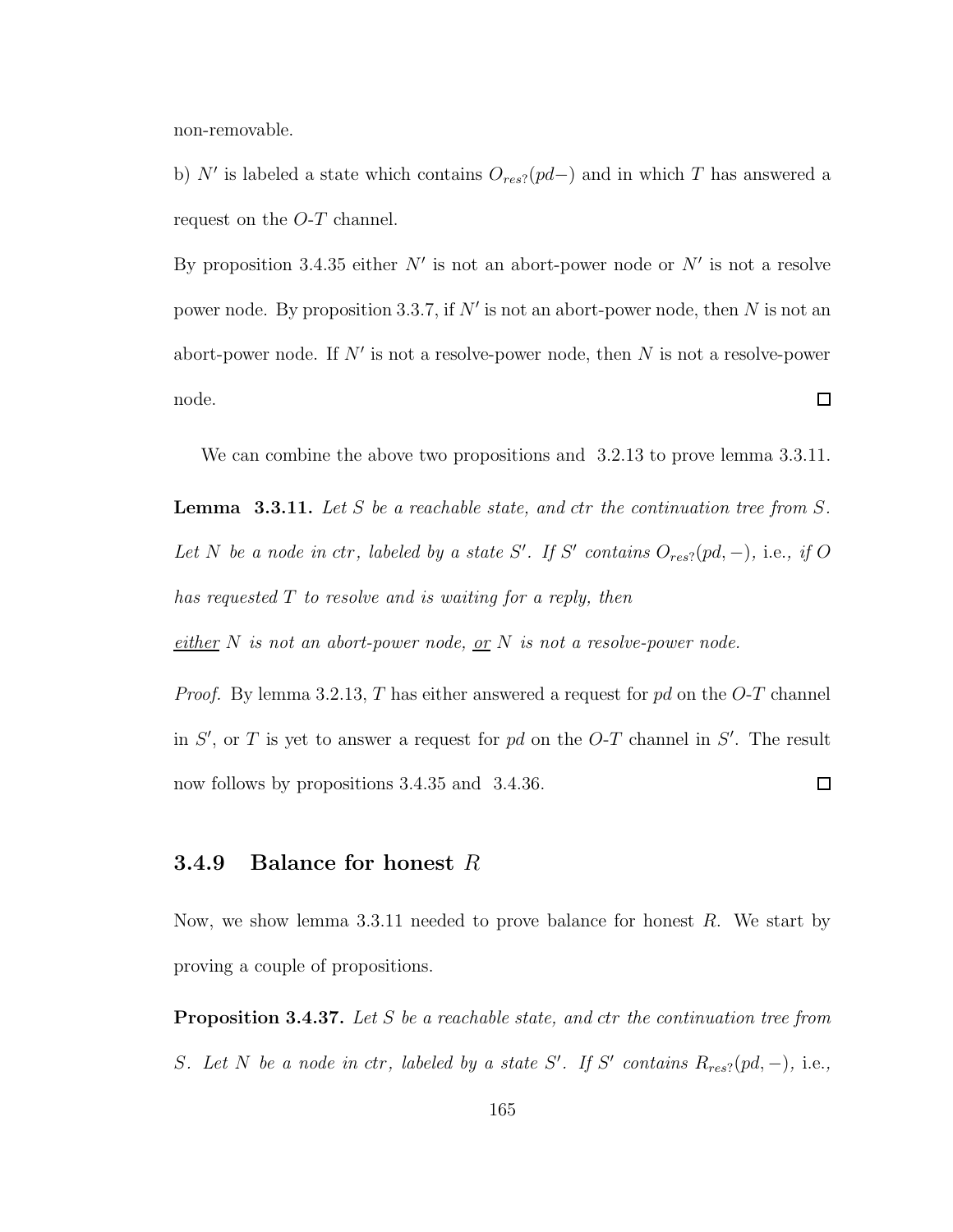non-removable.

b) N' is labeled a state which contains  $O_{res}$ ?( $pd-$ ) and in which T has answered a request on the O-T channel.

By proposition 3.4.35 either  $N'$  is not an abort-power node or  $N'$  is not a resolve power node. By proposition 3.3.7, if  $N'$  is not an abort-power node, then N is not an abort-power node. If  $N'$  is not a resolve-power node, then N is not a resolve-power  $\Box$ node.

We can combine the above two propositions and 3.2.13 to prove lemma 3.3.11.

**Lemma** 3.3.11. Let S be a reachable state, and ctr the continuation tree from S. Let N be a node in ctr, labeled by a state S'. If S' contains  $O_{res}$ ? (pd, -), i.e., if O has requested T to resolve and is waiting for a reply, then

either N is not an abort-power node, or N is not a resolve-power node.

*Proof.* By lemma 3.2.13, T has either answered a request for  $pd$  on the O-T channel in  $S'$ , or T is yet to answer a request for pd on the O-T channel in  $S'$ . The result now follows by propositions 3.4.35 and 3.4.36.  $\Box$ 

### **3.4.9** Balance for honest  $R$

Now, we show lemma 3.3.11 needed to prove balance for honest  $R$ . We start by proving a couple of propositions.

**Proposition 3.4.37.** Let S be a reachable state, and ctr the continuation tree from S. Let N be a node in ctr, labeled by a state S'. If S' contains  $R_{res}$ ?(pd, -), i.e.,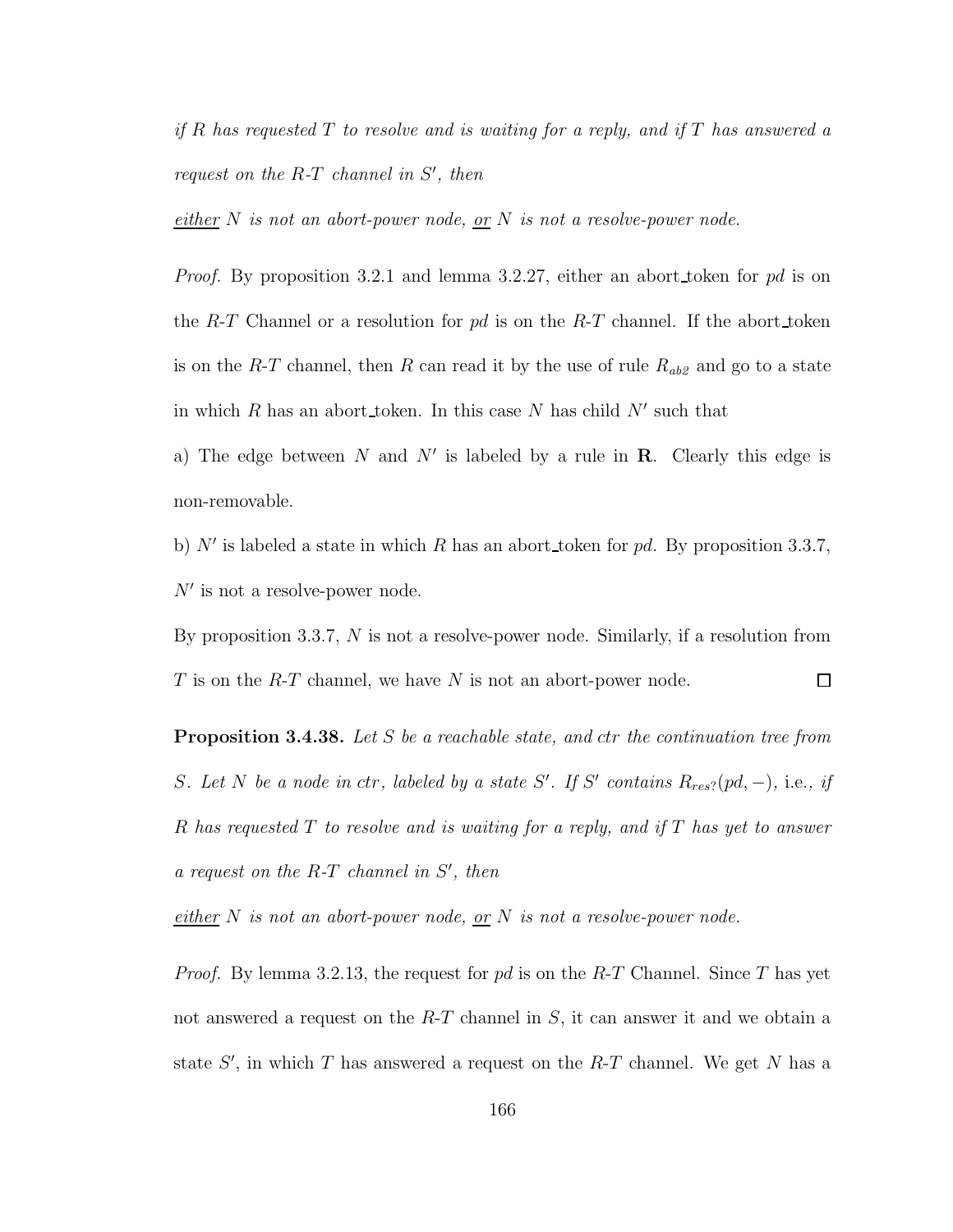if R has requested  $T$  to resolve and is waiting for a reply, and if  $T$  has answered a request on the  $R$ - $T$  channel in  $S'$ , then

 $\underline{either}~N~is~not~an~abort-power~node,~\underline{or}~N~is~not~a~resolve-power~node.$ 

*Proof.* By proposition 3.2.1 and lemma 3.2.27, either an abort token for pd is on the R-T Channel or a resolution for pd is on the R-T channel. If the abort token is on the R-T channel, then R can read it by the use of rule  $R_{ab}$  and go to a state in which R has an abort token. In this case N has child  $N'$  such that

a) The edge between N and N' is labeled by a rule in  $\mathbf R$ . Clearly this edge is non-removable.

b) N' is labeled a state in which R has an abort token for pd. By proposition 3.3.7,  $N'$  is not a resolve-power node.

By proposition 3.3.7, N is not a resolve-power node. Similarly, if a resolution from T is on the R-T channel, we have N is not an abort-power node.  $\Box$ 

Proposition 3.4.38. Let S be a reachable state, and ctr the continuation tree from S. Let N be a node in ctr, labeled by a state S'. If S' contains  $R_{res}$ ?(pd, -), i.e., if R has requested T to resolve and is waiting for a reply, and if T has yet to answer  $a$  request on the R-T channel in  $S'$ , then

either  $N$  is not an abort-power node, or  $N$  is not a resolve-power node.

*Proof.* By lemma 3.2.13, the request for pd is on the R-T Channel. Since T has yet not answered a request on the  $R-T$  channel in S, it can answer it and we obtain a state  $S'$ , in which T has answered a request on the R-T channel. We get N has a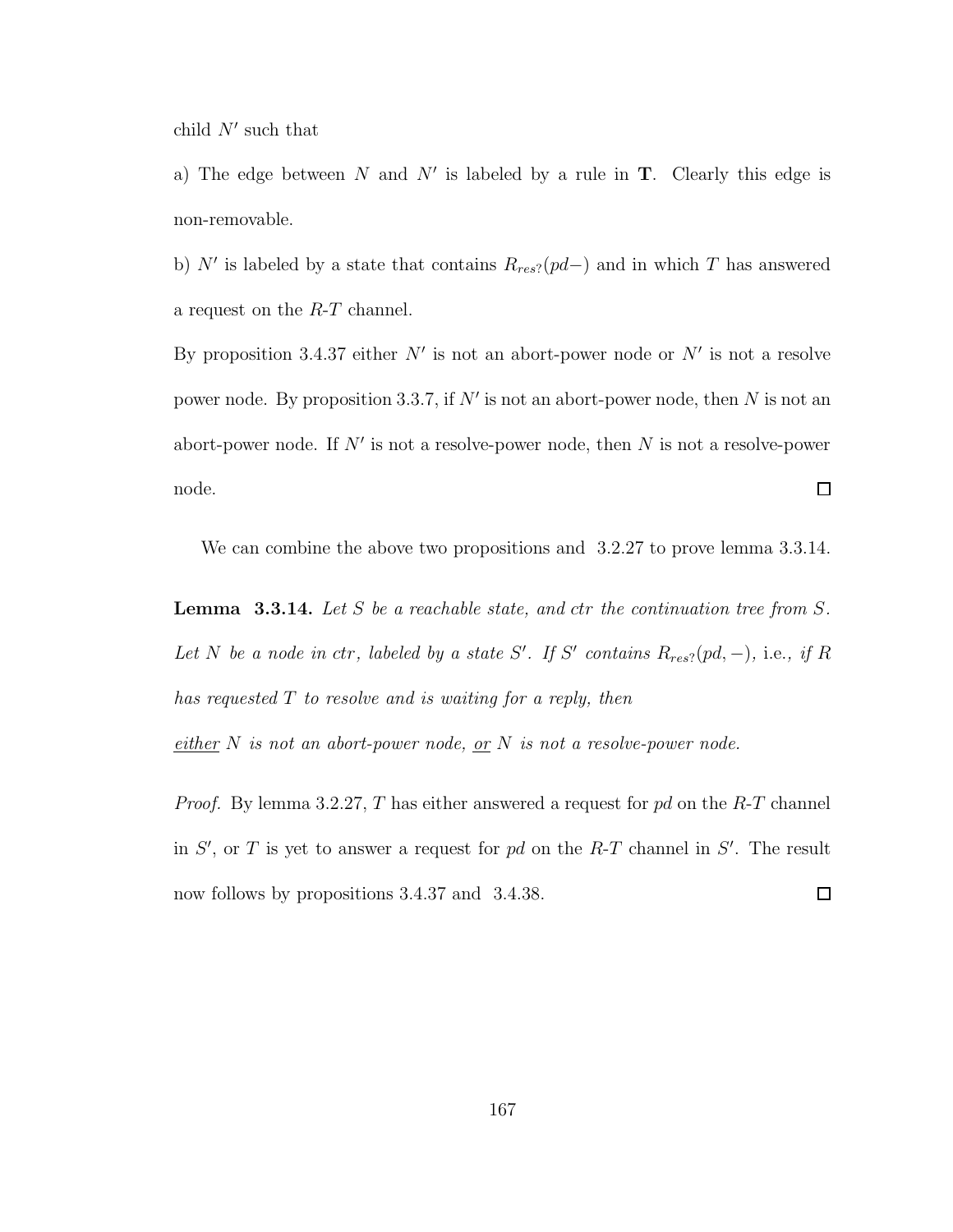child  $N'$  such that

a) The edge between N and N' is labeled by a rule in  $T$ . Clearly this edge is non-removable.

b) N' is labeled by a state that contains  $R_{res}$ ?( $pd-$ ) and in which T has answered a request on the R-T channel.

By proposition 3.4.37 either  $N'$  is not an abort-power node or  $N'$  is not a resolve power node. By proposition 3.3.7, if  $N'$  is not an abort-power node, then N is not an abort-power node. If  $N'$  is not a resolve-power node, then N is not a resolve-power node.  $\Box$ 

We can combine the above two propositions and 3.2.27 to prove lemma 3.3.14.

**Lemma** 3.3.14. Let S be a reachable state, and ctr the continuation tree from  $S$ . Let N be a node in ctr, labeled by a state S'. If S' contains  $R_{res}$ ?(pd, -), i.e., if R has requested T to resolve and is waiting for a reply, then

 $\frac{either}{.}$  N is not an abort-power node, <u>or</u> N is not a resolve-power node.

*Proof.* By lemma 3.2.27, T has either answered a request for  $pd$  on the R-T channel in  $S'$ , or T is yet to answer a request for pd on the R-T channel in  $S'$ . The result now follows by propositions 3.4.37 and 3.4.38.  $\Box$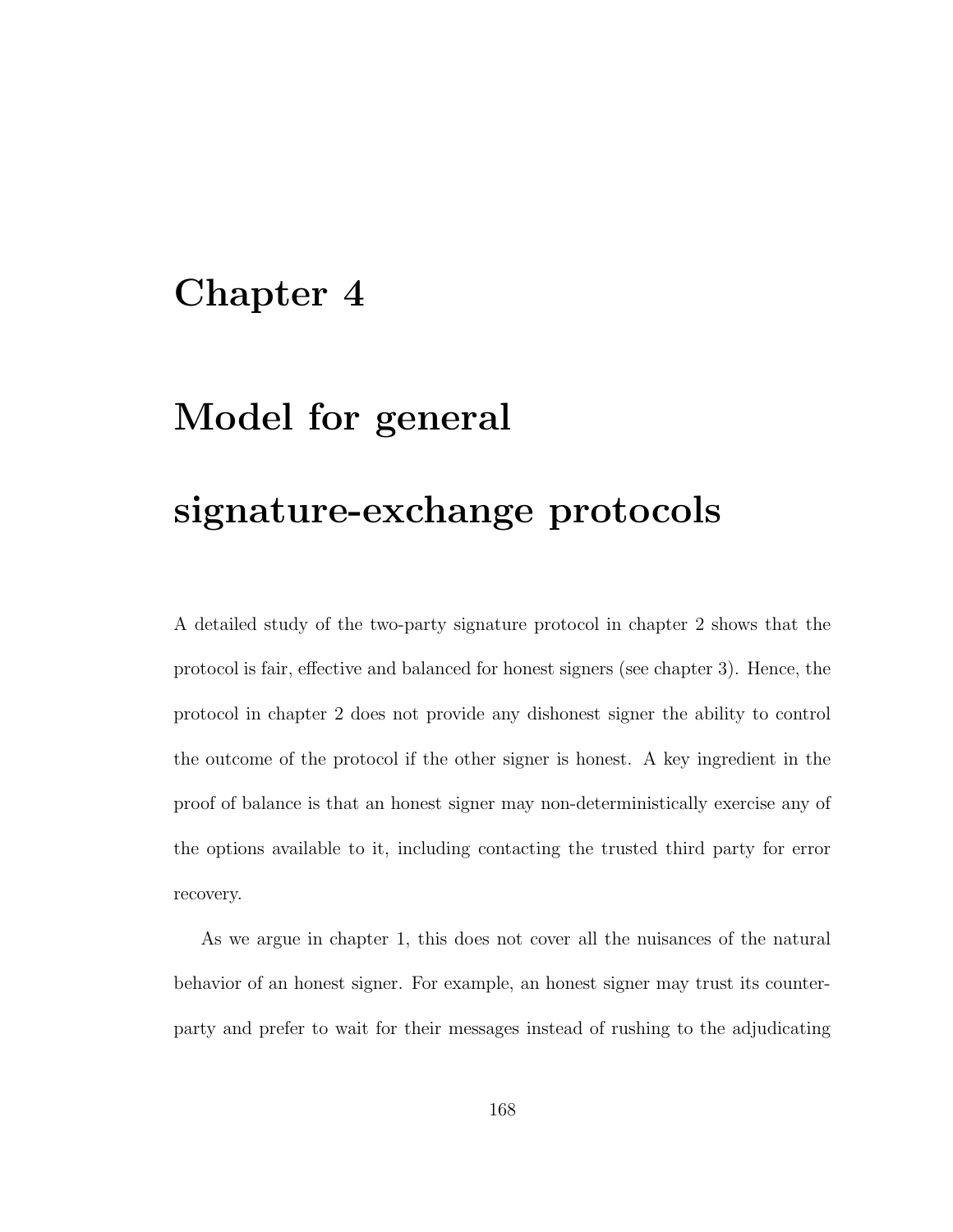### Chapter 4

## Model for general

# signature-exchange protocols

A detailed study of the two-party signature protocol in chapter 2 shows that the protocol is fair, effective and balanced for honest signers (see chapter 3). Hence, the protocol in chapter 2 does not provide any dishonest signer the ability to control the outcome of the protocol if the other signer is honest. A key ingredient in the proof of balance is that an honest signer may non-deterministically exercise any of the options available to it, including contacting the trusted third party for error recovery.

As we argue in chapter 1, this does not cover all the nuisances of the natural behavior of an honest signer. For example, an honest signer may trust its counterparty and prefer to wait for their messages instead of rushing to the adjudicating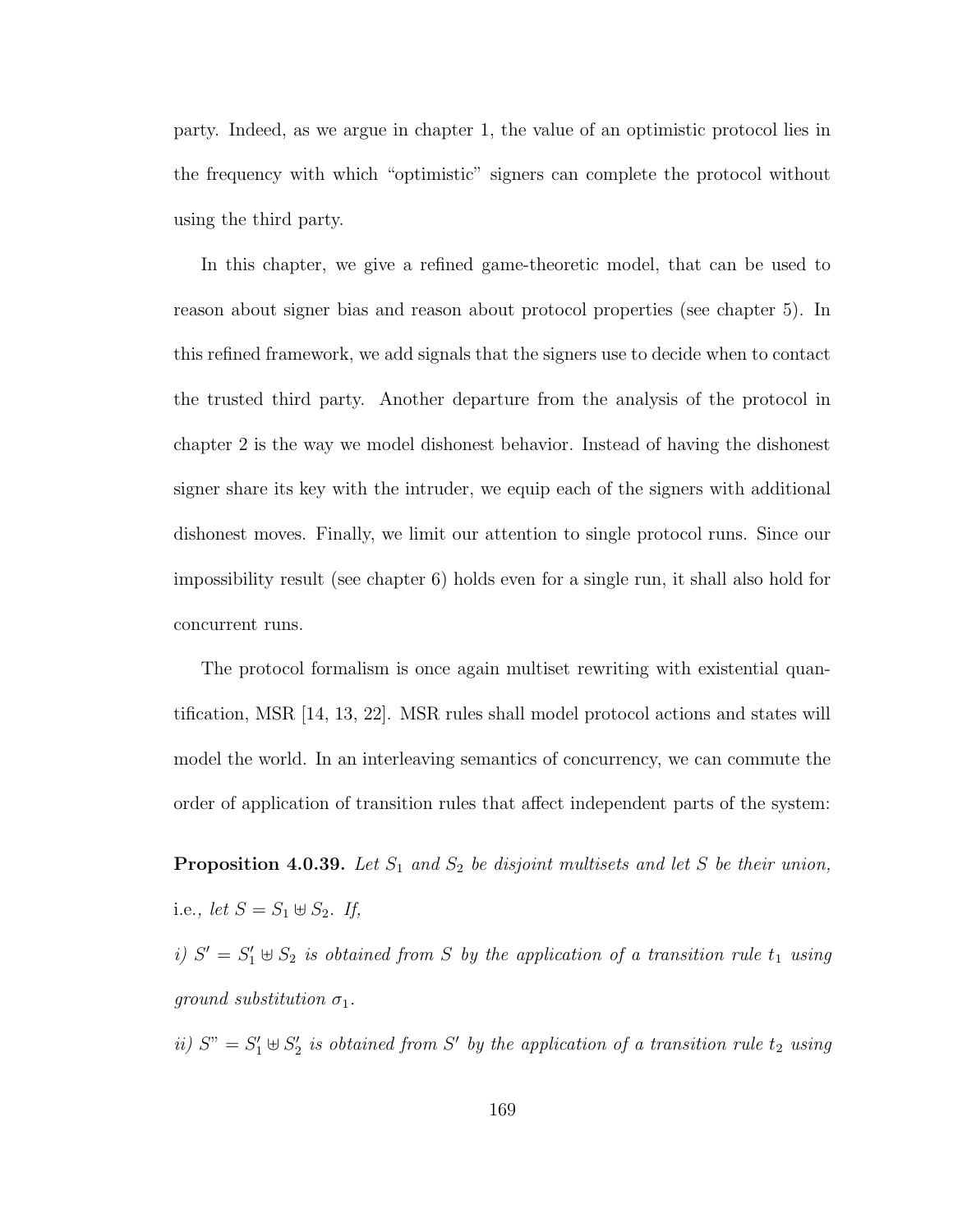party. Indeed, as we argue in chapter 1, the value of an optimistic protocol lies in the frequency with which "optimistic" signers can complete the protocol without using the third party.

In this chapter, we give a refined game-theoretic model, that can be used to reason about signer bias and reason about protocol properties (see chapter 5). In this refined framework, we add signals that the signers use to decide when to contact the trusted third party. Another departure from the analysis of the protocol in chapter 2 is the way we model dishonest behavior. Instead of having the dishonest signer share its key with the intruder, we equip each of the signers with additional dishonest moves. Finally, we limit our attention to single protocol runs. Since our impossibility result (see chapter 6) holds even for a single run, it shall also hold for concurrent runs.

The protocol formalism is once again multiset rewriting with existential quantification, MSR [14, 13, 22]. MSR rules shall model protocol actions and states will model the world. In an interleaving semantics of concurrency, we can commute the order of application of transition rules that affect independent parts of the system:

**Proposition 4.0.39.** Let  $S_1$  and  $S_2$  be disjoint multisets and let S be their union, i.e., let  $S = S_1 \oplus S_2$ . If,

i)  $S' = S_1' \oplus S_2$  is obtained from S by the application of a transition rule  $t_1$  using ground substitution  $\sigma_1$ .

ii)  $S'' = S'_1 \oplus S'_2$  $\mathcal{L}_2'$  is obtained from S' by the application of a transition rule  $t_2$  using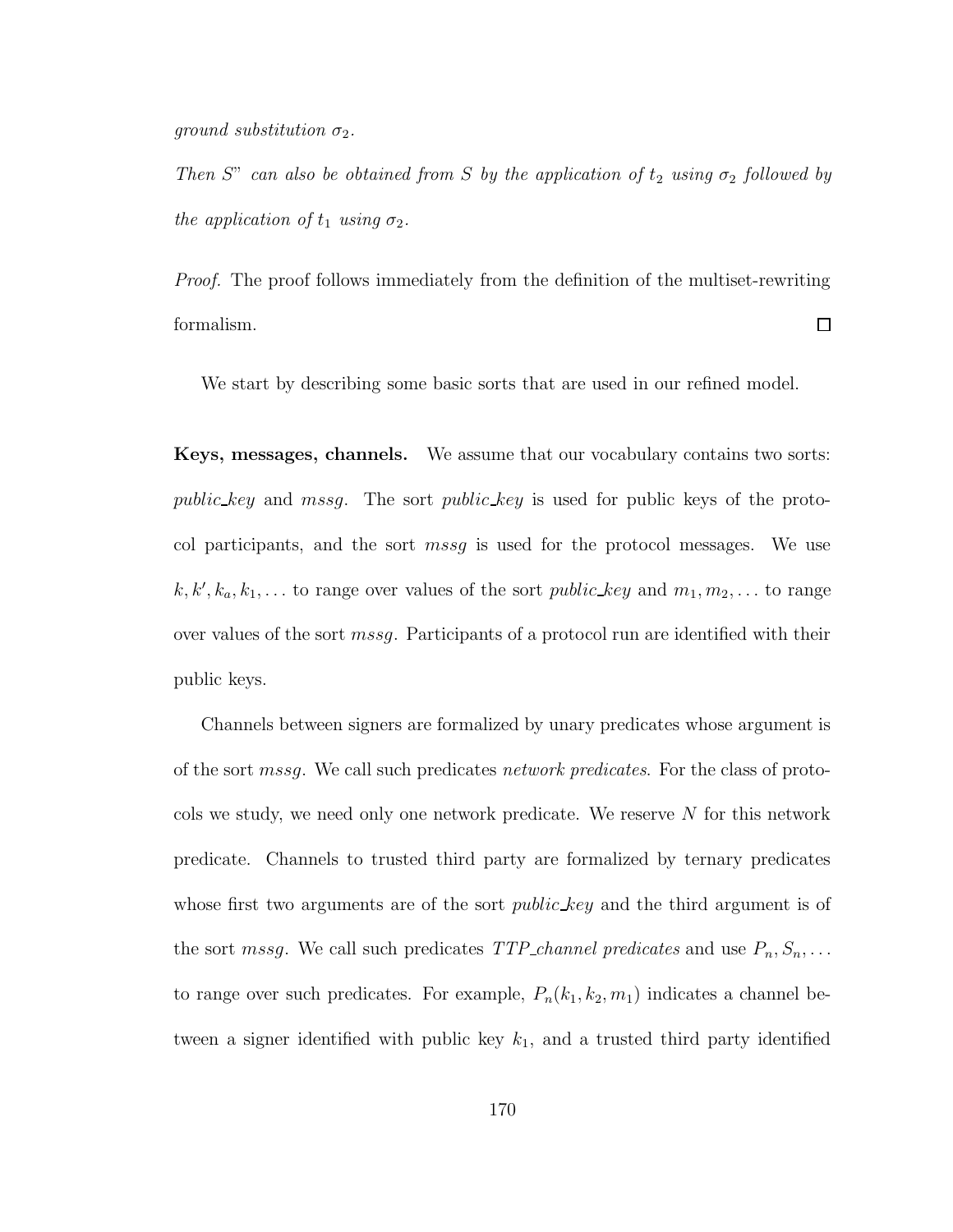ground substitution  $\sigma_2$ .

Then S" can also be obtained from S by the application of  $t_2$  using  $\sigma_2$  followed by the application of  $t_1$  using  $\sigma_2$ .

Proof. The proof follows immediately from the definition of the multiset-rewriting formalism.  $\Box$ 

We start by describing some basic sorts that are used in our refined model.

Keys, messages, channels. We assume that our vocabulary contains two sorts: public key and mssg. The sort public key is used for public keys of the protocol participants, and the sort mssg is used for the protocol messages. We use  $k, k', k_a, k_1, \ldots$  to range over values of the sort *public\_key* and  $m_1, m_2, \ldots$  to range over values of the sort *mssg*. Participants of a protocol run are identified with their public keys.

Channels between signers are formalized by unary predicates whose argument is of the sort mssg. We call such predicates network predicates. For the class of protocols we study, we need only one network predicate. We reserve N for this network predicate. Channels to trusted third party are formalized by ternary predicates whose first two arguments are of the sort *public key* and the third argument is of the sort mssg. We call such predicates  $TTP\_channel$  predicates and use  $P_n, S_n, \ldots$ to range over such predicates. For example,  $P_n(k_1, k_2, m_1)$  indicates a channel between a signer identified with public key  $k_1$ , and a trusted third party identified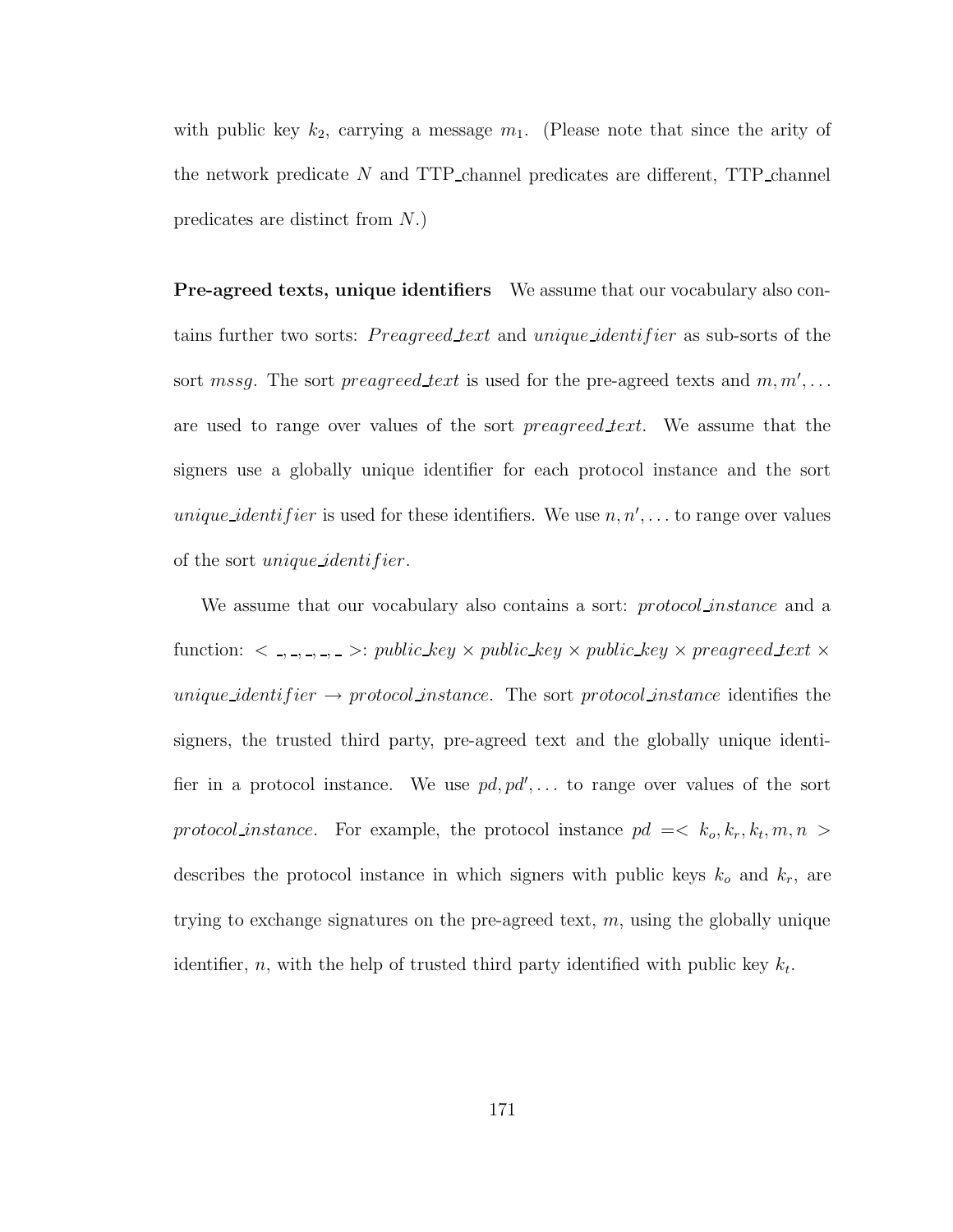with public key  $k_2$ , carrying a message  $m_1$ . (Please note that since the arity of the network predicate  $N$  and TTP channel predicates are different, TTP channel predicates are distinct from N.)

Pre-agreed texts, unique identifiers We assume that our vocabulary also contains further two sorts: *Preagreed text* and *unique identifier* as sub-sorts of the sort mssg. The sort preagreed text is used for the pre-agreed texts and  $m, m', \ldots$ are used to range over values of the sort *preagreed text*. We assume that the signers use a globally unique identifier for each protocol instance and the sort *unique\_identifier* is used for these identifiers. We use  $n, n', \ldots$  to range over values of the sort *unique identifier*.

We assume that our vocabulary also contains a sort: *protocol instance* and a function:  $\langle , , , , , \rangle$  >: public key  $\times$  public key  $\times$  public key  $\times$  preagreed text  $\times$ unique\_identifier  $\rightarrow$  protocol\_instance. The sort protocol\_instance identifies the signers, the trusted third party, pre-agreed text and the globally unique identifier in a protocol instance. We use  $pd, pd', \ldots$  to range over values of the sort protocol instance. For example, the protocol instance  $pd = < k_o, k_r, k_t, m, n >$ describes the protocol instance in which signers with public keys  $k_o$  and  $k_r$ , are trying to exchange signatures on the pre-agreed text,  $m$ , using the globally unique identifier, n, with the help of trusted third party identified with public key  $k_t$ .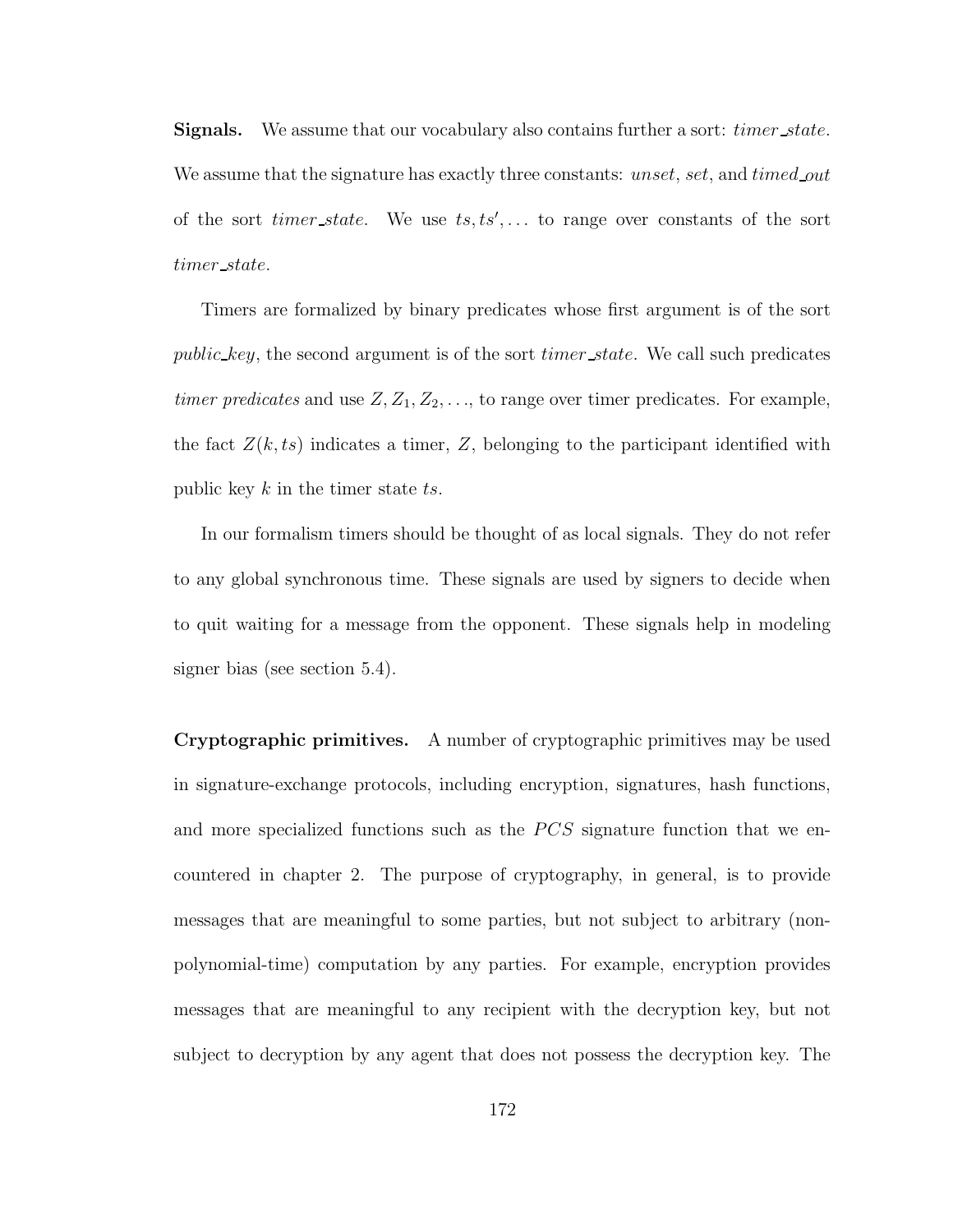Signals. We assume that our vocabulary also contains further a sort: *timer\_state*. We assume that the signature has exactly three constants: unset, set, and timed out of the sort *timer\_state*. We use  $ts, ts', \ldots$  to range over constants of the sort timer state.

Timers are formalized by binary predicates whose first argument is of the sort public key, the second argument is of the sort *timer* state. We call such predicates timer predicates and use  $Z, Z_1, Z_2, \ldots$ , to range over timer predicates. For example, the fact  $Z(k, ts)$  indicates a timer, Z, belonging to the participant identified with public key  $k$  in the timer state  $ts$ .

In our formalism timers should be thought of as local signals. They do not refer to any global synchronous time. These signals are used by signers to decide when to quit waiting for a message from the opponent. These signals help in modeling signer bias (see section 5.4).

Cryptographic primitives. A number of cryptographic primitives may be used in signature-exchange protocols, including encryption, signatures, hash functions, and more specialized functions such as the  $PCS$  signature function that we encountered in chapter 2. The purpose of cryptography, in general, is to provide messages that are meaningful to some parties, but not subject to arbitrary (nonpolynomial-time) computation by any parties. For example, encryption provides messages that are meaningful to any recipient with the decryption key, but not subject to decryption by any agent that does not possess the decryption key. The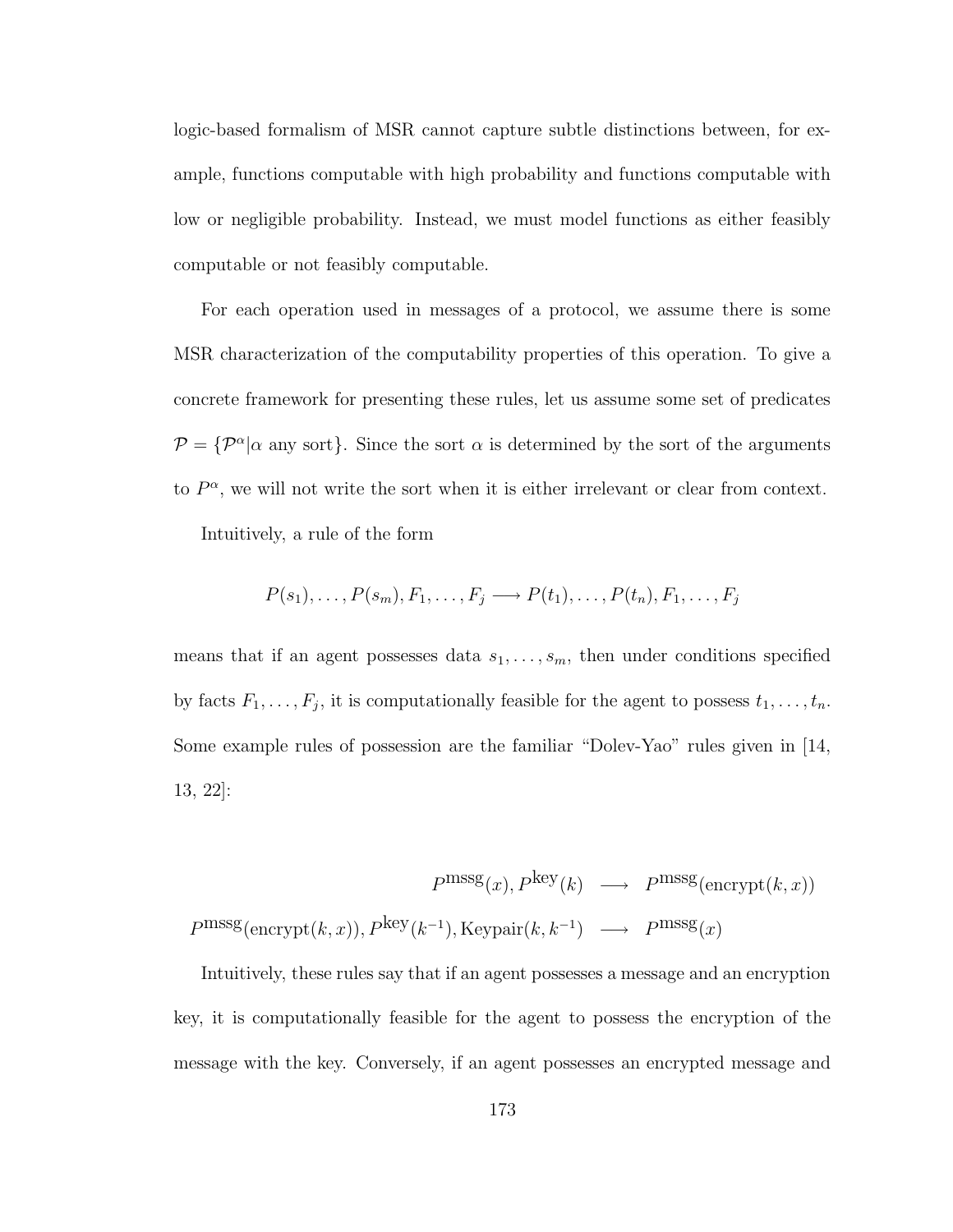logic-based formalism of MSR cannot capture subtle distinctions between, for example, functions computable with high probability and functions computable with low or negligible probability. Instead, we must model functions as either feasibly computable or not feasibly computable.

For each operation used in messages of a protocol, we assume there is some MSR characterization of the computability properties of this operation. To give a concrete framework for presenting these rules, let us assume some set of predicates  $\mathcal{P} = {\mathcal{P}^{\alpha}|\alpha}$  any sort}. Since the sort  $\alpha$  is determined by the sort of the arguments to  $P^{\alpha}$ , we will not write the sort when it is either irrelevant or clear from context.

Intuitively, a rule of the form

$$
P(s_1),\ldots,P(s_m),F_1,\ldots,F_j\longrightarrow P(t_1),\ldots,P(t_n),F_1,\ldots,F_j
$$

means that if an agent possesses data  $s_1, \ldots, s_m$ , then under conditions specified by facts  $F_1, \ldots, F_j$ , it is computationally feasible for the agent to possess  $t_1, \ldots, t_n$ . Some example rules of possession are the familiar "Dolev-Yao" rules given in [14, 13, 22]:

$$
Pmmsg(x), Pkey(k) \longrightarrow Pmmsg(\n\equiv\n\binom{mrssg}{k}(\text{energy}(k, x)), Pkey(k^{-1}), \text{Keypair}(k, k^{-1}) \longrightarrow Pmmsg(x)
$$

Intuitively, these rules say that if an agent possesses a message and an encryption key, it is computationally feasible for the agent to possess the encryption of the message with the key. Conversely, if an agent possesses an encrypted message and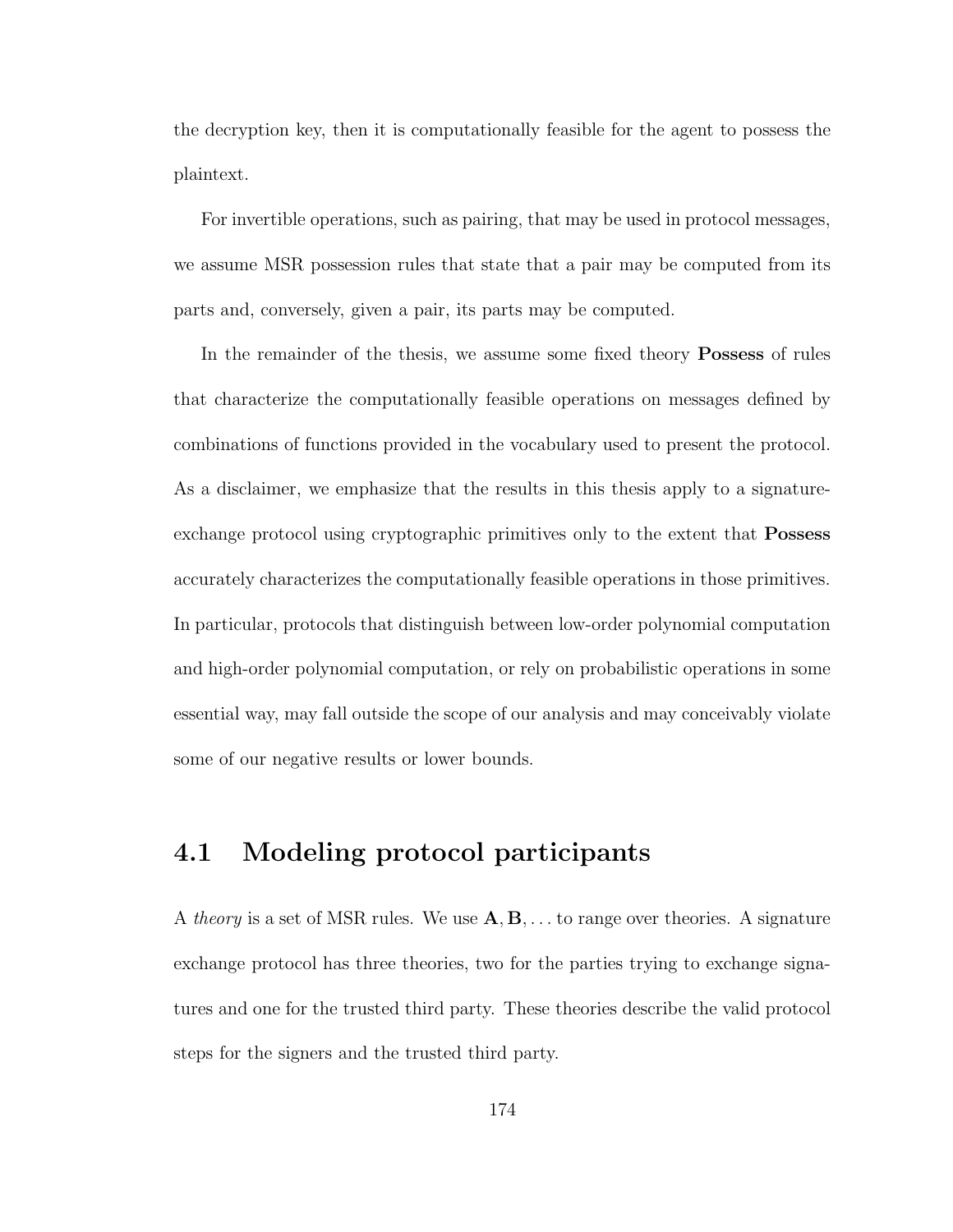the decryption key, then it is computationally feasible for the agent to possess the plaintext.

For invertible operations, such as pairing, that may be used in protocol messages, we assume MSR possession rules that state that a pair may be computed from its parts and, conversely, given a pair, its parts may be computed.

In the remainder of the thesis, we assume some fixed theory Possess of rules that characterize the computationally feasible operations on messages defined by combinations of functions provided in the vocabulary used to present the protocol. As a disclaimer, we emphasize that the results in this thesis apply to a signatureexchange protocol using cryptographic primitives only to the extent that **Possess** accurately characterizes the computationally feasible operations in those primitives. In particular, protocols that distinguish between low-order polynomial computation and high-order polynomial computation, or rely on probabilistic operations in some essential way, may fall outside the scope of our analysis and may conceivably violate some of our negative results or lower bounds.

## 4.1 Modeling protocol participants

A *theory* is a set of MSR rules. We use  $\mathbf{A}, \mathbf{B}, \dots$  to range over theories. A signature exchange protocol has three theories, two for the parties trying to exchange signatures and one for the trusted third party. These theories describe the valid protocol steps for the signers and the trusted third party.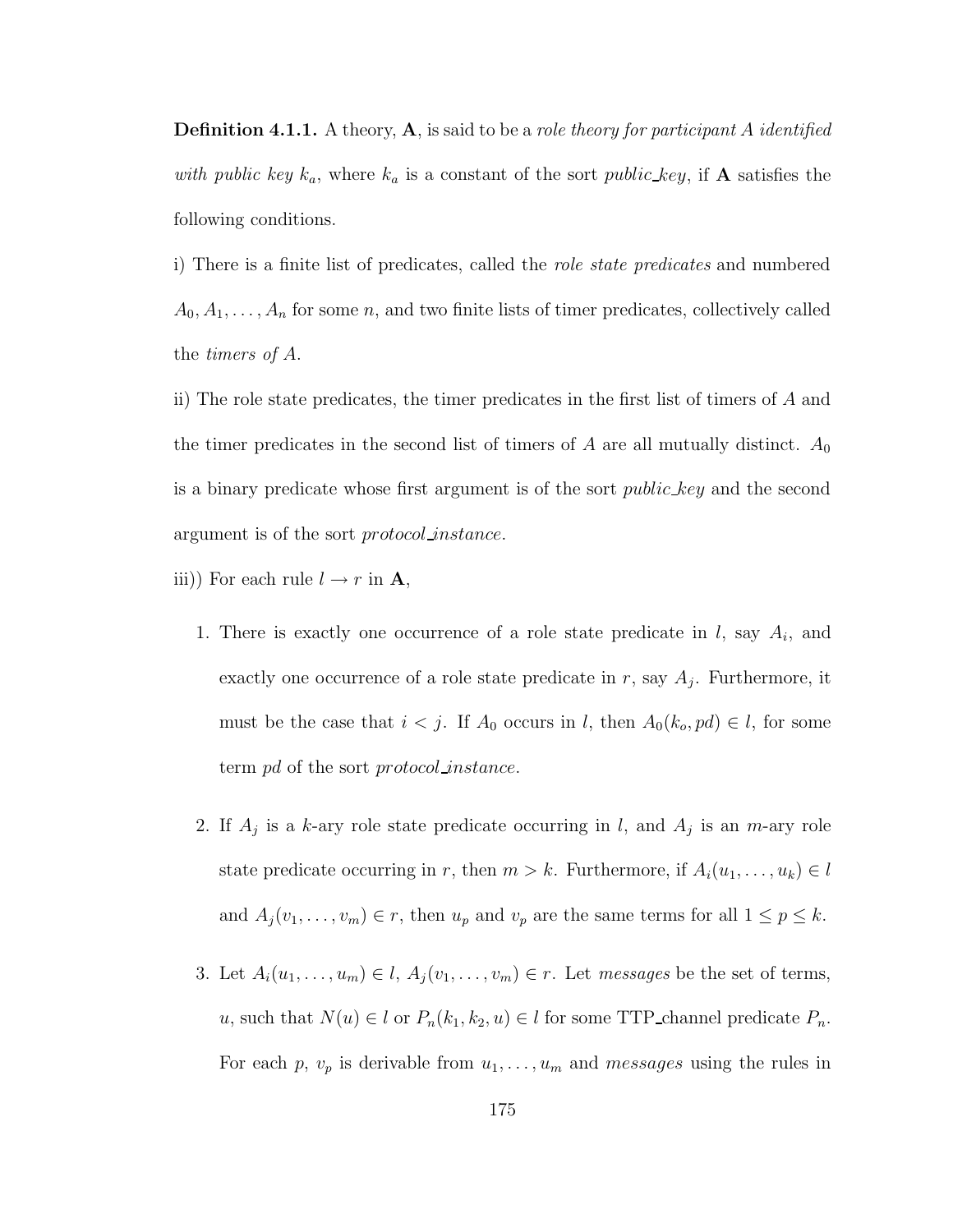**Definition 4.1.1.** A theory,  $\bf{A}$ , is said to be a *role theory for participant A identified* with public key  $k_a$ , where  $k_a$  is a constant of the sort public key, if **A** satisfies the following conditions.

i) There is a finite list of predicates, called the role state predicates and numbered  $A_0, A_1, \ldots, A_n$  for some n, and two finite lists of timer predicates, collectively called the timers of A.

ii) The role state predicates, the timer predicates in the first list of timers of A and the timer predicates in the second list of timers of A are all mutually distinct.  $A_0$ is a binary predicate whose first argument is of the sort *public-key* and the second argument is of the sort protocol instance.

- iii)) For each rule  $l \rightarrow r$  in **A**,
	- 1. There is exactly one occurrence of a role state predicate in  $l$ , say  $A_i$ , and exactly one occurrence of a role state predicate in  $r$ , say  $A_j$ . Furthermore, it must be the case that  $i < j$ . If  $A_0$  occurs in l, then  $A_0(k_o, pd) \in l$ , for some term pd of the sort protocol instance.
	- 2. If  $A_j$  is a k-ary role state predicate occurring in l, and  $A_j$  is an m-ary role state predicate occurring in r, then  $m > k$ . Furthermore, if  $A_i(u_1, \ldots, u_k) \in l$ and  $A_j(v_1, \ldots, v_m) \in r$ , then  $u_p$  and  $v_p$  are the same terms for all  $1 \leq p \leq k$ .
	- 3. Let  $A_i(u_1, \ldots, u_m) \in l$ ,  $A_j(v_1, \ldots, v_m) \in r$ . Let messages be the set of terms, u, such that  $N(u) \in l$  or  $P_n(k_1, k_2, u) \in l$  for some TTP\_channel predicate  $P_n$ . For each p,  $v_p$  is derivable from  $u_1, \ldots, u_m$  and messages using the rules in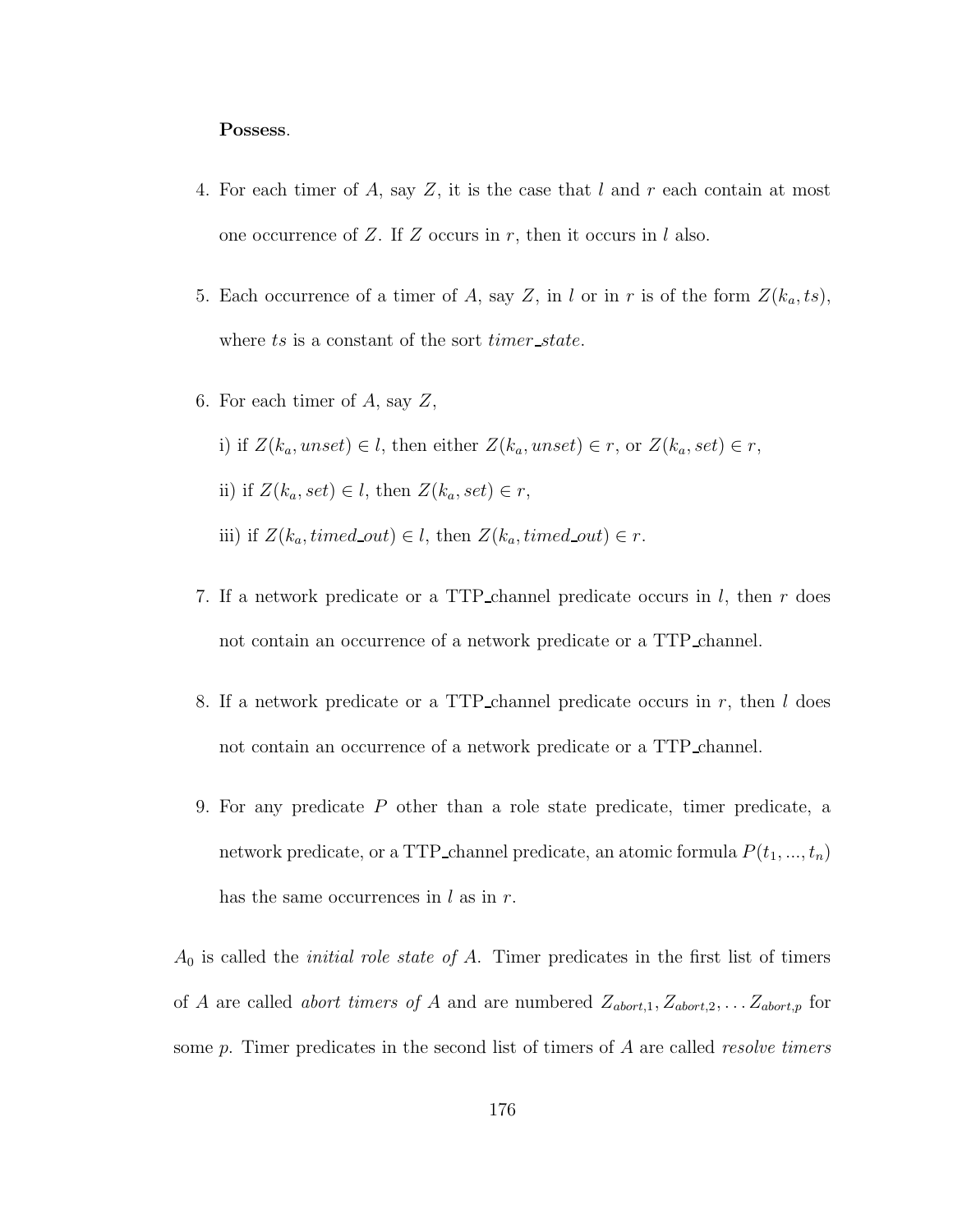#### Possess.

- 4. For each timer of A, say Z, it is the case that  $l$  and  $r$  each contain at most one occurrence of Z. If Z occurs in  $r$ , then it occurs in l also.
- 5. Each occurrence of a timer of A, say Z, in l or in r is of the form  $Z(k_a, ts)$ , where ts is a constant of the sort *timer\_state*.
- 6. For each timer of  $A$ , say  $Z$ ,
	- i) if  $Z(k_a,unset) \in l$ , then either  $Z(k_a,unset) \in r$ , or  $Z(k_a,set) \in r$ ,
	- ii) if  $Z(k_a, set) \in l$ , then  $Z(k_a, set) \in r$ ,
	- iii) if  $Z(k_a, timed\_out) \in l$ , then  $Z(k_a, timed\_out) \in r$ .
- 7. If a network predicate or a TTP channel predicate occurs in l, then r does not contain an occurrence of a network predicate or a TTP channel.
- 8. If a network predicate or a TTP-channel predicate occurs in  $r$ , then  $l$  does not contain an occurrence of a network predicate or a TTP channel.
- 9. For any predicate P other than a role state predicate, timer predicate, a network predicate, or a TTP\_channel predicate, an atomic formula  $P(t_1, ..., t_n)$ has the same occurrences in  $l$  as in  $r$ .

 $A_0$  is called the *initial role state of A*. Timer predicates in the first list of timers of A are called *abort timers of* A and are numbered  $Z_{abort,1}, Z_{abort,2}, \ldots Z_{abort,p}$  for some  $p$ . Timer predicates in the second list of timers of  $A$  are called *resolve timers*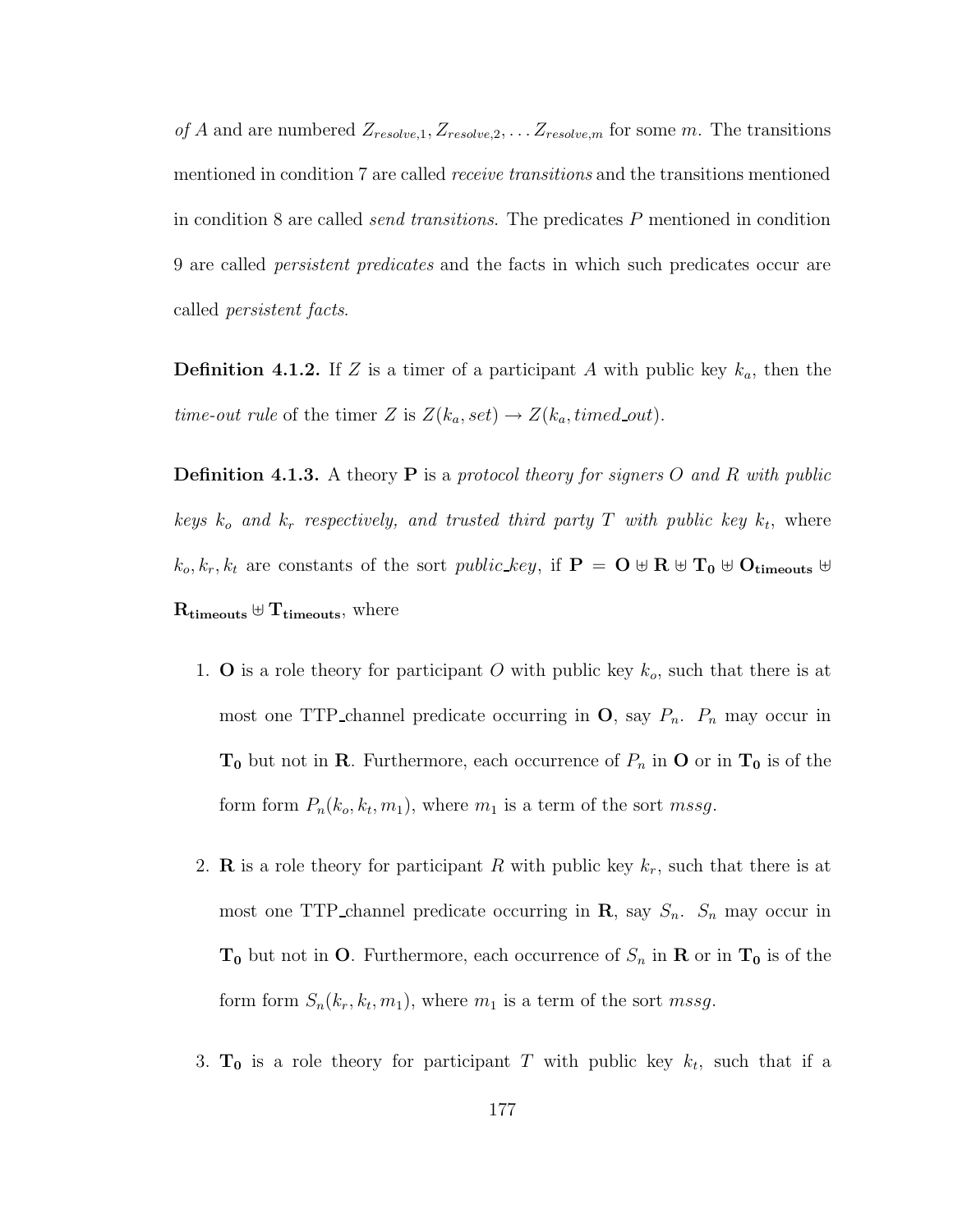of A and are numbered  $Z_{resolve,1}, Z_{resolve,2}, \ldots Z_{resolve,m}$  for some m. The transitions mentioned in condition 7 are called receive transitions and the transitions mentioned in condition 8 are called send transitions. The predicates P mentioned in condition 9 are called persistent predicates and the facts in which such predicates occur are called persistent facts.

**Definition 4.1.2.** If Z is a timer of a participant A with public key  $k_a$ , then the *time-out rule* of the timer Z is  $Z(k_a, set) \rightarrow Z(k_a, timed\_out)$ .

**Definition 4.1.3.** A theory **P** is a protocol theory for signers O and R with public keys  $k_o$  and  $k_r$  respectively, and trusted third party T with public key  $k_t$ , where  $k_o, k_r, k_t$  are constants of the sort *public\_key*, if  $P = O \oplus R \oplus T_0 \oplus O_{timeouts} \oplus$  $\mathrm{R}_{\mathrm{timeouts}} \oplus \mathrm{T}_{\mathrm{timeouts}},$  where

- 1. **O** is a role theory for participant O with public key  $k_o$ , such that there is at most one TTP channel predicate occurring in  $\mathbf{O}$ , say  $P_n$ .  $P_n$  may occur in  $T_0$  but not in R. Furthermore, each occurrence of  $P_n$  in O or in  $T_0$  is of the form form  $P_n(k_o, k_t, m_1)$ , where  $m_1$  is a term of the sort *mssg*.
- 2. **R** is a role theory for participant R with public key  $k_r$ , such that there is at most one TTP channel predicate occurring in  $\mathbf{R}$ , say  $S_n$ .  $S_n$  may occur in  $T_0$  but not in O. Furthermore, each occurrence of  $S_n$  in R or in  $T_0$  is of the form form  $S_n(k_r, k_t, m_1)$ , where  $m_1$  is a term of the sort mssg.
- 3.  $T_0$  is a role theory for participant T with public key  $k_t$ , such that if a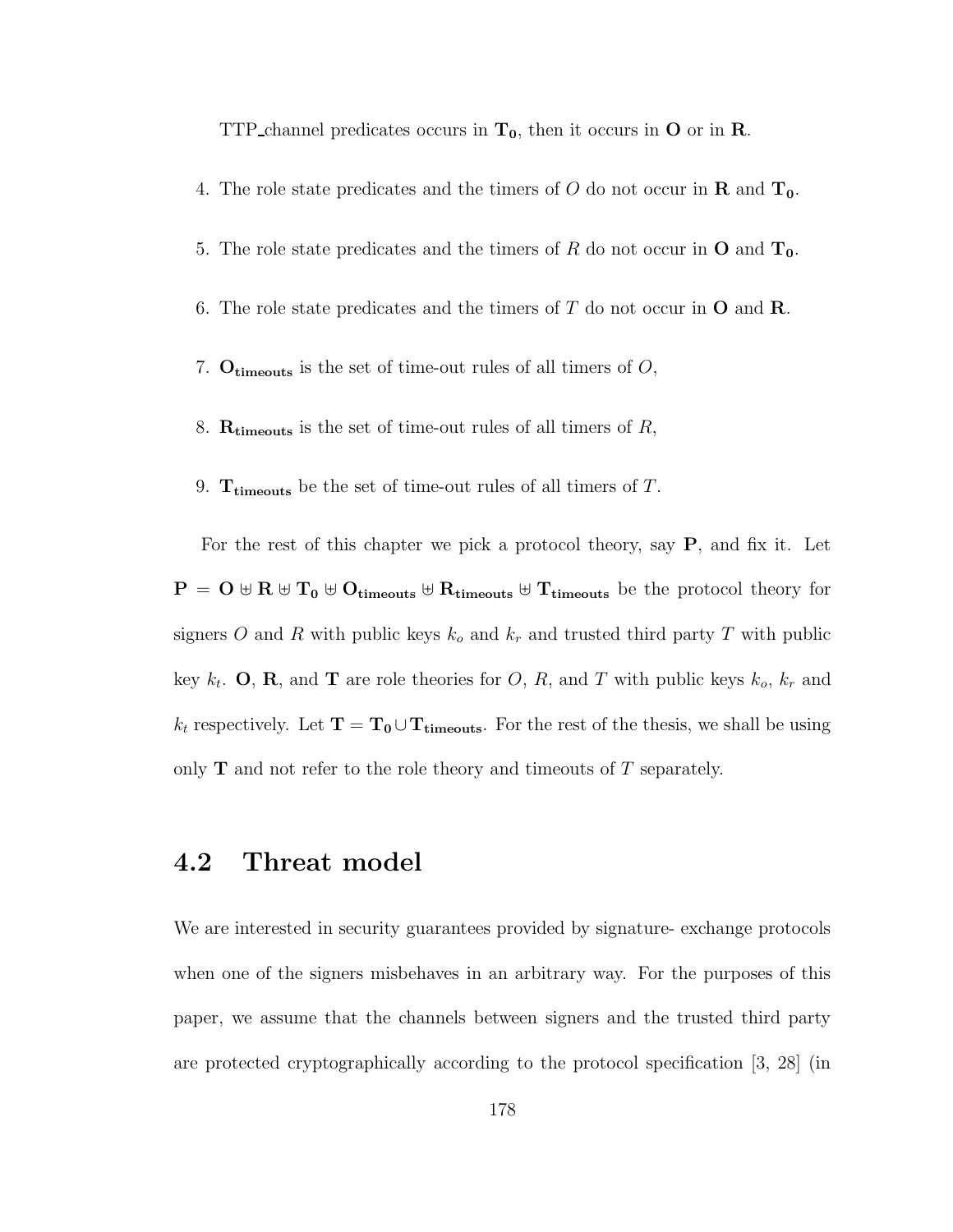TTP channel predicates occurs in  $T_0$ , then it occurs in O or in R.

- 4. The role state predicates and the timers of O do not occur in **R** and  $T_0$ .
- 5. The role state predicates and the timers of R do not occur in  $O$  and  $T_0$ .
- 6. The role state predicates and the timers of  $T$  do not occur in  $O$  and  $\mathbf{R}$ .
- 7.  $O_{\text{timeouts}}$  is the set of time-out rules of all timers of  $O$ ,
- 8.  $R_{timeouts}$  is the set of time-out rules of all timers of  $R$ ,
- 9. T<sub>timeouts</sub> be the set of time-out rules of all timers of  $T$ .

For the rest of this chapter we pick a protocol theory, say P, and fix it. Let  $P = O \oplus R \oplus T_0 \oplus O_{\text{timeouts}} \oplus R_{\text{timeouts}} \oplus T_{\text{timeouts}}$  be the protocol theory for signers O and R with public keys  $k_o$  and  $k_r$  and trusted third party T with public key  $k_t$ . **O**, **R**, and **T** are role theories for *O*, *R*, and *T* with public keys  $k_o$ ,  $k_r$  and  $k_t$  respectively. Let  $\mathbf{T} = \mathbf{T_0} \cup \mathbf{T_{timeouts}}$ . For the rest of the thesis, we shall be using only  **and not refer to the role theory and timeouts of**  $T$  **separately.** 

### 4.2 Threat model

We are interested in security guarantees provided by signature- exchange protocols when one of the signers misbehaves in an arbitrary way. For the purposes of this paper, we assume that the channels between signers and the trusted third party are protected cryptographically according to the protocol specification [3, 28] (in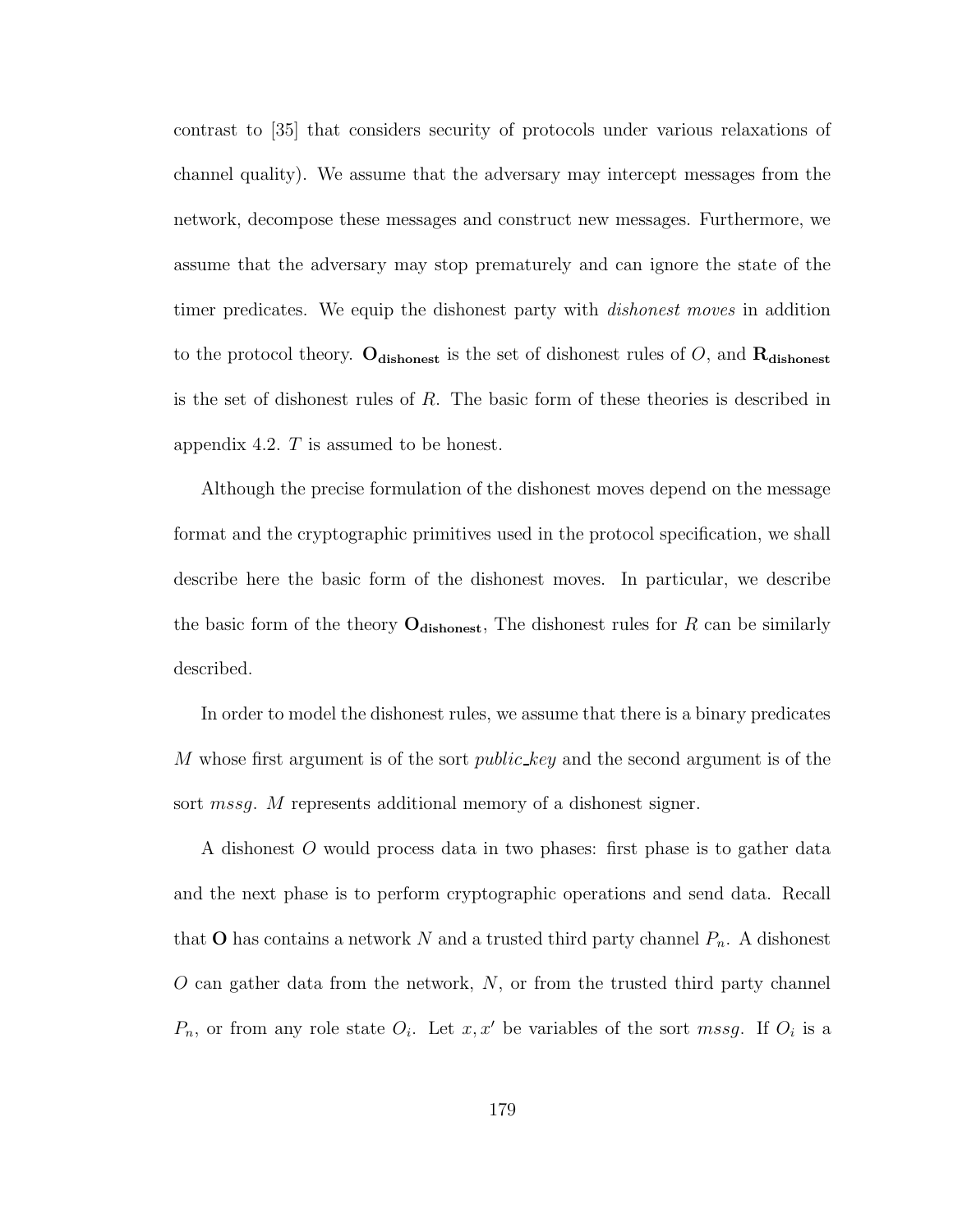contrast to [35] that considers security of protocols under various relaxations of channel quality). We assume that the adversary may intercept messages from the network, decompose these messages and construct new messages. Furthermore, we assume that the adversary may stop prematurely and can ignore the state of the timer predicates. We equip the dishonest party with *dishonest moves* in addition to the protocol theory. Odishonest is the set of dishonest rules of O, and  $\bf R_{dishonest}$ is the set of dishonest rules of R. The basic form of these theories is described in appendix 4.2. T is assumed to be honest.

Although the precise formulation of the dishonest moves depend on the message format and the cryptographic primitives used in the protocol specification, we shall describe here the basic form of the dishonest moves. In particular, we describe the basic form of the theory  $O_{\text{dishonest}}$ , The dishonest rules for R can be similarly described.

In order to model the dishonest rules, we assume that there is a binary predicates M whose first argument is of the sort *public\_key* and the second argument is of the sort *mssg.* M represents additional memory of a dishonest signer.

A dishonest O would process data in two phases: first phase is to gather data and the next phase is to perform cryptographic operations and send data. Recall that **O** has contains a network N and a trusted third party channel  $P_n$ . A dishonest  $O$  can gather data from the network,  $N$ , or from the trusted third party channel  $P_n$ , or from any role state  $O_i$ . Let  $x, x'$  be variables of the sort mssg. If  $O_i$  is a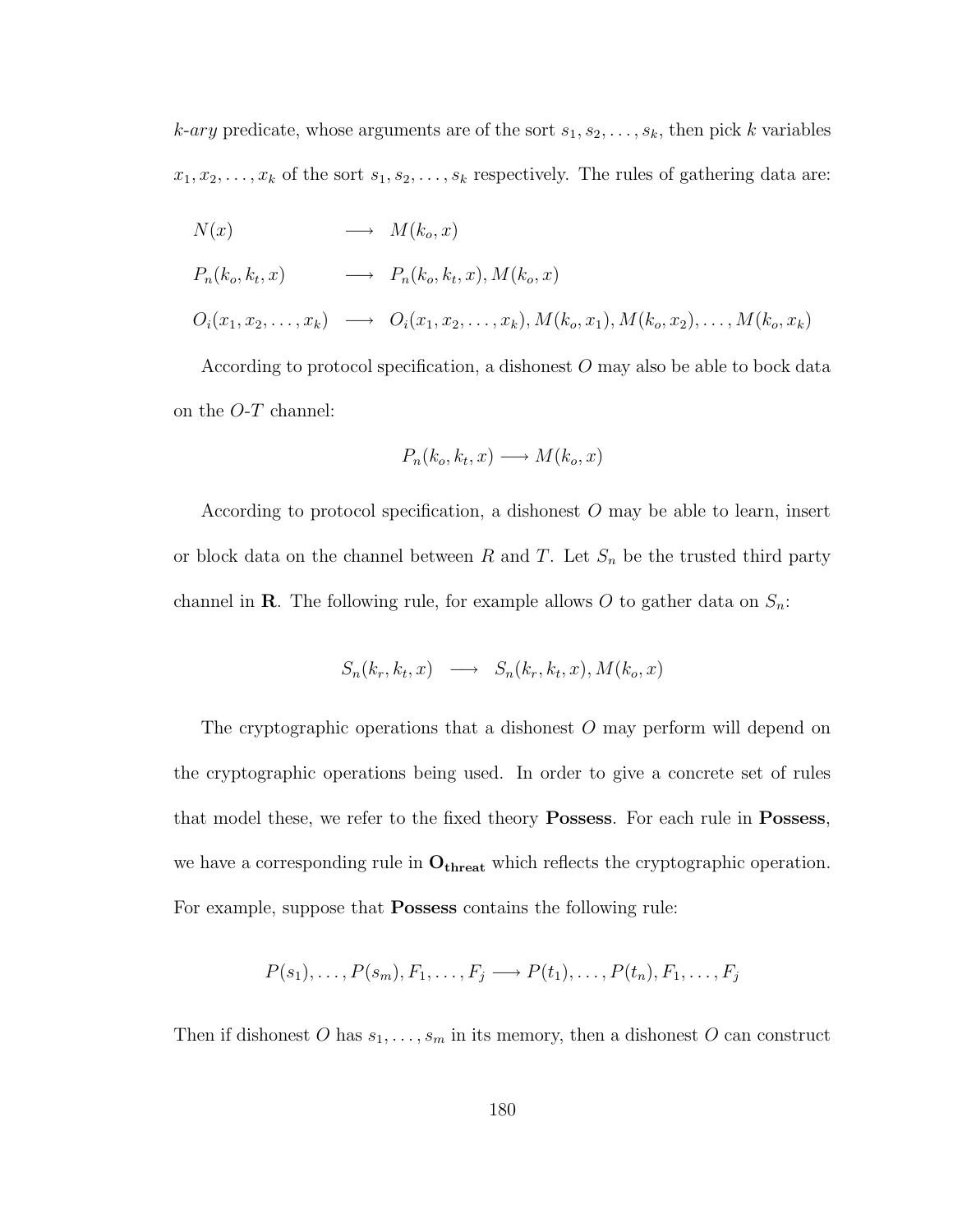$k$ -ary predicate, whose arguments are of the sort  $s_1, s_2, \ldots, s_k$ , then pick k variables  $x_1, x_2, \ldots, x_k$  of the sort  $s_1, s_2, \ldots, s_k$  respectively. The rules of gathering data are:

$$
N(x) \longrightarrow M(k_o, x)
$$
  
\n
$$
P_n(k_o, k_t, x) \longrightarrow P_n(k_o, k_t, x), M(k_o, x)
$$
  
\n
$$
O_i(x_1, x_2, \dots, x_k) \longrightarrow O_i(x_1, x_2, \dots, x_k), M(k_o, x_1), M(k_o, x_2), \dots, M(k_o, x_k)
$$

According to protocol specification, a dishonest O may also be able to bock data on the  $O-T$  channel:

$$
P_n(k_o, k_t, x) \longrightarrow M(k_o, x)
$$

According to protocol specification, a dishonest O may be able to learn, insert or block data on the channel between  $R$  and  $T$ . Let  $S_n$  be the trusted third party channel in **R**. The following rule, for example allows O to gather data on  $S_n$ :

$$
S_n(k_r, k_t, x) \longrightarrow S_n(k_r, k_t, x), M(k_o, x)
$$

The cryptographic operations that a dishonest O may perform will depend on the cryptographic operations being used. In order to give a concrete set of rules that model these, we refer to the fixed theory Possess. For each rule in Possess, we have a corresponding rule in  $\mathbf{O_{thresh}}$  which reflects the cryptographic operation. For example, suppose that **Possess** contains the following rule:

$$
P(s_1), \ldots, P(s_m), F_1, \ldots, F_j \longrightarrow P(t_1), \ldots, P(t_n), F_1, \ldots, F_j
$$

Then if dishonest O has  $s_1, \ldots, s_m$  in its memory, then a dishonest O can construct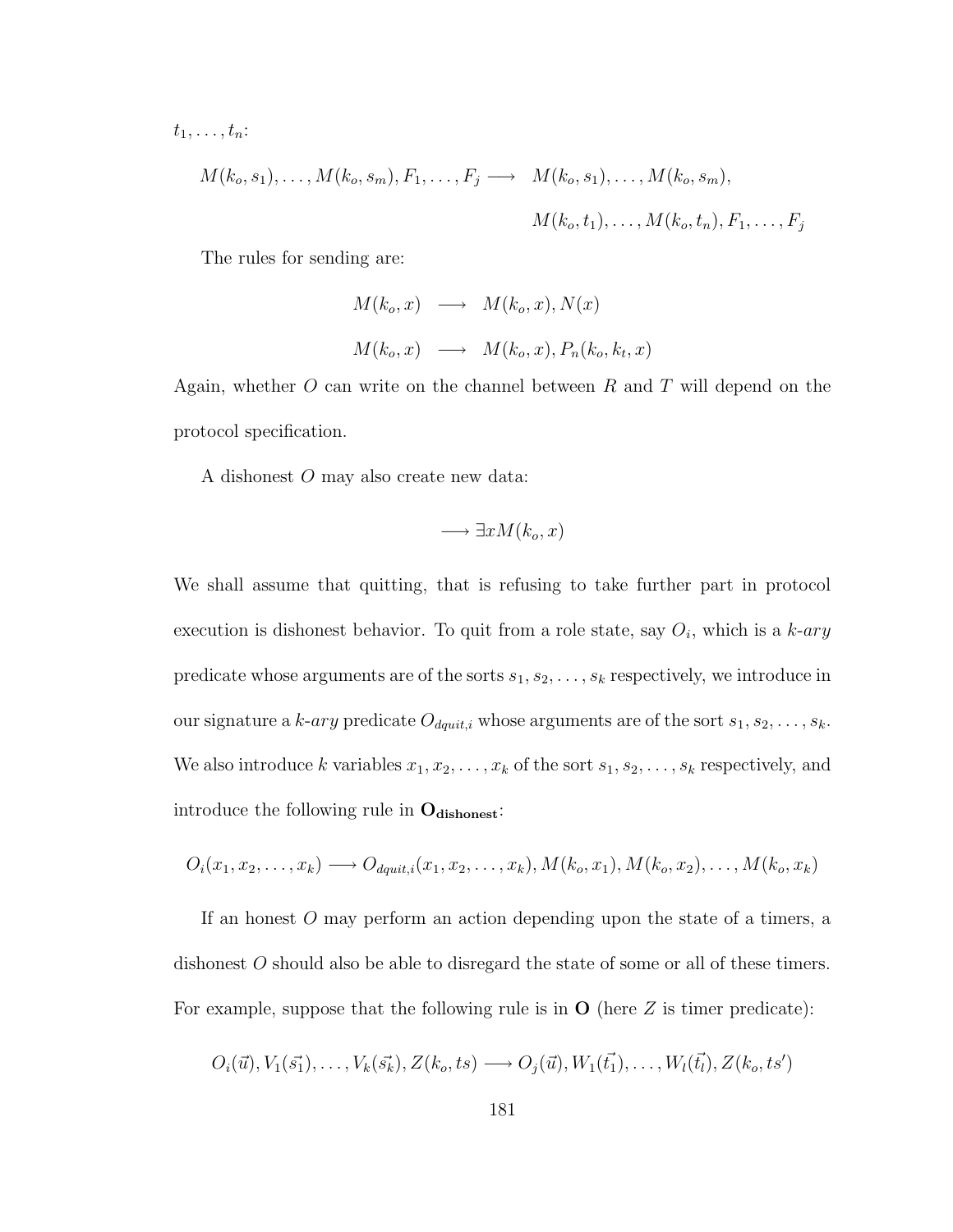$t_1, \ldots, t_n$ :

$$
M(k_o, s_1), \ldots, M(k_o, s_m), F_1, \ldots, F_j \longrightarrow M(k_o, s_1), \ldots, M(k_o, s_m),
$$
  

$$
M(k_o, t_1), \ldots, M(k_o, t_n), F_1, \ldots, F_j
$$

The rules for sending are:

$$
M(k_o, x) \longrightarrow M(k_o, x), N(x)
$$
  

$$
M(k_o, x) \longrightarrow M(k_o, x), P_n(k_o, k_t, x)
$$

Again, whether  $O$  can write on the channel between  $R$  and  $T$  will depend on the protocol specification.

A dishonest O may also create new data:

$$
\longrightarrow \exists x M(k_o, x)
$$

We shall assume that quitting, that is refusing to take further part in protocol execution is dishonest behavior. To quit from a role state, say  $O_i$ , which is a  $k$ -ary predicate whose arguments are of the sorts  $s_1, s_2, \ldots, s_k$  respectively, we introduce in our signature a k-ary predicate  $O_{dquit,i}$  whose arguments are of the sort  $s_1, s_2, \ldots, s_k$ . We also introduce k variables  $x_1, x_2, \ldots, x_k$  of the sort  $s_1, s_2, \ldots, s_k$  respectively, and introduce the following rule in  $O_{\text{dishonest}}$ :

$$
O_i(x_1, x_2, \ldots, x_k) \longrightarrow O_{dquit,i}(x_1, x_2, \ldots, x_k), M(k_o, x_1), M(k_o, x_2), \ldots, M(k_o, x_k)
$$

If an honest O may perform an action depending upon the state of a timers, a dishonest O should also be able to disregard the state of some or all of these timers. For example, suppose that the following rule is in  $O$  (here  $Z$  is timer predicate):

$$
O_i(\vec{u}), V_1(\vec{s_1}), \ldots, V_k(\vec{s_k}), Z(k_o, ts) \longrightarrow O_j(\vec{u}), W_1(\vec{t_1}), \ldots, W_l(\vec{t_l}), Z(k_o, ts')
$$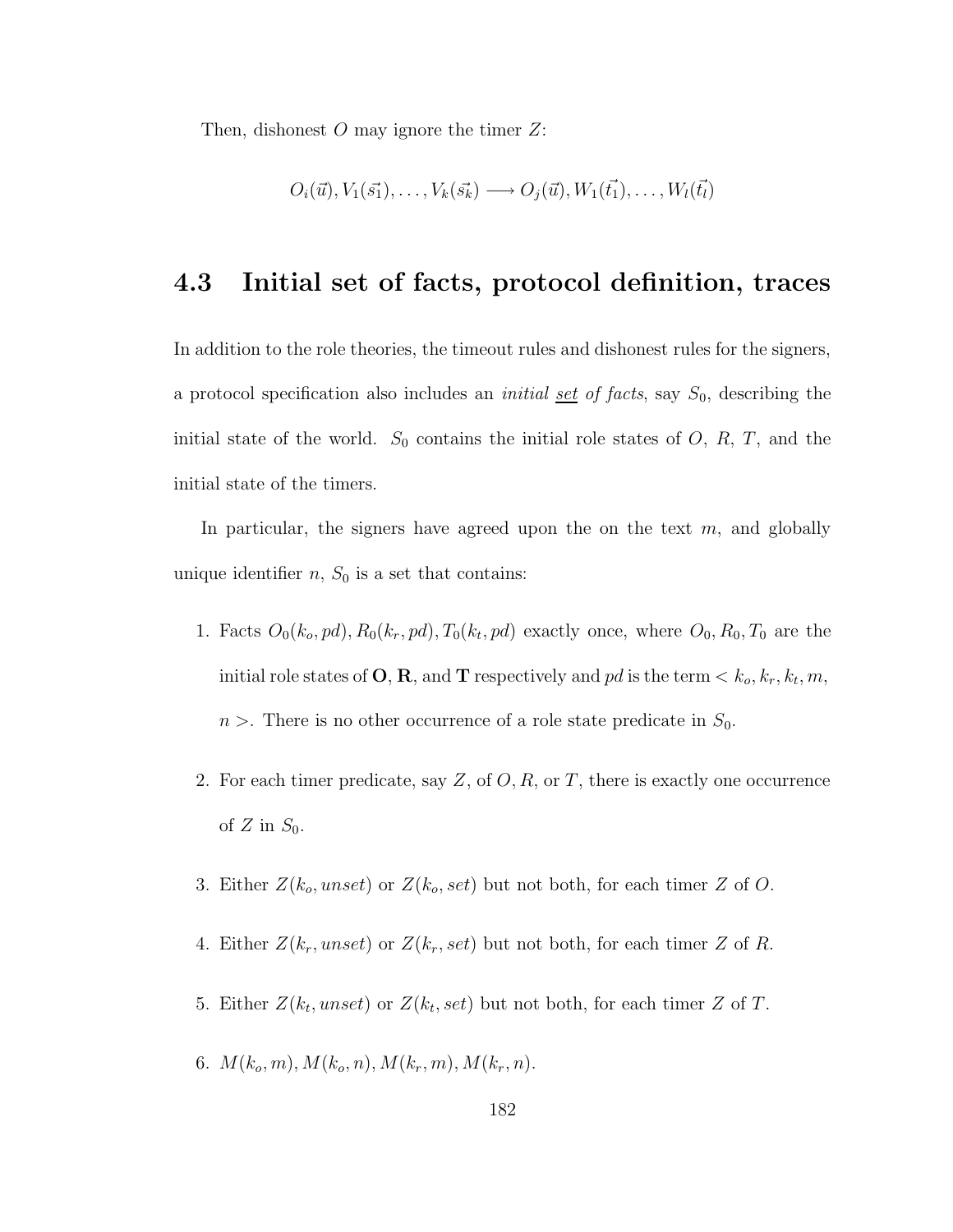Then, dishonest  $O$  may ignore the timer  $Z$ :

$$
O_i(\vec{u}), V_1(\vec{s_1}), \ldots, V_k(\vec{s_k}) \longrightarrow O_j(\vec{u}), W_1(\vec{t_1}), \ldots, W_l(\vec{t_l})
$$

### 4.3 Initial set of facts, protocol definition, traces

In addition to the role theories, the timeout rules and dishonest rules for the signers, a protocol specification also includes an *initial <u>set</u>* of facts, say  $S_0$ , describing the initial state of the world.  $S_0$  contains the initial role states of O, R, T, and the initial state of the timers.

In particular, the signers have agreed upon the on the text  $m$ , and globally unique identifier  $n$ ,  $S_0$  is a set that contains:

- 1. Facts  $O_0(k_o, pd), R_0(k_r, pd), T_0(k_t, pd)$  exactly once, where  $O_0, R_0, T_0$  are the initial role states of **O**, **R**, and **T** respectively and pd is the term  $\lt k_o, k_r, k_t, m$ ,  $n >$ . There is no other occurrence of a role state predicate in  $S_0$ .
- 2. For each timer predicate, say  $Z$ , of  $O, R$ , or  $T$ , there is exactly one occurrence of  $Z$  in  $S_0$ .
- 3. Either  $Z(k_o,unset)$  or  $Z(k_o, set)$  but not both, for each timer Z of O.
- 4. Either  $Z(k_r,unset)$  or  $Z(k_r, set)$  but not both, for each timer Z of R.
- 5. Either  $Z(k_t,unset)$  or  $Z(k_t, set)$  but not both, for each timer Z of T.
- 6.  $M(k_o, m), M(k_o, n), M(k_r, m), M(k_r, n).$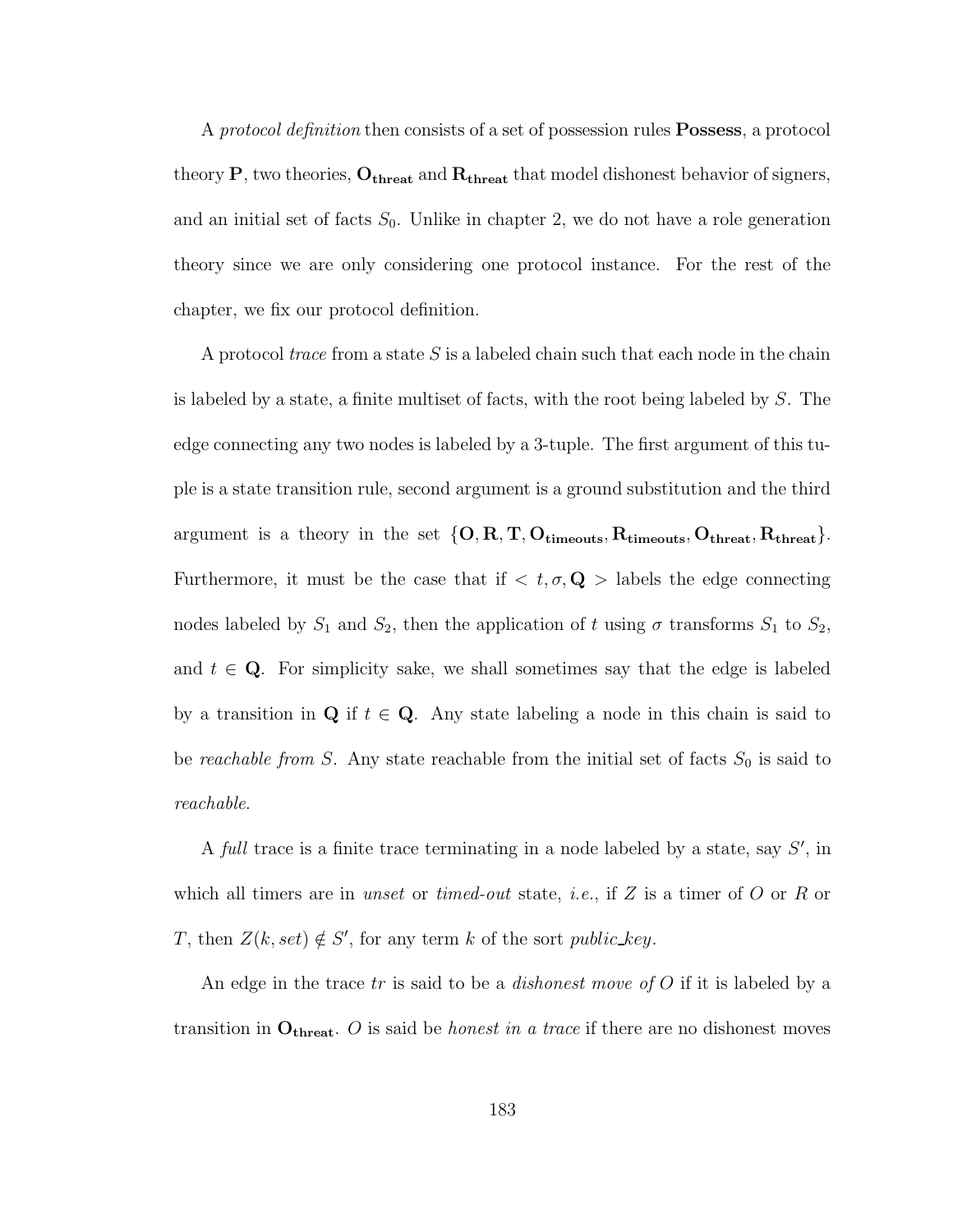A *protocol definition* then consists of a set of possession rules **Possess**, a protocol theory  $P$ , two theories,  $O_{\rm threat}$  and  $R_{\rm threat}$  that model dishonest behavior of signers, and an initial set of facts  $S_0$ . Unlike in chapter 2, we do not have a role generation theory since we are only considering one protocol instance. For the rest of the chapter, we fix our protocol definition.

A protocol trace from a state  $S$  is a labeled chain such that each node in the chain is labeled by a state, a finite multiset of facts, with the root being labeled by S. The edge connecting any two nodes is labeled by a 3-tuple. The first argument of this tuple is a state transition rule, second argument is a ground substitution and the third argument is a theory in the set  $\{O, R, T, O_{\text{timeouts}}, R_{\text{timeouts}}, O_{\text{thresh}}, R_{\text{thresh}}\}.$ Furthermore, it must be the case that if  $\langle t, \sigma, \mathbf{Q} \rangle$  labels the edge connecting nodes labeled by  $S_1$  and  $S_2$ , then the application of t using  $\sigma$  transforms  $S_1$  to  $S_2$ , and  $t \in \mathbf{Q}$ . For simplicity sake, we shall sometimes say that the edge is labeled by a transition in  $Q$  if  $t \in Q$ . Any state labeling a node in this chain is said to be reachable from S. Any state reachable from the initial set of facts  $S_0$  is said to reachable.

A full trace is a finite trace terminating in a node labeled by a state, say  $S'$ , in which all timers are in unset or timed-out state, *i.e.*, if Z is a timer of O or R or T, then  $Z(k, set) \notin S'$ , for any term k of the sort public key.

An edge in the trace tr is said to be a *dishonest move of O* if it is labeled by a transition in  $O_{\text{thresh}}$ . O is said be *honest in a trace* if there are no dishonest moves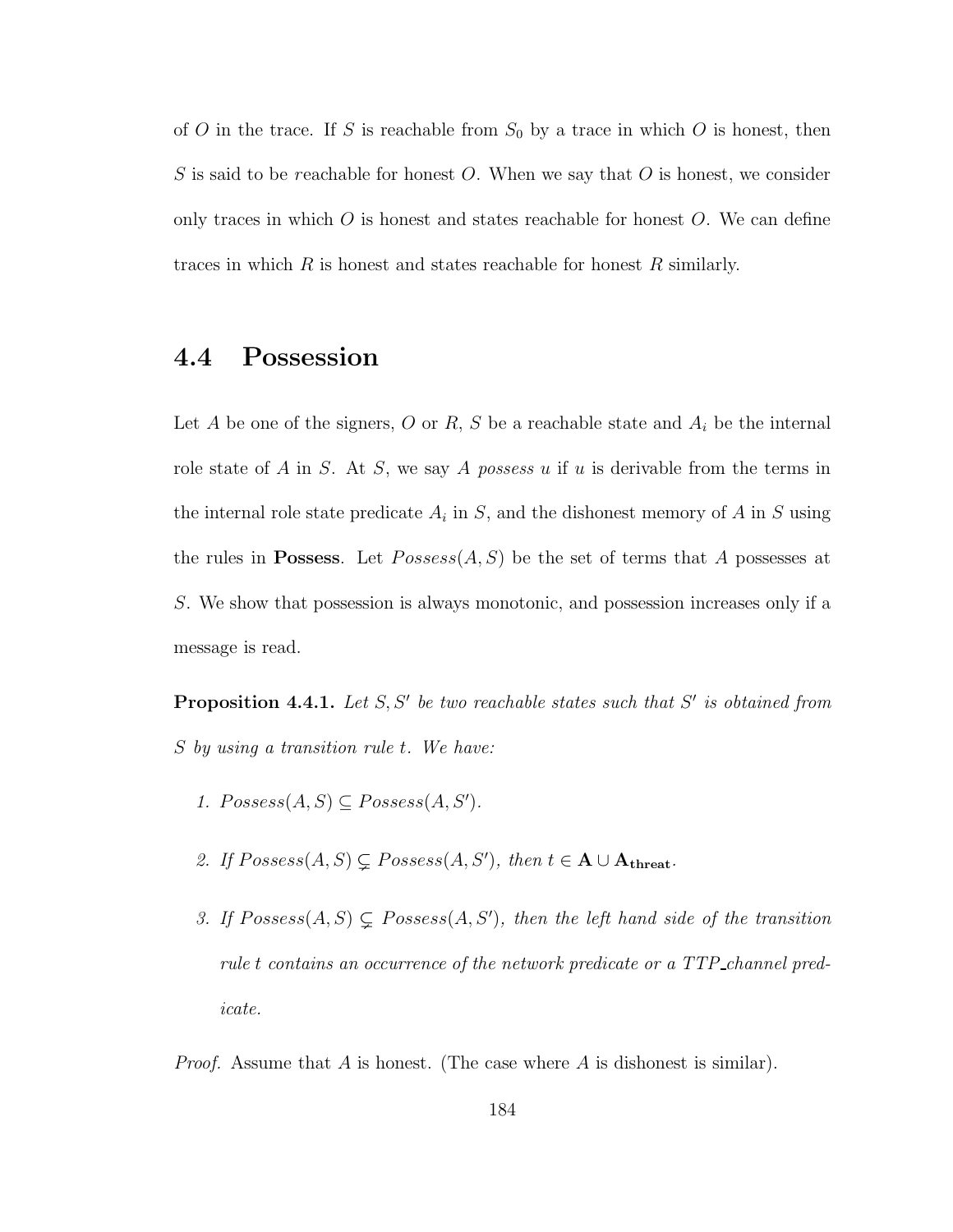of  $O$  in the trace. If  $S$  is reachable from  $S_0$  by a trace in which  $O$  is honest, then S is said to be reachable for honest O. When we say that O is honest, we consider only traces in which  $\overline{O}$  is honest and states reachable for honest  $\overline{O}$ . We can define traces in which  $R$  is honest and states reachable for honest  $R$  similarly.

## 4.4 Possession

Let A be one of the signers, O or R, S be a reachable state and  $A_i$  be the internal role state of A in S. At S, we say A possess u if u is derivable from the terms in the internal role state predicate  $A_i$  in S, and the dishonest memory of A in S using the rules in **Possess**. Let  $Posses(A, S)$  be the set of terms that A possesses at S. We show that possession is always monotonic, and possession increases only if a message is read.

**Proposition 4.4.1.** Let  $S, S'$  be two reachable states such that  $S'$  is obtained from S by using a transition rule t. We have:

- 1.  $Posses(s(A, S) \subseteq Possess(A, S').$
- 2. If  $Posses(s(A, S) \subsetneq Posses(s(A, S'))$ , then  $t \in A \cup A_{\text{thresh}}$ .
- 3. If  $Posses(A, S) \subsetneq Possess(A, S')$ , then the left hand side of the transition rule t contains an occurrence of the network predicate or a TTP\_channel predicate.

*Proof.* Assume that A is honest. (The case where A is dishonest is similar).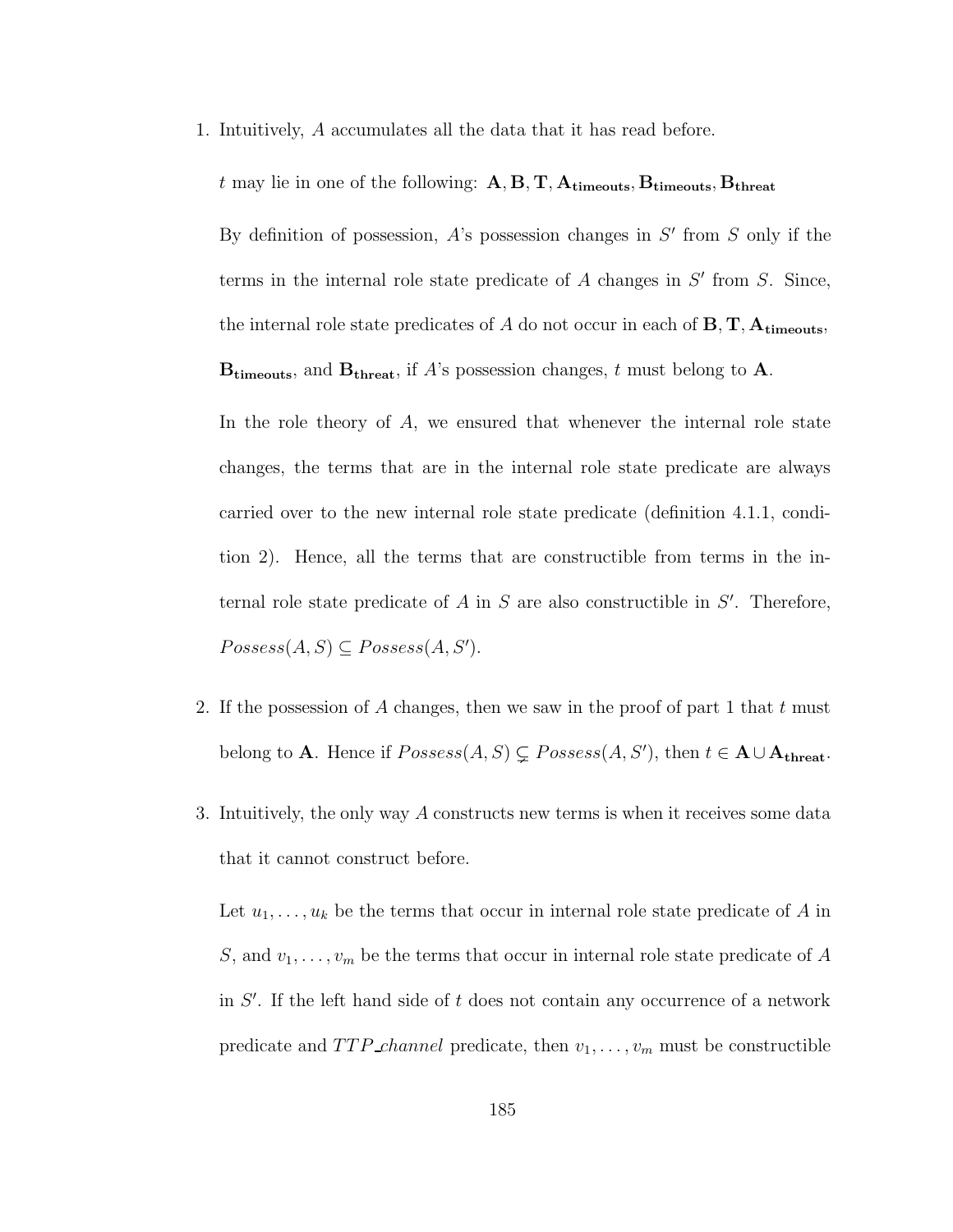1. Intuitively, A accumulates all the data that it has read before.

t may lie in one of the following:  $A, B, T, A$ <sub>timeouts</sub>,  $B$ <sub>timeouts</sub>,  $B$ <sub>threat</sub>

By definition of possession,  $A$ 's possession changes in  $S'$  from  $S$  only if the terms in the internal role state predicate of  $A$  changes in  $S'$  from  $S$ . Since, the internal role state predicates of A do not occur in each of  $B, T, A_{timeouts}$ ,  $B_{timeouts}$ , and  $B_{threat}$ , if A's possession changes, t must belong to A.

In the role theory of  $A$ , we ensured that whenever the internal role state changes, the terms that are in the internal role state predicate are always carried over to the new internal role state predicate (definition 4.1.1, condition 2). Hence, all the terms that are constructible from terms in the internal role state predicate of  $A$  in  $S$  are also constructible in  $S'$ . Therefore,  $Possess(A, S) \subseteq Possess(A, S').$ 

- 2. If the possession of A changes, then we saw in the proof of part 1 that t must belong to **A**. Hence if  $Posses(A, S) \subsetneq Possess(A, S')$ , then  $t \in \mathbf{A} \cup \mathbf{A}_{\text{thresh}}$ .
- 3. Intuitively, the only way A constructs new terms is when it receives some data that it cannot construct before.

Let  $u_1, \ldots, u_k$  be the terms that occur in internal role state predicate of A in S, and  $v_1, \ldots, v_m$  be the terms that occur in internal role state predicate of A in  $S'$ . If the left hand side of t does not contain any occurrence of a network predicate and  $TTP\_channel$  predicate, then  $v_1, \ldots, v_m$  must be constructible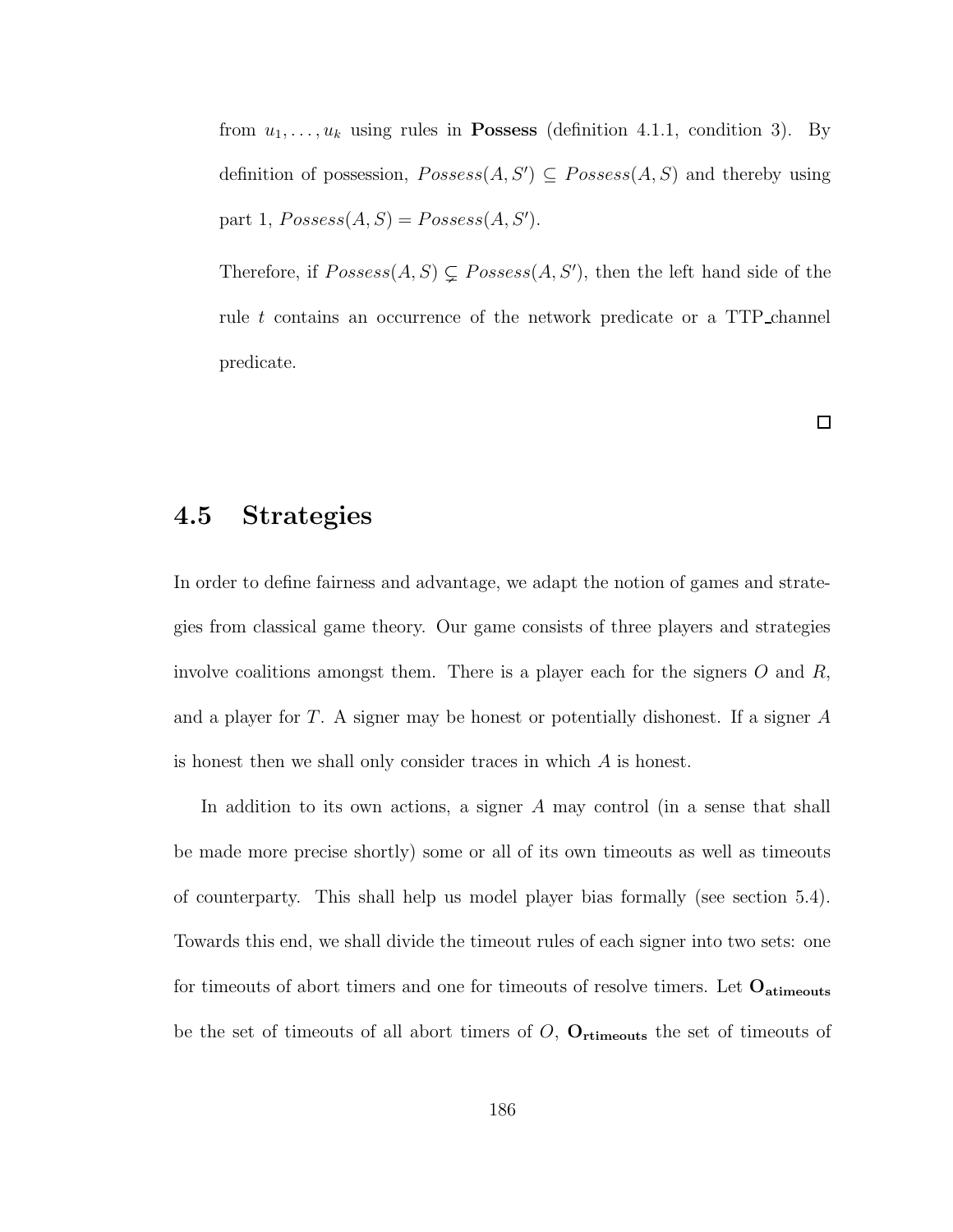from  $u_1, \ldots, u_k$  using rules in **Possess** (definition 4.1.1, condition 3). By definition of possession,  $Posses(A, S') \subseteq Possess(A, S)$  and thereby using part 1,  $Possess(A, S) = Possess(A, S')$ .

Therefore, if  $Posses(A, S) \subsetneq Posses(A, S')$ , then the left hand side of the rule t contains an occurrence of the network predicate or a TTP channel predicate.

 $\Box$ 

### 4.5 Strategies

In order to define fairness and advantage, we adapt the notion of games and strategies from classical game theory. Our game consists of three players and strategies involve coalitions amongst them. There is a player each for the signers  $O$  and  $R$ , and a player for T. A signer may be honest or potentially dishonest. If a signer A is honest then we shall only consider traces in which A is honest.

In addition to its own actions, a signer A may control (in a sense that shall be made more precise shortly) some or all of its own timeouts as well as timeouts of counterparty. This shall help us model player bias formally (see section 5.4). Towards this end, we shall divide the timeout rules of each signer into two sets: one for timeouts of abort timers and one for timeouts of resolve timers. Let  $O_{\text{atimeouts}}$ be the set of timeouts of all abort timers of  $O$ ,  $O$ <sub>rtimeouts</sub> the set of timeouts of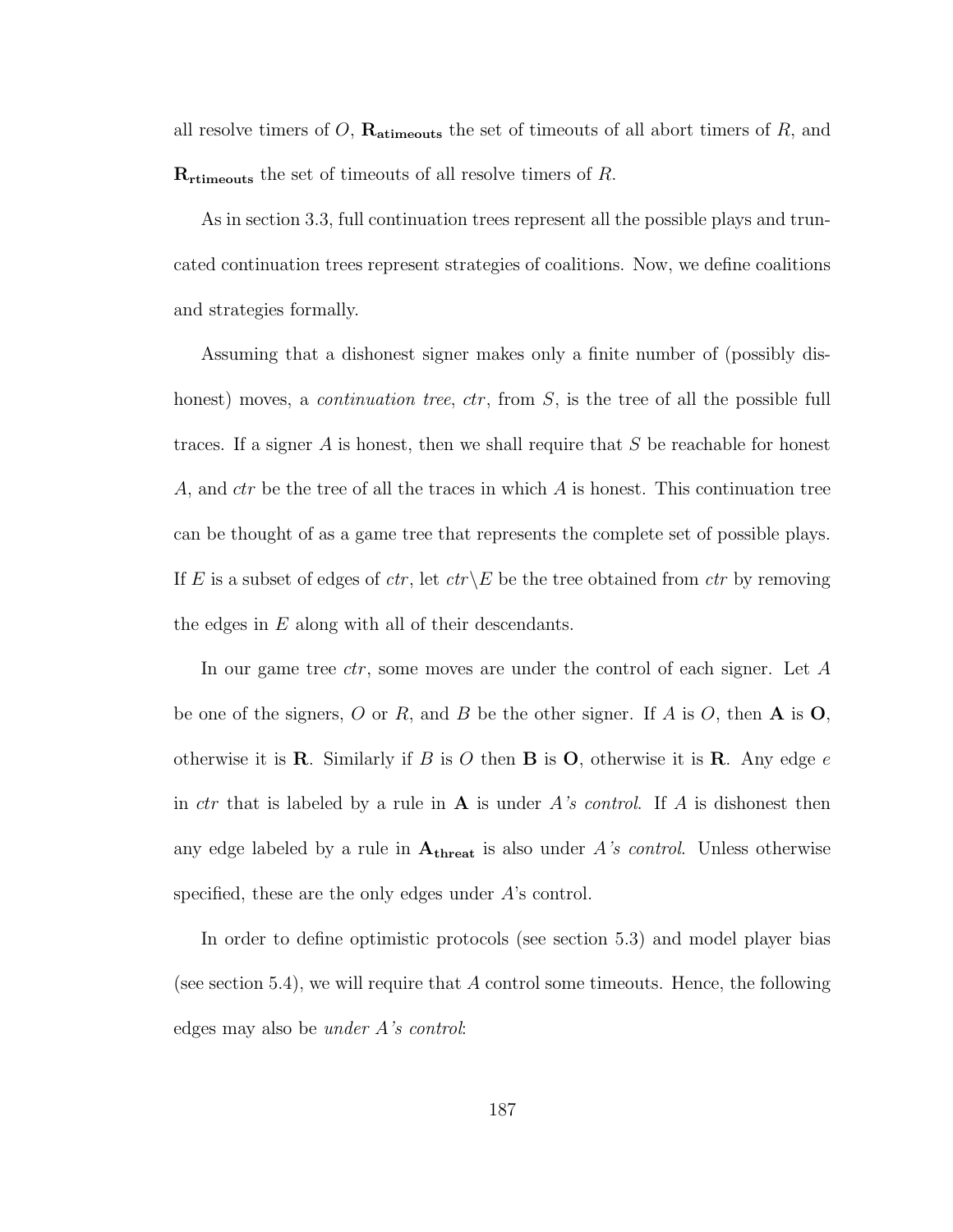all resolve timers of  $O$ ,  $\mathbf{R}_{\text{atimeouts}}$  the set of timeouts of all abort timers of  $R$ , and  **the set of timeouts of all resolve timers of R.** 

As in section 3.3, full continuation trees represent all the possible plays and truncated continuation trees represent strategies of coalitions. Now, we define coalitions and strategies formally.

Assuming that a dishonest signer makes only a finite number of (possibly dishonest) moves, a *continuation tree, ctr*, from S, is the tree of all the possible full traces. If a signer  $A$  is honest, then we shall require that  $S$  be reachable for honest A, and  $ctr$  be the tree of all the traces in which A is honest. This continuation tree can be thought of as a game tree that represents the complete set of possible plays. If E is a subset of edges of  $ctr$ , let  $ctr\angle E$  be the tree obtained from  $ctr$  by removing the edges in  $E$  along with all of their descendants.

In our game tree *ctr*, some moves are under the control of each signer. Let A be one of the signers, O or R, and B be the other signer. If A is O, then  $A$  is  $O$ , otherwise it is **R**. Similarly if B is O then **B** is O, otherwise it is **R**. Any edge e in *ctr* that is labeled by a rule in **A** is under A's control. If A is dishonest then any edge labeled by a rule in  $A_{\text{thresh}}$  is also under A's control. Unless otherwise specified, these are the only edges under A's control.

In order to define optimistic protocols (see section 5.3) and model player bias (see section 5.4), we will require that A control some timeouts. Hence, the following edges may also be under A's control: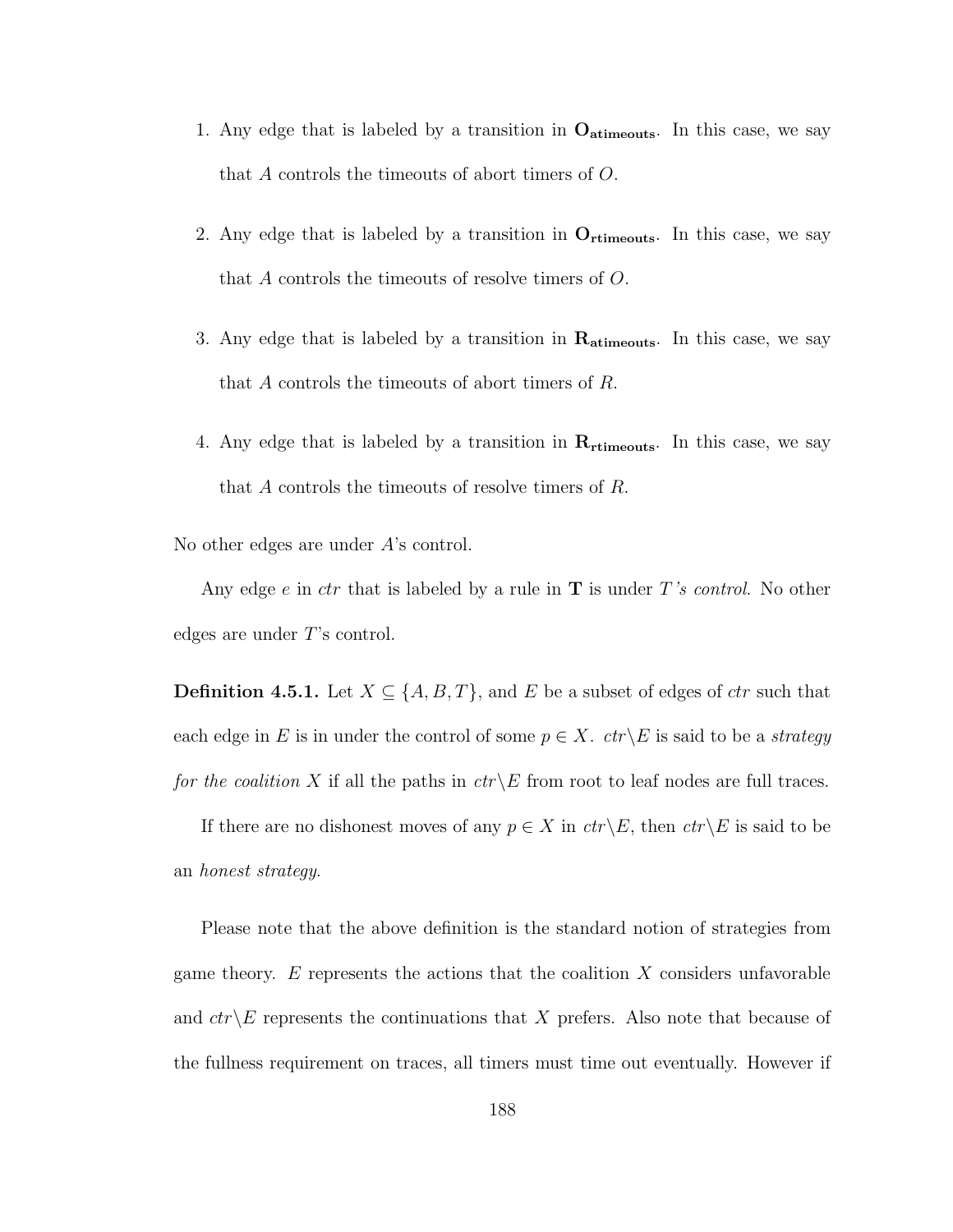- 1. Any edge that is labeled by a transition in  $O_{\text{atimeouts}}$ . In this case, we say that A controls the timeouts of abort timers of O.
- 2. Any edge that is labeled by a transition in  $O_{\text{rtimeouts}}$ . In this case, we say that A controls the timeouts of resolve timers of O.
- 3. Any edge that is labeled by a transition in  $\mathbf{R}_{\text{atimeouts}}$ . In this case, we say that A controls the timeouts of abort timers of R.
- 4. Any edge that is labeled by a transition in  $\mathbf{R}_{\text{rtimeouts}}$ . In this case, we say that A controls the timeouts of resolve timers of R.

No other edges are under A's control.

Any edge  $e$  in ctr that is labeled by a rule in  $\bf{T}$  is under T's control. No other edges are under T's control.

**Definition 4.5.1.** Let  $X \subseteq \{A, B, T\}$ , and E be a subset of edges of ctr such that each edge in E is in under the control of some  $p \in X$ .  $ctr\& E$  is said to be a *strategy* for the coalition X if all the paths in  $ctr\angle E$  from root to leaf nodes are full traces.

If there are no dishonest moves of any  $p \in X$  in  $ctr\backslash E$ , then  $ctr\backslash E$  is said to be an honest strategy.

Please note that the above definition is the standard notion of strategies from game theory. E represents the actions that the coalition  $X$  considers unfavorable and  $ctr\&$  represents the continuations that X prefers. Also note that because of the fullness requirement on traces, all timers must time out eventually. However if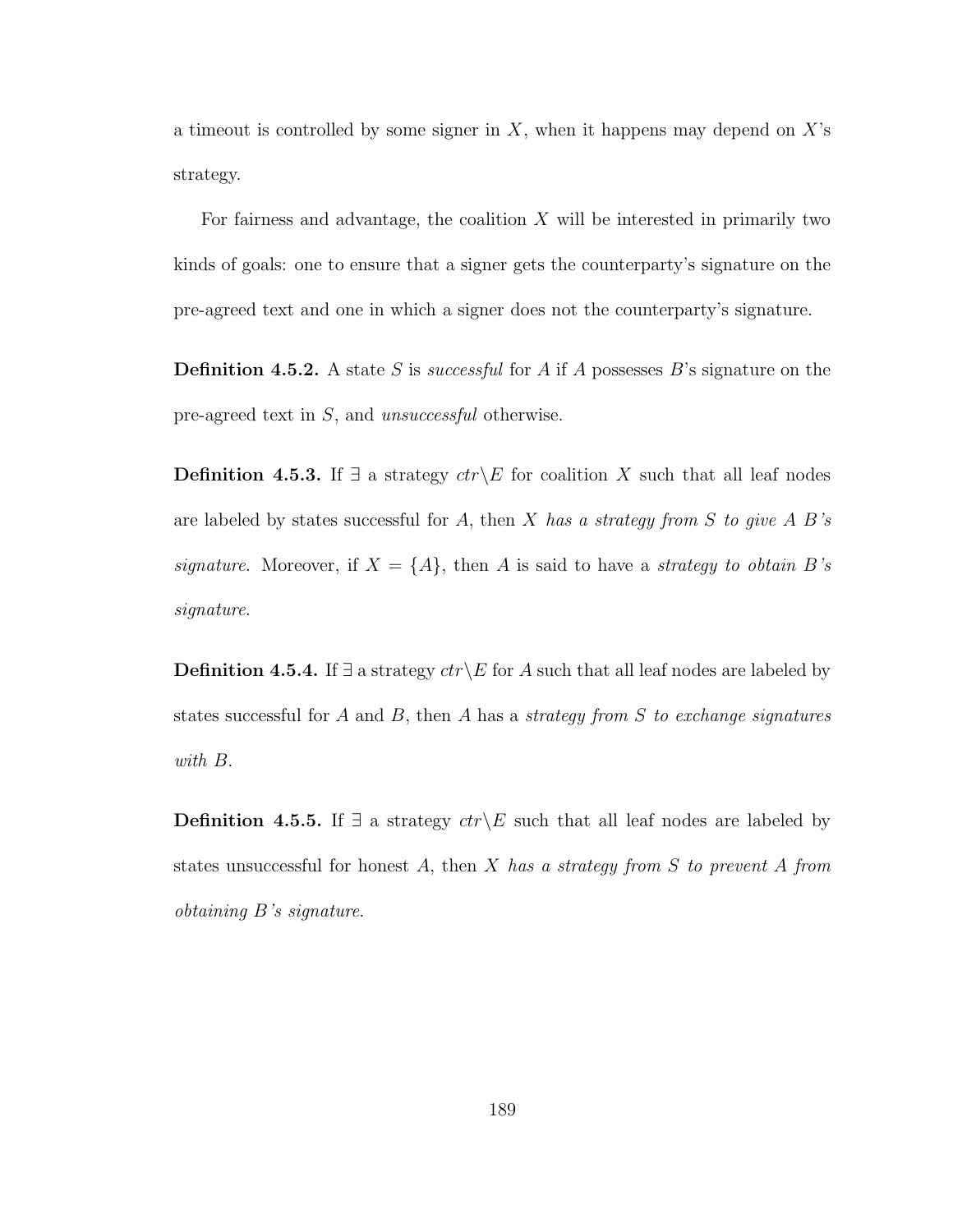a timeout is controlled by some signer in  $X$ , when it happens may depend on  $X$ 's strategy.

For fairness and advantage, the coalition  $X$  will be interested in primarily two kinds of goals: one to ensure that a signer gets the counterparty's signature on the pre-agreed text and one in which a signer does not the counterparty's signature.

**Definition 4.5.2.** A state S is *successful* for A if A possesses B's signature on the pre-agreed text in S, and unsuccessful otherwise.

**Definition 4.5.3.** If ∃ a strategy  $ctr\E \text{ for coalition } X$  such that all leaf nodes are labeled by states successful for A, then X has a strategy from S to give A B's signature. Moreover, if  $X = \{A\}$ , then A is said to have a strategy to obtain B's signature.

**Definition 4.5.4.** If  $\exists$  a strategy  $ctr\angle E$  for A such that all leaf nodes are labeled by states successful for  $A$  and  $B$ , then  $A$  has a *strategy from*  $S$  to exchange signatures with B.

**Definition 4.5.5.** If ∃ a strategy  $ctr\angle E$  such that all leaf nodes are labeled by states unsuccessful for honest A, then X has a strategy from S to prevent A from obtaining B's signature.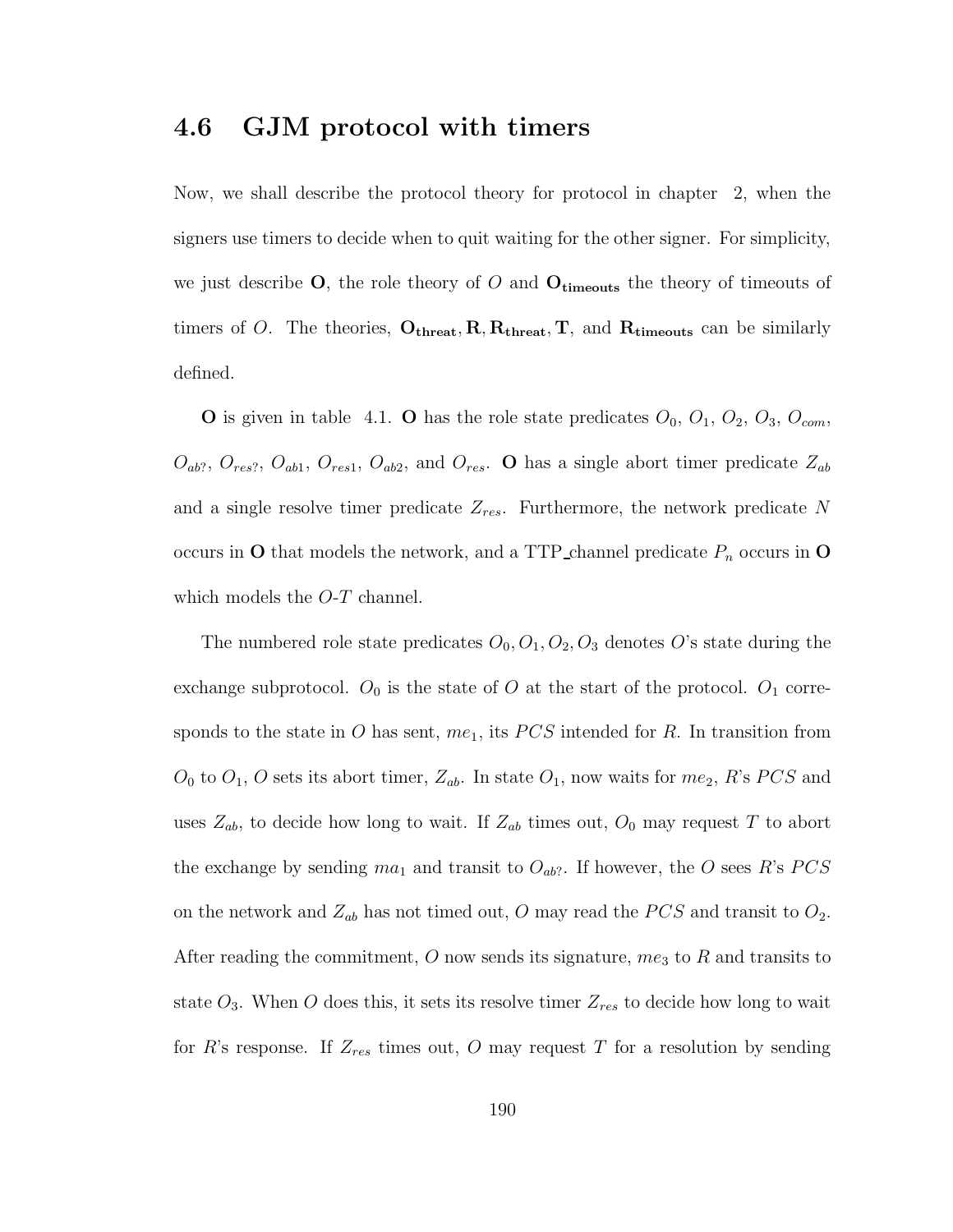### 4.6 GJM protocol with timers

Now, we shall describe the protocol theory for protocol in chapter 2, when the signers use timers to decide when to quit waiting for the other signer. For simplicity, we just describe  $O$ , the role theory of O and  $O_{\text{timeouts}}$  the theory of timeouts of timers of O. The theories,  $O_{\text{thresh}}$ ,  $R$ ,  $R_{\text{thresh}}$ ,  $T$ , and  $R_{\text{timeout}}$  can be similarly defined.

**O** is given in table 4.1. **O** has the role state predicates  $O_0$ ,  $O_1$ ,  $O_2$ ,  $O_3$ ,  $O_{com}$ ,  $O_{ab?}$ ,  $O_{res?}$ ,  $O_{ab1}$ ,  $O_{res1}$ ,  $O_{ab2}$ , and  $O_{res}$ . **O** has a single abort timer predicate  $Z_{ab}$ and a single resolve timer predicate  $Z_{res}$ . Furthermore, the network predicate N occurs in  $O$  that models the network, and a TTP channel predicate  $P_n$  occurs in  $O$ which models the *O-T* channel.

The numbered role state predicates  $O_0$ ,  $O_1$ ,  $O_2$ ,  $O_3$  denotes O's state during the exchange subprotocol.  $O_0$  is the state of O at the start of the protocol.  $O_1$  corresponds to the state in O has sent,  $me<sub>1</sub>$ , its PCS intended for R. In transition from  $O_0$  to  $O_1$ , O sets its abort timer,  $Z_{ab}$ . In state  $O_1$ , now waits for  $me_2$ , R's PCS and uses  $Z_{ab}$ , to decide how long to wait. If  $Z_{ab}$  times out,  $O_0$  may request T to abort the exchange by sending  $ma_1$  and transit to  $O_{ab}$ ?. If however, the O sees R's PCS on the network and  $Z_{ab}$  has not timed out, O may read the PCS and transit to  $O_2$ . After reading the commitment,  $O$  now sends its signature,  $me<sub>3</sub>$  to  $R$  and transits to state  $O_3$ . When O does this, it sets its resolve timer  $Z_{res}$  to decide how long to wait for R's response. If  $Z_{res}$  times out, O may request T for a resolution by sending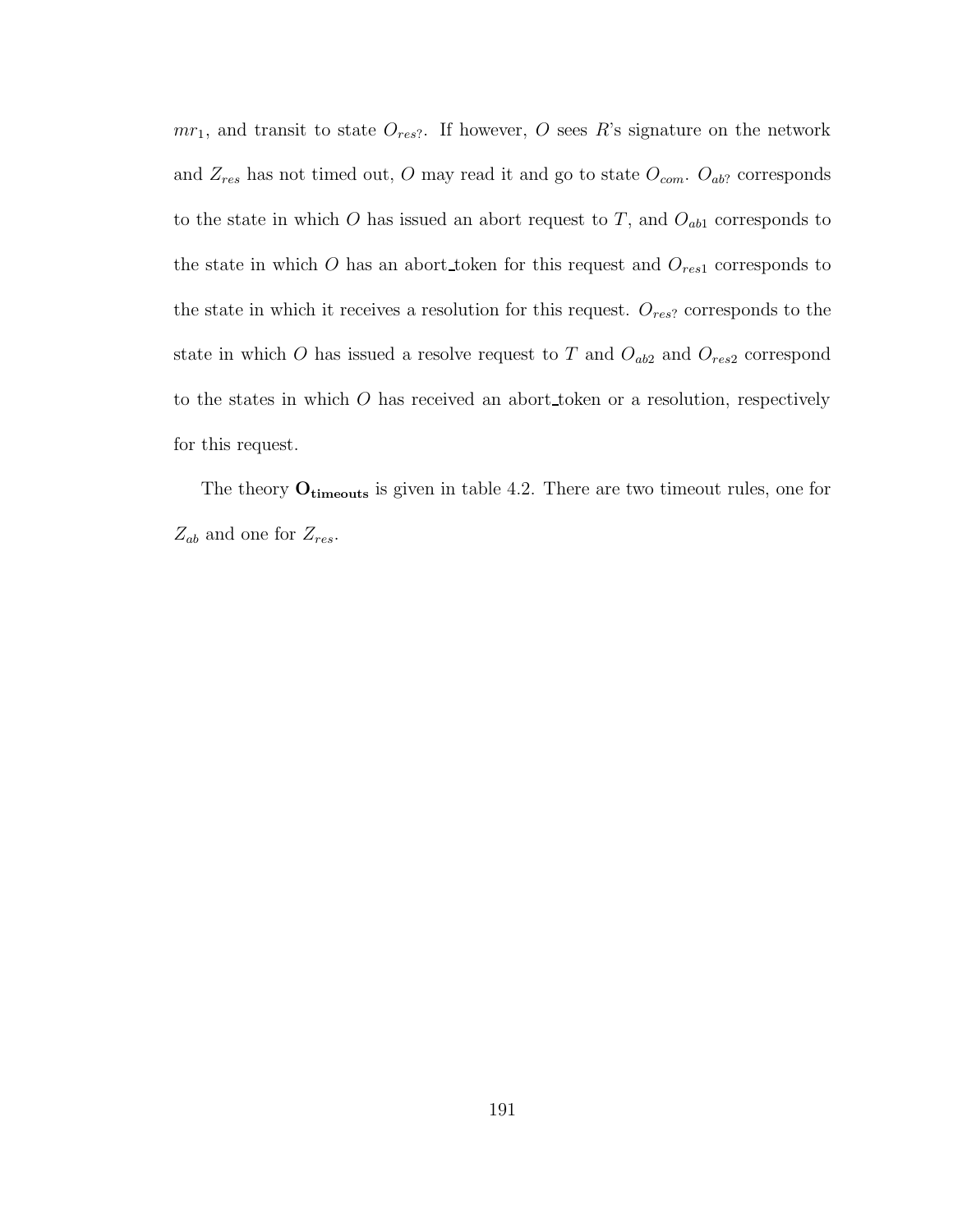$mr_1$ , and transit to state  $O_{res}$ . If however, O sees R's signature on the network and  $Z_{res}$  has not timed out, O may read it and go to state  $O_{com}$ .  $O_{ab}$ ? corresponds to the state in which  $O$  has issued an abort request to  $T$ , and  $O_{ab1}$  corresponds to the state in which O has an abort token for this request and  $O_{res1}$  corresponds to the state in which it receives a resolution for this request.  $O_{res}$ ? corresponds to the state in which O has issued a resolve request to T and  $O_{ab2}$  and  $O_{res2}$  correspond to the states in which O has received an abort token or a resolution, respectively for this request.

The theory  $O_{\text{timeouts}}$  is given in table 4.2. There are two timeout rules, one for  $Z_{ab}$  and one for  $Z_{res}$ .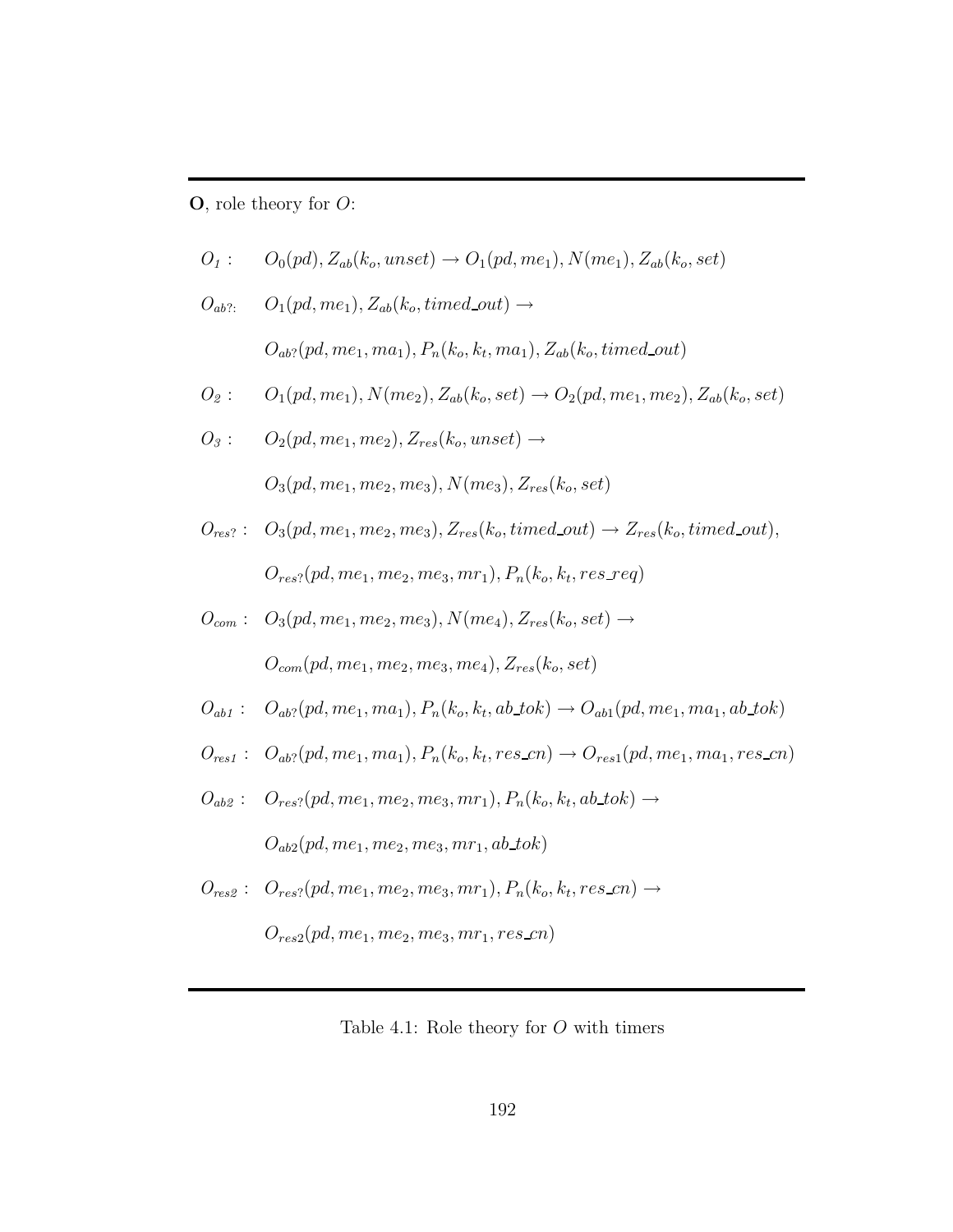$O$ , role theory for  $O$ :

$$
O_1: \qquad O_0(pd), Z_{ab}(k_o,unset) \rightarrow O_1(pd,me_1), N(me_1), Z_{ab}(k_o,set)
$$

 $O_{ab?}:$   $O_1(pd, me_1), Z_{ab}(k_o, timed\_out) \rightarrow$  $O_{ab?}(pd, me_1, ma_1), P_n(k_o, k_t, ma_1), Z_{ab}(k_o, timed\_out)$ 

$$
O_2: \qquad O_1(pd, me_1), N(me_2), Z_{ab}(k_o, set) \rightarrow O_2(pd, me_1, me_2), Z_{ab}(k_o, set)
$$

 $O_3: \qquad O_2(pd, me_1, me_2), Z_{res}(k_o, unset) \rightarrow$ 

 $O_3(pd, me_1, me_2, me_3), N(me_3), Z_{res}(k_o, set)$ 

- $O_{res?}: O_3(pd, me_1, me_2, me_3), Z_{res}(k_o, timed\_out) \rightarrow Z_{res}(k_o, timed\_out),$  $O_{res}$ ?(pd, m $e_1$ , m $e_2$ , m $e_3$ , m $r_1$ ),  $P_n(k_o, k_t, res\_req)$
- $O_{com}$ :  $O_3(pd, me_1, me_2, me_3), N(me_4), Z_{res}(k_o, set) \rightarrow$  $O_{com}(pd, me_1, me_2, me_3, me_4), Z_{res}(k_o, set)$
- $O_{ab1}: O_{ab}p(d, me_1, ma_1), P_n(k_o, k_t, ab\_tok) \rightarrow O_{ab1}(pd, me_1, ma_1, ab\_tok)$
- $O_{res1}: O_{ab}p(d, me_1, ma_1), P_n(k_o, k_t, res\_cn) \rightarrow O_{res1}(pd, me_1, ma_1, res\_cn)$
- $O_{ab2}:$   $O_{res}(pd, me_1, me_2, me_3, mr_1), P_n(k_o, k_t, ab\_tok) \rightarrow$  $O_{ab2}(pd, me_1, me_2, me_3, mr_1, ab\_tok)$
- $O_{res2}: O_{res2}(pd, me_1, me_2, me_3, mr_1), P_n(k_o, k_t, res\_cn) \rightarrow$

 $O_{res2}(pd, me_1, me_2, me_3, mr_1, res\_cn)$ 

Table 4.1: Role theory for  $O$  with timers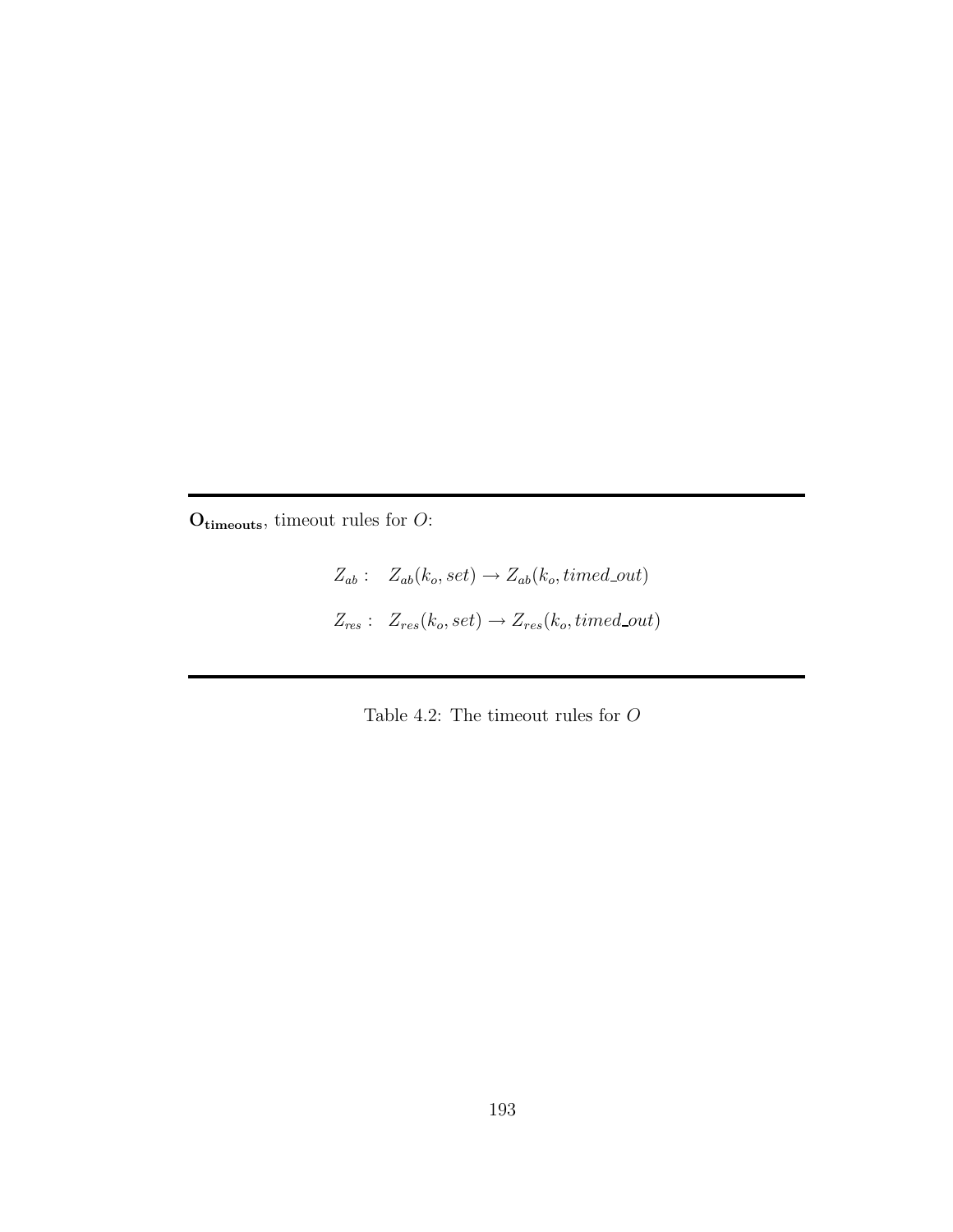$O<sub>timeouts</sub>$ , timeout rules for  $O$ :

 $Z_{ab}$ :  $Z_{ab}(k_o, set) \rightarrow Z_{ab}(k_o, timed\_out)$  $Z_{res}$ :  $Z_{res}(k_o, set) \rightarrow Z_{res}(k_o, timed\_out)$ 

Table 4.2: The timeout rules for  ${\cal O}$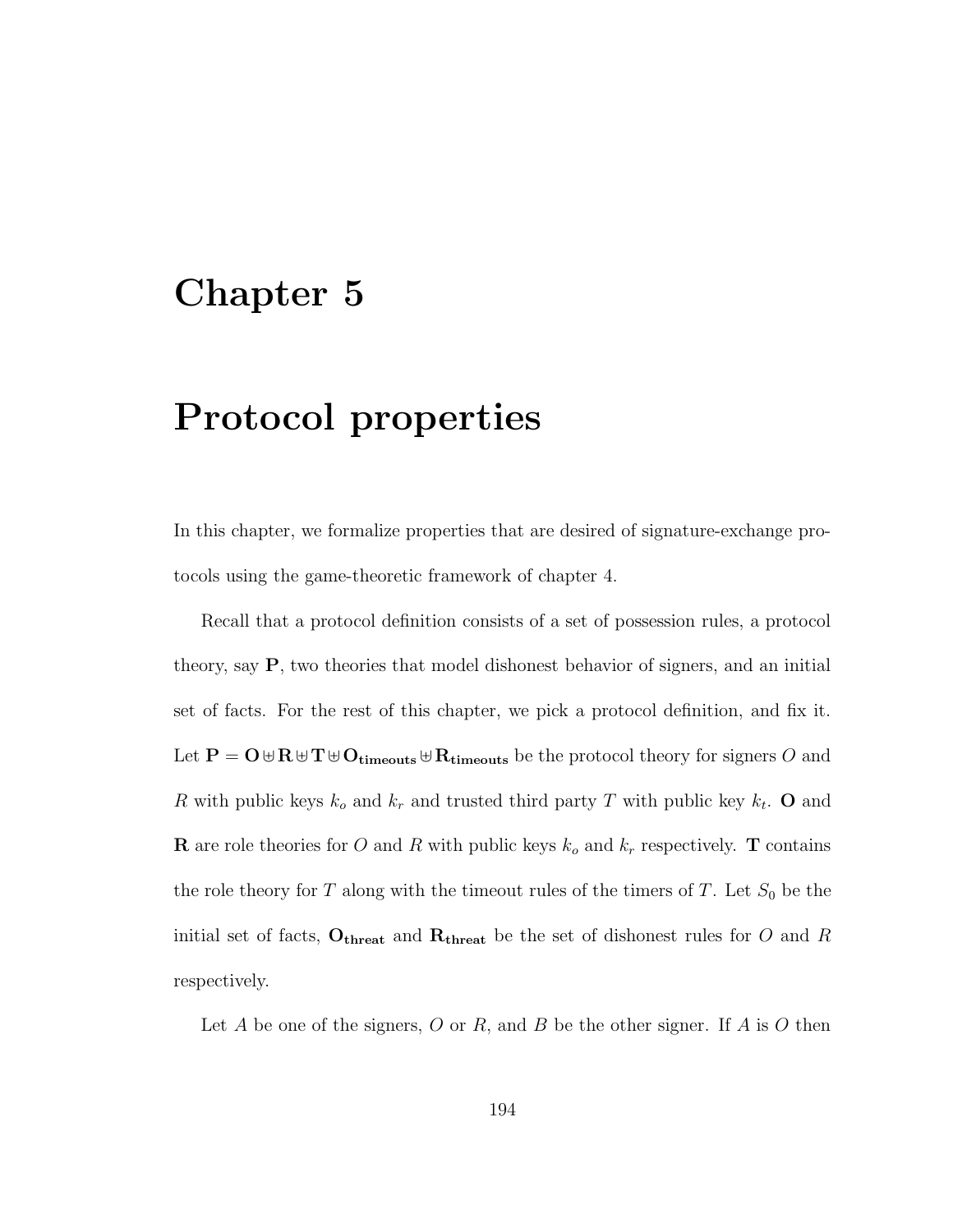## Chapter 5

# Protocol properties

In this chapter, we formalize properties that are desired of signature-exchange protocols using the game-theoretic framework of chapter 4.

Recall that a protocol definition consists of a set of possession rules, a protocol theory, say P, two theories that model dishonest behavior of signers, and an initial set of facts. For the rest of this chapter, we pick a protocol definition, and fix it. Let  $P = O \oplus R \oplus T \oplus O_{\text{timeouts}} \oplus R_{\text{timeouts}}$  be the protocol theory for signers  $O$  and R with public keys  $k_o$  and  $k_r$  and trusted third party T with public key  $k_t$ . O and **R** are role theories for O and R with public keys  $k_o$  and  $k_r$  respectively. **T** contains the role theory for T along with the timeout rules of the timers of T. Let  $S_0$  be the initial set of facts,  $O_{\text{thresh}}$  and  $R_{\text{thresh}}$  be the set of dishonest rules for O and R respectively.

Let  $A$  be one of the signers,  $O$  or  $R$ , and  $B$  be the other signer. If  $A$  is  $O$  then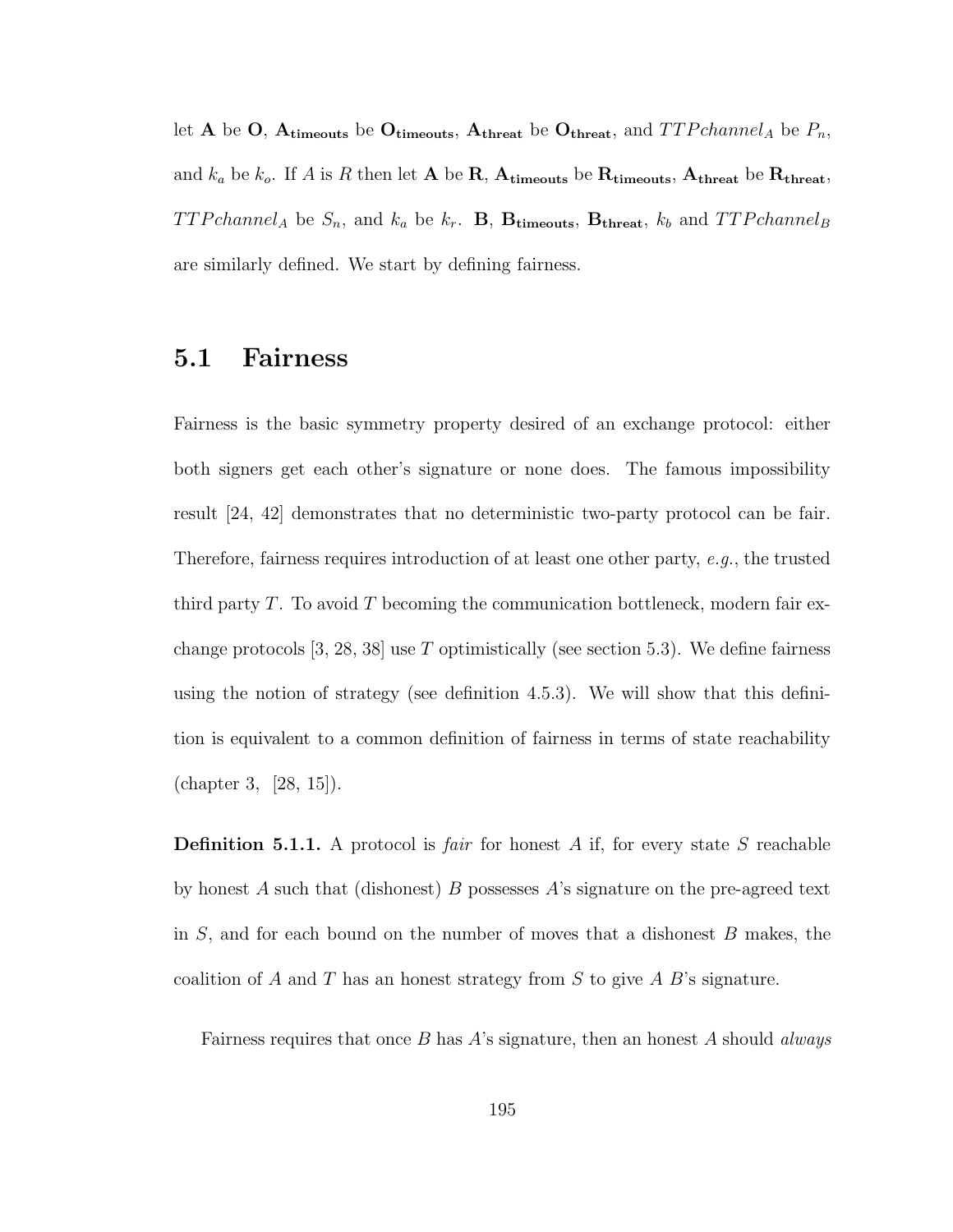let A be O,  $A$ <sub>timeouts</sub> be O<sub>timeouts</sub>,  $A$ <sub>threat</sub> be O<sub>threat</sub>, and  $TTPchannel_A$  be  $P_n$ , and  $k_a$  be  $k_o$ . If A is R then let A be R, A<sub>timeouts</sub> be R<sub>timeouts</sub>, A<sub>threat</sub> be R<sub>threat</sub>,  $TTPchannel_A$  be  $S_n$ , and  $k_a$  be  $k_r$ . **B**, **B**<sub>timeouts</sub>, **B**<sub>threat</sub>,  $k_b$  and  $TTPchannel_B$ are similarly defined. We start by defining fairness.

### 5.1 Fairness

Fairness is the basic symmetry property desired of an exchange protocol: either both signers get each other's signature or none does. The famous impossibility result [24, 42] demonstrates that no deterministic two-party protocol can be fair. Therefore, fairness requires introduction of at least one other party, e.g., the trusted third party T. To avoid T becoming the communication bottleneck, modern fair exchange protocols  $[3, 28, 38]$  use T optimistically (see section 5.3). We define fairness using the notion of strategy (see definition 4.5.3). We will show that this definition is equivalent to a common definition of fairness in terms of state reachability (chapter 3, [28, 15]).

**Definition 5.1.1.** A protocol is *fair* for honest A if, for every state S reachable by honest A such that (dishonest) B possesses A's signature on the pre-agreed text in  $S$ , and for each bound on the number of moves that a dishonest  $B$  makes, the coalition of A and T has an honest strategy from S to give A B's signature.

Fairness requires that once  $B$  has  $A$ 's signature, then an honest  $A$  should *always*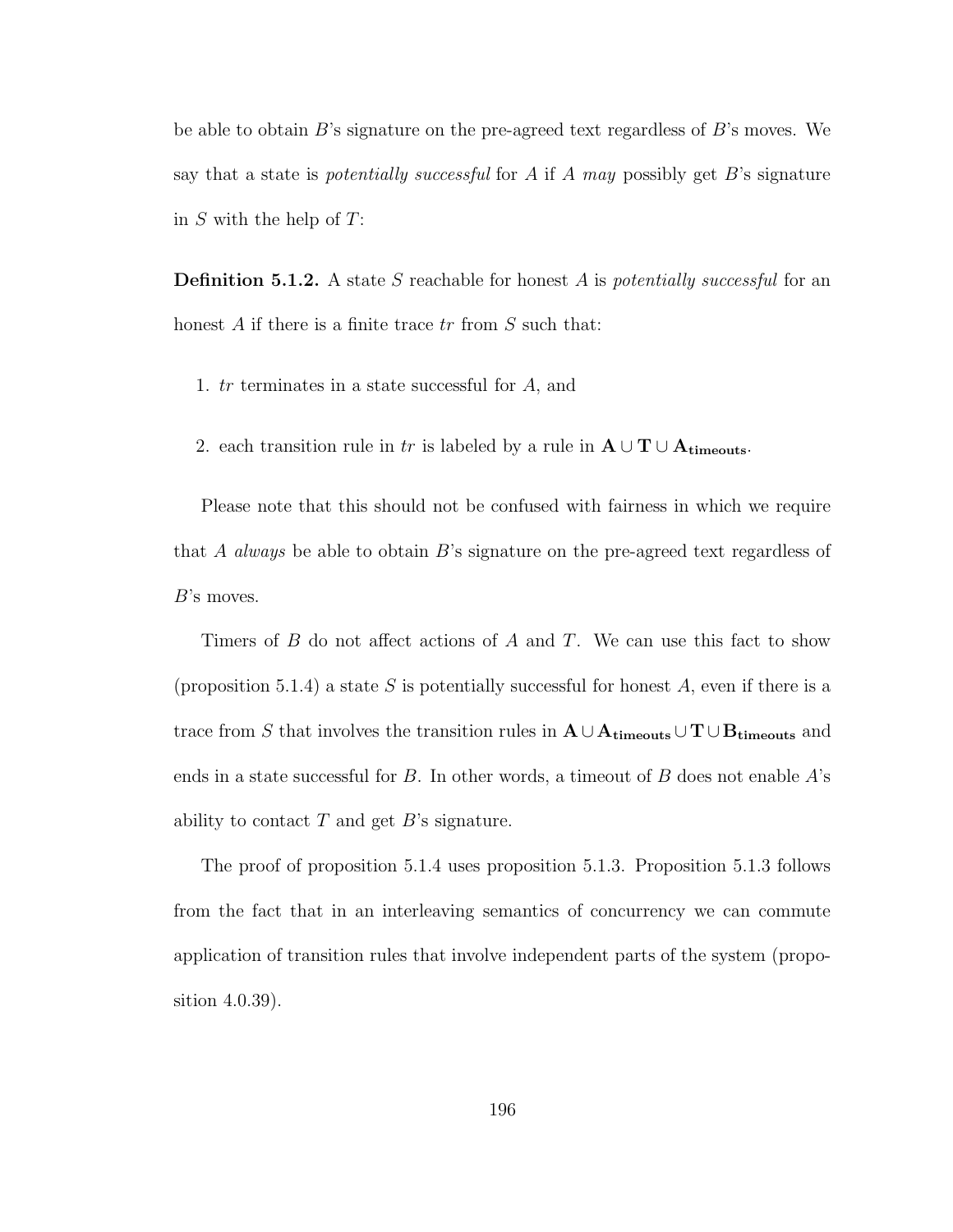be able to obtain  $B$ 's signature on the pre-agreed text regardless of  $B$ 's moves. We say that a state is *potentially successful* for A if A may possibly get B's signature in  $S$  with the help of  $T$ :

**Definition 5.1.2.** A state S reachable for honest A is *potentially successful* for an honest  $A$  if there is a finite trace  $tr$  from  $S$  such that:

- 1. tr terminates in a state successful for A, and
- 2. each transition rule in tr is labeled by a rule in  $A \cup T \cup A_{\text{timeouts}}$ .

Please note that this should not be confused with fairness in which we require that A always be able to obtain  $B$ 's signature on the pre-agreed text regardless of B's moves.

Timers of  $B$  do not affect actions of  $A$  and  $T$ . We can use this fact to show (proposition 5.1.4) a state S is potentially successful for honest A, even if there is a trace from S that involves the transition rules in  $A \cup A_{\text{timeouts}} \cup T \cup B_{\text{timeouts}}$  and ends in a state successful for  $B$ . In other words, a timeout of  $B$  does not enable  $A$ 's ability to contact  $T$  and get  $B$ 's signature.

The proof of proposition 5.1.4 uses proposition 5.1.3. Proposition 5.1.3 follows from the fact that in an interleaving semantics of concurrency we can commute application of transition rules that involve independent parts of the system (proposition 4.0.39).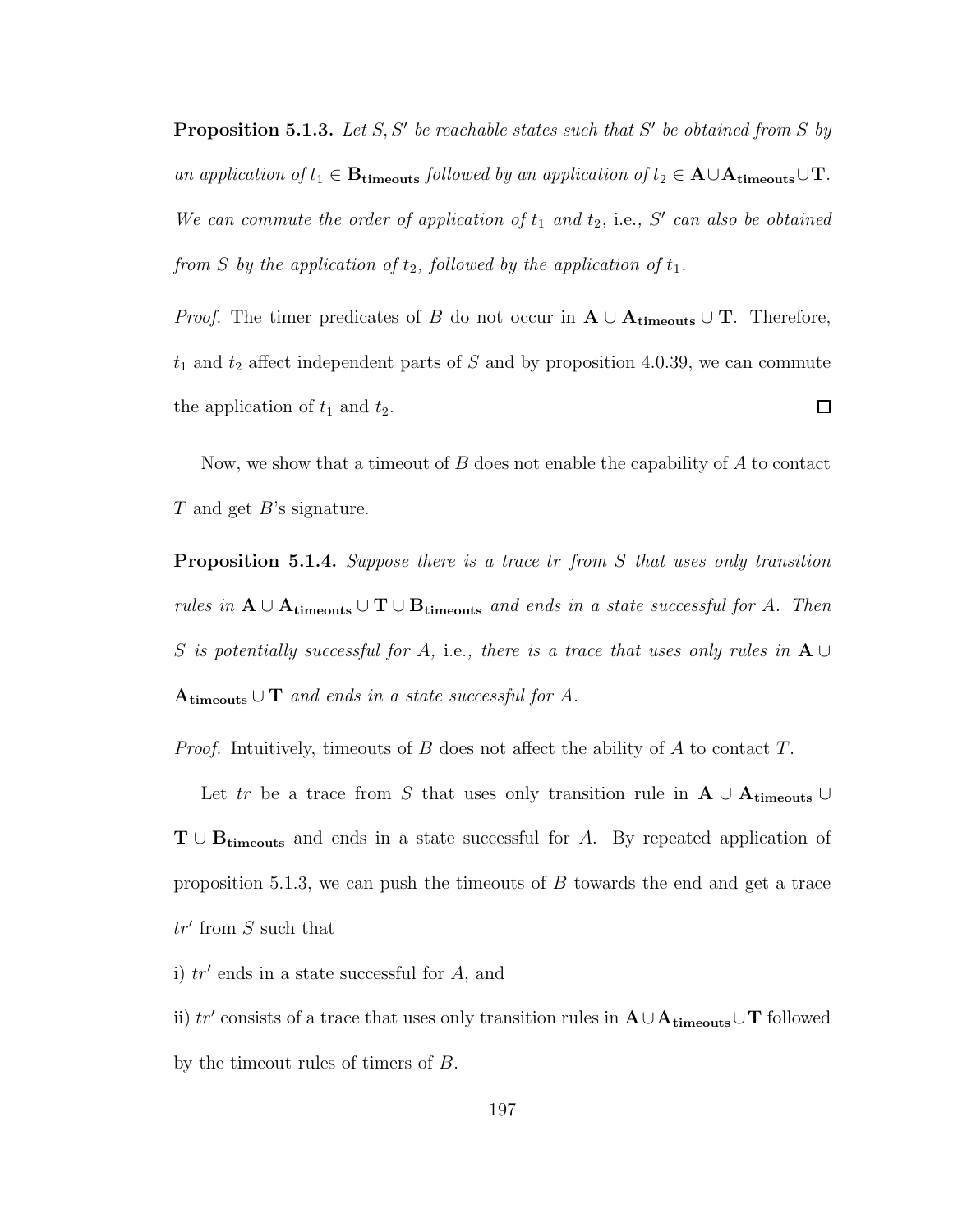**Proposition 5.1.3.** Let S, S' be reachable states such that S' be obtained from S by an application of  $t_1 \in \mathbf{B}_{\text{timeouts}}$  followed by an application of  $t_2 \in \mathbf{A} \cup \mathbf{A}_{\text{timeouts}} \cup \mathbf{T}$ . We can commute the order of application of  $t_1$  and  $t_2$ , i.e., S' can also be obtained from S by the application of  $t_2$ , followed by the application of  $t_1$ .

*Proof.* The timer predicates of B do not occur in  $A \cup A_{\text{timeouts}} \cup T$ . Therefore,  $t_1$  and  $t_2$  affect independent parts of S and by proposition 4.0.39, we can commute  $\Box$ the application of  $t_1$  and  $t_2$ .

Now, we show that a timeout of  $B$  does not enable the capability of  $A$  to contact  $T$  and get  $B$ 's signature.

Proposition 5.1.4. Suppose there is a trace tr from S that uses only transition rules in  $A \cup A_{timeouts} \cup T \cup B_{timeouts}$  and ends in a state successful for A. Then S is potentially successful for A, i.e., there is a trace that uses only rules in  ${\bf A} \cup$  ${\bf A_{timeouts}} \cup {\bf T}$  and ends in a state successful for A.

*Proof.* Intuitively, timeouts of B does not affect the ability of A to contact T.

Let tr be a trace from S that uses only transition rule in  $A \cup A$ <sub>timeouts</sub> ∪  $T \cup B_{timeouts}$  and ends in a state successful for A. By repeated application of proposition 5.1.3, we can push the timeouts of B towards the end and get a trace  $tr'$  from  $S$  such that

i)  $tr'$  ends in a state successful for  $A$ , and

ii)  $tr'$  consists of a trace that uses only transition rules in  $\mathbf{A} \cup \mathbf{A}_{\text{timeouts}} \cup \mathbf{T}$  followed by the timeout rules of timers of B.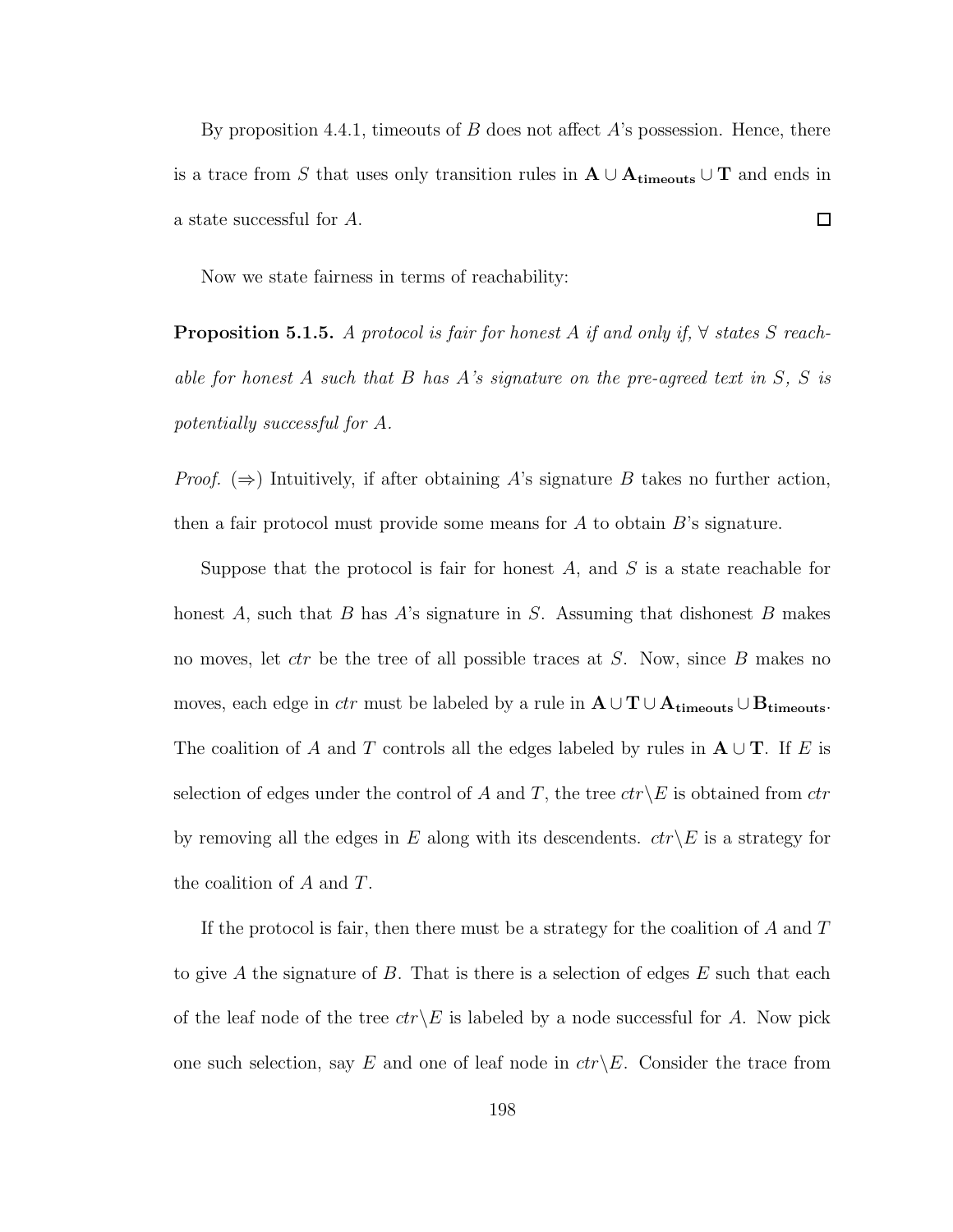By proposition 4.4.1, timeouts of  $B$  does not affect  $A$ 's possession. Hence, there is a trace from S that uses only transition rules in  $A \cup A_{timeouts} \cup T$  and ends in a state successful for A.  $\Box$ 

Now we state fairness in terms of reachability:

**Proposition 5.1.5.** A protocol is fair for honest A if and only if,  $\forall$  states S reachable for honest  $A$  such that  $B$  has  $A$ 's signature on the pre-agreed text in  $S$ ,  $S$  is potentially successful for A.

*Proof.* ( $\Rightarrow$ ) Intuitively, if after obtaining A's signature B takes no further action, then a fair protocol must provide some means for  $A$  to obtain  $B$ 's signature.

Suppose that the protocol is fair for honest  $A$ , and  $S$  is a state reachable for honest A, such that B has A's signature in S. Assuming that dishonest B makes no moves, let ctr be the tree of all possible traces at S. Now, since B makes no moves, each edge in *ctr* must be labeled by a rule in  $A \cup T \cup A$ <sub>timeouts</sub>  $\cup B$ <sub>timeouts</sub>. The coalition of A and T controls all the edges labeled by rules in  $\mathbf{A} \cup \mathbf{T}$ . If E is selection of edges under the control of A and T, the tree  $ctr\&E$  is obtained from  $ctr$ by removing all the edges in E along with its descendents.  $ctr\&$  is a strategy for the coalition of  $A$  and  $T$ .

If the protocol is fair, then there must be a strategy for the coalition of  $A$  and  $T$ to give A the signature of B. That is there is a selection of edges  $E$  such that each of the leaf node of the tree  $ctr\angle E$  is labeled by a node successful for A. Now pick one such selection, say E and one of leaf node in  $ctr\angle E$ . Consider the trace from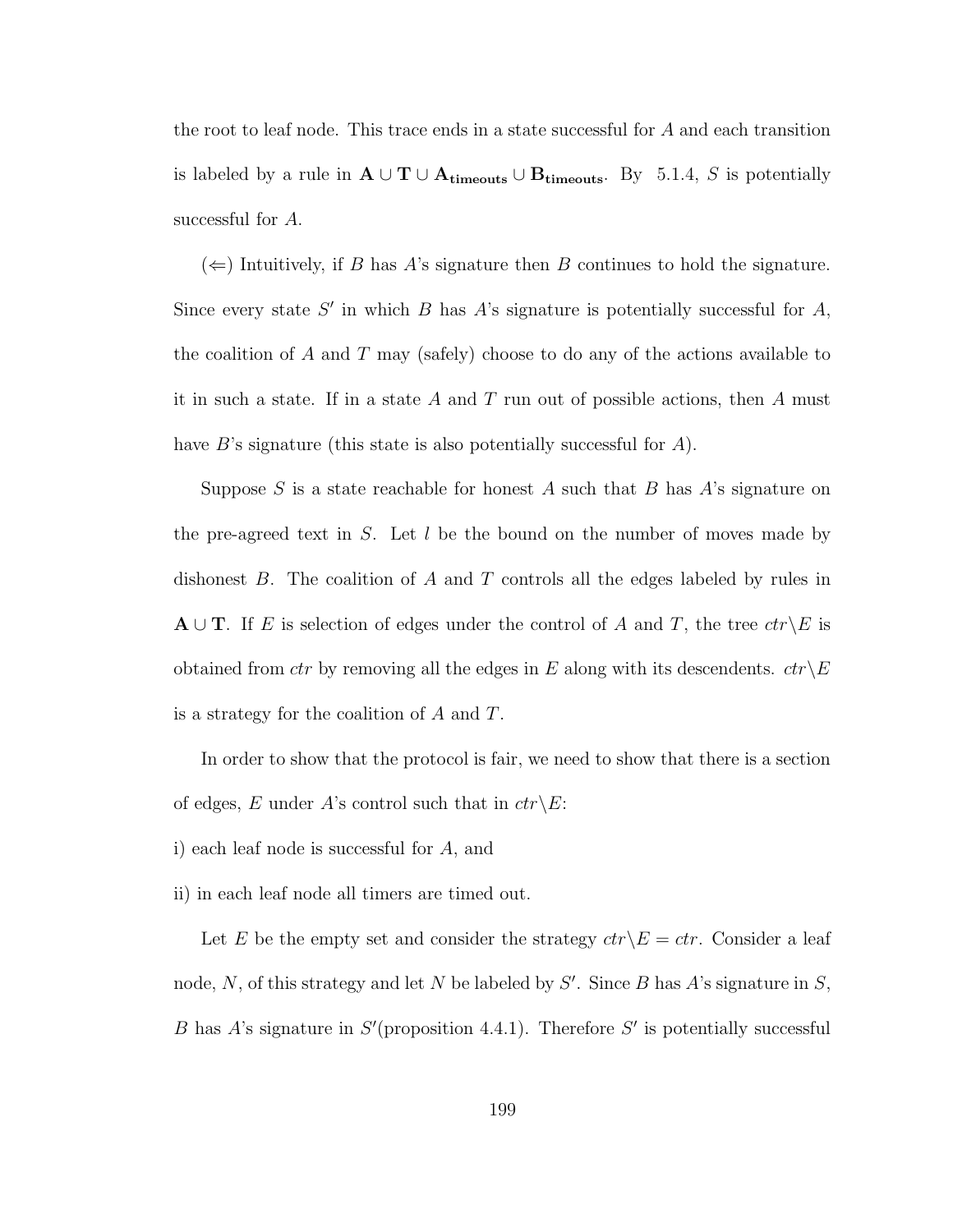the root to leaf node. This trace ends in a state successful for A and each transition is labeled by a rule in  $\mathbf{A} \cup \mathbf{T} \cup \mathbf{A}_{\text{timeouts}} \cup \mathbf{B}_{\text{timeouts}}$ . By 5.1.4, S is potentially successful for A.

 $(\Leftarrow)$  Intuitively, if B has A's signature then B continues to hold the signature. Since every state  $S'$  in which  $B$  has  $A$ 's signature is potentially successful for  $A$ , the coalition of A and T may (safely) choose to do any of the actions available to it in such a state. If in a state A and T run out of possible actions, then A must have B's signature (this state is also potentially successful for A).

Suppose S is a state reachable for honest A such that B has  $A$ 's signature on the pre-agreed text in  $S$ . Let  $l$  be the bound on the number of moves made by dishonest  $B$ . The coalition of  $A$  and  $T$  controls all the edges labeled by rules in  ${\bf A} \cup {\bf T}$ . If E is selection of edges under the control of A and T, the tree  $ctr\backslash E$  is obtained from ctr by removing all the edges in E along with its descendents.  $ctr\backslash E$ is a strategy for the coalition of A and T.

In order to show that the protocol is fair, we need to show that there is a section of edges, E under A's control such that in  $ctr\&E$ :

- i) each leaf node is successful for A, and
- ii) in each leaf node all timers are timed out.

Let E be the empty set and consider the strategy  $ctr\backslash E =ctr$ . Consider a leaf node, N, of this strategy and let N be labeled by  $S'$ . Since B has A's signature in S, B has A's signature in  $S'$  (proposition 4.4.1). Therefore  $S'$  is potentially successful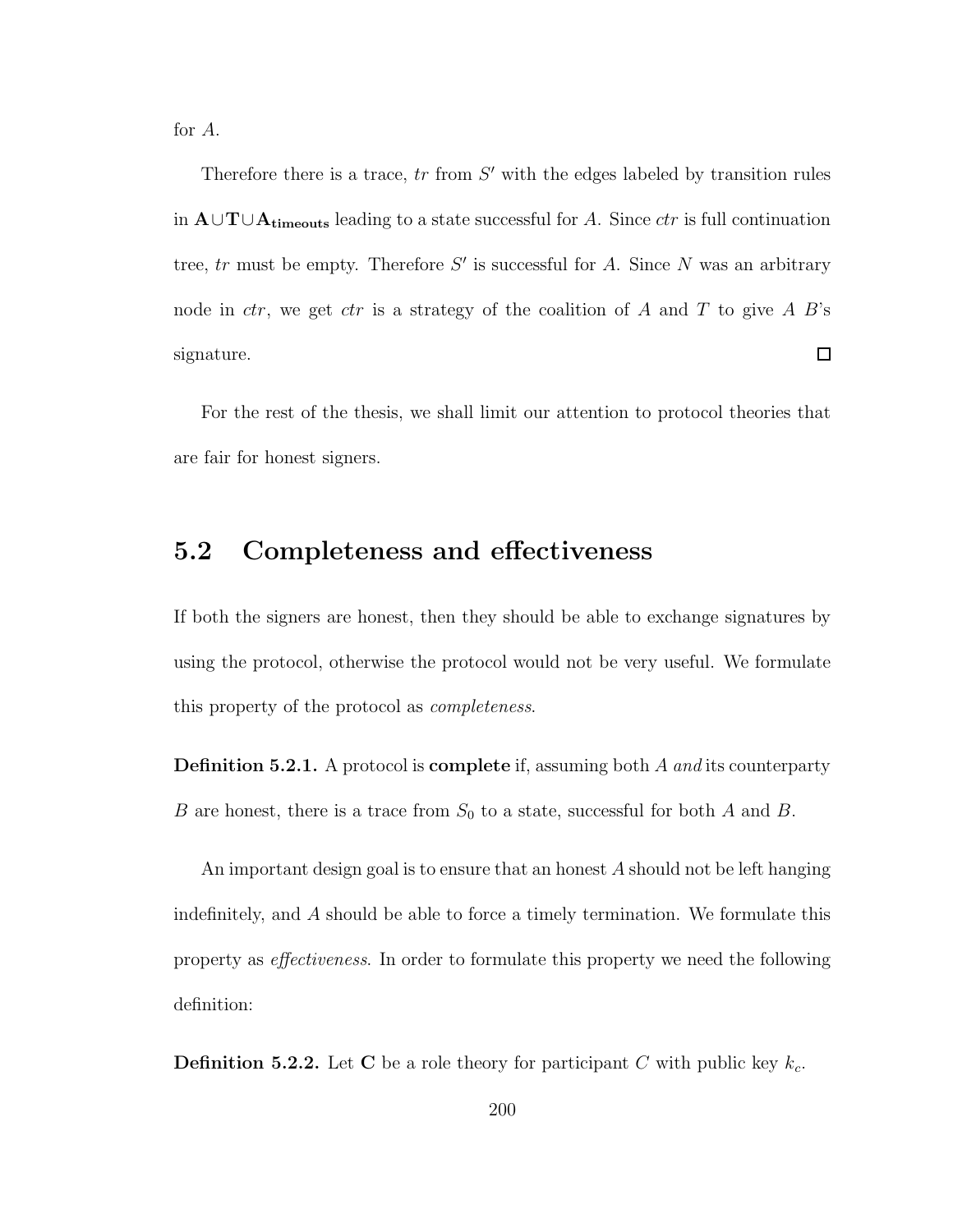for A.

Therefore there is a trace,  $tr$  from  $S'$  with the edges labeled by transition rules in  $\mathbf{A}\cup\mathbf{T}\cup\mathbf{A}_{\mathbf{timeouts}}$  leading to a state successful for A. Since  $ctr$  is full continuation tree,  $tr$  must be empty. Therefore  $S'$  is successful for A. Since N was an arbitrary node in ctr, we get ctr is a strategy of the coalition of A and T to give A  $B$ 's  $\Box$ signature.

For the rest of the thesis, we shall limit our attention to protocol theories that are fair for honest signers.

## 5.2 Completeness and effectiveness

If both the signers are honest, then they should be able to exchange signatures by using the protocol, otherwise the protocol would not be very useful. We formulate this property of the protocol as completeness.

**Definition 5.2.1.** A protocol is **complete** if, assuming both A and its counterparty B are honest, there is a trace from  $S_0$  to a state, successful for both A and B.

An important design goal is to ensure that an honest A should not be left hanging indefinitely, and A should be able to force a timely termination. We formulate this property as effectiveness. In order to formulate this property we need the following definition:

**Definition 5.2.2.** Let C be a role theory for participant C with public key  $k_c$ .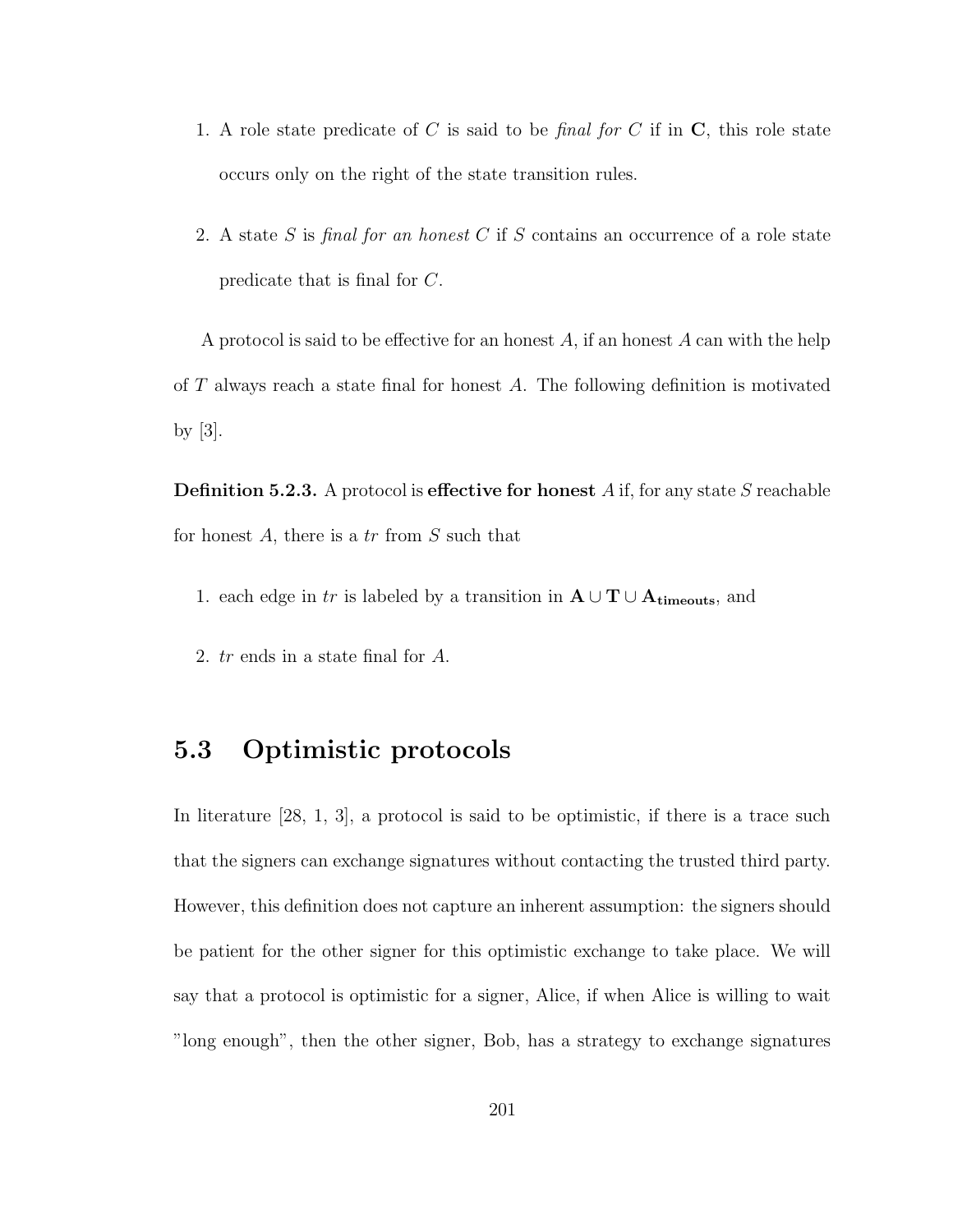- 1. A role state predicate of C is said to be final for C if in  $C$ , this role state occurs only on the right of the state transition rules.
- 2. A state S is final for an honest C if S contains an occurrence of a role state predicate that is final for C.

A protocol is said to be effective for an honest  $A$ , if an honest  $A$  can with the help of  $T$  always reach a state final for honest  $A$ . The following definition is motivated by  $|3|$ .

**Definition 5.2.3.** A protocol is effective for honest A if, for any state S reachable for honest  $A$ , there is a tr from  $S$  such that

- 1. each edge in tr is labeled by a transition in  $\mathbf{A} \cup \mathbf{T} \cup \mathbf{A}_{\text{timeouts}}$ , and
- 2. tr ends in a state final for A.

### 5.3 Optimistic protocols

In literature [28, 1, 3], a protocol is said to be optimistic, if there is a trace such that the signers can exchange signatures without contacting the trusted third party. However, this definition does not capture an inherent assumption: the signers should be patient for the other signer for this optimistic exchange to take place. We will say that a protocol is optimistic for a signer, Alice, if when Alice is willing to wait "long enough", then the other signer, Bob, has a strategy to exchange signatures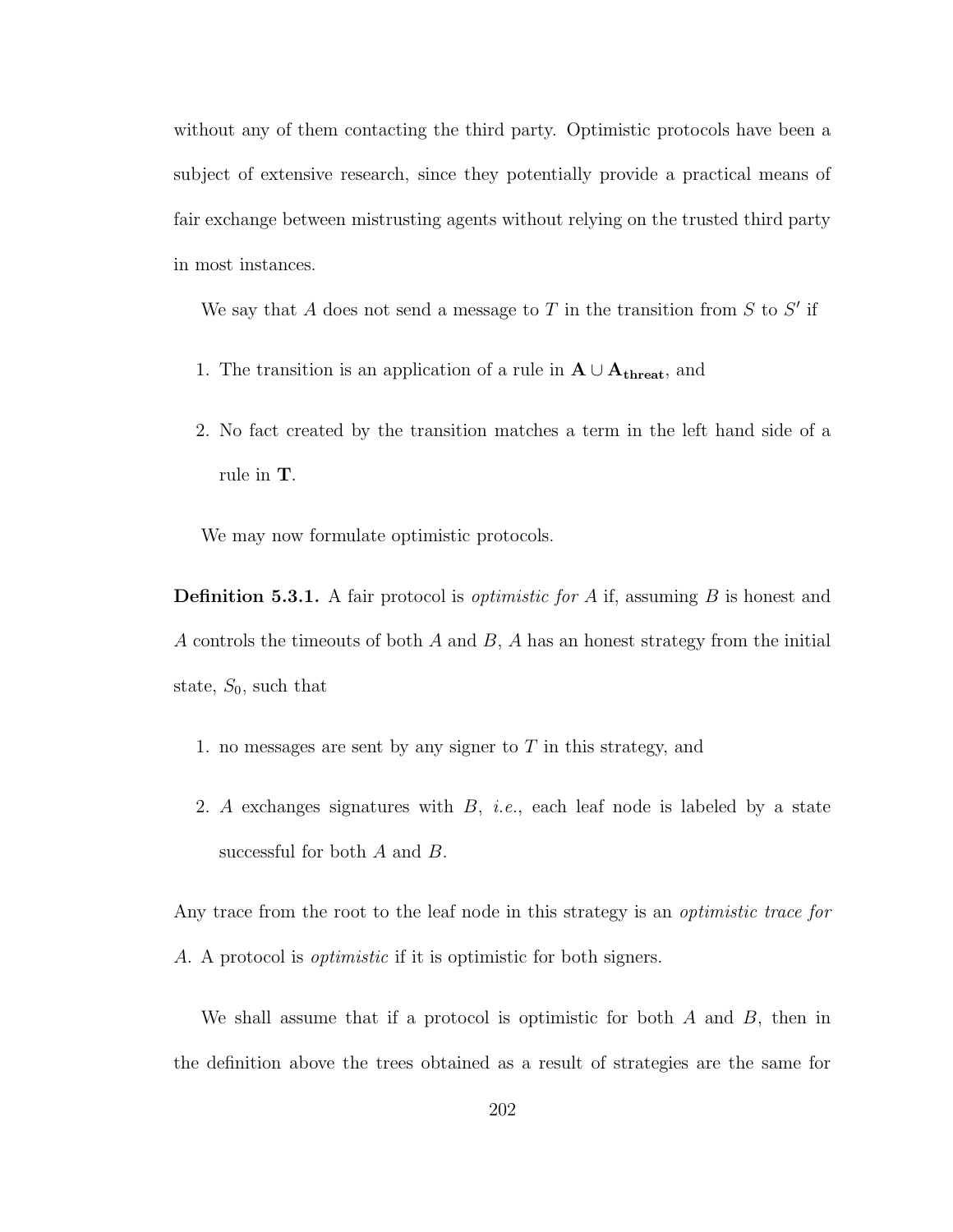without any of them contacting the third party. Optimistic protocols have been a subject of extensive research, since they potentially provide a practical means of fair exchange between mistrusting agents without relying on the trusted third party in most instances.

We say that A does not send a message to T in the transition from  $S$  to  $S'$  if

- 1. The transition is an application of a rule in  $A \cup A_{\text{thresh}}$ , and
- 2. No fact created by the transition matches a term in the left hand side of a rule in T.

We may now formulate optimistic protocols.

**Definition 5.3.1.** A fair protocol is *optimistic for A* if, assuming  $B$  is honest and A controls the timeouts of both  $A$  and  $B$ ,  $A$  has an honest strategy from the initial state,  $S_0$ , such that

- 1. no messages are sent by any signer to  $T$  in this strategy, and
- 2. A exchanges signatures with  $B$ , *i.e.*, each leaf node is labeled by a state successful for both A and B.

Any trace from the root to the leaf node in this strategy is an *optimistic trace for* A. A protocol is optimistic if it is optimistic for both signers.

We shall assume that if a protocol is optimistic for both  $A$  and  $B$ , then in the definition above the trees obtained as a result of strategies are the same for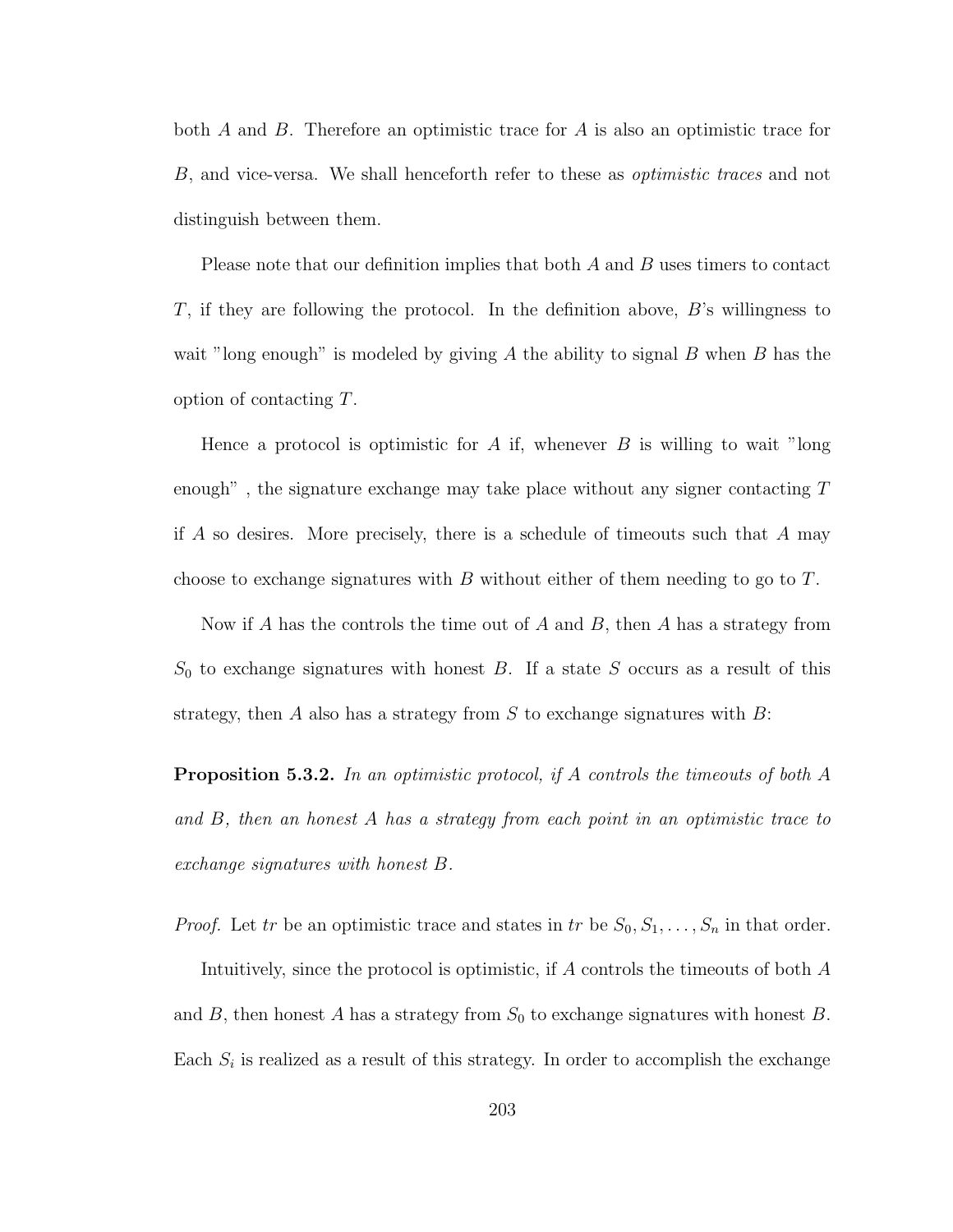both A and B. Therefore an optimistic trace for A is also an optimistic trace for B, and vice-versa. We shall henceforth refer to these as optimistic traces and not distinguish between them.

Please note that our definition implies that both  $A$  and  $B$  uses timers to contact T, if they are following the protocol. In the definition above,  $B$ 's willingness to wait "long enough" is modeled by giving A the ability to signal B when B has the option of contacting T.

Hence a protocol is optimistic for A if, whenever B is willing to wait "long" enough", the signature exchange may take place without any signer contacting  $T$ if A so desires. More precisely, there is a schedule of timeouts such that A may choose to exchange signatures with B without either of them needing to go to  $T$ .

Now if A has the controls the time out of A and B, then A has a strategy from  $S_0$  to exchange signatures with honest B. If a state S occurs as a result of this strategy, then A also has a strategy from S to exchange signatures with  $B$ :

**Proposition 5.3.2.** In an optimistic protocol, if A controls the timeouts of both A and B, then an honest A has a strategy from each point in an optimistic trace to exchange signatures with honest B.

*Proof.* Let tr be an optimistic trace and states in tr be  $S_0, S_1, \ldots, S_n$  in that order.

Intuitively, since the protocol is optimistic, if A controls the timeouts of both A and B, then honest A has a strategy from  $S_0$  to exchange signatures with honest B. Each  $S_i$  is realized as a result of this strategy. In order to accomplish the exchange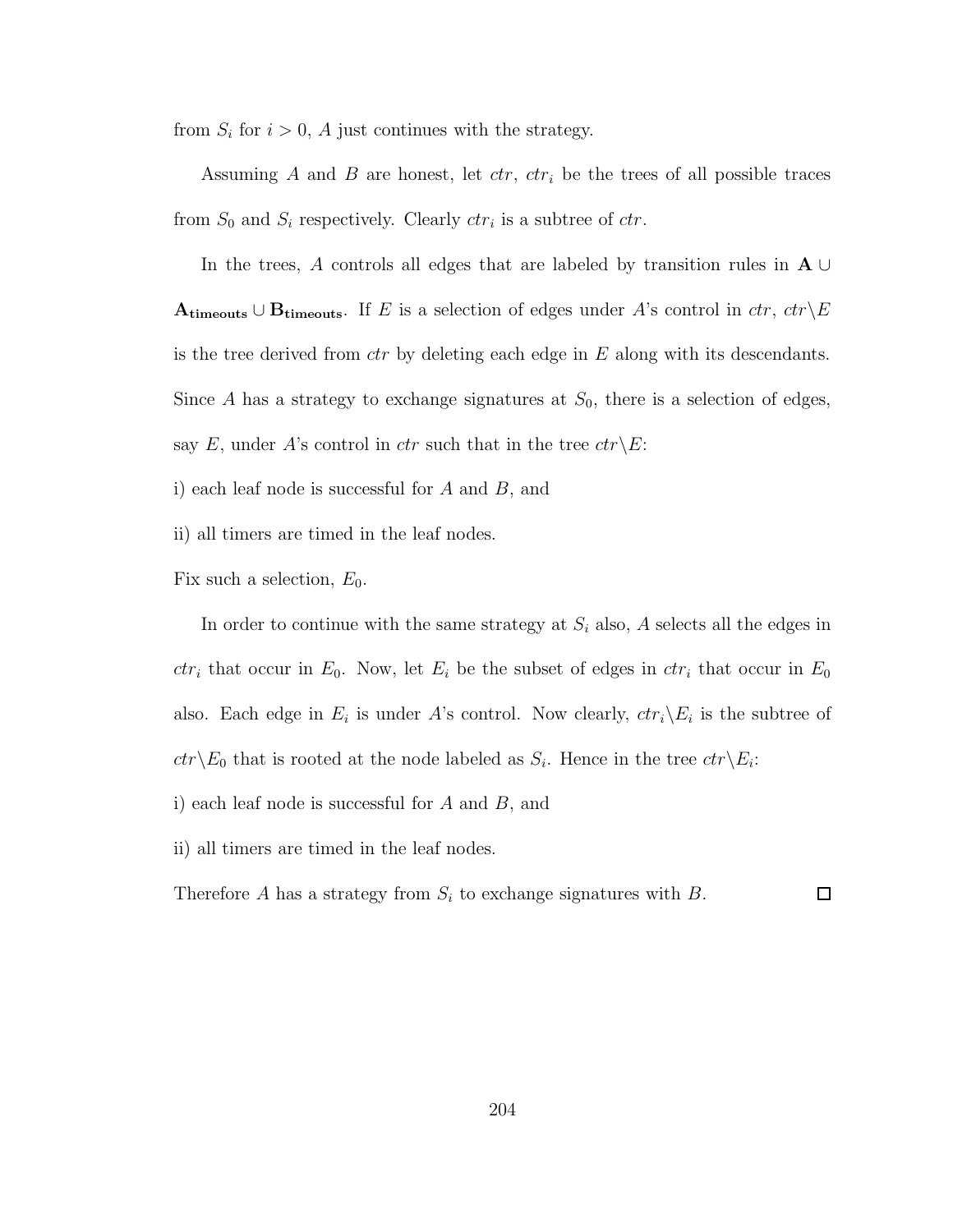from  $S_i$  for  $i > 0$ , A just continues with the strategy.

Assuming A and B are honest, let  $ctr$ ,  $ctr$ <sub>i</sub> be the trees of all possible traces from  $S_0$  and  $S_i$  respectively. Clearly  $ctr_i$  is a subtree of  $ctr$ .

In the trees, A controls all edges that are labeled by transition rules in  $A \cup$ Atimeouts ∪ Btimeouts. If E is a selection of edges under A's control in  $ctr$ ,  $ctr\$ E is the tree derived from  $ctr$  by deleting each edge in  $E$  along with its descendants. Since A has a strategy to exchange signatures at  $S_0$ , there is a selection of edges, say E, under A's control in ctr such that in the tree  $ctr\backslash E$ :

i) each leaf node is successful for A and B, and

ii) all timers are timed in the leaf nodes.

Fix such a selection,  $E_0$ .

In order to continue with the same strategy at  $S_i$  also, A selects all the edges in  $ctr_i$  that occur in  $E_0$ . Now, let  $E_i$  be the subset of edges in  $ctr_i$  that occur in  $E_0$ also. Each edge in  $E_i$  is under A's control. Now clearly,  $ctr_i\backslash E_i$  is the subtree of  $ctr\backslash E_0$  that is rooted at the node labeled as  $S_i$ . Hence in the tree  $ctr\backslash E_i$ :

i) each leaf node is successful for  $A$  and  $B$ , and

ii) all timers are timed in the leaf nodes.

Therefore A has a strategy from  $S_i$  to exchange signatures with B.  $\Box$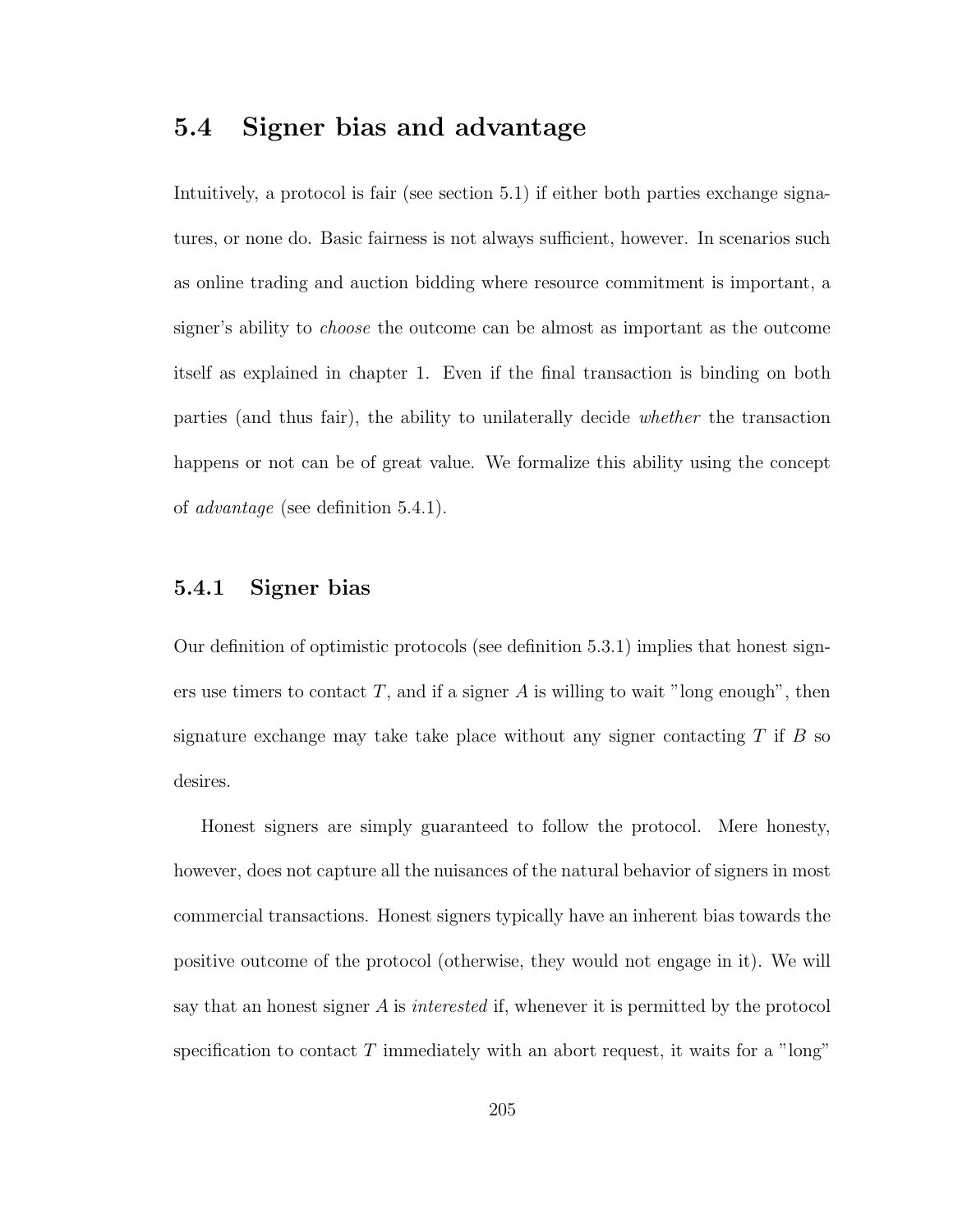### 5.4 Signer bias and advantage

Intuitively, a protocol is fair (see section 5.1) if either both parties exchange signatures, or none do. Basic fairness is not always sufficient, however. In scenarios such as online trading and auction bidding where resource commitment is important, a signer's ability to choose the outcome can be almost as important as the outcome itself as explained in chapter 1. Even if the final transaction is binding on both parties (and thus fair), the ability to unilaterally decide whether the transaction happens or not can be of great value. We formalize this ability using the concept of advantage (see definition 5.4.1).

### 5.4.1 Signer bias

Our definition of optimistic protocols (see definition 5.3.1) implies that honest signers use timers to contact  $T$ , and if a signer  $A$  is willing to wait "long enough", then signature exchange may take take place without any signer contacting  $T$  if  $B$  so desires.

Honest signers are simply guaranteed to follow the protocol. Mere honesty, however, does not capture all the nuisances of the natural behavior of signers in most commercial transactions. Honest signers typically have an inherent bias towards the positive outcome of the protocol (otherwise, they would not engage in it). We will say that an honest signer  $A$  is *interested* if, whenever it is permitted by the protocol specification to contact  $T$  immediately with an abort request, it waits for a "long"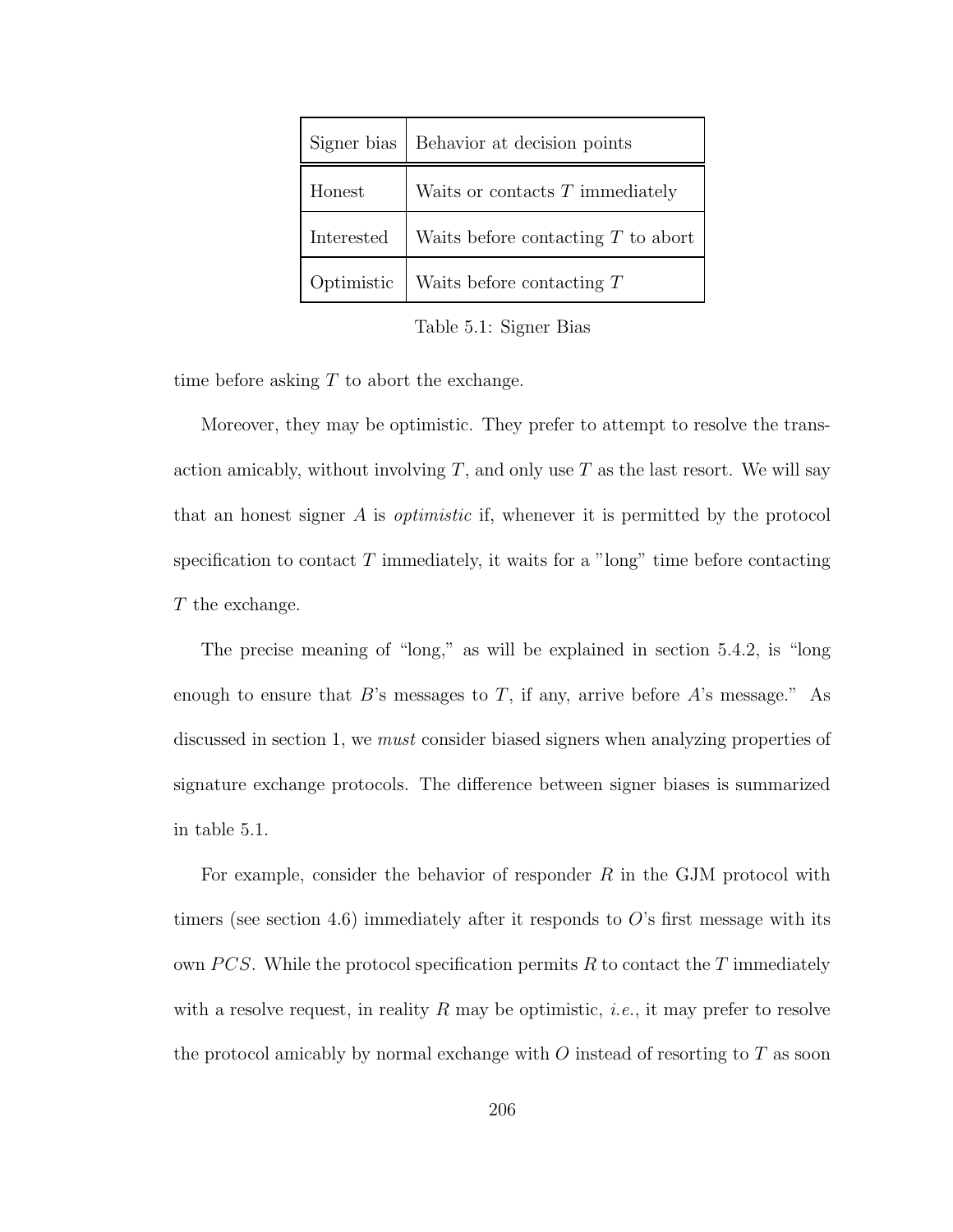| Signer bias | Behavior at decision points              |
|-------------|------------------------------------------|
| Honest      | Waits or contacts $T$ immediately        |
| Interested  | Waits before contacting $T$ to abort     |
|             | Optimistic   Waits before contacting $T$ |

Table 5.1: Signer Bias

time before asking  $T$  to abort the exchange.

Moreover, they may be optimistic. They prefer to attempt to resolve the transaction amicably, without involving  $T$ , and only use  $T$  as the last resort. We will say that an honest signer A is *optimistic* if, whenever it is permitted by the protocol specification to contact  $T$  immediately, it waits for a "long" time before contacting T the exchange.

The precise meaning of "long," as will be explained in section 5.4.2, is "long enough to ensure that  $B$ 's messages to T, if any, arrive before  $A$ 's message." As discussed in section 1, we must consider biased signers when analyzing properties of signature exchange protocols. The difference between signer biases is summarized in table 5.1.

For example, consider the behavior of responder  $R$  in the GJM protocol with timers (see section 4.6) immediately after it responds to  $O$ 's first message with its own PCS. While the protocol specification permits R to contact the T immediately with a resolve request, in reality R may be optimistic, *i.e.*, it may prefer to resolve the protocol amicably by normal exchange with  $O$  instead of resorting to  $T$  as soon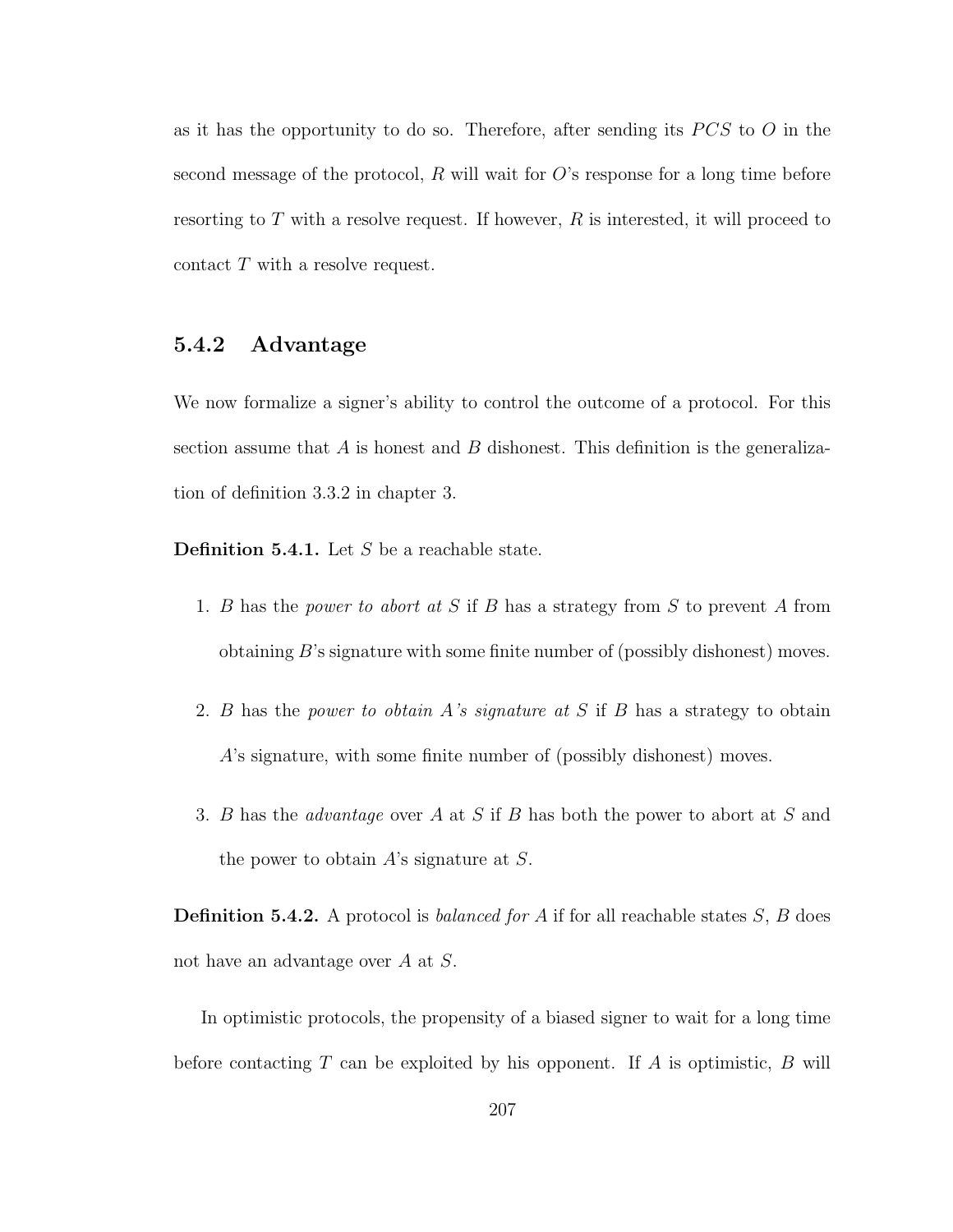as it has the opportunity to do so. Therefore, after sending its  $PCS$  to  $O$  in the second message of the protocol,  $R$  will wait for  $O$ 's response for a long time before resorting to  $T$  with a resolve request. If however,  $R$  is interested, it will proceed to contact T with a resolve request.

### 5.4.2 Advantage

We now formalize a signer's ability to control the outcome of a protocol. For this section assume that  $A$  is honest and  $B$  dishonest. This definition is the generalization of definition 3.3.2 in chapter 3.

**Definition 5.4.1.** Let  $S$  be a reachable state.

- 1. B has the power to abort at S if B has a strategy from S to prevent A from obtaining  $B$ 's signature with some finite number of (possibly dishonest) moves.
- 2. B has the power to obtain A's signature at S if B has a strategy to obtain A's signature, with some finite number of (possibly dishonest) moves.
- 3. B has the advantage over A at S if B has both the power to abort at S and the power to obtain  $A$ 's signature at  $S$ .

**Definition 5.4.2.** A protocol is *balanced for A* if for all reachable states  $S$ ,  $B$  does not have an advantage over A at S.

In optimistic protocols, the propensity of a biased signer to wait for a long time before contacting T can be exploited by his opponent. If A is optimistic, B will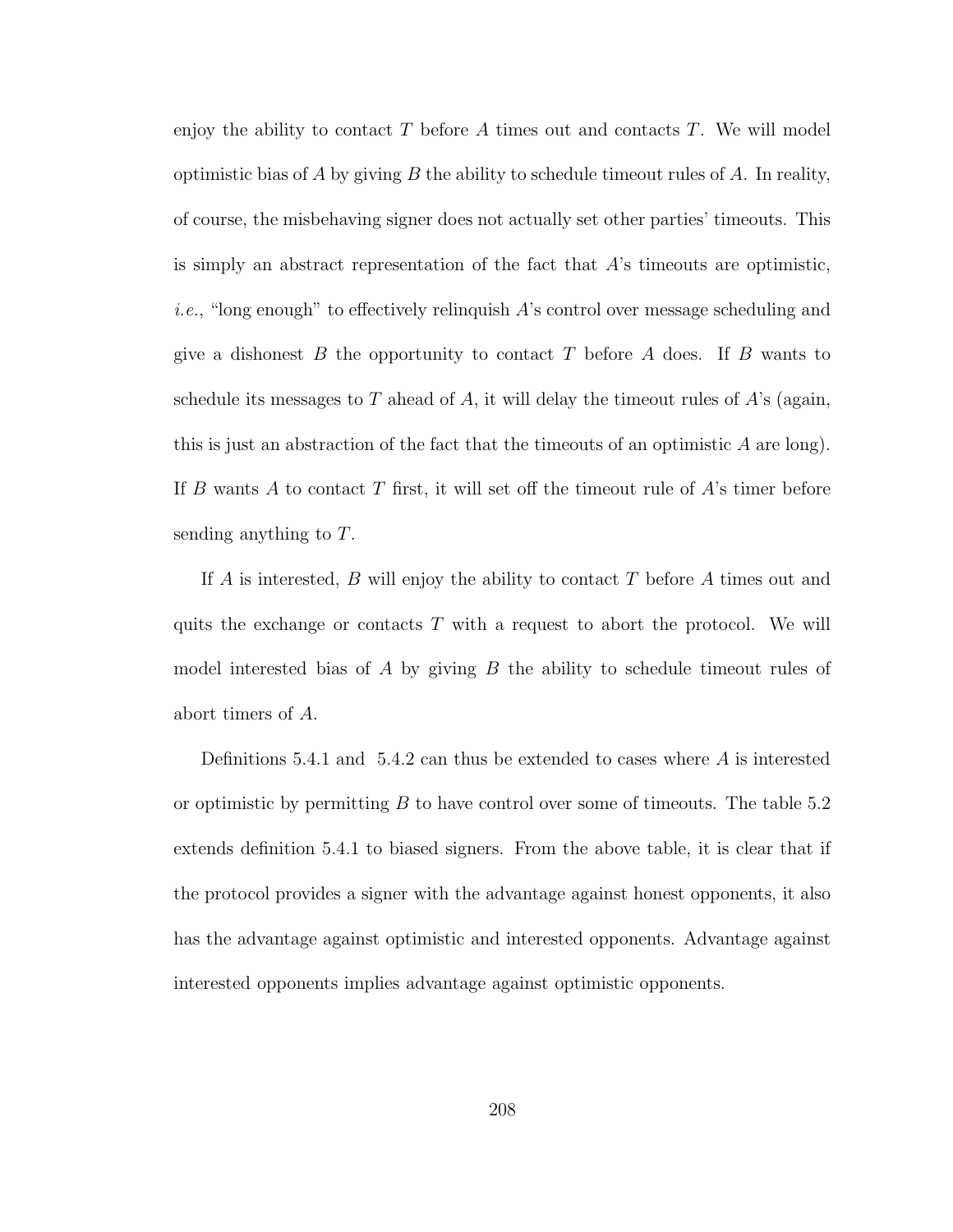enjoy the ability to contact T before A times out and contacts T. We will model optimistic bias of A by giving B the ability to schedule timeout rules of A. In reality, of course, the misbehaving signer does not actually set other parties' timeouts. This is simply an abstract representation of the fact that  $A$ 's timeouts are optimistic, *i.e.*, "long enough" to effectively relinquish  $A$ 's control over message scheduling and give a dishonest B the opportunity to contact T before A does. If B wants to schedule its messages to T ahead of A, it will delay the timeout rules of  $A$ 's (again, this is just an abstraction of the fact that the timeouts of an optimistic  $A$  are long). If B wants A to contact T first, it will set off the timeout rule of  $A$ 's timer before sending anything to T.

If A is interested, B will enjoy the ability to contact T before A times out and quits the exchange or contacts  $T$  with a request to abort the protocol. We will model interested bias of A by giving  $B$  the ability to schedule timeout rules of abort timers of A.

Definitions 5.4.1 and 5.4.2 can thus be extended to cases where  $A$  is interested or optimistic by permitting  $B$  to have control over some of timeouts. The table 5.2 extends definition 5.4.1 to biased signers. From the above table, it is clear that if the protocol provides a signer with the advantage against honest opponents, it also has the advantage against optimistic and interested opponents. Advantage against interested opponents implies advantage against optimistic opponents.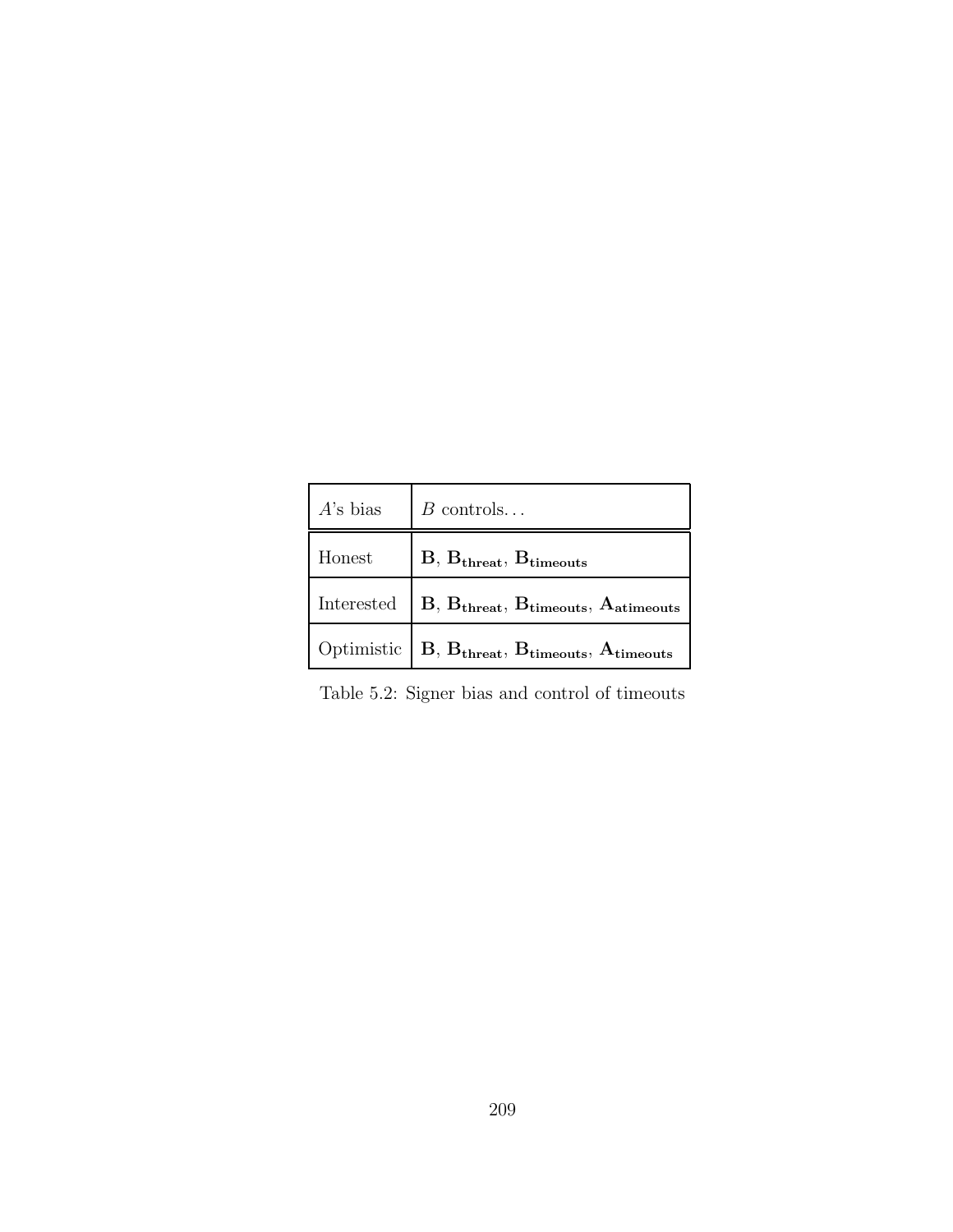|                | $A$ 's bias $\Big  B$ controls                                                                                       |
|----------------|----------------------------------------------------------------------------------------------------------------------|
| ${\rm Honest}$ | $B, B_{\text{thresh}}, B_{\text{timeout}}$                                                                           |
|                | Interested $\Big $ B, $\mathbf{B_{\text{thresh}}}, \, \mathbf{B_{\text{timeout}}}, \, \mathbf{A_{\text{atimeouts}}}$ |
|                | Optimistic $\Big $ B, B <sub>threat</sub> , B <sub>timeouts</sub> , A <sub>timeouts</sub>                            |

Table 5.2: Signer bias and control of timeouts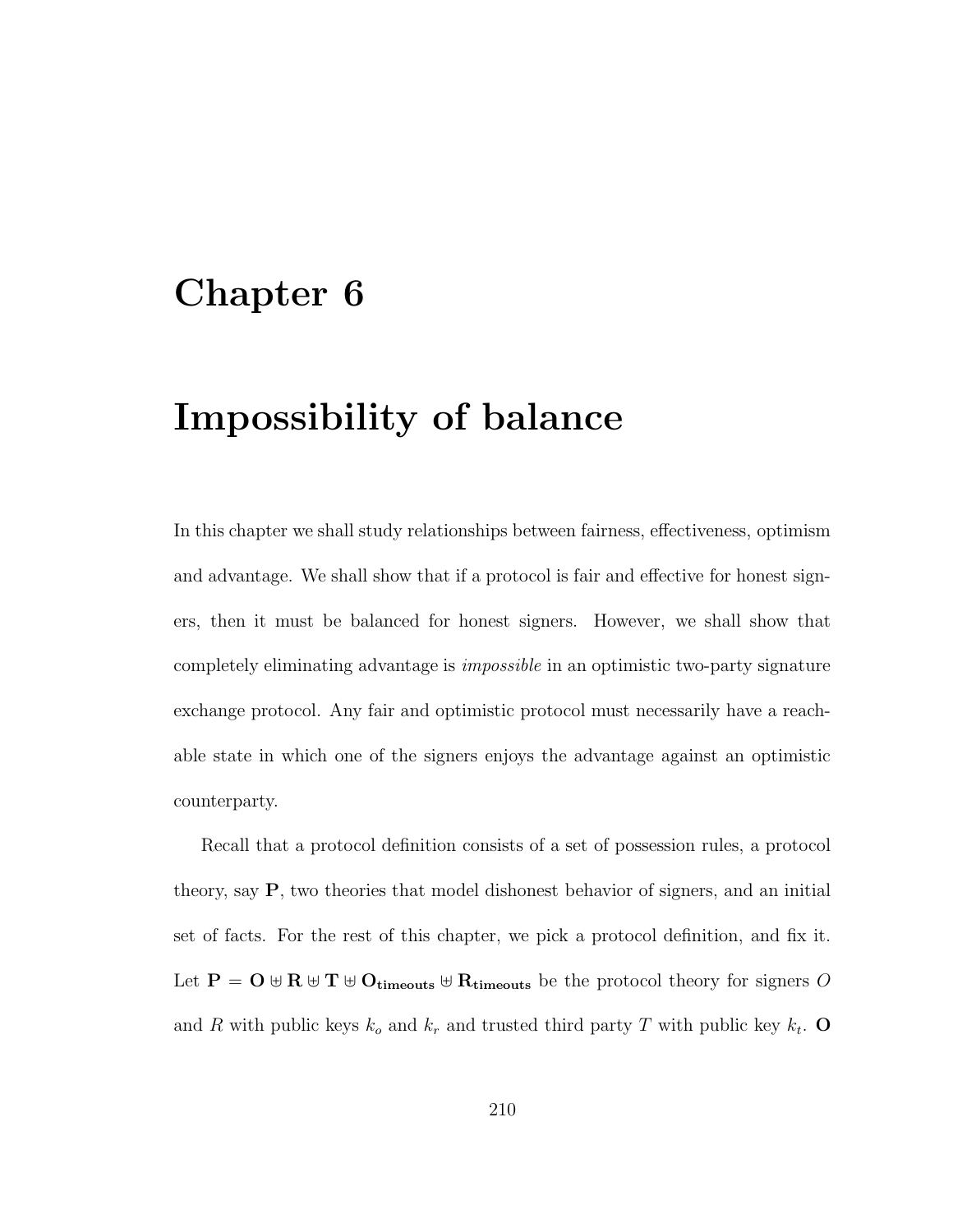### Chapter 6

# Impossibility of balance

In this chapter we shall study relationships between fairness, effectiveness, optimism and advantage. We shall show that if a protocol is fair and effective for honest signers, then it must be balanced for honest signers. However, we shall show that completely eliminating advantage is impossible in an optimistic two-party signature exchange protocol. Any fair and optimistic protocol must necessarily have a reachable state in which one of the signers enjoys the advantage against an optimistic counterparty.

Recall that a protocol definition consists of a set of possession rules, a protocol theory, say P, two theories that model dishonest behavior of signers, and an initial set of facts. For the rest of this chapter, we pick a protocol definition, and fix it. Let  $P = Q \oplus R \oplus T \oplus O_{timeouts} \oplus R_{timeouts}$  be the protocol theory for signers O and R with public keys  $k_o$  and  $k_r$  and trusted third party T with public key  $k_t$ . O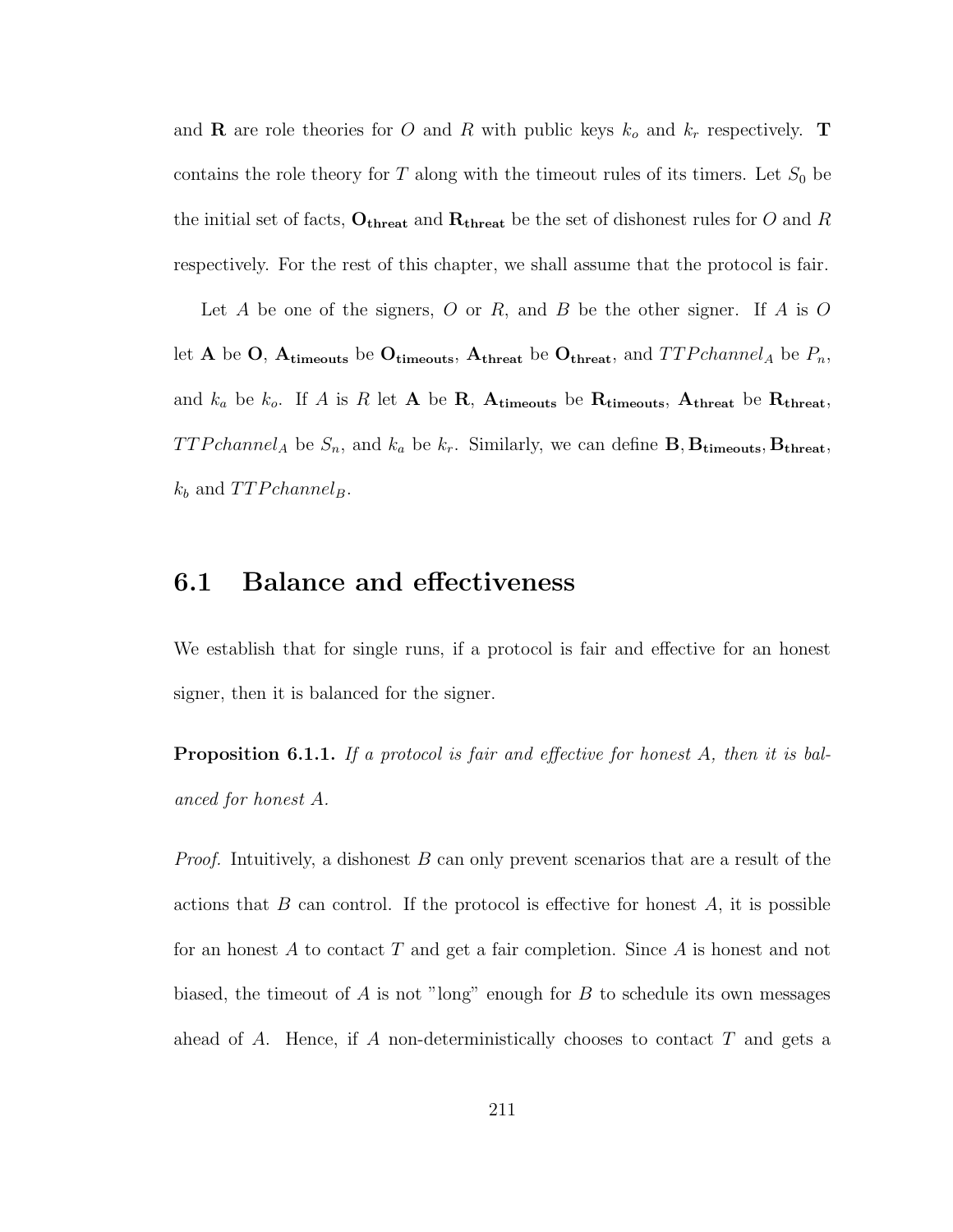and **R** are role theories for O and R with public keys  $k_o$  and  $k_r$  respectively. **T** contains the role theory for  $T$  along with the timeout rules of its timers. Let  $S_0$  be the initial set of facts,  $O_{\text{thresh}}$  and  $R_{\text{thresh}}$  be the set of dishonest rules for O and R respectively. For the rest of this chapter, we shall assume that the protocol is fair.

Let A be one of the signers, O or R, and B be the other signer. If A is O let A be O,  $A_{\text{timeouts}}$  be O<sub>timeouts</sub>,  $A_{\text{thresh}}$  be  $O_{\text{thresh}}$ , and  $TTPchannel_A$  be  $P_n$ , and  $k_a$  be  $k_o$ . If A is R let A be R, A<sub>timeouts</sub> be R<sub>timeouts</sub>, A<sub>threat</sub> be R<sub>threat</sub>, TTPchannel<sub>A</sub> be  $S_n$ , and  $k_a$  be  $k_r$ . Similarly, we can define **B**,  $B_{\text{timeouts}}$ ,  $B_{\text{threadt}}$ ,  $k_b$  and  $TTPchannel_B$ .

### 6.1 Balance and effectiveness

We establish that for single runs, if a protocol is fair and effective for an honest signer, then it is balanced for the signer.

**Proposition 6.1.1.** If a protocol is fair and effective for honest A, then it is balanced for honest A.

*Proof.* Intuitively, a dishonest  $B$  can only prevent scenarios that are a result of the actions that  $B$  can control. If the protocol is effective for honest  $A$ , it is possible for an honest A to contact T and get a fair completion. Since A is honest and not biased, the timeout of A is not "long" enough for B to schedule its own messages ahead of A. Hence, if A non-deterministically chooses to contact  $T$  and gets a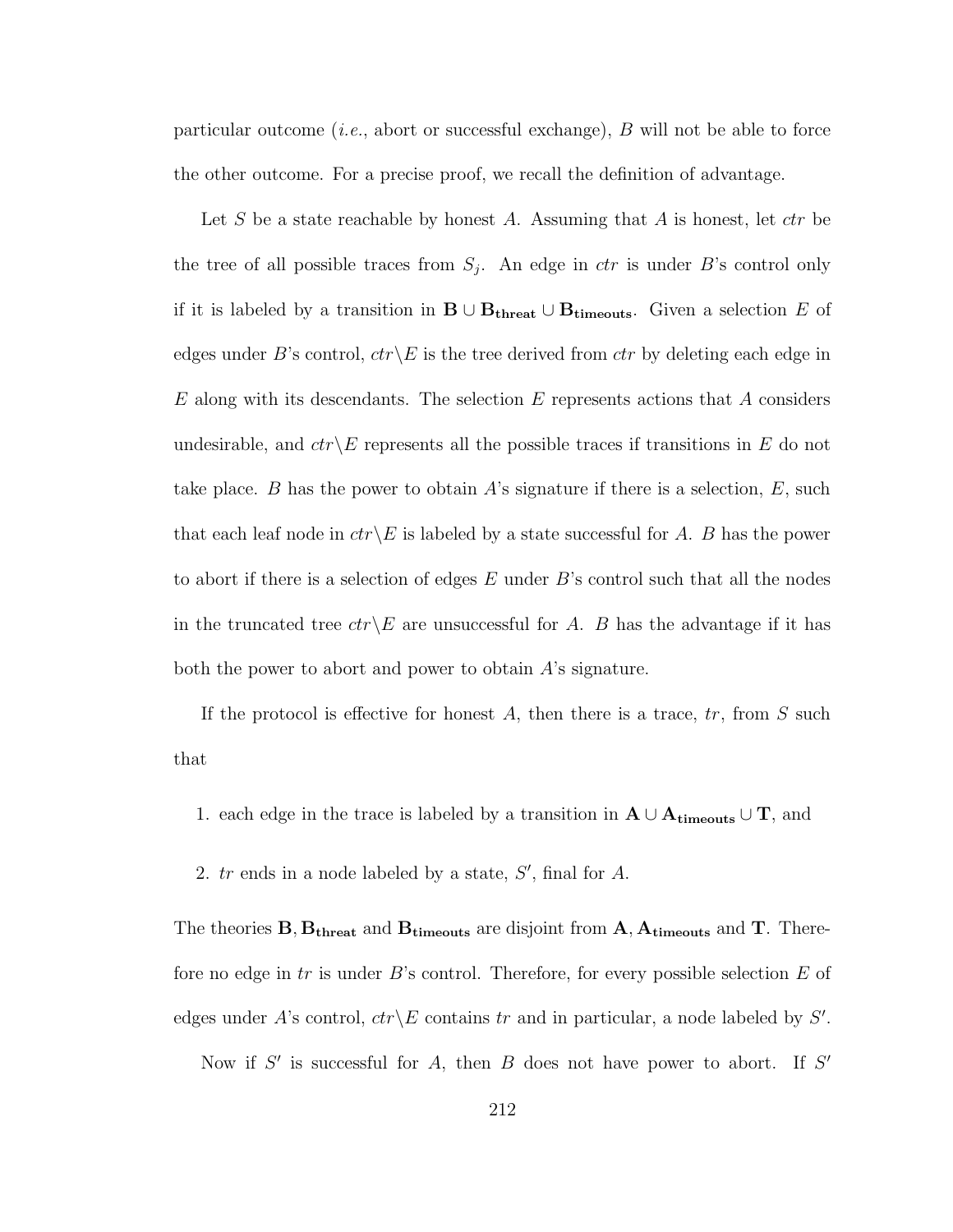particular outcome (*i.e.*, abort or successful exchange),  $B$  will not be able to force the other outcome. For a precise proof, we recall the definition of advantage.

Let S be a state reachable by honest A. Assuming that A is honest, let  $\mathit{ctr}$  be the tree of all possible traces from  $S_j$ . An edge in *ctr* is under B's control only if it is labeled by a transition in  $\mathbf{B} \cup \mathbf{B}_{\text{thresh}} \cup \mathbf{B}_{\text{timeout}}$ . Given a selection E of edges under B's control,  $ctr\angle E$  is the tree derived from ctr by deleting each edge in  $E$  along with its descendants. The selection  $E$  represents actions that  $A$  considers undesirable, and  $ctr\&E$  represents all the possible traces if transitions in E do not take place. B has the power to obtain A's signature if there is a selection,  $E$ , such that each leaf node in  $ctr\&E$  is labeled by a state successful for A. B has the power to abort if there is a selection of edges  $E$  under  $B$ 's control such that all the nodes in the truncated tree  $ctr\angle E$  are unsuccessful for A. B has the advantage if it has both the power to abort and power to obtain A's signature.

If the protocol is effective for honest  $A$ , then there is a trace,  $tr$ , from  $S$  such that

- 1. each edge in the trace is labeled by a transition in  $A \cup A_{\text{timeouts}} \cup T$ , and
- 2.  $tr$  ends in a node labeled by a state,  $S'$ , final for  $A$ .

The theories  $B, B_{\text{thread}}$  and  $B_{\text{timeout}}$  are disjoint from  $A, A_{\text{timeout}}$  and T. Therefore no edge in  $tr$  is under  $B$ 's control. Therefore, for every possible selection  $E$  of edges under A's control,  $ctr\angle E$  contains tr and in particular, a node labeled by S'.

Now if  $S'$  is successful for A, then B does not have power to abort. If  $S'$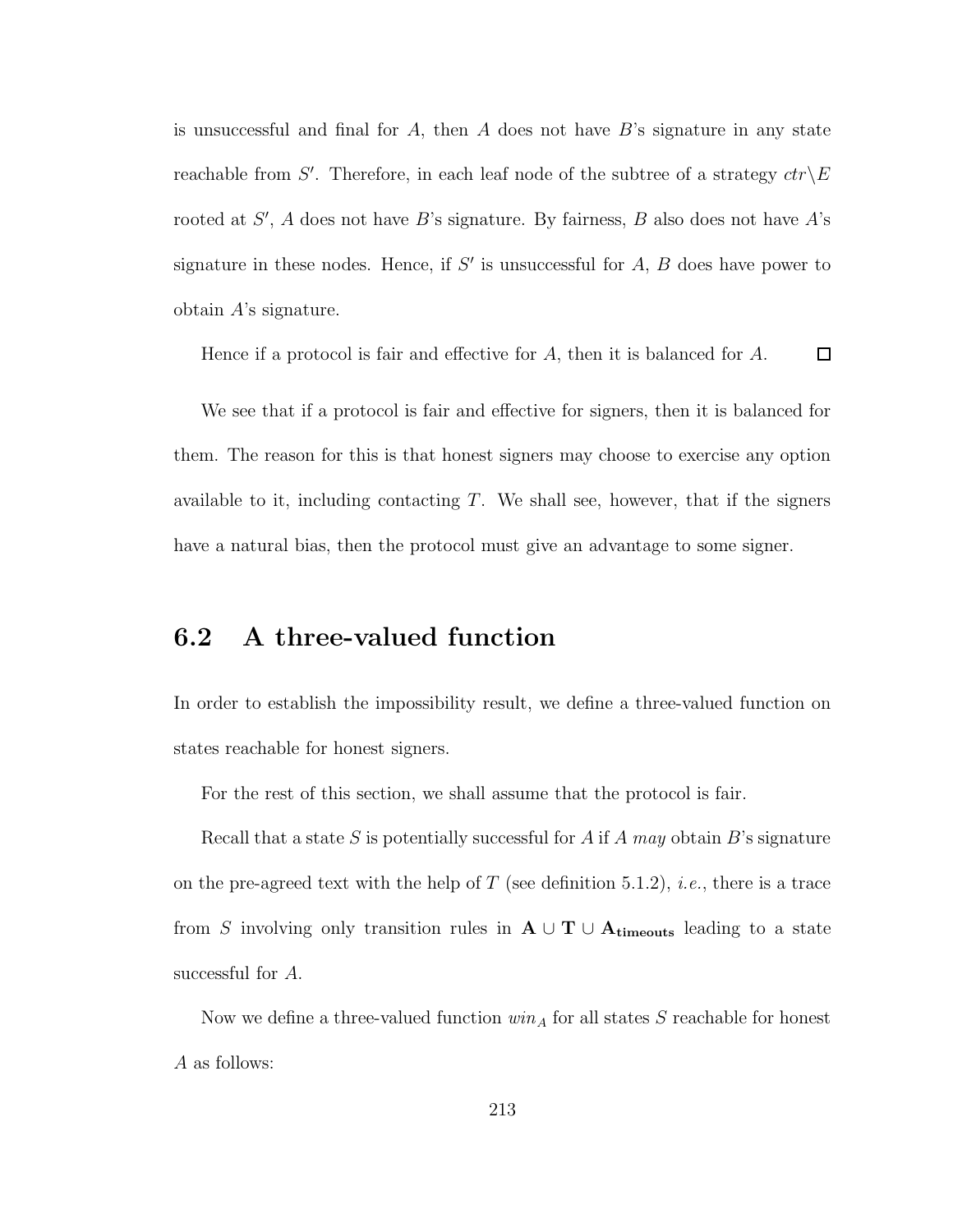is unsuccessful and final for  $A$ , then  $A$  does not have  $B$ 's signature in any state reachable from S'. Therefore, in each leaf node of the subtree of a strategy  $ctr\backslash E$ rooted at  $S'$ , A does not have B's signature. By fairness, B also does not have A's signature in these nodes. Hence, if  $S'$  is unsuccessful for  $A, B$  does have power to obtain A's signature.

Hence if a protocol is fair and effective for A, then it is balanced for A.  $\Box$ 

We see that if a protocol is fair and effective for signers, then it is balanced for them. The reason for this is that honest signers may choose to exercise any option available to it, including contacting  $T$ . We shall see, however, that if the signers have a natural bias, then the protocol must give an advantage to some signer.

### 6.2 A three-valued function

In order to establish the impossibility result, we define a three-valued function on states reachable for honest signers.

For the rest of this section, we shall assume that the protocol is fair.

Recall that a state S is potentially successful for A if A may obtain  $B$ 's signature on the pre-agreed text with the help of T (see definition 5.1.2), *i.e.*, there is a trace from S involving only transition rules in  $A \cup T \cup A_{timeouts}$  leading to a state successful for A.

Now we define a three-valued function  $win_A$  for all states S reachable for honest A as follows: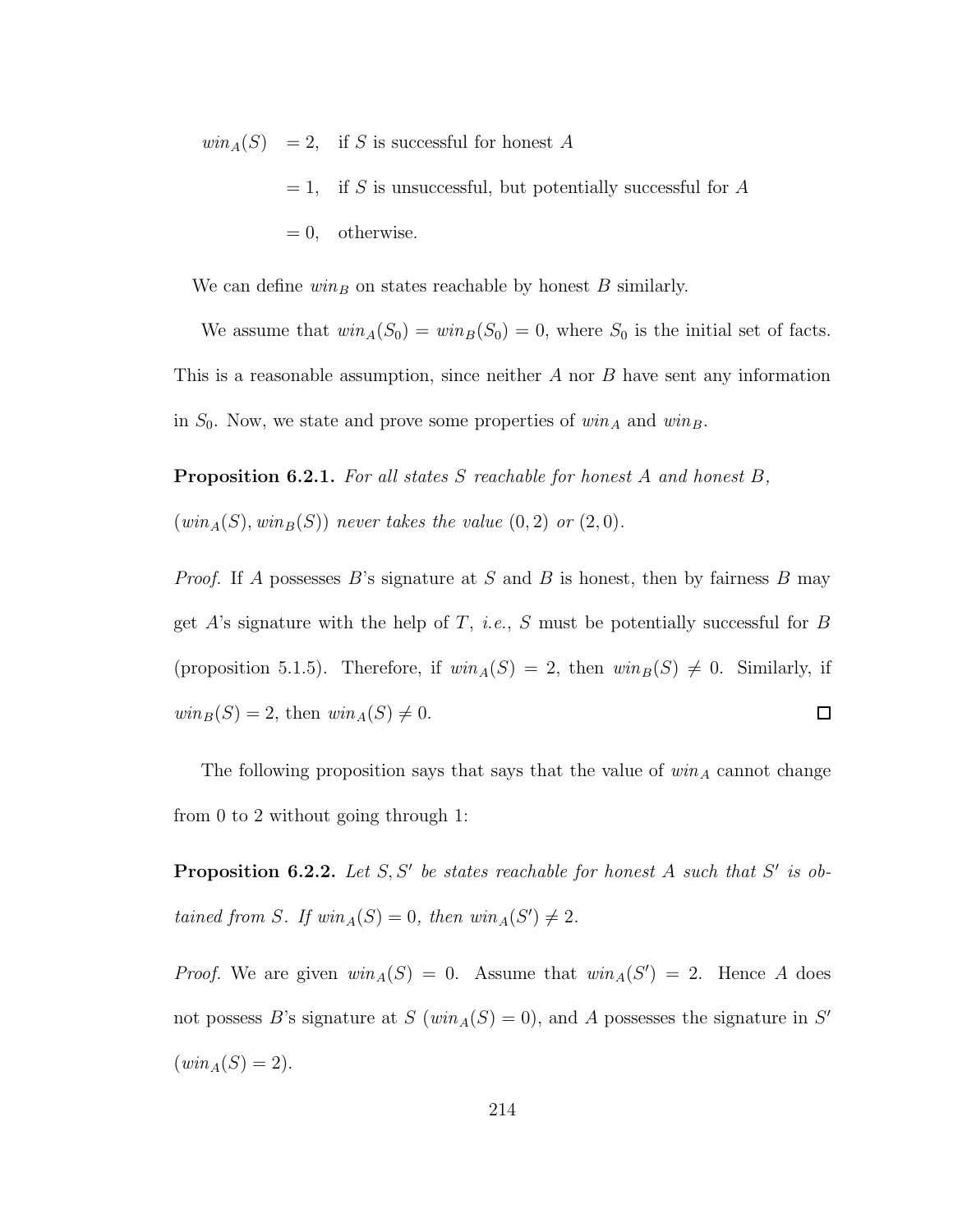$win_A(S) = 2$ , if S is successful for honest A  $= 1$ , if S is unsuccessful, but potentially successful for A  $= 0$ , otherwise.

We can define  $win_B$  on states reachable by honest B similarly.

We assume that  $win_A(S_0) = win_B(S_0) = 0$ , where  $S_0$  is the initial set of facts. This is a reasonable assumption, since neither  $A$  nor  $B$  have sent any information in  $S_0$ . Now, we state and prove some properties of  $win_A$  and  $win_B$ .

Proposition 6.2.1. For all states S reachable for honest A and honest B,  $(win_A(S), win_B(S))$  never takes the value  $(0, 2)$  or  $(2, 0)$ .

*Proof.* If A possesses B's signature at S and B is honest, then by fairness B may get A's signature with the help of T, *i.e.*, S must be potentially successful for B (proposition 5.1.5). Therefore, if  $win_A(S) = 2$ , then  $win_B(S) \neq 0$ . Similarly, if  $win_B(S) = 2$ , then  $win_A(S) \neq 0$ .  $\Box$ 

The following proposition says that says that the value of  $win_A$  cannot change from 0 to 2 without going through 1:

**Proposition 6.2.2.** Let  $S, S'$  be states reachable for honest A such that  $S'$  is obtained from S. If  $win_A(S) = 0$ , then  $win_A(S') \neq 2$ .

*Proof.* We are given  $win_A(S) = 0$ . Assume that  $win_A(S') = 2$ . Hence A does not possess B's signature at  $S(win_A(S) = 0)$ , and A possesses the signature in S'  $(win_A(S) = 2).$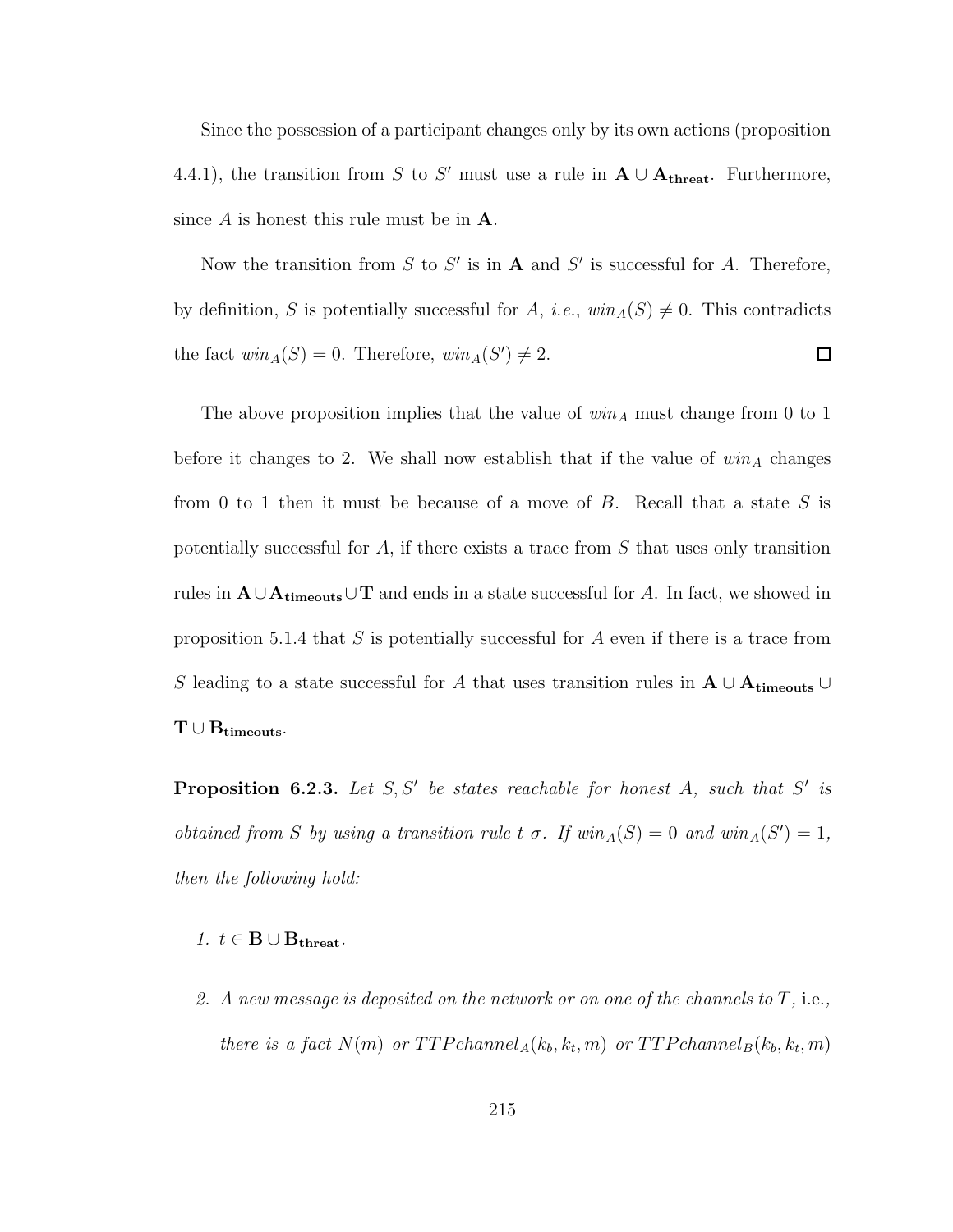Since the possession of a participant changes only by its own actions (proposition 4.4.1), the transition from S to S' must use a rule in  $A \cup A_{\text{thread}}$ . Furthermore, since  $A$  is honest this rule must be in  $A$ .

Now the transition from S to S' is in **A** and S' is successful for A. Therefore, by definition, S is potentially successful for A, i.e.,  $win_A(S) \neq 0$ . This contradicts the fact  $win_A(S) = 0$ . Therefore,  $win_A(S') \neq 2$ .  $\Box$ 

The above proposition implies that the value of  $win_A$  must change from 0 to 1 before it changes to 2. We shall now establish that if the value of  $win_A$  changes from 0 to 1 then it must be because of a move of  $B$ . Recall that a state  $S$  is potentially successful for  $A$ , if there exists a trace from  $S$  that uses only transition rules in  $\mathbf{A} \cup \mathbf{A}_{\mathbf{timeouts}} \cup \mathbf{T}$  and ends in a state successful for A. In fact, we showed in proposition 5.1.4 that  $S$  is potentially successful for  $A$  even if there is a trace from S leading to a state successful for A that uses transition rules in  $A \cup A_{\text{timeouts}} \cup$  $\mathrm{T} \cup \mathrm{B}_{\mathrm{timeouts}}.$ 

**Proposition 6.2.3.** Let  $S, S'$  be states reachable for honest A, such that S' is obtained from S by using a transition rule t  $\sigma$ . If  $win_A(S) = 0$  and  $win_A(S') = 1$ , then the following hold:

#### 1.  $t \in B \cup B_{\text{thresh}}$ .

2. A new message is deposited on the network or on one of the channels to  $T$ , i.e., there is a fact  $N(m)$  or  $TTP channel_A(k_b, k_t, m)$  or  $TTP channel_B(k_b, k_t, m)$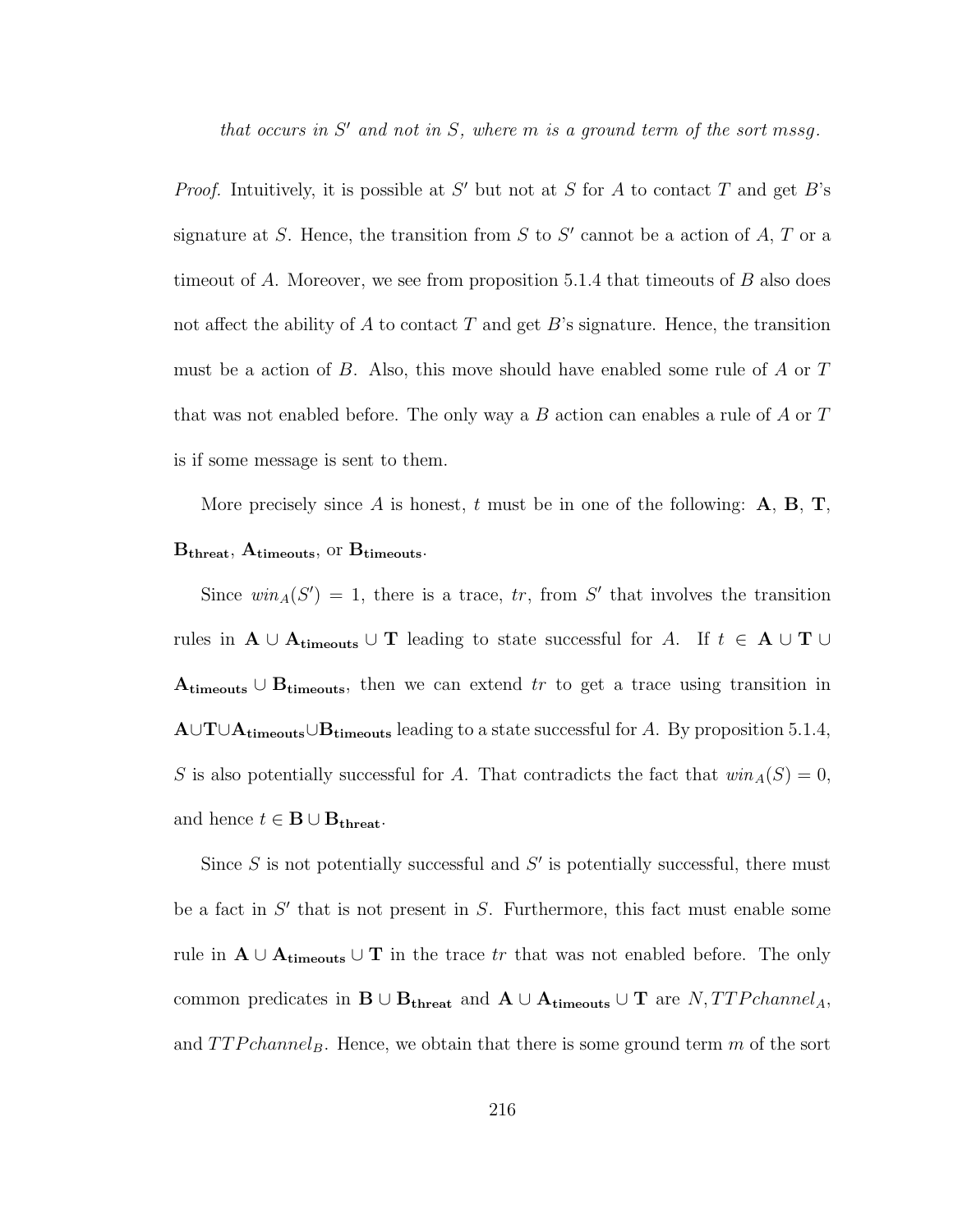that occurs in  $S'$  and not in  $S$ , where  $m$  is a ground term of the sort mssg.

*Proof.* Intuitively, it is possible at  $S'$  but not at S for A to contact T and get B's signature at S. Hence, the transition from S to S' cannot be a action of A, T or a timeout of A. Moreover, we see from proposition 5.1.4 that timeouts of  $B$  also does not affect the ability of  $A$  to contact  $T$  and get  $B$ 's signature. Hence, the transition must be a action of B. Also, this move should have enabled some rule of A or T that was not enabled before. The only way a  $B$  action can enables a rule of  $A$  or  $T$ is if some message is sent to them.

More precisely since A is honest, t must be in one of the following:  $A, B, T$ ,  $B_{\text{thresh}}$ ,  $A_{\text{timeout}}$ , or  $B_{\text{timeout}}$ .

Since  $win_A(S') = 1$ , there is a trace, tr, from S' that involves the transition rules in  $A \cup A_{timeouts} \cup T$  leading to state successful for A. If  $t \in A \cup T \cup$ Atimeouts ∪ B<sub>timeouts</sub>, then we can extend tr to get a trace using transition in A∪T∪A<sub>timeouts</sub>∪B<sub>timeouts</sub> leading to a state successful for A. By proposition 5.1.4, S is also potentially successful for A. That contradicts the fact that  $win_A(S) = 0$ , and hence  $t \in \mathbf{B} \cup \mathbf{B}_{\text{thread}}$ .

Since  $S$  is not potentially successful and  $S'$  is potentially successful, there must be a fact in  $S'$  that is not present in  $S$ . Furthermore, this fact must enable some rule in  $A \cup A_{timeouts} \cup T$  in the trace tr that was not enabled before. The only common predicates in  $\mathbf{B} \cup \mathbf{B}_{\text{thresh}}$  and  $\mathbf{A} \cup \mathbf{A}_{\text{timeout}} \cup \mathbf{T}$  are  $N, TTPchannel_A$ , and  $TTPchannel_B$ . Hence, we obtain that there is some ground term m of the sort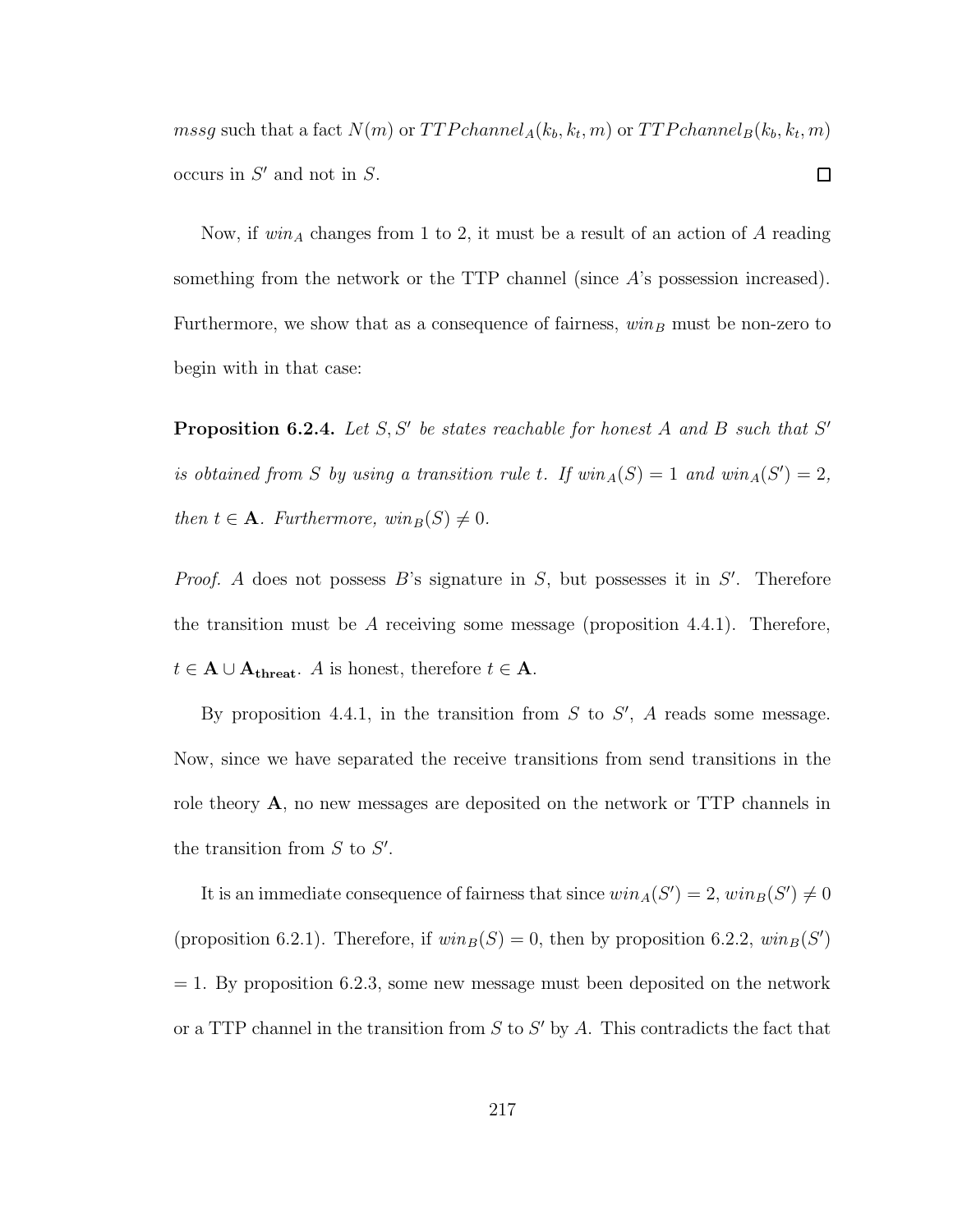$mssg$  such that a fact  $N(m)$  or  $TTP channel_A(k_b, k_t, m)$  or  $TTP channel_B(k_b, k_t, m)$ occurs in  $S'$  and not in  $S$ .  $\Box$ 

Now, if  $win_A$  changes from 1 to 2, it must be a result of an action of A reading something from the network or the TTP channel (since  $A$ 's possession increased). Furthermore, we show that as a consequence of fairness,  $win_B$  must be non-zero to begin with in that case:

**Proposition 6.2.4.** Let  $S, S'$  be states reachable for honest A and B such that  $S'$ is obtained from S by using a transition rule t. If  $win_A(S) = 1$  and  $win_A(S') = 2$ , then  $t \in \mathbf{A}$ . Furthermore,  $win_B(S) \neq 0$ .

*Proof.* A does not possess  $B$ 's signature in  $S$ , but possesses it in  $S'$ . Therefore the transition must be A receiving some message (proposition 4.4.1). Therefore,  $t \in \mathbf{A} \cup \mathbf{A}_{\text{thresh}}$ . A is honest, therefore  $t \in \mathbf{A}$ .

By proposition 4.4.1, in the transition from  $S$  to  $S'$ ,  $A$  reads some message. Now, since we have separated the receive transitions from send transitions in the role theory A, no new messages are deposited on the network or TTP channels in the transition from  $S$  to  $S'$ .

It is an immediate consequence of fairness that since  $win_A(S') = 2, win_B(S') \neq 0$ (proposition 6.2.1). Therefore, if  $win_B(S) = 0$ , then by proposition 6.2.2,  $win_B(S')$  $= 1.$  By proposition 6.2.3, some new message must been deposited on the network or a TTP channel in the transition from  $S$  to  $S'$  by  $A$ . This contradicts the fact that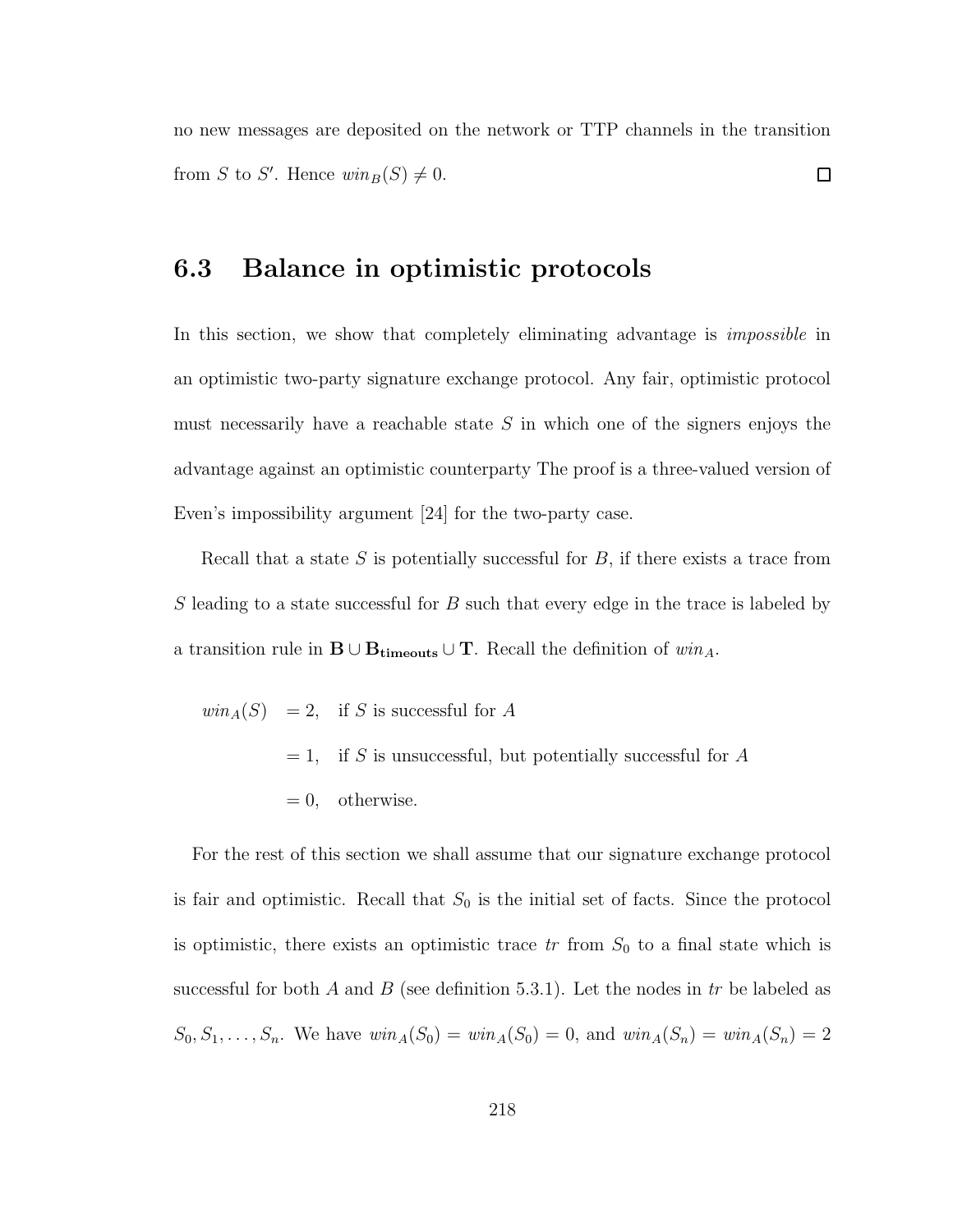no new messages are deposited on the network or TTP channels in the transition from S to S'. Hence  $win_B(S) \neq 0$ .  $\Box$ 

#### 6.3 Balance in optimistic protocols

In this section, we show that completely eliminating advantage is *impossible* in an optimistic two-party signature exchange protocol. Any fair, optimistic protocol must necessarily have a reachable state  $S$  in which one of the signers enjoys the advantage against an optimistic counterparty The proof is a three-valued version of Even's impossibility argument [24] for the two-party case.

Recall that a state  $S$  is potentially successful for  $B$ , if there exists a trace from S leading to a state successful for B such that every edge in the trace is labeled by a transition rule in  $\mathbf{B} \cup \mathbf{B}_{\text{timeouts}} \cup \mathbf{T}$ . Recall the definition of  $win_A$ .

$$
win_A(S) = 2, \text{ if } S \text{ is successful for } A
$$
  
= 1, if S is unsuccessful, but potentially successful for A  
= 0, otherwise.

For the rest of this section we shall assume that our signature exchange protocol is fair and optimistic. Recall that  $S_0$  is the initial set of facts. Since the protocol is optimistic, there exists an optimistic trace  $tr$  from  $S_0$  to a final state which is successful for both A and B (see definition 5.3.1). Let the nodes in  $tr$  be labeled as  $S_0, S_1, \ldots, S_n$ . We have  $win_A(S_0) = win_A(S_0) = 0$ , and  $win_A(S_n) = win_A(S_n) = 2$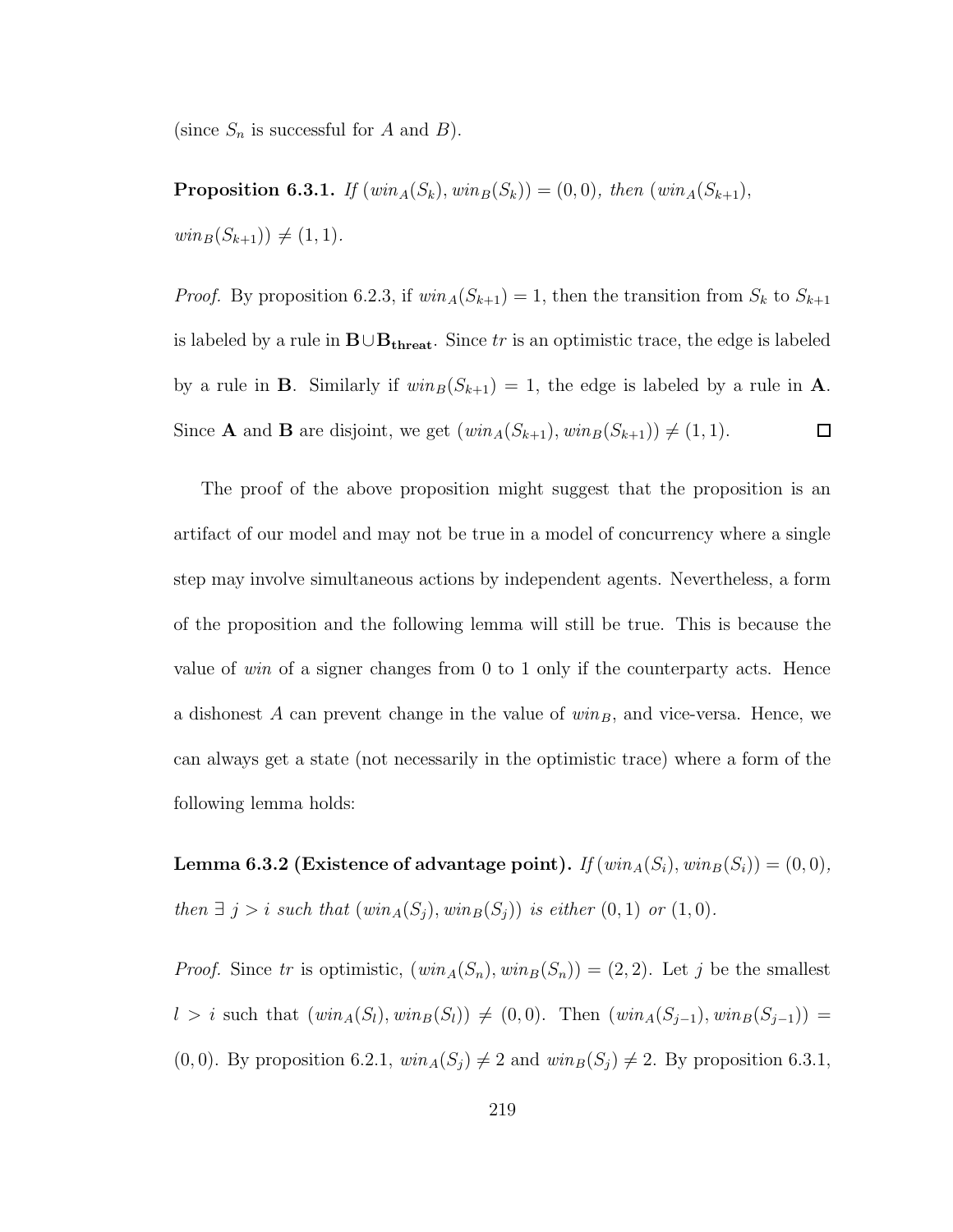(since  $S_n$  is successful for A and B).

**Proposition 6.3.1.** If  $(\text{win}_A(S_k), \text{win}_B(S_k)) = (0, 0), \text{ then } (\text{win}_A(S_{k+1}),$  $win_B(S_{k+1})) \neq (1, 1).$ 

*Proof.* By proposition 6.2.3, if  $win_A(S_{k+1}) = 1$ , then the transition from  $S_k$  to  $S_{k+1}$ is labeled by a rule in  $\mathbf{B} \cup \mathbf{B}_{\text{thresh}}$ . Since tr is an optimistic trace, the edge is labeled by a rule in **B**. Similarly if  $win_B(S_{k+1}) = 1$ , the edge is labeled by a rule in **A**. Since **A** and **B** are disjoint, we get  $(win_A(S_{k+1}), win_B(S_{k+1})) \neq (1, 1).$  $\Box$ 

The proof of the above proposition might suggest that the proposition is an artifact of our model and may not be true in a model of concurrency where a single step may involve simultaneous actions by independent agents. Nevertheless, a form of the proposition and the following lemma will still be true. This is because the value of win of a signer changes from 0 to 1 only if the counterparty acts. Hence a dishonest A can prevent change in the value of  $win_B$ , and vice-versa. Hence, we can always get a state (not necessarily in the optimistic trace) where a form of the following lemma holds:

Lemma 6.3.2 (Existence of advantage point). If  $(win_A(S_i), win_B(S_i)) = (0, 0),$ then  $\exists j > i$  such that  $(\text{win}_A(S_j), \text{win}_B(S_j))$  is either  $(0, 1)$  or  $(1, 0)$ .

*Proof.* Since tr is optimistic,  $(win_A(S_n), win_B(S_n)) = (2, 2)$ . Let j be the smallest l > i such that  $(win_A(S_l), win_B(S_l))$  ≠ (0, 0). Then  $(win_A(S_{j-1}), win_B(S_{j-1}))$  =  $(0, 0)$ . By proposition 6.2.1,  $win_A(S_j) \neq 2$  and  $win_B(S_j) \neq 2$ . By proposition 6.3.1,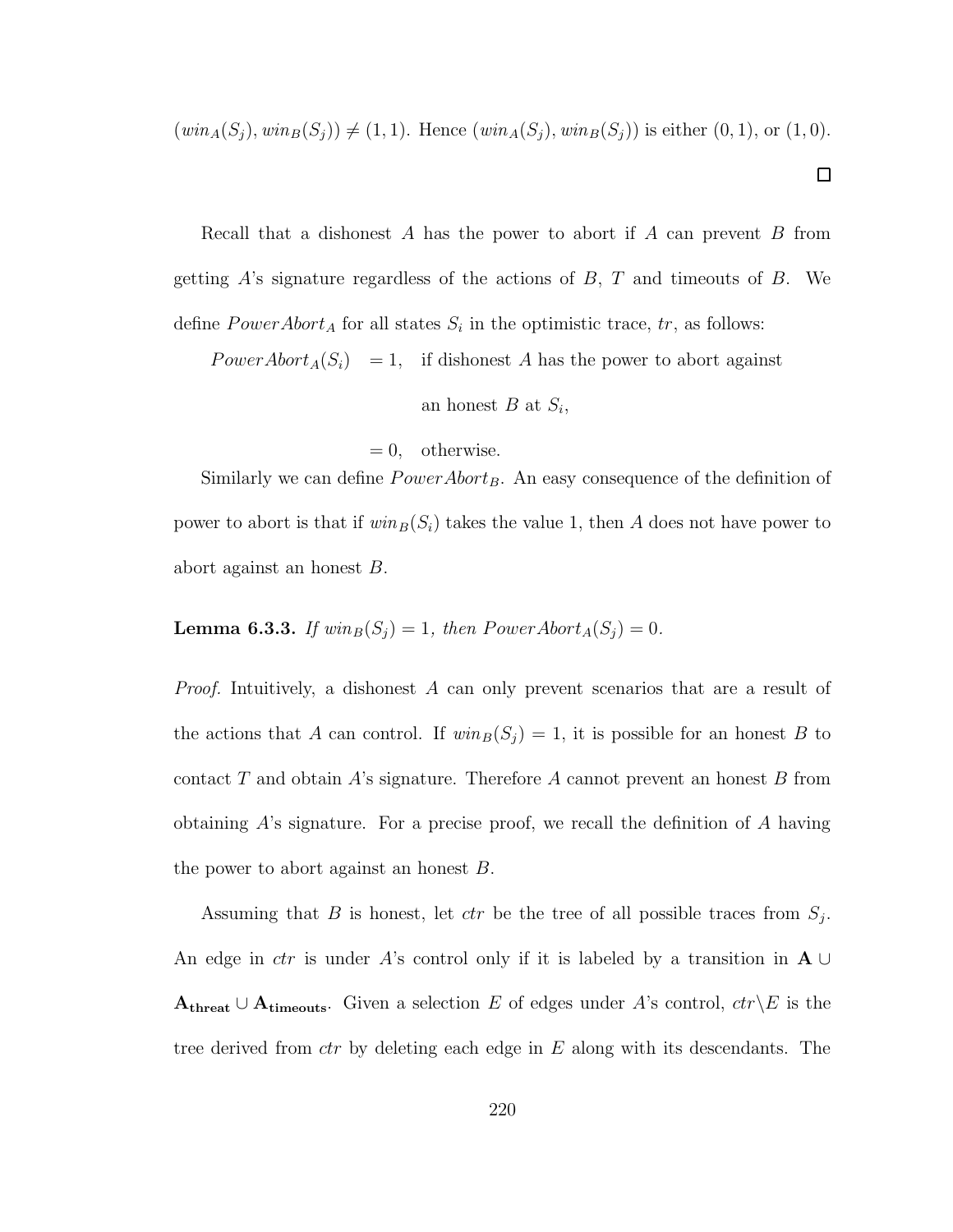$(win_A(S_j), win_B(S_j)) \neq (1, 1)$ . Hence  $(win_A(S_j), win_B(S_j))$  is either  $(0, 1)$ , or  $(1, 0)$ .

 $\Box$ 

Recall that a dishonest  $A$  has the power to abort if  $A$  can prevent  $B$  from getting  $\hat{A}$ 's signature regardless of the actions of  $B$ ,  $T$  and timeouts of  $B$ . We define  $PowerAbort_A$  for all states  $S_i$  in the optimistic trace,  $tr$ , as follows:

 $PowerAbort_A(S_i) = 1$ , if dishonest A has the power to abort against

an honest  $B$  at  $S_i$ ,

 $= 0$ , otherwise.

Similarly we can define  $PowerAbort_B$ . An easy consequence of the definition of power to abort is that if  $win_B(S_i)$  takes the value 1, then A does not have power to abort against an honest B.

**Lemma 6.3.3.** If  $win_B(S_j) = 1$ , then  $PowerAbort_A(S_j) = 0$ .

Proof. Intuitively, a dishonest A can only prevent scenarios that are a result of the actions that A can control. If  $win_B(S_j) = 1$ , it is possible for an honest B to contact T and obtain A's signature. Therefore A cannot prevent an honest B from obtaining A's signature. For a precise proof, we recall the definition of A having the power to abort against an honest B.

Assuming that B is honest, let  $ctr$  be the tree of all possible traces from  $S_j$ . An edge in *ctr* is under A's control only if it is labeled by a transition in  $\mathbf{A} \cup$  $A_{\text{thread}} \cup A_{\text{timeout}}$ . Given a selection E of edges under A's control,  $ctr\&E$  is the tree derived from  $ctr$  by deleting each edge in  $E$  along with its descendants. The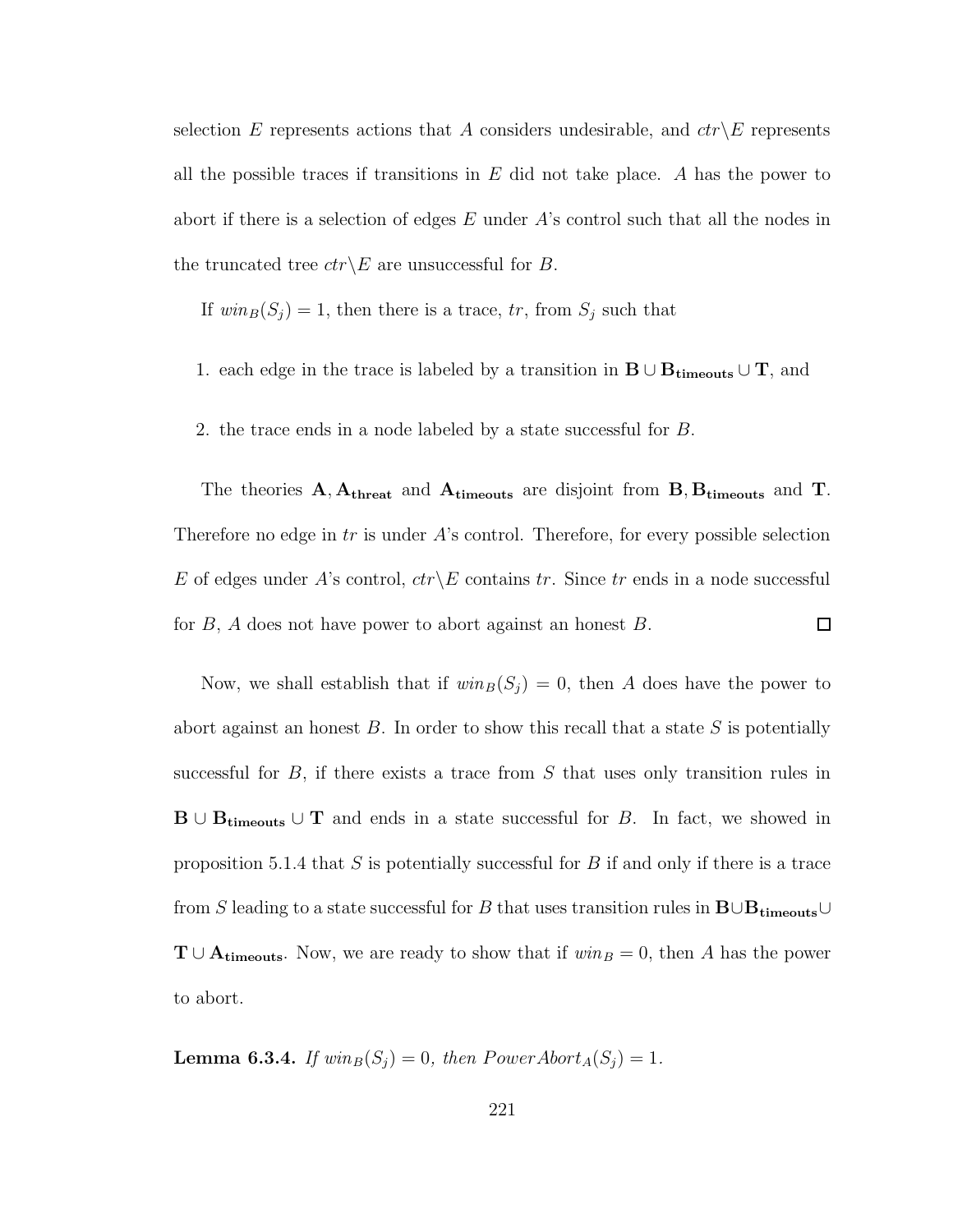selection E represents actions that A considers undesirable, and  $ctr\&E$  represents all the possible traces if transitions in  $E$  did not take place. A has the power to abort if there is a selection of edges  $E$  under  $A$ 's control such that all the nodes in the truncated tree  $ctr\angle E$  are unsuccessful for B.

If  $win_B(S_j) = 1$ , then there is a trace, tr, from  $S_j$  such that

- 1. each edge in the trace is labeled by a transition in  $B \cup B_{\text{timeouts}} \cup T$ , and
- 2. the trace ends in a node labeled by a state successful for B.

The theories  $A, A_{\text{thresh}}$  and  $A_{\text{timeout}}$  are disjoint from  $B, B_{\text{timeout}}$  and T. Therefore no edge in  $tr$  is under  $A$ 's control. Therefore, for every possible selection E of edges under A's control,  $ctr\angle E$  contains tr. Since tr ends in a node successful for  $B$ ,  $A$  does not have power to abort against an honest  $B$ .  $\Box$ 

Now, we shall establish that if  $win_B(S_j) = 0$ , then A does have the power to abort against an honest  $B$ . In order to show this recall that a state  $S$  is potentially successful for  $B$ , if there exists a trace from  $S$  that uses only transition rules in  $B \cup B_{timeouts} \cup T$  and ends in a state successful for B. In fact, we showed in proposition 5.1.4 that  $S$  is potentially successful for  $B$  if and only if there is a trace from S leading to a state successful for B that uses transition rules in  $\mathbf{B} \cup \mathbf{B}_{\mathbf{timeouts}} \cup$  $T \cup A_{timeouts}$ . Now, we are ready to show that if  $win_B = 0$ , then A has the power to abort.

**Lemma 6.3.4.** If  $win_B(S_j) = 0$ , then  $PowerAbort_A(S_j) = 1$ .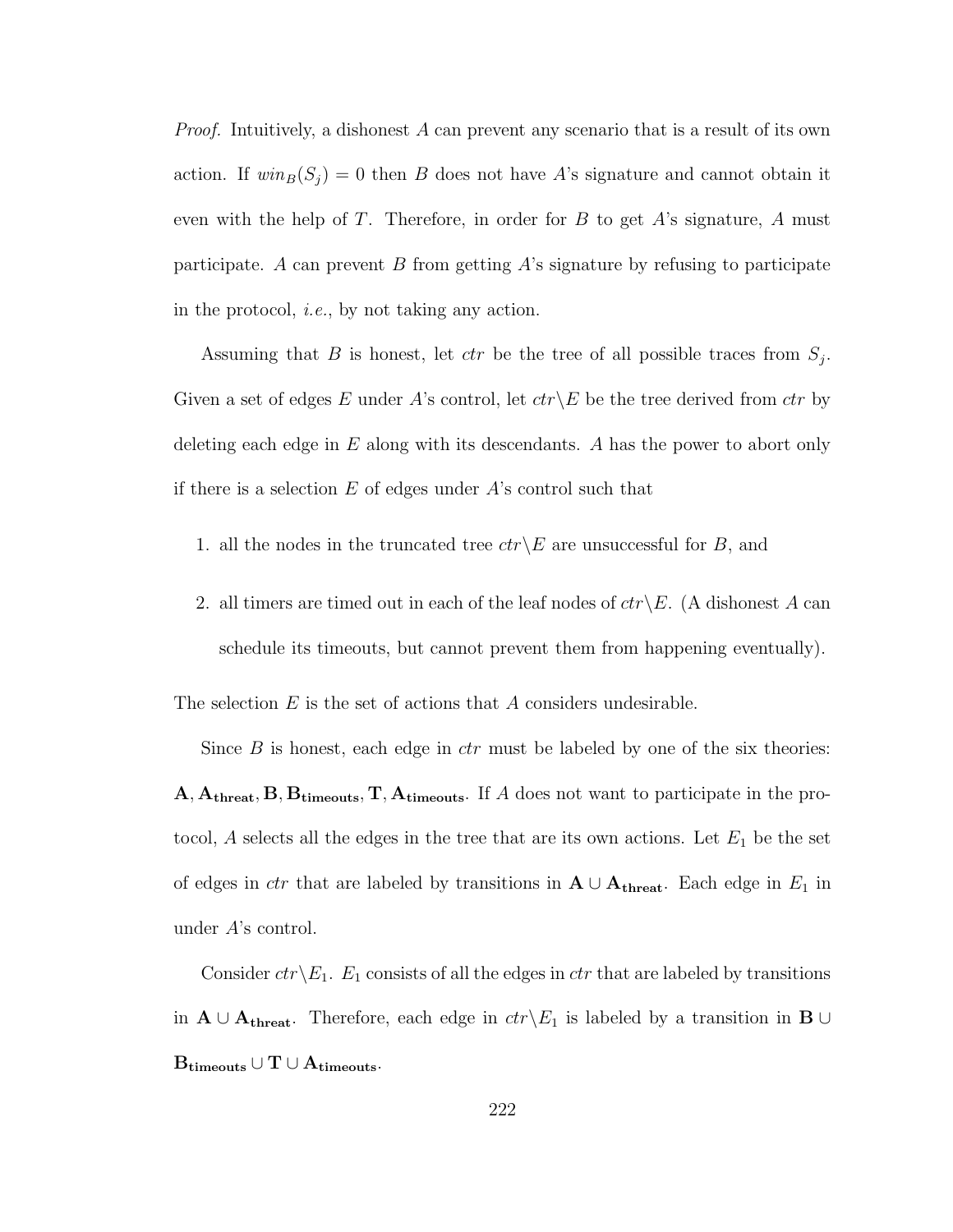*Proof.* Intuitively, a dishonest  $A$  can prevent any scenario that is a result of its own action. If  $win_B(S_j) = 0$  then B does not have A's signature and cannot obtain it even with the help of  $T$ . Therefore, in order for  $B$  to get  $A$ 's signature,  $A$  must participate. A can prevent  $B$  from getting  $A$ 's signature by refusing to participate in the protocol, i.e., by not taking any action.

Assuming that B is honest, let  $ctr$  be the tree of all possible traces from  $S_j$ . Given a set of edges E under A's control, let  $ctr\backslash E$  be the tree derived from  $ctr$  by deleting each edge in  $E$  along with its descendants. A has the power to abort only if there is a selection  $E$  of edges under  $A$ 's control such that

- 1. all the nodes in the truncated tree  $ctr\&E$  are unsuccessful for B, and
- 2. all timers are timed out in each of the leaf nodes of  $ctr\backslash E$ . (A dishonest A can schedule its timeouts, but cannot prevent them from happening eventually).

The selection  $E$  is the set of actions that  $A$  considers undesirable.

Since  $B$  is honest, each edge in  $ctr$  must be labeled by one of the six theories: A, Athreat, B, Btimeouts, T, Atimeouts. If A does not want to participate in the protocol, A selects all the edges in the tree that are its own actions. Let  $E_1$  be the set of edges in *ctr* that are labeled by transitions in  $A \cup A_{\text{thresh}}$ . Each edge in  $E_1$  in under A's control.

Consider  $ctr\angle E_1$ .  $E_1$  consists of all the edges in ctr that are labeled by transitions in  $A \cup A_{\text{thresh}}$ . Therefore, each edge in  $ctr\backslash E_1$  is labeled by a transition in B ∪  $\operatorname{B}_{\text{timeouts}} \cup \operatorname{T} \cup \operatorname{A}_{\text{timeouts}}.$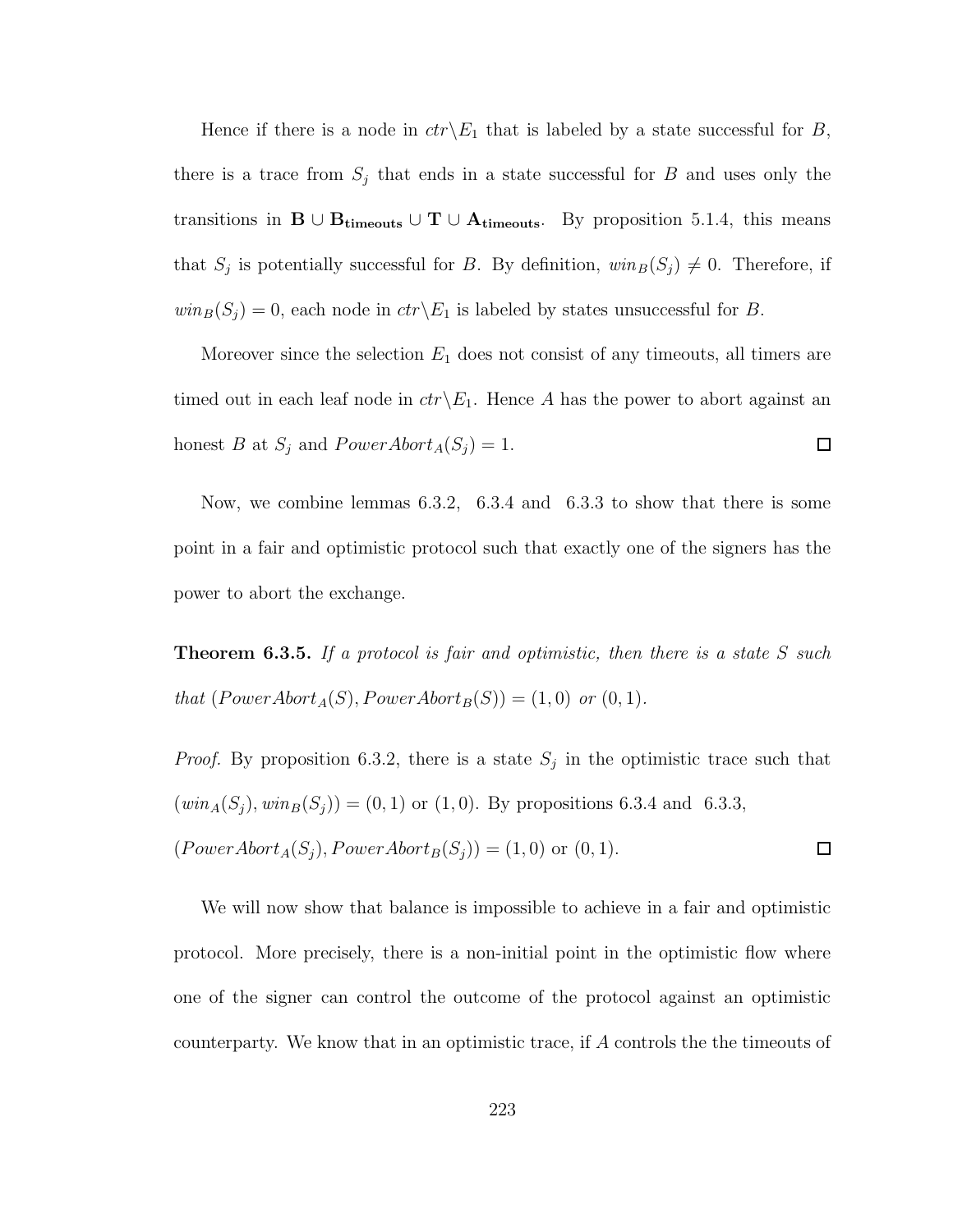Hence if there is a node in  $ctr\< E_1$  that is labeled by a state successful for B, there is a trace from  $S_j$  that ends in a state successful for B and uses only the transitions in  $B \cup B_{timeouts} \cup T \cup A_{timeouts}$ . By proposition 5.1.4, this means that  $S_j$  is potentially successful for B. By definition,  $win_B(S_j) \neq 0$ . Therefore, if  $win_B(S_j) = 0$ , each node in  $ctr\backslash E_1$  is labeled by states unsuccessful for B.

Moreover since the selection  $E_1$  does not consist of any timeouts, all timers are timed out in each leaf node in  $ctr\< E_1$ . Hence A has the power to abort against an honest B at  $S_j$  and  $PowerAbort_A(S_j) = 1$ .  $\Box$ 

Now, we combine lemmas 6.3.2, 6.3.4 and 6.3.3 to show that there is some point in a fair and optimistic protocol such that exactly one of the signers has the power to abort the exchange.

**Theorem 6.3.5.** If a protocol is fair and optimistic, then there is a state  $S$  such that  $(PowerAbort_A(S), PowerAbort_B(S)) = (1, 0)$  or  $(0, 1)$ .

*Proof.* By proposition 6.3.2, there is a state  $S_j$  in the optimistic trace such that  $(win_A(S_j), win_B(S_j)) = (0, 1)$  or  $(1, 0)$ . By propositions 6.3.4 and 6.3.3,  $(PowerAbort_A(S_j), PowerAbort_B(S_j)) = (1, 0)$  or  $(0, 1)$ .  $\Box$ 

We will now show that balance is impossible to achieve in a fair and optimistic protocol. More precisely, there is a non-initial point in the optimistic flow where one of the signer can control the outcome of the protocol against an optimistic counterparty. We know that in an optimistic trace, if A controls the the timeouts of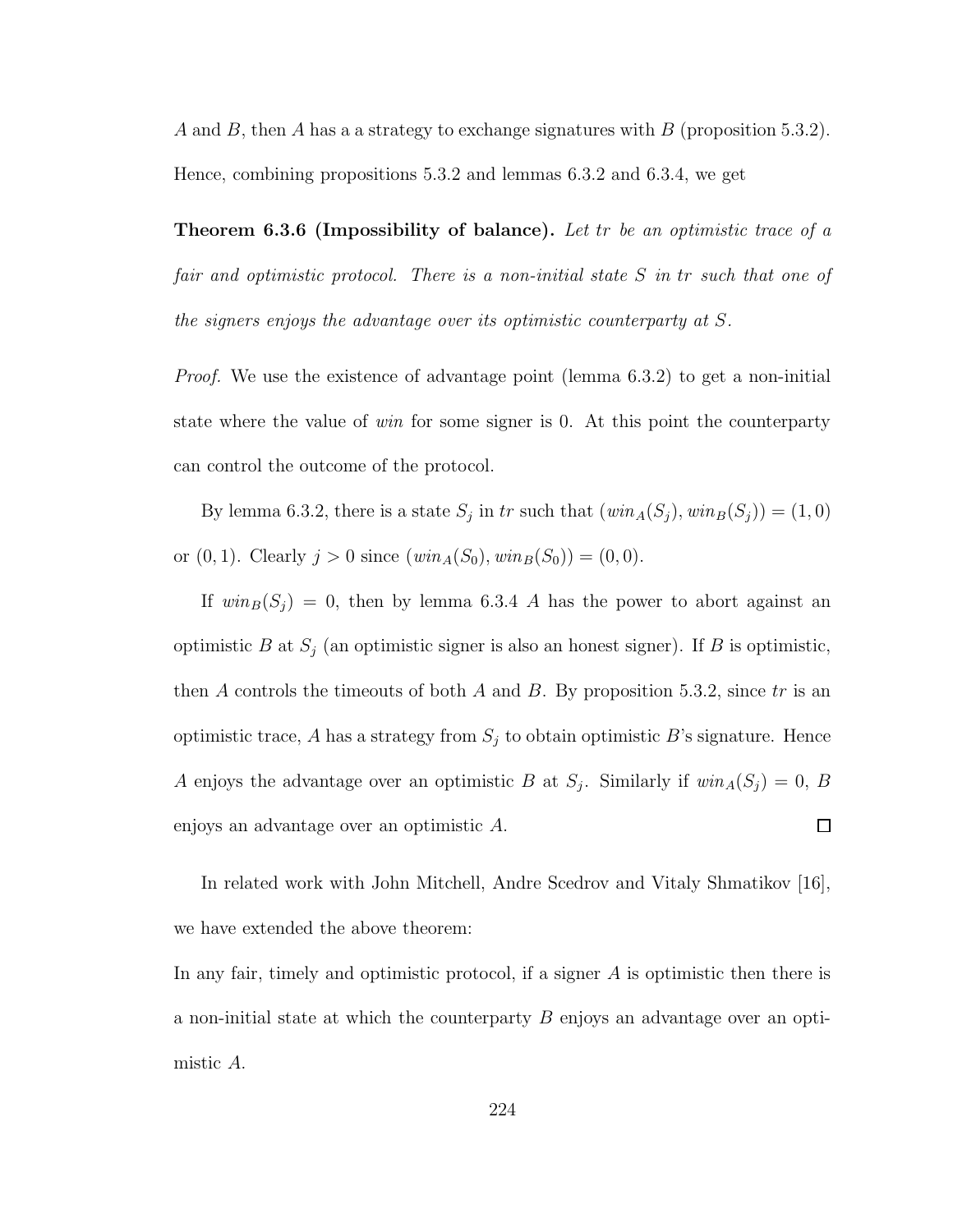A and B, then A has a a strategy to exchange signatures with B (proposition 5.3.2). Hence, combining propositions 5.3.2 and lemmas 6.3.2 and 6.3.4, we get

**Theorem 6.3.6 (Impossibility of balance).** Let tr be an optimistic trace of a fair and optimistic protocol. There is a non-initial state S in tr such that one of the signers enjoys the advantage over its optimistic counterparty at S.

Proof. We use the existence of advantage point (lemma 6.3.2) to get a non-initial state where the value of win for some signer is 0. At this point the counterparty can control the outcome of the protocol.

By lemma 6.3.2, there is a state  $S_j$  in tr such that  $(win_A(S_j), win_B(S_j)) = (1, 0)$ or  $(0, 1)$ . Clearly  $j > 0$  since  $(win_A(S_0), win_B(S_0)) = (0, 0)$ .

If  $win_B(S_j) = 0$ , then by lemma 6.3.4 A has the power to abort against an optimistic B at  $S_j$  (an optimistic signer is also an honest signer). If B is optimistic, then A controls the timeouts of both A and B. By proposition 5.3.2, since  $tr$  is an optimistic trace, A has a strategy from  $S_j$  to obtain optimistic B's signature. Hence A enjoys the advantage over an optimistic B at  $S_j$ . Similarly if  $win_A(S_j) = 0$ , B enjoys an advantage over an optimistic A.  $\Box$ 

In related work with John Mitchell, Andre Scedrov and Vitaly Shmatikov [16], we have extended the above theorem:

In any fair, timely and optimistic protocol, if a signer  $A$  is optimistic then there is a non-initial state at which the counterparty  $B$  enjoys an advantage over an optimistic A.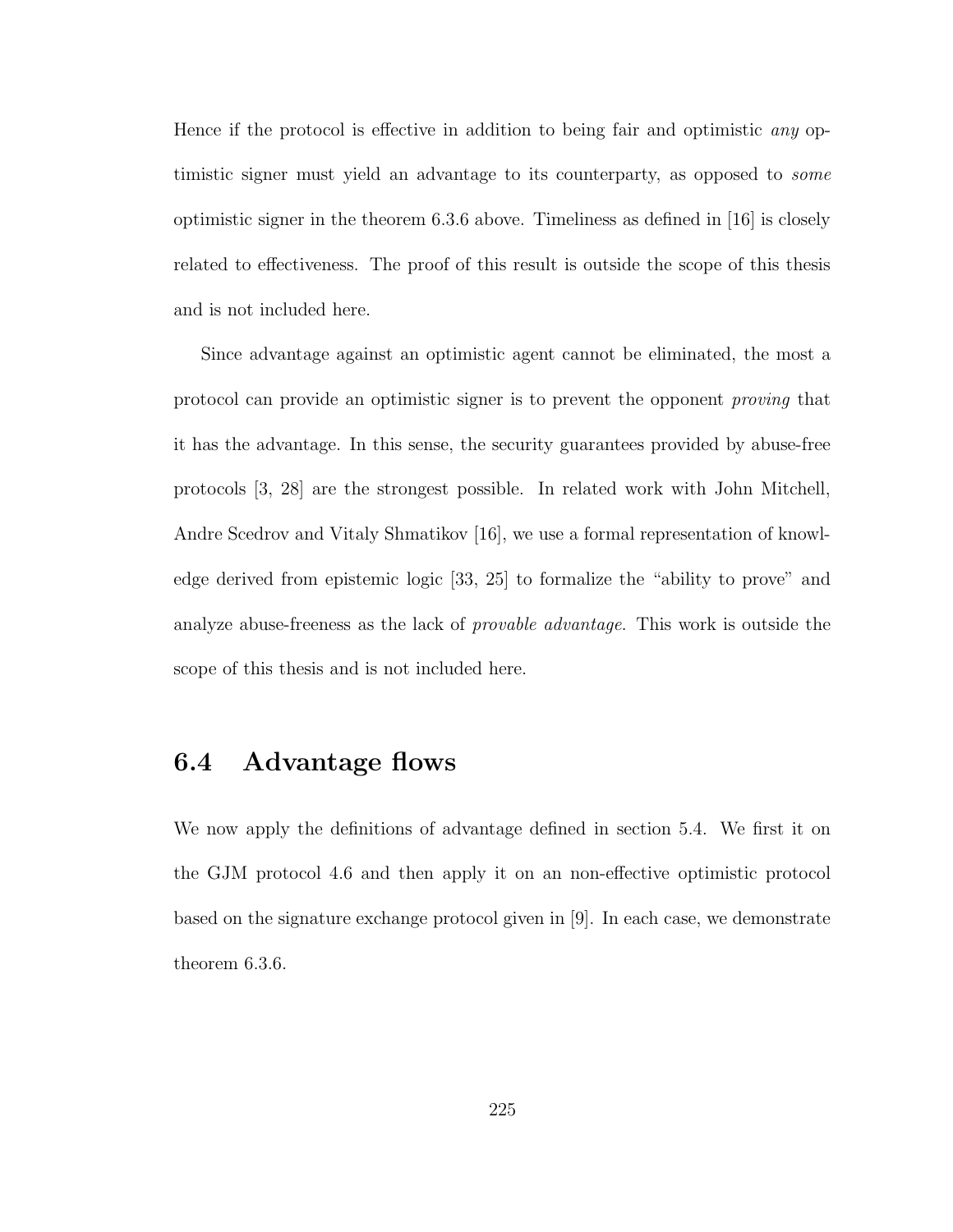Hence if the protocol is effective in addition to being fair and optimistic any optimistic signer must yield an advantage to its counterparty, as opposed to some optimistic signer in the theorem 6.3.6 above. Timeliness as defined in [16] is closely related to effectiveness. The proof of this result is outside the scope of this thesis and is not included here.

Since advantage against an optimistic agent cannot be eliminated, the most a protocol can provide an optimistic signer is to prevent the opponent proving that it has the advantage. In this sense, the security guarantees provided by abuse-free protocols [3, 28] are the strongest possible. In related work with John Mitchell, Andre Scedrov and Vitaly Shmatikov [16], we use a formal representation of knowledge derived from epistemic logic [33, 25] to formalize the "ability to prove" and analyze abuse-freeness as the lack of *provable advantage*. This work is outside the scope of this thesis and is not included here.

### 6.4 Advantage flows

We now apply the definitions of advantage defined in section 5.4. We first it on the GJM protocol 4.6 and then apply it on an non-effective optimistic protocol based on the signature exchange protocol given in [9]. In each case, we demonstrate theorem 6.3.6.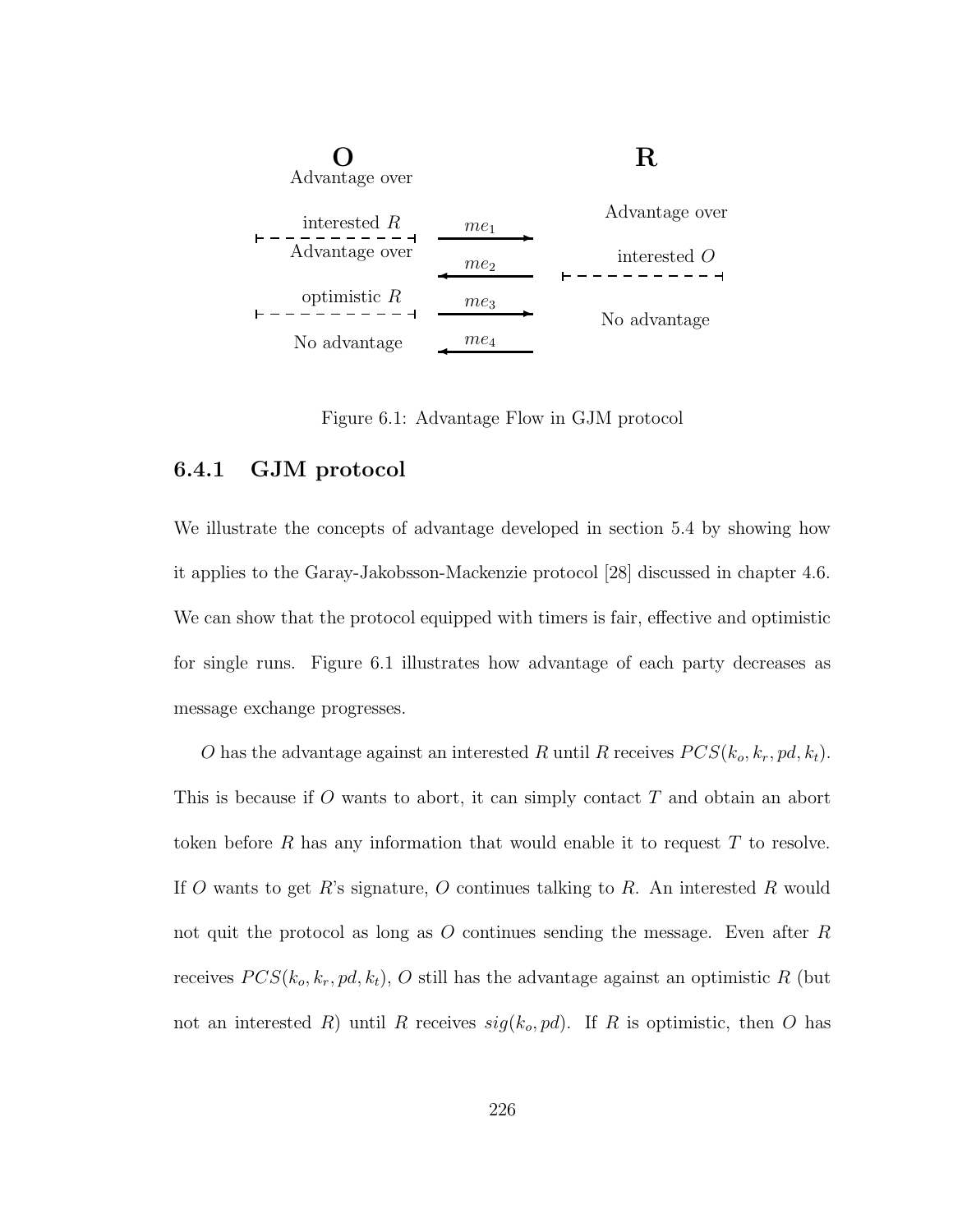

Figure 6.1: Advantage Flow in GJM protocol

#### 6.4.1 GJM protocol

We illustrate the concepts of advantage developed in section 5.4 by showing how it applies to the Garay-Jakobsson-Mackenzie protocol [28] discussed in chapter 4.6. We can show that the protocol equipped with timers is fair, effective and optimistic for single runs. Figure 6.1 illustrates how advantage of each party decreases as message exchange progresses.

O has the advantage against an interested R until R receives  $PCS(k_o, k_r, pd, k_t)$ . This is because if O wants to abort, it can simply contact T and obtain an abort token before R has any information that would enable it to request  $T$  to resolve. If O wants to get R's signature, O continues talking to R. An interested R would not quit the protocol as long as  $O$  continues sending the message. Even after  $R$ receives  $PCS(k_o, k_r, pd, k_t)$ , O still has the advantage against an optimistic R (but not an interested R) until R receives  $sig(k_o, pd)$ . If R is optimistic, then O has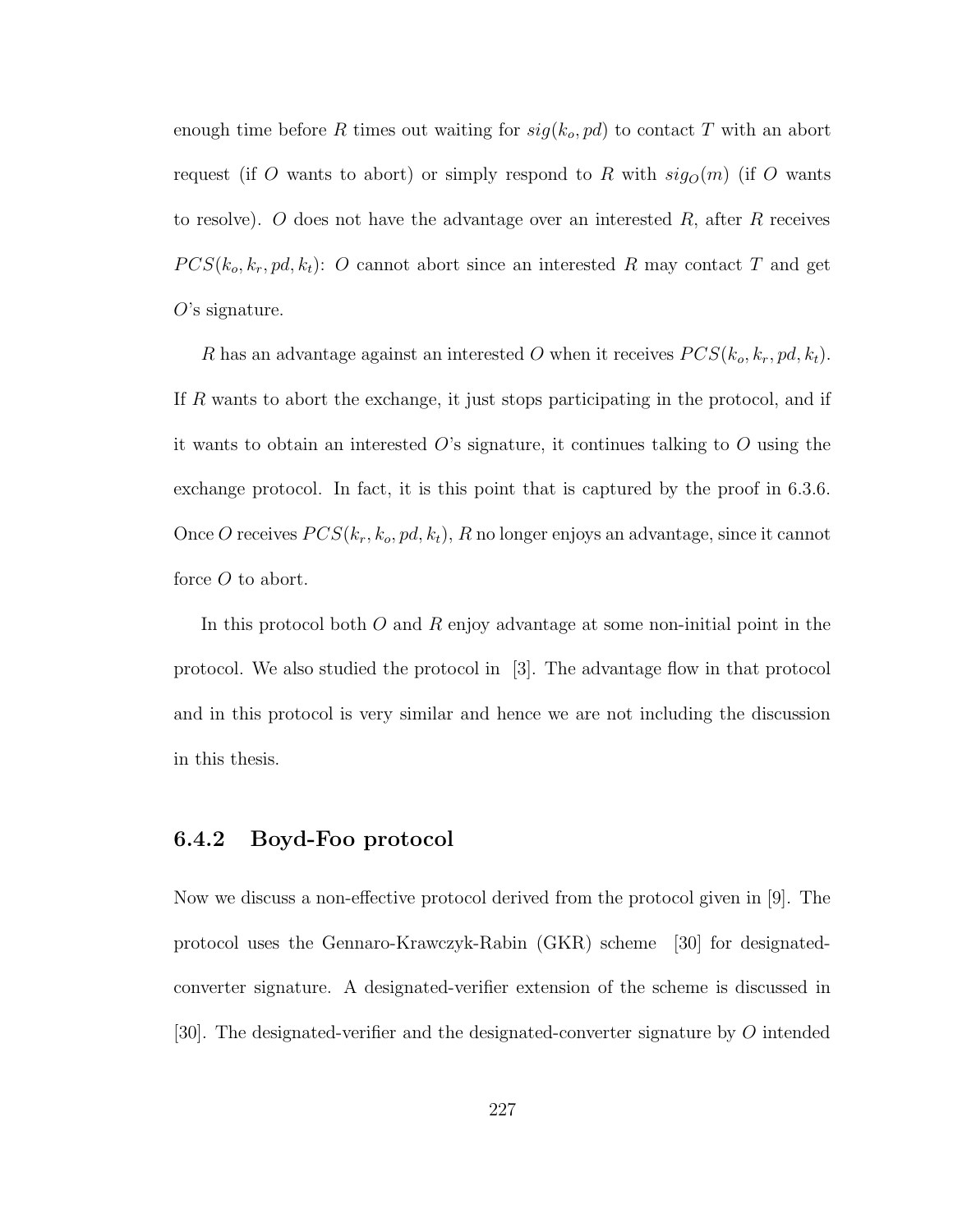enough time before R times out waiting for  $sig(k_o, pd)$  to contact T with an abort request (if O wants to abort) or simply respond to R with  $sig<sub>O</sub>(m)$  (if O wants to resolve). O does not have the advantage over an interested  $R$ , after  $R$  receives  $PCS(k_o, k_r, pd, k_t):$  O cannot abort since an interested R may contact T and get  $O$ 's signature.

R has an advantage against an interested O when it receives  $PCS(k_o, k_r, pd, k_t)$ . If R wants to abort the exchange, it just stops participating in the protocol, and if it wants to obtain an interested  $O$ 's signature, it continues talking to  $O$  using the exchange protocol. In fact, it is this point that is captured by the proof in 6.3.6. Once O receives  $PCS(k_r, k_o, pd, k_t)$ , R no longer enjoys an advantage, since it cannot force O to abort.

In this protocol both  $O$  and  $R$  enjoy advantage at some non-initial point in the protocol. We also studied the protocol in [3]. The advantage flow in that protocol and in this protocol is very similar and hence we are not including the discussion in this thesis.

#### 6.4.2 Boyd-Foo protocol

Now we discuss a non-effective protocol derived from the protocol given in [9]. The protocol uses the Gennaro-Krawczyk-Rabin (GKR) scheme [30] for designatedconverter signature. A designated-verifier extension of the scheme is discussed in [30]. The designated-verifier and the designated-converter signature by O intended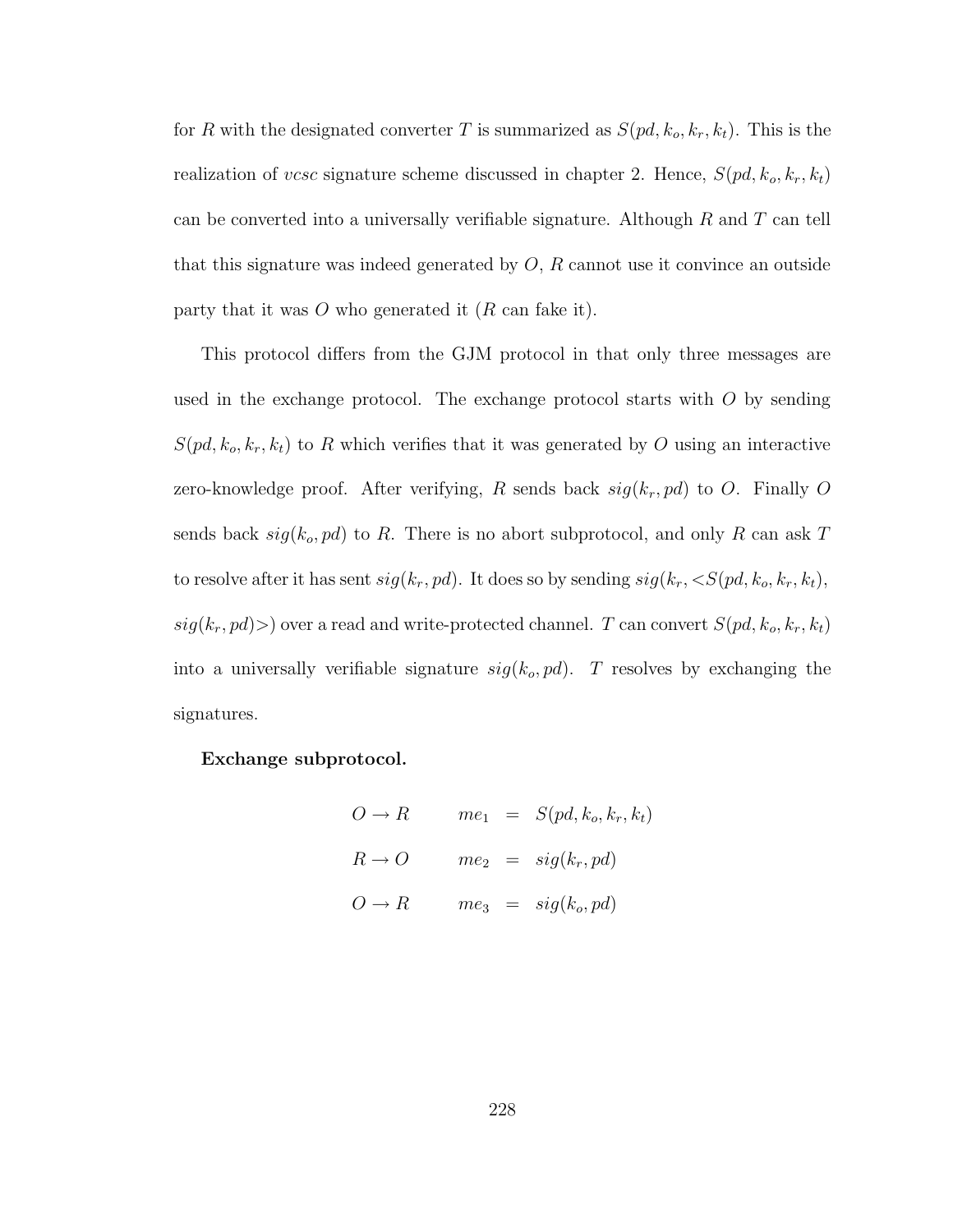for R with the designated converter T is summarized as  $S(pd, k_o, k_r, k_t)$ . This is the realization of *vcsc* signature scheme discussed in chapter 2. Hence,  $S(pd, k_o, k_r, k_t)$ can be converted into a universally verifiable signature. Although  $R$  and  $T$  can tell that this signature was indeed generated by  $O, R$  cannot use it convince an outside party that it was  $O$  who generated it  $(R \text{ can fake it}).$ 

This protocol differs from the GJM protocol in that only three messages are used in the exchange protocol. The exchange protocol starts with  $O$  by sending  $S(pd, k_o, k_r, k_t)$  to R which verifies that it was generated by O using an interactive zero-knowledge proof. After verifying, R sends back  $sig(k_r, pd)$  to O. Finally O sends back  $sig(k_o, pd)$  to R. There is no abort subprotocol, and only R can ask T to resolve after it has sent  $sig(k_r, pd)$ . It does so by sending  $sig(k_r, \langle S(pd, k_o, k_r, k_t),$  $sig(k_r, pd)$ ) over a read and write-protected channel. T can convert  $S(pd, k_o, k_r, k_t)$ into a universally verifiable signature  $sig(k_o, pd)$ . T resolves by exchanging the signatures.

Exchange subprotocol.

$$
O \to R \qquad me_1 = S(pd, k_o, k_r, k_t)
$$
  

$$
R \to O \qquad me_2 = sig(k_r, pd)
$$
  

$$
O \to R \qquad me_3 = sig(k_o, pd)
$$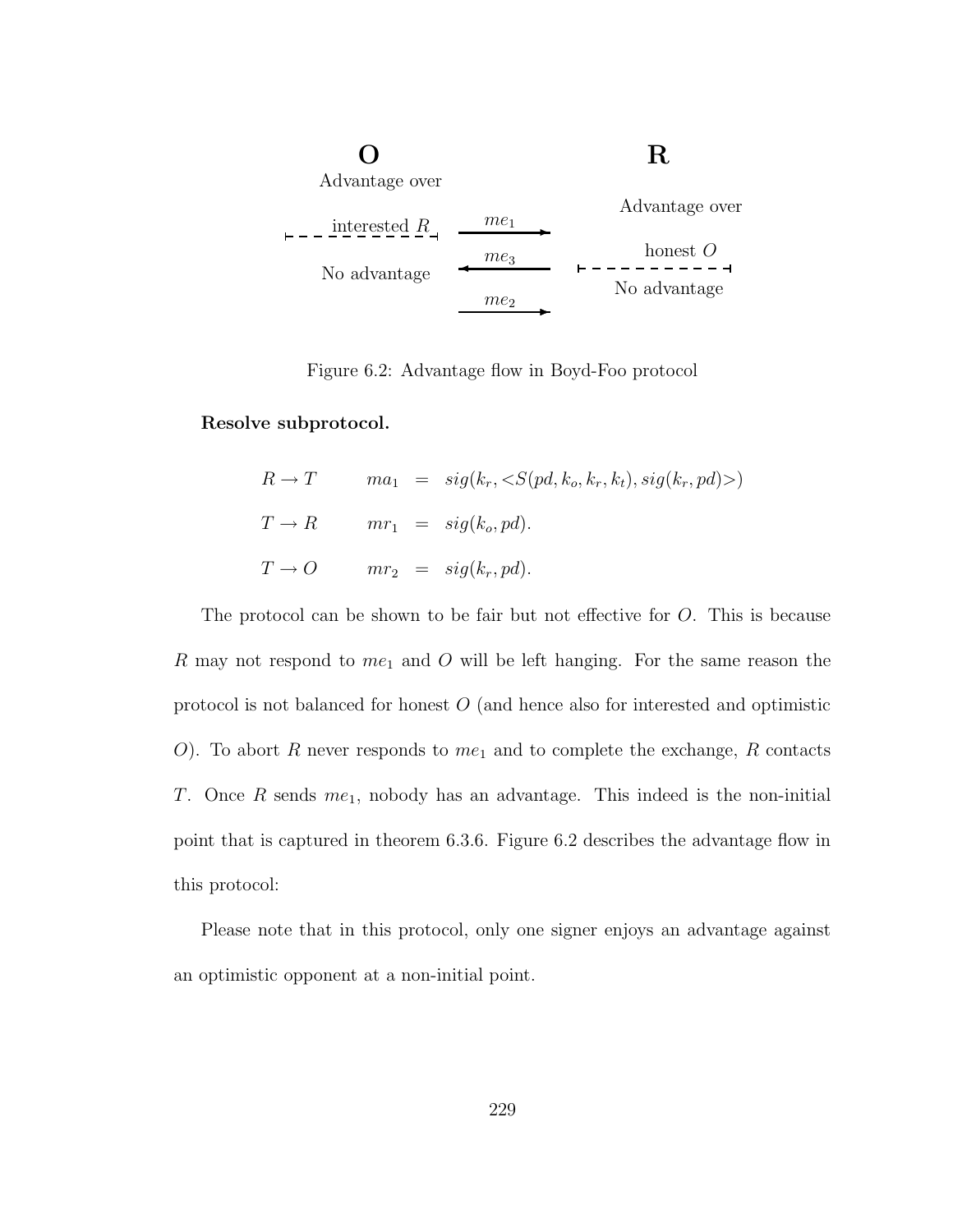

Figure 6.2: Advantage flow in Boyd-Foo protocol

Resolve subprotocol.

$$
R \to T \qquad ma_1 = sig(k_r, \langle S(pd, k_o, k_r, k_t), sig(k_r, pd) \rangle)
$$
  
\n
$$
T \to R \qquad mr_1 = sig(k_o, pd).
$$
  
\n
$$
T \to O \qquad mr_2 = sig(k_r, pd).
$$

The protocol can be shown to be fair but not effective for O. This is because  $R$  may not respond to  $me<sub>1</sub>$  and  $O$  will be left hanging. For the same reason the protocol is not balanced for honest O (and hence also for interested and optimistic O). To abort R never responds to  $me<sub>1</sub>$  and to complete the exchange, R contacts T. Once R sends  $me<sub>1</sub>$ , nobody has an advantage. This indeed is the non-initial point that is captured in theorem 6.3.6. Figure 6.2 describes the advantage flow in this protocol:

Please note that in this protocol, only one signer enjoys an advantage against an optimistic opponent at a non-initial point.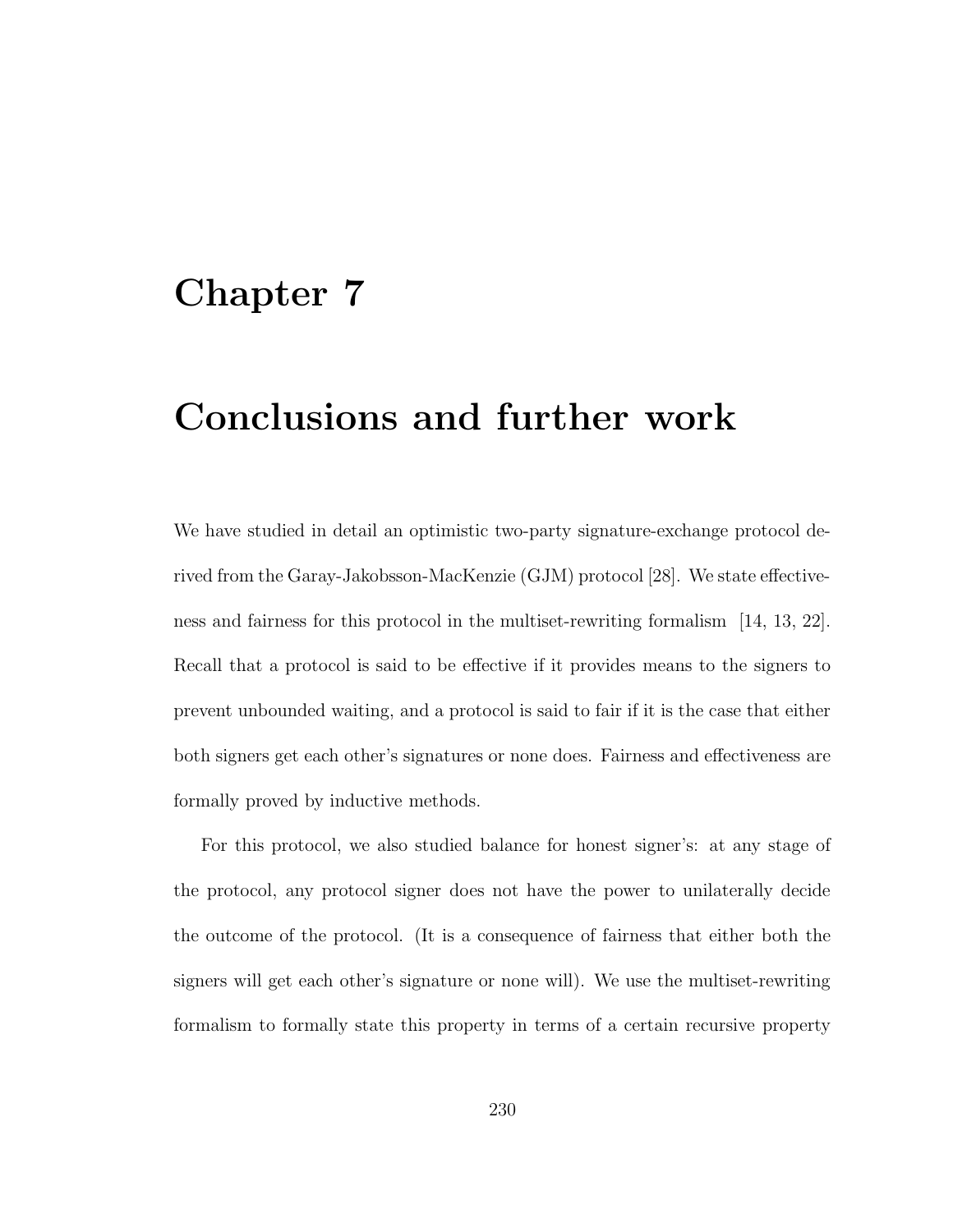### Chapter 7

## Conclusions and further work

We have studied in detail an optimistic two-party signature-exchange protocol derived from the Garay-Jakobsson-MacKenzie (GJM) protocol [28]. We state effectiveness and fairness for this protocol in the multiset-rewriting formalism [14, 13, 22]. Recall that a protocol is said to be effective if it provides means to the signers to prevent unbounded waiting, and a protocol is said to fair if it is the case that either both signers get each other's signatures or none does. Fairness and effectiveness are formally proved by inductive methods.

For this protocol, we also studied balance for honest signer's: at any stage of the protocol, any protocol signer does not have the power to unilaterally decide the outcome of the protocol. (It is a consequence of fairness that either both the signers will get each other's signature or none will). We use the multiset-rewriting formalism to formally state this property in terms of a certain recursive property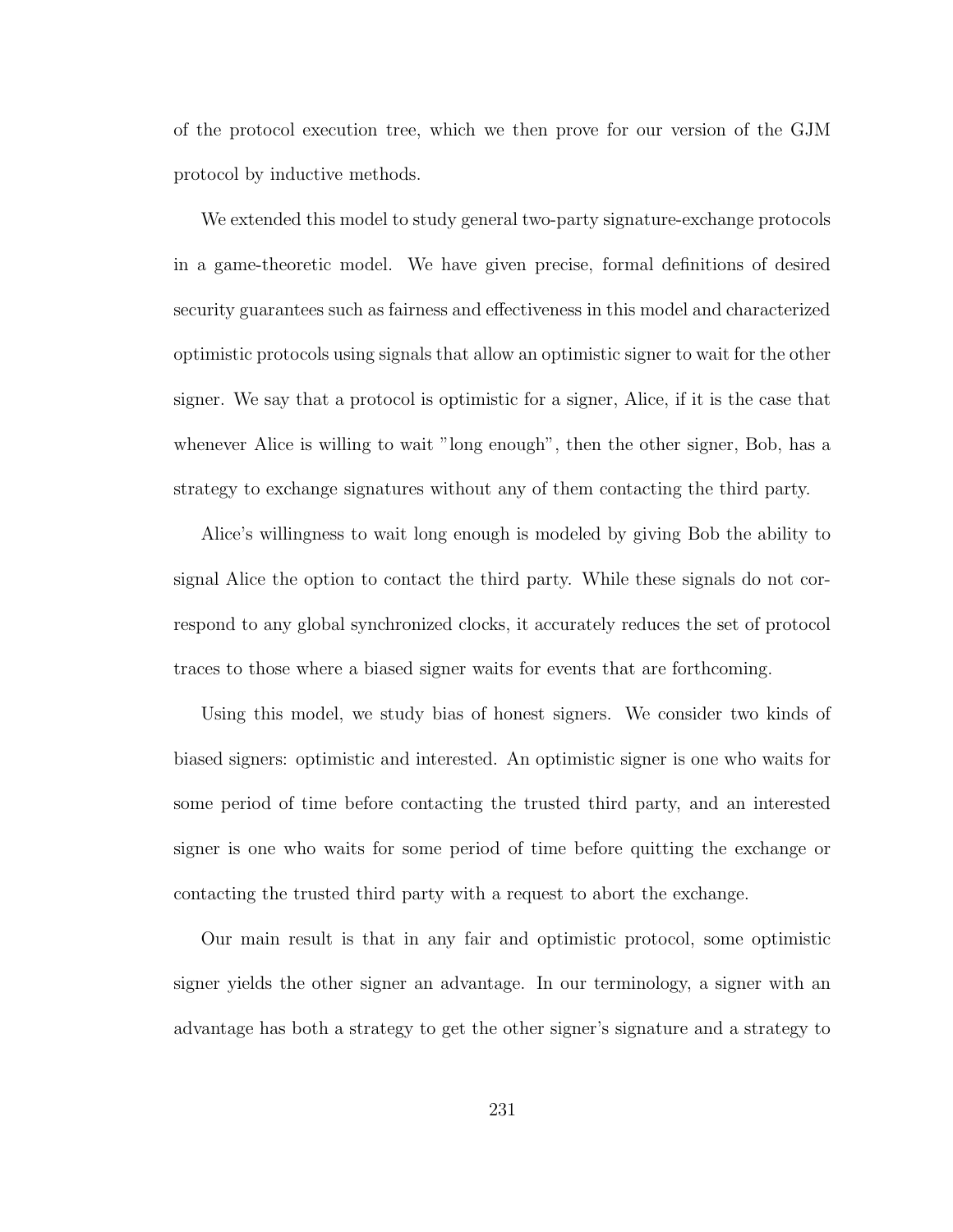of the protocol execution tree, which we then prove for our version of the GJM protocol by inductive methods.

We extended this model to study general two-party signature-exchange protocols in a game-theoretic model. We have given precise, formal definitions of desired security guarantees such as fairness and effectiveness in this model and characterized optimistic protocols using signals that allow an optimistic signer to wait for the other signer. We say that a protocol is optimistic for a signer, Alice, if it is the case that whenever Alice is willing to wait "long enough", then the other signer, Bob, has a strategy to exchange signatures without any of them contacting the third party.

Alice's willingness to wait long enough is modeled by giving Bob the ability to signal Alice the option to contact the third party. While these signals do not correspond to any global synchronized clocks, it accurately reduces the set of protocol traces to those where a biased signer waits for events that are forthcoming.

Using this model, we study bias of honest signers. We consider two kinds of biased signers: optimistic and interested. An optimistic signer is one who waits for some period of time before contacting the trusted third party, and an interested signer is one who waits for some period of time before quitting the exchange or contacting the trusted third party with a request to abort the exchange.

Our main result is that in any fair and optimistic protocol, some optimistic signer yields the other signer an advantage. In our terminology, a signer with an advantage has both a strategy to get the other signer's signature and a strategy to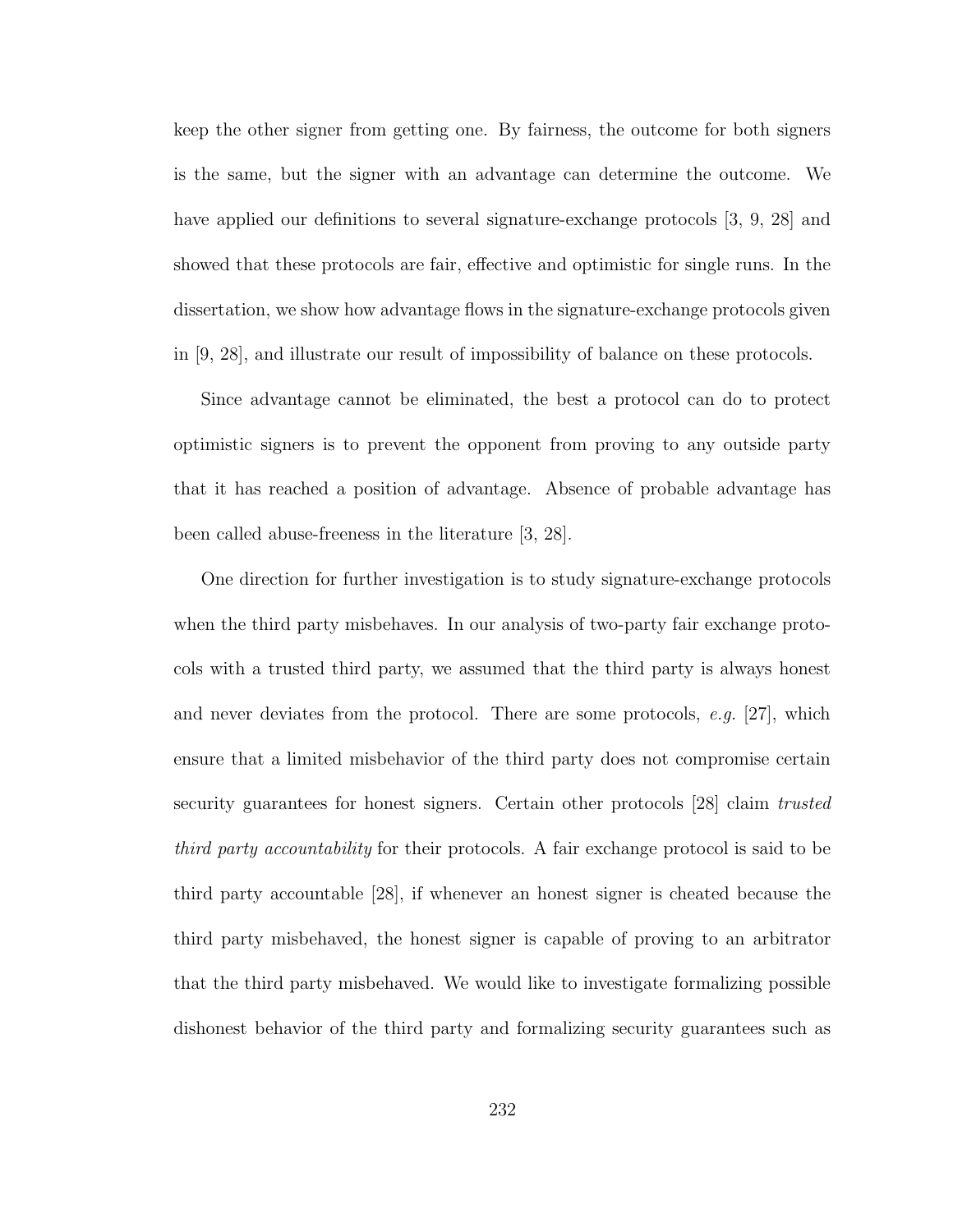keep the other signer from getting one. By fairness, the outcome for both signers is the same, but the signer with an advantage can determine the outcome. We have applied our definitions to several signature-exchange protocols [3, 9, 28] and showed that these protocols are fair, effective and optimistic for single runs. In the dissertation, we show how advantage flows in the signature-exchange protocols given in [9, 28], and illustrate our result of impossibility of balance on these protocols.

Since advantage cannot be eliminated, the best a protocol can do to protect optimistic signers is to prevent the opponent from proving to any outside party that it has reached a position of advantage. Absence of probable advantage has been called abuse-freeness in the literature [3, 28].

One direction for further investigation is to study signature-exchange protocols when the third party misbehaves. In our analysis of two-party fair exchange protocols with a trusted third party, we assumed that the third party is always honest and never deviates from the protocol. There are some protocols, e.g. [27], which ensure that a limited misbehavior of the third party does not compromise certain security guarantees for honest signers. Certain other protocols [28] claim trusted third party accountability for their protocols. A fair exchange protocol is said to be third party accountable [28], if whenever an honest signer is cheated because the third party misbehaved, the honest signer is capable of proving to an arbitrator that the third party misbehaved. We would like to investigate formalizing possible dishonest behavior of the third party and formalizing security guarantees such as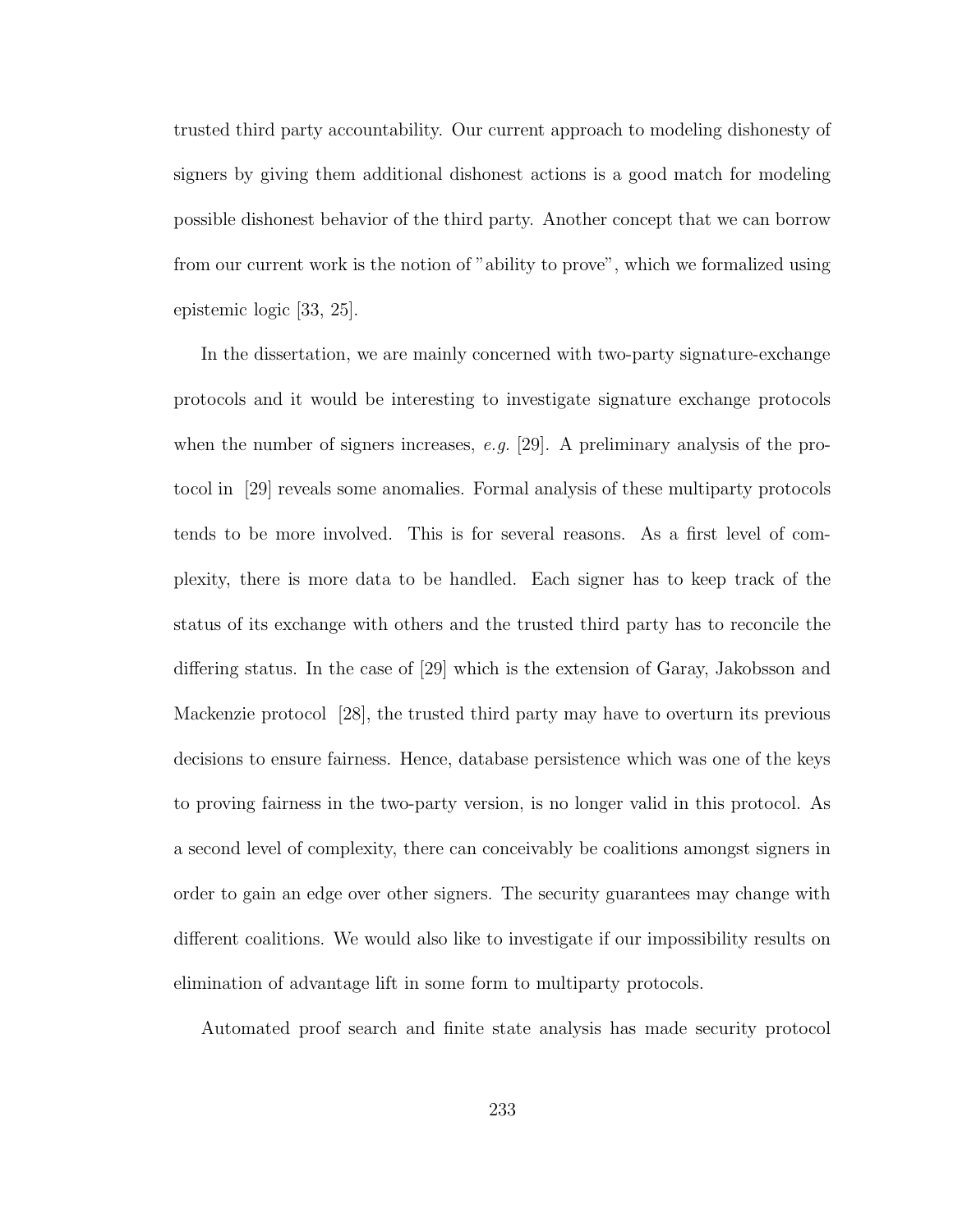trusted third party accountability. Our current approach to modeling dishonesty of signers by giving them additional dishonest actions is a good match for modeling possible dishonest behavior of the third party. Another concept that we can borrow from our current work is the notion of "ability to prove", which we formalized using epistemic logic [33, 25].

In the dissertation, we are mainly concerned with two-party signature-exchange protocols and it would be interesting to investigate signature exchange protocols when the number of signers increases, e.g. [29]. A preliminary analysis of the protocol in [29] reveals some anomalies. Formal analysis of these multiparty protocols tends to be more involved. This is for several reasons. As a first level of complexity, there is more data to be handled. Each signer has to keep track of the status of its exchange with others and the trusted third party has to reconcile the differing status. In the case of [29] which is the extension of Garay, Jakobsson and Mackenzie protocol [28], the trusted third party may have to overturn its previous decisions to ensure fairness. Hence, database persistence which was one of the keys to proving fairness in the two-party version, is no longer valid in this protocol. As a second level of complexity, there can conceivably be coalitions amongst signers in order to gain an edge over other signers. The security guarantees may change with different coalitions. We would also like to investigate if our impossibility results on elimination of advantage lift in some form to multiparty protocols.

Automated proof search and finite state analysis has made security protocol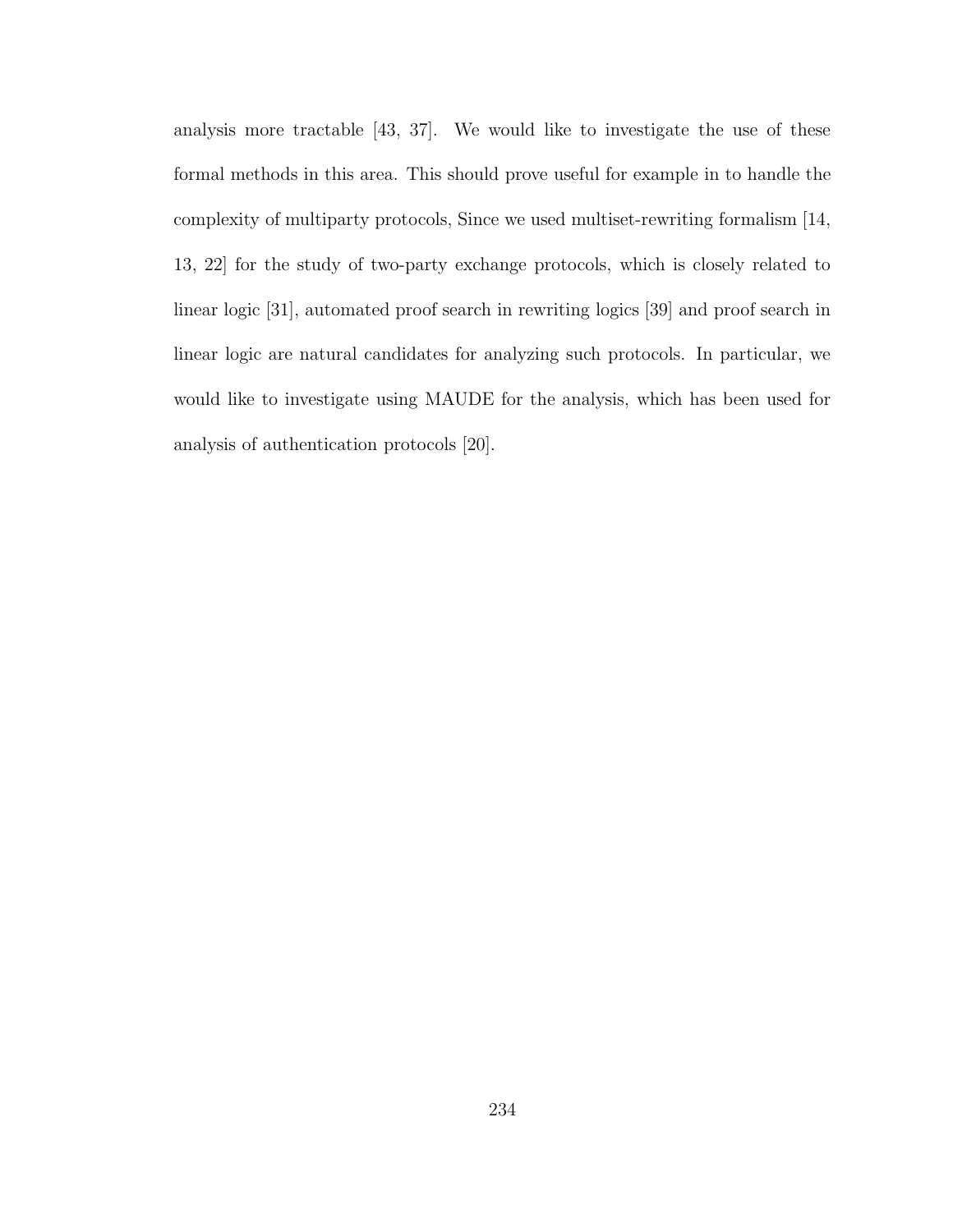analysis more tractable [43, 37]. We would like to investigate the use of these formal methods in this area. This should prove useful for example in to handle the complexity of multiparty protocols, Since we used multiset-rewriting formalism [14, 13, 22] for the study of two-party exchange protocols, which is closely related to linear logic [31], automated proof search in rewriting logics [39] and proof search in linear logic are natural candidates for analyzing such protocols. In particular, we would like to investigate using MAUDE for the analysis, which has been used for analysis of authentication protocols [20].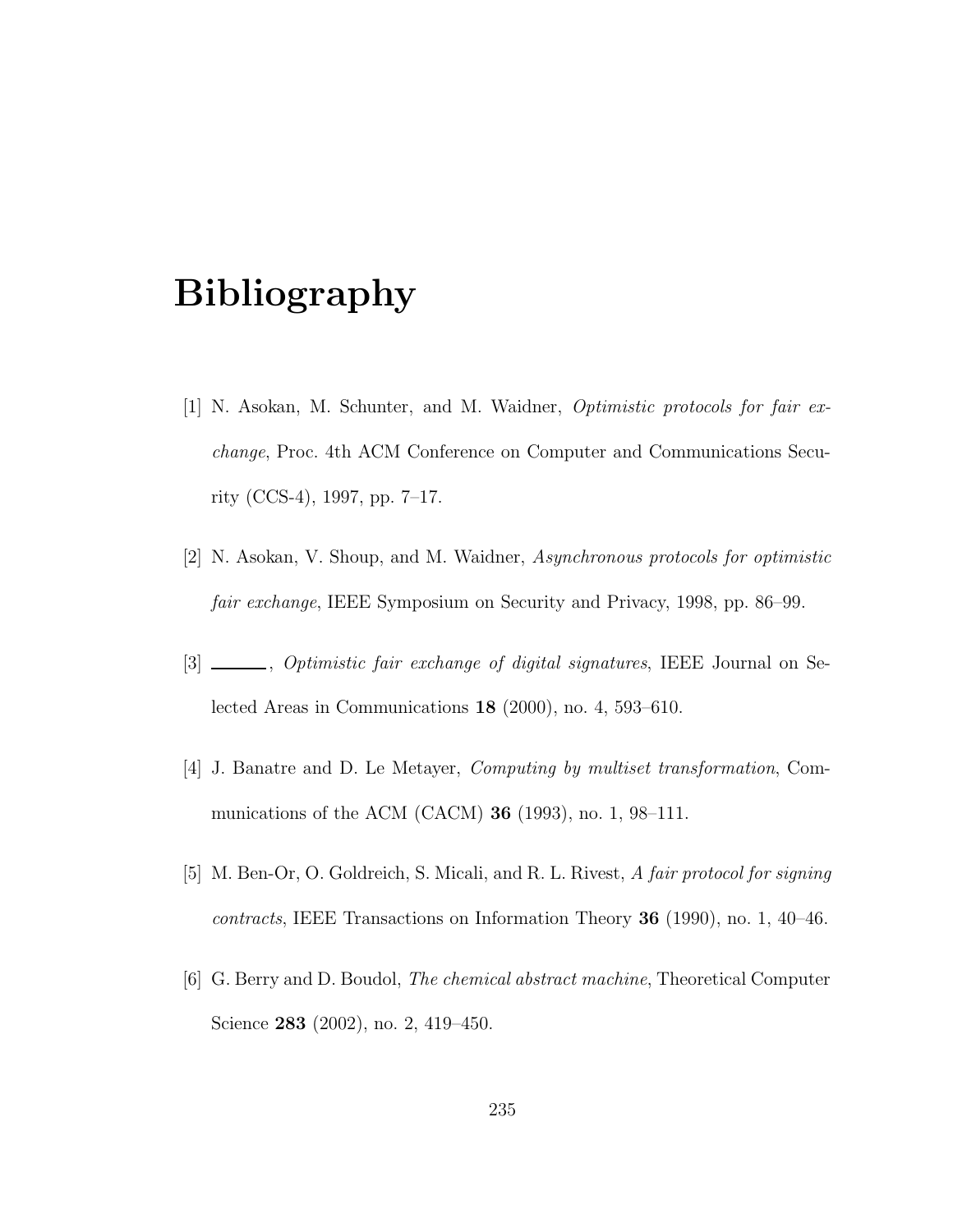# Bibliography

- [1] N. Asokan, M. Schunter, and M. Waidner, Optimistic protocols for fair exchange, Proc. 4th ACM Conference on Computer and Communications Security (CCS-4), 1997, pp. 7–17.
- [2] N. Asokan, V. Shoup, and M. Waidner, Asynchronous protocols for optimistic fair exchange, IEEE Symposium on Security and Privacy, 1998, pp. 86–99.
- [3] \_\_\_\_\_, Optimistic fair exchange of digital signatures, IEEE Journal on Selected Areas in Communications 18 (2000), no. 4, 593–610.
- [4] J. Banatre and D. Le Metayer, Computing by multiset transformation, Communications of the ACM (CACM) 36 (1993), no. 1, 98–111.
- [5] M. Ben-Or, O. Goldreich, S. Micali, and R. L. Rivest, A fair protocol for signing contracts, IEEE Transactions on Information Theory 36 (1990), no. 1, 40–46.
- [6] G. Berry and D. Boudol, The chemical abstract machine, Theoretical Computer Science **283** (2002), no. 2, 419–450.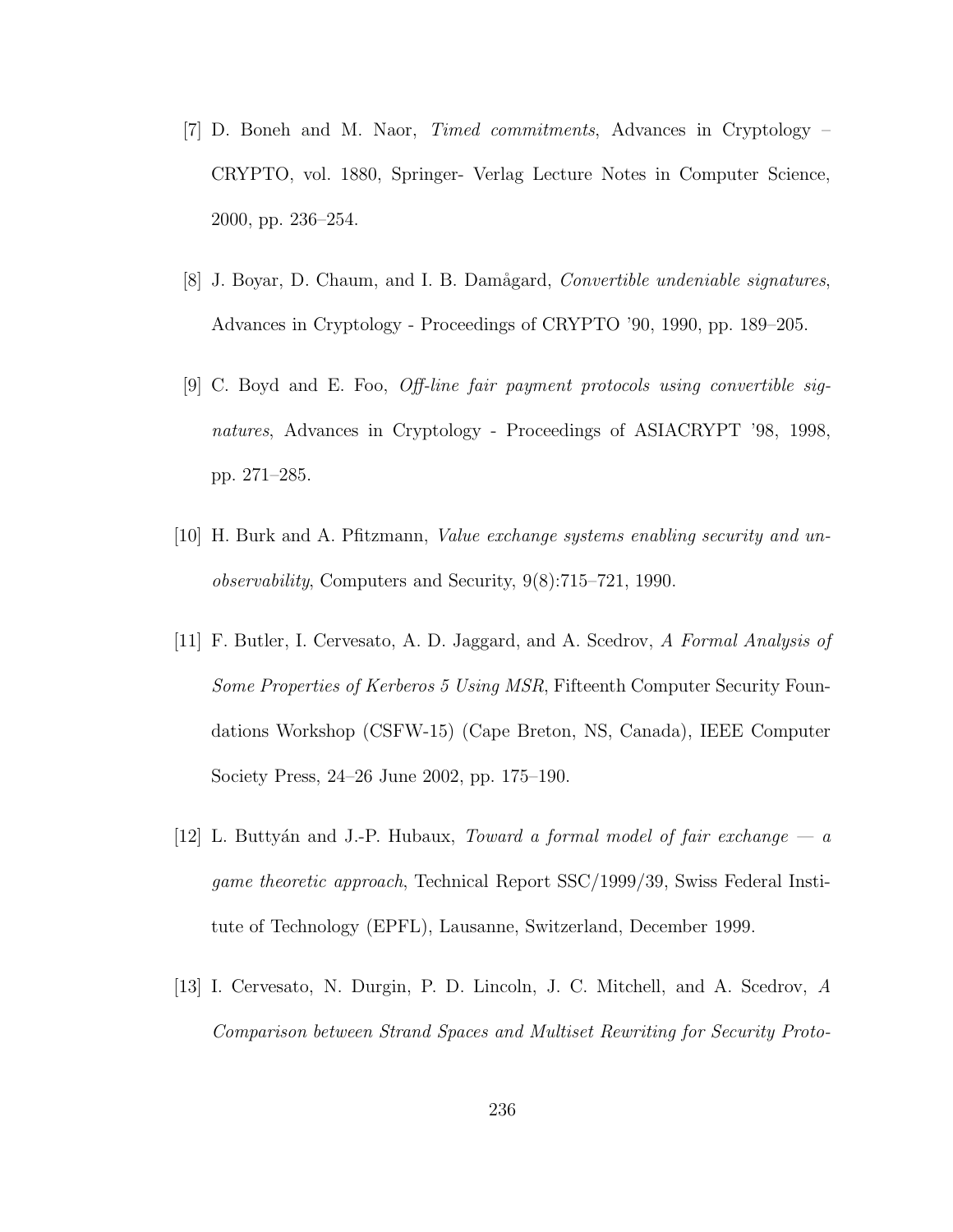- [7] D. Boneh and M. Naor, Timed commitments, Advances in Cryptology CRYPTO, vol. 1880, Springer- Verlag Lecture Notes in Computer Science, 2000, pp. 236–254.
- [8] J. Boyar, D. Chaum, and I. B. Damågard, *Convertible undeniable signatures*, Advances in Cryptology - Proceedings of CRYPTO '90, 1990, pp. 189–205.
- [9] C. Boyd and E. Foo, Off-line fair payment protocols using convertible signatures, Advances in Cryptology - Proceedings of ASIACRYPT '98, 1998, pp. 271–285.
- [10] H. Burk and A. Pfitzmann, Value exchange systems enabling security and unobservability, Computers and Security, 9(8):715–721, 1990.
- [11] F. Butler, I. Cervesato, A. D. Jaggard, and A. Scedrov, A Formal Analysis of Some Properties of Kerberos 5 Using MSR, Fifteenth Computer Security Foundations Workshop (CSFW-15) (Cape Breton, NS, Canada), IEEE Computer Society Press, 24–26 June 2002, pp. 175–190.
- [12] L. Buttyán and J.-P. Hubaux, *Toward a formal model of fair exchange a* game theoretic approach, Technical Report SSC/1999/39, Swiss Federal Institute of Technology (EPFL), Lausanne, Switzerland, December 1999.
- [13] I. Cervesato, N. Durgin, P. D. Lincoln, J. C. Mitchell, and A. Scedrov, A Comparison between Strand Spaces and Multiset Rewriting for Security Proto-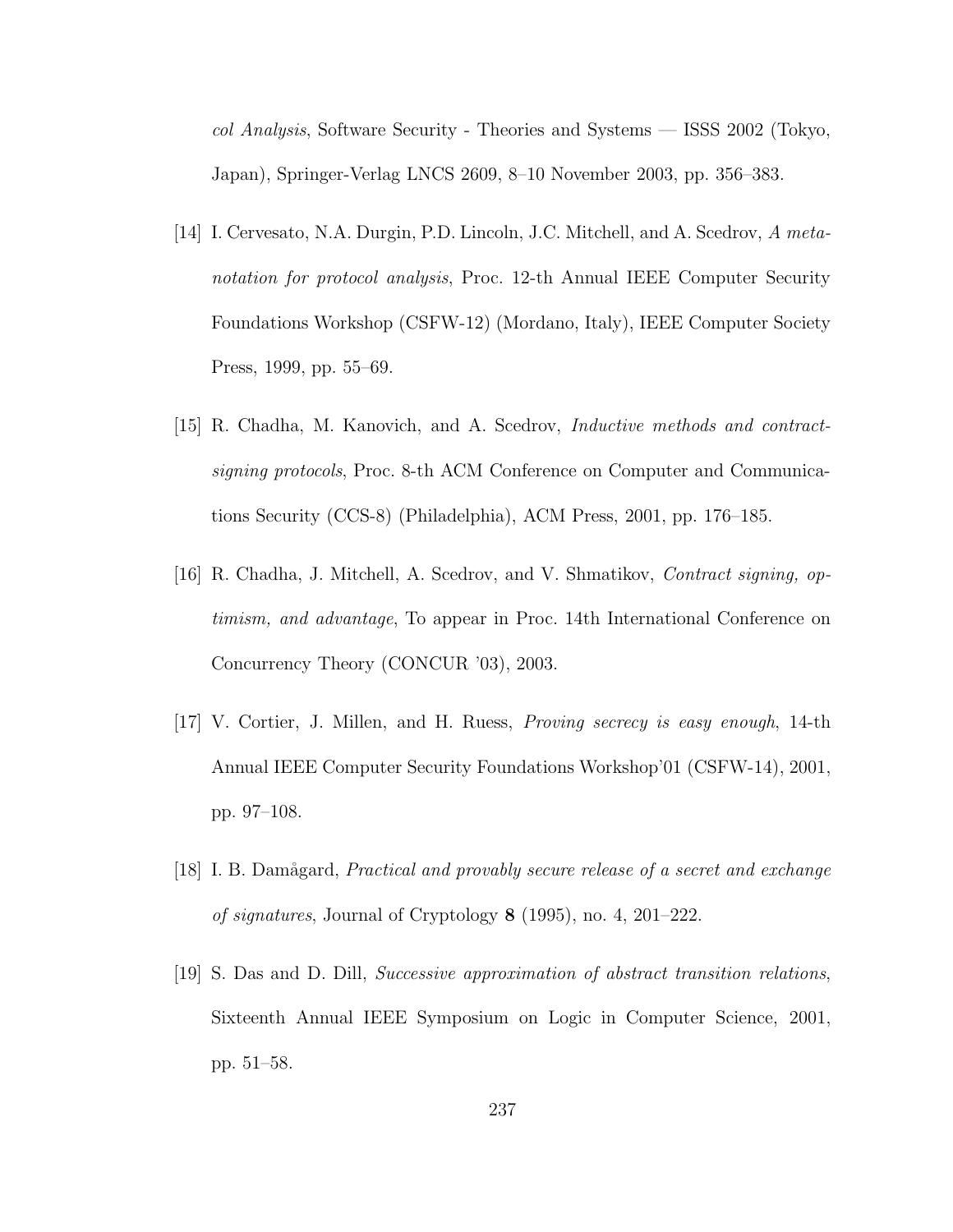col Analysis, Software Security - Theories and Systems — ISSS 2002 (Tokyo, Japan), Springer-Verlag LNCS 2609, 8–10 November 2003, pp. 356–383.

- [14] I. Cervesato, N.A. Durgin, P.D. Lincoln, J.C. Mitchell, and A. Scedrov, A metanotation for protocol analysis, Proc. 12-th Annual IEEE Computer Security Foundations Workshop (CSFW-12) (Mordano, Italy), IEEE Computer Society Press, 1999, pp. 55–69.
- [15] R. Chadha, M. Kanovich, and A. Scedrov, Inductive methods and contractsigning protocols, Proc. 8-th ACM Conference on Computer and Communications Security (CCS-8) (Philadelphia), ACM Press, 2001, pp. 176–185.
- [16] R. Chadha, J. Mitchell, A. Scedrov, and V. Shmatikov, Contract signing, optimism, and advantage, To appear in Proc. 14th International Conference on Concurrency Theory (CONCUR '03), 2003.
- [17] V. Cortier, J. Millen, and H. Ruess, Proving secrecy is easy enough, 14-th Annual IEEE Computer Security Foundations Workshop'01 (CSFW-14), 2001, pp. 97–108.
- [18] I. B. Damågard, *Practical and provably secure release of a secret and exchange* of signatures, Journal of Cryptology 8 (1995), no. 4, 201–222.
- [19] S. Das and D. Dill, Successive approximation of abstract transition relations, Sixteenth Annual IEEE Symposium on Logic in Computer Science, 2001, pp. 51–58.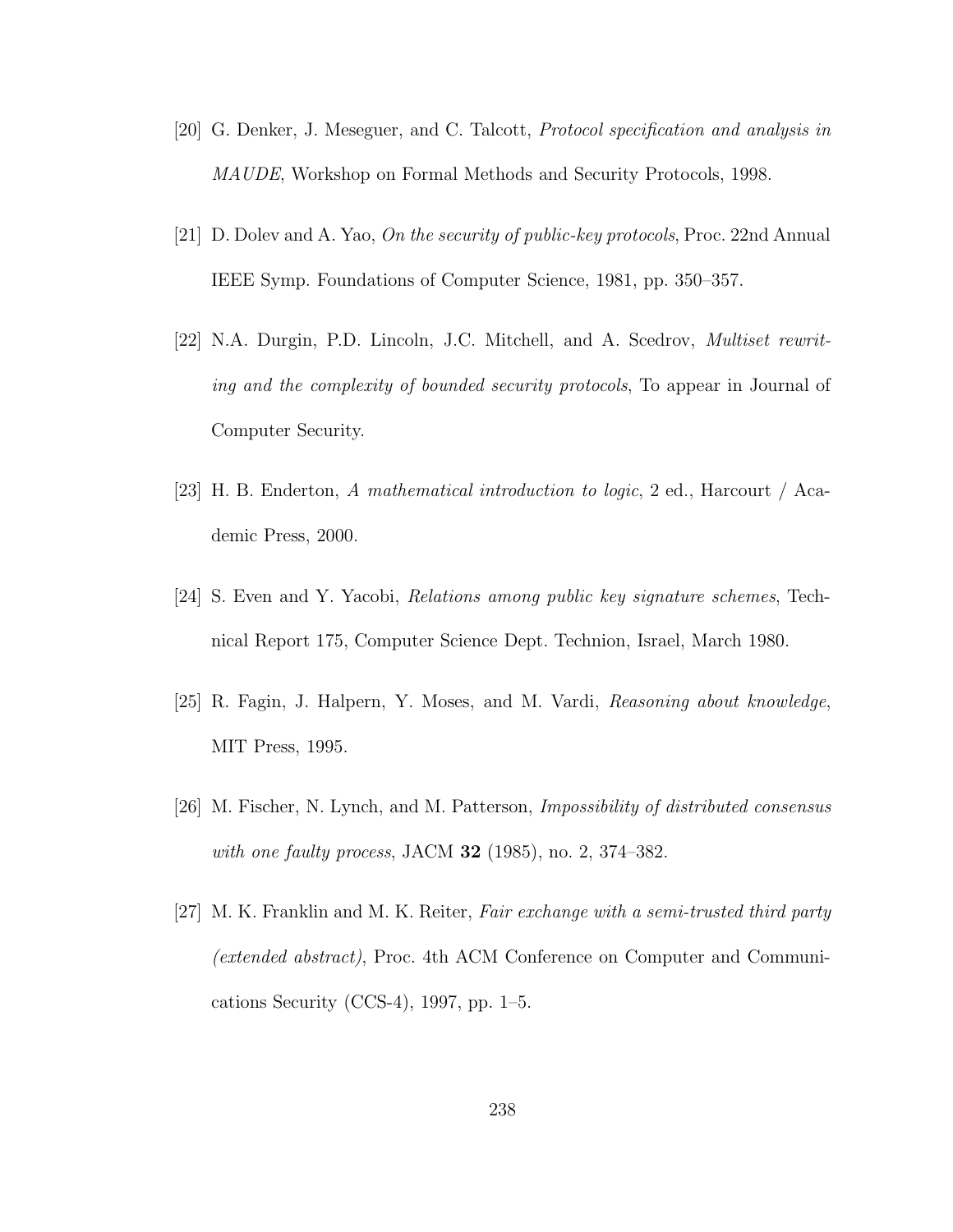- [20] G. Denker, J. Meseguer, and C. Talcott, Protocol specification and analysis in MAUDE, Workshop on Formal Methods and Security Protocols, 1998.
- [21] D. Dolev and A. Yao, On the security of public-key protocols, Proc. 22nd Annual IEEE Symp. Foundations of Computer Science, 1981, pp. 350–357.
- [22] N.A. Durgin, P.D. Lincoln, J.C. Mitchell, and A. Scedrov, Multiset rewriting and the complexity of bounded security protocols, To appear in Journal of Computer Security.
- [23] H. B. Enderton, A mathematical introduction to logic, 2 ed., Harcourt / Academic Press, 2000.
- [24] S. Even and Y. Yacobi, Relations among public key signature schemes, Technical Report 175, Computer Science Dept. Technion, Israel, March 1980.
- [25] R. Fagin, J. Halpern, Y. Moses, and M. Vardi, Reasoning about knowledge, MIT Press, 1995.
- [26] M. Fischer, N. Lynch, and M. Patterson, Impossibility of distributed consensus with one faulty process, JACM  $32$  (1985), no. 2, 374–382.
- [27] M. K. Franklin and M. K. Reiter, Fair exchange with a semi-trusted third party (extended abstract), Proc. 4th ACM Conference on Computer and Communications Security (CCS-4), 1997, pp. 1–5.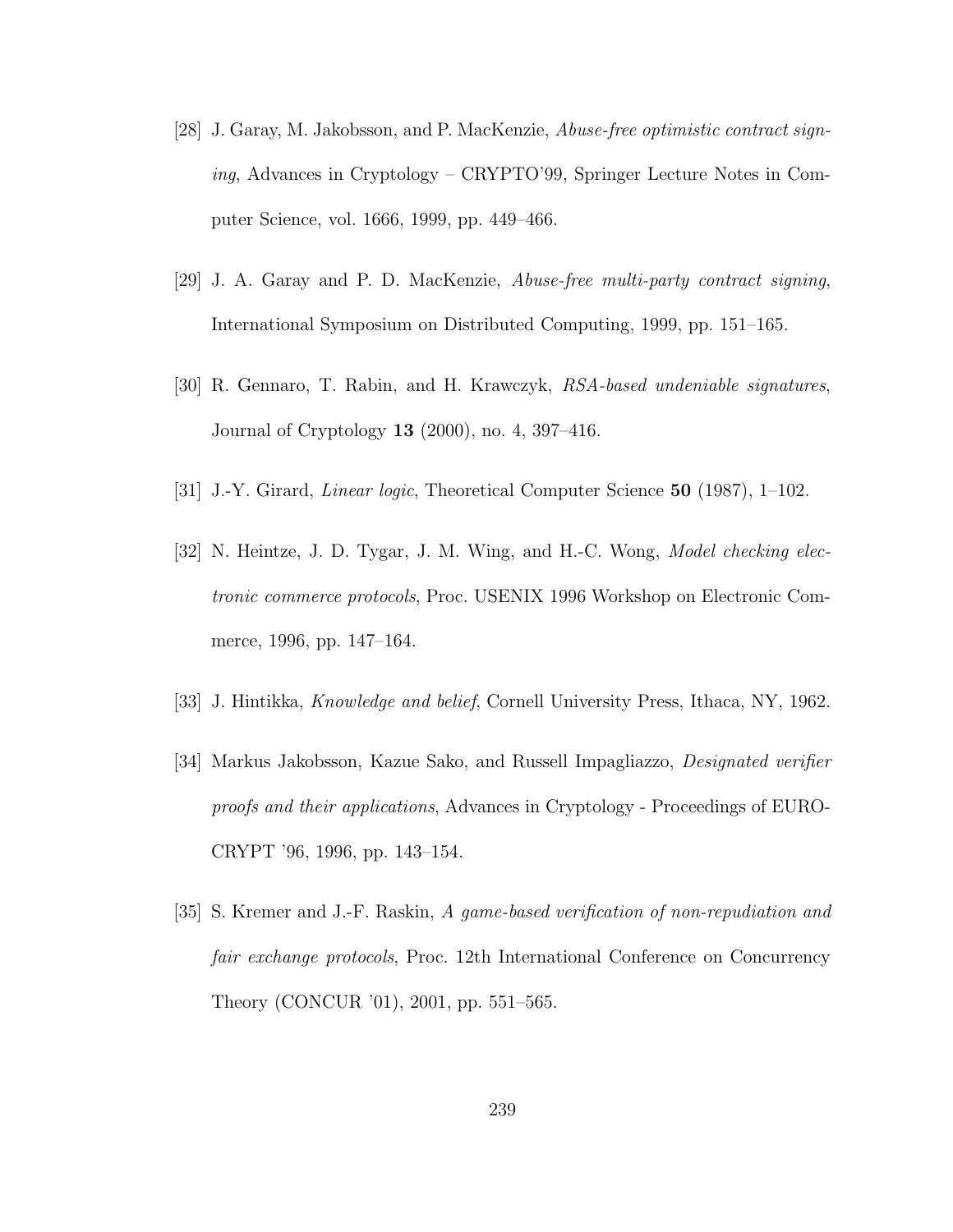- [28] J. Garay, M. Jakobsson, and P. MacKenzie, Abuse-free optimistic contract signing, Advances in Cryptology – CRYPTO'99, Springer Lecture Notes in Computer Science, vol. 1666, 1999, pp. 449–466.
- [29] J. A. Garay and P. D. MacKenzie, Abuse-free multi-party contract signing, International Symposium on Distributed Computing, 1999, pp. 151–165.
- [30] R. Gennaro, T. Rabin, and H. Krawczyk, RSA-based undeniable signatures, Journal of Cryptology 13 (2000), no. 4, 397–416.
- [31] J.-Y. Girard, Linear logic, Theoretical Computer Science 50 (1987), 1–102.
- [32] N. Heintze, J. D. Tygar, J. M. Wing, and H.-C. Wong, Model checking electronic commerce protocols, Proc. USENIX 1996 Workshop on Electronic Commerce, 1996, pp. 147–164.
- [33] J. Hintikka, *Knowledge and belief*, Cornell University Press, Ithaca, NY, 1962.
- [34] Markus Jakobsson, Kazue Sako, and Russell Impagliazzo, Designated verifier proofs and their applications, Advances in Cryptology - Proceedings of EURO-CRYPT '96, 1996, pp. 143–154.
- [35] S. Kremer and J.-F. Raskin, A game-based verification of non-repudiation and fair exchange protocols, Proc. 12th International Conference on Concurrency Theory (CONCUR '01), 2001, pp. 551–565.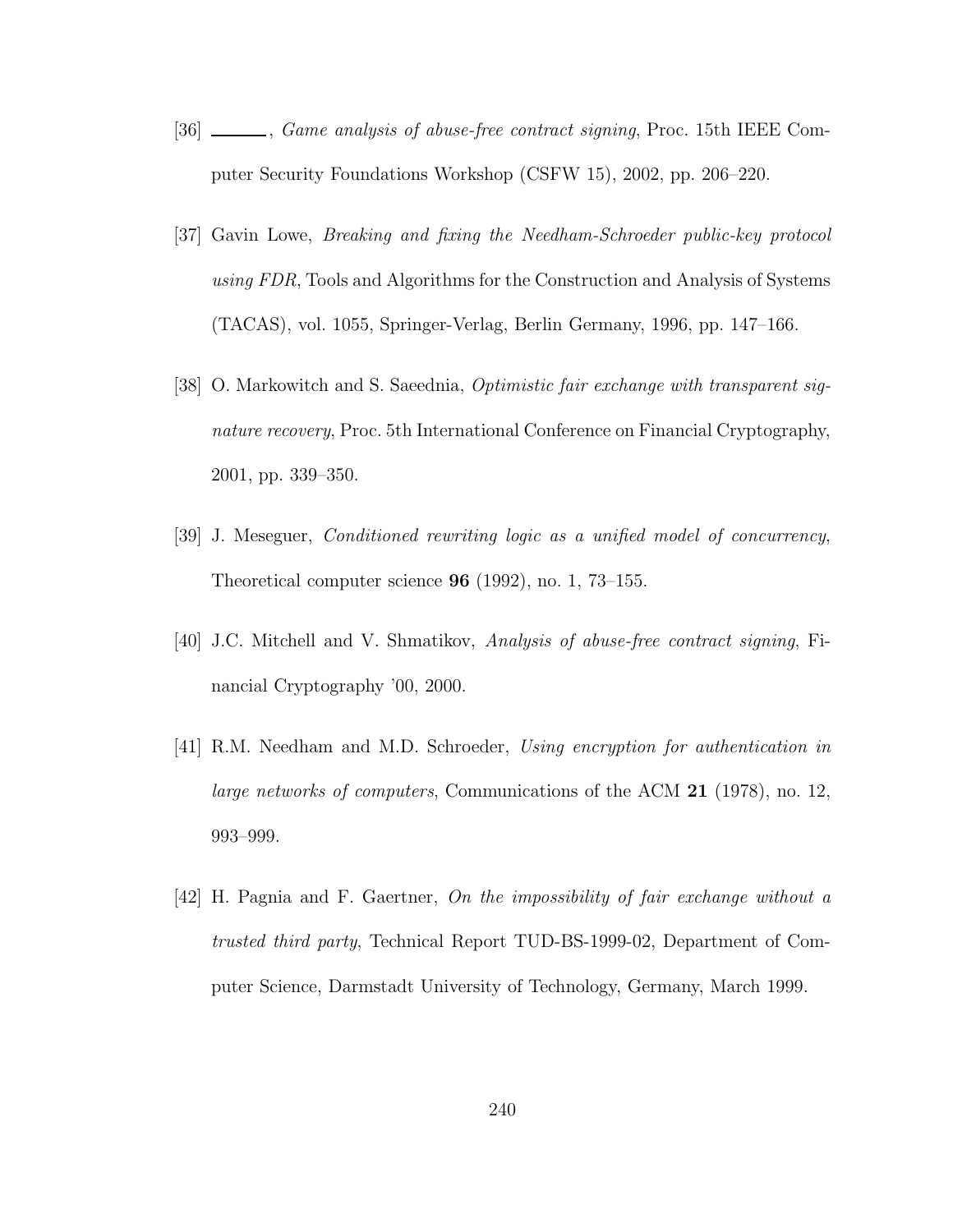- [36]  $\_\_\_\_\$ , Game analysis of abuse-free contract signing, Proc. 15th IEEE Computer Security Foundations Workshop (CSFW 15), 2002, pp. 206–220.
- [37] Gavin Lowe, Breaking and fixing the Needham-Schroeder public-key protocol using FDR, Tools and Algorithms for the Construction and Analysis of Systems (TACAS), vol. 1055, Springer-Verlag, Berlin Germany, 1996, pp. 147–166.
- [38] O. Markowitch and S. Saeednia, Optimistic fair exchange with transparent signature recovery, Proc. 5th International Conference on Financial Cryptography, 2001, pp. 339–350.
- [39] J. Meseguer, Conditioned rewriting logic as a unified model of concurrency, Theoretical computer science 96 (1992), no. 1, 73–155.
- [40] J.C. Mitchell and V. Shmatikov, Analysis of abuse-free contract signing, Financial Cryptography '00, 2000.
- [41] R.M. Needham and M.D. Schroeder, Using encryption for authentication in large networks of computers, Communications of the ACM 21 (1978), no. 12, 993–999.
- [42] H. Pagnia and F. Gaertner, On the impossibility of fair exchange without a trusted third party, Technical Report TUD-BS-1999-02, Department of Computer Science, Darmstadt University of Technology, Germany, March 1999.